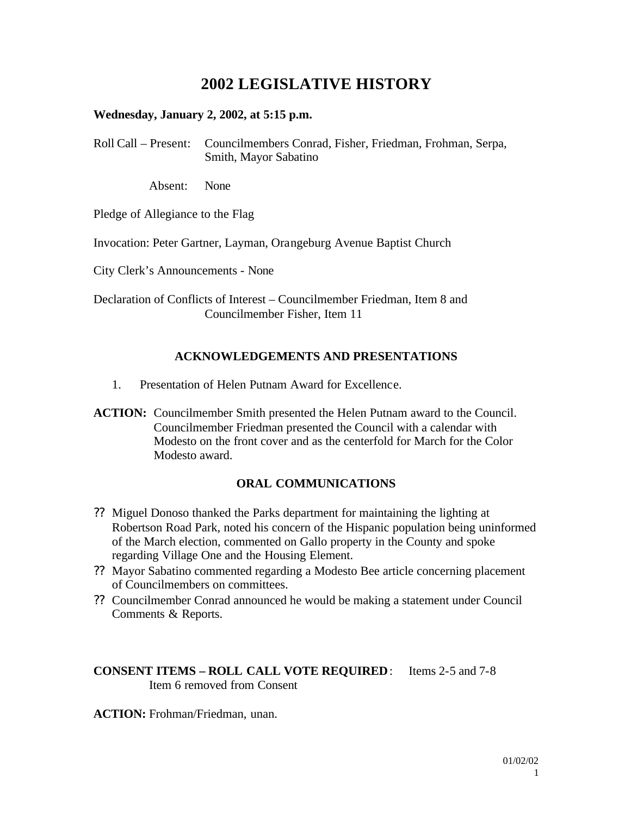# **2002 LEGISLATIVE HISTORY**

#### **Wednesday, January 2, 2002, at 5:15 p.m.**

Roll Call – Present: Councilmembers Conrad, Fisher, Friedman, Frohman, Serpa, Smith, Mayor Sabatino

Absent: None

Pledge of Allegiance to the Flag

Invocation: Peter Gartner, Layman, Orangeburg Avenue Baptist Church

City Clerk's Announcements - None

Declaration of Conflicts of Interest – Councilmember Friedman, Item 8 and Councilmember Fisher, Item 11

# **ACKNOWLEDGEMENTS AND PRESENTATIONS**

- 1. Presentation of Helen Putnam Award for Excellence.
- **ACTION:** Councilmember Smith presented the Helen Putnam award to the Council. Councilmember Friedman presented the Council with a calendar with Modesto on the front cover and as the centerfold for March for the Color Modesto award.

#### **ORAL COMMUNICATIONS**

- ?? Miguel Donoso thanked the Parks department for maintaining the lighting at Robertson Road Park, noted his concern of the Hispanic population being uninformed of the March election, commented on Gallo property in the County and spoke regarding Village One and the Housing Element.
- ?? Mayor Sabatino commented regarding a Modesto Bee article concerning placement of Councilmembers on committees.
- ?? Councilmember Conrad announced he would be making a statement under Council Comments & Reports.

#### **CONSENT ITEMS – ROLL CALL VOTE REQUIRED**: Items 2-5 and 7-8 Item 6 removed from Consent

**ACTION:** Frohman/Friedman, unan.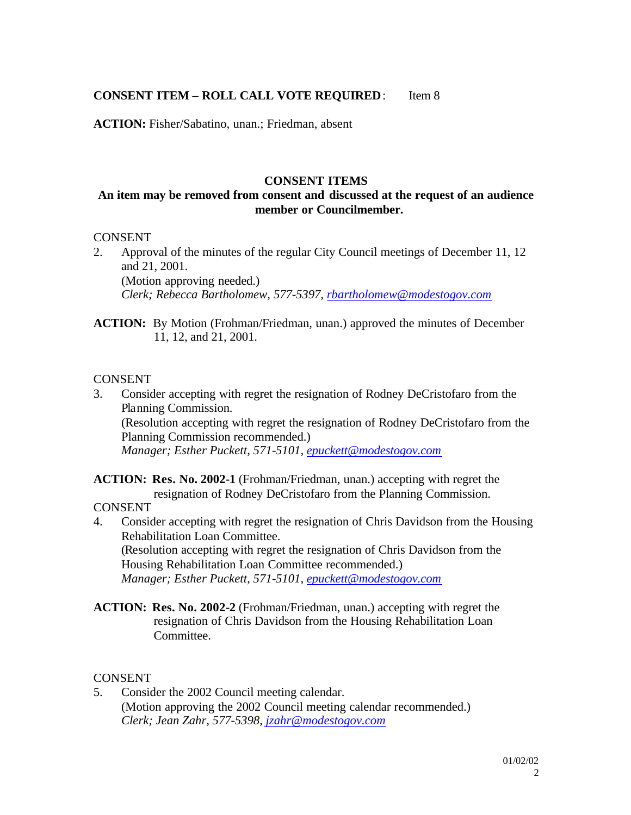# **CONSENT ITEM – ROLL CALL VOTE REQUIRED**: Item 8

**ACTION:** Fisher/Sabatino, unan.; Friedman, absent

#### **CONSENT ITEMS**

# **An item may be removed from consent and discussed at the request of an audience member or Councilmember.**

#### **CONSENT**

2. Approval of the minutes of the regular City Council meetings of December 11, 12 and 21, 2001. (Motion approving needed.) *Clerk; Rebecca Bartholomew, 577-5397, rbartholomew@modestogov.com*

**ACTION:** By Motion (Frohman/Friedman, unan.) approved the minutes of December 11, 12, and 21, 2001.

#### CONSENT

3. Consider accepting with regret the resignation of Rodney DeCristofaro from the Planning Commission. (Resolution accepting with regret the resignation of Rodney DeCristofaro from the Planning Commission recommended.) *Manager; Esther Puckett, 571-5101, epuckett@modestogov.com*

**ACTION: Res. No. 2002-1** (Frohman/Friedman, unan.) accepting with regret the resignation of Rodney DeCristofaro from the Planning Commission.

- CONSENT
- 4. Consider accepting with regret the resignation of Chris Davidson from the Housing Rehabilitation Loan Committee. (Resolution accepting with regret the resignation of Chris Davidson from the Housing Rehabilitation Loan Committee recommended.) *Manager; Esther Puckett, 571-5101, epuckett@modestogov.com*
- **ACTION: Res. No. 2002-2** (Frohman/Friedman, unan.) accepting with regret the resignation of Chris Davidson from the Housing Rehabilitation Loan Committee.

#### **CONSENT**

5. Consider the 2002 Council meeting calendar. (Motion approving the 2002 Council meeting calendar recommended.) *Clerk; Jean Zahr, 577-5398, jzahr@modestogov.com*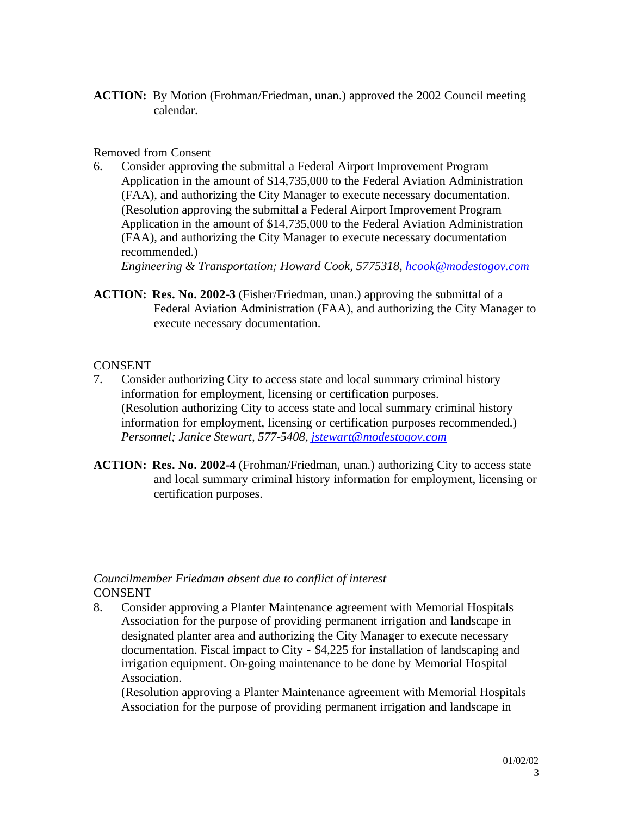**ACTION:** By Motion (Frohman/Friedman, unan.) approved the 2002 Council meeting calendar.

#### Removed from Consent

6. Consider approving the submittal a Federal Airport Improvement Program Application in the amount of \$14,735,000 to the Federal Aviation Administration (FAA), and authorizing the City Manager to execute necessary documentation. (Resolution approving the submittal a Federal Airport Improvement Program Application in the amount of \$14,735,000 to the Federal Aviation Administration (FAA), and authorizing the City Manager to execute necessary documentation recommended.)

*Engineering & Transportation; Howard Cook, 5775318, hcook@modestogov.com*

**ACTION: Res. No. 2002-3** (Fisher/Friedman, unan.) approving the submittal of a Federal Aviation Administration (FAA), and authorizing the City Manager to execute necessary documentation.

# CONSENT

- 7. Consider authorizing City to access state and local summary criminal history information for employment, licensing or certification purposes. (Resolution authorizing City to access state and local summary criminal history information for employment, licensing or certification purposes recommended.) *Personnel; Janice Stewart, 577-5408, jstewart@modestogov.com*
- **ACTION: Res. No. 2002-4** (Frohman/Friedman, unan.) authorizing City to access state and local summary criminal history information for employment, licensing or certification purposes.

#### *Councilmember Friedman absent due to conflict of interest* **CONSENT**

8. Consider approving a Planter Maintenance agreement with Memorial Hospitals Association for the purpose of providing permanent irrigation and landscape in designated planter area and authorizing the City Manager to execute necessary documentation. Fiscal impact to City - \$4,225 for installation of landscaping and irrigation equipment. On-going maintenance to be done by Memorial Hospital Association.

(Resolution approving a Planter Maintenance agreement with Memorial Hospitals Association for the purpose of providing permanent irrigation and landscape in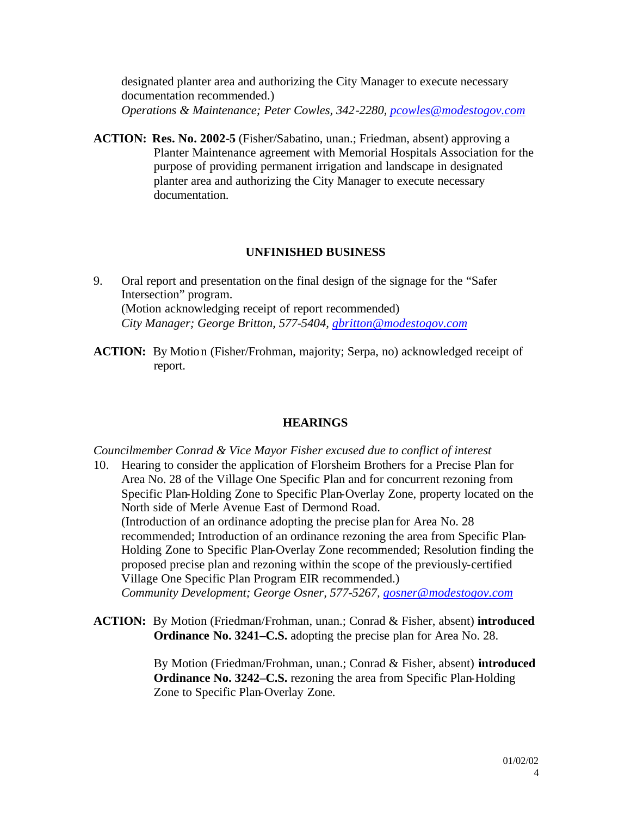designated planter area and authorizing the City Manager to execute necessary documentation recommended.) *Operations & Maintenance; Peter Cowles, 342-2280, pcowles@modestogov.com*

**ACTION: Res. No. 2002-5** (Fisher/Sabatino, unan.; Friedman, absent) approving a Planter Maintenance agreement with Memorial Hospitals Association for the purpose of providing permanent irrigation and landscape in designated planter area and authorizing the City Manager to execute necessary documentation.

#### **UNFINISHED BUSINESS**

- 9. Oral report and presentation on the final design of the signage for the "Safer Intersection" program. (Motion acknowledging receipt of report recommended) *City Manager; George Britton, 577-5404, gbritton@modestogov.com*
- **ACTION:** By Motion (Fisher/Frohman, majority; Serpa, no) acknowledged receipt of report.

#### **HEARINGS**

#### *Councilmember Conrad & Vice Mayor Fisher excused due to conflict of interest*

- 10. Hearing to consider the application of Florsheim Brothers for a Precise Plan for Area No. 28 of the Village One Specific Plan and for concurrent rezoning from Specific Plan-Holding Zone to Specific Plan-Overlay Zone, property located on the North side of Merle Avenue East of Dermond Road. (Introduction of an ordinance adopting the precise plan for Area No. 28 recommended; Introduction of an ordinance rezoning the area from Specific Plan-Holding Zone to Specific Plan-Overlay Zone recommended; Resolution finding the proposed precise plan and rezoning within the scope of the previously-certified Village One Specific Plan Program EIR recommended.) *Community Development; George Osner, 577-5267, gosner@modestogov.com*
- **ACTION:** By Motion (Friedman/Frohman, unan.; Conrad & Fisher, absent) **introduced Ordinance No. 3241–C.S.** adopting the precise plan for Area No. 28.

By Motion (Friedman/Frohman, unan.; Conrad & Fisher, absent) **introduced Ordinance No. 3242–C.S.** rezoning the area from Specific Plan-Holding Zone to Specific Plan-Overlay Zone.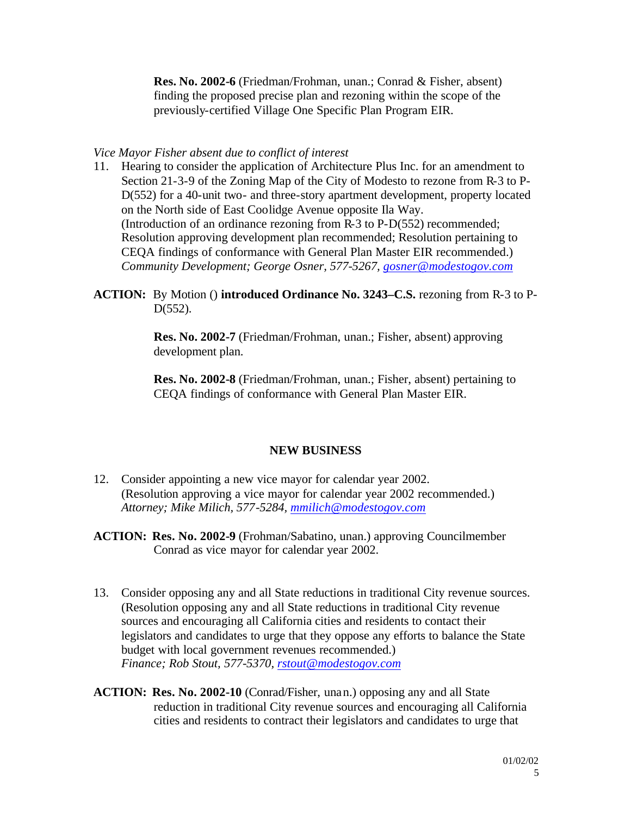**Res. No. 2002-6** (Friedman/Frohman, unan.; Conrad & Fisher, absent) finding the proposed precise plan and rezoning within the scope of the previously-certified Village One Specific Plan Program EIR.

#### *Vice Mayor Fisher absent due to conflict of interest*

- 11. Hearing to consider the application of Architecture Plus Inc. for an amendment to Section 21-3-9 of the Zoning Map of the City of Modesto to rezone from R-3 to P-D(552) for a 40-unit two- and three-story apartment development, property located on the North side of East Coolidge Avenue opposite Ila Way. (Introduction of an ordinance rezoning from R-3 to P-D(552) recommended; Resolution approving development plan recommended; Resolution pertaining to CEQA findings of conformance with General Plan Master EIR recommended.) *Community Development; George Osner, 577-5267, gosner@modestogov.com*
- **ACTION:** By Motion () **introduced Ordinance No. 3243–C.S.** rezoning from R-3 to P-D(552).

**Res. No. 2002-7** (Friedman/Frohman, unan.; Fisher, absent) approving development plan.

**Res. No. 2002-8** (Friedman/Frohman, unan.; Fisher, absent) pertaining to CEQA findings of conformance with General Plan Master EIR.

#### **NEW BUSINESS**

- 12. Consider appointing a new vice mayor for calendar year 2002. (Resolution approving a vice mayor for calendar year 2002 recommended.) *Attorney; Mike Milich, 577-5284, mmilich@modestogov.com*
- **ACTION: Res. No. 2002-9** (Frohman/Sabatino, unan.) approving Councilmember Conrad as vice mayor for calendar year 2002.
- 13. Consider opposing any and all State reductions in traditional City revenue sources. (Resolution opposing any and all State reductions in traditional City revenue sources and encouraging all California cities and residents to contact their legislators and candidates to urge that they oppose any efforts to balance the State budget with local government revenues recommended.) *Finance; Rob Stout, 577-5370, rstout@modestogov.com*
- **ACTION: Res. No. 2002-10** (Conrad/Fisher, unan.) opposing any and all State reduction in traditional City revenue sources and encouraging all California cities and residents to contract their legislators and candidates to urge that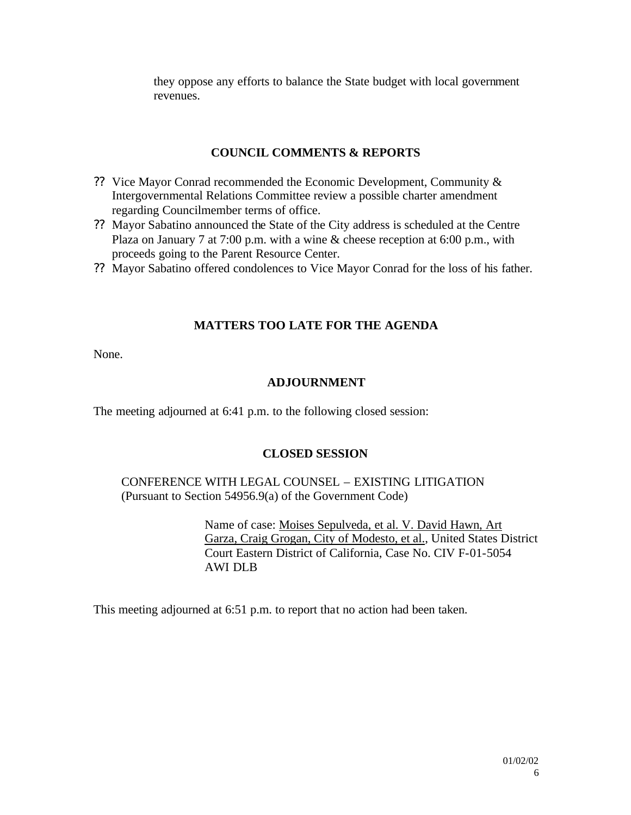they oppose any efforts to balance the State budget with local government revenues.

#### **COUNCIL COMMENTS & REPORTS**

- ?? Vice Mayor Conrad recommended the Economic Development, Community & Intergovernmental Relations Committee review a possible charter amendment regarding Councilmember terms of office.
- ?? Mayor Sabatino announced the State of the City address is scheduled at the Centre Plaza on January 7 at 7:00 p.m. with a wine & cheese reception at 6:00 p.m., with proceeds going to the Parent Resource Center.
- ?? Mayor Sabatino offered condolences to Vice Mayor Conrad for the loss of his father.

# **MATTERS TOO LATE FOR THE AGENDA**

None.

# **ADJOURNMENT**

The meeting adjourned at 6:41 p.m. to the following closed session:

# **CLOSED SESSION**

CONFERENCE WITH LEGAL COUNSEL – EXISTING LITIGATION (Pursuant to Section 54956.9(a) of the Government Code)

> Name of case: Moises Sepulveda, et al. V. David Hawn, Art Garza, Craig Grogan, City of Modesto, et al., United States District Court Eastern District of California, Case No. CIV F-01-5054 AWI DLB

This meeting adjourned at 6:51 p.m. to report that no action had been taken.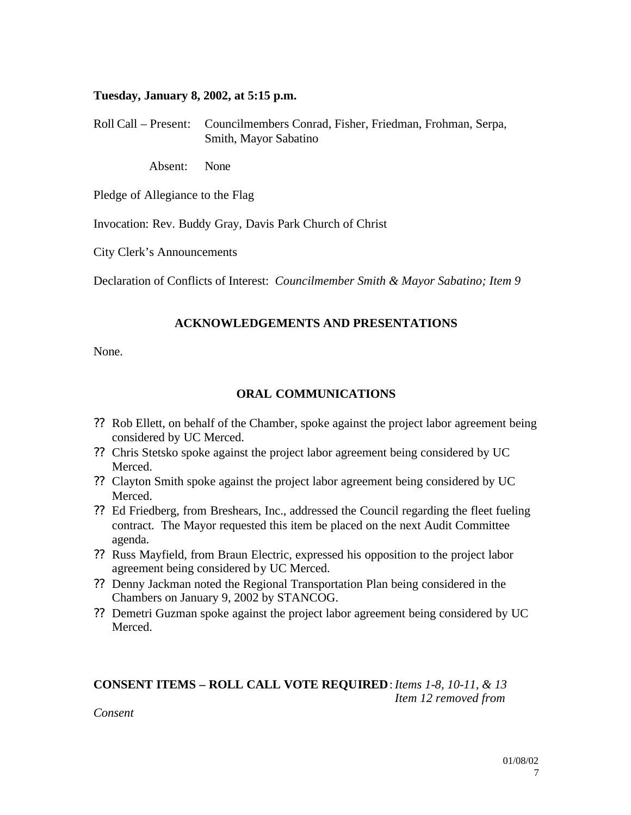#### **Tuesday, January 8, 2002, at 5:15 p.m.**

Roll Call – Present: Councilmembers Conrad, Fisher, Friedman, Frohman, Serpa, Smith, Mayor Sabatino

Absent: None

Pledge of Allegiance to the Flag

Invocation: Rev. Buddy Gray, Davis Park Church of Christ

City Clerk's Announcements

Declaration of Conflicts of Interest: *Councilmember Smith & Mayor Sabatino; Item 9*

#### **ACKNOWLEDGEMENTS AND PRESENTATIONS**

None.

#### **ORAL COMMUNICATIONS**

- ?? Rob Ellett, on behalf of the Chamber, spoke against the project labor agreement being considered by UC Merced.
- ?? Chris Stetsko spoke against the project labor agreement being considered by UC Merced.
- ?? Clayton Smith spoke against the project labor agreement being considered by UC Merced.
- ?? Ed Friedberg, from Breshears, Inc., addressed the Council regarding the fleet fueling contract. The Mayor requested this item be placed on the next Audit Committee agenda.
- ?? Russ Mayfield, from Braun Electric, expressed his opposition to the project labor agreement being considered by UC Merced.
- ?? Denny Jackman noted the Regional Transportation Plan being considered in the Chambers on January 9, 2002 by STANCOG.
- ?? Demetri Guzman spoke against the project labor agreement being considered by UC Merced.

# **CONSENT ITEMS – ROLL CALL VOTE REQUIRED**:*Items 1-8, 10-11, & 13 Item 12 removed from*

*Consent*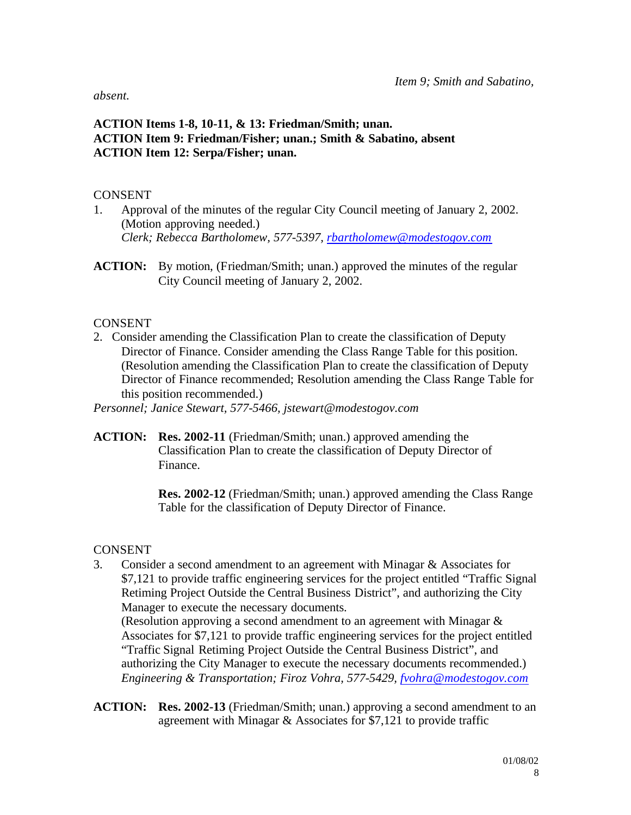*absent.*

# **ACTION Items 1-8, 10-11, & 13: Friedman/Smith; unan. ACTION Item 9: Friedman/Fisher; unan.; Smith & Sabatino, absent ACTION Item 12: Serpa/Fisher; unan.**

#### CONSENT

- 1. Approval of the minutes of the regular City Council meeting of January 2, 2002. (Motion approving needed.) *Clerk; Rebecca Bartholomew, 577-5397, rbartholomew@modestogov.com*
- **ACTION:** By motion, (Friedman/Smith; unan.) approved the minutes of the regular City Council meeting of January 2, 2002.

# **CONSENT**

2. Consider amending the Classification Plan to create the classification of Deputy Director of Finance. Consider amending the Class Range Table for this position. (Resolution amending the Classification Plan to create the classification of Deputy Director of Finance recommended; Resolution amending the Class Range Table for this position recommended.)

*Personnel; Janice Stewart, 577-5466, jstewart@modestogov.com*

**ACTION: Res. 2002-11** (Friedman/Smith; unan.) approved amending the Classification Plan to create the classification of Deputy Director of Finance.

> **Res. 2002-12** (Friedman/Smith; unan.) approved amending the Class Range Table for the classification of Deputy Director of Finance.

# **CONSENT**

3. Consider a second amendment to an agreement with Minagar & Associates for \$7,121 to provide traffic engineering services for the project entitled "Traffic Signal Retiming Project Outside the Central Business District", and authorizing the City Manager to execute the necessary documents.

(Resolution approving a second amendment to an agreement with Minagar & Associates for \$7,121 to provide traffic engineering services for the project entitled "Traffic Signal Retiming Project Outside the Central Business District", and authorizing the City Manager to execute the necessary documents recommended.) *Engineering & Transportation; Firoz Vohra, 577-5429, fvohra@modestogov.com*

**ACTION: Res. 2002-13** (Friedman/Smith; unan.) approving a second amendment to an agreement with Minagar & Associates for \$7,121 to provide traffic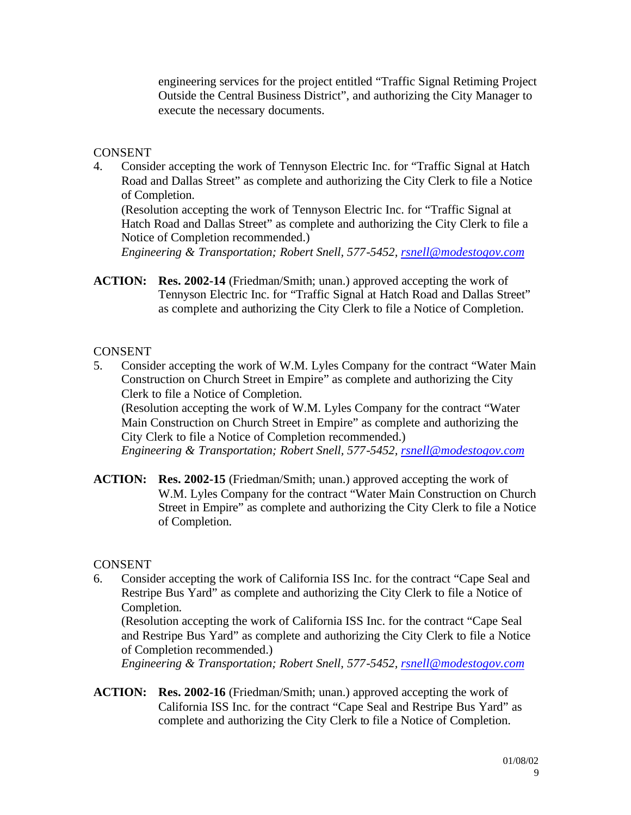engineering services for the project entitled "Traffic Signal Retiming Project Outside the Central Business District", and authorizing the City Manager to execute the necessary documents.

# **CONSENT**

4. Consider accepting the work of Tennyson Electric Inc. for "Traffic Signal at Hatch Road and Dallas Street" as complete and authorizing the City Clerk to file a Notice of Completion.

(Resolution accepting the work of Tennyson Electric Inc. for "Traffic Signal at Hatch Road and Dallas Street" as complete and authorizing the City Clerk to file a Notice of Completion recommended.)

*Engineering & Transportation; Robert Snell, 577-5452, rsnell@modestogov.com*

**ACTION: Res. 2002-14** (Friedman/Smith; unan.) approved accepting the work of Tennyson Electric Inc. for "Traffic Signal at Hatch Road and Dallas Street" as complete and authorizing the City Clerk to file a Notice of Completion.

# **CONSENT**

5. Consider accepting the work of W.M. Lyles Company for the contract "Water Main Construction on Church Street in Empire" as complete and authorizing the City Clerk to file a Notice of Completion.

(Resolution accepting the work of W.M. Lyles Company for the contract "Water Main Construction on Church Street in Empire" as complete and authorizing the City Clerk to file a Notice of Completion recommended.) *Engineering & Transportation; Robert Snell, 577-5452, rsnell@modestogov.com*

**ACTION: Res. 2002-15** (Friedman/Smith; unan.) approved accepting the work of W.M. Lyles Company for the contract "Water Main Construction on Church Street in Empire" as complete and authorizing the City Clerk to file a Notice of Completion.

# **CONSENT**

6. Consider accepting the work of California ISS Inc. for the contract "Cape Seal and Restripe Bus Yard" as complete and authorizing the City Clerk to file a Notice of Completion.

(Resolution accepting the work of California ISS Inc. for the contract "Cape Seal and Restripe Bus Yard" as complete and authorizing the City Clerk to file a Notice of Completion recommended.)

*Engineering & Transportation; Robert Snell, 577-5452, rsnell@modestogov.com*

**ACTION: Res. 2002-16** (Friedman/Smith; unan.) approved accepting the work of California ISS Inc. for the contract "Cape Seal and Restripe Bus Yard" as complete and authorizing the City Clerk to file a Notice of Completion.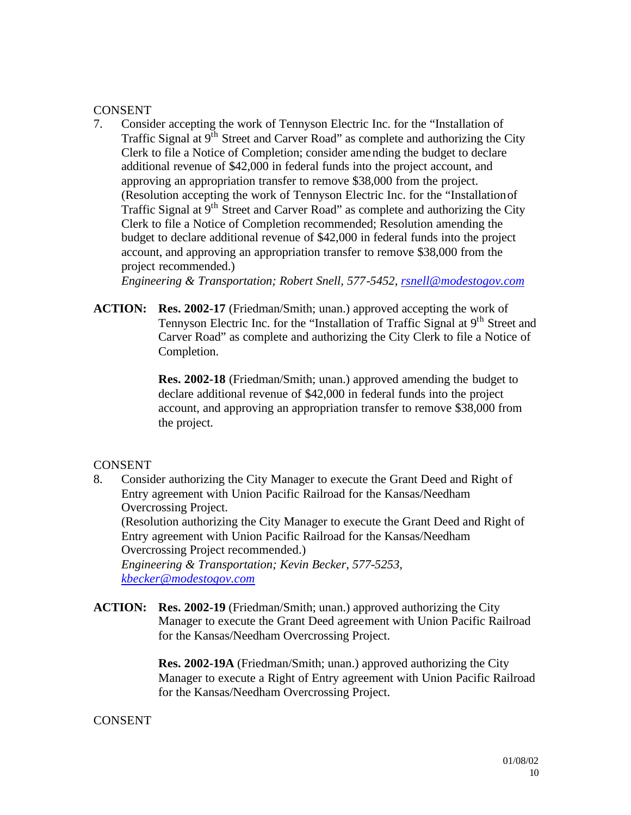#### **CONSENT**

7. Consider accepting the work of Tennyson Electric Inc. for the "Installation of Traffic Signal at  $9<sup>th</sup>$  Street and Carver Road" as complete and authorizing the City Clerk to file a Notice of Completion; consider amending the budget to declare additional revenue of \$42,000 in federal funds into the project account, and approving an appropriation transfer to remove \$38,000 from the project. (Resolution accepting the work of Tennyson Electric Inc. for the "Installation of Traffic Signal at 9<sup>th</sup> Street and Carver Road" as complete and authorizing the City Clerk to file a Notice of Completion recommended; Resolution amending the budget to declare additional revenue of \$42,000 in federal funds into the project account, and approving an appropriation transfer to remove \$38,000 from the project recommended.)

*Engineering & Transportation; Robert Snell, 577-5452, rsnell@modestogov.com*

**ACTION: Res. 2002-17** (Friedman/Smith; unan.) approved accepting the work of Tennyson Electric Inc. for the "Installation of Traffic Signal at 9<sup>th</sup> Street and Carver Road" as complete and authorizing the City Clerk to file a Notice of Completion.

> **Res. 2002-18** (Friedman/Smith; unan.) approved amending the budget to declare additional revenue of \$42,000 in federal funds into the project account, and approving an appropriation transfer to remove \$38,000 from the project.

# CONSENT

8. Consider authorizing the City Manager to execute the Grant Deed and Right of Entry agreement with Union Pacific Railroad for the Kansas/Needham Overcrossing Project.

(Resolution authorizing the City Manager to execute the Grant Deed and Right of Entry agreement with Union Pacific Railroad for the Kansas/Needham Overcrossing Project recommended.)

*Engineering & Transportation; Kevin Becker, 577-5253, kbecker@modestogov.com*

**ACTION: Res. 2002-19** (Friedman/Smith; unan.) approved authorizing the City Manager to execute the Grant Deed agreement with Union Pacific Railroad for the Kansas/Needham Overcrossing Project.

> **Res. 2002-19A** (Friedman/Smith; unan.) approved authorizing the City Manager to execute a Right of Entry agreement with Union Pacific Railroad for the Kansas/Needham Overcrossing Project.

# CONSENT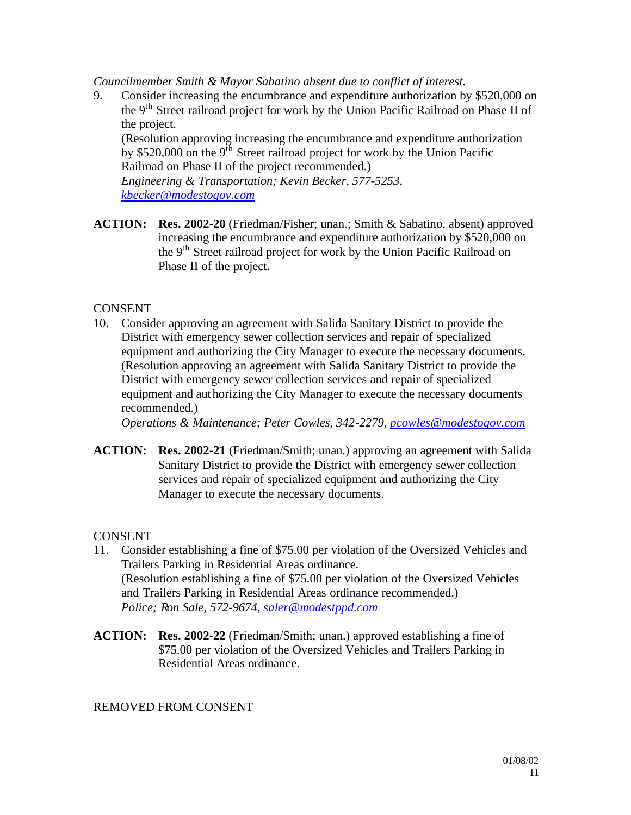*Councilmember Smith & Mayor Sabatino absent due to conflict of interest.*

9. Consider increasing the encumbrance and expenditure authorization by \$520,000 on the 9<sup>th</sup> Street railroad project for work by the Union Pacific Railroad on Phase II of the project.

(Resolution approving increasing the encumbrance and expenditure authorization by \$520,000 on the  $9<sup>th</sup>$  Street railroad project for work by the Union Pacific Railroad on Phase II of the project recommended.)

*Engineering & Transportation; Kevin Becker, 577-5253, kbecker@modestogov.com*

**ACTION: Res. 2002-20** (Friedman/Fisher; unan.; Smith & Sabatino, absent) approved increasing the encumbrance and expenditure authorization by \$520,000 on the 9<sup>th</sup> Street railroad project for work by the Union Pacific Railroad on Phase II of the project.

# **CONSENT**

10. Consider approving an agreement with Salida Sanitary District to provide the District with emergency sewer collection services and repair of specialized equipment and authorizing the City Manager to execute the necessary documents. (Resolution approving an agreement with Salida Sanitary District to provide the District with emergency sewer collection services and repair of specialized equipment and authorizing the City Manager to execute the necessary documents recommended.)

*Operations & Maintenance; Peter Cowles, 342-2279, pcowles@modestogov.com*

**ACTION: Res. 2002-21** (Friedman/Smith; unan.) approving an agreement with Salida Sanitary District to provide the District with emergency sewer collection services and repair of specialized equipment and authorizing the City Manager to execute the necessary documents.

# **CONSENT**

- 11. Consider establishing a fine of \$75.00 per violation of the Oversized Vehicles and Trailers Parking in Residential Areas ordinance. (Resolution establishing a fine of \$75.00 per violation of the Oversized Vehicles and Trailers Parking in Residential Areas ordinance recommended.) *Police; Ron Sale, 572-9674, saler@modestppd.com*
- **ACTION: Res. 2002-22** (Friedman/Smith; unan.) approved establishing a fine of \$75.00 per violation of the Oversized Vehicles and Trailers Parking in Residential Areas ordinance.

# REMOVED FROM CONSENT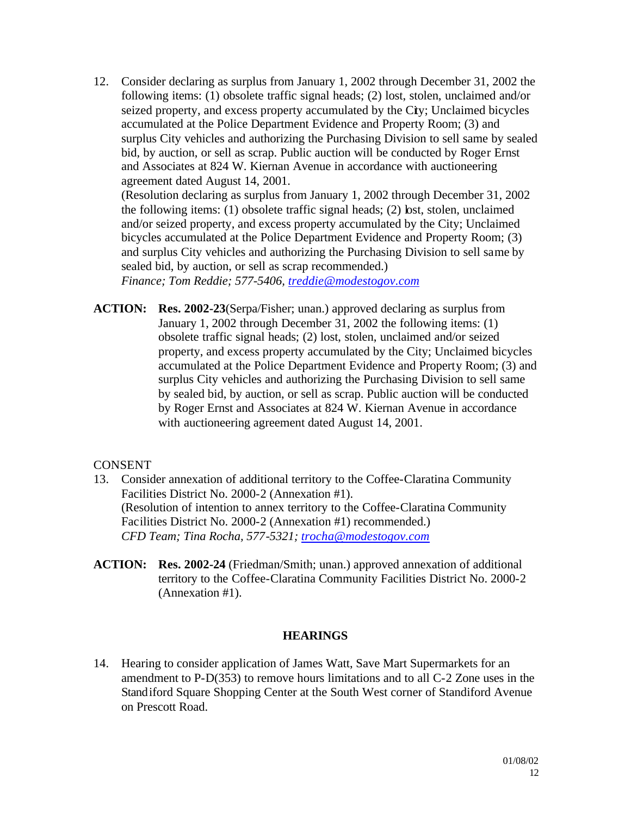12. Consider declaring as surplus from January 1, 2002 through December 31, 2002 the following items: (1) obsolete traffic signal heads; (2) lost, stolen, unclaimed and/or seized property, and excess property accumulated by the City; Unclaimed bicycles accumulated at the Police Department Evidence and Property Room; (3) and surplus City vehicles and authorizing the Purchasing Division to sell same by sealed bid, by auction, or sell as scrap. Public auction will be conducted by Roger Ernst and Associates at 824 W. Kiernan Avenue in accordance with auctioneering agreement dated August 14, 2001.

(Resolution declaring as surplus from January 1, 2002 through December 31, 2002 the following items: (1) obsolete traffic signal heads; (2) lost, stolen, unclaimed and/or seized property, and excess property accumulated by the City; Unclaimed bicycles accumulated at the Police Department Evidence and Property Room; (3) and surplus City vehicles and authorizing the Purchasing Division to sell same by sealed bid, by auction, or sell as scrap recommended.)

*Finance; Tom Reddie; 577-5406, treddie@modestogov.com*

**ACTION: Res. 2002-23**(Serpa/Fisher; unan.) approved declaring as surplus from January 1, 2002 through December 31, 2002 the following items: (1) obsolete traffic signal heads; (2) lost, stolen, unclaimed and/or seized property, and excess property accumulated by the City; Unclaimed bicycles accumulated at the Police Department Evidence and Property Room; (3) and surplus City vehicles and authorizing the Purchasing Division to sell same by sealed bid, by auction, or sell as scrap. Public auction will be conducted by Roger Ernst and Associates at 824 W. Kiernan Avenue in accordance with auctioneering agreement dated August 14, 2001.

# **CONSENT**

- 13. Consider annexation of additional territory to the Coffee-Claratina Community Facilities District No. 2000-2 (Annexation #1). (Resolution of intention to annex territory to the Coffee-Claratina Community Facilities District No. 2000-2 (Annexation #1) recommended.) *CFD Team; Tina Rocha, 577-5321; trocha@modestogov.com*
- **ACTION: Res. 2002-24** (Friedman/Smith; unan.) approved annexation of additional territory to the Coffee-Claratina Community Facilities District No. 2000-2 (Annexation #1).

# **HEARINGS**

14. Hearing to consider application of James Watt, Save Mart Supermarkets for an amendment to P-D(353) to remove hours limitations and to all C-2 Zone uses in the Standiford Square Shopping Center at the South West corner of Standiford Avenue on Prescott Road.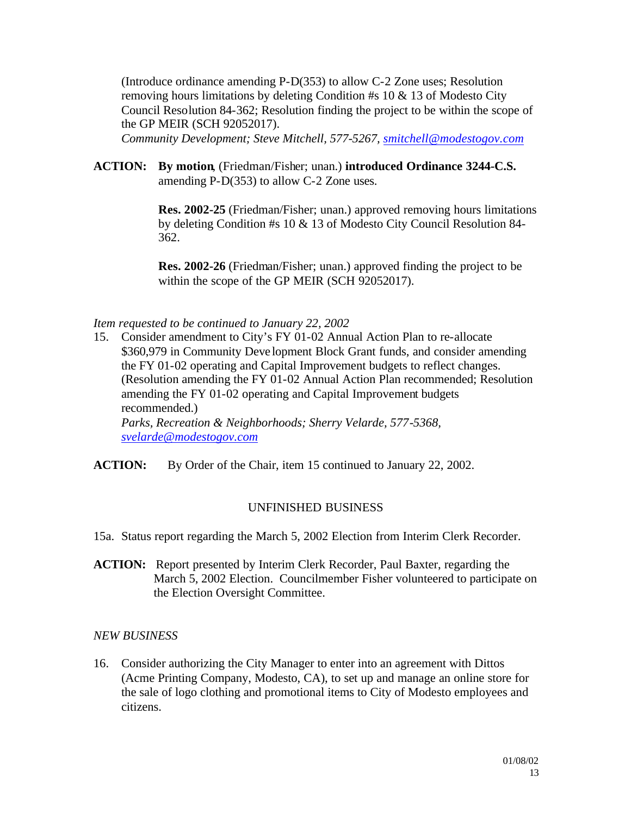(Introduce ordinance amending P-D(353) to allow C-2 Zone uses; Resolution removing hours limitations by deleting Condition #s 10 & 13 of Modesto City Council Resolution 84-362; Resolution finding the project to be within the scope of the GP MEIR (SCH 92052017).

*Community Development; Steve Mitchell, 577-5267, smitchell@modestogov.com*

**ACTION: By motion**, (Friedman/Fisher; unan.) **introduced Ordinance 3244-C.S.**  amending P-D(353) to allow C-2 Zone uses.

> **Res. 2002-25** (Friedman/Fisher; unan.) approved removing hours limitations by deleting Condition #s 10 & 13 of Modesto City Council Resolution 84- 362.

**Res. 2002-26** (Friedman/Fisher; unan.) approved finding the project to be within the scope of the GP MEIR (SCH 92052017).

# *Item requested to be continued to January 22, 2002*

15. Consider amendment to City's FY 01-02 Annual Action Plan to re-allocate \$360,979 in Community Deve lopment Block Grant funds, and consider amending the FY 01-02 operating and Capital Improvement budgets to reflect changes. (Resolution amending the FY 01-02 Annual Action Plan recommended; Resolution amending the FY 01-02 operating and Capital Improvement budgets recommended.) *Parks, Recreation & Neighborhoods; Sherry Velarde, 577-5368, svelarde@modestogov.com*

**ACTION:** By Order of the Chair, item 15 continued to January 22, 2002.

# UNFINISHED BUSINESS

- 15a. Status report regarding the March 5, 2002 Election from Interim Clerk Recorder.
- **ACTION:** Report presented by Interim Clerk Recorder, Paul Baxter, regarding the March 5, 2002 Election. Councilmember Fisher volunteered to participate on the Election Oversight Committee.

#### *NEW BUSINESS*

16. Consider authorizing the City Manager to enter into an agreement with Dittos (Acme Printing Company, Modesto, CA), to set up and manage an online store for the sale of logo clothing and promotional items to City of Modesto employees and citizens.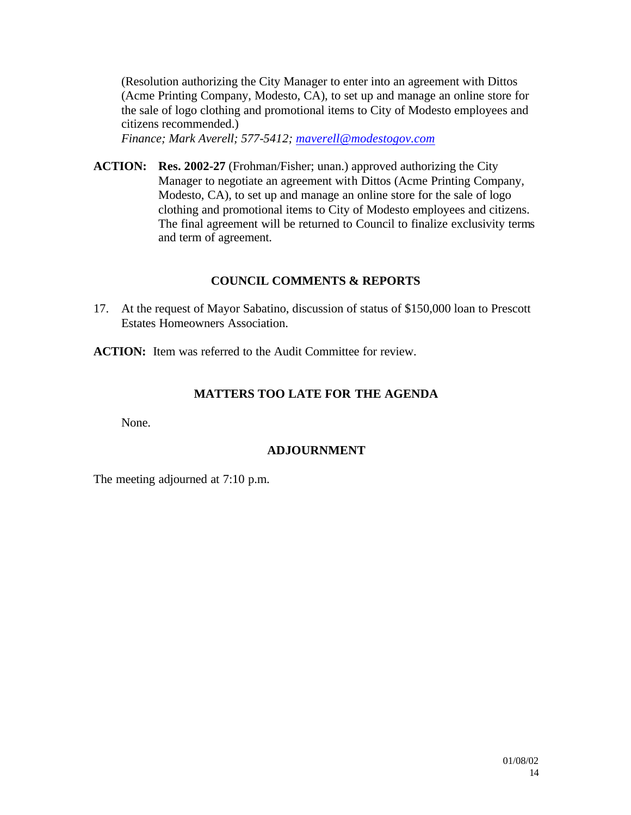(Resolution authorizing the City Manager to enter into an agreement with Dittos (Acme Printing Company, Modesto, CA), to set up and manage an online store for the sale of logo clothing and promotional items to City of Modesto employees and citizens recommended.)

*Finance; Mark Averell; 577-5412; maverell@modestogov.com*

**ACTION: Res. 2002-27** (Frohman/Fisher; unan.) approved authorizing the City Manager to negotiate an agreement with Dittos (Acme Printing Company, Modesto, CA), to set up and manage an online store for the sale of logo clothing and promotional items to City of Modesto employees and citizens. The final agreement will be returned to Council to finalize exclusivity terms and term of agreement.

# **COUNCIL COMMENTS & REPORTS**

17. At the request of Mayor Sabatino, discussion of status of \$150,000 loan to Prescott Estates Homeowners Association.

**ACTION:** Item was referred to the Audit Committee for review.

# **MATTERS TOO LATE FOR THE AGENDA**

None.

# **ADJOURNMENT**

The meeting adjourned at 7:10 p.m.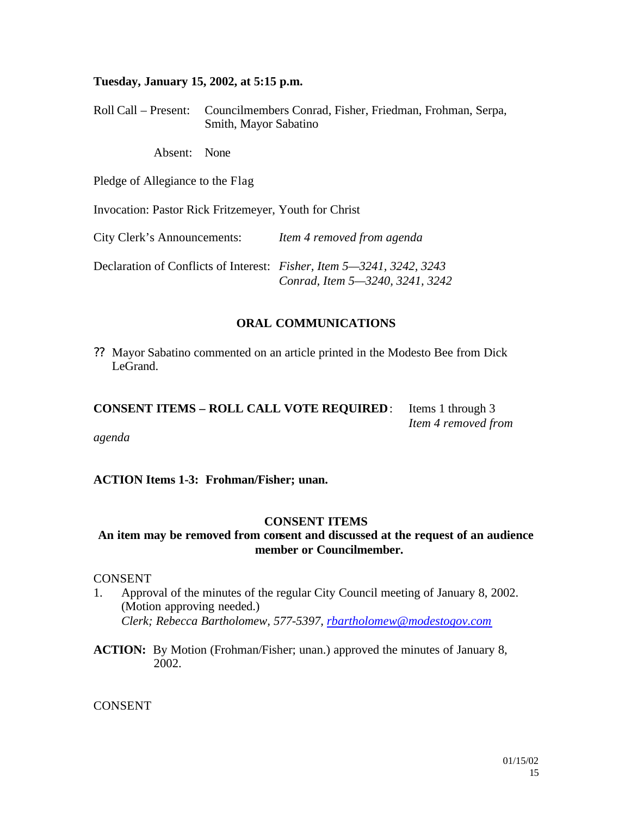#### **Tuesday, January 15, 2002, at 5:15 p.m.**

Roll Call – Present: Councilmembers Conrad, Fisher, Friedman, Frohman, Serpa, Smith, Mayor Sabatino

Absent: None

Pledge of Allegiance to the Flag

Invocation: Pastor Rick Fritzemeyer, Youth for Christ

City Clerk's Announcements: *Item 4 removed from agenda*

Declaration of Conflicts of Interest: *Fisher, Item 5—3241, 3242, 3243 Conrad, Item 5—3240, 3241, 3242*

#### **ORAL COMMUNICATIONS**

?? Mayor Sabatino commented on an article printed in the Modesto Bee from Dick LeGrand.

**CONSENT ITEMS – ROLL CALL VOTE REQUIRED**: Items 1 through 3 *Item 4 removed from agenda*

**ACTION Items 1-3: Frohman/Fisher; unan.** 

#### **CONSENT ITEMS**

# **An item may be removed from consent and discussed at the request of an audience member or Councilmember.**

#### **CONSENT**

- 1. Approval of the minutes of the regular City Council meeting of January 8, 2002. (Motion approving needed.) *Clerk; Rebecca Bartholomew, 577-5397, rbartholomew@modestogov.com*
- **ACTION:** By Motion (Frohman/Fisher; unan.) approved the minutes of January 8, 2002.

CONSENT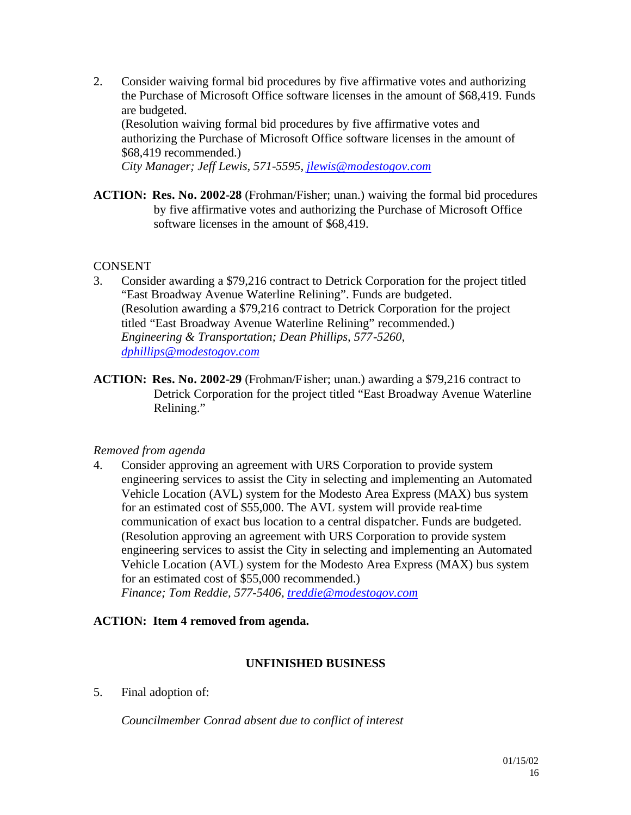2. Consider waiving formal bid procedures by five affirmative votes and authorizing the Purchase of Microsoft Office software licenses in the amount of \$68,419. Funds are budgeted.

(Resolution waiving formal bid procedures by five affirmative votes and authorizing the Purchase of Microsoft Office software licenses in the amount of \$68,419 recommended.)

*City Manager; Jeff Lewis, 571-5595, jlewis@modestogov.com*

**ACTION: Res. No. 2002-28** (Frohman/Fisher; unan.) waiving the formal bid procedures by five affirmative votes and authorizing the Purchase of Microsoft Office software licenses in the amount of \$68,419.

# **CONSENT**

- 3. Consider awarding a \$79,216 contract to Detrick Corporation for the project titled "East Broadway Avenue Waterline Relining". Funds are budgeted. (Resolution awarding a \$79,216 contract to Detrick Corporation for the project titled "East Broadway Avenue Waterline Relining" recommended.) *Engineering & Transportation; Dean Phillips, 577-5260, dphillips@modestogov.com*
- **ACTION: Res. No. 2002-29** (Frohman/Fisher; unan.) awarding a \$79,216 contract to Detrick Corporation for the project titled "East Broadway Avenue Waterline Relining."

# *Removed from agenda*

4. Consider approving an agreement with URS Corporation to provide system engineering services to assist the City in selecting and implementing an Automated Vehicle Location (AVL) system for the Modesto Area Express (MAX) bus system for an estimated cost of \$55,000. The AVL system will provide real-time communication of exact bus location to a central dispatcher. Funds are budgeted. (Resolution approving an agreement with URS Corporation to provide system engineering services to assist the City in selecting and implementing an Automated Vehicle Location (AVL) system for the Modesto Area Express (MAX) bus system for an estimated cost of \$55,000 recommended.) *Finance; Tom Reddie, 577-5406, treddie@modestogov.com*

# **ACTION: Item 4 removed from agenda.**

# **UNFINISHED BUSINESS**

5. Final adoption of:

*Councilmember Conrad absent due to conflict of interest*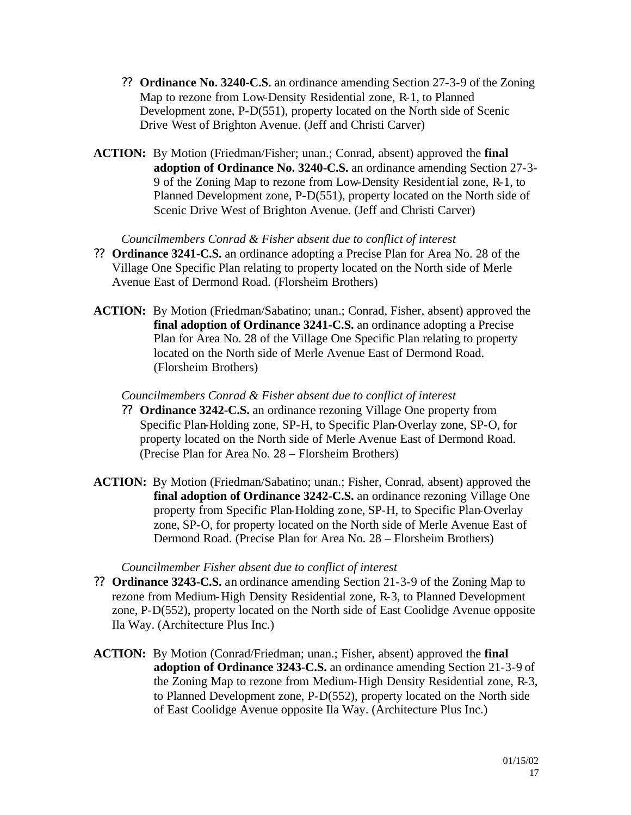- ?? **Ordinance No. 3240-C.S.** an ordinance amending Section 27-3-9 of the Zoning Map to rezone from Low-Density Residential zone, R-1, to Planned Development zone, P-D(551), property located on the North side of Scenic Drive West of Brighton Avenue. (Jeff and Christi Carver)
- **ACTION:** By Motion (Friedman/Fisher; unan.; Conrad, absent) approved the **final adoption of Ordinance No. 3240-C.S.** an ordinance amending Section 27-3- 9 of the Zoning Map to rezone from Low-Density Residential zone, R-1, to Planned Development zone, P-D(551), property located on the North side of Scenic Drive West of Brighton Avenue. (Jeff and Christi Carver)

*Councilmembers Conrad & Fisher absent due to conflict of interest*

- ?? **Ordinance 3241-C.S.** an ordinance adopting a Precise Plan for Area No. 28 of the Village One Specific Plan relating to property located on the North side of Merle Avenue East of Dermond Road. (Florsheim Brothers)
- **ACTION:** By Motion (Friedman/Sabatino; unan.; Conrad, Fisher, absent) approved the **final adoption of Ordinance 3241-C.S.** an ordinance adopting a Precise Plan for Area No. 28 of the Village One Specific Plan relating to property located on the North side of Merle Avenue East of Dermond Road. (Florsheim Brothers)

*Councilmembers Conrad & Fisher absent due to conflict of interest*

- ?? **Ordinance 3242-C.S.** an ordinance rezoning Village One property from Specific Plan-Holding zone, SP-H, to Specific Plan-Overlay zone, SP-O, for property located on the North side of Merle Avenue East of Dermond Road. (Precise Plan for Area No. 28 – Florsheim Brothers)
- **ACTION:** By Motion (Friedman/Sabatino; unan.; Fisher, Conrad, absent) approved the **final adoption of Ordinance 3242-C.S.** an ordinance rezoning Village One property from Specific Plan-Holding zone, SP-H, to Specific Plan-Overlay zone, SP-O, for property located on the North side of Merle Avenue East of Dermond Road. (Precise Plan for Area No. 28 – Florsheim Brothers)

#### *Councilmember Fisher absent due to conflict of interest*

- ?? **Ordinance 3243-C.S.** an ordinance amending Section 21-3-9 of the Zoning Map to rezone from Medium-High Density Residential zone, R-3, to Planned Development zone, P-D(552), property located on the North side of East Coolidge Avenue opposite Ila Way. (Architecture Plus Inc.)
- **ACTION:** By Motion (Conrad/Friedman; unan.; Fisher, absent) approved the **final adoption of Ordinance 3243-C.S.** an ordinance amending Section 21-3-9 of the Zoning Map to rezone from Medium-High Density Residential zone, R-3, to Planned Development zone, P-D(552), property located on the North side of East Coolidge Avenue opposite Ila Way. (Architecture Plus Inc.)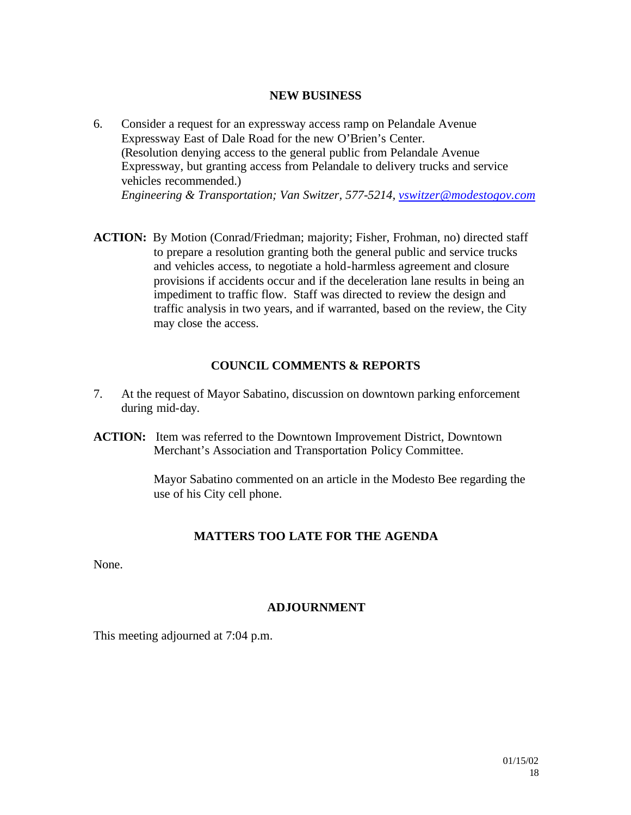#### **NEW BUSINESS**

- 6. Consider a request for an expressway access ramp on Pelandale Avenue Expressway East of Dale Road for the new O'Brien's Center. (Resolution denying access to the general public from Pelandale Avenue Expressway, but granting access from Pelandale to delivery trucks and service vehicles recommended.) *Engineering & Transportation; Van Switzer, 577-5214, vswitzer@modestogov.com*
- **ACTION:** By Motion (Conrad/Friedman; majority; Fisher, Frohman, no) directed staff to prepare a resolution granting both the general public and service trucks and vehicles access, to negotiate a hold-harmless agreement and closure provisions if accidents occur and if the deceleration lane results in being an impediment to traffic flow. Staff was directed to review the design and traffic analysis in two years, and if warranted, based on the review, the City may close the access.

#### **COUNCIL COMMENTS & REPORTS**

- 7. At the request of Mayor Sabatino, discussion on downtown parking enforcement during mid-day.
- **ACTION:** Item was referred to the Downtown Improvement District, Downtown Merchant's Association and Transportation Policy Committee.

Mayor Sabatino commented on an article in the Modesto Bee regarding the use of his City cell phone.

#### **MATTERS TOO LATE FOR THE AGENDA**

None.

#### **ADJOURNMENT**

This meeting adjourned at 7:04 p.m.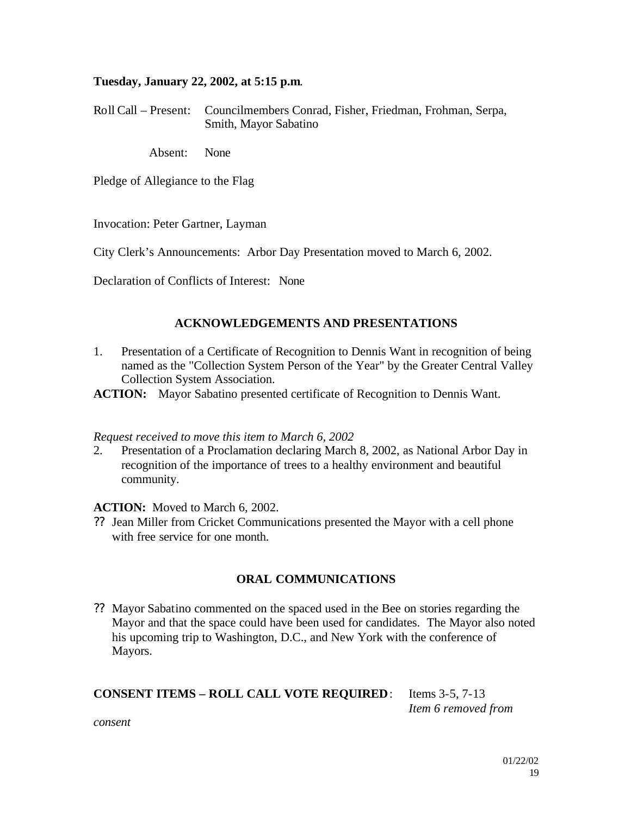#### **Tuesday, January 22, 2002, at 5:15 p.m**.

Roll Call – Present: Councilmembers Conrad, Fisher, Friedman, Frohman, Serpa, Smith, Mayor Sabatino

Absent: None

Pledge of Allegiance to the Flag

Invocation: Peter Gartner, Layman

City Clerk's Announcements: Arbor Day Presentation moved to March 6, 2002.

Declaration of Conflicts of Interest: None

#### **ACKNOWLEDGEMENTS AND PRESENTATIONS**

1. Presentation of a Certificate of Recognition to Dennis Want in recognition of being named as the "Collection System Person of the Year" by the Greater Central Valley Collection System Association.

**ACTION:** Mayor Sabatino presented certificate of Recognition to Dennis Want.

#### *Request received to move this item to March 6, 2002*

2. Presentation of a Proclamation declaring March 8, 2002, as National Arbor Day in recognition of the importance of trees to a healthy environment and beautiful community.

#### **ACTION:** Moved to March 6, 2002.

?? Jean Miller from Cricket Communications presented the Mayor with a cell phone with free service for one month.

# **ORAL COMMUNICATIONS**

?? Mayor Sabatino commented on the spaced used in the Bee on stories regarding the Mayor and that the space could have been used for candidates. The Mayor also noted his upcoming trip to Washington, D.C., and New York with the conference of Mayors.

# **CONSENT ITEMS – ROLL CALL VOTE REQUIRED**: Items 3-5, 7-13

*Item 6 removed from* 

*consent*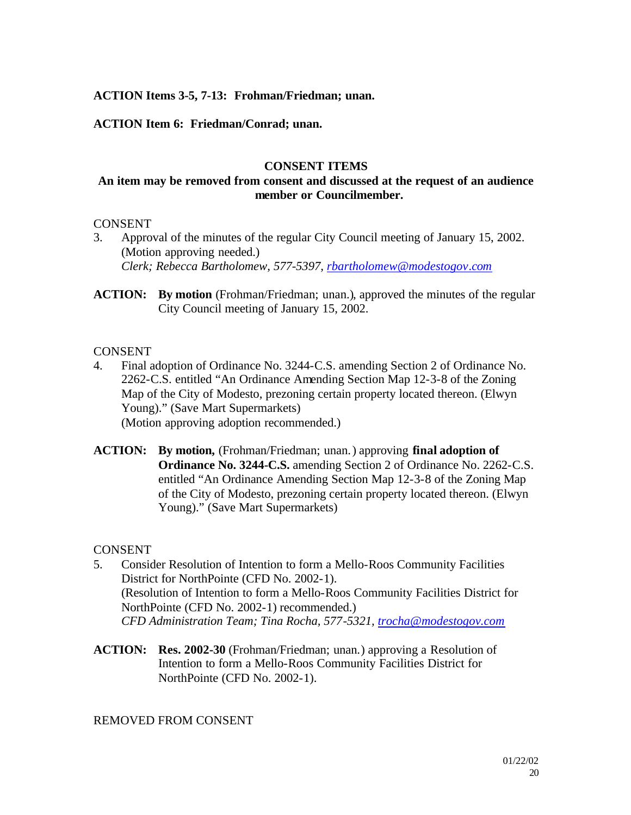# **ACTION Items 3-5, 7-13: Frohman/Friedman; unan.**

# **ACTION Item 6: Friedman/Conrad; unan.**

#### **CONSENT ITEMS**

#### **An item may be removed from consent and discussed at the request of an audience member or Councilmember.**

#### **CONSENT**

- 3. Approval of the minutes of the regular City Council meeting of January 15, 2002. (Motion approving needed.) *Clerk; Rebecca Bartholomew, 577-5397, rbartholomew@modestogov.com*
- **ACTION: By motion** (Frohman/Friedman; unan.), approved the minutes of the regular City Council meeting of January 15, 2002.

#### **CONSENT**

- 4. Final adoption of Ordinance No. 3244-C.S. amending Section 2 of Ordinance No. 2262-C.S. entitled "An Ordinance Amending Section Map 12-3-8 of the Zoning Map of the City of Modesto, prezoning certain property located thereon. (Elwyn Young)." (Save Mart Supermarkets) (Motion approving adoption recommended.)
- **ACTION: By motion,** (Frohman/Friedman; unan.) approving **final adoption of Ordinance No. 3244-C.S.** amending Section 2 of Ordinance No. 2262-C.S. entitled "An Ordinance Amending Section Map 12-3-8 of the Zoning Map of the City of Modesto, prezoning certain property located thereon. (Elwyn Young)." (Save Mart Supermarkets)

#### **CONSENT**

- 5. Consider Resolution of Intention to form a Mello-Roos Community Facilities District for NorthPointe (CFD No. 2002-1). (Resolution of Intention to form a Mello-Roos Community Facilities District for NorthPointe (CFD No. 2002-1) recommended.) *CFD Administration Team; Tina Rocha, 577-5321, trocha@modestogov.com*
- **ACTION: Res. 2002-30** (Frohman/Friedman; unan.) approving a Resolution of Intention to form a Mello-Roos Community Facilities District for NorthPointe (CFD No. 2002-1).

# REMOVED FROM CONSENT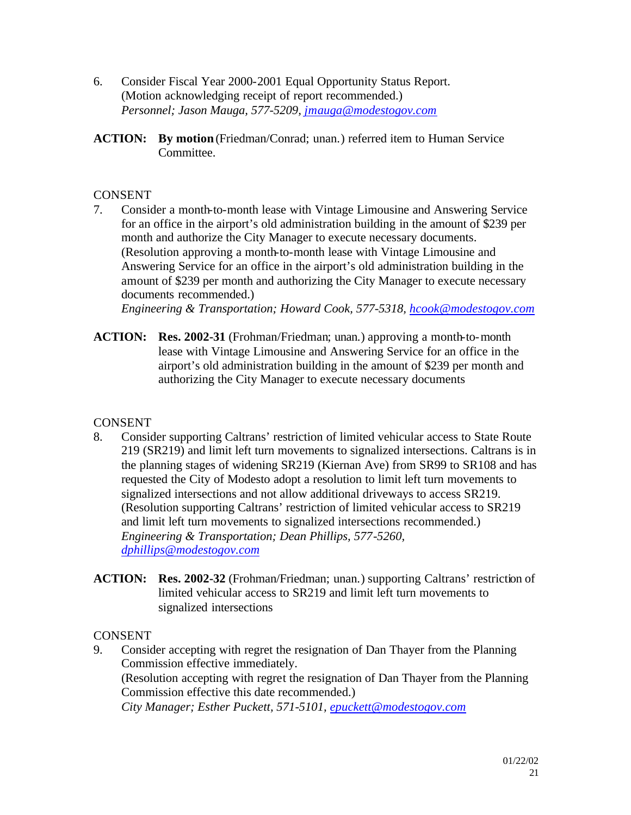- 6. Consider Fiscal Year 2000-2001 Equal Opportunity Status Report. (Motion acknowledging receipt of report recommended.) *Personnel; Jason Mauga, 577-5209, jmauga@modestogov.com*
- **ACTION: By motion** (Friedman/Conrad; unan.) referred item to Human Service Committee.

# **CONSENT**

7. Consider a month-to-month lease with Vintage Limousine and Answering Service for an office in the airport's old administration building in the amount of \$239 per month and authorize the City Manager to execute necessary documents. (Resolution approving a month-to-month lease with Vintage Limousine and Answering Service for an office in the airport's old administration building in the amount of \$239 per month and authorizing the City Manager to execute necessary documents recommended.)

*Engineering & Transportation; Howard Cook, 577-5318, hcook@modestogov.com*

**ACTION: Res. 2002-31** (Frohman/Friedman; unan.) approving a month-to-month lease with Vintage Limousine and Answering Service for an office in the airport's old administration building in the amount of \$239 per month and authorizing the City Manager to execute necessary documents

# **CONSENT**

- 8. Consider supporting Caltrans' restriction of limited vehicular access to State Route 219 (SR219) and limit left turn movements to signalized intersections. Caltrans is in the planning stages of widening SR219 (Kiernan Ave) from SR99 to SR108 and has requested the City of Modesto adopt a resolution to limit left turn movements to signalized intersections and not allow additional driveways to access SR219. (Resolution supporting Caltrans' restriction of limited vehicular access to SR219 and limit left turn movements to signalized intersections recommended.) *Engineering & Transportation; Dean Phillips, 577-5260, dphillips@modestogov.com*
- **ACTION: Res. 2002-32** (Frohman/Friedman; unan.) supporting Caltrans' restriction of limited vehicular access to SR219 and limit left turn movements to signalized intersections

# **CONSENT**

9. Consider accepting with regret the resignation of Dan Thayer from the Planning Commission effective immediately. (Resolution accepting with regret the resignation of Dan Thayer from the Planning Commission effective this date recommended.)

*City Manager; Esther Puckett, 571-5101, epuckett@modestogov.com*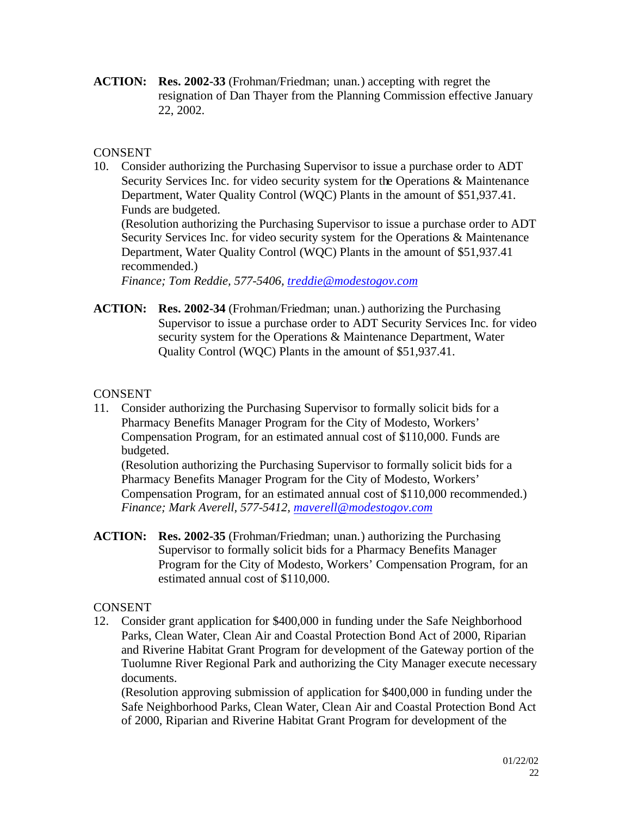**ACTION: Res. 2002-33** (Frohman/Friedman; unan.) accepting with regret the resignation of Dan Thayer from the Planning Commission effective January 22, 2002.

# **CONSENT**

- 10. Consider authorizing the Purchasing Supervisor to issue a purchase order to ADT Security Services Inc. for video security system for the Operations & Maintenance Department, Water Quality Control (WQC) Plants in the amount of \$51,937.41. Funds are budgeted. (Resolution authorizing the Purchasing Supervisor to issue a purchase order to ADT Security Services Inc. for video security system for the Operations & Maintenance Department, Water Quality Control (WQC) Plants in the amount of \$51,937.41 recommended.) *Finance; Tom Reddie, 577-5406, treddie@modestogov.com*
- **ACTION: Res. 2002-34** (Frohman/Friedman; unan.) authorizing the Purchasing Supervisor to issue a purchase order to ADT Security Services Inc. for video security system for the Operations & Maintenance Department, Water Quality Control (WQC) Plants in the amount of \$51,937.41.

# **CONSENT**

11. Consider authorizing the Purchasing Supervisor to formally solicit bids for a Pharmacy Benefits Manager Program for the City of Modesto, Workers' Compensation Program, for an estimated annual cost of \$110,000. Funds are budgeted.

(Resolution authorizing the Purchasing Supervisor to formally solicit bids for a Pharmacy Benefits Manager Program for the City of Modesto, Workers' Compensation Program, for an estimated annual cost of \$110,000 recommended.) *Finance; Mark Averell, 577-5412, maverell@modestogov.com*

**ACTION: Res. 2002-35** (Frohman/Friedman; unan.) authorizing the Purchasing Supervisor to formally solicit bids for a Pharmacy Benefits Manager Program for the City of Modesto, Workers' Compensation Program, for an estimated annual cost of \$110,000.

# **CONSENT**

12. Consider grant application for \$400,000 in funding under the Safe Neighborhood Parks, Clean Water, Clean Air and Coastal Protection Bond Act of 2000, Riparian and Riverine Habitat Grant Program for development of the Gateway portion of the Tuolumne River Regional Park and authorizing the City Manager execute necessary documents.

(Resolution approving submission of application for \$400,000 in funding under the Safe Neighborhood Parks, Clean Water, Clean Air and Coastal Protection Bond Act of 2000, Riparian and Riverine Habitat Grant Program for development of the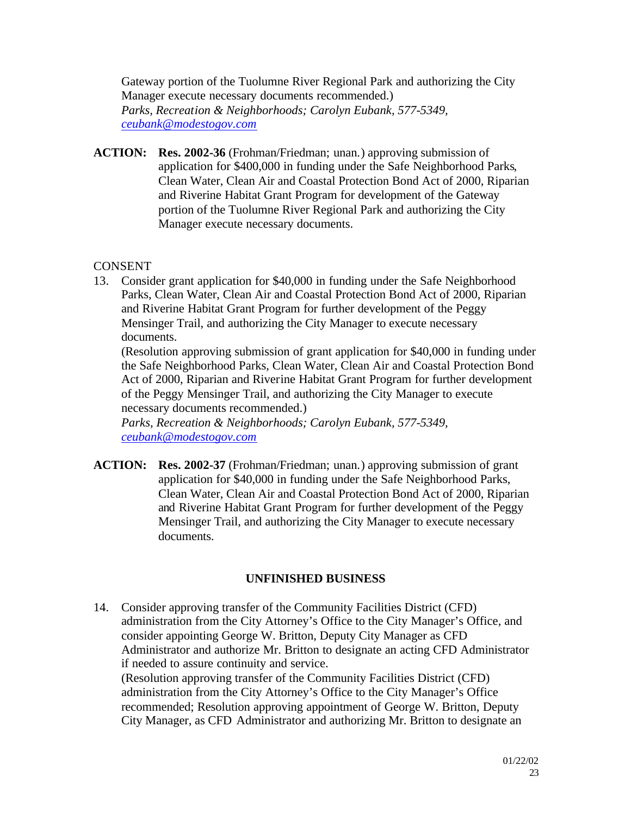Gateway portion of the Tuolumne River Regional Park and authorizing the City Manager execute necessary documents recommended.) *Parks, Recreation & Neighborhoods; Carolyn Eubank, 577-5349, ceubank@modestogov.com*

**ACTION: Res. 2002-36** (Frohman/Friedman; unan.) approving submission of application for \$400,000 in funding under the Safe Neighborhood Parks, Clean Water, Clean Air and Coastal Protection Bond Act of 2000, Riparian and Riverine Habitat Grant Program for development of the Gateway portion of the Tuolumne River Regional Park and authorizing the City Manager execute necessary documents.

# **CONSENT**

13. Consider grant application for \$40,000 in funding under the Safe Neighborhood Parks, Clean Water, Clean Air and Coastal Protection Bond Act of 2000, Riparian and Riverine Habitat Grant Program for further development of the Peggy Mensinger Trail, and authorizing the City Manager to execute necessary documents.

(Resolution approving submission of grant application for \$40,000 in funding under the Safe Neighborhood Parks, Clean Water, Clean Air and Coastal Protection Bond Act of 2000, Riparian and Riverine Habitat Grant Program for further development of the Peggy Mensinger Trail, and authorizing the City Manager to execute necessary documents recommended.)

*Parks, Recreation & Neighborhoods; Carolyn Eubank, 577-5349, ceubank@modestogov.com*

**ACTION: Res. 2002-37** (Frohman/Friedman; unan.) approving submission of grant application for \$40,000 in funding under the Safe Neighborhood Parks, Clean Water, Clean Air and Coastal Protection Bond Act of 2000, Riparian and Riverine Habitat Grant Program for further development of the Peggy Mensinger Trail, and authorizing the City Manager to execute necessary documents.

# **UNFINISHED BUSINESS**

14. Consider approving transfer of the Community Facilities District (CFD) administration from the City Attorney's Office to the City Manager's Office, and consider appointing George W. Britton, Deputy City Manager as CFD Administrator and authorize Mr. Britton to designate an acting CFD Administrator if needed to assure continuity and service. (Resolution approving transfer of the Community Facilities District (CFD) administration from the City Attorney's Office to the City Manager's Office recommended; Resolution approving appointment of George W. Britton, Deputy City Manager, as CFD Administrator and authorizing Mr. Britton to designate an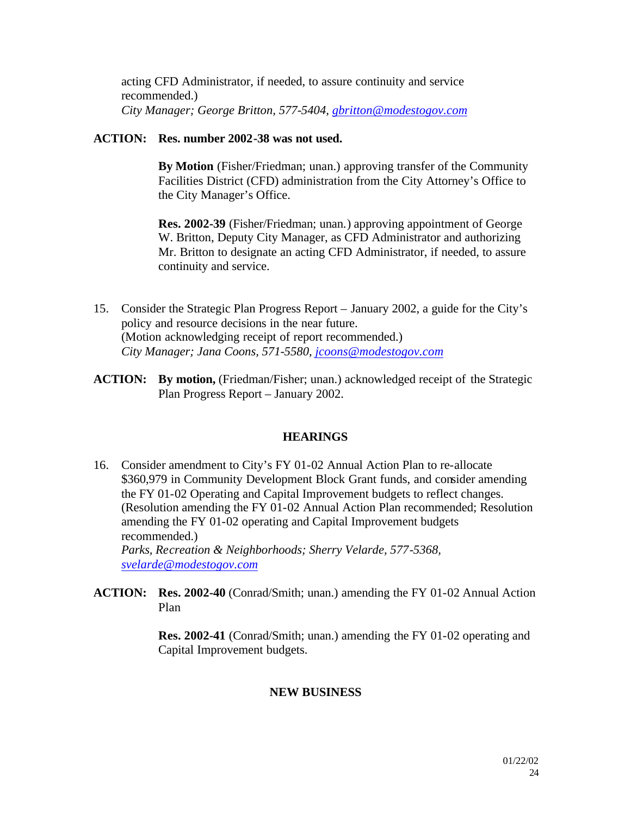acting CFD Administrator, if needed, to assure continuity and service recommended.) *City Manager; George Britton, 577-5404, gbritton@modestogov.com*

#### **ACTION: Res. number 2002-38 was not used.**

**By Motion** (Fisher/Friedman; unan.) approving transfer of the Community Facilities District (CFD) administration from the City Attorney's Office to the City Manager's Office.

**Res. 2002-39** (Fisher/Friedman; unan.) approving appointment of George W. Britton, Deputy City Manager, as CFD Administrator and authorizing Mr. Britton to designate an acting CFD Administrator, if needed, to assure continuity and service.

- 15. Consider the Strategic Plan Progress Report January 2002, a guide for the City's policy and resource decisions in the near future. (Motion acknowledging receipt of report recommended.) *City Manager; Jana Coons, 571-5580, jcoons@modestogov.com*
- **ACTION: By motion,** (Friedman/Fisher; unan.) acknowledged receipt of the Strategic Plan Progress Report – January 2002.

# **HEARINGS**

- 16. Consider amendment to City's FY 01-02 Annual Action Plan to re-allocate \$360,979 in Community Development Block Grant funds, and consider amending the FY 01-02 Operating and Capital Improvement budgets to reflect changes. (Resolution amending the FY 01-02 Annual Action Plan recommended; Resolution amending the FY 01-02 operating and Capital Improvement budgets recommended.) *Parks, Recreation & Neighborhoods; Sherry Velarde, 577-5368, svelarde@modestogov.com*
- **ACTION: Res. 2002-40** (Conrad/Smith; unan.) amending the FY 01-02 Annual Action Plan

**Res. 2002-41** (Conrad/Smith; unan.) amending the FY 01-02 operating and Capital Improvement budgets.

#### **NEW BUSINESS**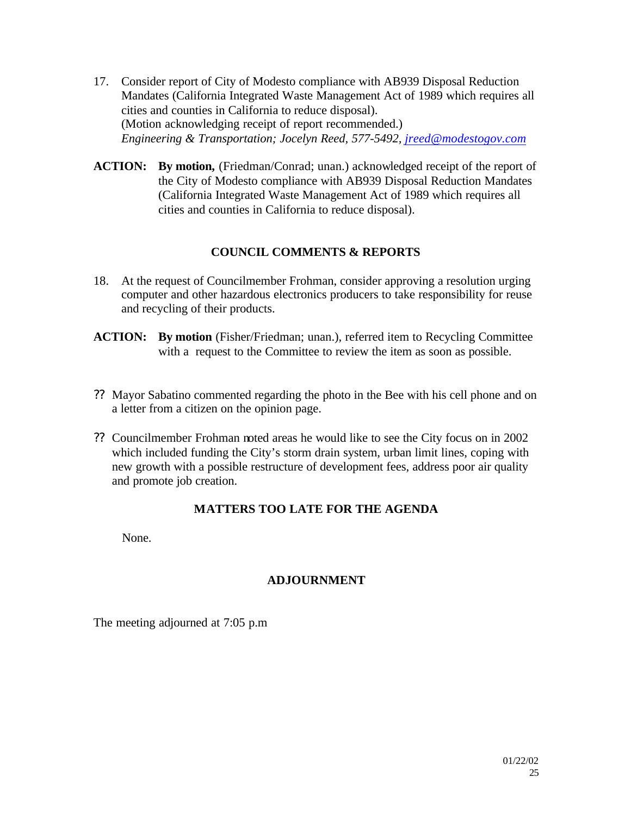- 17. Consider report of City of Modesto compliance with AB939 Disposal Reduction Mandates (California Integrated Waste Management Act of 1989 which requires all cities and counties in California to reduce disposal). (Motion acknowledging receipt of report recommended.) *Engineering & Transportation; Jocelyn Reed, 577-5492, jreed@modestogov.com*
- **ACTION: By motion,** (Friedman/Conrad; unan.) acknowledged receipt of the report of the City of Modesto compliance with AB939 Disposal Reduction Mandates (California Integrated Waste Management Act of 1989 which requires all cities and counties in California to reduce disposal).

# **COUNCIL COMMENTS & REPORTS**

- 18. At the request of Councilmember Frohman, consider approving a resolution urging computer and other hazardous electronics producers to take responsibility for reuse and recycling of their products.
- **ACTION: By motion** (Fisher/Friedman; unan.), referred item to Recycling Committee with a request to the Committee to review the item as soon as possible.
- ?? Mayor Sabatino commented regarding the photo in the Bee with his cell phone and on a letter from a citizen on the opinion page.
- ?? Councilmember Frohman noted areas he would like to see the City focus on in 2002 which included funding the City's storm drain system, urban limit lines, coping with new growth with a possible restructure of development fees, address poor air quality and promote job creation.

# **MATTERS TOO LATE FOR THE AGENDA**

None.

# **ADJOURNMENT**

The meeting adjourned at 7:05 p.m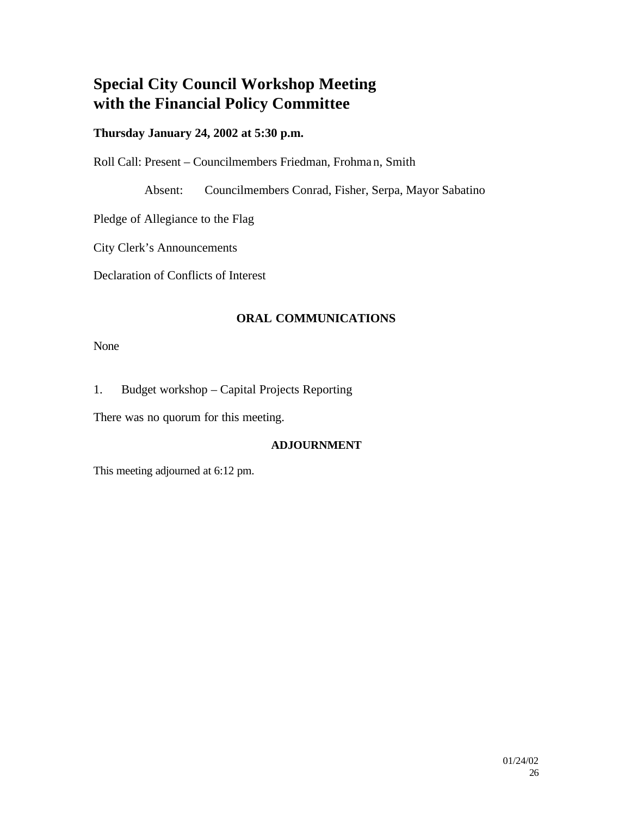# **Special City Council Workshop Meeting with the Financial Policy Committee**

# **Thursday January 24, 2002 at 5:30 p.m.**

Roll Call: Present – Councilmembers Friedman, Frohman, Smith

Absent: Councilmembers Conrad, Fisher, Serpa, Mayor Sabatino

Pledge of Allegiance to the Flag

City Clerk's Announcements

Declaration of Conflicts of Interest

# **ORAL COMMUNICATIONS**

None

1. Budget workshop – Capital Projects Reporting

There was no quorum for this meeting.

# **ADJOURNMENT**

This meeting adjourned at 6:12 pm.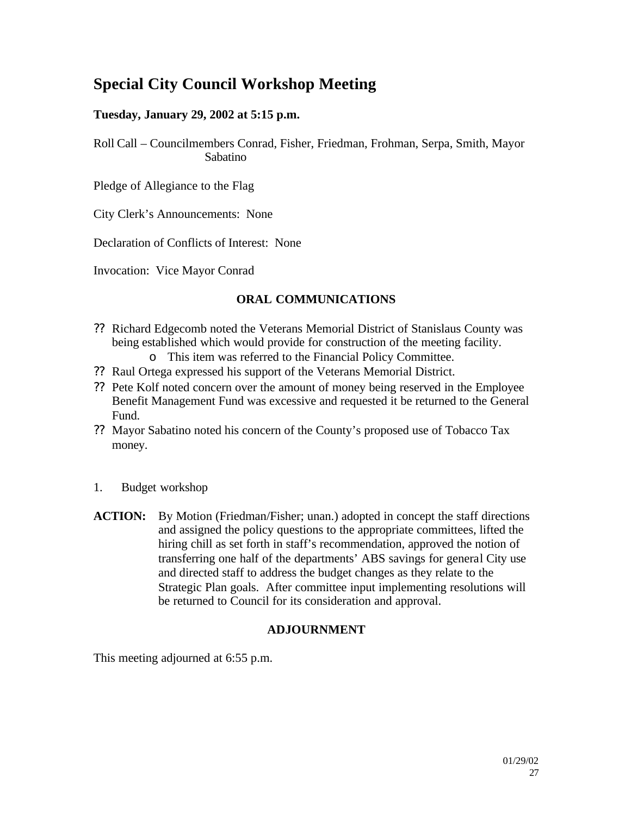# **Special City Council Workshop Meeting**

# **Tuesday, January 29, 2002 at 5:15 p.m.**

Roll Call – Councilmembers Conrad, Fisher, Friedman, Frohman, Serpa, Smith, Mayor Sabatino

Pledge of Allegiance to the Flag

City Clerk's Announcements: None

Declaration of Conflicts of Interest: None

Invocation: Vice Mayor Conrad

# **ORAL COMMUNICATIONS**

- ?? Richard Edgecomb noted the Veterans Memorial District of Stanislaus County was being established which would provide for construction of the meeting facility.
	- o This item was referred to the Financial Policy Committee.
- ?? Raul Ortega expressed his support of the Veterans Memorial District.
- ?? Pete Kolf noted concern over the amount of money being reserved in the Employee Benefit Management Fund was excessive and requested it be returned to the General Fund.
- ?? Mayor Sabatino noted his concern of the County's proposed use of Tobacco Tax money.
- 1. Budget workshop
- **ACTION:** By Motion (Friedman/Fisher; unan.) adopted in concept the staff directions and assigned the policy questions to the appropriate committees, lifted the hiring chill as set forth in staff's recommendation, approved the notion of transferring one half of the departments' ABS savings for general City use and directed staff to address the budget changes as they relate to the Strategic Plan goals. After committee input implementing resolutions will be returned to Council for its consideration and approval.

# **ADJOURNMENT**

This meeting adjourned at 6:55 p.m.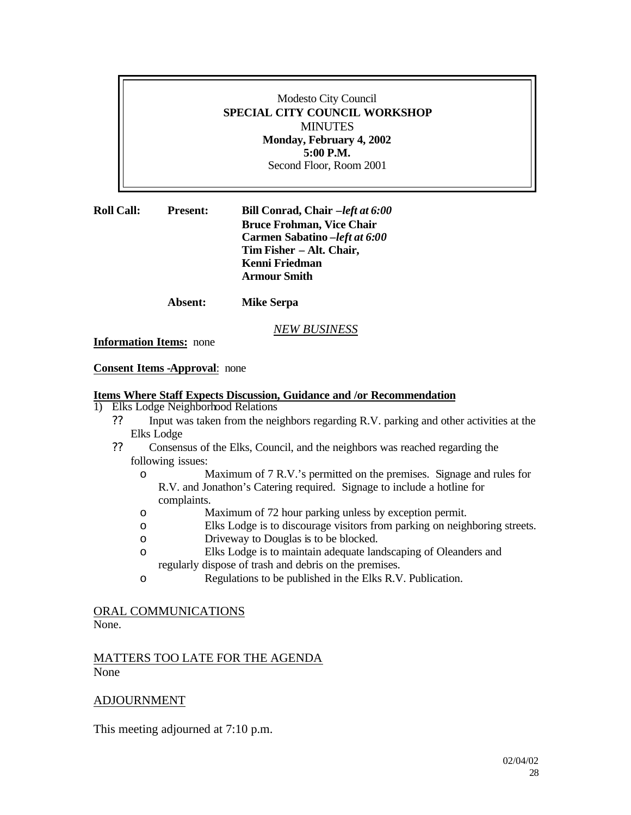#### Modesto City Council **SPECIAL CITY COUNCIL WORKSHOP MINUTES Monday, February 4, 2002 5:00 P.M.**  Second Floor, Room 2001

| <b>Roll Call:</b> | <b>Present:</b> | Bill Conrad, Chair -left at 6:00 |
|-------------------|-----------------|----------------------------------|
|                   |                 | <b>Bruce Frohman, Vice Chair</b> |
|                   |                 | Carmen Sabatino - left at 6:00   |
|                   |                 | Tim Fisher – Alt. Chair,         |
|                   |                 | Kenni Friedman                   |
|                   |                 | <b>Armour Smith</b>              |
|                   |                 |                                  |

**Absent: Mike Serpa**

#### *NEW BUSINESS*

**Information Items:** none

#### **Consent Items -Approval**: none

#### **Items Where Staff Expects Discussion, Guidance and /or Recommendation**

- 1) Elks Lodge Neighborhood Relations
	- ?? Input was taken from the neighbors regarding R.V. parking and other activities at the Elks Lodge
	- ?? Consensus of the Elks, Council, and the neighbors was reached regarding the following issues:
		- o Maximum of 7 R.V.'s permitted on the premises. Signage and rules for R.V. and Jonathon's Catering required. Signage to include a hotline for complaints.
		- o Maximum of 72 hour parking unless by exception permit.
		- o Elks Lodge is to discourage visitors from parking on neighboring streets.
		- o Driveway to Douglas is to be blocked.
		- o Elks Lodge is to maintain adequate landscaping of Oleanders and regularly dispose of trash and debris on the premises.
		- o Regulations to be published in the Elks R.V. Publication.

#### ORAL COMMUNICATIONS

None.

#### MATTERS TOO LATE FOR THE AGENDA None

#### ADJOURNMENT

This meeting adjourned at 7:10 p.m.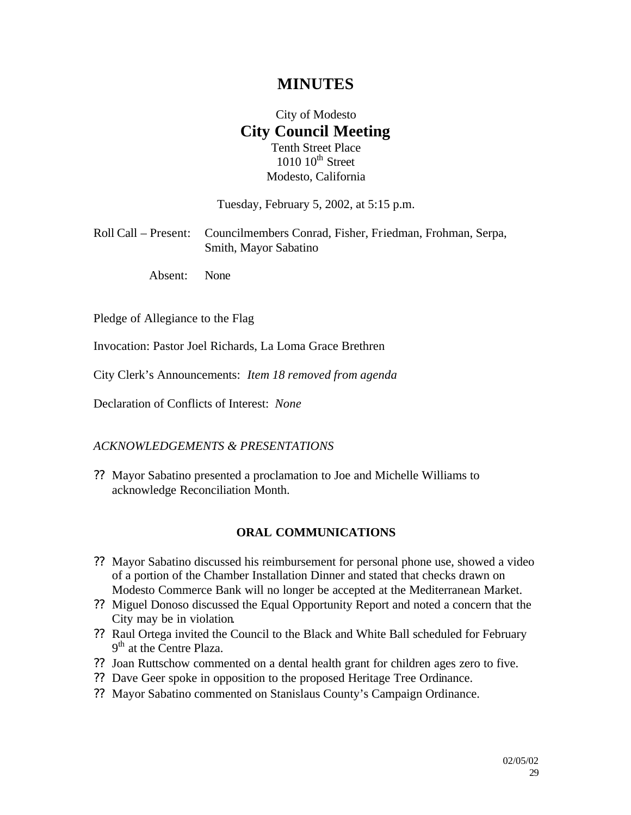# **MINUTES**

# City of Modesto **City Council Meeting** Tenth Street Place  $1010$   $10^{th}$  Street Modesto, California

Tuesday, February 5, 2002, at 5:15 p.m.

| Roll Call – Present: Councilmembers Conrad, Fisher, Friedman, Frohman, Serpa, |  |  |
|-------------------------------------------------------------------------------|--|--|
| Smith, Mayor Sabatino                                                         |  |  |

Absent: None

Pledge of Allegiance to the Flag

Invocation: Pastor Joel Richards, La Loma Grace Brethren

City Clerk's Announcements: *Item 18 removed from agenda*

Declaration of Conflicts of Interest: *None*

#### *ACKNOWLEDGEMENTS & PRESENTATIONS*

?? Mayor Sabatino presented a proclamation to Joe and Michelle Williams to acknowledge Reconciliation Month.

#### **ORAL COMMUNICATIONS**

- ?? Mayor Sabatino discussed his reimbursement for personal phone use, showed a video of a portion of the Chamber Installation Dinner and stated that checks drawn on Modesto Commerce Bank will no longer be accepted at the Mediterranean Market.
- ?? Miguel Donoso discussed the Equal Opportunity Report and noted a concern that the City may be in violation.
- ?? Raul Ortega invited the Council to the Black and White Ball scheduled for February 9<sup>th</sup> at the Centre Plaza.
- ?? Joan Ruttschow commented on a dental health grant for children ages zero to five.
- ?? Dave Geer spoke in opposition to the proposed Heritage Tree Ordinance.
- ?? Mayor Sabatino commented on Stanislaus County's Campaign Ordinance.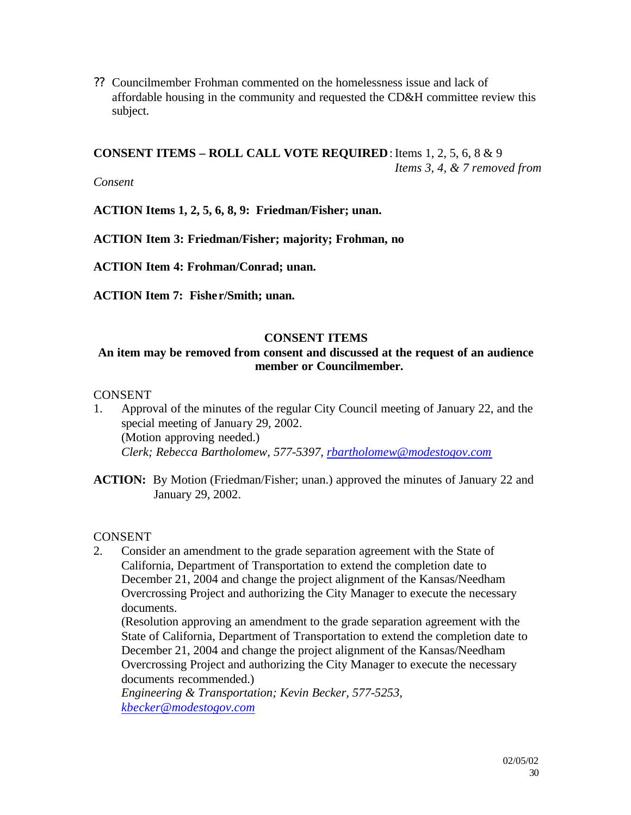?? Councilmember Frohman commented on the homelessness issue and lack of affordable housing in the community and requested the CD&H committee review this subject.

**CONSENT ITEMS – ROLL CALL VOTE REQUIRED:** Items  $1, 2, 5, 6, 8 \& 9$ *Items 3, 4, & 7 removed from* 

*Consent*

**ACTION Items 1, 2, 5, 6, 8, 9: Friedman/Fisher; unan.**

**ACTION Item 3: Friedman/Fisher; majority; Frohman, no**

**ACTION Item 4: Frohman/Conrad; unan.**

**ACTION Item 7: Fishe r/Smith; unan.** 

# **CONSENT ITEMS**

# **An item may be removed from consent and discussed at the request of an audience member or Councilmember.**

# **CONSENT**

- 1. Approval of the minutes of the regular City Council meeting of January 22, and the special meeting of January 29, 2002. (Motion approving needed.) *Clerk; Rebecca Bartholomew, 577-5397, rbartholomew@modestogov.com*
- **ACTION:** By Motion (Friedman/Fisher; unan.) approved the minutes of January 22 and January 29, 2002.

# CONSENT

2. Consider an amendment to the grade separation agreement with the State of California, Department of Transportation to extend the completion date to December 21, 2004 and change the project alignment of the Kansas/Needham Overcrossing Project and authorizing the City Manager to execute the necessary documents.

(Resolution approving an amendment to the grade separation agreement with the State of California, Department of Transportation to extend the completion date to December 21, 2004 and change the project alignment of the Kansas/Needham Overcrossing Project and authorizing the City Manager to execute the necessary documents recommended.)

*Engineering & Transportation; Kevin Becker, 577-5253, kbecker@modestogov.com*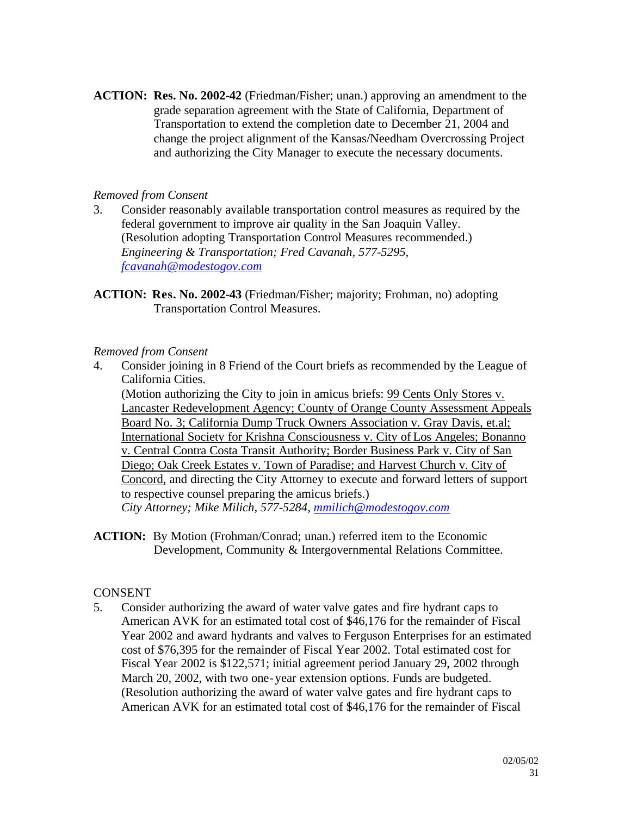**ACTION: Res. No. 2002-42** (Friedman/Fisher; unan.) approving an amendment to the grade separation agreement with the State of California, Department of Transportation to extend the completion date to December 21, 2004 and change the project alignment of the Kansas/Needham Overcrossing Project and authorizing the City Manager to execute the necessary documents.

#### *Removed from Consent*

- 3. Consider reasonably available transportation control measures as required by the federal government to improve air quality in the San Joaquin Valley. (Resolution adopting Transportation Control Measures recommended.) *Engineering & Transportation; Fred Cavanah, 577-5295, fcavanah@modestogov.com*
- **ACTION: Res. No. 2002-43** (Friedman/Fisher; majority; Frohman, no) adopting Transportation Control Measures.

#### *Removed from Consent*

4. Consider joining in 8 Friend of the Court briefs as recommended by the League of California Cities.

(Motion authorizing the City to join in amicus briefs: 99 Cents Only Stores v. Lancaster Redevelopment Agency; County of Orange County Assessment Appeals Board No. 3; California Dump Truck Owners Association v. Gray Davis, et.al; International Society for Krishna Consciousness v. City of Los Angeles; Bonanno v. Central Contra Costa Transit Authority; Border Business Park v. City of San Diego; Oak Creek Estates v. Town of Paradise; and Harvest Church v. City of Concord, and directing the City Attorney to execute and forward letters of support to respective counsel preparing the amicus briefs.) *City Attorney; Mike Milich, 577-5284, mmilich@modestogov.com*

**ACTION:** By Motion (Frohman/Conrad; unan.) referred item to the Economic Development, Community & Intergovernmental Relations Committee.

# CONSENT

5. Consider authorizing the award of water valve gates and fire hydrant caps to American AVK for an estimated total cost of \$46,176 for the remainder of Fiscal Year 2002 and award hydrants and valves to Ferguson Enterprises for an estimated cost of \$76,395 for the remainder of Fiscal Year 2002. Total estimated cost for Fiscal Year 2002 is \$122,571; initial agreement period January 29, 2002 through March 20, 2002, with two one-year extension options. Funds are budgeted. (Resolution authorizing the award of water valve gates and fire hydrant caps to American AVK for an estimated total cost of \$46,176 for the remainder of Fiscal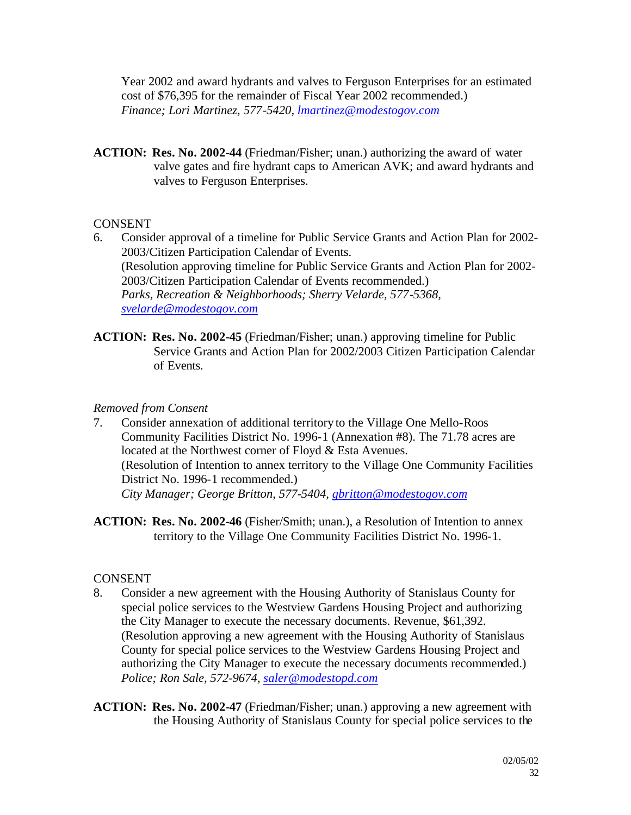Year 2002 and award hydrants and valves to Ferguson Enterprises for an estimated cost of \$76,395 for the remainder of Fiscal Year 2002 recommended.) *Finance; Lori Martinez, 577-5420, lmartinez@modestogov.com*

**ACTION: Res. No. 2002-44** (Friedman/Fisher; unan.) authorizing the award of water valve gates and fire hydrant caps to American AVK; and award hydrants and valves to Ferguson Enterprises.

#### **CONSENT**

- 6. Consider approval of a timeline for Public Service Grants and Action Plan for 2002- 2003/Citizen Participation Calendar of Events. (Resolution approving timeline for Public Service Grants and Action Plan for 2002- 2003/Citizen Participation Calendar of Events recommended.) *Parks, Recreation & Neighborhoods; Sherry Velarde, 577-5368, svelarde@modestogov.com*
- **ACTION: Res. No. 2002-45** (Friedman/Fisher; unan.) approving timeline for Public Service Grants and Action Plan for 2002/2003 Citizen Participation Calendar of Events.

#### *Removed from Consent*

- 7. Consider annexation of additional territory to the Village One Mello-Roos Community Facilities District No. 1996-1 (Annexation #8). The 71.78 acres are located at the Northwest corner of Floyd & Esta Avenues. (Resolution of Intention to annex territory to the Village One Community Facilities District No. 1996-1 recommended.) *City Manager; George Britton, 577-5404, gbritton@modestogov.com*
- **ACTION: Res. No. 2002-46** (Fisher/Smith; unan.), a Resolution of Intention to annex territory to the Village One Community Facilities District No. 1996-1.

# **CONSENT**

- 8. Consider a new agreement with the Housing Authority of Stanislaus County for special police services to the Westview Gardens Housing Project and authorizing the City Manager to execute the necessary documents. Revenue, \$61,392. (Resolution approving a new agreement with the Housing Authority of Stanislaus County for special police services to the Westview Gardens Housing Project and authorizing the City Manager to execute the necessary documents recommended.) *Police; Ron Sale, 572-9674, saler@modestopd.com*
- **ACTION: Res. No. 2002-47** (Friedman/Fisher; unan.) approving a new agreement with the Housing Authority of Stanislaus County for special police services to the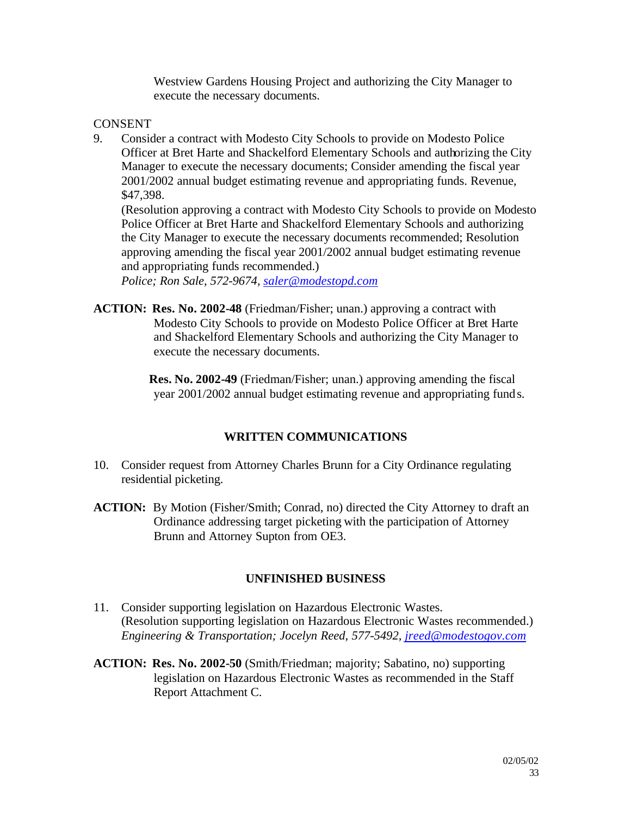Westview Gardens Housing Project and authorizing the City Manager to execute the necessary documents.

# **CONSENT**

9. Consider a contract with Modesto City Schools to provide on Modesto Police Officer at Bret Harte and Shackelford Elementary Schools and authorizing the City Manager to execute the necessary documents; Consider amending the fiscal year 2001/2002 annual budget estimating revenue and appropriating funds. Revenue, \$47,398.

(Resolution approving a contract with Modesto City Schools to provide on Modesto Police Officer at Bret Harte and Shackelford Elementary Schools and authorizing the City Manager to execute the necessary documents recommended; Resolution approving amending the fiscal year 2001/2002 annual budget estimating revenue and appropriating funds recommended.)

*Police; Ron Sale, 572-9674, saler@modestopd.com*

**ACTION: Res. No. 2002-48** (Friedman/Fisher; unan.) approving a contract with Modesto City Schools to provide on Modesto Police Officer at Bret Harte and Shackelford Elementary Schools and authorizing the City Manager to execute the necessary documents.

> **Res. No. 2002-49** (Friedman/Fisher; unan.) approving amending the fiscal year 2001/2002 annual budget estimating revenue and appropriating funds.

# **WRITTEN COMMUNICATIONS**

- 10. Consider request from Attorney Charles Brunn for a City Ordinance regulating residential picketing.
- **ACTION:** By Motion (Fisher/Smith; Conrad, no) directed the City Attorney to draft an Ordinance addressing target picketing with the participation of Attorney Brunn and Attorney Supton from OE3.

# **UNFINISHED BUSINESS**

- 11. Consider supporting legislation on Hazardous Electronic Wastes. (Resolution supporting legislation on Hazardous Electronic Wastes recommended.) *Engineering & Transportation; Jocelyn Reed, 577-5492, jreed@modestogov.com*
- **ACTION: Res. No. 2002-50** (Smith/Friedman; majority; Sabatino, no) supporting legislation on Hazardous Electronic Wastes as recommended in the Staff Report Attachment C.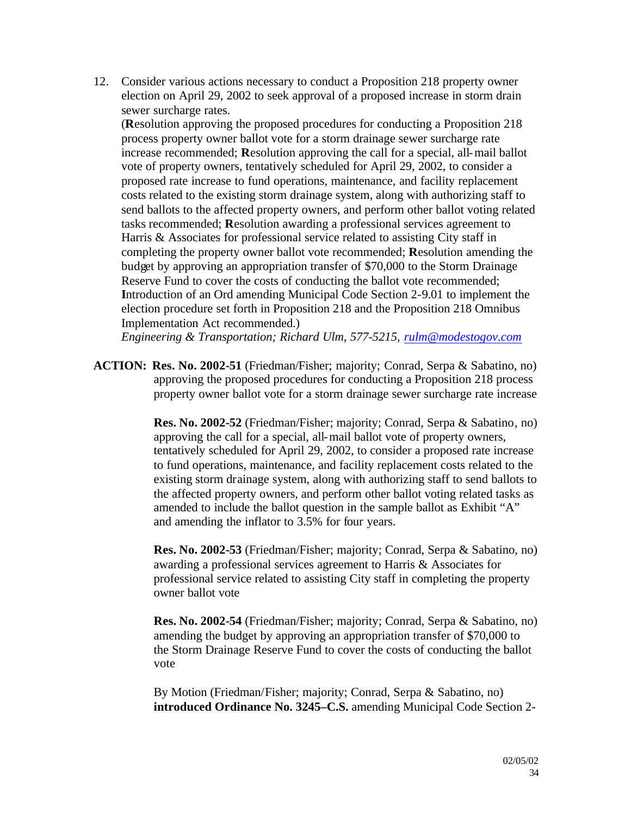12. Consider various actions necessary to conduct a Proposition 218 property owner election on April 29, 2002 to seek approval of a proposed increase in storm drain sewer surcharge rates.

(**R**esolution approving the proposed procedures for conducting a Proposition 218 process property owner ballot vote for a storm drainage sewer surcharge rate increase recommended; **R**esolution approving the call for a special, all-mail ballot vote of property owners, tentatively scheduled for April 29, 2002, to consider a proposed rate increase to fund operations, maintenance, and facility replacement costs related to the existing storm drainage system, along with authorizing staff to send ballots to the affected property owners, and perform other ballot voting related tasks recommended; **R**esolution awarding a professional services agreement to Harris & Associates for professional service related to assisting City staff in completing the property owner ballot vote recommended; **R**esolution amending the budget by approving an appropriation transfer of \$70,000 to the Storm Drainage Reserve Fund to cover the costs of conducting the ballot vote recommended; **I**ntroduction of an Ord amending Municipal Code Section 2-9.01 to implement the election procedure set forth in Proposition 218 and the Proposition 218 Omnibus Implementation Act recommended.)

*Engineering & Transportation; Richard Ulm, 577-5215, rulm@modestogov.com*

**ACTION: Res. No. 2002-51** (Friedman/Fisher; majority; Conrad, Serpa & Sabatino, no) approving the proposed procedures for conducting a Proposition 218 process property owner ballot vote for a storm drainage sewer surcharge rate increase

> **Res. No. 2002-52** (Friedman/Fisher; majority; Conrad, Serpa & Sabatino, no) approving the call for a special, all-mail ballot vote of property owners, tentatively scheduled for April 29, 2002, to consider a proposed rate increase to fund operations, maintenance, and facility replacement costs related to the existing storm drainage system, along with authorizing staff to send ballots to the affected property owners, and perform other ballot voting related tasks as amended to include the ballot question in the sample ballot as Exhibit "A" and amending the inflator to 3.5% for four years.

> **Res. No. 2002-53** (Friedman/Fisher; majority; Conrad, Serpa & Sabatino, no) awarding a professional services agreement to Harris & Associates for professional service related to assisting City staff in completing the property owner ballot vote

> **Res. No. 2002-54** (Friedman/Fisher; majority; Conrad, Serpa & Sabatino, no) amending the budget by approving an appropriation transfer of \$70,000 to the Storm Drainage Reserve Fund to cover the costs of conducting the ballot vote

> By Motion (Friedman/Fisher; majority; Conrad, Serpa & Sabatino, no) **introduced Ordinance No. 3245–C.S.** amending Municipal Code Section 2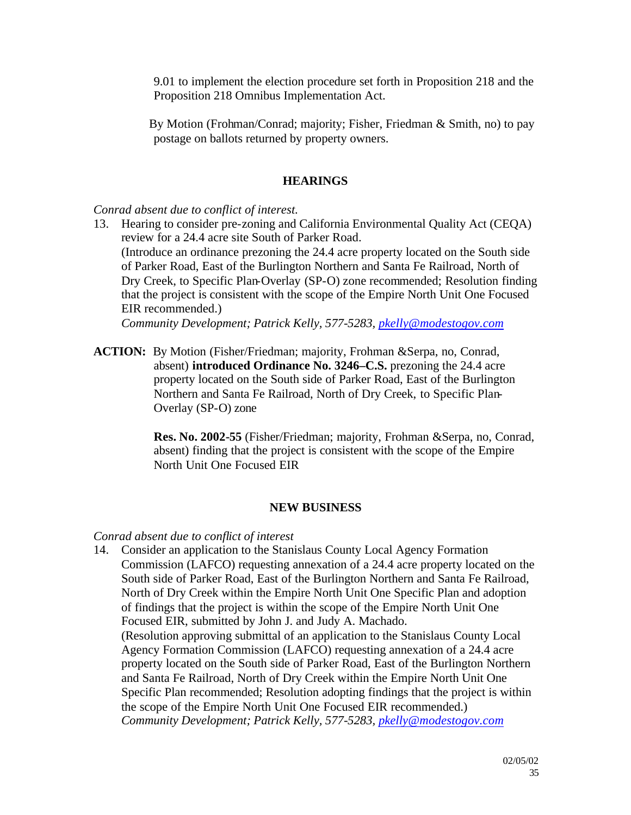9.01 to implement the election procedure set forth in Proposition 218 and the Proposition 218 Omnibus Implementation Act.

By Motion (Frohman/Conrad; majority; Fisher, Friedman & Smith, no) to pay postage on ballots returned by property owners.

#### **HEARINGS**

#### *Conrad absent due to conflict of interest.*

13. Hearing to consider pre-zoning and California Environmental Quality Act (CEQA) review for a 24.4 acre site South of Parker Road. (Introduce an ordinance prezoning the 24.4 acre property located on the South side of Parker Road, East of the Burlington Northern and Santa Fe Railroad, North of Dry Creek, to Specific Plan-Overlay (SP-O) zone recommended; Resolution finding that the project is consistent with the scope of the Empire North Unit One Focused EIR recommended.)

*Community Development; Patrick Kelly, 577-5283, pkelly@modestogov.com*

**ACTION:** By Motion (Fisher/Friedman; majority, Frohman &Serpa, no, Conrad, absent) **introduced Ordinance No. 3246–C.S.** prezoning the 24.4 acre property located on the South side of Parker Road, East of the Burlington Northern and Santa Fe Railroad, North of Dry Creek, to Specific Plan-Overlay (SP-O) zone

> **Res. No. 2002-55** (Fisher/Friedman; majority, Frohman &Serpa, no, Conrad, absent) finding that the project is consistent with the scope of the Empire North Unit One Focused EIR

#### **NEW BUSINESS**

#### *Conrad absent due to conflict of interest*

14. Consider an application to the Stanislaus County Local Agency Formation Commission (LAFCO) requesting annexation of a 24.4 acre property located on the South side of Parker Road, East of the Burlington Northern and Santa Fe Railroad, North of Dry Creek within the Empire North Unit One Specific Plan and adoption of findings that the project is within the scope of the Empire North Unit One Focused EIR, submitted by John J. and Judy A. Machado. (Resolution approving submittal of an application to the Stanislaus County Local Agency Formation Commission (LAFCO) requesting annexation of a 24.4 acre property located on the South side of Parker Road, East of the Burlington Northern and Santa Fe Railroad, North of Dry Creek within the Empire North Unit One Specific Plan recommended; Resolution adopting findings that the project is within the scope of the Empire North Unit One Focused EIR recommended.) *Community Development; Patrick Kelly, 577-5283, pkelly@modestogov.com*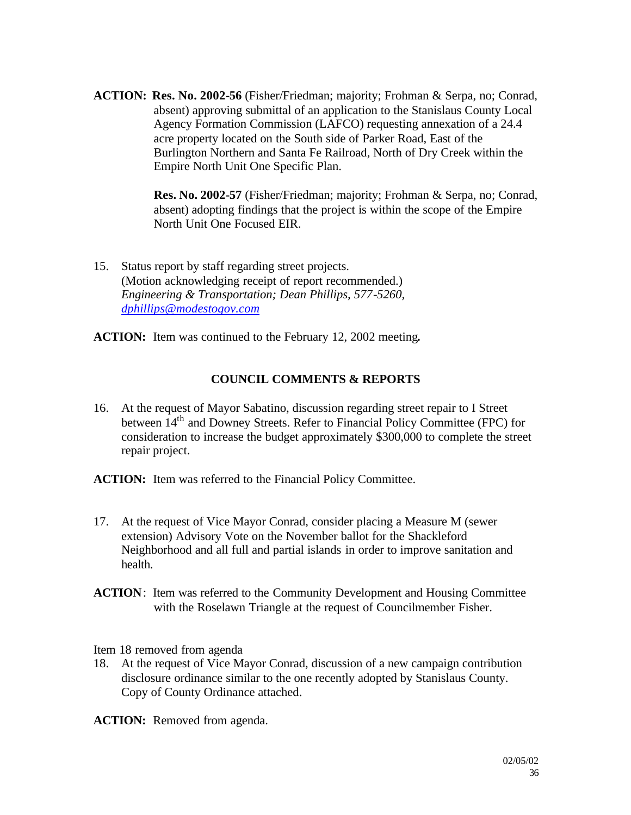**ACTION: Res. No. 2002-56** (Fisher/Friedman; majority; Frohman & Serpa, no; Conrad, absent) approving submittal of an application to the Stanislaus County Local Agency Formation Commission (LAFCO) requesting annexation of a 24.4 acre property located on the South side of Parker Road, East of the Burlington Northern and Santa Fe Railroad, North of Dry Creek within the Empire North Unit One Specific Plan.

> **Res. No. 2002-57** (Fisher/Friedman; majority; Frohman & Serpa, no; Conrad, absent) adopting findings that the project is within the scope of the Empire North Unit One Focused EIR.

15. Status report by staff regarding street projects. (Motion acknowledging receipt of report recommended.) *Engineering & Transportation; Dean Phillips, 577-5260, dphillips@modestogov.com*

**ACTION:** Item was continued to the February 12, 2002 meeting**.**

# **COUNCIL COMMENTS & REPORTS**

- 16. At the request of Mayor Sabatino, discussion regarding street repair to I Street between 14<sup>th</sup> and Downey Streets. Refer to Financial Policy Committee (FPC) for consideration to increase the budget approximately \$300,000 to complete the street repair project.
- **ACTION:** Item was referred to the Financial Policy Committee.
- 17. At the request of Vice Mayor Conrad, consider placing a Measure M (sewer extension) Advisory Vote on the November ballot for the Shackleford Neighborhood and all full and partial islands in order to improve sanitation and health.
- **ACTION**: Item was referred to the Community Development and Housing Committee with the Roselawn Triangle at the request of Councilmember Fisher.

Item 18 removed from agenda

18. At the request of Vice Mayor Conrad, discussion of a new campaign contribution disclosure ordinance similar to the one recently adopted by Stanislaus County. Copy of County Ordinance attached.

**ACTION:** Removed from agenda.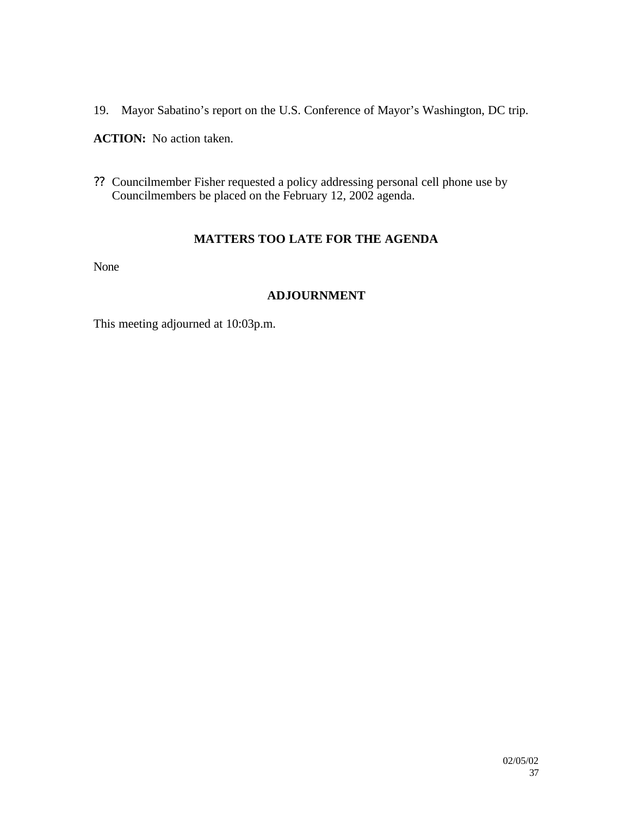19. Mayor Sabatino's report on the U.S. Conference of Mayor's Washington, DC trip.

**ACTION:** No action taken.

?? Councilmember Fisher requested a policy addressing personal cell phone use by Councilmembers be placed on the February 12, 2002 agenda.

### **MATTERS TOO LATE FOR THE AGENDA**

None

### **ADJOURNMENT**

This meeting adjourned at 10:03p.m.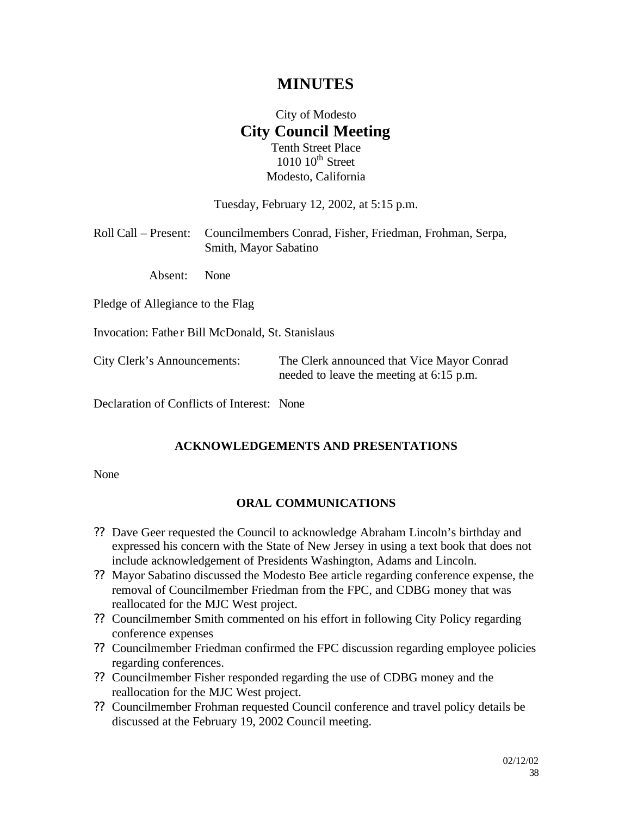# **MINUTES**

# City of Modesto **City Council Meeting** Tenth Street Place

 $1010$   $10^{th}$  Street Modesto, California

Tuesday, February 12, 2002, at 5:15 p.m.

| Roll Call – Present: Councilmembers Conrad, Fisher, Friedman, Frohman, Serpa, |
|-------------------------------------------------------------------------------|
| Smith, Mayor Sabatino                                                         |

Absent: None

Pledge of Allegiance to the Flag

Invocation: Fathe r Bill McDonald, St. Stanislaus

City Clerk's Announcements: The Clerk announced that Vice Mayor Conrad needed to leave the meeting at 6:15 p.m.

Declaration of Conflicts of Interest: None

#### **ACKNOWLEDGEMENTS AND PRESENTATIONS**

None

#### **ORAL COMMUNICATIONS**

- ?? Dave Geer requested the Council to acknowledge Abraham Lincoln's birthday and expressed his concern with the State of New Jersey in using a text book that does not include acknowledgement of Presidents Washington, Adams and Lincoln.
- ?? Mayor Sabatino discussed the Modesto Bee article regarding conference expense, the removal of Councilmember Friedman from the FPC, and CDBG money that was reallocated for the MJC West project.
- ?? Councilmember Smith commented on his effort in following City Policy regarding conference expenses
- ?? Councilmember Friedman confirmed the FPC discussion regarding employee policies regarding conferences.
- ?? Councilmember Fisher responded regarding the use of CDBG money and the reallocation for the MJC West project.
- ?? Councilmember Frohman requested Council conference and travel policy details be discussed at the February 19, 2002 Council meeting.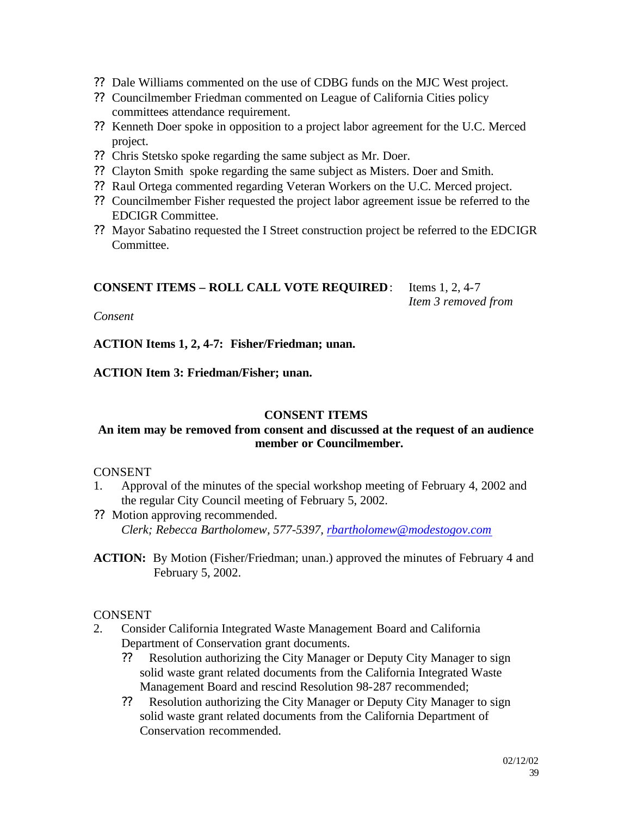- ?? Dale Williams commented on the use of CDBG funds on the MJC West project.
- ?? Councilmember Friedman commented on League of California Cities policy committees attendance requirement.
- ?? Kenneth Doer spoke in opposition to a project labor agreement for the U.C. Merced project.
- ?? Chris Stetsko spoke regarding the same subject as Mr. Doer.
- ?? Clayton Smith spoke regarding the same subject as Misters. Doer and Smith.
- ?? Raul Ortega commented regarding Veteran Workers on the U.C. Merced project.
- ?? Councilmember Fisher requested the project labor agreement issue be referred to the EDCIGR Committee.
- ?? Mayor Sabatino requested the I Street construction project be referred to the EDCIGR Committee.

### **CONSENT ITEMS – ROLL CALL VOTE REQUIRED**: Items 1, 2, 4-7

*Item 3 removed from* 

*Consent*

**ACTION Items 1, 2, 4-7: Fisher/Friedman; unan.**

### **ACTION Item 3: Friedman/Fisher; unan.**

#### **CONSENT ITEMS**

### **An item may be removed from consent and discussed at the request of an audience member or Councilmember.**

#### CONSENT

- 1. Approval of the minutes of the special workshop meeting of February 4, 2002 and the regular City Council meeting of February 5, 2002.
- ?? Motion approving recommended. *Clerk; Rebecca Bartholomew, 577-5397, rbartholomew@modestogov.com*
- **ACTION:** By Motion (Fisher/Friedman; unan.) approved the minutes of February 4 and February 5, 2002.

### **CONSENT**

- 2. Consider California Integrated Waste Management Board and California Department of Conservation grant documents.
	- ?? Resolution authorizing the City Manager or Deputy City Manager to sign solid waste grant related documents from the California Integrated Waste Management Board and rescind Resolution 98-287 recommended;
	- ?? Resolution authorizing the City Manager or Deputy City Manager to sign solid waste grant related documents from the California Department of Conservation recommended.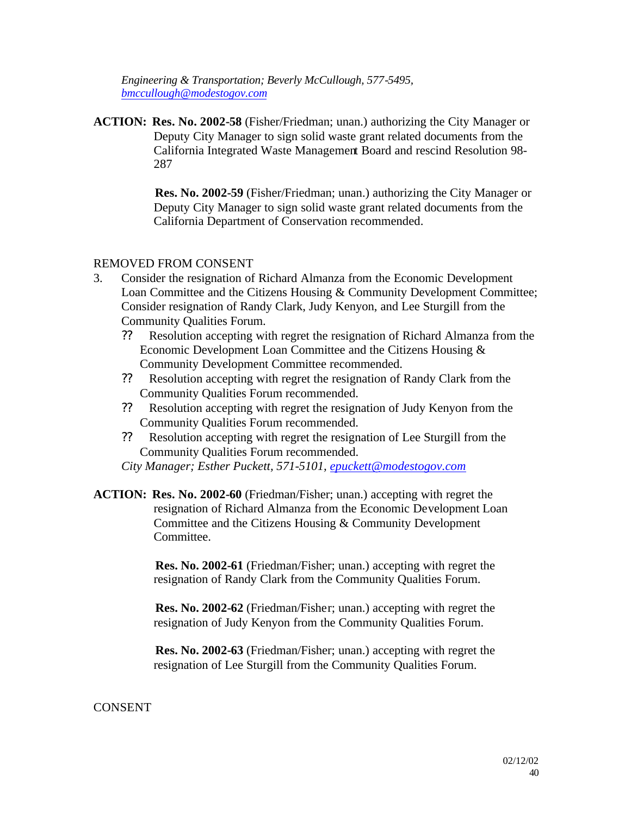*Engineering & Transportation; Beverly McCullough, 577-5495, bmccullough@modestogov.com*

**ACTION: Res. No. 2002-58** (Fisher/Friedman; unan.) authorizing the City Manager or Deputy City Manager to sign solid waste grant related documents from the California Integrated Waste Management Board and rescind Resolution 98- 287

> **Res. No. 2002-59** (Fisher/Friedman; unan.) authorizing the City Manager or Deputy City Manager to sign solid waste grant related documents from the California Department of Conservation recommended.

### REMOVED FROM CONSENT

- 3. Consider the resignation of Richard Almanza from the Economic Development Loan Committee and the Citizens Housing & Community Development Committee; Consider resignation of Randy Clark, Judy Kenyon, and Lee Sturgill from the Community Qualities Forum.
	- ?? Resolution accepting with regret the resignation of Richard Almanza from the Economic Development Loan Committee and the Citizens Housing & Community Development Committee recommended.
	- ?? Resolution accepting with regret the resignation of Randy Clark from the Community Qualities Forum recommended.
	- ?? Resolution accepting with regret the resignation of Judy Kenyon from the Community Qualities Forum recommended.
	- ?? Resolution accepting with regret the resignation of Lee Sturgill from the Community Qualities Forum recommended.

*City Manager; Esther Puckett, 571-5101, epuckett@modestogov.com*

**ACTION: Res. No. 2002-60** (Friedman/Fisher; unan.) accepting with regret the resignation of Richard Almanza from the Economic Development Loan Committee and the Citizens Housing & Community Development Committee.

> **Res. No. 2002-61** (Friedman/Fisher; unan.) accepting with regret the resignation of Randy Clark from the Community Qualities Forum.

> **Res. No. 2002-62** (Friedman/Fisher; unan.) accepting with regret the resignation of Judy Kenyon from the Community Qualities Forum.

> **Res. No. 2002-63** (Friedman/Fisher; unan.) accepting with regret the resignation of Lee Sturgill from the Community Qualities Forum.

### **CONSENT**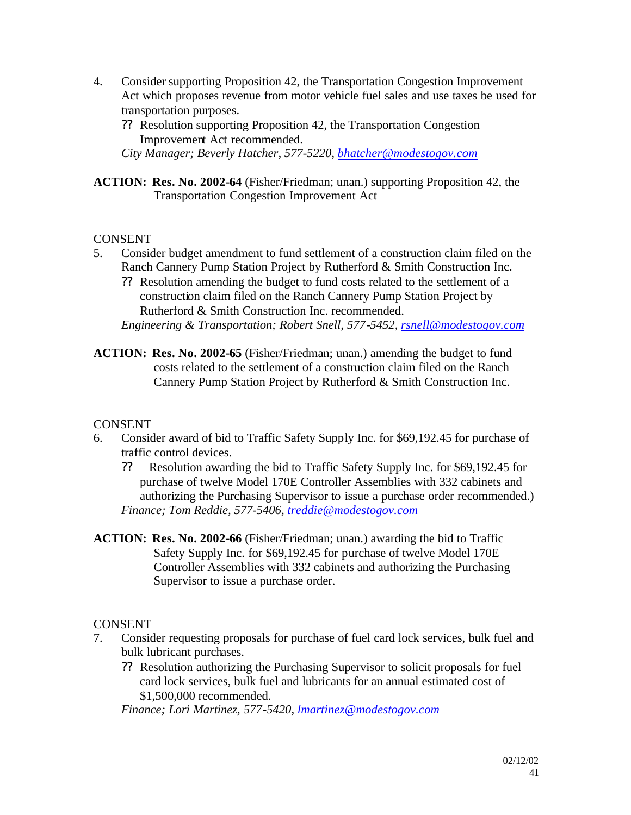- 4. Consider supporting Proposition 42, the Transportation Congestion Improvement Act which proposes revenue from motor vehicle fuel sales and use taxes be used for transportation purposes.
	- ?? Resolution supporting Proposition 42, the Transportation Congestion Improvement Act recommended.

*City Manager; Beverly Hatcher, 577-5220, bhatcher@modestogov.com*

**ACTION: Res. No. 2002-64** (Fisher/Friedman; unan.) supporting Proposition 42, the Transportation Congestion Improvement Act

### **CONSENT**

- 5. Consider budget amendment to fund settlement of a construction claim filed on the Ranch Cannery Pump Station Project by Rutherford & Smith Construction Inc.
	- ?? Resolution amending the budget to fund costs related to the settlement of a construction claim filed on the Ranch Cannery Pump Station Project by Rutherford & Smith Construction Inc. recommended.

*Engineering & Transportation; Robert Snell, 577-5452, rsnell@modestogov.com*

**ACTION: Res. No. 2002-65** (Fisher/Friedman; unan.) amending the budget to fund costs related to the settlement of a construction claim filed on the Ranch Cannery Pump Station Project by Rutherford & Smith Construction Inc.

### **CONSENT**

- 6. Consider award of bid to Traffic Safety Supply Inc. for \$69,192.45 for purchase of traffic control devices.
	- ?? Resolution awarding the bid to Traffic Safety Supply Inc. for \$69,192.45 for purchase of twelve Model 170E Controller Assemblies with 332 cabinets and authorizing the Purchasing Supervisor to issue a purchase order recommended.) *Finance; Tom Reddie, 577-5406, treddie@modestogov.com*
- **ACTION: Res. No. 2002-66** (Fisher/Friedman; unan.) awarding the bid to Traffic Safety Supply Inc. for \$69,192.45 for purchase of twelve Model 170E Controller Assemblies with 332 cabinets and authorizing the Purchasing Supervisor to issue a purchase order.

### **CONSENT**

- 7. Consider requesting proposals for purchase of fuel card lock services, bulk fuel and bulk lubricant purchases.
	- ?? Resolution authorizing the Purchasing Supervisor to solicit proposals for fuel card lock services, bulk fuel and lubricants for an annual estimated cost of \$1,500,000 recommended.

*Finance; Lori Martinez, 577-5420, lmartinez@modestogov.com*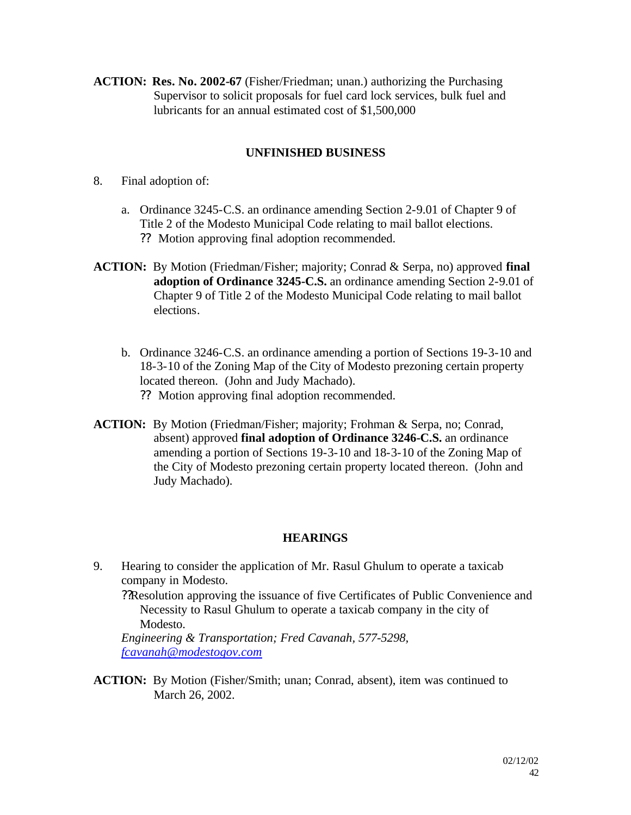**ACTION: Res. No. 2002-67** (Fisher/Friedman; unan.) authorizing the Purchasing Supervisor to solicit proposals for fuel card lock services, bulk fuel and lubricants for an annual estimated cost of \$1,500,000

### **UNFINISHED BUSINESS**

- 8. Final adoption of:
	- a. Ordinance 3245-C.S. an ordinance amending Section 2-9.01 of Chapter 9 of Title 2 of the Modesto Municipal Code relating to mail ballot elections. ?? Motion approving final adoption recommended.
- **ACTION:** By Motion (Friedman/Fisher; majority; Conrad & Serpa, no) approved **final adoption of Ordinance 3245-C.S.** an ordinance amending Section 2-9.01 of Chapter 9 of Title 2 of the Modesto Municipal Code relating to mail ballot elections.
	- b. Ordinance 3246-C.S. an ordinance amending a portion of Sections 19-3-10 and 18-3-10 of the Zoning Map of the City of Modesto prezoning certain property located thereon. (John and Judy Machado).
		- ?? Motion approving final adoption recommended.
- **ACTION:** By Motion (Friedman/Fisher; majority; Frohman & Serpa, no; Conrad, absent) approved **final adoption of Ordinance 3246-C.S.** an ordinance amending a portion of Sections 19-3-10 and 18-3-10 of the Zoning Map of the City of Modesto prezoning certain property located thereon. (John and Judy Machado).

### **HEARINGS**

9. Hearing to consider the application of Mr. Rasul Ghulum to operate a taxicab company in Modesto.

??Resolution approving the issuance of five Certificates of Public Convenience and Necessity to Rasul Ghulum to operate a taxicab company in the city of Modesto.

*Engineering & Transportation; Fred Cavanah, 577-5298, fcavanah@modestogov.com*

**ACTION:** By Motion (Fisher/Smith; unan; Conrad, absent), item was continued to March 26, 2002.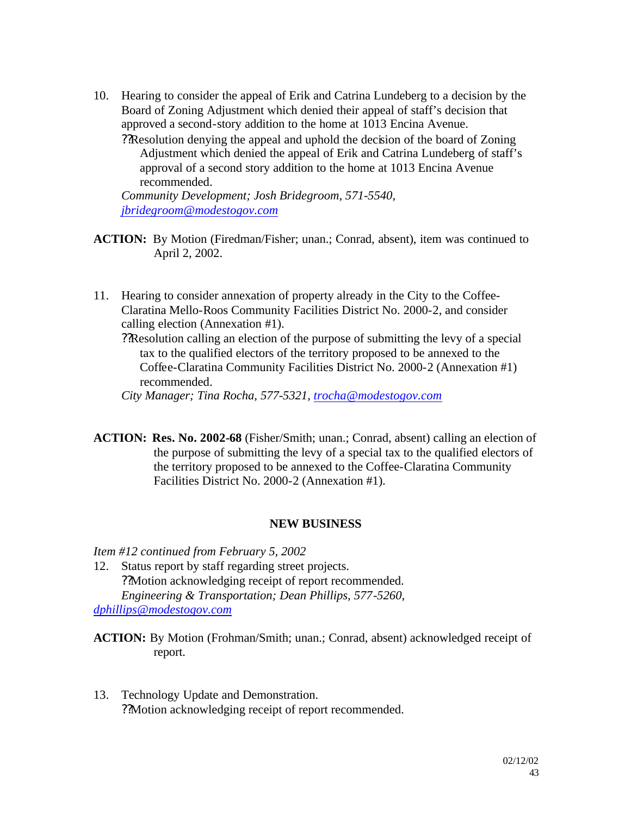10. Hearing to consider the appeal of Erik and Catrina Lundeberg to a decision by the Board of Zoning Adjustment which denied their appeal of staff's decision that approved a second-story addition to the home at 1013 Encina Avenue.

??Resolution denying the appeal and uphold the decision of the board of Zoning Adjustment which denied the appeal of Erik and Catrina Lundeberg of staff's approval of a second story addition to the home at 1013 Encina Avenue recommended.

*Community Development; Josh Bridegroom, 571-5540, jbridegroom@modestogov.com*

**ACTION:** By Motion (Firedman/Fisher; unan.; Conrad, absent), item was continued to April 2, 2002.

- 11. Hearing to consider annexation of property already in the City to the Coffee-Claratina Mello-Roos Community Facilities District No. 2000-2, and consider calling election (Annexation #1).
	- ??Resolution calling an election of the purpose of submitting the levy of a special tax to the qualified electors of the territory proposed to be annexed to the Coffee-Claratina Community Facilities District No. 2000-2 (Annexation #1) recommended.

*City Manager; Tina Rocha, 577-5321, trocha@modestogov.com*

**ACTION: Res. No. 2002-68** (Fisher/Smith; unan.; Conrad, absent) calling an election of the purpose of submitting the levy of a special tax to the qualified electors of the territory proposed to be annexed to the Coffee-Claratina Community Facilities District No. 2000-2 (Annexation #1).

#### **NEW BUSINESS**

*Item #12 continued from February 5, 2002*

12. Status report by staff regarding street projects. ??Motion acknowledging receipt of report recommended. *Engineering & Transportation; Dean Phillips, 577-5260, dphillips@modestogov.com*

**ACTION:** By Motion (Frohman/Smith; unan.; Conrad, absent) acknowledged receipt of report.

13. Technology Update and Demonstration. ??Motion acknowledging receipt of report recommended.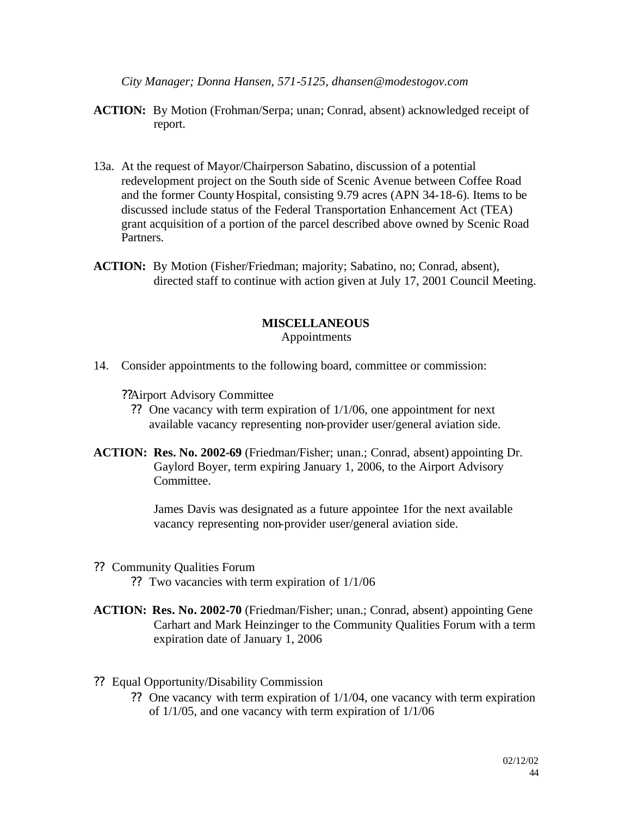*City Manager; Donna Hansen, 571-5125, dhansen@modestogov.com*

- **ACTION:** By Motion (Frohman/Serpa; unan; Conrad, absent) acknowledged receipt of report.
- 13a. At the request of Mayor/Chairperson Sabatino, discussion of a potential redevelopment project on the South side of Scenic Avenue between Coffee Road and the former County Hospital, consisting 9.79 acres (APN 34-18-6). Items to be discussed include status of the Federal Transportation Enhancement Act (TEA) grant acquisition of a portion of the parcel described above owned by Scenic Road Partners.
- **ACTION:** By Motion (Fisher/Friedman; majority; Sabatino, no; Conrad, absent), directed staff to continue with action given at July 17, 2001 Council Meeting.

### **MISCELLANEOUS**

Appointments

14. Consider appointments to the following board, committee or commission:

??Airport Advisory Committee

- ?? One vacancy with term expiration of 1/1/06, one appointment for next available vacancy representing non-provider user/general aviation side.
- **ACTION: Res. No. 2002-69** (Friedman/Fisher; unan.; Conrad, absent) appointing Dr. Gaylord Boyer, term expiring January 1, 2006, to the Airport Advisory Committee.

James Davis was designated as a future appointee 1for the next available vacancy representing non-provider user/general aviation side.

- ?? Community Qualities Forum
	- ?? Two vacancies with term expiration of 1/1/06
- **ACTION: Res. No. 2002-70** (Friedman/Fisher; unan.; Conrad, absent) appointing Gene Carhart and Mark Heinzinger to the Community Qualities Forum with a term expiration date of January 1, 2006
- ?? Equal Opportunity/Disability Commission
	- ?? One vacancy with term expiration of 1/1/04, one vacancy with term expiration of 1/1/05, and one vacancy with term expiration of 1/1/06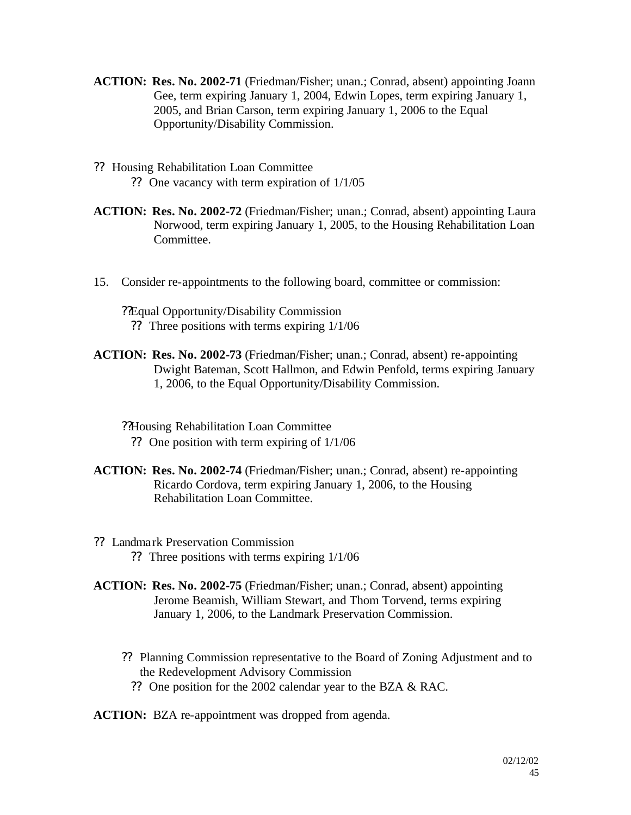- **ACTION: Res. No. 2002-71** (Friedman/Fisher; unan.; Conrad, absent) appointing Joann Gee, term expiring January 1, 2004, Edwin Lopes, term expiring January 1, 2005, and Brian Carson, term expiring January 1, 2006 to the Equal Opportunity/Disability Commission.
- ?? Housing Rehabilitation Loan Committee ?? One vacancy with term expiration of 1/1/05
- **ACTION: Res. No. 2002-72** (Friedman/Fisher; unan.; Conrad, absent) appointing Laura Norwood, term expiring January 1, 2005, to the Housing Rehabilitation Loan Committee.
- 15. Consider re-appointments to the following board, committee or commission:
	- ??Equal Opportunity/Disability Commission ?? Three positions with terms expiring 1/1/06
- **ACTION: Res. No. 2002-73** (Friedman/Fisher; unan.; Conrad, absent) re-appointing Dwight Bateman, Scott Hallmon, and Edwin Penfold, terms expiring January 1, 2006, to the Equal Opportunity/Disability Commission.
	- ??Housing Rehabilitation Loan Committee
		- ?? One position with term expiring of 1/1/06
- **ACTION: Res. No. 2002-74** (Friedman/Fisher; unan.; Conrad, absent) re-appointing Ricardo Cordova, term expiring January 1, 2006, to the Housing Rehabilitation Loan Committee.
- ?? Landmark Preservation Commission ?? Three positions with terms expiring 1/1/06
- **ACTION: Res. No. 2002-75** (Friedman/Fisher; unan.; Conrad, absent) appointing Jerome Beamish, William Stewart, and Thom Torvend, terms expiring January 1, 2006, to the Landmark Preservation Commission.
	- ?? Planning Commission representative to the Board of Zoning Adjustment and to the Redevelopment Advisory Commission
		- ?? One position for the 2002 calendar year to the BZA & RAC.

**ACTION:** BZA re-appointment was dropped from agenda.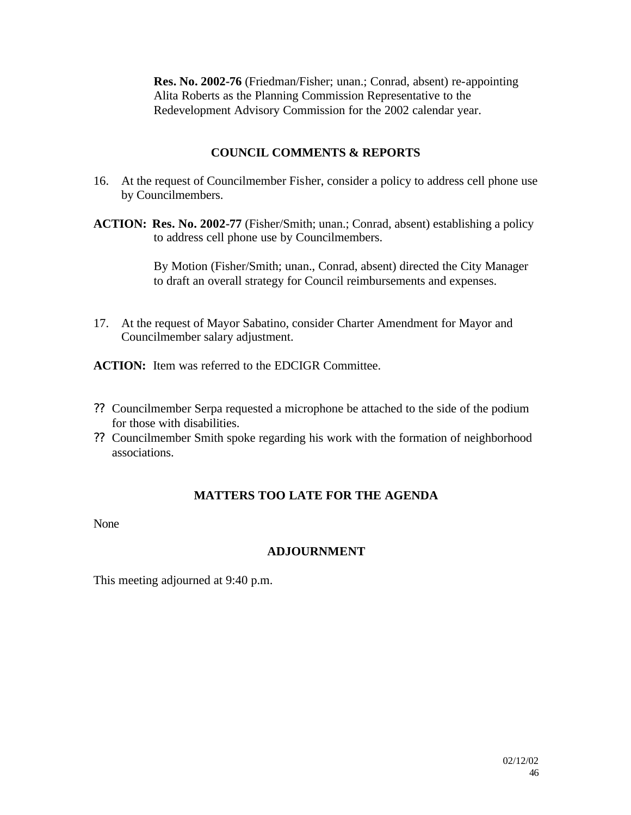**Res. No. 2002-76** (Friedman/Fisher; unan.; Conrad, absent) re-appointing Alita Roberts as the Planning Commission Representative to the Redevelopment Advisory Commission for the 2002 calendar year.

### **COUNCIL COMMENTS & REPORTS**

- 16. At the request of Councilmember Fisher, consider a policy to address cell phone use by Councilmembers.
- **ACTION: Res. No. 2002-77** (Fisher/Smith; unan.; Conrad, absent) establishing a policy to address cell phone use by Councilmembers.

By Motion (Fisher/Smith; unan., Conrad, absent) directed the City Manager to draft an overall strategy for Council reimbursements and expenses.

17. At the request of Mayor Sabatino, consider Charter Amendment for Mayor and Councilmember salary adjustment.

**ACTION:** Item was referred to the EDCIGR Committee.

- ?? Councilmember Serpa requested a microphone be attached to the side of the podium for those with disabilities.
- ?? Councilmember Smith spoke regarding his work with the formation of neighborhood associations.

### **MATTERS TOO LATE FOR THE AGENDA**

None

### **ADJOURNMENT**

This meeting adjourned at 9:40 p.m.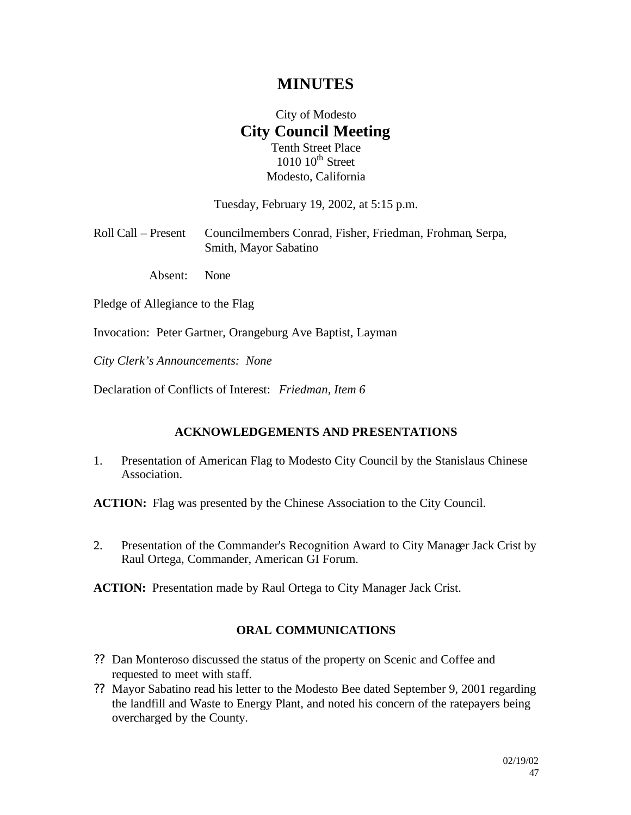# **MINUTES**

# City of Modesto **City Council Meeting** Tenth Street Place

 $1010~10$ <sup>th</sup> Street Modesto, California

Tuesday, February 19, 2002, at 5:15 p.m.

| Roll Call – Present Councilmembers Conrad, Fisher, Friedman, Frohman, Serpa, |
|------------------------------------------------------------------------------|
| Smith, Mayor Sabatino                                                        |

Absent: None

Pledge of Allegiance to the Flag

Invocation: Peter Gartner, Orangeburg Ave Baptist, Layman

*City Clerk's Announcements: None*

Declaration of Conflicts of Interest: *Friedman, Item 6*

#### **ACKNOWLEDGEMENTS AND PRESENTATIONS**

1. Presentation of American Flag to Modesto City Council by the Stanislaus Chinese Association.

**ACTION:** Flag was presented by the Chinese Association to the City Council.

2. Presentation of the Commander's Recognition Award to City Manager Jack Crist by Raul Ortega, Commander, American GI Forum.

**ACTION:** Presentation made by Raul Ortega to City Manager Jack Crist.

### **ORAL COMMUNICATIONS**

- ?? Dan Monteroso discussed the status of the property on Scenic and Coffee and requested to meet with staff.
- ?? Mayor Sabatino read his letter to the Modesto Bee dated September 9, 2001 regarding the landfill and Waste to Energy Plant, and noted his concern of the ratepayers being overcharged by the County.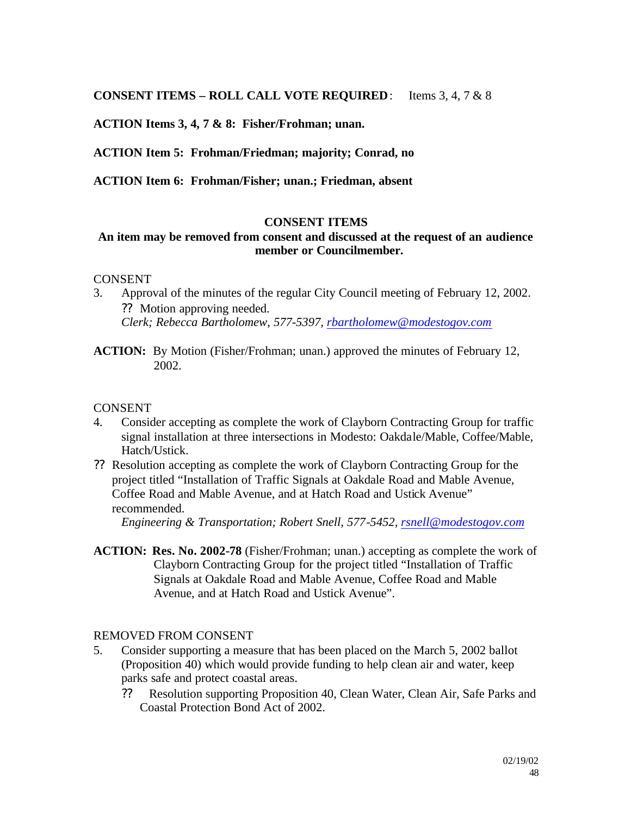**CONSENT ITEMS – ROLL CALL VOTE REQUIRED**: Items 3, 4, 7 & 8

**ACTION Items 3, 4, 7 & 8: Fisher/Frohman; unan.**

**ACTION Item 5: Frohman/Friedman; majority; Conrad, no**

**ACTION Item 6: Frohman/Fisher; unan.; Friedman, absent**

#### **CONSENT ITEMS**

#### **An item may be removed from consent and discussed at the request of an audience member or Councilmember.**

#### **CONSENT**

- 3. Approval of the minutes of the regular City Council meeting of February 12, 2002. ?? Motion approving needed. *Clerk; Rebecca Bartholomew, 577-5397, rbartholomew@modestogov.com*
- **ACTION:** By Motion (Fisher/Frohman; unan.) approved the minutes of February 12, 2002.

#### CONSENT

- 4. Consider accepting as complete the work of Clayborn Contracting Group for traffic signal installation at three intersections in Modesto: Oakdale/Mable, Coffee/Mable, Hatch/Ustick.
- ?? Resolution accepting as complete the work of Clayborn Contracting Group for the project titled "Installation of Traffic Signals at Oakdale Road and Mable Avenue, Coffee Road and Mable Avenue, and at Hatch Road and Ustick Avenue" recommended.

*Engineering & Transportation; Robert Snell, 577-5452, rsnell@modestogov.com*

**ACTION: Res. No. 2002-78** (Fisher/Frohman; unan.) accepting as complete the work of Clayborn Contracting Group for the project titled "Installation of Traffic Signals at Oakdale Road and Mable Avenue, Coffee Road and Mable Avenue, and at Hatch Road and Ustick Avenue".

#### REMOVED FROM CONSENT

- 5. Consider supporting a measure that has been placed on the March 5, 2002 ballot (Proposition 40) which would provide funding to help clean air and water, keep parks safe and protect coastal areas.
	- ?? Resolution supporting Proposition 40, Clean Water, Clean Air, Safe Parks and Coastal Protection Bond Act of 2002.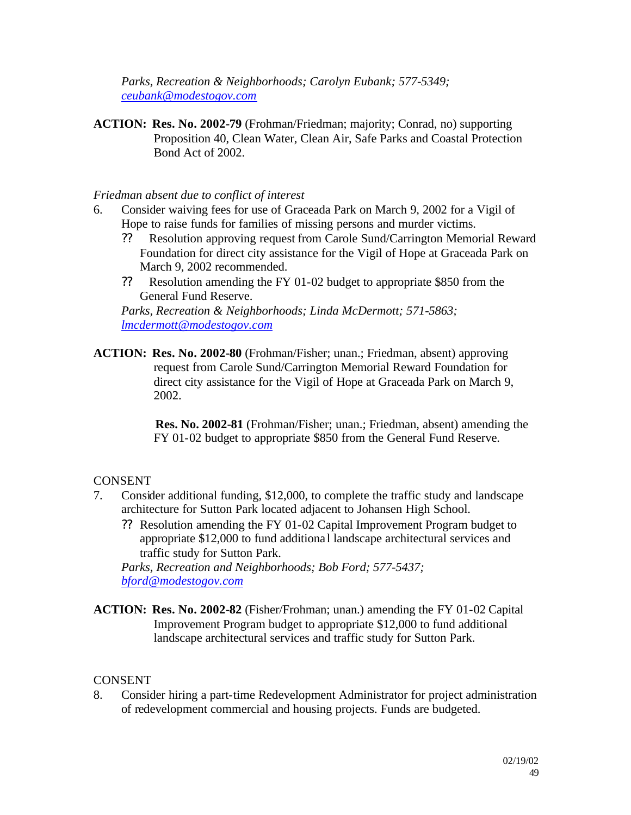*Parks, Recreation & Neighborhoods; Carolyn Eubank; 577-5349; ceubank@modestogov.com*

**ACTION: Res. No. 2002-79** (Frohman/Friedman; majority; Conrad, no) supporting Proposition 40, Clean Water, Clean Air, Safe Parks and Coastal Protection Bond Act of 2002.

#### *Friedman absent due to conflict of interest*

- 6. Consider waiving fees for use of Graceada Park on March 9, 2002 for a Vigil of Hope to raise funds for families of missing persons and murder victims.
	- ?? Resolution approving request from Carole Sund/Carrington Memorial Reward Foundation for direct city assistance for the Vigil of Hope at Graceada Park on March 9, 2002 recommended.
	- ?? Resolution amending the FY 01-02 budget to appropriate \$850 from the General Fund Reserve.

*Parks, Recreation & Neighborhoods; Linda McDermott; 571-5863; lmcdermott@modestogov.com*

**ACTION: Res. No. 2002-80** (Frohman/Fisher; unan.; Friedman, absent) approving request from Carole Sund/Carrington Memorial Reward Foundation for direct city assistance for the Vigil of Hope at Graceada Park on March 9, 2002.

> **Res. No. 2002-81** (Frohman/Fisher; unan.; Friedman, absent) amending the FY 01-02 budget to appropriate \$850 from the General Fund Reserve.

### **CONSENT**

- 7. Consider additional funding, \$12,000, to complete the traffic study and landscape architecture for Sutton Park located adjacent to Johansen High School.
	- ?? Resolution amending the FY 01-02 Capital Improvement Program budget to appropriate \$12,000 to fund additiona l landscape architectural services and traffic study for Sutton Park.

*Parks, Recreation and Neighborhoods; Bob Ford; 577-5437; bford@modestogov.com*

**ACTION: Res. No. 2002-82** (Fisher/Frohman; unan.) amending the FY 01-02 Capital Improvement Program budget to appropriate \$12,000 to fund additional landscape architectural services and traffic study for Sutton Park.

#### **CONSENT**

8. Consider hiring a part-time Redevelopment Administrator for project administration of redevelopment commercial and housing projects. Funds are budgeted.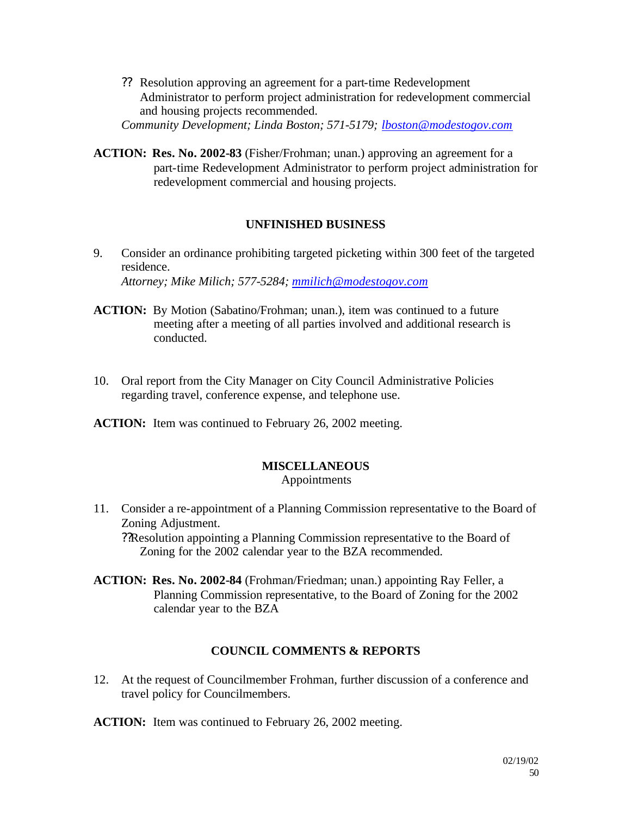?? Resolution approving an agreement for a part-time Redevelopment Administrator to perform project administration for redevelopment commercial and housing projects recommended. *Community Development; Linda Boston; 571-5179; lboston@modestogov.com*

**ACTION: Res. No. 2002-83** (Fisher/Frohman; unan.) approving an agreement for a

part-time Redevelopment Administrator to perform project administration for redevelopment commercial and housing projects.

### **UNFINISHED BUSINESS**

- 9. Consider an ordinance prohibiting targeted picketing within 300 feet of the targeted residence. *Attorney; Mike Milich; 577-5284; mmilich@modestogov.com*
- **ACTION:** By Motion (Sabatino/Frohman; unan.), item was continued to a future meeting after a meeting of all parties involved and additional research is conducted.
- 10. Oral report from the City Manager on City Council Administrative Policies regarding travel, conference expense, and telephone use.
- **ACTION:** Item was continued to February 26, 2002 meeting.

### **MISCELLANEOUS**

### Appointments

- 11. Consider a re-appointment of a Planning Commission representative to the Board of Zoning Adjustment. ??Resolution appointing a Planning Commission representative to the Board of Zoning for the 2002 calendar year to the BZA recommended.
- **ACTION: Res. No. 2002-84** (Frohman/Friedman; unan.) appointing Ray Feller, a Planning Commission representative, to the Board of Zoning for the 2002 calendar year to the BZA

### **COUNCIL COMMENTS & REPORTS**

12. At the request of Councilmember Frohman, further discussion of a conference and travel policy for Councilmembers.

**ACTION:** Item was continued to February 26, 2002 meeting.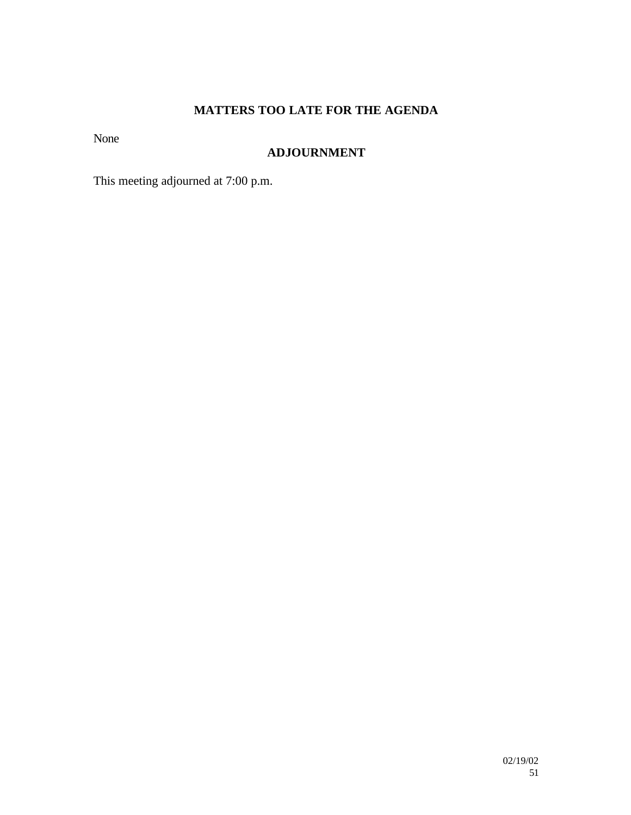# **MATTERS TOO LATE FOR THE AGENDA**

None

## **ADJOURNMENT**

This meeting adjourned at 7:00 p.m.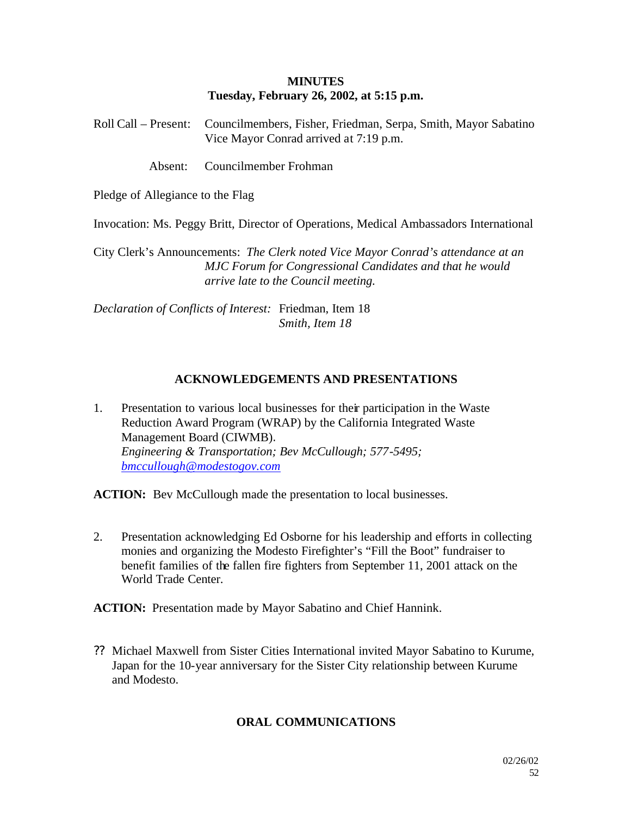#### **MINUTES Tuesday, February 26, 2002, at 5:15 p.m.**

Roll Call – Present: Councilmembers, Fisher, Friedman, Serpa, Smith, Mayor Sabatino Vice Mayor Conrad arrived at 7:19 p.m.

Absent: Councilmember Frohman

Pledge of Allegiance to the Flag

Invocation: Ms. Peggy Britt, Director of Operations, Medical Ambassadors International

City Clerk's Announcements: *The Clerk noted Vice Mayor Conrad's attendance at an MJC Forum for Congressional Candidates and that he would arrive late to the Council meeting.*

*Declaration of Conflicts of Interest:* Friedman, Item 18 *Smith, Item 18*

#### **ACKNOWLEDGEMENTS AND PRESENTATIONS**

1. Presentation to various local businesses for their participation in the Waste Reduction Award Program (WRAP) by the California Integrated Waste Management Board (CIWMB). *Engineering & Transportation; Bev McCullough; 577-5495; bmccullough@modestogov.com*

ACTION: Bev McCullough made the presentation to local businesses.

2. Presentation acknowledging Ed Osborne for his leadership and efforts in collecting monies and organizing the Modesto Firefighter's "Fill the Boot" fundraiser to benefit families of the fallen fire fighters from September 11, 2001 attack on the World Trade Center.

**ACTION:** Presentation made by Mayor Sabatino and Chief Hannink.

?? Michael Maxwell from Sister Cities International invited Mayor Sabatino to Kurume, Japan for the 10-year anniversary for the Sister City relationship between Kurume and Modesto.

#### **ORAL COMMUNICATIONS**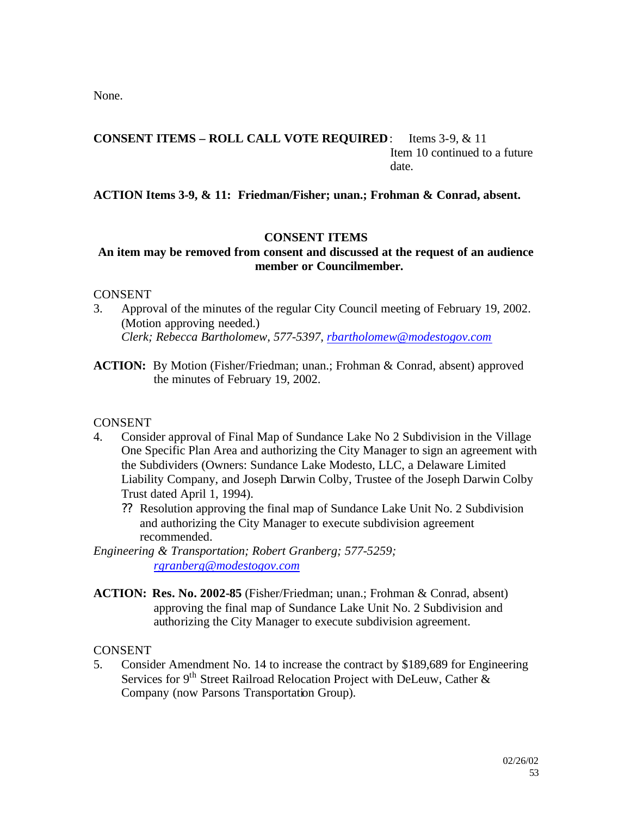None.

#### **CONSENT ITEMS – ROLL CALL VOTE REQUIRED**: Items 3-9, & 11 Item 10 continued to a future date.

**ACTION Items 3-9, & 11: Friedman/Fisher; unan.; Frohman & Conrad, absent.**

### **CONSENT ITEMS**

### **An item may be removed from consent and discussed at the request of an audience member or Councilmember.**

#### **CONSENT**

- 3. Approval of the minutes of the regular City Council meeting of February 19, 2002. (Motion approving needed.) *Clerk; Rebecca Bartholomew, 577-5397, rbartholomew@modestogov.com*
- **ACTION:** By Motion (Fisher/Friedman; unan.; Frohman & Conrad, absent) approved the minutes of February 19, 2002.

### **CONSENT**

- 4. Consider approval of Final Map of Sundance Lake No 2 Subdivision in the Village One Specific Plan Area and authorizing the City Manager to sign an agreement with the Subdividers (Owners: Sundance Lake Modesto, LLC, a Delaware Limited Liability Company, and Joseph Darwin Colby, Trustee of the Joseph Darwin Colby Trust dated April 1, 1994).
	- ?? Resolution approving the final map of Sundance Lake Unit No. 2 Subdivision and authorizing the City Manager to execute subdivision agreement recommended.

*Engineering & Transportation; Robert Granberg; 577-5259; rgranberg@modestogov.com*

**ACTION: Res. No. 2002-85** (Fisher/Friedman; unan.; Frohman & Conrad, absent) approving the final map of Sundance Lake Unit No. 2 Subdivision and authorizing the City Manager to execute subdivision agreement.

### **CONSENT**

5. Consider Amendment No. 14 to increase the contract by \$189,689 for Engineering Services for 9<sup>th</sup> Street Railroad Relocation Project with DeLeuw, Cather  $\&$ Company (now Parsons Transportation Group).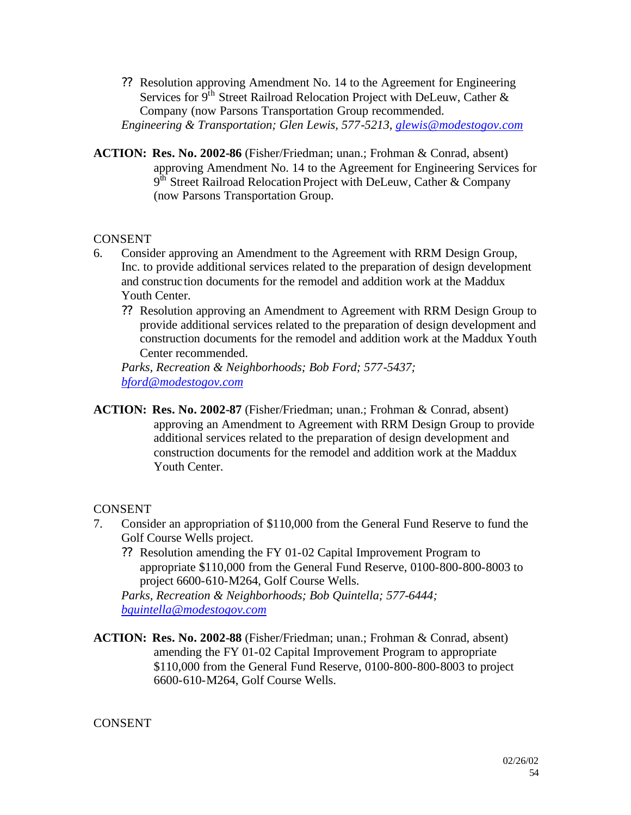- ?? Resolution approving Amendment No. 14 to the Agreement for Engineering Services for  $9^{th}$  Street Railroad Relocation Project with DeLeuw, Cather & Company (now Parsons Transportation Group recommended. *Engineering & Transportation; Glen Lewis, 577-5213, glewis@modestogov.com*
- **ACTION: Res. No. 2002-86** (Fisher/Friedman; unan.; Frohman & Conrad, absent) approving Amendment No. 14 to the Agreement for Engineering Services for  $9<sup>th</sup>$  Street Railroad Relocation Project with DeLeuw, Cather & Company (now Parsons Transportation Group.

### **CONSENT**

- 6. Consider approving an Amendment to the Agreement with RRM Design Group, Inc. to provide additional services related to the preparation of design development and construc tion documents for the remodel and addition work at the Maddux Youth Center.
	- ?? Resolution approving an Amendment to Agreement with RRM Design Group to provide additional services related to the preparation of design development and construction documents for the remodel and addition work at the Maddux Youth Center recommended.

*Parks, Recreation & Neighborhoods; Bob Ford; 577-5437; bford@modestogov.com*

**ACTION: Res. No. 2002-87** (Fisher/Friedman; unan.; Frohman & Conrad, absent) approving an Amendment to Agreement with RRM Design Group to provide additional services related to the preparation of design development and construction documents for the remodel and addition work at the Maddux Youth Center.

### **CONSENT**

- 7. Consider an appropriation of \$110,000 from the General Fund Reserve to fund the Golf Course Wells project.
	- ?? Resolution amending the FY 01-02 Capital Improvement Program to appropriate \$110,000 from the General Fund Reserve, 0100-800-800-8003 to project 6600-610-M264, Golf Course Wells.

*Parks, Recreation & Neighborhoods; Bob Quintella; 577-6444; bquintella@modestogov.com*

**ACTION: Res. No. 2002-88** (Fisher/Friedman; unan.; Frohman & Conrad, absent) amending the FY 01-02 Capital Improvement Program to appropriate \$110,000 from the General Fund Reserve, 0100-800-800-8003 to project 6600-610-M264, Golf Course Wells.

#### CONSENT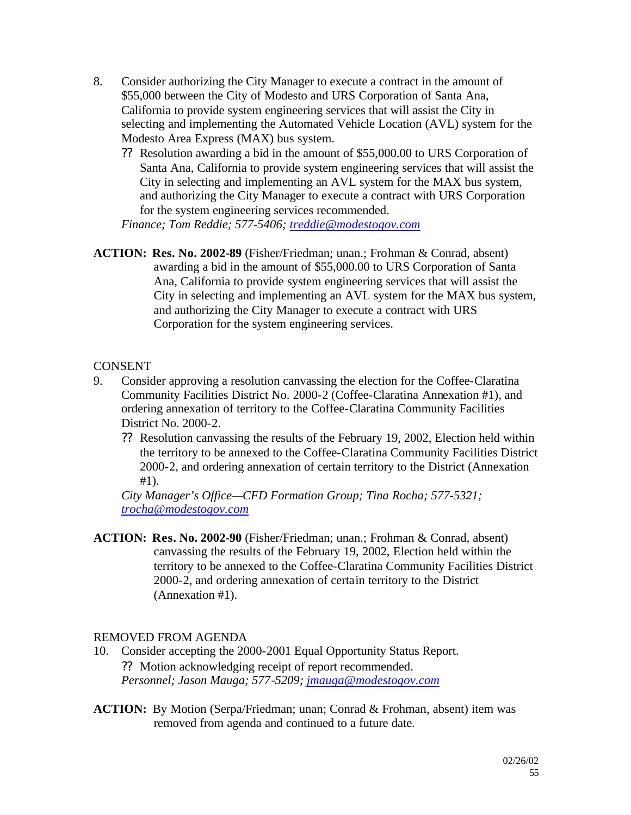- 8. Consider authorizing the City Manager to execute a contract in the amount of \$55,000 between the City of Modesto and URS Corporation of Santa Ana, California to provide system engineering services that will assist the City in selecting and implementing the Automated Vehicle Location (AVL) system for the Modesto Area Express (MAX) bus system.
	- ?? Resolution awarding a bid in the amount of \$55,000.00 to URS Corporation of Santa Ana, California to provide system engineering services that will assist the City in selecting and implementing an AVL system for the MAX bus system, and authorizing the City Manager to execute a contract with URS Corporation for the system engineering services recommended.

*Finance; Tom Reddie; 577-5406; treddie@modestogov.com*

**ACTION: Res. No. 2002-89** (Fisher/Friedman; unan.; Frohman & Conrad, absent) awarding a bid in the amount of \$55,000.00 to URS Corporation of Santa Ana, California to provide system engineering services that will assist the City in selecting and implementing an AVL system for the MAX bus system, and authorizing the City Manager to execute a contract with URS Corporation for the system engineering services.

### **CONSENT**

- 9. Consider approving a resolution canvassing the election for the Coffee-Claratina Community Facilities District No. 2000-2 (Coffee-Claratina Annexation #1), and ordering annexation of territory to the Coffee-Claratina Community Facilities District No. 2000-2.
	- ?? Resolution canvassing the results of the February 19, 2002, Election held within the territory to be annexed to the Coffee-Claratina Community Facilities District 2000-2, and ordering annexation of certain territory to the District (Annexation #1).

*City Manager's Office—CFD Formation Group; Tina Rocha; 577-5321; trocha@modestogov.com*

**ACTION: Res. No. 2002-90** (Fisher/Friedman; unan.; Frohman & Conrad, absent) canvassing the results of the February 19, 2002, Election held within the territory to be annexed to the Coffee-Claratina Community Facilities District 2000-2, and ordering annexation of certain territory to the District (Annexation #1).

### REMOVED FROM AGENDA

- 10. Consider accepting the 2000-2001 Equal Opportunity Status Report. ?? Motion acknowledging receipt of report recommended. *Personnel; Jason Mauga; 577-5209; jmauga@modestogov.com*
- **ACTION:** By Motion (Serpa/Friedman; unan; Conrad & Frohman, absent) item was removed from agenda and continued to a future date.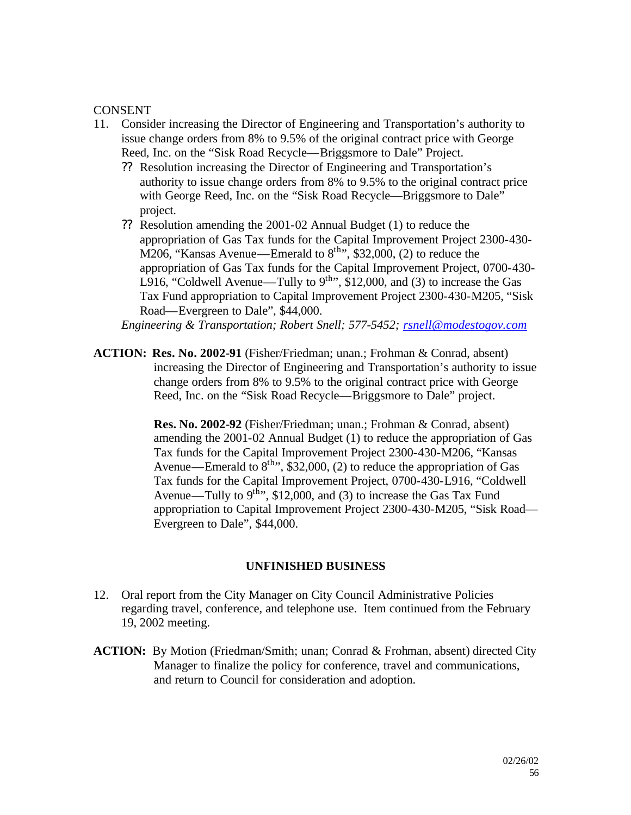### CONSENT

- 11. Consider increasing the Director of Engineering and Transportation's authority to issue change orders from 8% to 9.5% of the original contract price with George Reed, Inc. on the "Sisk Road Recycle—Briggsmore to Dale" Project.
	- ?? Resolution increasing the Director of Engineering and Transportation's authority to issue change orders from 8% to 9.5% to the original contract price with George Reed, Inc. on the "Sisk Road Recycle—Briggsmore to Dale" project.
	- ?? Resolution amending the 2001-02 Annual Budget (1) to reduce the appropriation of Gas Tax funds for the Capital Improvement Project 2300-430- M206, "Kansas Avenue—Emerald to  $8<sup>th</sup>$ ", \$32,000, (2) to reduce the appropriation of Gas Tax funds for the Capital Improvement Project, 0700-430- L916, "Coldwell Avenue—Tully to  $9^{th}$ ", \$12,000, and (3) to increase the Gas Tax Fund appropriation to Capital Improvement Project 2300-430-M205, "Sisk Road—Evergreen to Dale", \$44,000.

*Engineering & Transportation; Robert Snell; 577-5452; rsnell@modestogov.com*

**ACTION: Res. No. 2002-91** (Fisher/Friedman; unan.; Frohman & Conrad, absent) increasing the Director of Engineering and Transportation's authority to issue change orders from 8% to 9.5% to the original contract price with George Reed, Inc. on the "Sisk Road Recycle—Briggsmore to Dale" project.

> **Res. No. 2002-92** (Fisher/Friedman; unan.; Frohman & Conrad, absent) amending the 2001-02 Annual Budget (1) to reduce the appropriation of Gas Tax funds for the Capital Improvement Project 2300-430-M206, "Kansas Avenue—Emerald to  $8^{\text{th}}$ ", \$32,000, (2) to reduce the appropriation of Gas Tax funds for the Capital Improvement Project, 0700-430-L916, "Coldwell Avenue—Tully to  $9^{\text{th}}$ , \$12,000, and (3) to increase the Gas Tax Fund appropriation to Capital Improvement Project 2300-430-M205, "Sisk Road— Evergreen to Dale", \$44,000.

### **UNFINISHED BUSINESS**

- 12. Oral report from the City Manager on City Council Administrative Policies regarding travel, conference, and telephone use. Item continued from the February 19, 2002 meeting.
- **ACTION:** By Motion (Friedman/Smith; unan; Conrad & Frohman, absent) directed City Manager to finalize the policy for conference, travel and communications, and return to Council for consideration and adoption.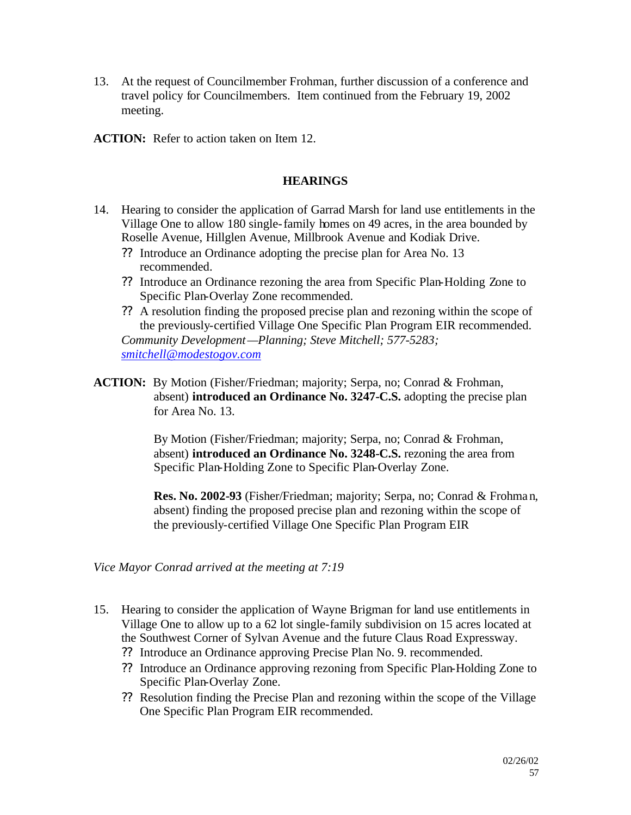- 13. At the request of Councilmember Frohman, further discussion of a conference and travel policy for Councilmembers. Item continued from the February 19, 2002 meeting.
- **ACTION:** Refer to action taken on Item 12.

### **HEARINGS**

- 14. Hearing to consider the application of Garrad Marsh for land use entitlements in the Village One to allow 180 single-family homes on 49 acres, in the area bounded by Roselle Avenue, Hillglen Avenue, Millbrook Avenue and Kodiak Drive.
	- ?? Introduce an Ordinance adopting the precise plan for Area No. 13 recommended.
	- ?? Introduce an Ordinance rezoning the area from Specific Plan-Holding Zone to Specific Plan-Overlay Zone recommended.
	- ?? A resolution finding the proposed precise plan and rezoning within the scope of the previously-certified Village One Specific Plan Program EIR recommended. *Community Development—Planning; Steve Mitchell; 577-5283;*

*smitchell@modestogov.com*

**ACTION:** By Motion (Fisher/Friedman; majority; Serpa, no; Conrad & Frohman, absent) **introduced an Ordinance No. 3247-C.S.** adopting the precise plan for Area No. 13.

> By Motion (Fisher/Friedman; majority; Serpa, no; Conrad & Frohman, absent) **introduced an Ordinance No. 3248-C.S.** rezoning the area from Specific Plan-Holding Zone to Specific Plan-Overlay Zone.

**Res. No. 2002-93** (Fisher/Friedman; majority; Serpa, no; Conrad & Frohman, absent) finding the proposed precise plan and rezoning within the scope of the previously-certified Village One Specific Plan Program EIR

*Vice Mayor Conrad arrived at the meeting at 7:19*

- 15. Hearing to consider the application of Wayne Brigman for land use entitlements in Village One to allow up to a 62 lot single-family subdivision on 15 acres located at the Southwest Corner of Sylvan Avenue and the future Claus Road Expressway.
	- ?? Introduce an Ordinance approving Precise Plan No. 9. recommended.
	- ?? Introduce an Ordinance approving rezoning from Specific Plan-Holding Zone to Specific Plan-Overlay Zone.
	- ?? Resolution finding the Precise Plan and rezoning within the scope of the Village One Specific Plan Program EIR recommended.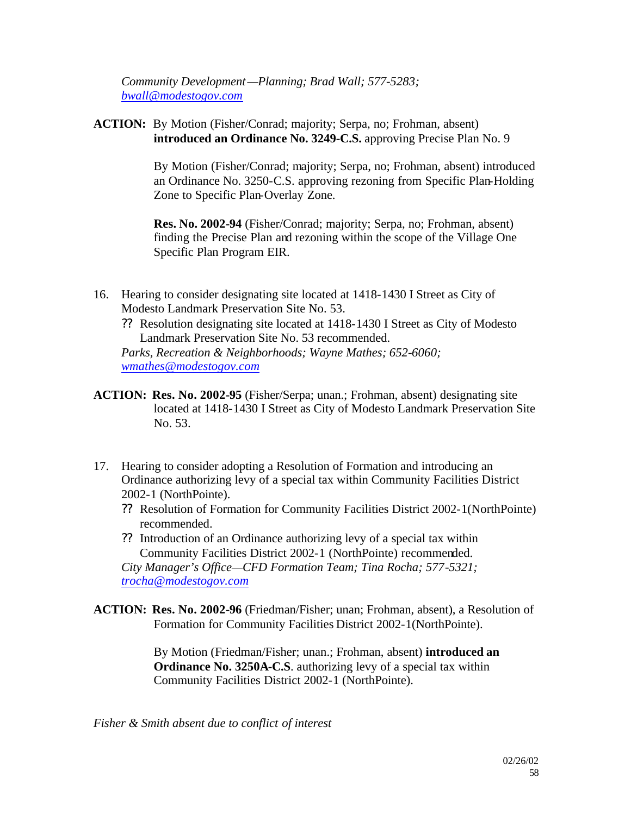*Community Development—Planning; Brad Wall; 577-5283; bwall@modestogov.com*

**ACTION:** By Motion (Fisher/Conrad; majority; Serpa, no; Frohman, absent) **introduced an Ordinance No. 3249-C.S.** approving Precise Plan No. 9

> By Motion (Fisher/Conrad; majority; Serpa, no; Frohman, absent) introduced an Ordinance No. 3250-C.S. approving rezoning from Specific Plan-Holding Zone to Specific Plan-Overlay Zone.

**Res. No. 2002-94** (Fisher/Conrad; majority; Serpa, no; Frohman, absent) finding the Precise Plan and rezoning within the scope of the Village One Specific Plan Program EIR.

- 16. Hearing to consider designating site located at 1418-1430 I Street as City of Modesto Landmark Preservation Site No. 53.
	- ?? Resolution designating site located at 1418-1430 I Street as City of Modesto Landmark Preservation Site No. 53 recommended.

*Parks, Recreation & Neighborhoods; Wayne Mathes; 652-6060; wmathes@modestogov.com*

- **ACTION: Res. No. 2002-95** (Fisher/Serpa; unan.; Frohman, absent) designating site located at 1418-1430 I Street as City of Modesto Landmark Preservation Site No. 53.
- 17. Hearing to consider adopting a Resolution of Formation and introducing an Ordinance authorizing levy of a special tax within Community Facilities District 2002-1 (NorthPointe).
	- ?? Resolution of Formation for Community Facilities District 2002-1(NorthPointe) recommended.
	- ?? Introduction of an Ordinance authorizing levy of a special tax within Community Facilities District 2002-1 (NorthPointe) recommended. *City Manager's Office—CFD Formation Team; Tina Rocha; 577-5321; trocha@modestogov.com*
- **ACTION: Res. No. 2002-96** (Friedman/Fisher; unan; Frohman, absent), a Resolution of Formation for Community Facilities District 2002-1(NorthPointe).

By Motion (Friedman/Fisher; unan.; Frohman, absent) **introduced an Ordinance No. 3250A-C.S**. authorizing levy of a special tax within Community Facilities District 2002-1 (NorthPointe).

*Fisher & Smith absent due to conflict of interest*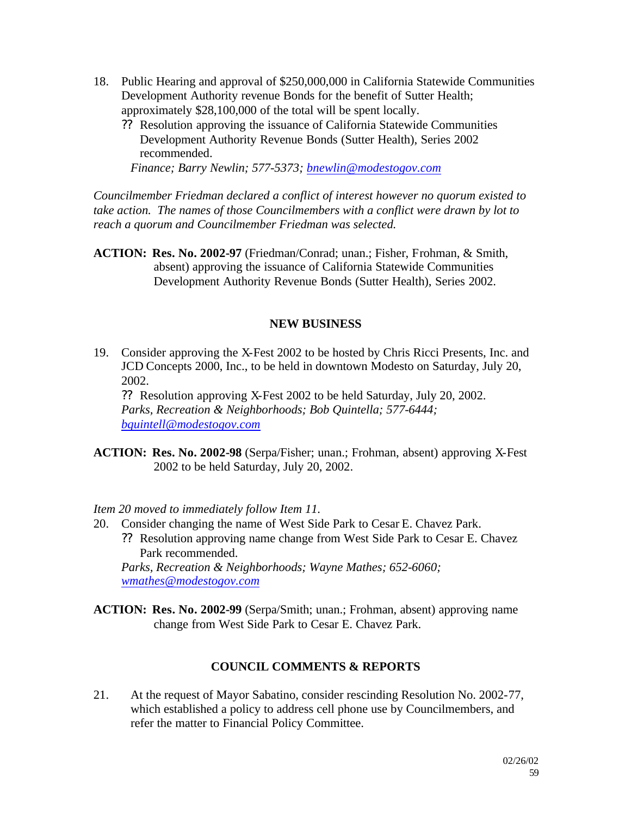- 18. Public Hearing and approval of \$250,000,000 in California Statewide Communities Development Authority revenue Bonds for the benefit of Sutter Health; approximately \$28,100,000 of the total will be spent locally.
	- ?? Resolution approving the issuance of California Statewide Communities Development Authority Revenue Bonds (Sutter Health), Series 2002 recommended.

*Finance; Barry Newlin; 577-5373; bnewlin@modestogov.com*

*Councilmember Friedman declared a conflict of interest however no quorum existed to take action. The names of those Councilmembers with a conflict were drawn by lot to reach a quorum and Councilmember Friedman was selected.*

**ACTION: Res. No. 2002-97** (Friedman/Conrad; unan.; Fisher, Frohman, & Smith, absent) approving the issuance of California Statewide Communities Development Authority Revenue Bonds (Sutter Health), Series 2002.

#### **NEW BUSINESS**

19. Consider approving the X-Fest 2002 to be hosted by Chris Ricci Presents, Inc. and JCD Concepts 2000, Inc., to be held in downtown Modesto on Saturday, July 20, 2002.

?? Resolution approving X-Fest 2002 to be held Saturday, July 20, 2002. *Parks, Recreation & Neighborhoods; Bob Quintella; 577-6444; bquintell@modestogov.com*

**ACTION: Res. No. 2002-98** (Serpa/Fisher; unan.; Frohman, absent) approving X-Fest 2002 to be held Saturday, July 20, 2002.

*Item 20 moved to immediately follow Item 11.*

- 20. Consider changing the name of West Side Park to Cesar E. Chavez Park. ?? Resolution approving name change from West Side Park to Cesar E. Chavez Park recommended. *Parks, Recreation & Neighborhoods; Wayne Mathes; 652-6060; wmathes@modestogov.com*
- **ACTION: Res. No. 2002-99** (Serpa/Smith; unan.; Frohman, absent) approving name change from West Side Park to Cesar E. Chavez Park.

#### **COUNCIL COMMENTS & REPORTS**

21. At the request of Mayor Sabatino, consider rescinding Resolution No. 2002-77, which established a policy to address cell phone use by Councilmembers, and refer the matter to Financial Policy Committee.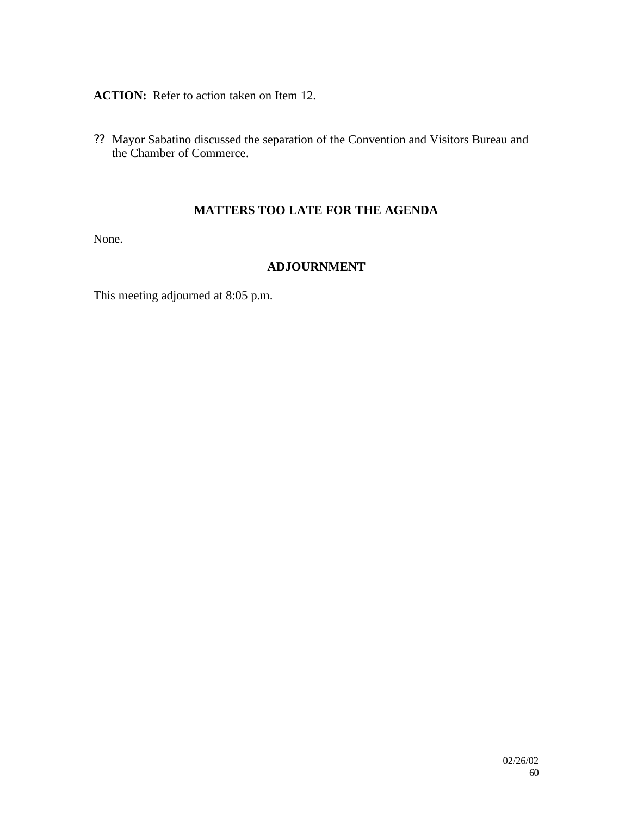### **ACTION:** Refer to action taken on Item 12.

?? Mayor Sabatino discussed the separation of the Convention and Visitors Bureau and the Chamber of Commerce.

### **MATTERS TOO LATE FOR THE AGENDA**

None.

### **ADJOURNMENT**

This meeting adjourned at 8:05 p.m.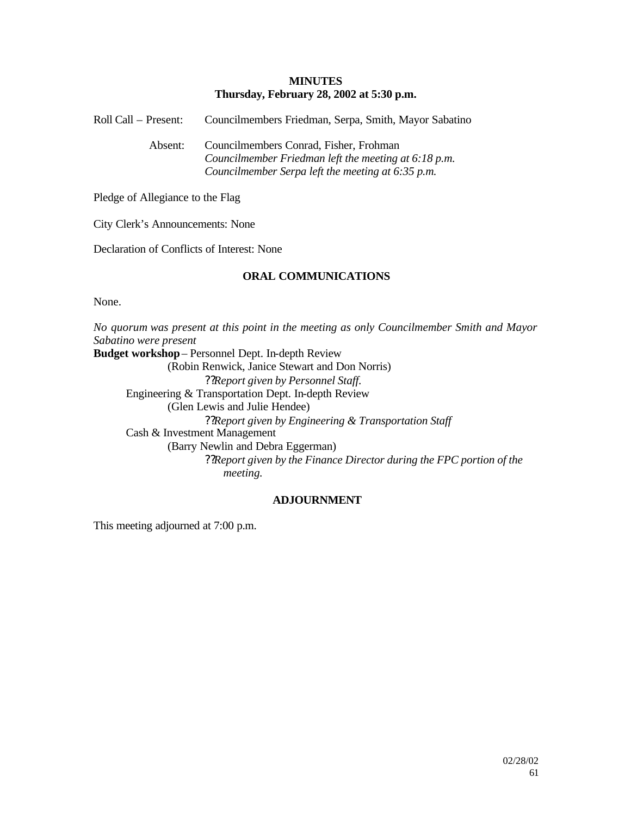#### **MINUTES Thursday, February 28, 2002 at 5:30 p.m.**

Roll Call – Present: Councilmembers Friedman, Serpa, Smith, Mayor Sabatino

Absent: Councilmembers Conrad, Fisher, Frohman *Councilmember Friedman left the meeting at 6:18 p.m. Councilmember Serpa left the meeting at 6:35 p.m.*

Pledge of Allegiance to the Flag

City Clerk's Announcements: None

Declaration of Conflicts of Interest: None

#### **ORAL COMMUNICATIONS**

None.

*No quorum was present at this point in the meeting as only Councilmember Smith and Mayor Sabatino were present* **Budget workshop**– Personnel Dept. In-depth Review (Robin Renwick, Janice Stewart and Don Norris) ??*Report given by Personnel Staff.* Engineering & Transportation Dept. In-depth Review (Glen Lewis and Julie Hendee) ??*Report given by Engineering & Transportation Staff* Cash & Investment Management (Barry Newlin and Debra Eggerman) ??*Report given by the Finance Director during the FPC portion of the meeting.*

#### **ADJOURNMENT**

This meeting adjourned at 7:00 p.m.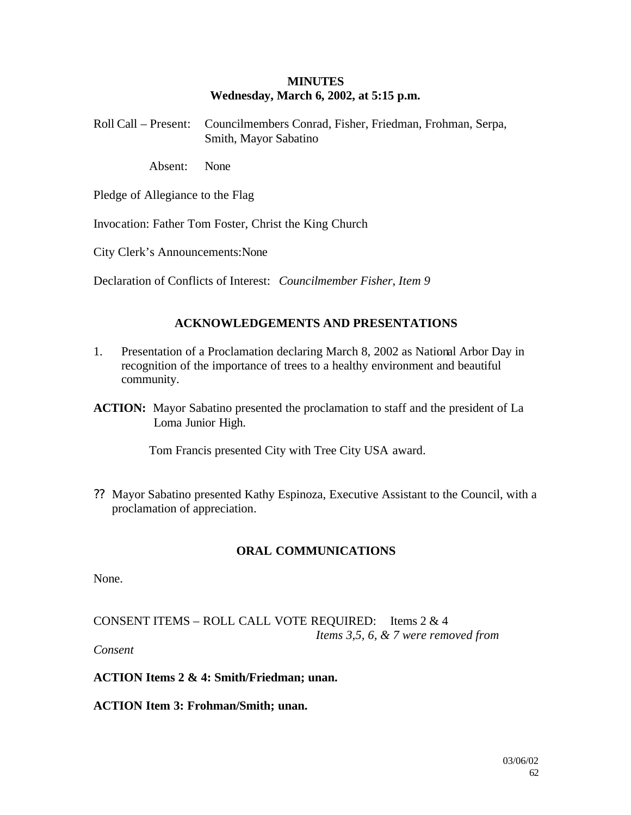#### **MINUTES Wednesday, March 6, 2002, at 5:15 p.m.**

| Roll Call – Present: Councilmembers Conrad, Fisher, Friedman, Frohman, Serpa, |
|-------------------------------------------------------------------------------|
| Smith, Mayor Sabatino                                                         |

Absent: None

Pledge of Allegiance to the Flag

Invocation: Father Tom Foster, Christ the King Church

City Clerk's Announcements:None

Declaration of Conflicts of Interest: *Councilmember Fisher*, *Item 9*

### **ACKNOWLEDGEMENTS AND PRESENTATIONS**

- 1. Presentation of a Proclamation declaring March 8, 2002 as National Arbor Day in recognition of the importance of trees to a healthy environment and beautiful community.
- **ACTION:** Mayor Sabatino presented the proclamation to staff and the president of La Loma Junior High.

Tom Francis presented City with Tree City USA award.

?? Mayor Sabatino presented Kathy Espinoza, Executive Assistant to the Council, with a proclamation of appreciation.

#### **ORAL COMMUNICATIONS**

None.

CONSENT ITEMS – ROLL CALL VOTE REQUIRED: Items 2 & 4 *Items 3,5, 6, & 7 were removed from* 

*Consent*

**ACTION Items 2 & 4: Smith/Friedman; unan.**

**ACTION Item 3: Frohman/Smith; unan.**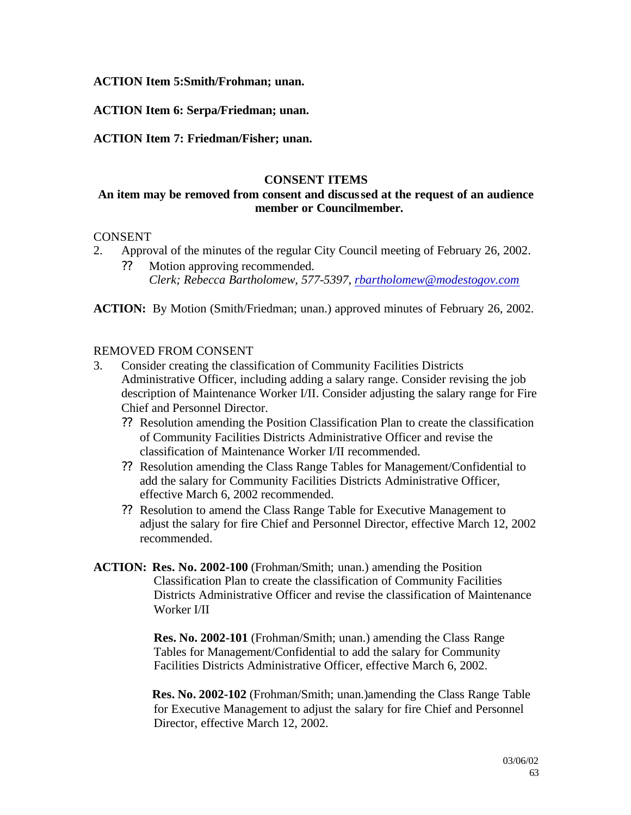**ACTION Item 5:Smith/Frohman; unan.**

**ACTION Item 6: Serpa/Friedman; unan.**

**ACTION Item 7: Friedman/Fisher; unan.**

#### **CONSENT ITEMS**

### **An item may be removed from consent and discussed at the request of an audience member or Councilmember.**

#### **CONSENT**

- 2. Approval of the minutes of the regular City Council meeting of February 26, 2002. ?? Motion approving recommended.
	- *Clerk; Rebecca Bartholomew, 577-5397, rbartholomew@modestogov.com*

**ACTION:** By Motion (Smith/Friedman; unan.) approved minutes of February 26, 2002.

#### REMOVED FROM CONSENT

- 3. Consider creating the classification of Community Facilities Districts Administrative Officer, including adding a salary range. Consider revising the job description of Maintenance Worker I/II. Consider adjusting the salary range for Fire Chief and Personnel Director.
	- ?? Resolution amending the Position Classification Plan to create the classification of Community Facilities Districts Administrative Officer and revise the classification of Maintenance Worker I/II recommended.
	- ?? Resolution amending the Class Range Tables for Management/Confidential to add the salary for Community Facilities Districts Administrative Officer, effective March 6, 2002 recommended.
	- ?? Resolution to amend the Class Range Table for Executive Management to adjust the salary for fire Chief and Personnel Director, effective March 12, 2002 recommended.
- **ACTION: Res. No. 2002-100** (Frohman/Smith; unan.) amending the Position Classification Plan to create the classification of Community Facilities Districts Administrative Officer and revise the classification of Maintenance Worker I/II

**Res. No. 2002-101** (Frohman/Smith; unan.) amending the Class Range Tables for Management/Confidential to add the salary for Community Facilities Districts Administrative Officer, effective March 6, 2002.

**Res. No. 2002-102** (Frohman/Smith; unan.)amending the Class Range Table for Executive Management to adjust the salary for fire Chief and Personnel Director, effective March 12, 2002.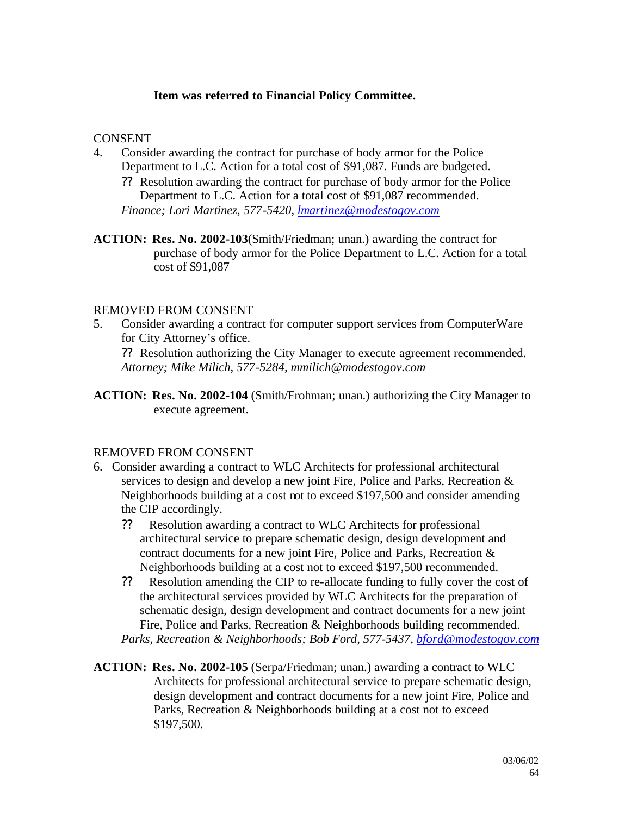### **Item was referred to Financial Policy Committee.**

#### **CONSENT**

- 4. Consider awarding the contract for purchase of body armor for the Police Department to L.C. Action for a total cost of \$91,087. Funds are budgeted.
	- ?? Resolution awarding the contract for purchase of body armor for the Police Department to L.C. Action for a total cost of \$91,087 recommended. *Finance; Lori Martinez, 577-5420, lmartinez@modestogov.com*
- **ACTION: Res. No. 2002-103**(Smith/Friedman; unan.) awarding the contract for purchase of body armor for the Police Department to L.C. Action for a total cost of \$91,087

#### REMOVED FROM CONSENT

5. Consider awarding a contract for computer support services from ComputerWare for City Attorney's office.

?? Resolution authorizing the City Manager to execute agreement recommended. *Attorney; Mike Milich, 577-5284, mmilich@modestogov.com*

**ACTION: Res. No. 2002-104** (Smith/Frohman; unan.) authorizing the City Manager to execute agreement.

#### REMOVED FROM CONSENT

- 6. Consider awarding a contract to WLC Architects for professional architectural services to design and develop a new joint Fire, Police and Parks, Recreation & Neighborhoods building at a cost not to exceed \$197,500 and consider amending the CIP accordingly.
	- ?? Resolution awarding a contract to WLC Architects for professional architectural service to prepare schematic design, design development and contract documents for a new joint Fire, Police and Parks, Recreation & Neighborhoods building at a cost not to exceed \$197,500 recommended.
	- ?? Resolution amending the CIP to re-allocate funding to fully cover the cost of the architectural services provided by WLC Architects for the preparation of schematic design, design development and contract documents for a new joint Fire, Police and Parks, Recreation & Neighborhoods building recommended. *Parks, Recreation & Neighborhoods; Bob Ford, 577-5437, bford@modestogov.com*
- **ACTION: Res. No. 2002-105** (Serpa/Friedman; unan.) awarding a contract to WLC Architects for professional architectural service to prepare schematic design, design development and contract documents for a new joint Fire, Police and Parks, Recreation & Neighborhoods building at a cost not to exceed \$197,500.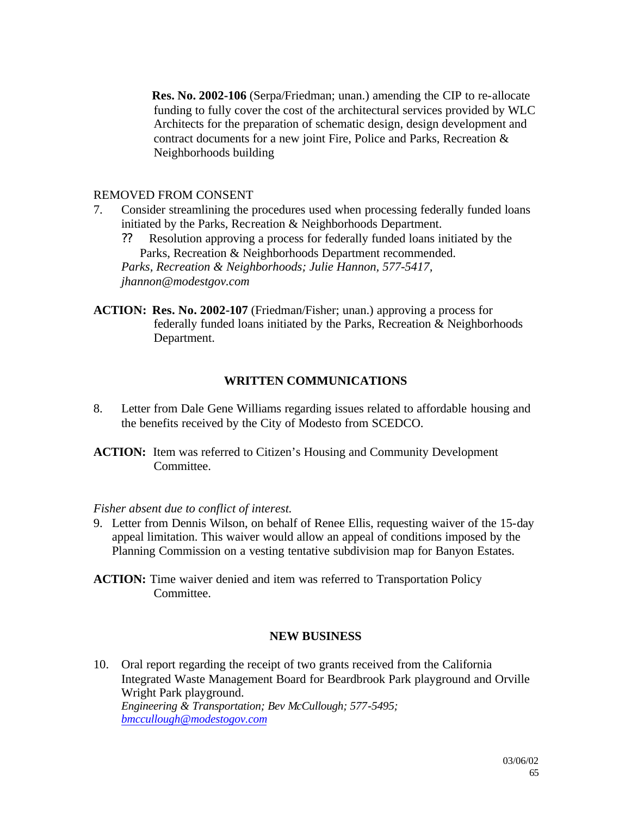**Res. No. 2002-106** (Serpa/Friedman; unan.) amending the CIP to re-allocate funding to fully cover the cost of the architectural services provided by WLC Architects for the preparation of schematic design, design development and contract documents for a new joint Fire, Police and Parks, Recreation & Neighborhoods building

### REMOVED FROM CONSENT

7. Consider streamlining the procedures used when processing federally funded loans initiated by the Parks, Recreation & Neighborhoods Department.

?? Resolution approving a process for federally funded loans initiated by the Parks, Recreation & Neighborhoods Department recommended. *Parks, Recreation & Neighborhoods; Julie Hannon, 577-5417, jhannon@modestgov.com*

**ACTION: Res. No. 2002-107** (Friedman/Fisher; unan.) approving a process for federally funded loans initiated by the Parks, Recreation & Neighborhoods Department.

### **WRITTEN COMMUNICATIONS**

8. Letter from Dale Gene Williams regarding issues related to affordable housing and the benefits received by the City of Modesto from SCEDCO.

**ACTION:** Item was referred to Citizen's Housing and Community Development Committee.

*Fisher absent due to conflict of interest.*

- 9. Letter from Dennis Wilson, on behalf of Renee Ellis, requesting waiver of the 15-day appeal limitation. This waiver would allow an appeal of conditions imposed by the Planning Commission on a vesting tentative subdivision map for Banyon Estates.
- **ACTION:** Time waiver denied and item was referred to Transportation Policy Committee.

#### **NEW BUSINESS**

10. Oral report regarding the receipt of two grants received from the California Integrated Waste Management Board for Beardbrook Park playground and Orville Wright Park playground. *Engineering & Transportation; Bev McCullough; 577-5495; bmccullough@modestogov.com*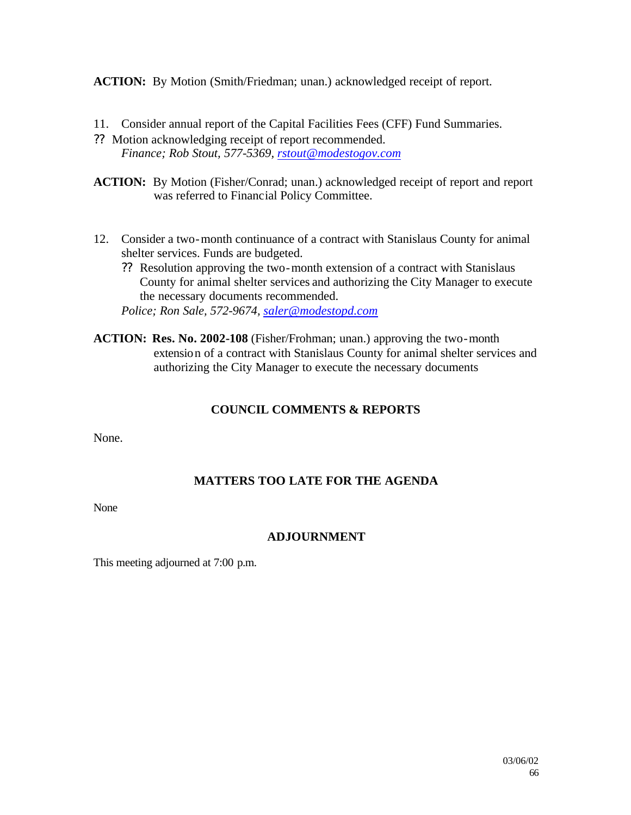**ACTION:** By Motion (Smith/Friedman; unan.) acknowledged receipt of report.

- 11. Consider annual report of the Capital Facilities Fees (CFF) Fund Summaries.
- ?? Motion acknowledging receipt of report recommended. *Finance; Rob Stout, 577-5369, rstout@modestogov.com*
- **ACTION:** By Motion (Fisher/Conrad; unan.) acknowledged receipt of report and report was referred to Financial Policy Committee.
- 12. Consider a two-month continuance of a contract with Stanislaus County for animal shelter services. Funds are budgeted.
	- ?? Resolution approving the two-month extension of a contract with Stanislaus County for animal shelter services and authorizing the City Manager to execute the necessary documents recommended.

*Police; Ron Sale, 572-9674, saler@modestopd.com*

**ACTION: Res. No. 2002-108** (Fisher/Frohman; unan.) approving the two-month extension of a contract with Stanislaus County for animal shelter services and authorizing the City Manager to execute the necessary documents

### **COUNCIL COMMENTS & REPORTS**

None.

### **MATTERS TOO LATE FOR THE AGENDA**

None

### **ADJOURNMENT**

This meeting adjourned at 7:00 p.m.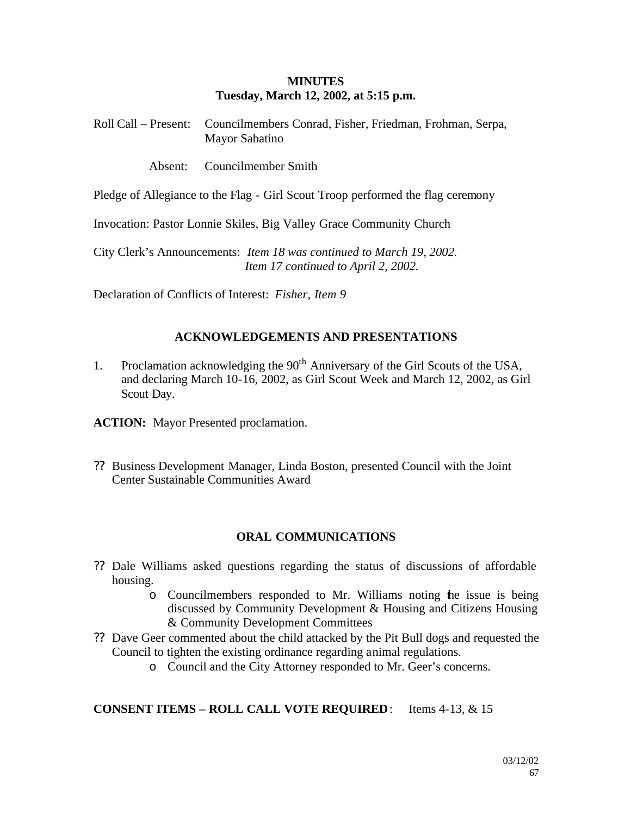#### **MINUTES Tuesday, March 12, 2002, at 5:15 p.m.**

Roll Call – Present: Councilmembers Conrad, Fisher, Friedman, Frohman, Serpa, Mayor Sabatino

Absent: Councilmember Smith

Pledge of Allegiance to the Flag - Girl Scout Troop performed the flag ceremony

Invocation: Pastor Lonnie Skiles, Big Valley Grace Community Church

City Clerk's Announcements: *Item 18 was continued to March 19, 2002. Item 17 continued to April 2, 2002.*

Declaration of Conflicts of Interest: *Fisher, Item 9*

### **ACKNOWLEDGEMENTS AND PRESENTATIONS**

1. Proclamation acknowledging the  $90<sup>th</sup>$  Anniversary of the Girl Scouts of the USA, and declaring March 10-16, 2002, as Girl Scout Week and March 12, 2002, as Girl Scout Day.

**ACTION:** Mayor Presented proclamation.

?? Business Development Manager, Linda Boston, presented Council with the Joint Center Sustainable Communities Award

#### **ORAL COMMUNICATIONS**

- ?? Dale Williams asked questions regarding the status of discussions of affordable housing.
	- o Councilmembers responded to Mr. Williams noting the issue is being discussed by Community Development & Housing and Citizens Housing & Community Development Committees
- ?? Dave Geer commented about the child attacked by the Pit Bull dogs and requested the Council to tighten the existing ordinance regarding animal regulations.
	- o Council and the City Attorney responded to Mr. Geer's concerns.

### **CONSENT ITEMS – ROLL CALL VOTE REQUIRED**: Items 4-13, & 15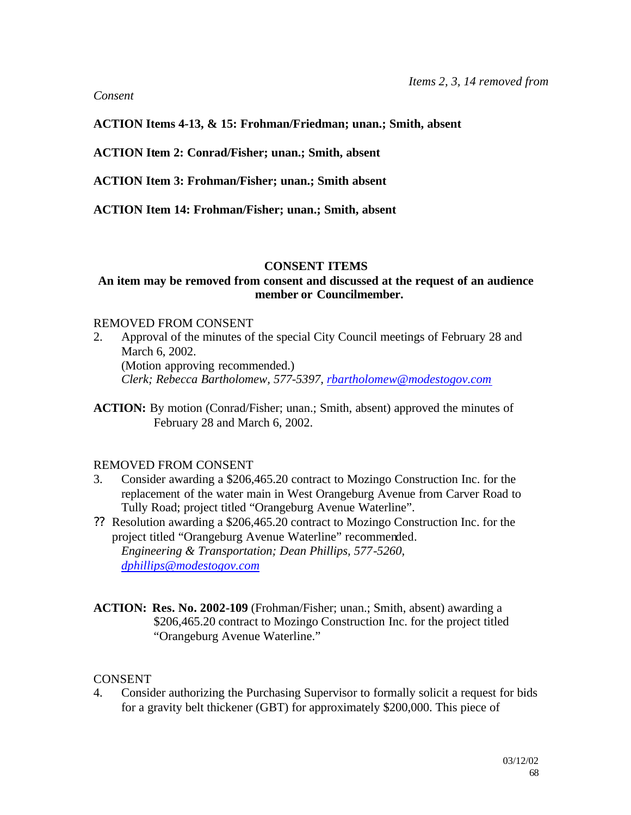#### *Consent*

#### **ACTION Items 4-13, & 15: Frohman/Friedman; unan.; Smith, absent**

**ACTION Item 2: Conrad/Fisher; unan.; Smith, absent**

**ACTION Item 3: Frohman/Fisher; unan.; Smith absent**

**ACTION Item 14: Frohman/Fisher; unan.; Smith, absent** 

#### **CONSENT ITEMS**

#### **An item may be removed from consent and discussed at the request of an audience member or Councilmember.**

#### REMOVED FROM CONSENT

- 2. Approval of the minutes of the special City Council meetings of February 28 and March 6, 2002. (Motion approving recommended.) *Clerk; Rebecca Bartholomew, 577-5397, rbartholomew@modestogov.com*
- **ACTION:** By motion (Conrad/Fisher; unan.; Smith, absent) approved the minutes of February 28 and March 6, 2002.

### REMOVED FROM CONSENT

- 3. Consider awarding a \$206,465.20 contract to Mozingo Construction Inc. for the replacement of the water main in West Orangeburg Avenue from Carver Road to Tully Road; project titled "Orangeburg Avenue Waterline".
- ?? Resolution awarding a \$206,465.20 contract to Mozingo Construction Inc. for the project titled "Orangeburg Avenue Waterline" recommended. *Engineering & Transportation; Dean Phillips, 577-5260, dphillips@modestogov.com*

**ACTION: Res. No. 2002-109** (Frohman/Fisher; unan.; Smith, absent) awarding a \$206,465.20 contract to Mozingo Construction Inc. for the project titled "Orangeburg Avenue Waterline."

#### **CONSENT**

4. Consider authorizing the Purchasing Supervisor to formally solicit a request for bids for a gravity belt thickener (GBT) for approximately \$200,000. This piece of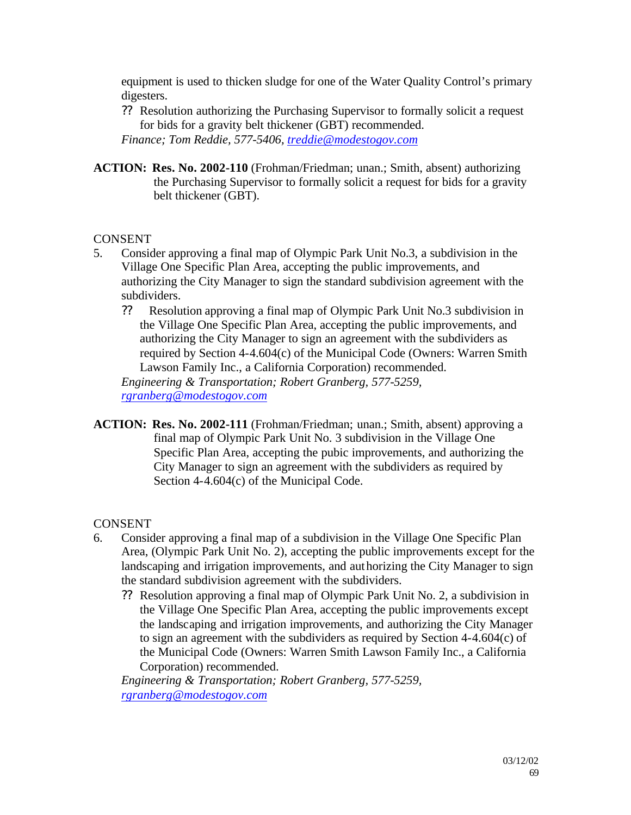equipment is used to thicken sludge for one of the Water Quality Control's primary digesters.

?? Resolution authorizing the Purchasing Supervisor to formally solicit a request for bids for a gravity belt thickener (GBT) recommended.

*Finance; Tom Reddie, 577-5406, treddie@modestogov.com*

**ACTION: Res. No. 2002-110** (Frohman/Friedman; unan.; Smith, absent) authorizing the Purchasing Supervisor to formally solicit a request for bids for a gravity belt thickener (GBT).

### **CONSENT**

- 5. Consider approving a final map of Olympic Park Unit No.3, a subdivision in the Village One Specific Plan Area, accepting the public improvements, and authorizing the City Manager to sign the standard subdivision agreement with the subdividers.
	- ?? Resolution approving a final map of Olympic Park Unit No.3 subdivision in the Village One Specific Plan Area, accepting the public improvements, and authorizing the City Manager to sign an agreement with the subdividers as required by Section 4-4.604(c) of the Municipal Code (Owners: Warren Smith Lawson Family Inc., a California Corporation) recommended.

*Engineering & Transportation; Robert Granberg, 577-5259, rgranberg@modestogov.com*

**ACTION: Res. No. 2002-111** (Frohman/Friedman; unan.; Smith, absent) approving a final map of Olympic Park Unit No. 3 subdivision in the Village One Specific Plan Area, accepting the pubic improvements, and authorizing the City Manager to sign an agreement with the subdividers as required by Section 4-4.604(c) of the Municipal Code.

### **CONSENT**

- 6. Consider approving a final map of a subdivision in the Village One Specific Plan Area, (Olympic Park Unit No. 2), accepting the public improvements except for the landscaping and irrigation improvements, and authorizing the City Manager to sign the standard subdivision agreement with the subdividers.
	- ?? Resolution approving a final map of Olympic Park Unit No. 2, a subdivision in the Village One Specific Plan Area, accepting the public improvements except the landscaping and irrigation improvements, and authorizing the City Manager to sign an agreement with the subdividers as required by Section 4-4.604(c) of the Municipal Code (Owners: Warren Smith Lawson Family Inc., a California Corporation) recommended.

*Engineering & Transportation; Robert Granberg, 577-5259, rgranberg@modestogov.com*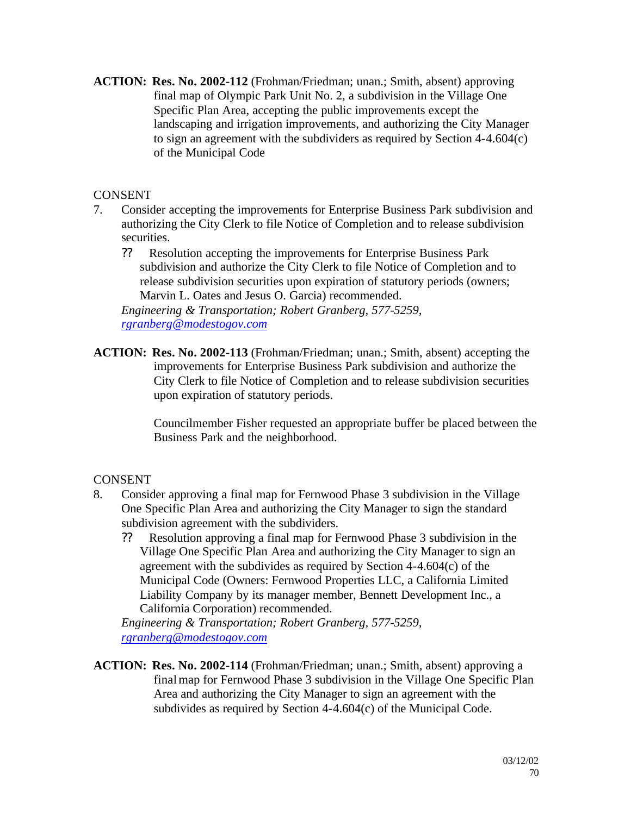**ACTION: Res. No. 2002-112** (Frohman/Friedman; unan.; Smith, absent) approving final map of Olympic Park Unit No. 2, a subdivision in the Village One Specific Plan Area, accepting the public improvements except the landscaping and irrigation improvements, and authorizing the City Manager to sign an agreement with the subdividers as required by Section 4-4.604(c) of the Municipal Code

### **CONSENT**

- 7. Consider accepting the improvements for Enterprise Business Park subdivision and authorizing the City Clerk to file Notice of Completion and to release subdivision securities.
	- ?? Resolution accepting the improvements for Enterprise Business Park subdivision and authorize the City Clerk to file Notice of Completion and to release subdivision securities upon expiration of statutory periods (owners; Marvin L. Oates and Jesus O. Garcia) recommended.

*Engineering & Transportation; Robert Granberg, 577-5259, rgranberg@modestogov.com*

**ACTION: Res. No. 2002-113** (Frohman/Friedman; unan.; Smith, absent) accepting the improvements for Enterprise Business Park subdivision and authorize the City Clerk to file Notice of Completion and to release subdivision securities upon expiration of statutory periods.

> Councilmember Fisher requested an appropriate buffer be placed between the Business Park and the neighborhood.

### **CONSENT**

- 8. Consider approving a final map for Fernwood Phase 3 subdivision in the Village One Specific Plan Area and authorizing the City Manager to sign the standard subdivision agreement with the subdividers.
	- ?? Resolution approving a final map for Fernwood Phase 3 subdivision in the Village One Specific Plan Area and authorizing the City Manager to sign an agreement with the subdivides as required by Section 4-4.604(c) of the Municipal Code (Owners: Fernwood Properties LLC, a California Limited Liability Company by its manager member, Bennett Development Inc., a California Corporation) recommended.

*Engineering & Transportation; Robert Granberg, 577-5259, rgranberg@modestogov.com*

**ACTION: Res. No. 2002-114** (Frohman/Friedman; unan.; Smith, absent) approving a final map for Fernwood Phase 3 subdivision in the Village One Specific Plan Area and authorizing the City Manager to sign an agreement with the subdivides as required by Section 4-4.604(c) of the Municipal Code.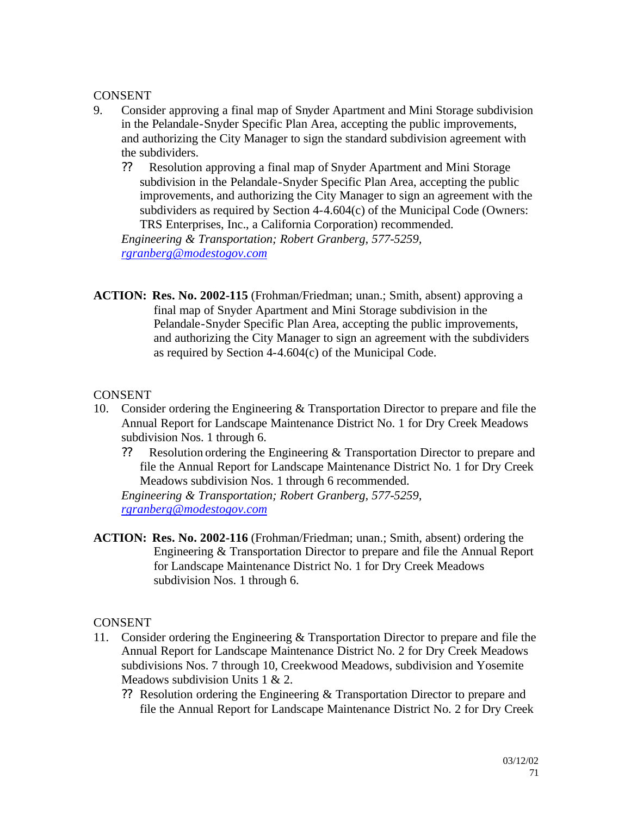#### **CONSENT**

- 9. Consider approving a final map of Snyder Apartment and Mini Storage subdivision in the Pelandale-Snyder Specific Plan Area, accepting the public improvements, and authorizing the City Manager to sign the standard subdivision agreement with the subdividers.
	- ?? Resolution approving a final map of Snyder Apartment and Mini Storage subdivision in the Pelandale-Snyder Specific Plan Area, accepting the public improvements, and authorizing the City Manager to sign an agreement with the subdividers as required by Section 4-4.604(c) of the Municipal Code (Owners: TRS Enterprises, Inc., a California Corporation) recommended.

*Engineering & Transportation; Robert Granberg, 577-5259, rgranberg@modestogov.com*

**ACTION: Res. No. 2002-115** (Frohman/Friedman; unan.; Smith, absent) approving a final map of Snyder Apartment and Mini Storage subdivision in the Pelandale-Snyder Specific Plan Area, accepting the public improvements, and authorizing the City Manager to sign an agreement with the subdividers as required by Section 4-4.604(c) of the Municipal Code.

### CONSENT

- 10. Consider ordering the Engineering & Transportation Director to prepare and file the Annual Report for Landscape Maintenance District No. 1 for Dry Creek Meadows subdivision Nos. 1 through 6.
	- ?? Resolution ordering the Engineering & Transportation Director to prepare and file the Annual Report for Landscape Maintenance District No. 1 for Dry Creek Meadows subdivision Nos. 1 through 6 recommended.

*Engineering & Transportation; Robert Granberg, 577-5259, rgranberg@modestogov.com*

**ACTION: Res. No. 2002-116** (Frohman/Friedman; unan.; Smith, absent) ordering the Engineering & Transportation Director to prepare and file the Annual Report for Landscape Maintenance District No. 1 for Dry Creek Meadows subdivision Nos. 1 through 6.

### CONSENT

- 11. Consider ordering the Engineering & Transportation Director to prepare and file the Annual Report for Landscape Maintenance District No. 2 for Dry Creek Meadows subdivisions Nos. 7 through 10, Creekwood Meadows, subdivision and Yosemite Meadows subdivision Units 1 & 2.
	- ?? Resolution ordering the Engineering & Transportation Director to prepare and file the Annual Report for Landscape Maintenance District No. 2 for Dry Creek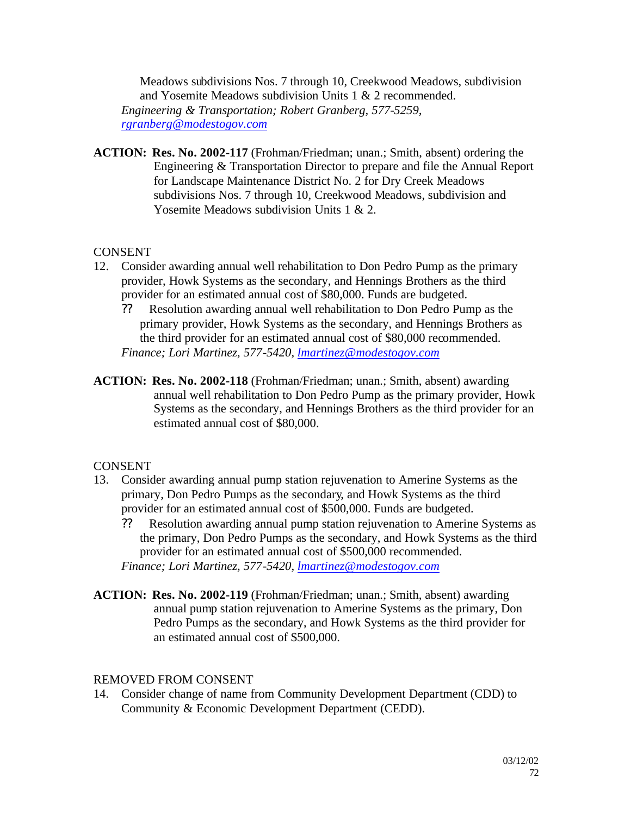Meadows subdivisions Nos. 7 through 10, Creekwood Meadows, subdivision and Yosemite Meadows subdivision Units 1 & 2 recommended. *Engineering & Transportation; Robert Granberg, 577-5259, rgranberg@modestogov.com*

**ACTION: Res. No. 2002-117** (Frohman/Friedman; unan.; Smith, absent) ordering the Engineering & Transportation Director to prepare and file the Annual Report for Landscape Maintenance District No. 2 for Dry Creek Meadows subdivisions Nos. 7 through 10, Creekwood Meadows, subdivision and Yosemite Meadows subdivision Units 1 & 2.

#### **CONSENT**

- 12. Consider awarding annual well rehabilitation to Don Pedro Pump as the primary provider, Howk Systems as the secondary, and Hennings Brothers as the third provider for an estimated annual cost of \$80,000. Funds are budgeted.
	- ?? Resolution awarding annual well rehabilitation to Don Pedro Pump as the primary provider, Howk Systems as the secondary, and Hennings Brothers as the third provider for an estimated annual cost of \$80,000 recommended. *Finance; Lori Martinez, 577-5420, lmartinez@modestogov.com*
- **ACTION: Res. No. 2002-118** (Frohman/Friedman; unan.; Smith, absent) awarding annual well rehabilitation to Don Pedro Pump as the primary provider, Howk Systems as the secondary, and Hennings Brothers as the third provider for an estimated annual cost of \$80,000.

#### **CONSENT**

- 13. Consider awarding annual pump station rejuvenation to Amerine Systems as the primary, Don Pedro Pumps as the secondary, and Howk Systems as the third provider for an estimated annual cost of \$500,000. Funds are budgeted.
	- ?? Resolution awarding annual pump station rejuvenation to Amerine Systems as the primary, Don Pedro Pumps as the secondary, and Howk Systems as the third provider for an estimated annual cost of \$500,000 recommended.

*Finance; Lori Martinez, 577-5420, lmartinez@modestogov.com*

**ACTION: Res. No. 2002-119** (Frohman/Friedman; unan.; Smith, absent) awarding annual pump station rejuvenation to Amerine Systems as the primary, Don Pedro Pumps as the secondary, and Howk Systems as the third provider for an estimated annual cost of \$500,000.

#### REMOVED FROM CONSENT

14. Consider change of name from Community Development Department (CDD) to Community & Economic Development Department (CEDD).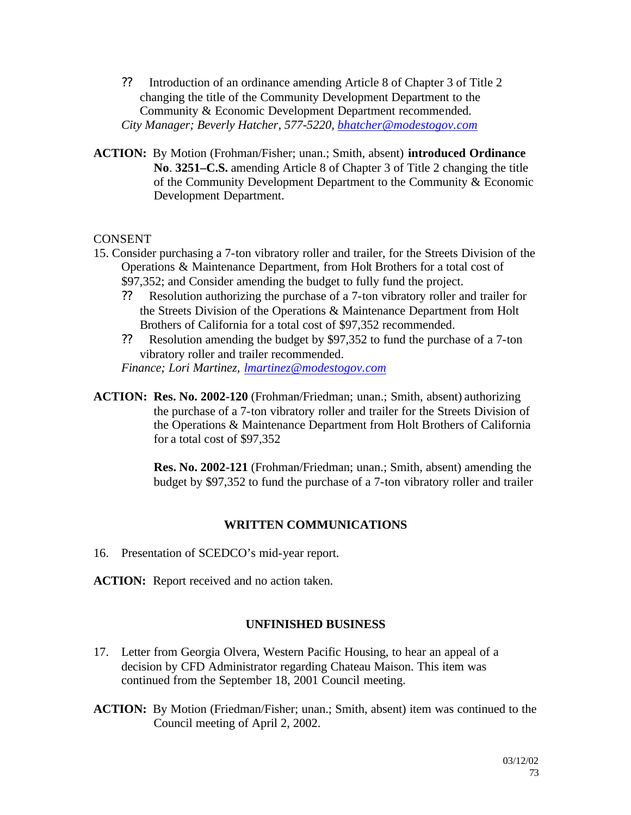- ?? Introduction of an ordinance amending Article 8 of Chapter 3 of Title 2 changing the title of the Community Development Department to the Community & Economic Development Department recommended. *City Manager; Beverly Hatcher, 577-5220, bhatcher@modestogov.com*
- **ACTION:** By Motion (Frohman/Fisher; unan.; Smith, absent) **introduced Ordinance No**. **3251–C.S.** amending Article 8 of Chapter 3 of Title 2 changing the title of the Community Development Department to the Community & Economic Development Department.

- 15. Consider purchasing a 7-ton vibratory roller and trailer, for the Streets Division of the Operations & Maintenance Department, from Holt Brothers for a total cost of \$97,352; and Consider amending the budget to fully fund the project.
	- ?? Resolution authorizing the purchase of a 7-ton vibratory roller and trailer for the Streets Division of the Operations & Maintenance Department from Holt Brothers of California for a total cost of \$97,352 recommended.
	- ?? Resolution amending the budget by \$97,352 to fund the purchase of a 7-ton vibratory roller and trailer recommended.

*Finance; Lori Martinez, lmartinez@modestogov.com*

**ACTION: Res. No. 2002-120** (Frohman/Friedman; unan.; Smith, absent) authorizing the purchase of a 7-ton vibratory roller and trailer for the Streets Division of the Operations & Maintenance Department from Holt Brothers of California for a total cost of \$97,352

> **Res. No. 2002-121** (Frohman/Friedman; unan.; Smith, absent) amending the budget by \$97,352 to fund the purchase of a 7-ton vibratory roller and trailer

### **WRITTEN COMMUNICATIONS**

- 16. Presentation of SCEDCO's mid-year report.
- **ACTION:** Report received and no action taken.

### **UNFINISHED BUSINESS**

- 17. Letter from Georgia Olvera, Western Pacific Housing, to hear an appeal of a decision by CFD Administrator regarding Chateau Maison. This item was continued from the September 18, 2001 Council meeting.
- **ACTION:** By Motion (Friedman/Fisher; unan.; Smith, absent) item was continued to the Council meeting of April 2, 2002.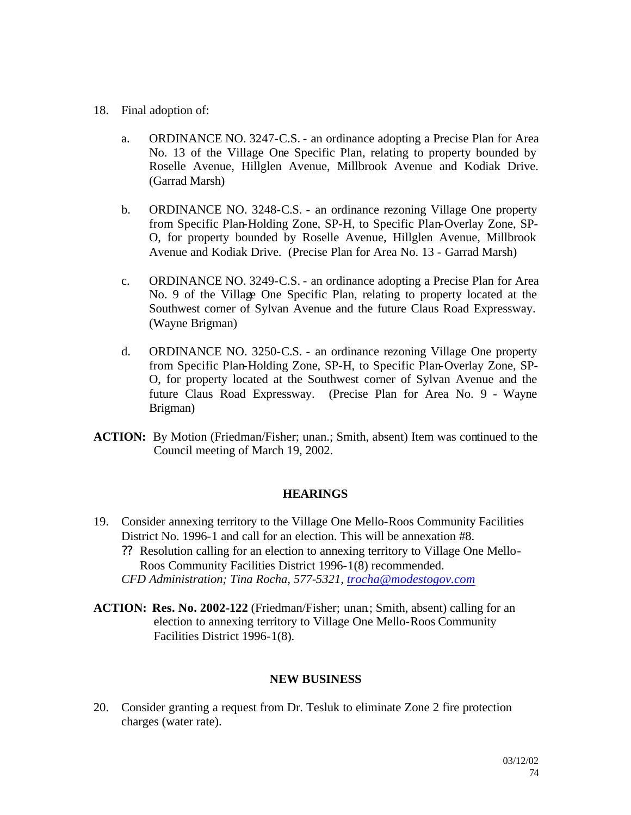- 18. Final adoption of:
	- a. ORDINANCE NO. 3247-C.S. an ordinance adopting a Precise Plan for Area No. 13 of the Village One Specific Plan, relating to property bounded by Roselle Avenue, Hillglen Avenue, Millbrook Avenue and Kodiak Drive. (Garrad Marsh)
	- b. ORDINANCE NO. 3248-C.S. an ordinance rezoning Village One property from Specific Plan-Holding Zone, SP-H, to Specific Plan-Overlay Zone, SP-O, for property bounded by Roselle Avenue, Hillglen Avenue, Millbrook Avenue and Kodiak Drive. (Precise Plan for Area No. 13 - Garrad Marsh)
	- c. ORDINANCE NO. 3249-C.S. an ordinance adopting a Precise Plan for Area No. 9 of the Village One Specific Plan, relating to property located at the Southwest corner of Sylvan Avenue and the future Claus Road Expressway. (Wayne Brigman)
	- d. ORDINANCE NO. 3250-C.S. an ordinance rezoning Village One property from Specific Plan-Holding Zone, SP-H, to Specific Plan-Overlay Zone, SP-O, for property located at the Southwest corner of Sylvan Avenue and the future Claus Road Expressway. (Precise Plan for Area No. 9 - Wayne Brigman)
- **ACTION:** By Motion (Friedman/Fisher; unan.; Smith, absent) Item was continued to the Council meeting of March 19, 2002.

### **HEARINGS**

- 19. Consider annexing territory to the Village One Mello-Roos Community Facilities District No. 1996-1 and call for an election. This will be annexation #8.
	- ?? Resolution calling for an election to annexing territory to Village One Mello-Roos Community Facilities District 1996-1(8) recommended.
	- *CFD Administration; Tina Rocha, 577-5321, trocha@modestogov.com*
- **ACTION: Res. No. 2002-122** (Friedman/Fisher; unan.; Smith, absent) calling for an election to annexing territory to Village One Mello-Roos Community Facilities District 1996-1(8).

#### **NEW BUSINESS**

20. Consider granting a request from Dr. Tesluk to eliminate Zone 2 fire protection charges (water rate).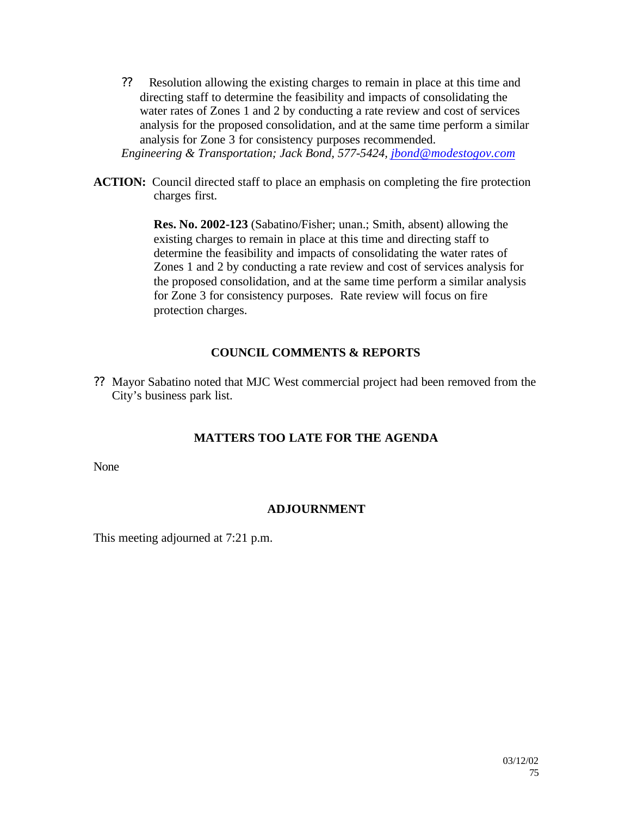?? Resolution allowing the existing charges to remain in place at this time and directing staff to determine the feasibility and impacts of consolidating the water rates of Zones 1 and 2 by conducting a rate review and cost of services analysis for the proposed consolidation, and at the same time perform a similar analysis for Zone 3 for consistency purposes recommended.

*Engineering & Transportation; Jack Bond, 577-5424, jbond@modestogov.com*

**ACTION:** Council directed staff to place an emphasis on completing the fire protection charges first.

> **Res. No. 2002-123** (Sabatino/Fisher; unan.; Smith, absent) allowing the existing charges to remain in place at this time and directing staff to determine the feasibility and impacts of consolidating the water rates of Zones 1 and 2 by conducting a rate review and cost of services analysis for the proposed consolidation, and at the same time perform a similar analysis for Zone 3 for consistency purposes. Rate review will focus on fire protection charges.

## **COUNCIL COMMENTS & REPORTS**

?? Mayor Sabatino noted that MJC West commercial project had been removed from the City's business park list.

## **MATTERS TOO LATE FOR THE AGENDA**

None

## **ADJOURNMENT**

This meeting adjourned at 7:21 p.m.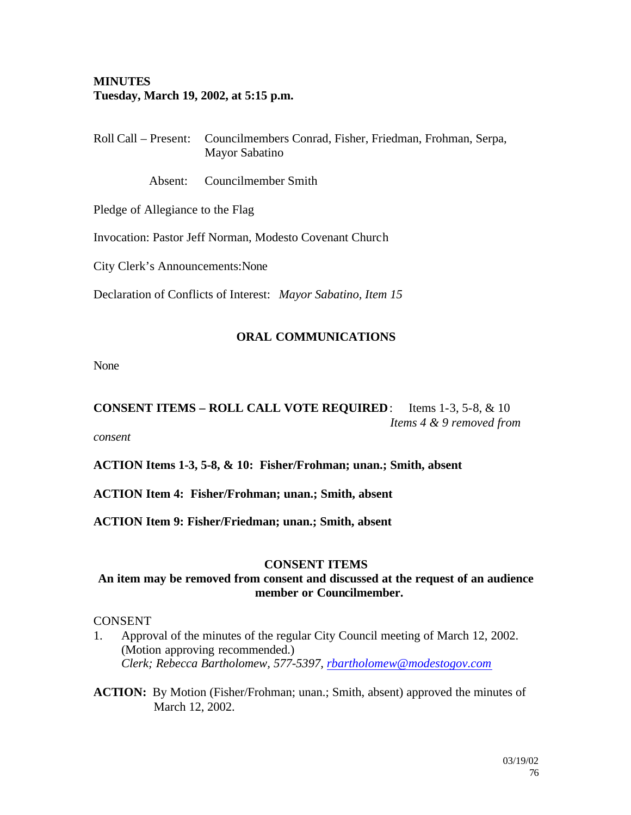## **MINUTES Tuesday, March 19, 2002, at 5:15 p.m.**

Roll Call – Present: Councilmembers Conrad, Fisher, Friedman, Frohman, Serpa, Mayor Sabatino

Absent: Councilmember Smith

Pledge of Allegiance to the Flag

Invocation: Pastor Jeff Norman, Modesto Covenant Church

City Clerk's Announcements:None

Declaration of Conflicts of Interest: *Mayor Sabatino, Item 15*

### **ORAL COMMUNICATIONS**

None

**CONSENT ITEMS – ROLL CALL VOTE REQUIRED**: Items 1-3, 5-8, & 10 *Items 4 & 9 removed from* 

*consent*

**ACTION Items 1-3, 5-8, & 10: Fisher/Frohman; unan.; Smith, absent**

**ACTION Item 4: Fisher/Frohman; unan.; Smith, absent**

**ACTION Item 9: Fisher/Friedman; unan.; Smith, absent**

### **CONSENT ITEMS**

### **An item may be removed from consent and discussed at the request of an audience member or Councilmember.**

### CONSENT

- 1. Approval of the minutes of the regular City Council meeting of March 12, 2002. (Motion approving recommended.) *Clerk; Rebecca Bartholomew, 577-5397, rbartholomew@modestogov.com*
- **ACTION:** By Motion (Fisher/Frohman; unan.; Smith, absent) approved the minutes of March 12, 2002.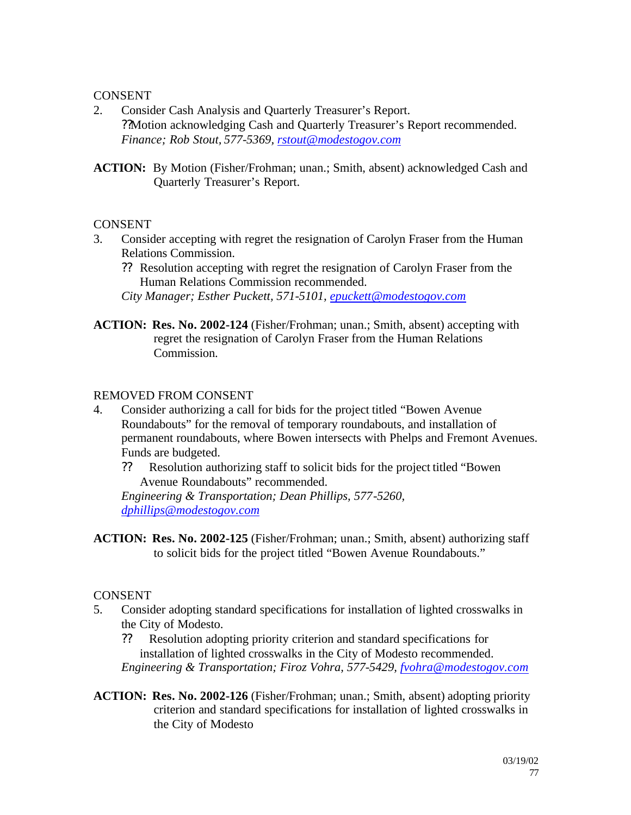- 2. Consider Cash Analysis and Quarterly Treasurer's Report. ??Motion acknowledging Cash and Quarterly Treasurer's Report recommended. *Finance; Rob Stout, 577-5369, rstout@modestogov.com*
- **ACTION:** By Motion (Fisher/Frohman; unan.; Smith, absent) acknowledged Cash and Quarterly Treasurer's Report.

### **CONSENT**

3. Consider accepting with regret the resignation of Carolyn Fraser from the Human Relations Commission.

?? Resolution accepting with regret the resignation of Carolyn Fraser from the Human Relations Commission recommended.

*City Manager; Esther Puckett, 571-5101, epuckett@modestogov.com*

**ACTION: Res. No. 2002-124** (Fisher/Frohman; unan.; Smith, absent) accepting with regret the resignation of Carolyn Fraser from the Human Relations Commission.

### REMOVED FROM CONSENT

- 4. Consider authorizing a call for bids for the project titled "Bowen Avenue Roundabouts" for the removal of temporary roundabouts, and installation of permanent roundabouts, where Bowen intersects with Phelps and Fremont Avenues. Funds are budgeted.
	- ?? Resolution authorizing staff to solicit bids for the project titled "Bowen Avenue Roundabouts" recommended.

*Engineering & Transportation; Dean Phillips, 577-5260, dphillips@modestogov.com*

**ACTION: Res. No. 2002-125** (Fisher/Frohman; unan.; Smith, absent) authorizing staff to solicit bids for the project titled "Bowen Avenue Roundabouts."

## **CONSENT**

- 5. Consider adopting standard specifications for installation of lighted crosswalks in the City of Modesto.
	- ?? Resolution adopting priority criterion and standard specifications for installation of lighted crosswalks in the City of Modesto recommended. *Engineering & Transportation; Firoz Vohra, 577-5429, fvohra@modestogov.com*
- **ACTION: Res. No. 2002-126** (Fisher/Frohman; unan.; Smith, absent) adopting priority criterion and standard specifications for installation of lighted crosswalks in the City of Modesto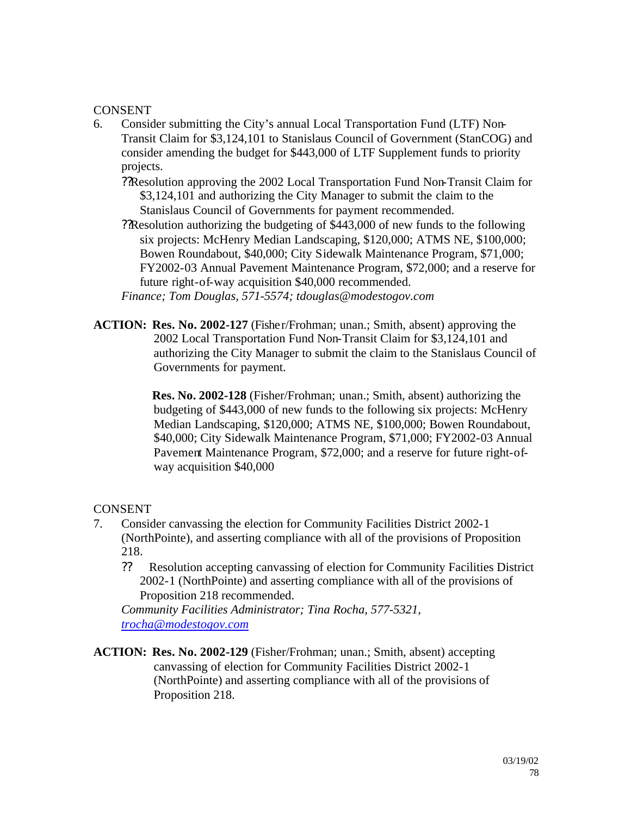- 6. Consider submitting the City's annual Local Transportation Fund (LTF) Non-Transit Claim for \$3,124,101 to Stanislaus Council of Government (StanCOG) and consider amending the budget for \$443,000 of LTF Supplement funds to priority projects.
	- ??Resolution approving the 2002 Local Transportation Fund Non-Transit Claim for \$3,124,101 and authorizing the City Manager to submit the claim to the Stanislaus Council of Governments for payment recommended.

??Resolution authorizing the budgeting of \$443,000 of new funds to the following six projects: McHenry Median Landscaping, \$120,000; ATMS NE, \$100,000; Bowen Roundabout, \$40,000; City Sidewalk Maintenance Program, \$71,000; FY2002-03 Annual Pavement Maintenance Program, \$72,000; and a reserve for future right-of-way acquisition \$40,000 recommended.

- *Finance; Tom Douglas, 571-5574; tdouglas@modestogov.com*
- **ACTION: Res. No. 2002-127** (Fisher/Frohman; unan.; Smith, absent) approving the 2002 Local Transportation Fund Non-Transit Claim for \$3,124,101 and authorizing the City Manager to submit the claim to the Stanislaus Council of Governments for payment.

**Res. No. 2002-128** (Fisher/Frohman; unan.; Smith, absent) authorizing the budgeting of \$443,000 of new funds to the following six projects: McHenry Median Landscaping, \$120,000; ATMS NE, \$100,000; Bowen Roundabout, \$40,000; City Sidewalk Maintenance Program, \$71,000; FY2002-03 Annual Pavement Maintenance Program, \$72,000; and a reserve for future right-ofway acquisition \$40,000

## **CONSENT**

- 7. Consider canvassing the election for Community Facilities District 2002-1 (NorthPointe), and asserting compliance with all of the provisions of Proposition 218.
	- ?? Resolution accepting canvassing of election for Community Facilities District 2002-1 (NorthPointe) and asserting compliance with all of the provisions of Proposition 218 recommended.

*Community Facilities Administrator; Tina Rocha, 577-5321, trocha@modestogov.com*

**ACTION: Res. No. 2002-129** (Fisher/Frohman; unan.; Smith, absent) accepting canvassing of election for Community Facilities District 2002-1 (NorthPointe) and asserting compliance with all of the provisions of Proposition 218.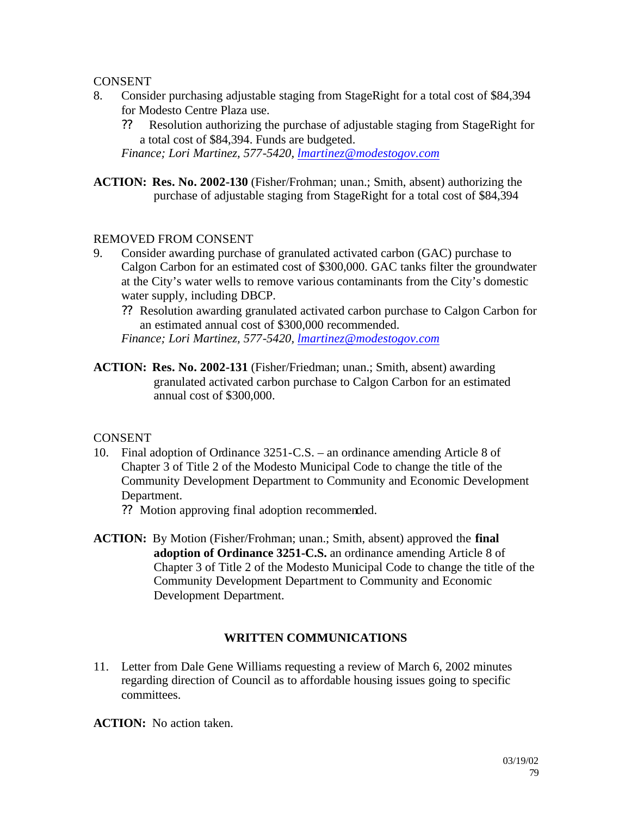- 8. Consider purchasing adjustable staging from StageRight for a total cost of \$84,394 for Modesto Centre Plaza use.
	- ?? Resolution authorizing the purchase of adjustable staging from StageRight for a total cost of \$84,394. Funds are budgeted.

*Finance; Lori Martinez, 577-5420, lmartinez@modestogov.com*

**ACTION: Res. No. 2002-130** (Fisher/Frohman; unan.; Smith, absent) authorizing the purchase of adjustable staging from StageRight for a total cost of \$84,394

### REMOVED FROM CONSENT

- 9. Consider awarding purchase of granulated activated carbon (GAC) purchase to Calgon Carbon for an estimated cost of \$300,000. GAC tanks filter the groundwater at the City's water wells to remove various contaminants from the City's domestic water supply, including DBCP.
	- ?? Resolution awarding granulated activated carbon purchase to Calgon Carbon for an estimated annual cost of \$300,000 recommended.

*Finance; Lori Martinez, 577-5420, lmartinez@modestogov.com*

**ACTION: Res. No. 2002-131** (Fisher/Friedman; unan.; Smith, absent) awarding granulated activated carbon purchase to Calgon Carbon for an estimated annual cost of \$300,000.

**CONSENT** 

- 10. Final adoption of Ordinance 3251-C.S. an ordinance amending Article 8 of Chapter 3 of Title 2 of the Modesto Municipal Code to change the title of the Community Development Department to Community and Economic Development Department.
	- ?? Motion approving final adoption recommended.
- **ACTION:** By Motion (Fisher/Frohman; unan.; Smith, absent) approved the **final adoption of Ordinance 3251-C.S.** an ordinance amending Article 8 of Chapter 3 of Title 2 of the Modesto Municipal Code to change the title of the Community Development Department to Community and Economic Development Department.

## **WRITTEN COMMUNICATIONS**

11. Letter from Dale Gene Williams requesting a review of March 6, 2002 minutes regarding direction of Council as to affordable housing issues going to specific committees.

**ACTION:** No action taken.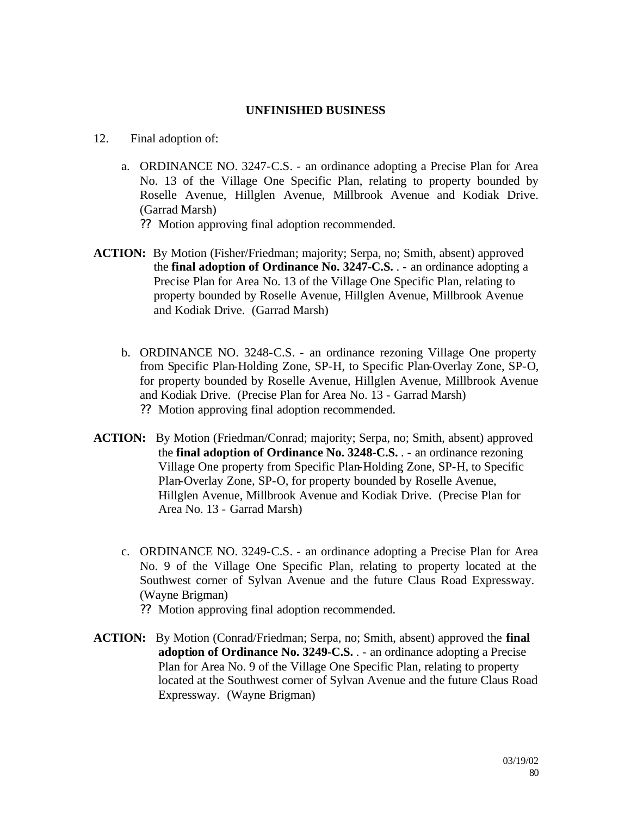### **UNFINISHED BUSINESS**

- 12. Final adoption of:
	- a. ORDINANCE NO. 3247-C.S. an ordinance adopting a Precise Plan for Area No. 13 of the Village One Specific Plan, relating to property bounded by Roselle Avenue, Hillglen Avenue, Millbrook Avenue and Kodiak Drive. (Garrad Marsh)
		- ?? Motion approving final adoption recommended.
- **ACTION:** By Motion (Fisher/Friedman; majority; Serpa, no; Smith, absent) approved the **final adoption of Ordinance No. 3247-C.S.** . - an ordinance adopting a Precise Plan for Area No. 13 of the Village One Specific Plan, relating to property bounded by Roselle Avenue, Hillglen Avenue, Millbrook Avenue and Kodiak Drive. (Garrad Marsh)
	- b. ORDINANCE NO. 3248-C.S. an ordinance rezoning Village One property from Specific Plan-Holding Zone, SP-H, to Specific Plan-Overlay Zone, SP-O, for property bounded by Roselle Avenue, Hillglen Avenue, Millbrook Avenue and Kodiak Drive. (Precise Plan for Area No. 13 - Garrad Marsh) ?? Motion approving final adoption recommended.
- **ACTION:** By Motion (Friedman/Conrad; majority; Serpa, no; Smith, absent) approved the **final adoption of Ordinance No. 3248-C.S.** . - an ordinance rezoning Village One property from Specific Plan-Holding Zone, SP-H, to Specific Plan-Overlay Zone, SP-O, for property bounded by Roselle Avenue, Hillglen Avenue, Millbrook Avenue and Kodiak Drive. (Precise Plan for Area No. 13 - Garrad Marsh)
	- c. ORDINANCE NO. 3249-C.S. an ordinance adopting a Precise Plan for Area No. 9 of the Village One Specific Plan, relating to property located at the Southwest corner of Sylvan Avenue and the future Claus Road Expressway. (Wayne Brigman)
		- ?? Motion approving final adoption recommended.
- **ACTION:** By Motion (Conrad/Friedman; Serpa, no; Smith, absent) approved the **final adoption of Ordinance No. 3249-C.S.** . - an ordinance adopting a Precise Plan for Area No. 9 of the Village One Specific Plan, relating to property located at the Southwest corner of Sylvan Avenue and the future Claus Road Expressway. (Wayne Brigman)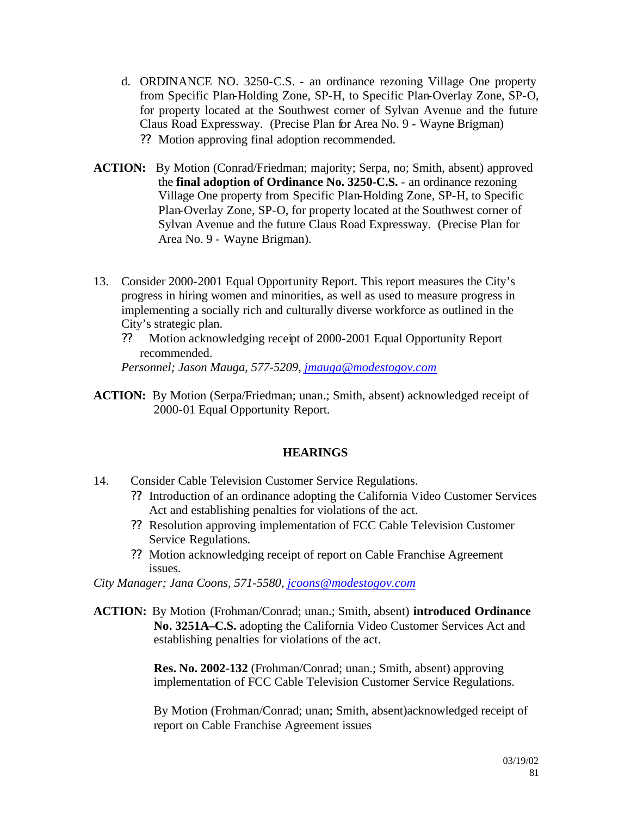- d. ORDINANCE NO. 3250-C.S. an ordinance rezoning Village One property from Specific Plan-Holding Zone, SP-H, to Specific Plan-Overlay Zone, SP-O, for property located at the Southwest corner of Sylvan Avenue and the future Claus Road Expressway. (Precise Plan for Area No. 9 - Wayne Brigman) ?? Motion approving final adoption recommended.
- **ACTION:** By Motion (Conrad/Friedman; majority; Serpa, no; Smith, absent) approved the **final adoption of Ordinance No. 3250-C.S.** - an ordinance rezoning Village One property from Specific Plan-Holding Zone, SP-H, to Specific Plan-Overlay Zone, SP-O, for property located at the Southwest corner of Sylvan Avenue and the future Claus Road Expressway. (Precise Plan for Area No. 9 - Wayne Brigman).
- 13. Consider 2000-2001 Equal Opportunity Report. This report measures the City's progress in hiring women and minorities, as well as used to measure progress in implementing a socially rich and culturally diverse workforce as outlined in the City's strategic plan.
	- ?? Motion acknowledging receipt of 2000-2001 Equal Opportunity Report recommended.

*Personnel; Jason Mauga, 577-5209, jmauga@modestogov.com*

**ACTION:** By Motion (Serpa/Friedman; unan.; Smith, absent) acknowledged receipt of 2000-01 Equal Opportunity Report.

## **HEARINGS**

- 14. Consider Cable Television Customer Service Regulations.
	- ?? Introduction of an ordinance adopting the California Video Customer Services Act and establishing penalties for violations of the act.
	- ?? Resolution approving implementation of FCC Cable Television Customer Service Regulations.
	- ?? Motion acknowledging receipt of report on Cable Franchise Agreement issues.

*City Manager; Jana Coons, 571-5580, jcoons@modestogov.com*

**ACTION:** By Motion (Frohman/Conrad; unan.; Smith, absent) **introduced Ordinance No. 3251A–C.S.** adopting the California Video Customer Services Act and establishing penalties for violations of the act.

> **Res. No. 2002-132** (Frohman/Conrad; unan.; Smith, absent) approving implementation of FCC Cable Television Customer Service Regulations.

By Motion (Frohman/Conrad; unan; Smith, absent)acknowledged receipt of report on Cable Franchise Agreement issues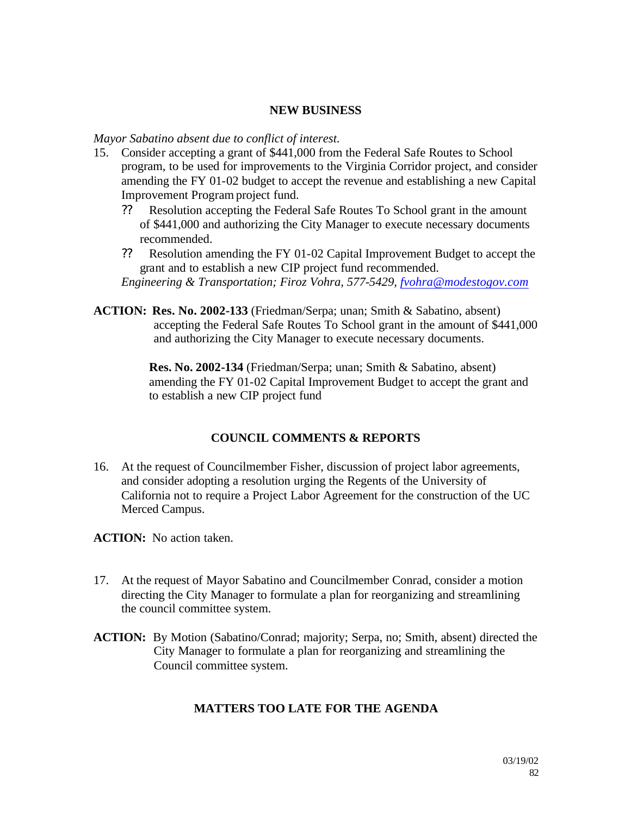### **NEW BUSINESS**

### *Mayor Sabatino absent due to conflict of interest.*

- 15. Consider accepting a grant of \$441,000 from the Federal Safe Routes to School program, to be used for improvements to the Virginia Corridor project, and consider amending the FY 01-02 budget to accept the revenue and establishing a new Capital Improvement Program project fund.
	- ?? Resolution accepting the Federal Safe Routes To School grant in the amount of \$441,000 and authorizing the City Manager to execute necessary documents recommended.
	- ?? Resolution amending the FY 01-02 Capital Improvement Budget to accept the grant and to establish a new CIP project fund recommended. *Engineering & Transportation; Firoz Vohra, 577-5429, fvohra@modestogov.com*
- **ACTION: Res. No. 2002-133** (Friedman/Serpa; unan; Smith & Sabatino, absent)
	- accepting the Federal Safe Routes To School grant in the amount of \$441,000 and authorizing the City Manager to execute necessary documents.

**Res. No. 2002-134** (Friedman/Serpa; unan; Smith & Sabatino, absent) amending the FY 01-02 Capital Improvement Budget to accept the grant and to establish a new CIP project fund

## **COUNCIL COMMENTS & REPORTS**

16. At the request of Councilmember Fisher, discussion of project labor agreements, and consider adopting a resolution urging the Regents of the University of California not to require a Project Labor Agreement for the construction of the UC Merced Campus.

**ACTION:** No action taken.

- 17. At the request of Mayor Sabatino and Councilmember Conrad, consider a motion directing the City Manager to formulate a plan for reorganizing and streamlining the council committee system.
- **ACTION:** By Motion (Sabatino/Conrad; majority; Serpa, no; Smith, absent) directed the City Manager to formulate a plan for reorganizing and streamlining the Council committee system.

## **MATTERS TOO LATE FOR THE AGENDA**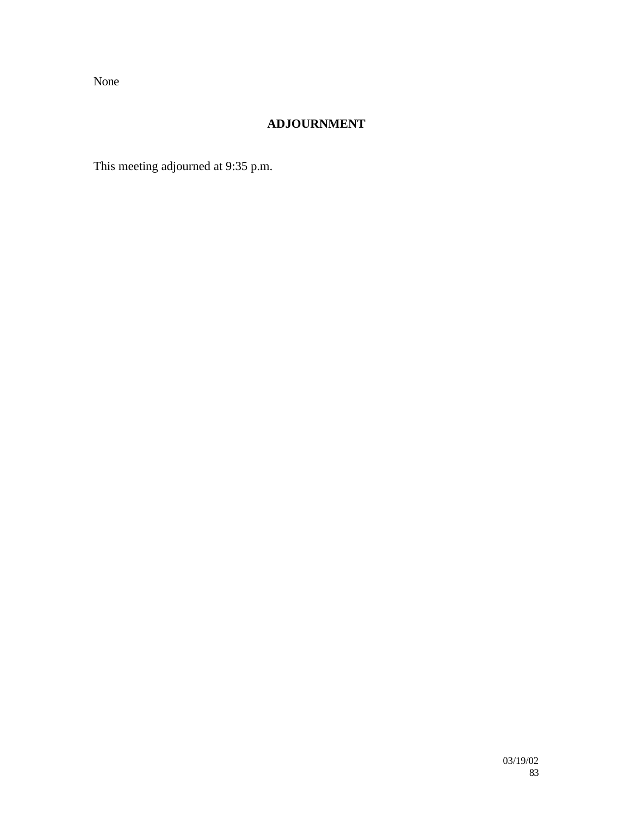None

## **ADJOURNMENT**

This meeting adjourned at 9:35 p.m.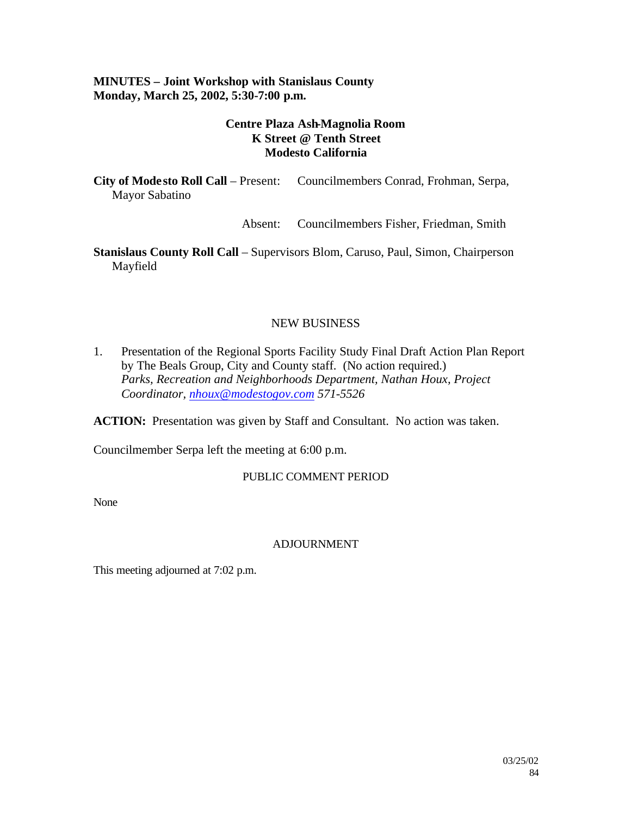## **MINUTES – Joint Workshop with Stanislaus County Monday, March 25, 2002, 5:30-7:00 p.m.**

## **Centre Plaza Ash-Magnolia Room K Street @ Tenth Street Modesto California**

**City of Mode sto Roll Call** – Present: Councilmembers Conrad, Frohman, Serpa, Mayor Sabatino

Absent: Councilmembers Fisher, Friedman, Smith

**Stanislaus County Roll Call** – Supervisors Blom, Caruso, Paul, Simon, Chairperson Mayfield

## NEW BUSINESS

1. Presentation of the Regional Sports Facility Study Final Draft Action Plan Report by The Beals Group, City and County staff. (No action required.) *Parks, Recreation and Neighborhoods Department, Nathan Houx, Project Coordinator, nhoux@modestogov.com 571-5526* 

**ACTION:** Presentation was given by Staff and Consultant. No action was taken.

Councilmember Serpa left the meeting at 6:00 p.m.

### PUBLIC COMMENT PERIOD

None

## ADJOURNMENT

This meeting adjourned at 7:02 p.m.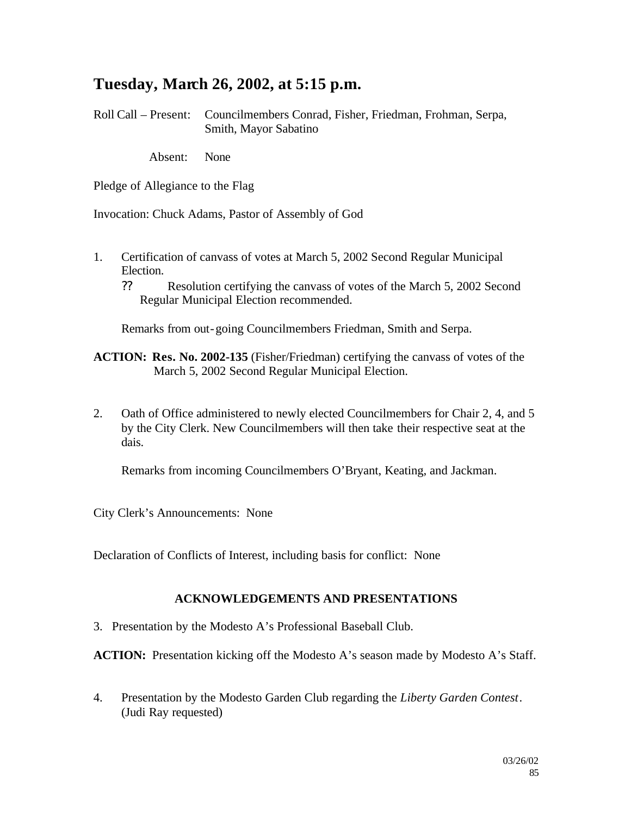## **Tuesday, March 26, 2002, at 5:15 p.m.**

Roll Call – Present: Councilmembers Conrad, Fisher, Friedman, Frohman, Serpa, Smith, Mayor Sabatino

Absent: None

Pledge of Allegiance to the Flag

Invocation: Chuck Adams, Pastor of Assembly of God

- 1. Certification of canvass of votes at March 5, 2002 Second Regular Municipal Election.
	- ?? Resolution certifying the canvass of votes of the March 5, 2002 Second Regular Municipal Election recommended.

Remarks from out-going Councilmembers Friedman, Smith and Serpa.

**ACTION: Res. No. 2002-135** (Fisher/Friedman) certifying the canvass of votes of the March 5, 2002 Second Regular Municipal Election.

2. Oath of Office administered to newly elected Councilmembers for Chair 2, 4, and 5 by the City Clerk. New Councilmembers will then take their respective seat at the dais.

Remarks from incoming Councilmembers O'Bryant, Keating, and Jackman.

City Clerk's Announcements: None

Declaration of Conflicts of Interest, including basis for conflict: None

### **ACKNOWLEDGEMENTS AND PRESENTATIONS**

3. Presentation by the Modesto A's Professional Baseball Club.

**ACTION:** Presentation kicking off the Modesto A's season made by Modesto A's Staff.

4. Presentation by the Modesto Garden Club regarding the *Liberty Garden Contest*. (Judi Ray requested)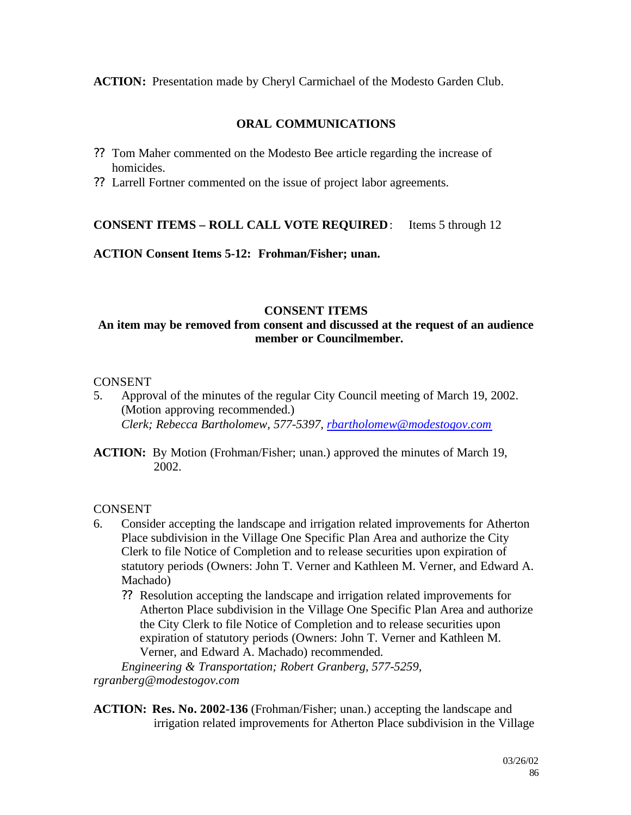**ACTION:** Presentation made by Cheryl Carmichael of the Modesto Garden Club.

## **ORAL COMMUNICATIONS**

- ?? Tom Maher commented on the Modesto Bee article regarding the increase of homicides.
- ?? Larrell Fortner commented on the issue of project labor agreements.

## **CONSENT ITEMS – ROLL CALL VOTE REQUIRED**: Items 5 through 12

**ACTION Consent Items 5-12: Frohman/Fisher; unan.**

### **CONSENT ITEMS**

## **An item may be removed from consent and discussed at the request of an audience member or Councilmember.**

## CONSENT

- 5. Approval of the minutes of the regular City Council meeting of March 19, 2002. (Motion approving recommended.) *Clerk; Rebecca Bartholomew, 577-5397, rbartholomew@modestogov.com*
- **ACTION:** By Motion (Frohman/Fisher; unan.) approved the minutes of March 19, 2002.

## **CONSENT**

- 6. Consider accepting the landscape and irrigation related improvements for Atherton Place subdivision in the Village One Specific Plan Area and authorize the City Clerk to file Notice of Completion and to release securities upon expiration of statutory periods (Owners: John T. Verner and Kathleen M. Verner, and Edward A. Machado)
	- ?? Resolution accepting the landscape and irrigation related improvements for Atherton Place subdivision in the Village One Specific Plan Area and authorize the City Clerk to file Notice of Completion and to release securities upon expiration of statutory periods (Owners: John T. Verner and Kathleen M. Verner, and Edward A. Machado) recommended.

*Engineering & Transportation; Robert Granberg, 577-5259, rgranberg@modestogov.com*

**ACTION: Res. No. 2002-136** (Frohman/Fisher; unan.) accepting the landscape and irrigation related improvements for Atherton Place subdivision in the Village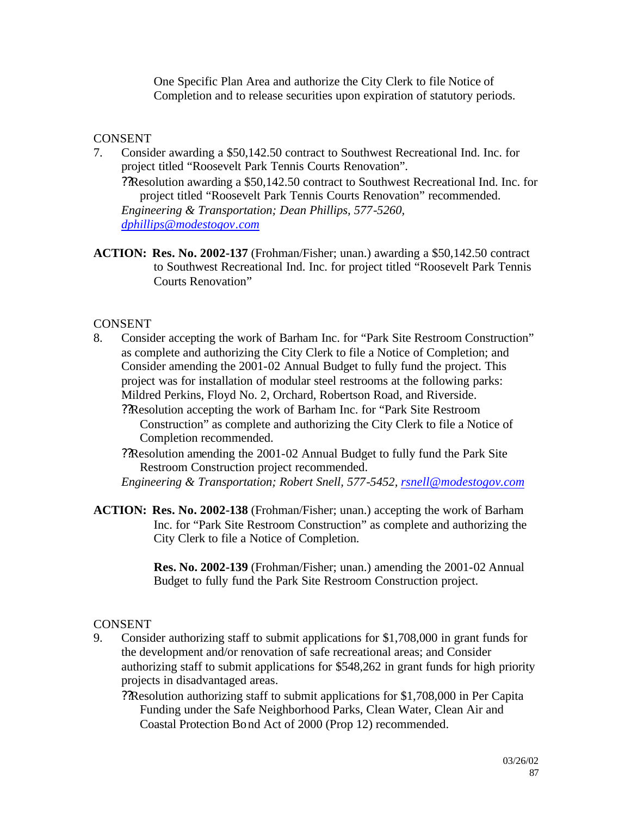One Specific Plan Area and authorize the City Clerk to file Notice of Completion and to release securities upon expiration of statutory periods.

## **CONSENT**

7. Consider awarding a \$50,142.50 contract to Southwest Recreational Ind. Inc. for project titled "Roosevelt Park Tennis Courts Renovation".

??Resolution awarding a \$50,142.50 contract to Southwest Recreational Ind. Inc. for project titled "Roosevelt Park Tennis Courts Renovation" recommended. *Engineering & Transportation; Dean Phillips, 577-5260, dphillips@modestogov.com*

**ACTION: Res. No. 2002-137** (Frohman/Fisher; unan.) awarding a \$50,142.50 contract to Southwest Recreational Ind. Inc. for project titled "Roosevelt Park Tennis Courts Renovation"

## **CONSENT**

8. Consider accepting the work of Barham Inc. for "Park Site Restroom Construction" as complete and authorizing the City Clerk to file a Notice of Completion; and Consider amending the 2001-02 Annual Budget to fully fund the project. This project was for installation of modular steel restrooms at the following parks: Mildred Perkins, Floyd No. 2, Orchard, Robertson Road, and Riverside.

??Resolution accepting the work of Barham Inc. for "Park Site Restroom Construction" as complete and authorizing the City Clerk to file a Notice of Completion recommended.

??Resolution amending the 2001-02 Annual Budget to fully fund the Park Site Restroom Construction project recommended.

*Engineering & Transportation; Robert Snell, 577-5452, rsnell@modestogov.com*

**ACTION: Res. No. 2002-138** (Frohman/Fisher; unan.) accepting the work of Barham Inc. for "Park Site Restroom Construction" as complete and authorizing the City Clerk to file a Notice of Completion.

> **Res. No. 2002-139** (Frohman/Fisher; unan.) amending the 2001-02 Annual Budget to fully fund the Park Site Restroom Construction project.

### **CONSENT**

9. Consider authorizing staff to submit applications for \$1,708,000 in grant funds for the development and/or renovation of safe recreational areas; and Consider authorizing staff to submit applications for \$548,262 in grant funds for high priority projects in disadvantaged areas.

??Resolution authorizing staff to submit applications for \$1,708,000 in Per Capita Funding under the Safe Neighborhood Parks, Clean Water, Clean Air and Coastal Protection Bond Act of 2000 (Prop 12) recommended.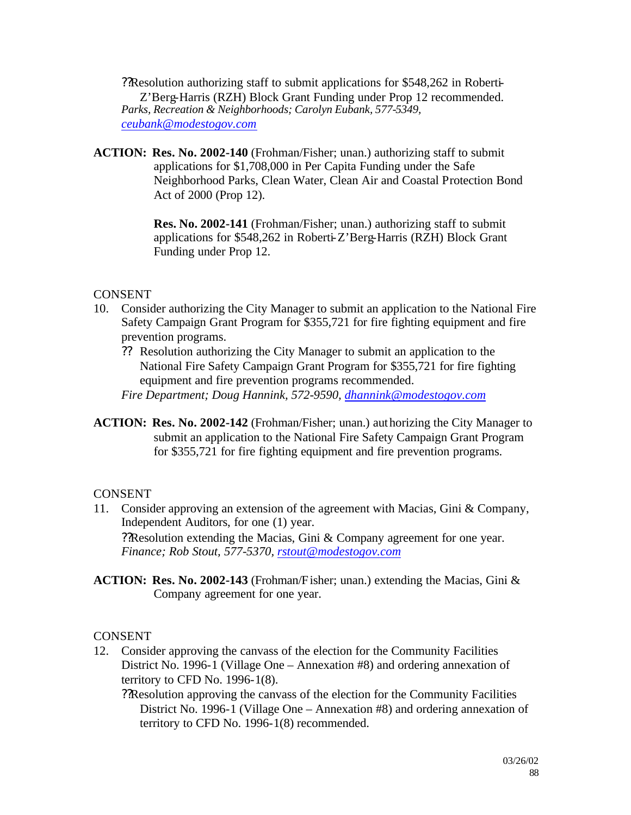??Resolution authorizing staff to submit applications for \$548,262 in Roberti-Z'Berg-Harris (RZH) Block Grant Funding under Prop 12 recommended. *Parks, Recreation & Neighborhoods; Carolyn Eubank, 577-5349, ceubank@modestogov.com*

**ACTION: Res. No. 2002-140** (Frohman/Fisher; unan.) authorizing staff to submit applications for \$1,708,000 in Per Capita Funding under the Safe Neighborhood Parks, Clean Water, Clean Air and Coastal Protection Bond Act of 2000 (Prop 12).

> **Res. No. 2002-141** (Frohman/Fisher; unan.) authorizing staff to submit applications for \$548,262 in Roberti-Z'Berg-Harris (RZH) Block Grant Funding under Prop 12.

## **CONSENT**

- 10. Consider authorizing the City Manager to submit an application to the National Fire Safety Campaign Grant Program for \$355,721 for fire fighting equipment and fire prevention programs.
	- ?? Resolution authorizing the City Manager to submit an application to the National Fire Safety Campaign Grant Program for \$355,721 for fire fighting equipment and fire prevention programs recommended.

*Fire Department; Doug Hannink, 572-9590, dhannink@modestogov.com*

**ACTION: Res. No. 2002-142** (Frohman/Fisher; unan.) authorizing the City Manager to submit an application to the National Fire Safety Campaign Grant Program for \$355,721 for fire fighting equipment and fire prevention programs.

## CONSENT

- 11. Consider approving an extension of the agreement with Macias, Gini & Company, Independent Auditors, for one (1) year. ??Resolution extending the Macias, Gini & Company agreement for one year. *Finance; Rob Stout, 577-5370, rstout@modestogov.com*
- **ACTION: Res. No. 2002-143** (Frohman/Fisher; unan.) extending the Macias, Gini & Company agreement for one year.

## **CONSENT**

- 12. Consider approving the canvass of the election for the Community Facilities District No. 1996-1 (Village One – Annexation #8) and ordering annexation of territory to CFD No. 1996-1(8).
	- ??Resolution approving the canvass of the election for the Community Facilities District No. 1996-1 (Village One – Annexation #8) and ordering annexation of territory to CFD No. 1996-1(8) recommended.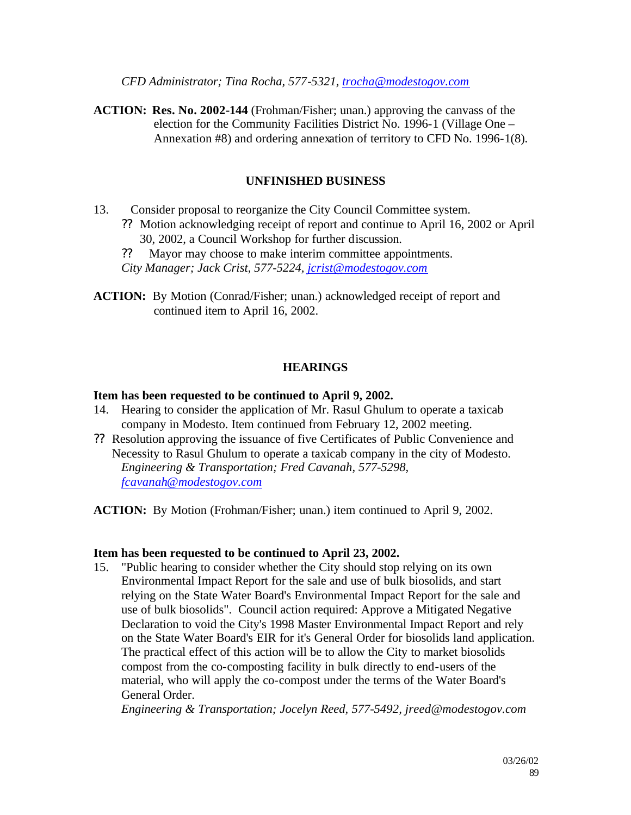*CFD Administrator; Tina Rocha, 577-5321, trocha@modestogov.com*

**ACTION: Res. No. 2002-144** (Frohman/Fisher; unan.) approving the canvass of the election for the Community Facilities District No. 1996-1 (Village One – Annexation #8) and ordering annexation of territory to CFD No. 1996-1(8).

## **UNFINISHED BUSINESS**

- 13. Consider proposal to reorganize the City Council Committee system.
	- ?? Motion acknowledging receipt of report and continue to April 16, 2002 or April 30, 2002, a Council Workshop for further discussion.
	- ?? Mayor may choose to make interim committee appointments.
	- *City Manager; Jack Crist, 577-5224, jcrist@modestogov.com*
- **ACTION:** By Motion (Conrad/Fisher; unan.) acknowledged receipt of report and continued item to April 16, 2002.

## **HEARINGS**

### **Item has been requested to be continued to April 9, 2002.**

- 14. Hearing to consider the application of Mr. Rasul Ghulum to operate a taxicab company in Modesto. Item continued from February 12, 2002 meeting.
- ?? Resolution approving the issuance of five Certificates of Public Convenience and Necessity to Rasul Ghulum to operate a taxicab company in the city of Modesto. *Engineering & Transportation; Fred Cavanah, 577-5298, fcavanah@modestogov.com*

**ACTION:** By Motion (Frohman/Fisher; unan.) item continued to April 9, 2002.

### **Item has been requested to be continued to April 23, 2002.**

15. "Public hearing to consider whether the City should stop relying on its own Environmental Impact Report for the sale and use of bulk biosolids, and start relying on the State Water Board's Environmental Impact Report for the sale and use of bulk biosolids". Council action required: Approve a Mitigated Negative Declaration to void the City's 1998 Master Environmental Impact Report and rely on the State Water Board's EIR for it's General Order for biosolids land application. The practical effect of this action will be to allow the City to market biosolids compost from the co-composting facility in bulk directly to end-users of the material, who will apply the co-compost under the terms of the Water Board's General Order.

*Engineering & Transportation; Jocelyn Reed, 577-5492, jreed@modestogov.com*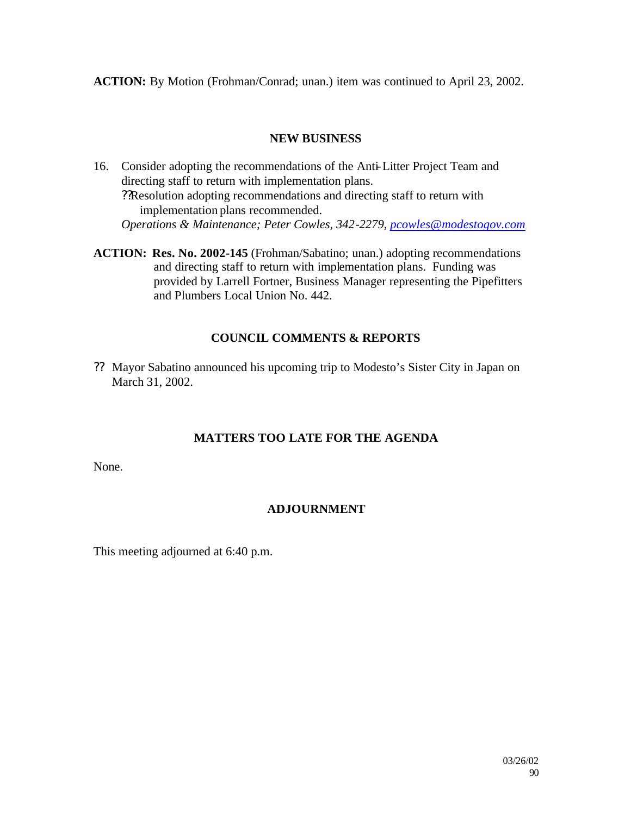**ACTION:** By Motion (Frohman/Conrad; unan.) item was continued to April 23, 2002.

## **NEW BUSINESS**

- 16. Consider adopting the recommendations of the Anti-Litter Project Team and directing staff to return with implementation plans. ??Resolution adopting recommendations and directing staff to return with implementation plans recommended. *Operations & Maintenance; Peter Cowles, 342-2279, pcowles@modestogov.com*
- **ACTION: Res. No. 2002-145** (Frohman/Sabatino; unan.) adopting recommendations and directing staff to return with implementation plans. Funding was provided by Larrell Fortner, Business Manager representing the Pipefitters and Plumbers Local Union No. 442.

## **COUNCIL COMMENTS & REPORTS**

?? Mayor Sabatino announced his upcoming trip to Modesto's Sister City in Japan on March 31, 2002.

## **MATTERS TOO LATE FOR THE AGENDA**

None.

## **ADJOURNMENT**

This meeting adjourned at 6:40 p.m.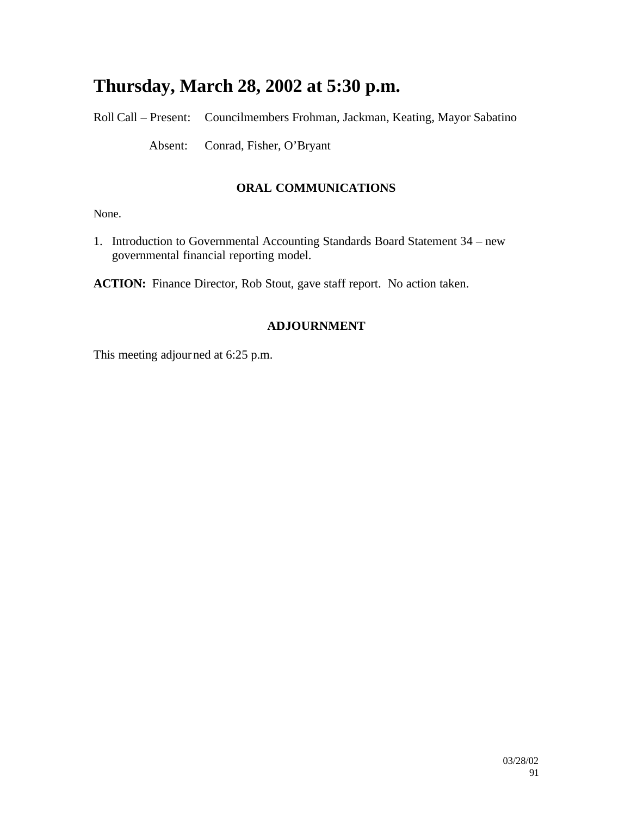# **Thursday, March 28, 2002 at 5:30 p.m.**

Roll Call – Present: Councilmembers Frohman, Jackman, Keating, Mayor Sabatino

Absent: Conrad, Fisher, O'Bryant

## **ORAL COMMUNICATIONS**

None.

1. Introduction to Governmental Accounting Standards Board Statement 34 – new governmental financial reporting model.

**ACTION:** Finance Director, Rob Stout, gave staff report. No action taken.

## **ADJOURNMENT**

This meeting adjourned at 6:25 p.m.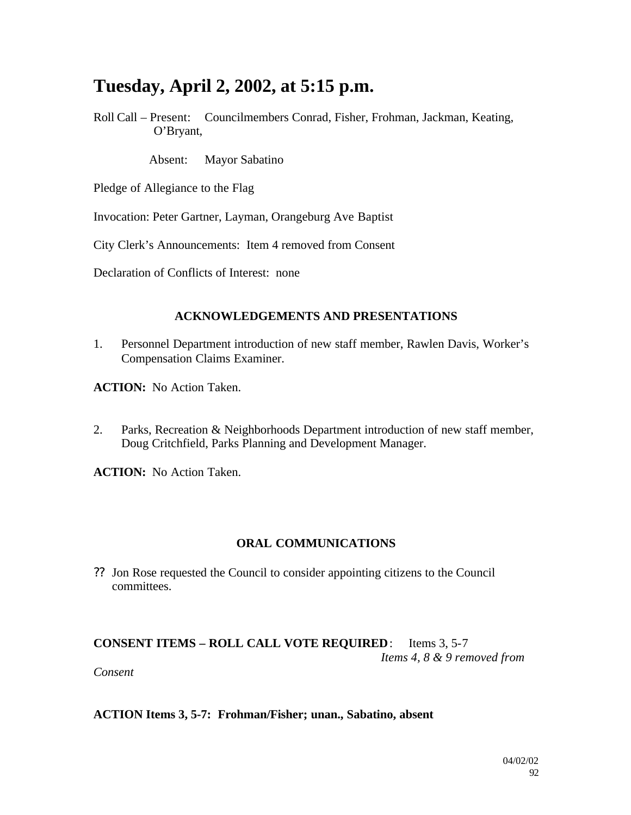# **Tuesday, April 2, 2002, at 5:15 p.m.**

Roll Call – Present: Councilmembers Conrad, Fisher, Frohman, Jackman, Keating, O'Bryant,

Absent: Mayor Sabatino

- Pledge of Allegiance to the Flag
- Invocation: Peter Gartner, Layman, Orangeburg Ave Baptist
- City Clerk's Announcements: Item 4 removed from Consent
- Declaration of Conflicts of Interest: none

### **ACKNOWLEDGEMENTS AND PRESENTATIONS**

- 1. Personnel Department introduction of new staff member, Rawlen Davis, Worker's Compensation Claims Examiner.
- **ACTION:** No Action Taken.
- 2. Parks, Recreation & Neighborhoods Department introduction of new staff member, Doug Critchfield, Parks Planning and Development Manager.

**ACTION:** No Action Taken.

## **ORAL COMMUNICATIONS**

?? Jon Rose requested the Council to consider appointing citizens to the Council committees.

## **CONSENT ITEMS – ROLL CALL VOTE REQUIRED**: Items 3, 5-7 *Items 4, 8 & 9 removed from*

*Consent*

### **ACTION Items 3, 5-7: Frohman/Fisher; unan., Sabatino, absent**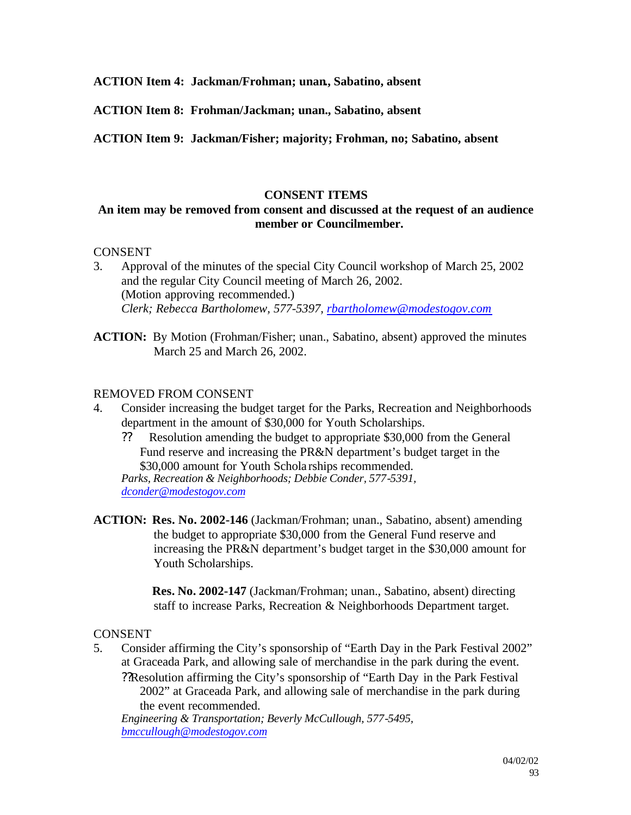**ACTION Item 4: Jackman/Frohman; unan., Sabatino, absent**

**ACTION Item 8: Frohman/Jackman; unan., Sabatino, absent**

**ACTION Item 9: Jackman/Fisher; majority; Frohman, no; Sabatino, absent**

### **CONSENT ITEMS**

## **An item may be removed from consent and discussed at the request of an audience member or Councilmember.**

### CONSENT

- 3. Approval of the minutes of the special City Council workshop of March 25, 2002 and the regular City Council meeting of March 26, 2002. (Motion approving recommended.) *Clerk; Rebecca Bartholomew, 577-5397, rbartholomew@modestogov.com*
- **ACTION:** By Motion (Frohman/Fisher; unan., Sabatino, absent) approved the minutes March 25 and March 26, 2002.

### REMOVED FROM CONSENT

- 4. Consider increasing the budget target for the Parks, Recreation and Neighborhoods department in the amount of \$30,000 for Youth Scholarships.
	- ?? Resolution amending the budget to appropriate \$30,000 from the General Fund reserve and increasing the PR&N department's budget target in the \$30,000 amount for Youth Schola rships recommended.

*Parks, Recreation & Neighborhoods; Debbie Conder, 577-5391, dconder@modestogov.com*

**ACTION: Res. No. 2002-146** (Jackman/Frohman; unan., Sabatino, absent) amending the budget to appropriate \$30,000 from the General Fund reserve and increasing the PR&N department's budget target in the \$30,000 amount for Youth Scholarships.

> **Res. No. 2002-147** (Jackman/Frohman; unan., Sabatino, absent) directing staff to increase Parks, Recreation & Neighborhoods Department target.

## **CONSENT**

5. Consider affirming the City's sponsorship of "Earth Day in the Park Festival 2002" at Graceada Park, and allowing sale of merchandise in the park during the event. ??Resolution affirming the City's sponsorship of "Earth Day in the Park Festival

2002" at Graceada Park, and allowing sale of merchandise in the park during the event recommended.

*Engineering & Transportation; Beverly McCullough, 577-5495, bmccullough@modestogov.com*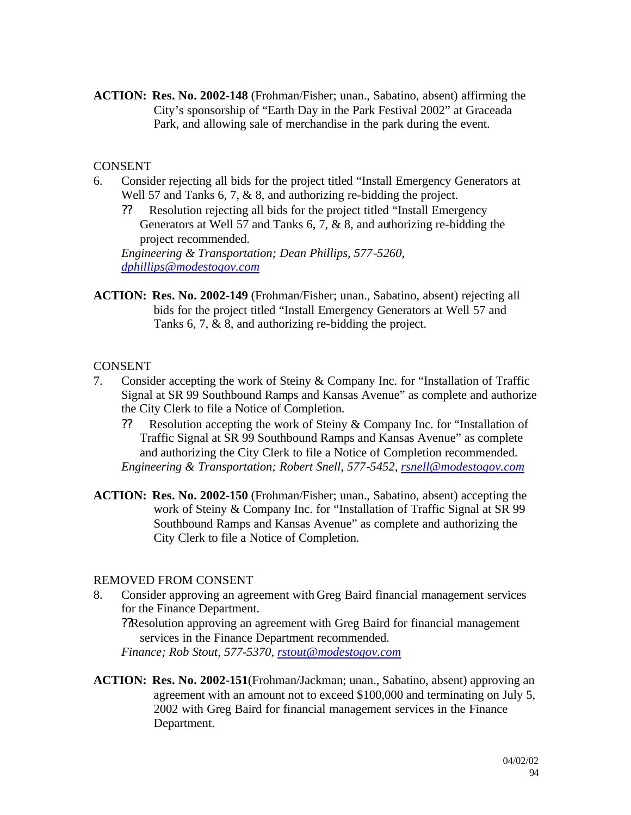**ACTION: Res. No. 2002-148** (Frohman/Fisher; unan., Sabatino, absent) affirming the City's sponsorship of "Earth Day in the Park Festival 2002" at Graceada Park, and allowing sale of merchandise in the park during the event.

## CONSENT

- 6. Consider rejecting all bids for the project titled "Install Emergency Generators at Well 57 and Tanks 6, 7, & 8, and authorizing re-bidding the project.
	- ?? Resolution rejecting all bids for the project titled "Install Emergency Generators at Well 57 and Tanks 6, 7, & 8, and authorizing re-bidding the project recommended.

*Engineering & Transportation; Dean Phillips, 577-5260, dphillips@modestogov.com*

**ACTION: Res. No. 2002-149** (Frohman/Fisher; unan., Sabatino, absent) rejecting all bids for the project titled "Install Emergency Generators at Well 57 and Tanks 6, 7, & 8, and authorizing re-bidding the project.

## **CONSENT**

- 7. Consider accepting the work of Steiny & Company Inc. for "Installation of Traffic Signal at SR 99 Southbound Ramps and Kansas Avenue" as complete and authorize the City Clerk to file a Notice of Completion.
	- ?? Resolution accepting the work of Steiny & Company Inc. for "Installation of Traffic Signal at SR 99 Southbound Ramps and Kansas Avenue" as complete and authorizing the City Clerk to file a Notice of Completion recommended. *Engineering & Transportation; Robert Snell, 577-5452, rsnell@modestogov.com*
- **ACTION: Res. No. 2002-150** (Frohman/Fisher; unan., Sabatino, absent) accepting the work of Steiny & Company Inc. for "Installation of Traffic Signal at SR 99 Southbound Ramps and Kansas Avenue" as complete and authorizing the City Clerk to file a Notice of Completion.

## REMOVED FROM CONSENT

8. Consider approving an agreement with Greg Baird financial management services for the Finance Department. ??Resolution approving an agreement with Greg Baird for financial management services in the Finance Department recommended.

*Finance; Rob Stout, 577-5370, rstout@modestogov.com*

**ACTION: Res. No. 2002-151**(Frohman/Jackman; unan., Sabatino, absent) approving an agreement with an amount not to exceed \$100,000 and terminating on July 5, 2002 with Greg Baird for financial management services in the Finance Department.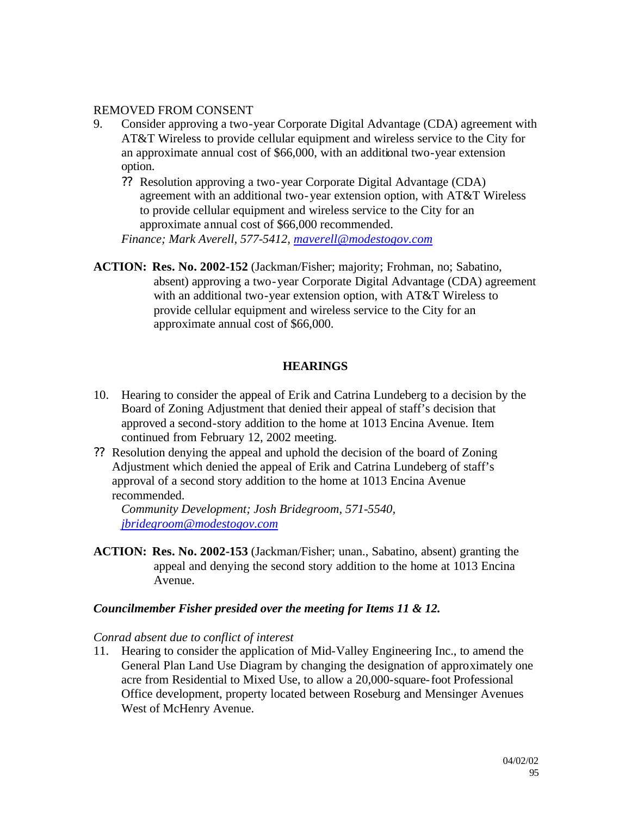### REMOVED FROM CONSENT

- 9. Consider approving a two-year Corporate Digital Advantage (CDA) agreement with AT&T Wireless to provide cellular equipment and wireless service to the City for an approximate annual cost of \$66,000, with an additional two-year extension option.
	- ?? Resolution approving a two-year Corporate Digital Advantage (CDA) agreement with an additional two-year extension option, with AT&T Wireless to provide cellular equipment and wireless service to the City for an approximate annual cost of \$66,000 recommended.

*Finance; Mark Averell, 577-5412, maverell@modestogov.com*

**ACTION: Res. No. 2002-152** (Jackman/Fisher; majority; Frohman, no; Sabatino, absent) approving a two-year Corporate Digital Advantage (CDA) agreement with an additional two-year extension option, with AT&T Wireless to provide cellular equipment and wireless service to the City for an approximate annual cost of \$66,000.

## **HEARINGS**

- 10. Hearing to consider the appeal of Erik and Catrina Lundeberg to a decision by the Board of Zoning Adjustment that denied their appeal of staff's decision that approved a second-story addition to the home at 1013 Encina Avenue. Item continued from February 12, 2002 meeting.
- ?? Resolution denying the appeal and uphold the decision of the board of Zoning Adjustment which denied the appeal of Erik and Catrina Lundeberg of staff's approval of a second story addition to the home at 1013 Encina Avenue recommended.

*Community Development; Josh Bridegroom, 571-5540, jbridegroom@modestogov.com*

**ACTION: Res. No. 2002-153** (Jackman/Fisher; unan., Sabatino, absent) granting the appeal and denying the second story addition to the home at 1013 Encina Avenue.

### *Councilmember Fisher presided over the meeting for Items 11 & 12.*

### *Conrad absent due to conflict of interest*

11. Hearing to consider the application of Mid-Valley Engineering Inc., to amend the General Plan Land Use Diagram by changing the designation of approximately one acre from Residential to Mixed Use, to allow a 20,000-square-foot Professional Office development, property located between Roseburg and Mensinger Avenues West of McHenry Avenue.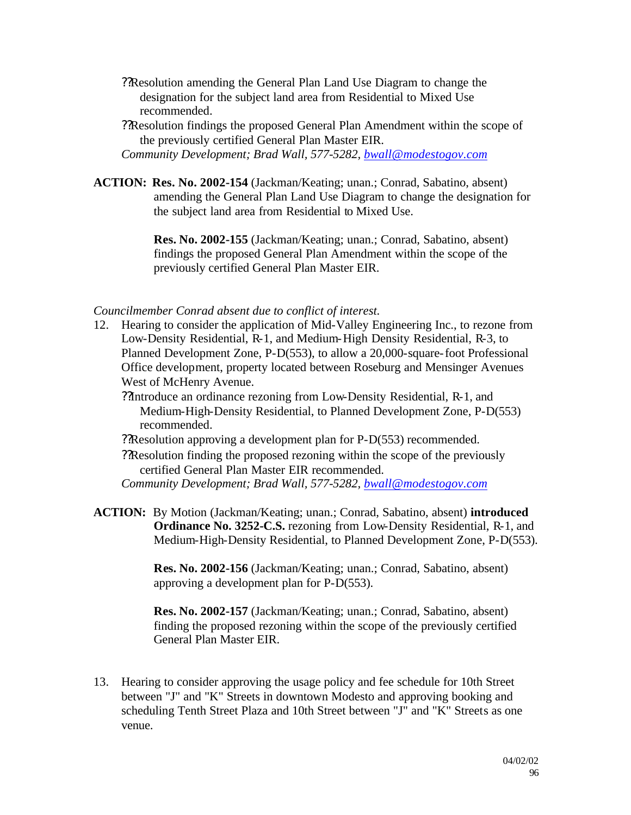- ??Resolution amending the General Plan Land Use Diagram to change the designation for the subject land area from Residential to Mixed Use recommended.
- ??Resolution findings the proposed General Plan Amendment within the scope of the previously certified General Plan Master EIR.

*Community Development; Brad Wall, 577-5282, bwall@modestogov.com*

**ACTION: Res. No. 2002-154** (Jackman/Keating; unan.; Conrad, Sabatino, absent) amending the General Plan Land Use Diagram to change the designation for the subject land area from Residential to Mixed Use.

> **Res. No. 2002-155** (Jackman/Keating; unan.; Conrad, Sabatino, absent) findings the proposed General Plan Amendment within the scope of the previously certified General Plan Master EIR.

#### *Councilmember Conrad absent due to conflict of interest.*

12. Hearing to consider the application of Mid-Valley Engineering Inc., to rezone from Low-Density Residential, R-1, and Medium-High Density Residential, R-3, to Planned Development Zone, P-D(553), to allow a 20,000-square-foot Professional Office development, property located between Roseburg and Mensinger Avenues West of McHenry Avenue.

??Introduce an ordinance rezoning from Low-Density Residential, R-1, and Medium-High-Density Residential, to Planned Development Zone, P-D(553) recommended.

??Resolution approving a development plan for P-D(553) recommended.

??Resolution finding the proposed rezoning within the scope of the previously certified General Plan Master EIR recommended.

*Community Development; Brad Wall, 577-5282, bwall@modestogov.com*

**ACTION:** By Motion (Jackman/Keating; unan.; Conrad, Sabatino, absent) **introduced Ordinance No. 3252-C.S.** rezoning from Low-Density Residential, R-1, and Medium-High-Density Residential, to Planned Development Zone, P-D(553).

> **Res. No. 2002-156** (Jackman/Keating; unan.; Conrad, Sabatino, absent) approving a development plan for P-D(553).

**Res. No. 2002-157** (Jackman/Keating; unan.; Conrad, Sabatino, absent) finding the proposed rezoning within the scope of the previously certified General Plan Master EIR.

13. Hearing to consider approving the usage policy and fee schedule for 10th Street between "J" and "K" Streets in downtown Modesto and approving booking and scheduling Tenth Street Plaza and 10th Street between "J" and "K" Streets as one venue.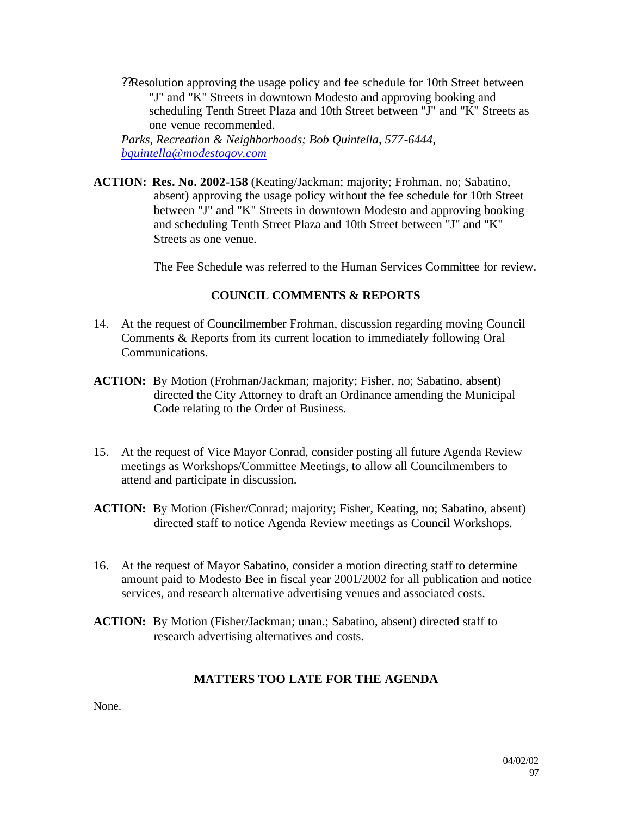??Resolution approving the usage policy and fee schedule for 10th Street between "J" and "K" Streets in downtown Modesto and approving booking and scheduling Tenth Street Plaza and 10th Street between "J" and "K" Streets as one venue recommended.

*Parks, Recreation & Neighborhoods; Bob Quintella, 577-6444, bquintella@modestogov.com*

**ACTION: Res. No. 2002-158** (Keating/Jackman; majority; Frohman, no; Sabatino, absent) approving the usage policy without the fee schedule for 10th Street between "J" and "K" Streets in downtown Modesto and approving booking and scheduling Tenth Street Plaza and 10th Street between "J" and "K" Streets as one venue.

The Fee Schedule was referred to the Human Services Committee for review.

## **COUNCIL COMMENTS & REPORTS**

- 14. At the request of Councilmember Frohman, discussion regarding moving Council Comments & Reports from its current location to immediately following Oral Communications.
- **ACTION:** By Motion (Frohman/Jackman; majority; Fisher, no; Sabatino, absent) directed the City Attorney to draft an Ordinance amending the Municipal Code relating to the Order of Business.
- 15. At the request of Vice Mayor Conrad, consider posting all future Agenda Review meetings as Workshops/Committee Meetings, to allow all Councilmembers to attend and participate in discussion.
- **ACTION:** By Motion (Fisher/Conrad; majority; Fisher, Keating, no; Sabatino, absent) directed staff to notice Agenda Review meetings as Council Workshops.
- 16. At the request of Mayor Sabatino, consider a motion directing staff to determine amount paid to Modesto Bee in fiscal year 2001/2002 for all publication and notice services, and research alternative advertising venues and associated costs.
- **ACTION:** By Motion (Fisher/Jackman; unan.; Sabatino, absent) directed staff to research advertising alternatives and costs.

## **MATTERS TOO LATE FOR THE AGENDA**

None.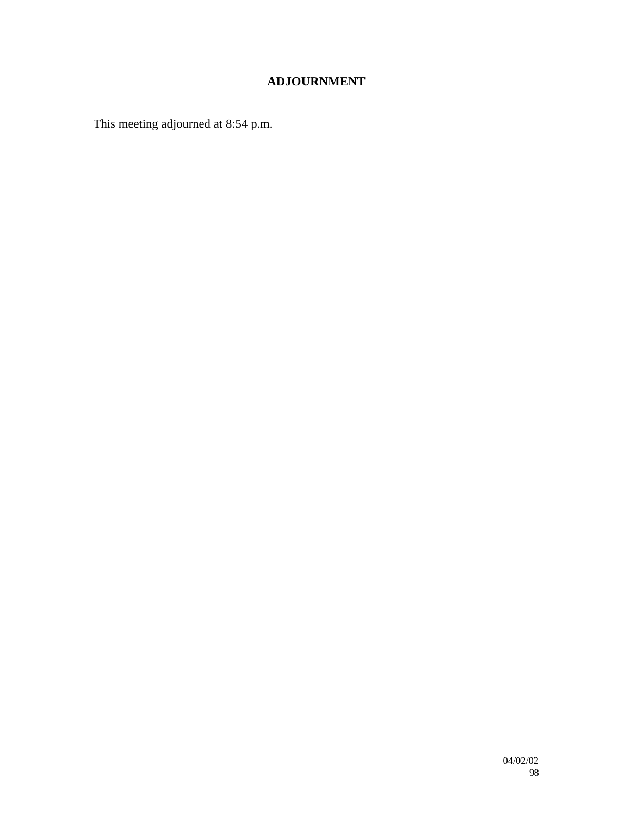## **ADJOURNMENT**

This meeting adjourned at 8:54 p.m.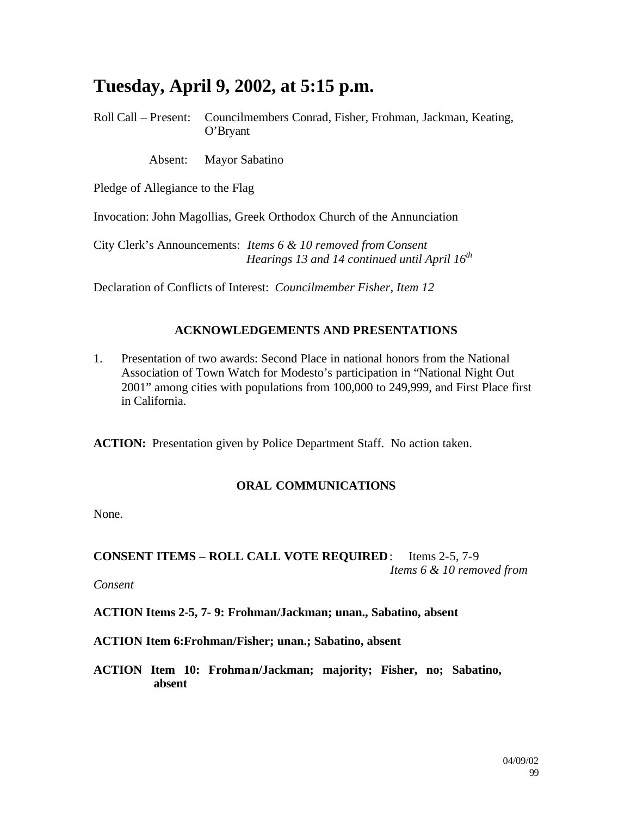# **Tuesday, April 9, 2002, at 5:15 p.m.**

Roll Call – Present: Councilmembers Conrad, Fisher, Frohman, Jackman, Keating, O'Bryant

Absent: Mayor Sabatino

Pledge of Allegiance to the Flag

Invocation: John Magollias, Greek Orthodox Church of the Annunciation

City Clerk's Announcements: *Items 6 & 10 removed from Consent Hearings 13 and 14 continued until April 16th*

Declaration of Conflicts of Interest: *Councilmember Fisher, Item 12*

### **ACKNOWLEDGEMENTS AND PRESENTATIONS**

1. Presentation of two awards: Second Place in national honors from the National Association of Town Watch for Modesto's participation in "National Night Out 2001" among cities with populations from 100,000 to 249,999, and First Place first in California.

**ACTION:** Presentation given by Police Department Staff. No action taken.

## **ORAL COMMUNICATIONS**

None.

### **CONSENT ITEMS – ROLL CALL VOTE REQUIRED**: Items 2-5, 7-9 *Items 6 & 10 removed from*

*Consent*

**ACTION Items 2-5, 7- 9: Frohman/Jackman; unan., Sabatino, absent**

**ACTION Item 6:Frohman/Fisher; unan.; Sabatino, absent**

**ACTION Item 10: Frohman/Jackman; majority; Fisher, no; Sabatino, absent**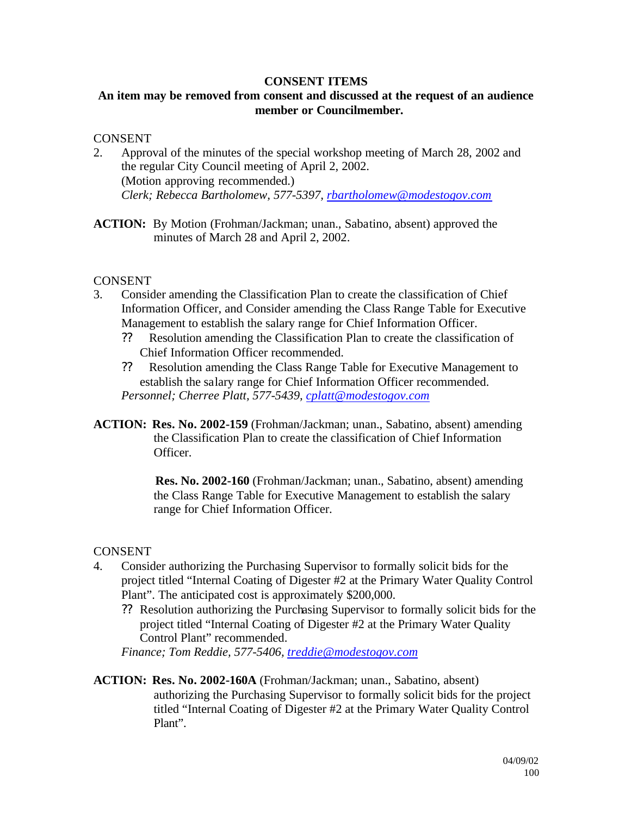### **CONSENT ITEMS**

## **An item may be removed from consent and discussed at the request of an audience member or Councilmember.**

### **CONSENT**

- 2. Approval of the minutes of the special workshop meeting of March 28, 2002 and the regular City Council meeting of April 2, 2002. (Motion approving recommended.) *Clerk; Rebecca Bartholomew, 577-5397, rbartholomew@modestogov.com*
- **ACTION:** By Motion (Frohman/Jackman; unan., Sabatino, absent) approved the minutes of March 28 and April 2, 2002.

## **CONSENT**

- 3. Consider amending the Classification Plan to create the classification of Chief Information Officer, and Consider amending the Class Range Table for Executive Management to establish the salary range for Chief Information Officer.
	- ?? Resolution amending the Classification Plan to create the classification of Chief Information Officer recommended.
	- ?? Resolution amending the Class Range Table for Executive Management to establish the salary range for Chief Information Officer recommended. *Personnel; Cherree Platt, 577-5439, cplatt@modestogov.com*
- **ACTION: Res. No. 2002-159** (Frohman/Jackman; unan., Sabatino, absent) amending the Classification Plan to create the classification of Chief Information Officer.

 **Res. No. 2002-160** (Frohman/Jackman; unan., Sabatino, absent) amending the Class Range Table for Executive Management to establish the salary range for Chief Information Officer.

## **CONSENT**

- 4. Consider authorizing the Purchasing Supervisor to formally solicit bids for the project titled "Internal Coating of Digester #2 at the Primary Water Quality Control Plant". The anticipated cost is approximately \$200,000.
	- ?? Resolution authorizing the Purchasing Supervisor to formally solicit bids for the project titled "Internal Coating of Digester #2 at the Primary Water Quality Control Plant" recommended.

*Finance; Tom Reddie, 577-5406, treddie@modestogov.com*

**ACTION: Res. No. 2002-160A** (Frohman/Jackman; unan., Sabatino, absent) authorizing the Purchasing Supervisor to formally solicit bids for the project titled "Internal Coating of Digester #2 at the Primary Water Quality Control Plant".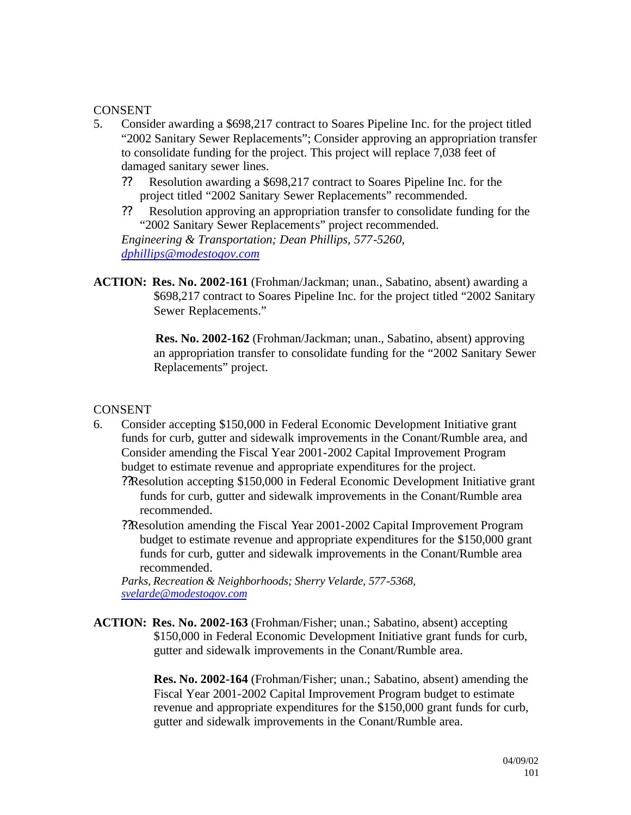- 5. Consider awarding a \$698,217 contract to Soares Pipeline Inc. for the project titled "2002 Sanitary Sewer Replacements"; Consider approving an appropriation transfer to consolidate funding for the project. This project will replace 7,038 feet of damaged sanitary sewer lines.
	- ?? Resolution awarding a \$698,217 contract to Soares Pipeline Inc. for the project titled "2002 Sanitary Sewer Replacements" recommended.
	- ?? Resolution approving an appropriation transfer to consolidate funding for the "2002 Sanitary Sewer Replacements" project recommended.

*Engineering & Transportation; Dean Phillips, 577-5260, dphillips@modestogov.com*

**ACTION: Res. No. 2002-161** (Frohman/Jackman; unan., Sabatino, absent) awarding a \$698,217 contract to Soares Pipeline Inc. for the project titled "2002 Sanitary Sewer Replacements."

> **Res. No. 2002-162** (Frohman/Jackman; unan., Sabatino, absent) approving an appropriation transfer to consolidate funding for the "2002 Sanitary Sewer Replacements" project.

## **CONSENT**

- 6. Consider accepting \$150,000 in Federal Economic Development Initiative grant funds for curb, gutter and sidewalk improvements in the Conant/Rumble area, and Consider amending the Fiscal Year 2001-2002 Capital Improvement Program budget to estimate revenue and appropriate expenditures for the project.
	- ??Resolution accepting \$150,000 in Federal Economic Development Initiative grant funds for curb, gutter and sidewalk improvements in the Conant/Rumble area recommended.
	- ??Resolution amending the Fiscal Year 2001-2002 Capital Improvement Program budget to estimate revenue and appropriate expenditures for the \$150,000 grant funds for curb, gutter and sidewalk improvements in the Conant/Rumble area recommended.

*Parks, Recreation & Neighborhoods; Sherry Velarde, 577-5368, svelarde@modestogov.com*

**ACTION: Res. No. 2002-163** (Frohman/Fisher; unan.; Sabatino, absent) accepting \$150,000 in Federal Economic Development Initiative grant funds for curb, gutter and sidewalk improvements in the Conant/Rumble area.

> **Res. No. 2002-164** (Frohman/Fisher; unan.; Sabatino, absent) amending the Fiscal Year 2001-2002 Capital Improvement Program budget to estimate revenue and appropriate expenditures for the \$150,000 grant funds for curb, gutter and sidewalk improvements in the Conant/Rumble area.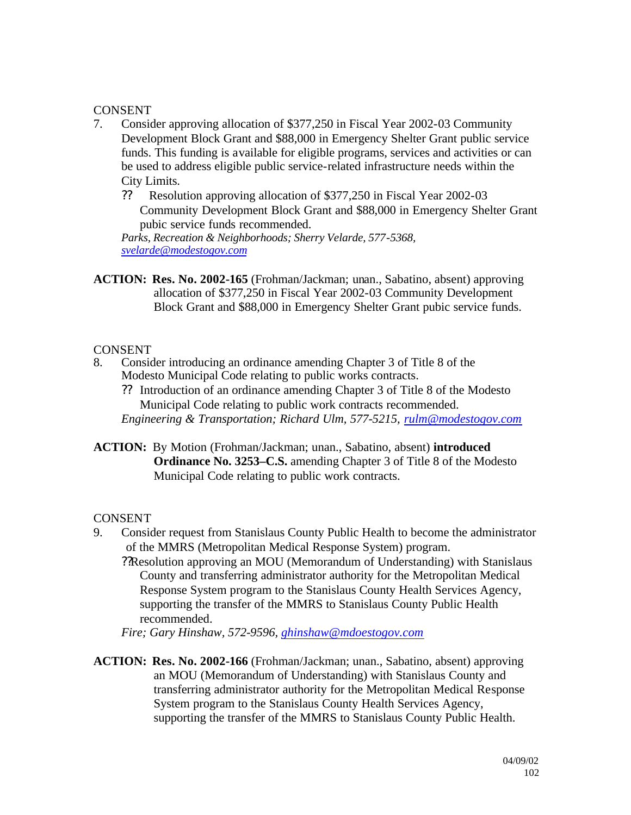- 7. Consider approving allocation of \$377,250 in Fiscal Year 2002-03 Community Development Block Grant and \$88,000 in Emergency Shelter Grant public service funds. This funding is available for eligible programs, services and activities or can be used to address eligible public service-related infrastructure needs within the City Limits.
	- ?? Resolution approving allocation of \$377,250 in Fiscal Year 2002-03 Community Development Block Grant and \$88,000 in Emergency Shelter Grant pubic service funds recommended.

*Parks, Recreation & Neighborhoods; Sherry Velarde, 577-5368, svelarde@modestogov.com*

**ACTION: Res. No. 2002-165** (Frohman/Jackman; unan., Sabatino, absent) approving allocation of \$377,250 in Fiscal Year 2002-03 Community Development Block Grant and \$88,000 in Emergency Shelter Grant pubic service funds.

# CONSENT<br>8. Consid

- 8. Consider introducing an ordinance amending Chapter 3 of Title 8 of the Modesto Municipal Code relating to public works contracts.
	- ?? Introduction of an ordinance amending Chapter 3 of Title 8 of the Modesto Municipal Code relating to public work contracts recommended. *Engineering & Transportation; Richard Ulm, 577-5215, rulm@modestogov.com*
- **ACTION:** By Motion (Frohman/Jackman; unan., Sabatino, absent) **introduced Ordinance No. 3253–C.S.** amending Chapter 3 of Title 8 of the Modesto Municipal Code relating to public work contracts.

## **CONSENT**

- 9. Consider request from Stanislaus County Public Health to become the administrator of the MMRS (Metropolitan Medical Response System) program.
	- ??Resolution approving an MOU (Memorandum of Understanding) with Stanislaus County and transferring administrator authority for the Metropolitan Medical Response System program to the Stanislaus County Health Services Agency, supporting the transfer of the MMRS to Stanislaus County Public Health recommended.

*Fire; Gary Hinshaw, 572-9596, ghinshaw@mdoestogov.com*

**ACTION: Res. No. 2002-166** (Frohman/Jackman; unan., Sabatino, absent) approving an MOU (Memorandum of Understanding) with Stanislaus County and transferring administrator authority for the Metropolitan Medical Response System program to the Stanislaus County Health Services Agency, supporting the transfer of the MMRS to Stanislaus County Public Health.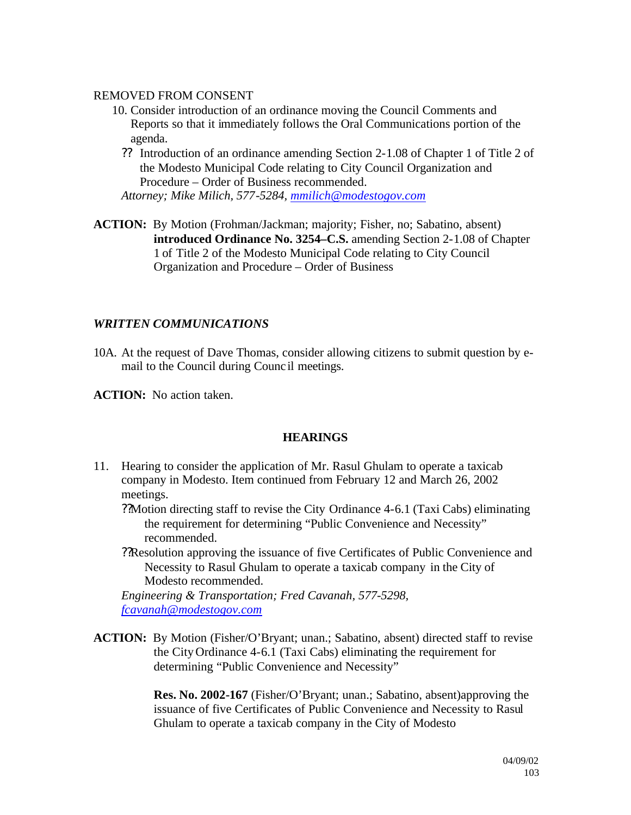### REMOVED FROM CONSENT

- 10. Consider introduction of an ordinance moving the Council Comments and Reports so that it immediately follows the Oral Communications portion of the agenda.
	- ?? Introduction of an ordinance amending Section 2-1.08 of Chapter 1 of Title 2 of the Modesto Municipal Code relating to City Council Organization and Procedure – Order of Business recommended.

*Attorney; Mike Milich, 577-5284, mmilich@modestogov.com*

**ACTION:** By Motion (Frohman/Jackman; majority; Fisher, no; Sabatino, absent) **introduced Ordinance No. 3254–C.S.** amending Section 2-1.08 of Chapter 1 of Title 2 of the Modesto Municipal Code relating to City Council Organization and Procedure – Order of Business

### *WRITTEN COMMUNICATIONS*

10A. At the request of Dave Thomas, consider allowing citizens to submit question by email to the Council during Counc il meetings.

**ACTION:** No action taken.

#### **HEARINGS**

11. Hearing to consider the application of Mr. Rasul Ghulam to operate a taxicab company in Modesto. Item continued from February 12 and March 26, 2002 meetings.

??Motion directing staff to revise the City Ordinance 4-6.1 (Taxi Cabs) eliminating the requirement for determining "Public Convenience and Necessity" recommended.

??Resolution approving the issuance of five Certificates of Public Convenience and Necessity to Rasul Ghulam to operate a taxicab company in the City of Modesto recommended.

*Engineering & Transportation; Fred Cavanah, 577-5298, fcavanah@modestogov.com*

**ACTION:** By Motion (Fisher/O'Bryant; unan.; Sabatino, absent) directed staff to revise the City Ordinance 4-6.1 (Taxi Cabs) eliminating the requirement for determining "Public Convenience and Necessity"

> **Res. No. 2002-167** (Fisher/O'Bryant; unan.; Sabatino, absent)approving the issuance of five Certificates of Public Convenience and Necessity to Rasul Ghulam to operate a taxicab company in the City of Modesto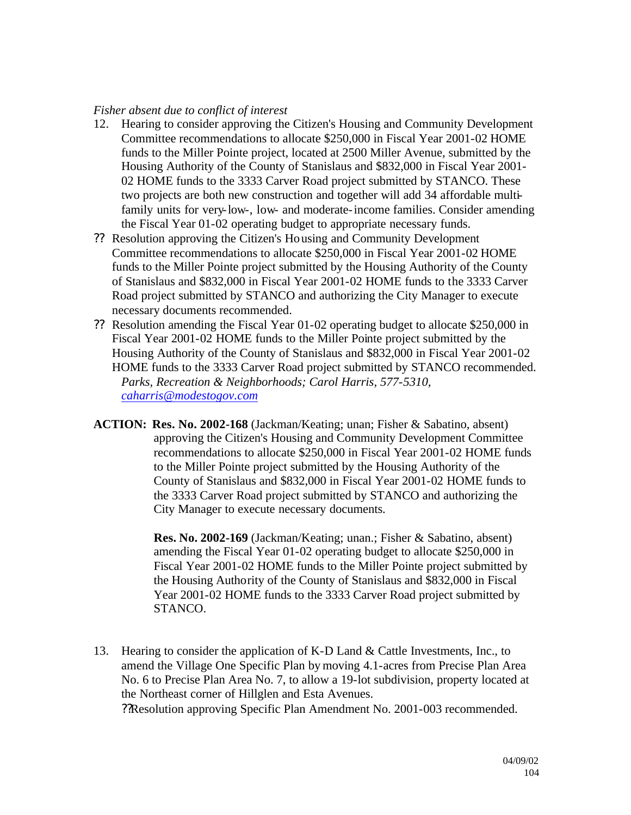### *Fisher absent due to conflict of interest*

- 12. Hearing to consider approving the Citizen's Housing and Community Development Committee recommendations to allocate \$250,000 in Fiscal Year 2001-02 HOME funds to the Miller Pointe project, located at 2500 Miller Avenue, submitted by the Housing Authority of the County of Stanislaus and \$832,000 in Fiscal Year 2001- 02 HOME funds to the 3333 Carver Road project submitted by STANCO. These two projects are both new construction and together will add 34 affordable multifamily units for very-low-, low- and moderate-income families. Consider amending the Fiscal Year 01-02 operating budget to appropriate necessary funds.
- ?? Resolution approving the Citizen's Housing and Community Development Committee recommendations to allocate \$250,000 in Fiscal Year 2001-02 HOME funds to the Miller Pointe project submitted by the Housing Authority of the County of Stanislaus and \$832,000 in Fiscal Year 2001-02 HOME funds to the 3333 Carver Road project submitted by STANCO and authorizing the City Manager to execute necessary documents recommended.
- ?? Resolution amending the Fiscal Year 01-02 operating budget to allocate \$250,000 in Fiscal Year 2001-02 HOME funds to the Miller Pointe project submitted by the Housing Authority of the County of Stanislaus and \$832,000 in Fiscal Year 2001-02 HOME funds to the 3333 Carver Road project submitted by STANCO recommended. *Parks, Recreation & Neighborhoods; Carol Harris, 577-5310, caharris@modestogov.com*
- **ACTION: Res. No. 2002-168** (Jackman/Keating; unan; Fisher & Sabatino, absent) approving the Citizen's Housing and Community Development Committee recommendations to allocate \$250,000 in Fiscal Year 2001-02 HOME funds to the Miller Pointe project submitted by the Housing Authority of the County of Stanislaus and \$832,000 in Fiscal Year 2001-02 HOME funds to the 3333 Carver Road project submitted by STANCO and authorizing the City Manager to execute necessary documents.

**Res. No. 2002-169** (Jackman/Keating; unan.; Fisher & Sabatino, absent) amending the Fiscal Year 01-02 operating budget to allocate \$250,000 in Fiscal Year 2001-02 HOME funds to the Miller Pointe project submitted by the Housing Authority of the County of Stanislaus and \$832,000 in Fiscal Year 2001-02 HOME funds to the 3333 Carver Road project submitted by STANCO.

13. Hearing to consider the application of K-D Land & Cattle Investments, Inc., to amend the Village One Specific Plan by moving 4.1-acres from Precise Plan Area No. 6 to Precise Plan Area No. 7, to allow a 19-lot subdivision, property located at the Northeast corner of Hillglen and Esta Avenues. ??Resolution approving Specific Plan Amendment No. 2001-003 recommended.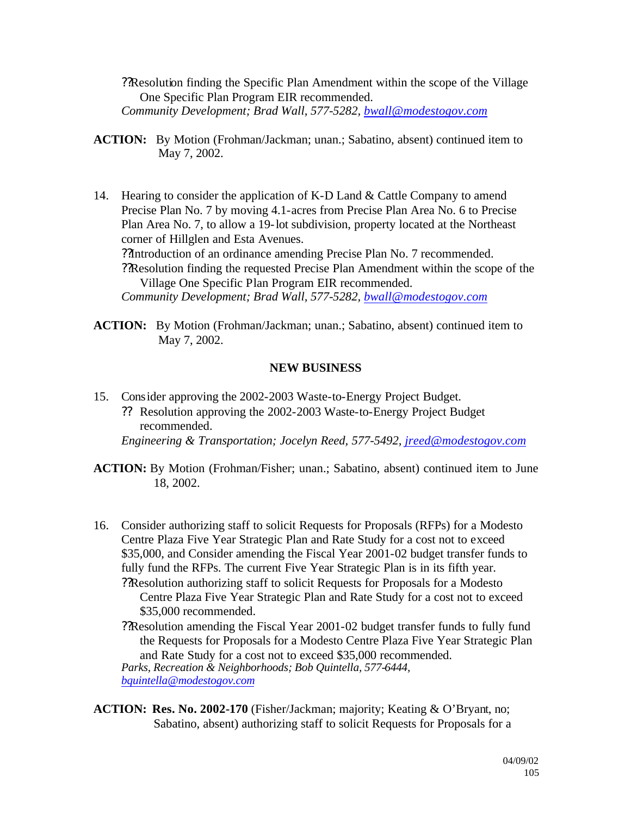??Resolution finding the Specific Plan Amendment within the scope of the Village One Specific Plan Program EIR recommended. *Community Development; Brad Wall, 577-5282, bwall@modestogov.com*

- **ACTION:** By Motion (Frohman/Jackman; unan.; Sabatino, absent) continued item to May 7, 2002.
- 14. Hearing to consider the application of K-D Land & Cattle Company to amend Precise Plan No. 7 by moving 4.1-acres from Precise Plan Area No. 6 to Precise Plan Area No. 7, to allow a 19-lot subdivision, property located at the Northeast corner of Hillglen and Esta Avenues. ??Introduction of an ordinance amending Precise Plan No. 7 recommended. ??Resolution finding the requested Precise Plan Amendment within the scope of the Village One Specific Plan Program EIR recommended.

*Community Development; Brad Wall, 577-5282, bwall@modestogov.com*

**ACTION:** By Motion (Frohman/Jackman; unan.; Sabatino, absent) continued item to May 7, 2002.

#### **NEW BUSINESS**

15. Consider approving the 2002-2003 Waste-to-Energy Project Budget. ?? Resolution approving the 2002-2003 Waste-to-Energy Project Budget recommended.

*Engineering & Transportation; Jocelyn Reed, 577-5492, jreed@modestogov.com*

- **ACTION:** By Motion (Frohman/Fisher; unan.; Sabatino, absent) continued item to June 18, 2002.
- 16. Consider authorizing staff to solicit Requests for Proposals (RFPs) for a Modesto Centre Plaza Five Year Strategic Plan and Rate Study for a cost not to exceed \$35,000, and Consider amending the Fiscal Year 2001-02 budget transfer funds to fully fund the RFPs. The current Five Year Strategic Plan is in its fifth year. ??Resolution authorizing staff to solicit Requests for Proposals for a Modesto
	- Centre Plaza Five Year Strategic Plan and Rate Study for a cost not to exceed \$35,000 recommended.
	- ??Resolution amending the Fiscal Year 2001-02 budget transfer funds to fully fund the Requests for Proposals for a Modesto Centre Plaza Five Year Strategic Plan and Rate Study for a cost not to exceed \$35,000 recommended. *Parks, Recreation & Neighborhoods; Bob Quintella, 577-6444, bquintella@modestogov.com*
- **ACTION: Res. No. 2002-170** (Fisher/Jackman; majority; Keating & O'Bryant, no; Sabatino, absent) authorizing staff to solicit Requests for Proposals for a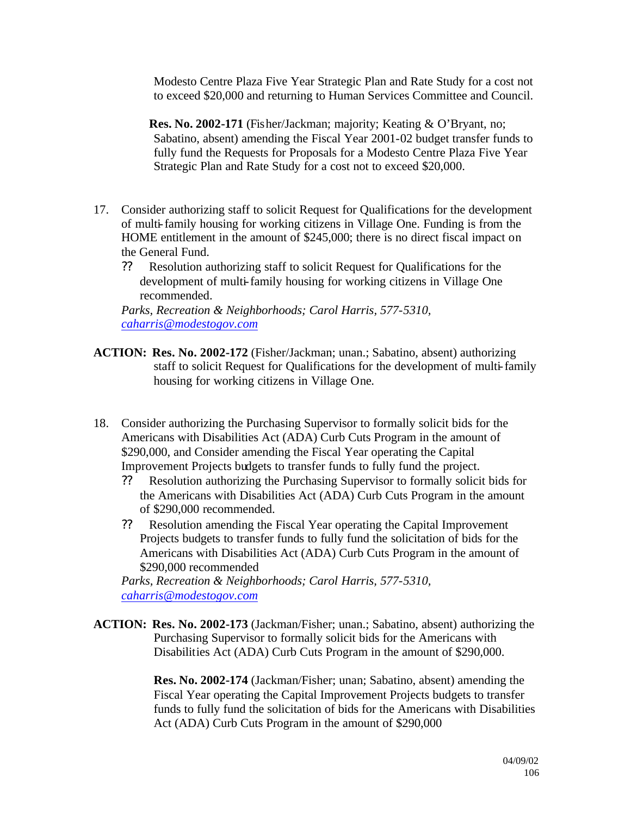Modesto Centre Plaza Five Year Strategic Plan and Rate Study for a cost not to exceed \$20,000 and returning to Human Services Committee and Council.

**Res. No. 2002-171** (Fisher/Jackman; majority; Keating & O'Bryant, no; Sabatino, absent) amending the Fiscal Year 2001-02 budget transfer funds to fully fund the Requests for Proposals for a Modesto Centre Plaza Five Year Strategic Plan and Rate Study for a cost not to exceed \$20,000.

- 17. Consider authorizing staff to solicit Request for Qualifications for the development of multi-family housing for working citizens in Village One. Funding is from the HOME entitlement in the amount of \$245,000; there is no direct fiscal impact on the General Fund.
	- ?? Resolution authorizing staff to solicit Request for Qualifications for the development of multi-family housing for working citizens in Village One recommended.

*Parks, Recreation & Neighborhoods; Carol Harris, 577-5310, caharris@modestogov.com*

- **ACTION: Res. No. 2002-172** (Fisher/Jackman; unan.; Sabatino, absent) authorizing staff to solicit Request for Qualifications for the development of multi-family housing for working citizens in Village One.
- 18. Consider authorizing the Purchasing Supervisor to formally solicit bids for the Americans with Disabilities Act (ADA) Curb Cuts Program in the amount of \$290,000, and Consider amending the Fiscal Year operating the Capital Improvement Projects budgets to transfer funds to fully fund the project.
	- ?? Resolution authorizing the Purchasing Supervisor to formally solicit bids for the Americans with Disabilities Act (ADA) Curb Cuts Program in the amount of \$290,000 recommended.
	- ?? Resolution amending the Fiscal Year operating the Capital Improvement Projects budgets to transfer funds to fully fund the solicitation of bids for the Americans with Disabilities Act (ADA) Curb Cuts Program in the amount of \$290,000 recommended

*Parks, Recreation & Neighborhoods; Carol Harris, 577-5310, caharris@modestogov.com*

**ACTION: Res. No. 2002-173** (Jackman/Fisher; unan.; Sabatino, absent) authorizing the Purchasing Supervisor to formally solicit bids for the Americans with Disabilities Act (ADA) Curb Cuts Program in the amount of \$290,000.

> **Res. No. 2002-174** (Jackman/Fisher; unan; Sabatino, absent) amending the Fiscal Year operating the Capital Improvement Projects budgets to transfer funds to fully fund the solicitation of bids for the Americans with Disabilities Act (ADA) Curb Cuts Program in the amount of \$290,000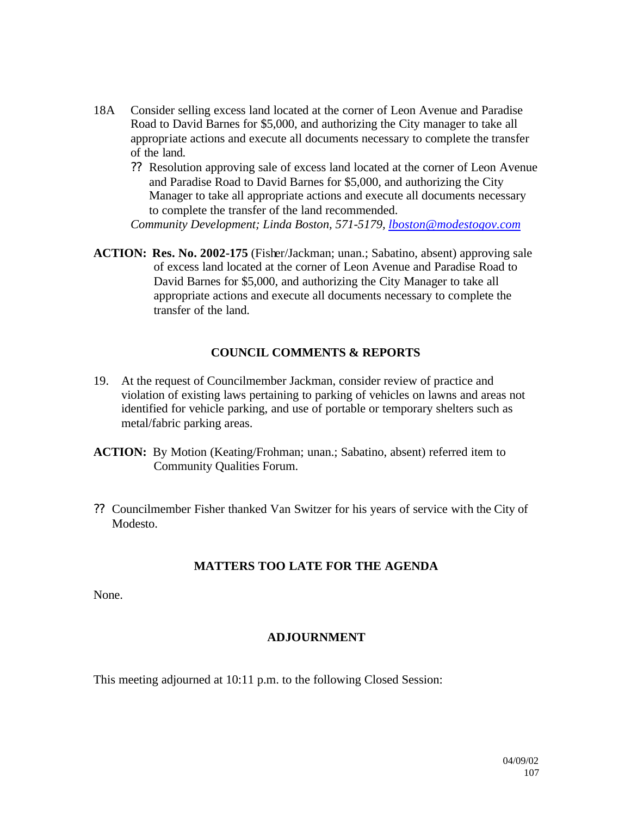- 18A Consider selling excess land located at the corner of Leon Avenue and Paradise Road to David Barnes for \$5,000, and authorizing the City manager to take all appropriate actions and execute all documents necessary to complete the transfer of the land.
	- ?? Resolution approving sale of excess land located at the corner of Leon Avenue and Paradise Road to David Barnes for \$5,000, and authorizing the City Manager to take all appropriate actions and execute all documents necessary to complete the transfer of the land recommended.

*Community Development; Linda Boston, 571-5179, lboston@modestogov.com*

**ACTION: Res. No. 2002-175** (Fisher/Jackman; unan.; Sabatino, absent) approving sale of excess land located at the corner of Leon Avenue and Paradise Road to David Barnes for \$5,000, and authorizing the City Manager to take all appropriate actions and execute all documents necessary to complete the transfer of the land.

### **COUNCIL COMMENTS & REPORTS**

- 19. At the request of Councilmember Jackman, consider review of practice and violation of existing laws pertaining to parking of vehicles on lawns and areas not identified for vehicle parking, and use of portable or temporary shelters such as metal/fabric parking areas.
- **ACTION:** By Motion (Keating/Frohman; unan.; Sabatino, absent) referred item to Community Qualities Forum.
- ?? Councilmember Fisher thanked Van Switzer for his years of service with the City of Modesto.

## **MATTERS TOO LATE FOR THE AGENDA**

None.

## **ADJOURNMENT**

This meeting adjourned at 10:11 p.m. to the following Closed Session: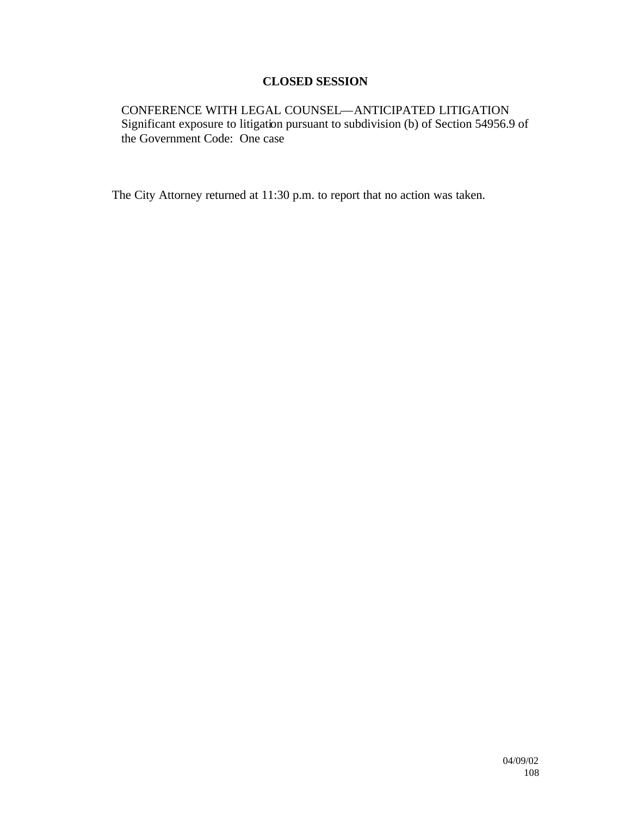## **CLOSED SESSION**

CONFERENCE WITH LEGAL COUNSEL—ANTICIPATED LITIGATION Significant exposure to litigation pursuant to subdivision (b) of Section 54956.9 of the Government Code: One case

The City Attorney returned at 11:30 p.m. to report that no action was taken.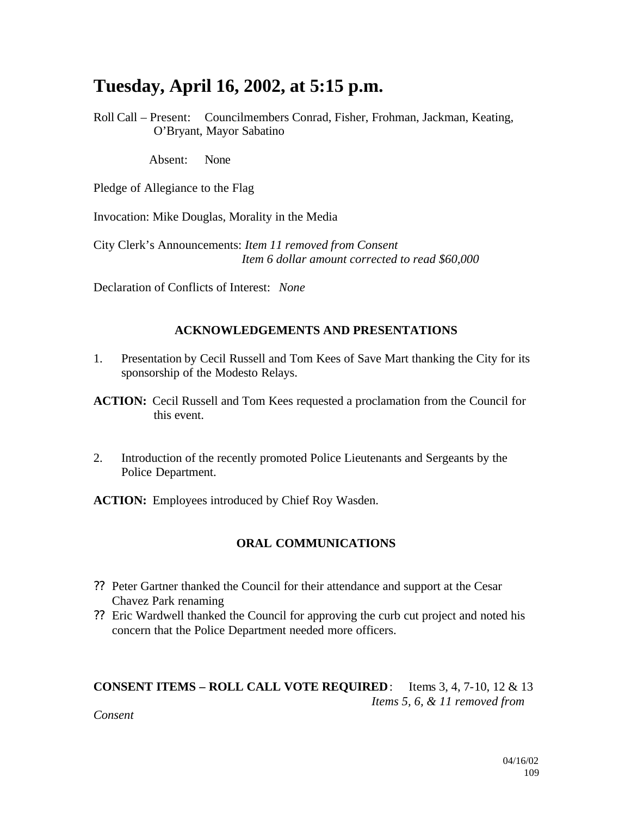## **Tuesday, April 16, 2002, at 5:15 p.m.**

Roll Call – Present: Councilmembers Conrad, Fisher, Frohman, Jackman, Keating, O'Bryant, Mayor Sabatino

Absent: None

Pledge of Allegiance to the Flag

Invocation: Mike Douglas, Morality in the Media

City Clerk's Announcements: *Item 11 removed from Consent Item 6 dollar amount corrected to read \$60,000*

Declaration of Conflicts of Interest: *None*

#### **ACKNOWLEDGEMENTS AND PRESENTATIONS**

- 1. Presentation by Cecil Russell and Tom Kees of Save Mart thanking the City for its sponsorship of the Modesto Relays.
- **ACTION:** Cecil Russell and Tom Kees requested a proclamation from the Council for this event.
- 2. Introduction of the recently promoted Police Lieutenants and Sergeants by the Police Department.

**ACTION:** Employees introduced by Chief Roy Wasden.

## **ORAL COMMUNICATIONS**

- ?? Peter Gartner thanked the Council for their attendance and support at the Cesar Chavez Park renaming
- ?? Eric Wardwell thanked the Council for approving the curb cut project and noted his concern that the Police Department needed more officers.

## **CONSENT ITEMS – ROLL CALL VOTE REQUIRED**: Items 3, 4, 7-10, 12 & 13 *Items 5, 6, & 11 removed from*

*Consent*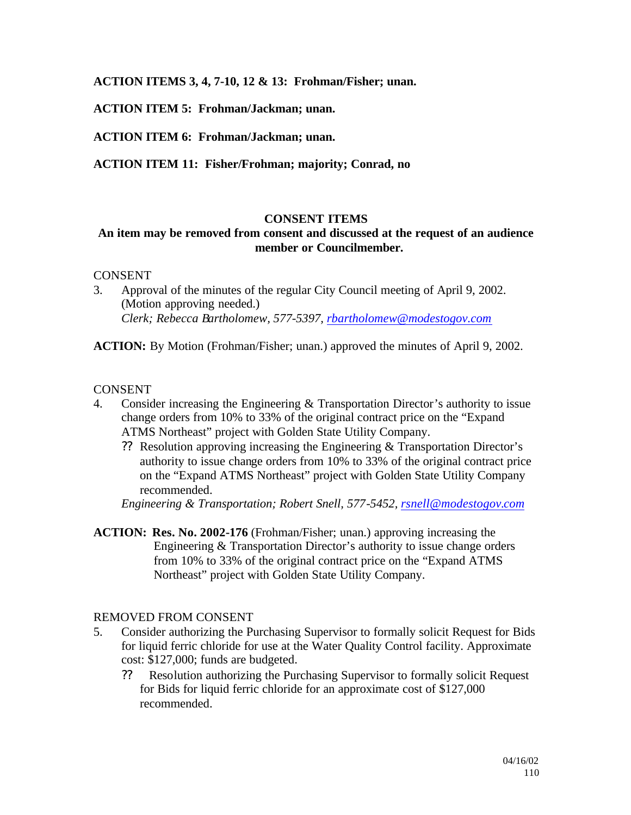**ACTION ITEMS 3, 4, 7-10, 12 & 13: Frohman/Fisher; unan.**

**ACTION ITEM 5: Frohman/Jackman; unan.**

**ACTION ITEM 6: Frohman/Jackman; unan.**

**ACTION ITEM 11: Fisher/Frohman; majority; Conrad, no**

#### **CONSENT ITEMS**

## **An item may be removed from consent and discussed at the request of an audience member or Councilmember.**

#### CONSENT

3. Approval of the minutes of the regular City Council meeting of April 9, 2002. (Motion approving needed.) *Clerk; Rebecca Bartholomew, 577-5397, rbartholomew@modestogov.com*

**ACTION:** By Motion (Frohman/Fisher; unan.) approved the minutes of April 9, 2002.

#### **CONSENT**

- 4. Consider increasing the Engineering & Transportation Director's authority to issue change orders from 10% to 33% of the original contract price on the "Expand ATMS Northeast" project with Golden State Utility Company.
	- ?? Resolution approving increasing the Engineering & Transportation Director's authority to issue change orders from 10% to 33% of the original contract price on the "Expand ATMS Northeast" project with Golden State Utility Company recommended.

*Engineering & Transportation; Robert Snell, 577-5452, rsnell@modestogov.com*

**ACTION: Res. No. 2002-176** (Frohman/Fisher; unan.) approving increasing the Engineering & Transportation Director's authority to issue change orders from 10% to 33% of the original contract price on the "Expand ATMS Northeast" project with Golden State Utility Company.

#### REMOVED FROM CONSENT

- 5. Consider authorizing the Purchasing Supervisor to formally solicit Request for Bids for liquid ferric chloride for use at the Water Quality Control facility. Approximate cost: \$127,000; funds are budgeted.
	- ?? Resolution authorizing the Purchasing Supervisor to formally solicit Request for Bids for liquid ferric chloride for an approximate cost of \$127,000 recommended.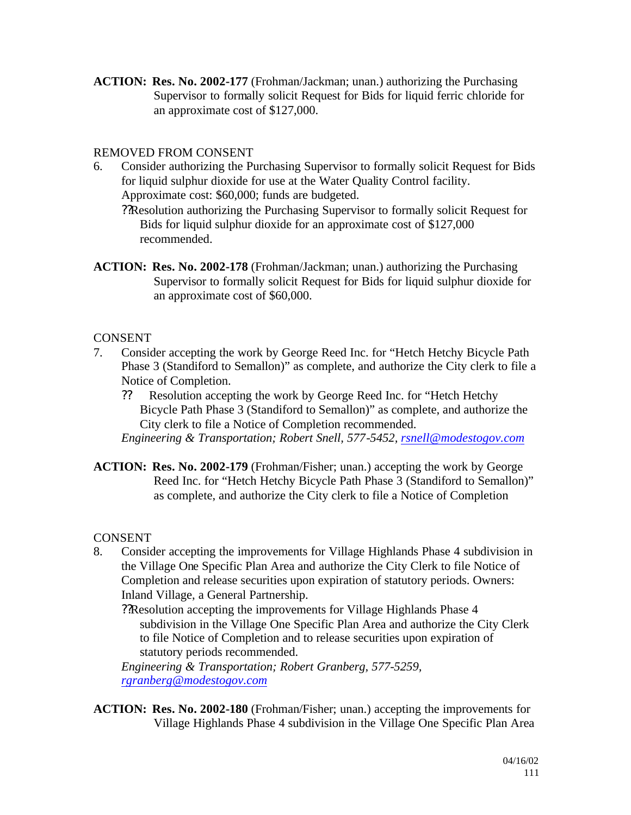**ACTION: Res. No. 2002-177** (Frohman/Jackman; unan.) authorizing the Purchasing Supervisor to formally solicit Request for Bids for liquid ferric chloride for an approximate cost of \$127,000.

## REMOVED FROM CONSENT

- 6. Consider authorizing the Purchasing Supervisor to formally solicit Request for Bids for liquid sulphur dioxide for use at the Water Quality Control facility. Approximate cost: \$60,000; funds are budgeted.
	- ??Resolution authorizing the Purchasing Supervisor to formally solicit Request for Bids for liquid sulphur dioxide for an approximate cost of \$127,000 recommended.
- **ACTION: Res. No. 2002-178** (Frohman/Jackman; unan.) authorizing the Purchasing Supervisor to formally solicit Request for Bids for liquid sulphur dioxide for an approximate cost of \$60,000.

#### CONSENT

- 7. Consider accepting the work by George Reed Inc. for "Hetch Hetchy Bicycle Path Phase 3 (Standiford to Semallon)" as complete, and authorize the City clerk to file a Notice of Completion.
	- ?? Resolution accepting the work by George Reed Inc. for "Hetch Hetchy Bicycle Path Phase 3 (Standiford to Semallon)" as complete, and authorize the City clerk to file a Notice of Completion recommended.

*Engineering & Transportation; Robert Snell, 577-5452, rsnell@modestogov.com*

**ACTION: Res. No. 2002-179** (Frohman/Fisher; unan.) accepting the work by George Reed Inc. for "Hetch Hetchy Bicycle Path Phase 3 (Standiford to Semallon)" as complete, and authorize the City clerk to file a Notice of Completion

CONSENT

8. Consider accepting the improvements for Village Highlands Phase 4 subdivision in the Village One Specific Plan Area and authorize the City Clerk to file Notice of Completion and release securities upon expiration of statutory periods. Owners: Inland Village, a General Partnership.

??Resolution accepting the improvements for Village Highlands Phase 4 subdivision in the Village One Specific Plan Area and authorize the City Clerk to file Notice of Completion and to release securities upon expiration of statutory periods recommended.

*Engineering & Transportation; Robert Granberg, 577-5259, rgranberg@modestogov.com*

**ACTION: Res. No. 2002-180** (Frohman/Fisher; unan.) accepting the improvements for Village Highlands Phase 4 subdivision in the Village One Specific Plan Area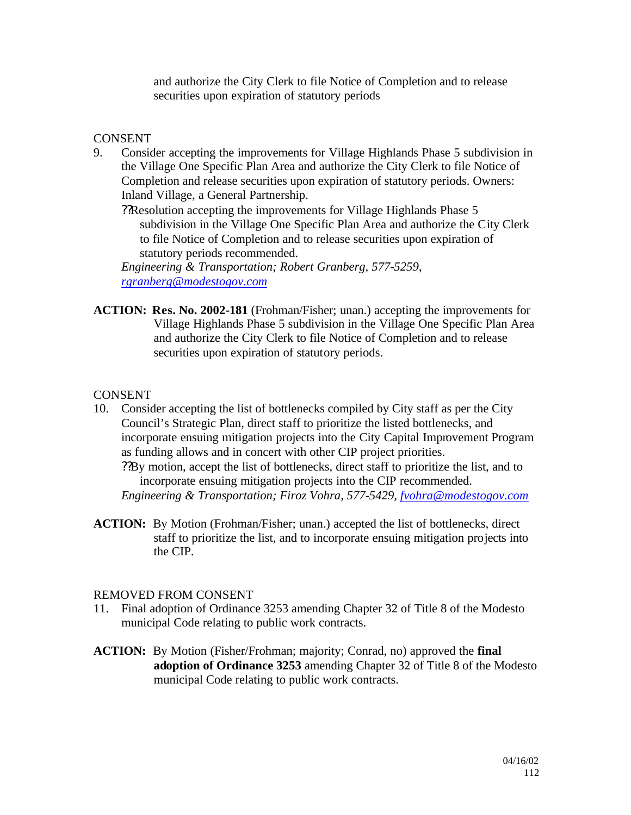and authorize the City Clerk to file Notice of Completion and to release securities upon expiration of statutory periods

#### **CONSENT**

9. Consider accepting the improvements for Village Highlands Phase 5 subdivision in the Village One Specific Plan Area and authorize the City Clerk to file Notice of Completion and release securities upon expiration of statutory periods. Owners: Inland Village, a General Partnership.

??Resolution accepting the improvements for Village Highlands Phase 5 subdivision in the Village One Specific Plan Area and authorize the City Clerk to file Notice of Completion and to release securities upon expiration of statutory periods recommended.

*Engineering & Transportation; Robert Granberg, 577-5259, rgranberg@modestogov.com*

**ACTION: Res. No. 2002-181** (Frohman/Fisher; unan.) accepting the improvements for Village Highlands Phase 5 subdivision in the Village One Specific Plan Area and authorize the City Clerk to file Notice of Completion and to release securities upon expiration of statutory periods.

#### **CONSENT**

10. Consider accepting the list of bottlenecks compiled by City staff as per the City Council's Strategic Plan, direct staff to prioritize the listed bottlenecks, and incorporate ensuing mitigation projects into the City Capital Improvement Program as funding allows and in concert with other CIP project priorities.

??By motion, accept the list of bottlenecks, direct staff to prioritize the list, and to incorporate ensuing mitigation projects into the CIP recommended. *Engineering & Transportation; Firoz Vohra, 577-5429, fvohra@modestogov.com*

**ACTION:** By Motion (Frohman/Fisher; unan.) accepted the list of bottlenecks, direct staff to prioritize the list, and to incorporate ensuing mitigation projects into the CIP.

#### REMOVED FROM CONSENT

- 11. Final adoption of Ordinance 3253 amending Chapter 32 of Title 8 of the Modesto municipal Code relating to public work contracts.
- **ACTION:** By Motion (Fisher/Frohman; majority; Conrad, no) approved the **final adoption of Ordinance 3253** amending Chapter 32 of Title 8 of the Modesto municipal Code relating to public work contracts.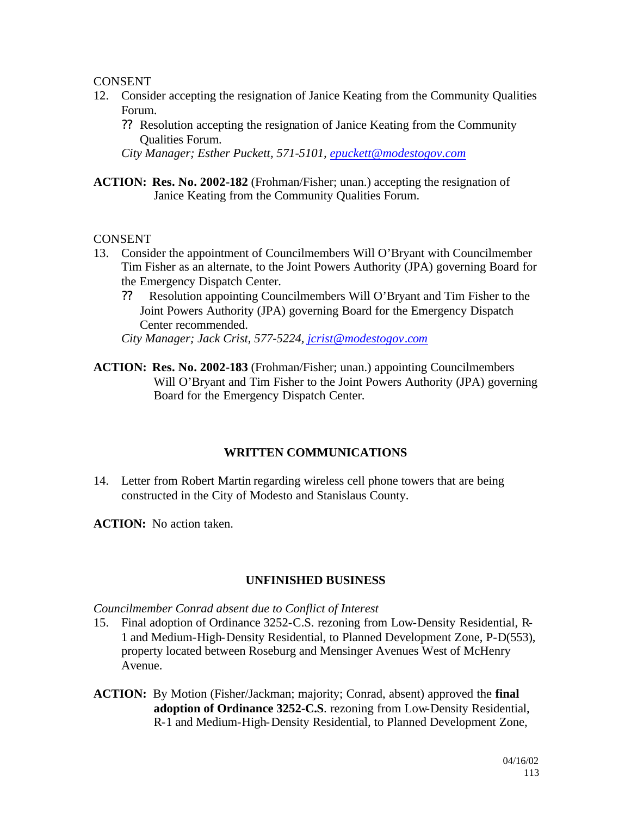#### CONSENT

- 12. Consider accepting the resignation of Janice Keating from the Community Qualities Forum.
	- ?? Resolution accepting the resignation of Janice Keating from the Community Qualities Forum.

*City Manager; Esther Puckett, 571-5101, epuckett@modestogov.com*

**ACTION: Res. No. 2002-182** (Frohman/Fisher; unan.) accepting the resignation of Janice Keating from the Community Qualities Forum.

#### CONSENT

- 13. Consider the appointment of Councilmembers Will O'Bryant with Councilmember Tim Fisher as an alternate, to the Joint Powers Authority (JPA) governing Board for the Emergency Dispatch Center.
	- ?? Resolution appointing Councilmembers Will O'Bryant and Tim Fisher to the Joint Powers Authority (JPA) governing Board for the Emergency Dispatch Center recommended.

*City Manager; Jack Crist, 577-5224, jcrist@modestogov.com*

**ACTION: Res. No. 2002-183** (Frohman/Fisher; unan.) appointing Councilmembers Will O'Bryant and Tim Fisher to the Joint Powers Authority (JPA) governing Board for the Emergency Dispatch Center.

## **WRITTEN COMMUNICATIONS**

14. Letter from Robert Martin regarding wireless cell phone towers that are being constructed in the City of Modesto and Stanislaus County.

**ACTION:** No action taken.

## **UNFINISHED BUSINESS**

*Councilmember Conrad absent due to Conflict of Interest*

- 15. Final adoption of Ordinance 3252-C.S. rezoning from Low-Density Residential, R-1 and Medium-High-Density Residential, to Planned Development Zone, P-D(553), property located between Roseburg and Mensinger Avenues West of McHenry Avenue.
- **ACTION:** By Motion (Fisher/Jackman; majority; Conrad, absent) approved the **final adoption of Ordinance 3252-C.S**. rezoning from Low-Density Residential, R-1 and Medium-High-Density Residential, to Planned Development Zone,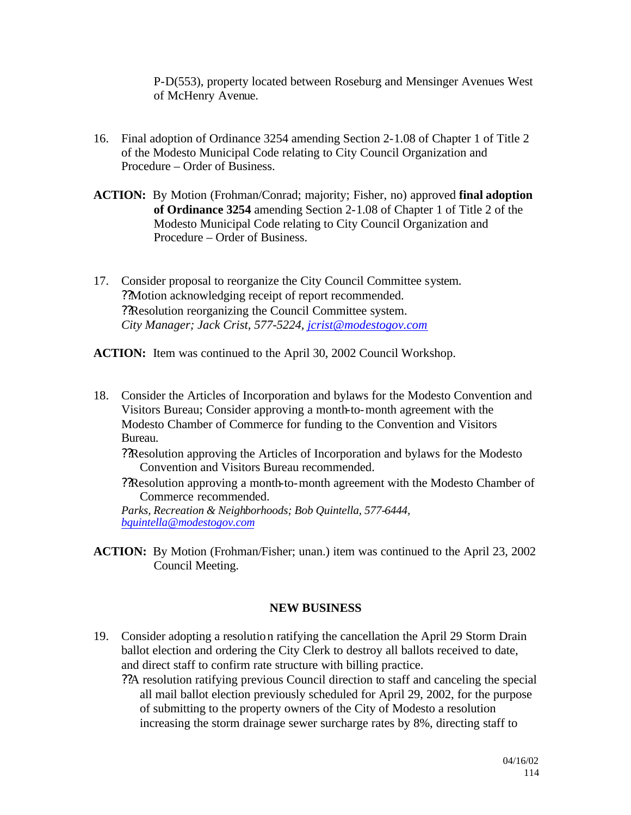P-D(553), property located between Roseburg and Mensinger Avenues West of McHenry Avenue.

- 16. Final adoption of Ordinance 3254 amending Section 2-1.08 of Chapter 1 of Title 2 of the Modesto Municipal Code relating to City Council Organization and Procedure – Order of Business.
- **ACTION:** By Motion (Frohman/Conrad; majority; Fisher, no) approved **final adoption of Ordinance 3254** amending Section 2-1.08 of Chapter 1 of Title 2 of the Modesto Municipal Code relating to City Council Organization and Procedure – Order of Business.
- 17. Consider proposal to reorganize the City Council Committee system. ??Motion acknowledging receipt of report recommended. ??Resolution reorganizing the Council Committee system. *City Manager; Jack Crist, 577-5224, jcrist@modestogov.com*

**ACTION:** Item was continued to the April 30, 2002 Council Workshop.

- 18. Consider the Articles of Incorporation and bylaws for the Modesto Convention and Visitors Bureau; Consider approving a month-to-month agreement with the Modesto Chamber of Commerce for funding to the Convention and Visitors Bureau.
	- ??Resolution approving the Articles of Incorporation and bylaws for the Modesto Convention and Visitors Bureau recommended.
	- ??Resolution approving a month-to-month agreement with the Modesto Chamber of Commerce recommended.

*Parks, Recreation & Neighborhoods; Bob Quintella, 577-6444, bquintella@modestogov.com*

**ACTION:** By Motion (Frohman/Fisher; unan.) item was continued to the April 23, 2002 Council Meeting.

#### **NEW BUSINESS**

19. Consider adopting a resolution ratifying the cancellation the April 29 Storm Drain ballot election and ordering the City Clerk to destroy all ballots received to date, and direct staff to confirm rate structure with billing practice.

??A resolution ratifying previous Council direction to staff and canceling the special all mail ballot election previously scheduled for April 29, 2002, for the purpose of submitting to the property owners of the City of Modesto a resolution increasing the storm drainage sewer surcharge rates by 8%, directing staff to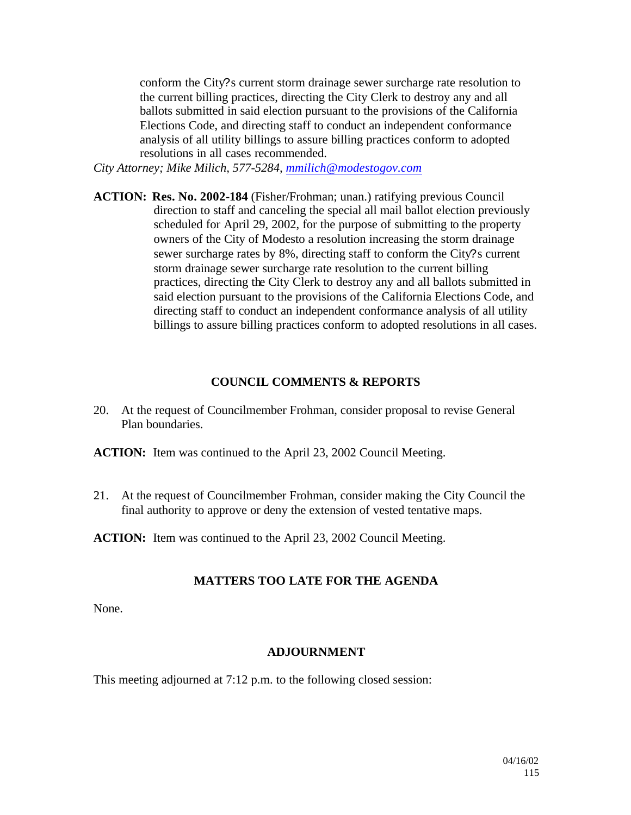conform the City?s current storm drainage sewer surcharge rate resolution to the current billing practices, directing the City Clerk to destroy any and all ballots submitted in said election pursuant to the provisions of the California Elections Code, and directing staff to conduct an independent conformance analysis of all utility billings to assure billing practices conform to adopted resolutions in all cases recommended.

*City Attorney; Mike Milich, 577-5284, mmilich@modestogov.com*

**ACTION: Res. No. 2002-184** (Fisher/Frohman; unan.) ratifying previous Council direction to staff and canceling the special all mail ballot election previously scheduled for April 29, 2002, for the purpose of submitting to the property owners of the City of Modesto a resolution increasing the storm drainage sewer surcharge rates by 8%, directing staff to conform the City?s current storm drainage sewer surcharge rate resolution to the current billing practices, directing the City Clerk to destroy any and all ballots submitted in said election pursuant to the provisions of the California Elections Code, and directing staff to conduct an independent conformance analysis of all utility billings to assure billing practices conform to adopted resolutions in all cases.

#### **COUNCIL COMMENTS & REPORTS**

- 20. At the request of Councilmember Frohman, consider proposal to revise General Plan boundaries.
- **ACTION:** Item was continued to the April 23, 2002 Council Meeting.
- 21. At the request of Councilmember Frohman, consider making the City Council the final authority to approve or deny the extension of vested tentative maps.

**ACTION:** Item was continued to the April 23, 2002 Council Meeting.

## **MATTERS TOO LATE FOR THE AGENDA**

None.

#### **ADJOURNMENT**

This meeting adjourned at 7:12 p.m. to the following closed session: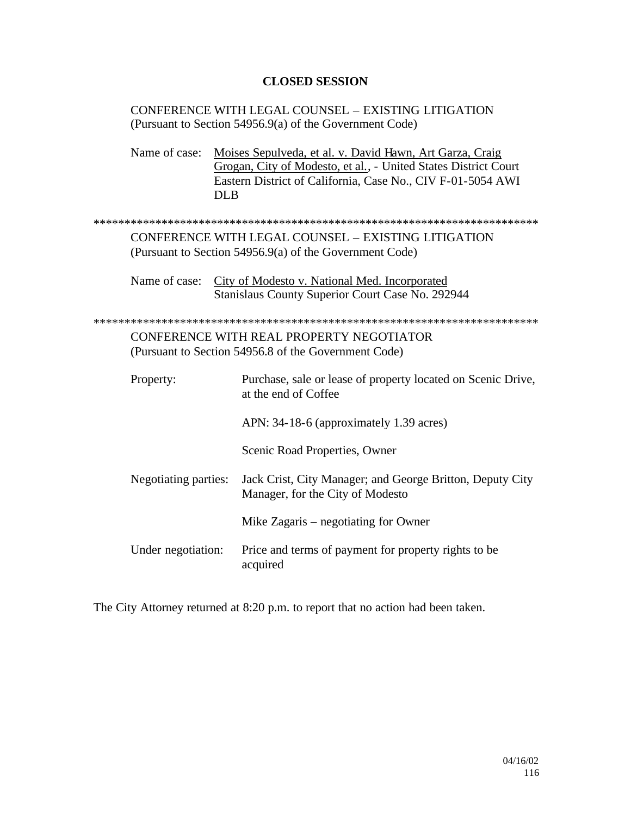#### **CLOSED SESSION**

CONFERENCE WITH LEGAL COUNSEL – EXISTING LITIGATION (Pursuant to Section 54956.9(a) of the Government Code)

Name of case: Moises Sepulveda, et al. v. David Hawn, Art Garza, Craig Grogan, City of Modesto, et al., - United States District Court Eastern District of California, Case No., CIV F-01-5054 AWI DLB

\*\*\*\*\*\*\*\*\*\*\*\*\*\*\*\*\*\*\*\*\*\*\*\*\*\*\*\*\*\*\*\*\*\*\*\*\*\*\*\*\*\*\*\*\*\*\*\*\*\*\*\*\*\*\*\*\*\*\*\*\*\*\*\*\*\*\*\*\*\*\*\*

CONFERENCE WITH LEGAL COUNSEL – EXISTING LITIGATION (Pursuant to Section 54956.9(a) of the Government Code)

Name of case: City of Modesto v. National Med. Incorporated Stanislaus County Superior Court Case No. 292944

\*\*\*\*\*\*\*\*\*\*\*\*\*\*\*\*\*\*\*\*\*\*\*\*\*\*\*\*\*\*\*\*\*\*\*\*\*\*\*\*\*\*\*\*\*\*\*\*\*\*\*\*\*\*\*\*\*\*\*\*\*\*\*\*\*\*\*\*\*\*\*\* CONFERENCE WITH REAL PROPERTY NEGOTIATOR (Pursuant to Section 54956.8 of the Government Code)

| Property:            | Purchase, sale or lease of property located on Scenic Drive,<br>at the end of Coffee          |
|----------------------|-----------------------------------------------------------------------------------------------|
|                      | APN: 34-18-6 (approximately 1.39 acres)                                                       |
|                      | Scenic Road Properties, Owner                                                                 |
| Negotiating parties: | Jack Crist, City Manager; and George Britton, Deputy City<br>Manager, for the City of Modesto |
|                      | Mike Zagaris – negotiating for Owner                                                          |
| Under negotiation:   | Price and terms of payment for property rights to be<br>acquired                              |

The City Attorney returned at 8:20 p.m. to report that no action had been taken.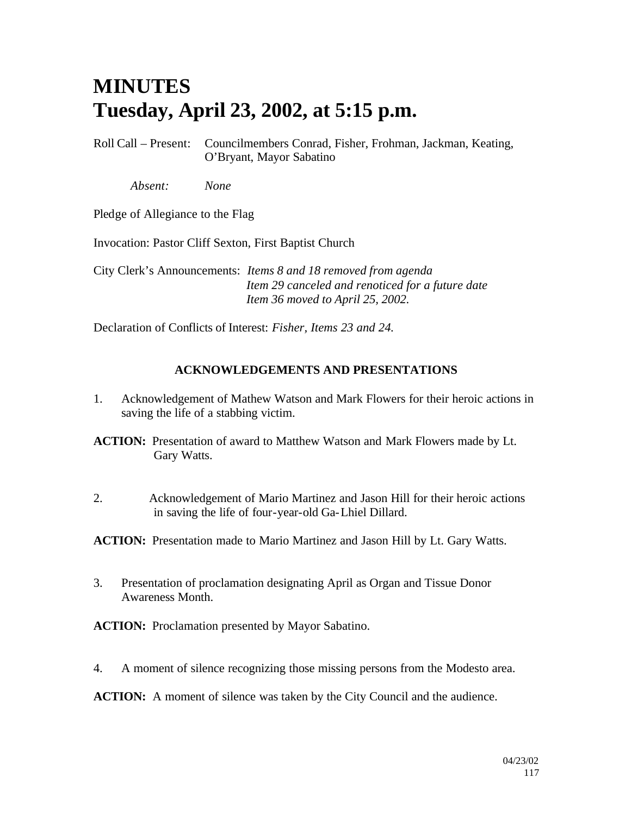# **MINUTES Tuesday, April 23, 2002, at 5:15 p.m.**

Roll Call – Present: Councilmembers Conrad, Fisher, Frohman, Jackman, Keating, O'Bryant, Mayor Sabatino

*Absent: None*

Pledge of Allegiance to the Flag

Invocation: Pastor Cliff Sexton, First Baptist Church

City Clerk's Announcements: *Items 8 and 18 removed from agenda Item 29 canceled and renoticed for a future date Item 36 moved to April 25, 2002.*

Declaration of Conflicts of Interest: *Fisher, Items 23 and 24.*

## **ACKNOWLEDGEMENTS AND PRESENTATIONS**

- 1. Acknowledgement of Mathew Watson and Mark Flowers for their heroic actions in saving the life of a stabbing victim.
- **ACTION:** Presentation of award to Matthew Watson and Mark Flowers made by Lt. Gary Watts.
- 2. Acknowledgement of Mario Martinez and Jason Hill for their heroic actions in saving the life of four-year-old Ga-Lhiel Dillard.

**ACTION:** Presentation made to Mario Martinez and Jason Hill by Lt. Gary Watts.

3. Presentation of proclamation designating April as Organ and Tissue Donor Awareness Month.

**ACTION:** Proclamation presented by Mayor Sabatino.

4. A moment of silence recognizing those missing persons from the Modesto area.

**ACTION:** A moment of silence was taken by the City Council and the audience.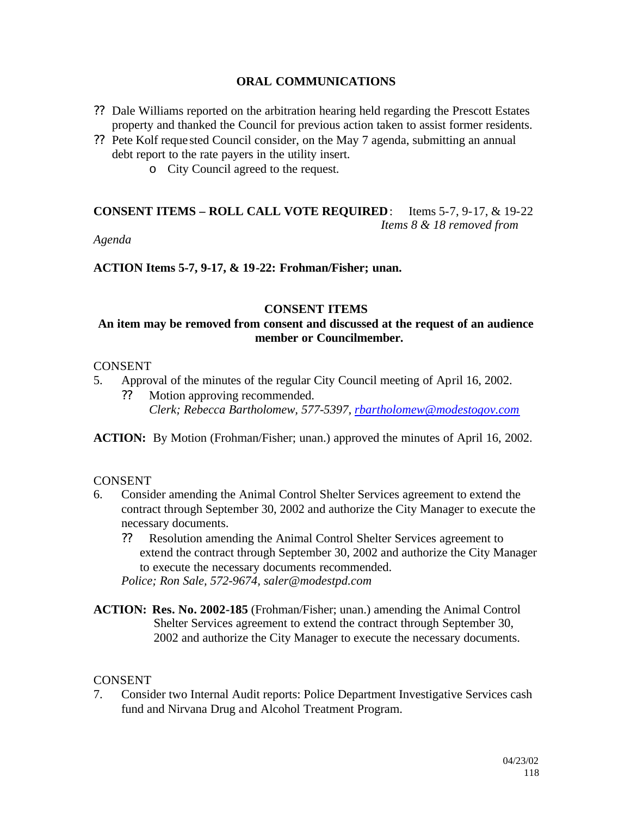#### **ORAL COMMUNICATIONS**

- ?? Dale Williams reported on the arbitration hearing held regarding the Prescott Estates property and thanked the Council for previous action taken to assist former residents.
- ?? Pete Kolf reque sted Council consider, on the May 7 agenda, submitting an annual debt report to the rate payers in the utility insert.
	- o City Council agreed to the request.

## **CONSENT ITEMS – ROLL CALL VOTE REQUIRED**: Items 5-7, 9-17, & 19-22 *Items 8 & 18 removed from*

*Agenda*

**ACTION Items 5-7, 9-17, & 19-22: Frohman/Fisher; unan.**

#### **CONSENT ITEMS**

## **An item may be removed from consent and discussed at the request of an audience member or Councilmember.**

#### CONSENT

- 5. Approval of the minutes of the regular City Council meeting of April 16, 2002.
	- ?? Motion approving recommended. *Clerk; Rebecca Bartholomew, 577-5397, rbartholomew@modestogov.com*

**ACTION:** By Motion (Frohman/Fisher; unan.) approved the minutes of April 16, 2002.

## **CONSENT**

- 6. Consider amending the Animal Control Shelter Services agreement to extend the contract through September 30, 2002 and authorize the City Manager to execute the necessary documents.
	- ?? Resolution amending the Animal Control Shelter Services agreement to extend the contract through September 30, 2002 and authorize the City Manager to execute the necessary documents recommended.

*Police; Ron Sale, 572-9674, saler@modestpd.com*

**ACTION: Res. No. 2002-185** (Frohman/Fisher; unan.) amending the Animal Control Shelter Services agreement to extend the contract through September 30, 2002 and authorize the City Manager to execute the necessary documents.

## **CONSENT**

7. Consider two Internal Audit reports: Police Department Investigative Services cash fund and Nirvana Drug and Alcohol Treatment Program.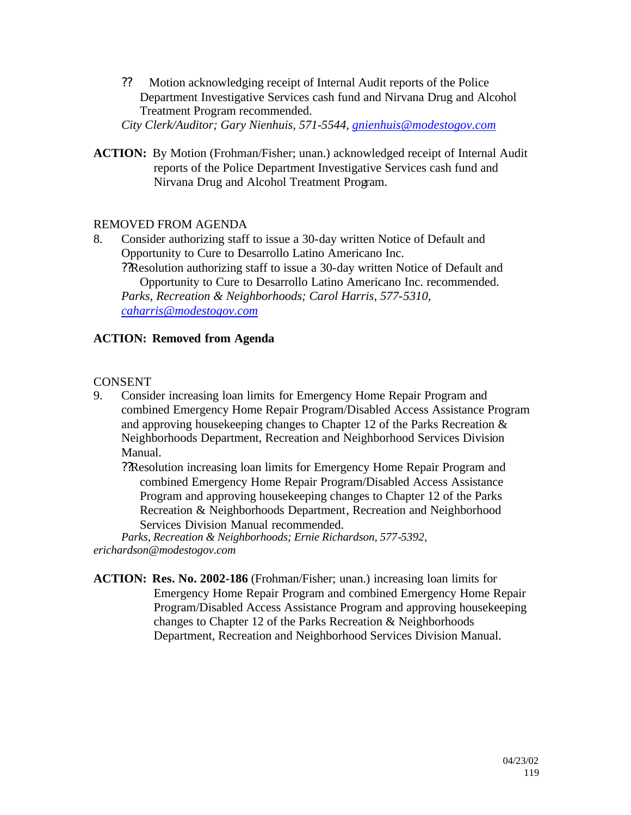?? Motion acknowledging receipt of Internal Audit reports of the Police Department Investigative Services cash fund and Nirvana Drug and Alcohol Treatment Program recommended.

*City Clerk/Auditor; Gary Nienhuis, 571-5544, gnienhuis@modestogov.com*

**ACTION:** By Motion (Frohman/Fisher; unan.) acknowledged receipt of Internal Audit reports of the Police Department Investigative Services cash fund and Nirvana Drug and Alcohol Treatment Program.

## REMOVED FROM AGENDA

8. Consider authorizing staff to issue a 30-day written Notice of Default and Opportunity to Cure to Desarrollo Latino Americano Inc. ??Resolution authorizing staff to issue a 30-day written Notice of Default and Opportunity to Cure to Desarrollo Latino Americano Inc. recommended. *Parks, Recreation & Neighborhoods; Carol Harris, 577-5310, caharris@modestogov.com*

## **ACTION: Removed from Agenda**

## **CONSENT**

9. Consider increasing loan limits for Emergency Home Repair Program and combined Emergency Home Repair Program/Disabled Access Assistance Program and approving housekeeping changes to Chapter 12 of the Parks Recreation & Neighborhoods Department, Recreation and Neighborhood Services Division Manual.

??Resolution increasing loan limits for Emergency Home Repair Program and combined Emergency Home Repair Program/Disabled Access Assistance Program and approving housekeeping changes to Chapter 12 of the Parks Recreation & Neighborhoods Department, Recreation and Neighborhood Services Division Manual recommended.

*Parks, Recreation & Neighborhoods; Ernie Richardson, 577-5392, erichardson@modestogov.com*

**ACTION: Res. No. 2002-186** (Frohman/Fisher; unan.) increasing loan limits for Emergency Home Repair Program and combined Emergency Home Repair Program/Disabled Access Assistance Program and approving housekeeping changes to Chapter 12 of the Parks Recreation & Neighborhoods Department, Recreation and Neighborhood Services Division Manual.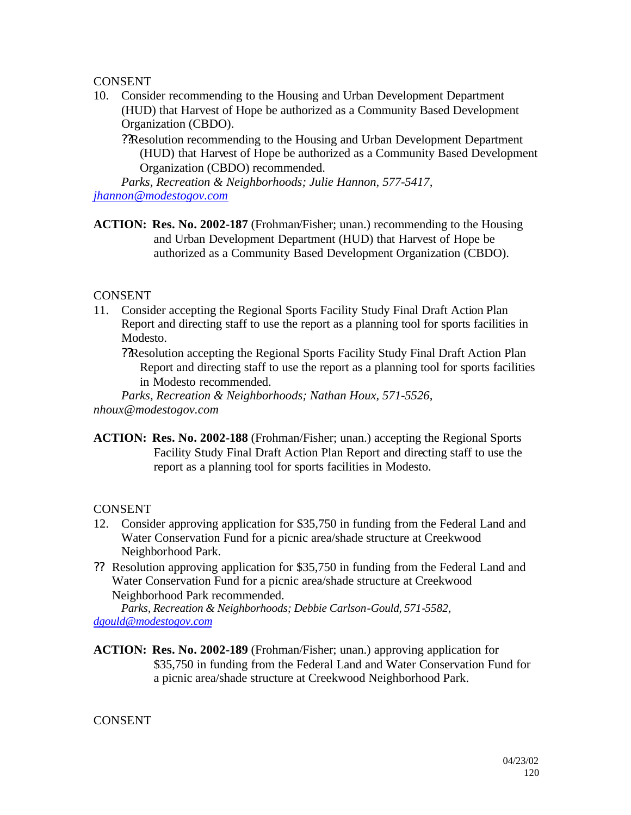## **CONSENT**

10. Consider recommending to the Housing and Urban Development Department (HUD) that Harvest of Hope be authorized as a Community Based Development Organization (CBDO).

??Resolution recommending to the Housing and Urban Development Department (HUD) that Harvest of Hope be authorized as a Community Based Development Organization (CBDO) recommended.

*Parks, Recreation & Neighborhoods; Julie Hannon, 577-5417, jhannon@modestogov.com*

**ACTION: Res. No. 2002-187** (Frohman/Fisher; unan.) recommending to the Housing and Urban Development Department (HUD) that Harvest of Hope be authorized as a Community Based Development Organization (CBDO).

## **CONSENT**

11. Consider accepting the Regional Sports Facility Study Final Draft Action Plan Report and directing staff to use the report as a planning tool for sports facilities in Modesto.

??Resolution accepting the Regional Sports Facility Study Final Draft Action Plan Report and directing staff to use the report as a planning tool for sports facilities in Modesto recommended.

*Parks, Recreation & Neighborhoods; Nathan Houx, 571-5526, nhoux@modestogov.com*

**ACTION: Res. No. 2002-188** (Frohman/Fisher; unan.) accepting the Regional Sports Facility Study Final Draft Action Plan Report and directing staff to use the report as a planning tool for sports facilities in Modesto.

## **CONSENT**

- 12. Consider approving application for \$35,750 in funding from the Federal Land and Water Conservation Fund for a picnic area/shade structure at Creekwood Neighborhood Park.
- ?? Resolution approving application for \$35,750 in funding from the Federal Land and Water Conservation Fund for a picnic area/shade structure at Creekwood Neighborhood Park recommended.

*Parks, Recreation & Neighborhoods; Debbie Carlson-Gould, 571-5582, dgould@modestogov.com*

**ACTION: Res. No. 2002-189** (Frohman/Fisher; unan.) approving application for \$35,750 in funding from the Federal Land and Water Conservation Fund for a picnic area/shade structure at Creekwood Neighborhood Park.

## **CONSENT**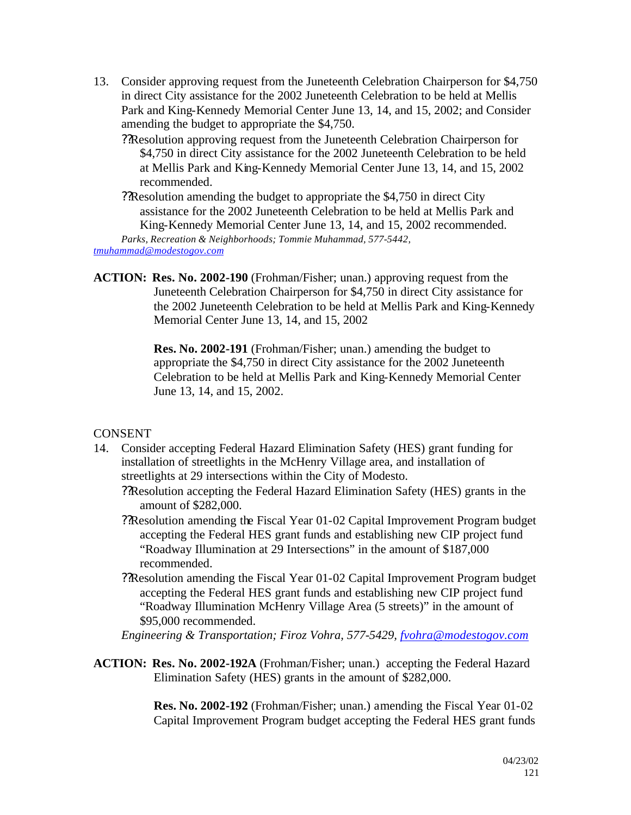- 13. Consider approving request from the Juneteenth Celebration Chairperson for \$4,750 in direct City assistance for the 2002 Juneteenth Celebration to be held at Mellis Park and King-Kennedy Memorial Center June 13, 14, and 15, 2002; and Consider amending the budget to appropriate the \$4,750.
	- ??Resolution approving request from the Juneteenth Celebration Chairperson for \$4,750 in direct City assistance for the 2002 Juneteenth Celebration to be held at Mellis Park and King-Kennedy Memorial Center June 13, 14, and 15, 2002 recommended.
	- ??Resolution amending the budget to appropriate the \$4,750 in direct City assistance for the 2002 Juneteenth Celebration to be held at Mellis Park and King-Kennedy Memorial Center June 13, 14, and 15, 2002 recommended.

*Parks, Recreation & Neighborhoods; Tommie Muhammad, 577-5442,* 

*tmuhammad@modestogov.com*

**ACTION: Res. No. 2002-190** (Frohman/Fisher; unan.) approving request from the Juneteenth Celebration Chairperson for \$4,750 in direct City assistance for the 2002 Juneteenth Celebration to be held at Mellis Park and King-Kennedy Memorial Center June 13, 14, and 15, 2002

> **Res. No. 2002-191** (Frohman/Fisher; unan.) amending the budget to appropriate the \$4,750 in direct City assistance for the 2002 Juneteenth Celebration to be held at Mellis Park and King-Kennedy Memorial Center June 13, 14, and 15, 2002.

#### **CONSENT**

- 14. Consider accepting Federal Hazard Elimination Safety (HES) grant funding for installation of streetlights in the McHenry Village area, and installation of streetlights at 29 intersections within the City of Modesto.
	- ??Resolution accepting the Federal Hazard Elimination Safety (HES) grants in the amount of \$282,000.
	- ??Resolution amending the Fiscal Year 01-02 Capital Improvement Program budget accepting the Federal HES grant funds and establishing new CIP project fund "Roadway Illumination at 29 Intersections" in the amount of \$187,000 recommended.
	- ??Resolution amending the Fiscal Year 01-02 Capital Improvement Program budget accepting the Federal HES grant funds and establishing new CIP project fund "Roadway Illumination McHenry Village Area (5 streets)" in the amount of \$95,000 recommended.

#### *Engineering & Transportation; Firoz Vohra, 577-5429, fvohra@modestogov.com*

**ACTION: Res. No. 2002-192A** (Frohman/Fisher; unan.) accepting the Federal Hazard Elimination Safety (HES) grants in the amount of \$282,000.

> **Res. No. 2002-192** (Frohman/Fisher; unan.) amending the Fiscal Year 01-02 Capital Improvement Program budget accepting the Federal HES grant funds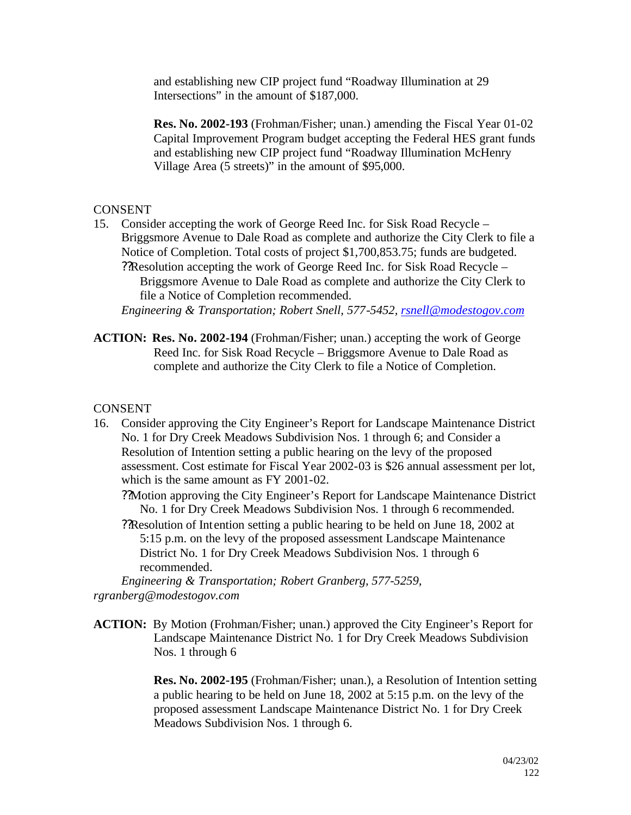and establishing new CIP project fund "Roadway Illumination at 29 Intersections" in the amount of \$187,000.

**Res. No. 2002-193** (Frohman/Fisher; unan.) amending the Fiscal Year 01-02 Capital Improvement Program budget accepting the Federal HES grant funds and establishing new CIP project fund "Roadway Illumination McHenry Village Area (5 streets)" in the amount of \$95,000.

#### CONSENT

15. Consider accepting the work of George Reed Inc. for Sisk Road Recycle – Briggsmore Avenue to Dale Road as complete and authorize the City Clerk to file a Notice of Completion. Total costs of project \$1,700,853.75; funds are budgeted. ??Resolution accepting the work of George Reed Inc. for Sisk Road Recycle – Briggsmore Avenue to Dale Road as complete and authorize the City Clerk to file a Notice of Completion recommended.

*Engineering & Transportation; Robert Snell, 577-5452, rsnell@modestogov.com*

**ACTION: Res. No. 2002-194** (Frohman/Fisher; unan.) accepting the work of George Reed Inc. for Sisk Road Recycle – Briggsmore Avenue to Dale Road as complete and authorize the City Clerk to file a Notice of Completion.

## **CONSENT**

16. Consider approving the City Engineer's Report for Landscape Maintenance District No. 1 for Dry Creek Meadows Subdivision Nos. 1 through 6; and Consider a Resolution of Intention setting a public hearing on the levy of the proposed assessment. Cost estimate for Fiscal Year 2002-03 is \$26 annual assessment per lot, which is the same amount as FY 2001-02.

??Motion approving the City Engineer's Report for Landscape Maintenance District No. 1 for Dry Creek Meadows Subdivision Nos. 1 through 6 recommended.

??Resolution of Int ention setting a public hearing to be held on June 18, 2002 at 5:15 p.m. on the levy of the proposed assessment Landscape Maintenance District No. 1 for Dry Creek Meadows Subdivision Nos. 1 through 6 recommended.

*Engineering & Transportation; Robert Granberg, 577-5259, rgranberg@modestogov.com*

**ACTION:** By Motion (Frohman/Fisher; unan.) approved the City Engineer's Report for Landscape Maintenance District No. 1 for Dry Creek Meadows Subdivision Nos. 1 through 6

> **Res. No. 2002-195** (Frohman/Fisher; unan.), a Resolution of Intention setting a public hearing to be held on June 18, 2002 at 5:15 p.m. on the levy of the proposed assessment Landscape Maintenance District No. 1 for Dry Creek Meadows Subdivision Nos. 1 through 6.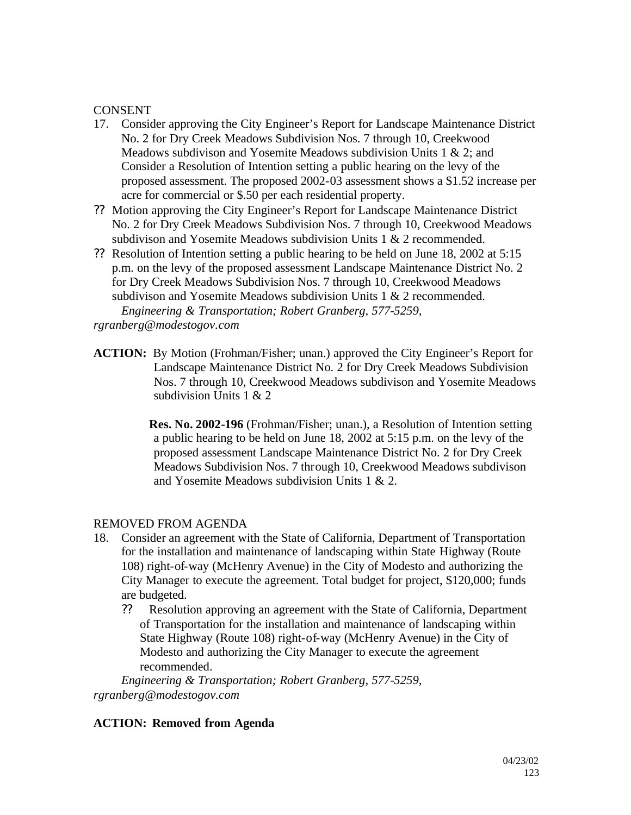## **CONSENT**

- 17. Consider approving the City Engineer's Report for Landscape Maintenance District No. 2 for Dry Creek Meadows Subdivision Nos. 7 through 10, Creekwood Meadows subdivison and Yosemite Meadows subdivision Units 1 & 2; and Consider a Resolution of Intention setting a public hearing on the levy of the proposed assessment. The proposed 2002-03 assessment shows a \$1.52 increase per acre for commercial or \$.50 per each residential property.
- ?? Motion approving the City Engineer's Report for Landscape Maintenance District No. 2 for Dry Creek Meadows Subdivision Nos. 7 through 10, Creekwood Meadows subdivison and Yosemite Meadows subdivision Units 1 & 2 recommended.
- ?? Resolution of Intention setting a public hearing to be held on June 18, 2002 at 5:15 p.m. on the levy of the proposed assessment Landscape Maintenance District No. 2 for Dry Creek Meadows Subdivision Nos. 7 through 10, Creekwood Meadows subdivison and Yosemite Meadows subdivision Units 1 & 2 recommended. *Engineering & Transportation; Robert Granberg, 577-5259,*

*rgranberg@modestogov.com*

**ACTION:** By Motion (Frohman/Fisher; unan.) approved the City Engineer's Report for Landscape Maintenance District No. 2 for Dry Creek Meadows Subdivision Nos. 7 through 10, Creekwood Meadows subdivison and Yosemite Meadows subdivision Units 1 & 2

> **Res. No. 2002-196** (Frohman/Fisher; unan.), a Resolution of Intention setting a public hearing to be held on June 18, 2002 at 5:15 p.m. on the levy of the proposed assessment Landscape Maintenance District No. 2 for Dry Creek Meadows Subdivision Nos. 7 through 10, Creekwood Meadows subdivison and Yosemite Meadows subdivision Units 1 & 2.

#### REMOVED FROM AGENDA

- 18. Consider an agreement with the State of California, Department of Transportation for the installation and maintenance of landscaping within State Highway (Route 108) right-of-way (McHenry Avenue) in the City of Modesto and authorizing the City Manager to execute the agreement. Total budget for project, \$120,000; funds are budgeted.
	- ?? Resolution approving an agreement with the State of California, Department of Transportation for the installation and maintenance of landscaping within State Highway (Route 108) right-of-way (McHenry Avenue) in the City of Modesto and authorizing the City Manager to execute the agreement recommended.

*Engineering & Transportation; Robert Granberg, 577-5259, rgranberg@modestogov.com*

#### **ACTION: Removed from Agenda**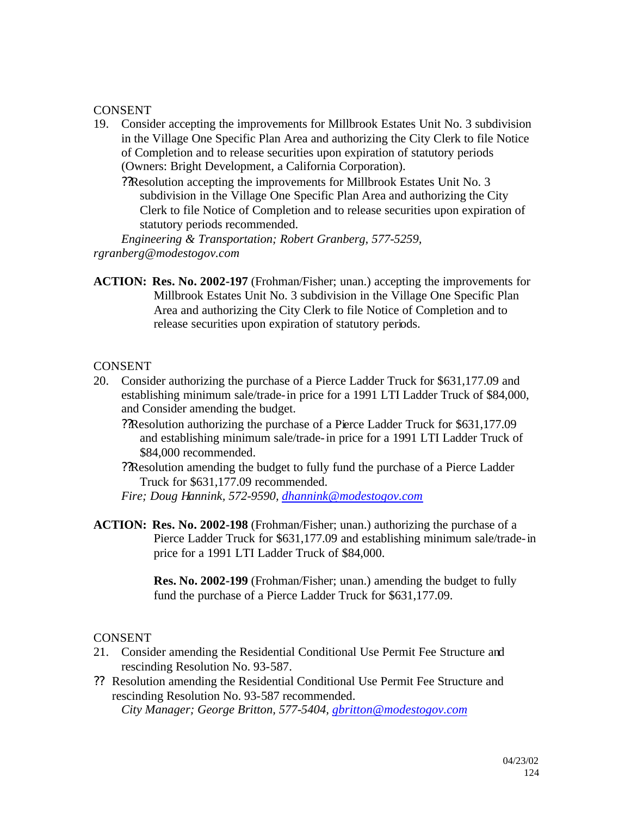#### CONSENT

- 19. Consider accepting the improvements for Millbrook Estates Unit No. 3 subdivision in the Village One Specific Plan Area and authorizing the City Clerk to file Notice of Completion and to release securities upon expiration of statutory periods (Owners: Bright Development, a California Corporation).
	- ??Resolution accepting the improvements for Millbrook Estates Unit No. 3 subdivision in the Village One Specific Plan Area and authorizing the City Clerk to file Notice of Completion and to release securities upon expiration of statutory periods recommended.

*Engineering & Transportation; Robert Granberg, 577-5259, rgranberg@modestogov.com*

**ACTION: Res. No. 2002-197** (Frohman/Fisher; unan.) accepting the improvements for Millbrook Estates Unit No. 3 subdivision in the Village One Specific Plan Area and authorizing the City Clerk to file Notice of Completion and to release securities upon expiration of statutory periods.

#### **CONSENT**

- 20. Consider authorizing the purchase of a Pierce Ladder Truck for \$631,177.09 and establishing minimum sale/trade-in price for a 1991 LTI Ladder Truck of \$84,000, and Consider amending the budget.
	- ??Resolution authorizing the purchase of a Pierce Ladder Truck for \$631,177.09 and establishing minimum sale/trade-in price for a 1991 LTI Ladder Truck of \$84,000 recommended.
	- ??Resolution amending the budget to fully fund the purchase of a Pierce Ladder Truck for \$631,177.09 recommended.

*Fire; Doug Hannink, 572-9590, dhannink@modestogov.com*

**ACTION: Res. No. 2002-198** (Frohman/Fisher; unan.) authorizing the purchase of a Pierce Ladder Truck for \$631,177.09 and establishing minimum sale/trade-in price for a 1991 LTI Ladder Truck of \$84,000.

> **Res. No. 2002-199** (Frohman/Fisher; unan.) amending the budget to fully fund the purchase of a Pierce Ladder Truck for \$631,177.09.

#### CONSENT

- 21. Consider amending the Residential Conditional Use Permit Fee Structure and rescinding Resolution No. 93-587.
- ?? Resolution amending the Residential Conditional Use Permit Fee Structure and rescinding Resolution No. 93-587 recommended. *City Manager; George Britton, 577-5404, gbritton@modestogov.com*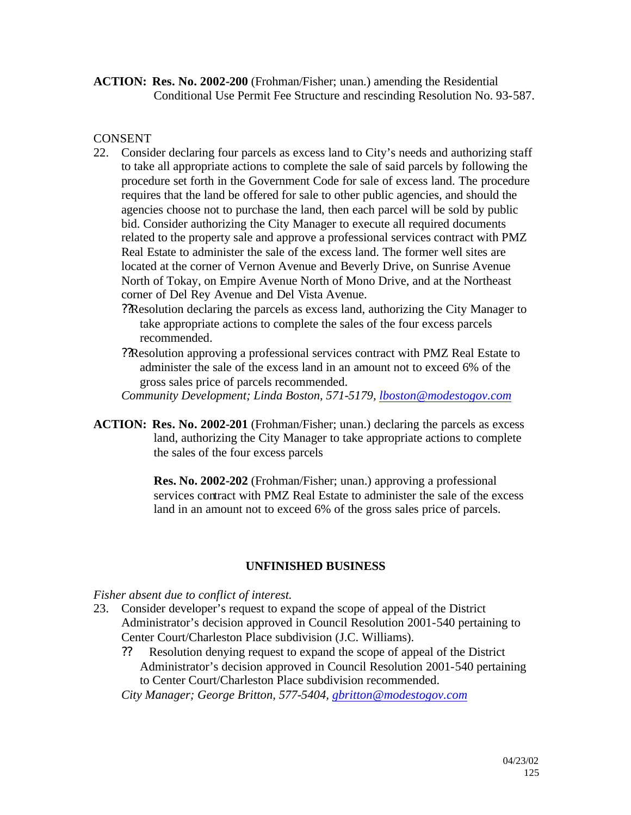**ACTION: Res. No. 2002-200** (Frohman/Fisher; unan.) amending the Residential Conditional Use Permit Fee Structure and rescinding Resolution No. 93-587.

## **CONSENT**

- 22. Consider declaring four parcels as excess land to City's needs and authorizing staff to take all appropriate actions to complete the sale of said parcels by following the procedure set forth in the Government Code for sale of excess land. The procedure requires that the land be offered for sale to other public agencies, and should the agencies choose not to purchase the land, then each parcel will be sold by public bid. Consider authorizing the City Manager to execute all required documents related to the property sale and approve a professional services contract with PMZ Real Estate to administer the sale of the excess land. The former well sites are located at the corner of Vernon Avenue and Beverly Drive, on Sunrise Avenue North of Tokay, on Empire Avenue North of Mono Drive, and at the Northeast corner of Del Rey Avenue and Del Vista Avenue.
	- ??Resolution declaring the parcels as excess land, authorizing the City Manager to take appropriate actions to complete the sales of the four excess parcels recommended.
	- ??Resolution approving a professional services contract with PMZ Real Estate to administer the sale of the excess land in an amount not to exceed 6% of the gross sales price of parcels recommended.

*Community Development; Linda Boston, 571-5179, lboston@modestogov.com*

**ACTION: Res. No. 2002-201** (Frohman/Fisher; unan.) declaring the parcels as excess land, authorizing the City Manager to take appropriate actions to complete the sales of the four excess parcels

> **Res. No. 2002-202** (Frohman/Fisher; unan.) approving a professional services contract with PMZ Real Estate to administer the sale of the excess land in an amount not to exceed 6% of the gross sales price of parcels.

## **UNFINISHED BUSINESS**

*Fisher absent due to conflict of interest.*

- 23. Consider developer's request to expand the scope of appeal of the District Administrator's decision approved in Council Resolution 2001-540 pertaining to Center Court/Charleston Place subdivision (J.C. Williams).
	- ?? Resolution denying request to expand the scope of appeal of the District Administrator's decision approved in Council Resolution 2001-540 pertaining to Center Court/Charleston Place subdivision recommended.

*City Manager; George Britton, 577-5404, gbritton@modestogov.com*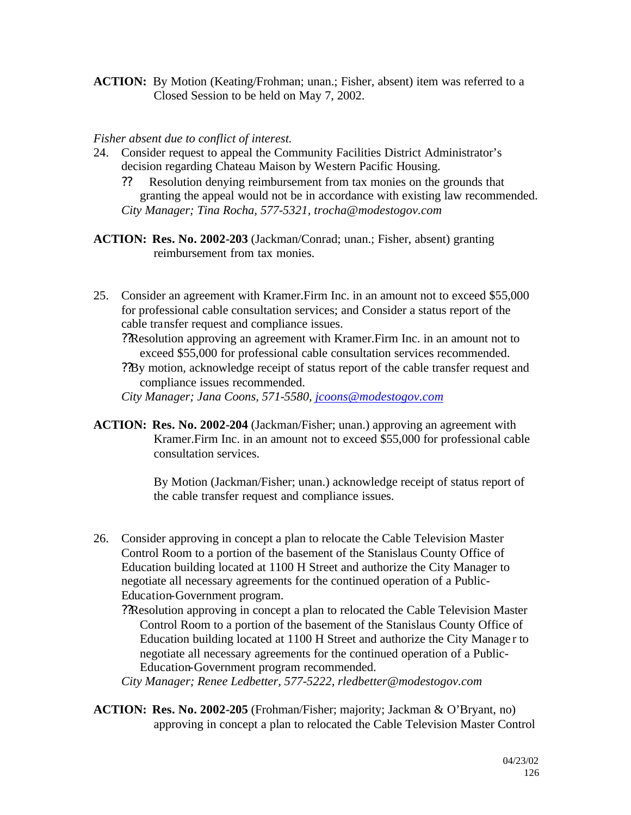**ACTION:** By Motion (Keating/Frohman; unan.; Fisher, absent) item was referred to a Closed Session to be held on May 7, 2002.

#### *Fisher absent due to conflict of interest.*

- 24. Consider request to appeal the Community Facilities District Administrator's decision regarding Chateau Maison by Western Pacific Housing.
	- ?? Resolution denying reimbursement from tax monies on the grounds that granting the appeal would not be in accordance with existing law recommended. *City Manager; Tina Rocha, 577-5321, trocha@modestogov.com*

**ACTION: Res. No. 2002-203** (Jackman/Conrad; unan.; Fisher, absent) granting reimbursement from tax monies.

- 25. Consider an agreement with Kramer.Firm Inc. in an amount not to exceed \$55,000 for professional cable consultation services; and Consider a status report of the cable transfer request and compliance issues.
	- ??Resolution approving an agreement with Kramer.Firm Inc. in an amount not to exceed \$55,000 for professional cable consultation services recommended.
	- ??By motion, acknowledge receipt of status report of the cable transfer request and compliance issues recommended.

*City Manager; Jana Coons, 571-5580, jcoons@modestogov.com*

**ACTION: Res. No. 2002-204** (Jackman/Fisher; unan.) approving an agreement with Kramer.Firm Inc. in an amount not to exceed \$55,000 for professional cable consultation services.

> By Motion (Jackman/Fisher; unan.) acknowledge receipt of status report of the cable transfer request and compliance issues.

26. Consider approving in concept a plan to relocate the Cable Television Master Control Room to a portion of the basement of the Stanislaus County Office of Education building located at 1100 H Street and authorize the City Manager to negotiate all necessary agreements for the continued operation of a Public-Education-Government program.

??Resolution approving in concept a plan to relocated the Cable Television Master Control Room to a portion of the basement of the Stanislaus County Office of Education building located at 1100 H Street and authorize the City Manage r to negotiate all necessary agreements for the continued operation of a Public-Education-Government program recommended.

*City Manager; Renee Ledbetter, 577-5222, rledbetter@modestogov.com*

**ACTION: Res. No. 2002-205** (Frohman/Fisher; majority; Jackman & O'Bryant, no) approving in concept a plan to relocated the Cable Television Master Control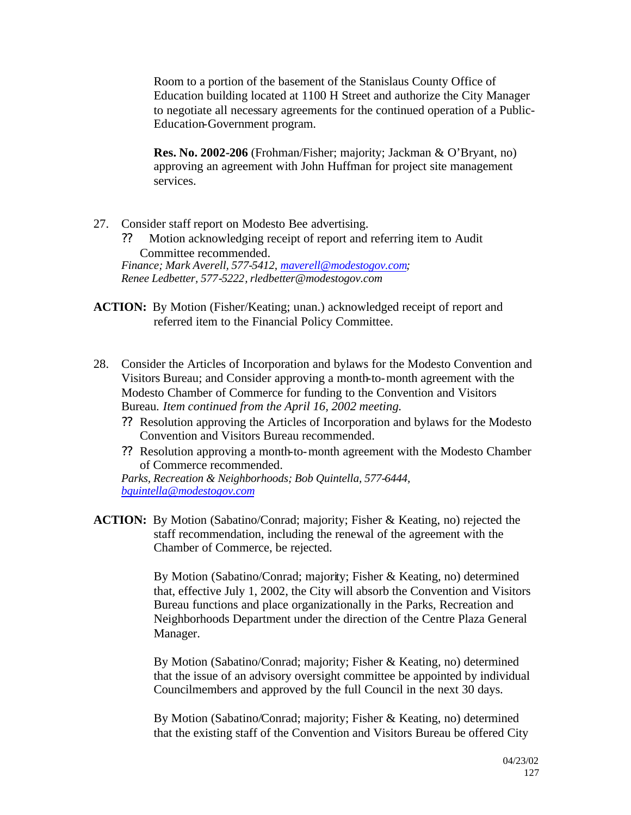Room to a portion of the basement of the Stanislaus County Office of Education building located at 1100 H Street and authorize the City Manager to negotiate all necessary agreements for the continued operation of a Public-Education-Government program.

**Res. No. 2002-206** (Frohman/Fisher; majority; Jackman & O'Bryant, no) approving an agreement with John Huffman for project site management services.

- 27. Consider staff report on Modesto Bee advertising.
	- ?? Motion acknowledging receipt of report and referring item to Audit Committee recommended. *Finance; Mark Averell, 577-5412, maverell@modestogov.com;*

*Renee Ledbetter, 577-5222, rledbetter@modestogov.com*

- **ACTION:** By Motion (Fisher/Keating; unan.) acknowledged receipt of report and referred item to the Financial Policy Committee.
- 28. Consider the Articles of Incorporation and bylaws for the Modesto Convention and Visitors Bureau; and Consider approving a month-to-month agreement with the Modesto Chamber of Commerce for funding to the Convention and Visitors Bureau. *Item continued from the April 16, 2002 meeting.*
	- ?? Resolution approving the Articles of Incorporation and bylaws for the Modesto Convention and Visitors Bureau recommended.
	- ?? Resolution approving a month-to-month agreement with the Modesto Chamber of Commerce recommended.

*Parks, Recreation & Neighborhoods; Bob Quintella, 577-6444, bquintella@modestogov.com*

**ACTION:** By Motion (Sabatino/Conrad; majority; Fisher & Keating, no) rejected the staff recommendation, including the renewal of the agreement with the Chamber of Commerce, be rejected.

> By Motion (Sabatino/Conrad; majority; Fisher & Keating, no) determined that, effective July 1, 2002, the City will absorb the Convention and Visitors Bureau functions and place organizationally in the Parks, Recreation and Neighborhoods Department under the direction of the Centre Plaza General Manager.

> By Motion (Sabatino/Conrad; majority; Fisher & Keating, no) determined that the issue of an advisory oversight committee be appointed by individual Councilmembers and approved by the full Council in the next 30 days.

> By Motion (Sabatino/Conrad; majority; Fisher & Keating, no) determined that the existing staff of the Convention and Visitors Bureau be offered City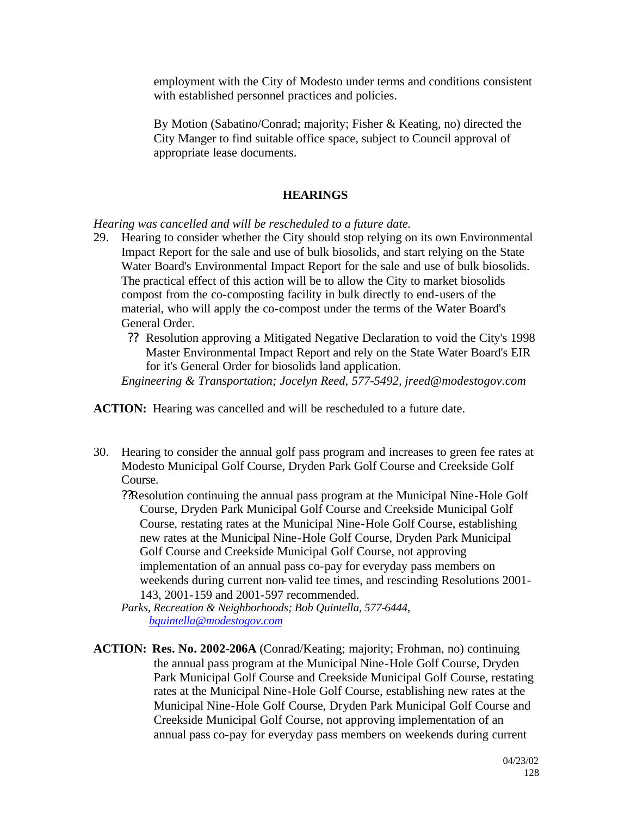employment with the City of Modesto under terms and conditions consistent with established personnel practices and policies.

By Motion (Sabatino/Conrad; majority; Fisher & Keating, no) directed the City Manger to find suitable office space, subject to Council approval of appropriate lease documents.

## **HEARINGS**

*Hearing was cancelled and will be rescheduled to a future date.*

- 29. Hearing to consider whether the City should stop relying on its own Environmental Impact Report for the sale and use of bulk biosolids, and start relying on the State Water Board's Environmental Impact Report for the sale and use of bulk biosolids. The practical effect of this action will be to allow the City to market biosolids compost from the co-composting facility in bulk directly to end-users of the material, who will apply the co-compost under the terms of the Water Board's General Order.
	- ?? Resolution approving a Mitigated Negative Declaration to void the City's 1998 Master Environmental Impact Report and rely on the State Water Board's EIR for it's General Order for biosolids land application.

*Engineering & Transportation; Jocelyn Reed, 577-5492, jreed@modestogov.com*

**ACTION:** Hearing was cancelled and will be rescheduled to a future date.

30. Hearing to consider the annual golf pass program and increases to green fee rates at Modesto Municipal Golf Course, Dryden Park Golf Course and Creekside Golf Course.

??Resolution continuing the annual pass program at the Municipal Nine-Hole Golf Course, Dryden Park Municipal Golf Course and Creekside Municipal Golf Course, restating rates at the Municipal Nine-Hole Golf Course, establishing new rates at the Municipal Nine-Hole Golf Course, Dryden Park Municipal Golf Course and Creekside Municipal Golf Course, not approving implementation of an annual pass co-pay for everyday pass members on weekends during current non-valid tee times, and rescinding Resolutions 2001- 143, 2001-159 and 2001-597 recommended.

*Parks, Recreation & Neighborhoods; Bob Quintella, 577-6444, bquintella@modestogov.com*

**ACTION: Res. No. 2002-206A** (Conrad/Keating; majority; Frohman, no) continuing the annual pass program at the Municipal Nine-Hole Golf Course, Dryden Park Municipal Golf Course and Creekside Municipal Golf Course, restating rates at the Municipal Nine-Hole Golf Course, establishing new rates at the Municipal Nine-Hole Golf Course, Dryden Park Municipal Golf Course and Creekside Municipal Golf Course, not approving implementation of an annual pass co-pay for everyday pass members on weekends during current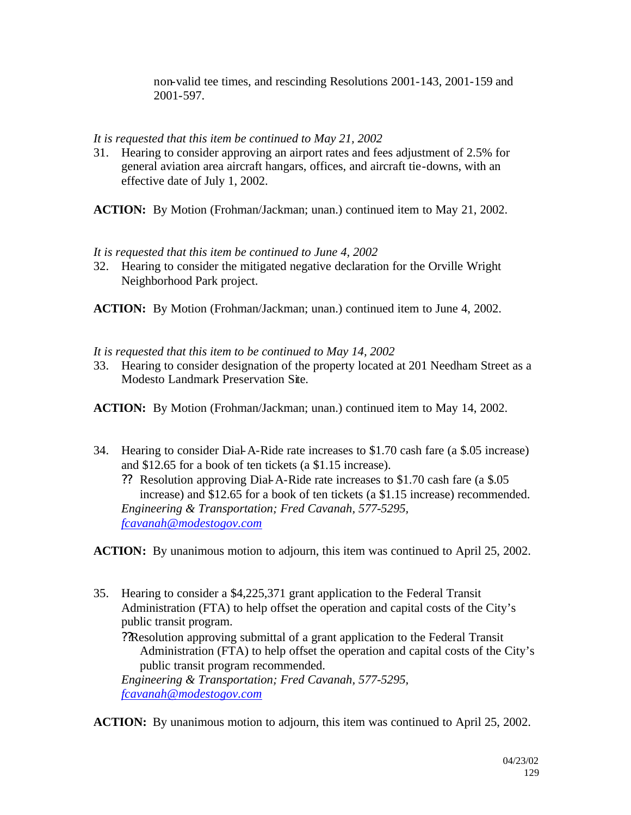non-valid tee times, and rescinding Resolutions 2001-143, 2001-159 and 2001-597.

## *It is requested that this item be continued to May 21, 2002*

31. Hearing to consider approving an airport rates and fees adjustment of 2.5% for general aviation area aircraft hangars, offices, and aircraft tie-downs, with an effective date of July 1, 2002.

**ACTION:** By Motion (Frohman/Jackman; unan.) continued item to May 21, 2002.

#### *It is requested that this item be continued to June 4, 2002*

32. Hearing to consider the mitigated negative declaration for the Orville Wright Neighborhood Park project.

**ACTION:** By Motion (Frohman/Jackman; unan.) continued item to June 4, 2002.

#### *It is requested that this item to be continued to May 14, 2002*

33. Hearing to consider designation of the property located at 201 Needham Street as a Modesto Landmark Preservation Site.

**ACTION:** By Motion (Frohman/Jackman; unan.) continued item to May 14, 2002.

34. Hearing to consider Dial-A-Ride rate increases to \$1.70 cash fare (a \$.05 increase) and \$12.65 for a book of ten tickets (a \$1.15 increase).

?? Resolution approving Dial-A-Ride rate increases to \$1.70 cash fare (a \$.05 increase) and \$12.65 for a book of ten tickets (a \$1.15 increase) recommended. *Engineering & Transportation; Fred Cavanah, 577-5295, fcavanah@modestogov.com*

**ACTION:** By unanimous motion to adjourn, this item was continued to April 25, 2002.

- 35. Hearing to consider a \$4,225,371 grant application to the Federal Transit Administration (FTA) to help offset the operation and capital costs of the City's public transit program.
	- ??Resolution approving submittal of a grant application to the Federal Transit Administration (FTA) to help offset the operation and capital costs of the City's public transit program recommended.

*Engineering & Transportation; Fred Cavanah, 577-5295, fcavanah@modestogov.com*

**ACTION:** By unanimous motion to adjourn, this item was continued to April 25, 2002.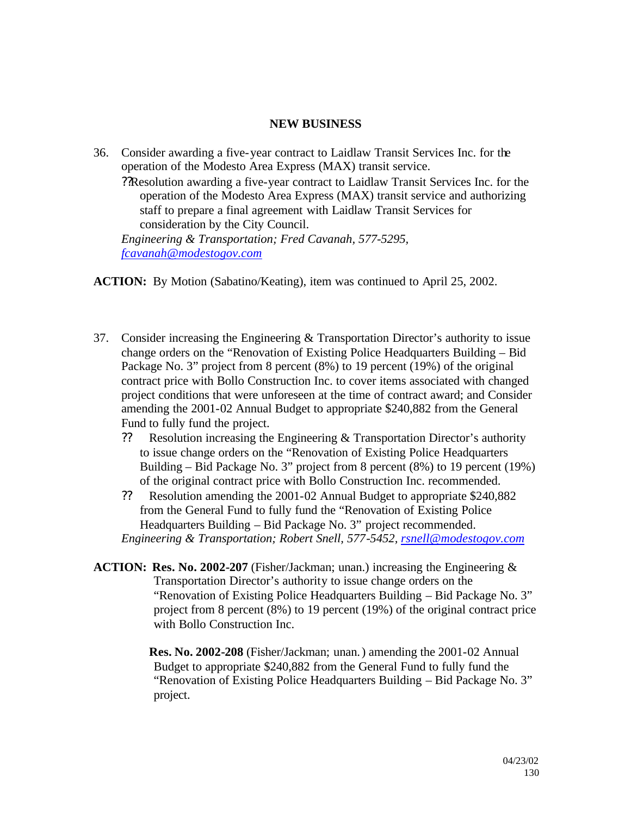#### **NEW BUSINESS**

36. Consider awarding a five-year contract to Laidlaw Transit Services Inc. for the operation of the Modesto Area Express (MAX) transit service. ??Resolution awarding a five-year contract to Laidlaw Transit Services Inc. for the operation of the Modesto Area Express (MAX) transit service and authorizing staff to prepare a final agreement with Laidlaw Transit Services for consideration by the City Council. *Engineering & Transportation; Fred Cavanah, 577-5295, fcavanah@modestogov.com*

**ACTION:** By Motion (Sabatino/Keating), item was continued to April 25, 2002.

- 37. Consider increasing the Engineering & Transportation Director's authority to issue change orders on the "Renovation of Existing Police Headquarters Building – Bid Package No. 3" project from 8 percent (8%) to 19 percent (19%) of the original contract price with Bollo Construction Inc. to cover items associated with changed project conditions that were unforeseen at the time of contract award; and Consider amending the 2001-02 Annual Budget to appropriate \$240,882 from the General Fund to fully fund the project.
	- ?? Resolution increasing the Engineering & Transportation Director's authority to issue change orders on the "Renovation of Existing Police Headquarters Building – Bid Package No. 3" project from 8 percent (8%) to 19 percent (19%) of the original contract price with Bollo Construction Inc. recommended.
	- ?? Resolution amending the 2001-02 Annual Budget to appropriate \$240,882 from the General Fund to fully fund the "Renovation of Existing Police Headquarters Building – Bid Package No. 3" project recommended. *Engineering & Transportation; Robert Snell, 577-5452, rsnell@modestogov.com*
- **ACTION: Res. No. 2002-207** (Fisher/Jackman; unan.) increasing the Engineering & Transportation Director's authority to issue change orders on the "Renovation of Existing Police Headquarters Building – Bid Package No. 3" project from 8 percent (8%) to 19 percent (19%) of the original contract price with Bollo Construction Inc.

**Res. No. 2002-208** (Fisher/Jackman; unan.) amending the 2001-02 Annual Budget to appropriate \$240,882 from the General Fund to fully fund the "Renovation of Existing Police Headquarters Building – Bid Package No. 3" project.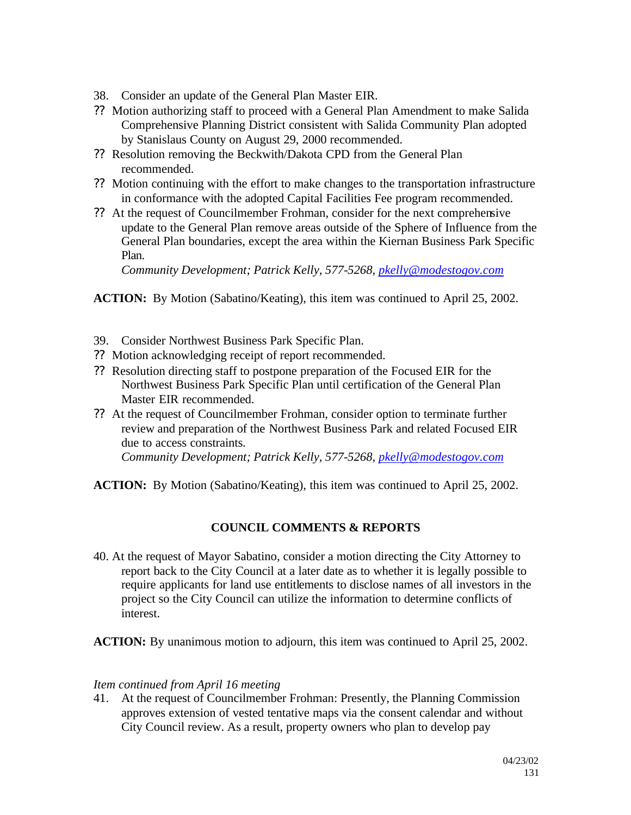- 38. Consider an update of the General Plan Master EIR.
- ?? Motion authorizing staff to proceed with a General Plan Amendment to make Salida Comprehensive Planning District consistent with Salida Community Plan adopted by Stanislaus County on August 29, 2000 recommended.
- ?? Resolution removing the Beckwith/Dakota CPD from the General Plan recommended.
- ?? Motion continuing with the effort to make changes to the transportation infrastructure in conformance with the adopted Capital Facilities Fee program recommended.
- ?? At the request of Councilmember Frohman, consider for the next comprehensive update to the General Plan remove areas outside of the Sphere of Influence from the General Plan boundaries, except the area within the Kiernan Business Park Specific Plan.

*Community Development; Patrick Kelly, 577-5268, pkelly@modestogov.com*

**ACTION:** By Motion (Sabatino/Keating), this item was continued to April 25, 2002.

- 39. Consider Northwest Business Park Specific Plan.
- ?? Motion acknowledging receipt of report recommended.
- ?? Resolution directing staff to postpone preparation of the Focused EIR for the Northwest Business Park Specific Plan until certification of the General Plan Master EIR recommended.
- ?? At the request of Councilmember Frohman, consider option to terminate further review and preparation of the Northwest Business Park and related Focused EIR due to access constraints.

*Community Development; Patrick Kelly, 577-5268, pkelly@modestogov.com*

**ACTION:** By Motion (Sabatino/Keating), this item was continued to April 25, 2002.

## **COUNCIL COMMENTS & REPORTS**

40. At the request of Mayor Sabatino, consider a motion directing the City Attorney to report back to the City Council at a later date as to whether it is legally possible to require applicants for land use entitlements to disclose names of all investors in the project so the City Council can utilize the information to determine conflicts of interest.

**ACTION:** By unanimous motion to adjourn, this item was continued to April 25, 2002.

## *Item continued from April 16 meeting*

41. At the request of Councilmember Frohman: Presently, the Planning Commission approves extension of vested tentative maps via the consent calendar and without City Council review. As a result, property owners who plan to develop pay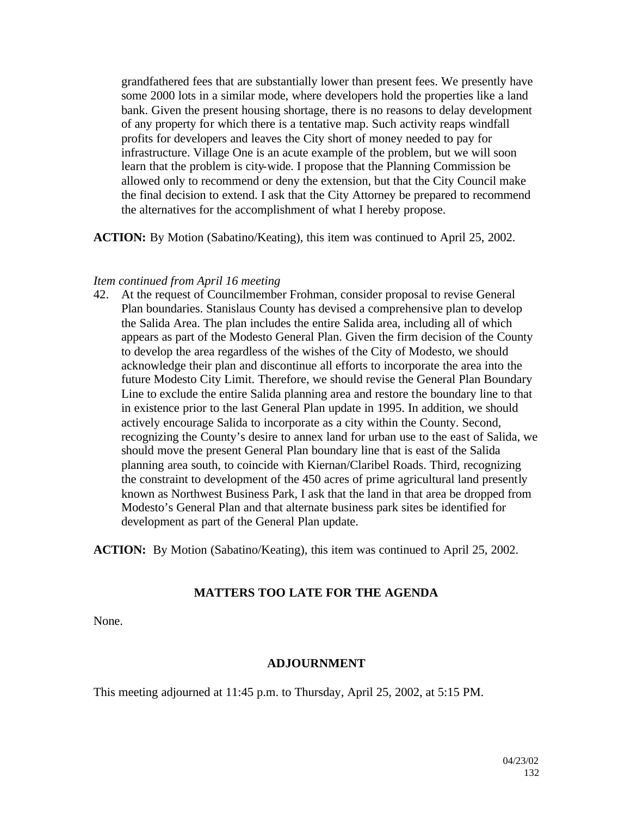grandfathered fees that are substantially lower than present fees. We presently have some 2000 lots in a similar mode, where developers hold the properties like a land bank. Given the present housing shortage, there is no reasons to delay development of any property for which there is a tentative map. Such activity reaps windfall profits for developers and leaves the City short of money needed to pay for infrastructure. Village One is an acute example of the problem, but we will soon learn that the problem is city-wide. I propose that the Planning Commission be allowed only to recommend or deny the extension, but that the City Council make the final decision to extend. I ask that the City Attorney be prepared to recommend the alternatives for the accomplishment of what I hereby propose.

**ACTION:** By Motion (Sabatino/Keating), this item was continued to April 25, 2002.

#### *Item continued from April 16 meeting*

42. At the request of Councilmember Frohman, consider proposal to revise General Plan boundaries. Stanislaus County has devised a comprehensive plan to develop the Salida Area. The plan includes the entire Salida area, including all of which appears as part of the Modesto General Plan. Given the firm decision of the County to develop the area regardless of the wishes of the City of Modesto, we should acknowledge their plan and discontinue all efforts to incorporate the area into the future Modesto City Limit. Therefore, we should revise the General Plan Boundary Line to exclude the entire Salida planning area and restore the boundary line to that in existence prior to the last General Plan update in 1995. In addition, we should actively encourage Salida to incorporate as a city within the County. Second, recognizing the County's desire to annex land for urban use to the east of Salida, we should move the present General Plan boundary line that is east of the Salida planning area south, to coincide with Kiernan/Claribel Roads. Third, recognizing the constraint to development of the 450 acres of prime agricultural land presently known as Northwest Business Park, I ask that the land in that area be dropped from Modesto's General Plan and that alternate business park sites be identified for development as part of the General Plan update.

**ACTION:** By Motion (Sabatino/Keating), this item was continued to April 25, 2002.

#### **MATTERS TOO LATE FOR THE AGENDA**

None.

#### **ADJOURNMENT**

This meeting adjourned at 11:45 p.m. to Thursday, April 25, 2002, at 5:15 PM.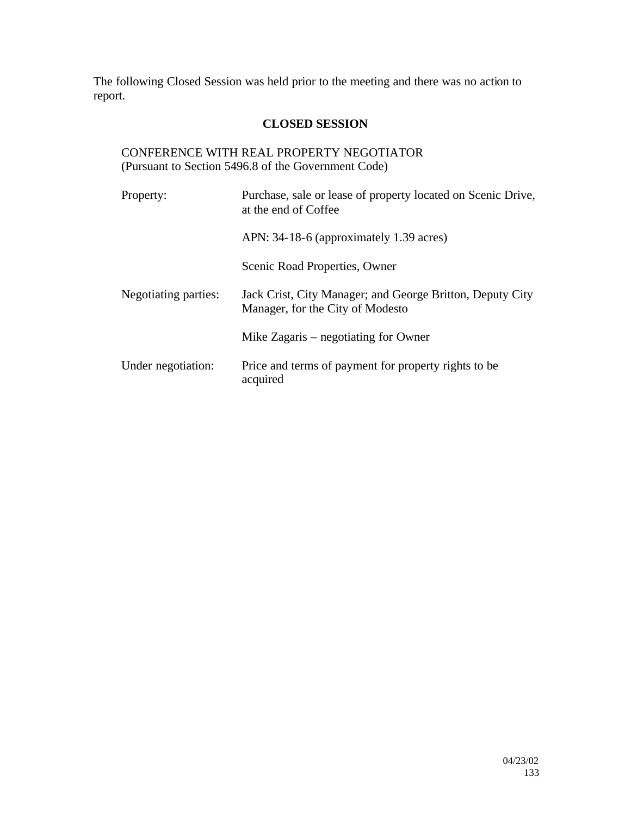The following Closed Session was held prior to the meeting and there was no action to report.

## **CLOSED SESSION**

## CONFERENCE WITH REAL PROPERTY NEGOTIATOR (Pursuant to Section 5496.8 of the Government Code)

| Property:            | Purchase, sale or lease of property located on Scenic Drive,<br>at the end of Coffee          |
|----------------------|-----------------------------------------------------------------------------------------------|
|                      | APN: 34-18-6 (approximately 1.39 acres)                                                       |
|                      | Scenic Road Properties, Owner                                                                 |
| Negotiating parties: | Jack Crist, City Manager; and George Britton, Deputy City<br>Manager, for the City of Modesto |
|                      | Mike Zagaris – negotiating for Owner                                                          |
| Under negotiation:   | Price and terms of payment for property rights to be<br>acquired                              |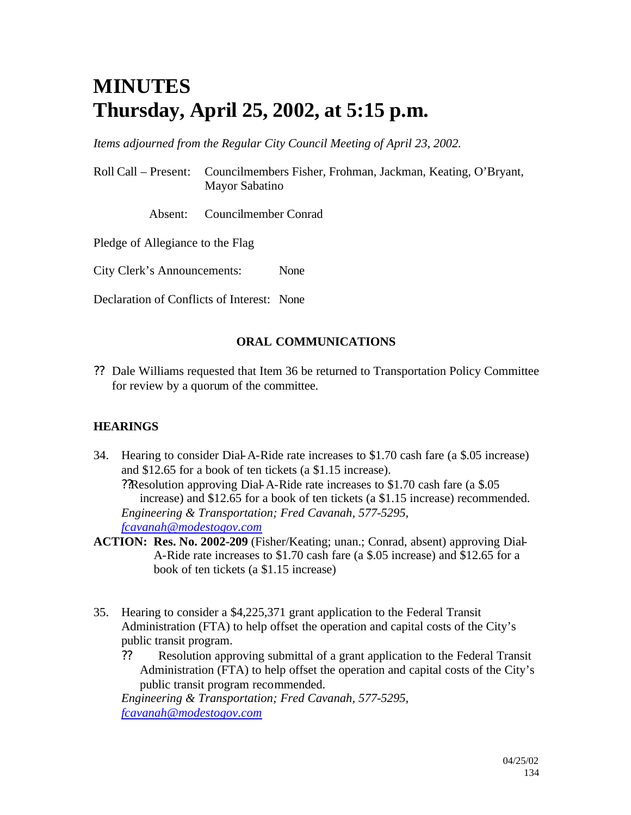# **MINUTES Thursday, April 25, 2002, at 5:15 p.m.**

*Items adjourned from the Regular City Council Meeting of April 23, 2002.*

Roll Call – Present: Councilmembers Fisher, Frohman, Jackman, Keating, O'Bryant, Mayor Sabatino

Absent: Councilmember Conrad

Pledge of Allegiance to the Flag

City Clerk's Announcements: None

Declaration of Conflicts of Interest: None

## **ORAL COMMUNICATIONS**

?? Dale Williams requested that Item 36 be returned to Transportation Policy Committee for review by a quorum of the committee.

## **HEARINGS**

- 34. Hearing to consider Dial-A-Ride rate increases to \$1.70 cash fare (a \$.05 increase) and \$12.65 for a book of ten tickets (a \$1.15 increase). ??Resolution approving Dial-A-Ride rate increases to \$1.70 cash fare (a \$.05 increase) and \$12.65 for a book of ten tickets (a \$1.15 increase) recommended. *Engineering & Transportation; Fred Cavanah, 577-5295, fcavanah@modestogov.com*
- **ACTION: Res. No. 2002-209** (Fisher/Keating; unan.; Conrad, absent) approving Dial-A-Ride rate increases to \$1.70 cash fare (a \$.05 increase) and \$12.65 for a book of ten tickets (a \$1.15 increase)
- 35. Hearing to consider a \$4,225,371 grant application to the Federal Transit Administration (FTA) to help offset the operation and capital costs of the City's public transit program.
	- ?? Resolution approving submittal of a grant application to the Federal Transit Administration (FTA) to help offset the operation and capital costs of the City's public transit program recommended.

*Engineering & Transportation; Fred Cavanah, 577-5295, fcavanah@modestogov.com*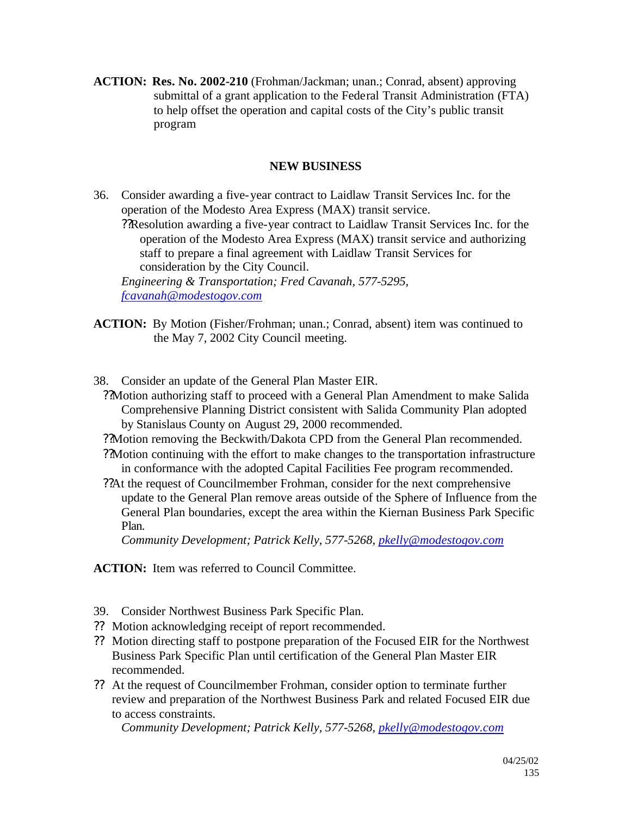**ACTION: Res. No. 2002-210** (Frohman/Jackman; unan.; Conrad, absent) approving submittal of a grant application to the Federal Transit Administration (FTA) to help offset the operation and capital costs of the City's public transit program

## **NEW BUSINESS**

36. Consider awarding a five-year contract to Laidlaw Transit Services Inc. for the operation of the Modesto Area Express (MAX) transit service. ??Resolution awarding a five-year contract to Laidlaw Transit Services Inc. for the operation of the Modesto Area Express (MAX) transit service and authorizing staff to prepare a final agreement with Laidlaw Transit Services for consideration by the City Council. *Engineering & Transportation; Fred Cavanah, 577-5295, fcavanah@modestogov.com*

- **ACTION:** By Motion (Fisher/Frohman; unan.; Conrad, absent) item was continued to the May 7, 2002 City Council meeting.
- 38. Consider an update of the General Plan Master EIR.

??Motion authorizing staff to proceed with a General Plan Amendment to make Salida Comprehensive Planning District consistent with Salida Community Plan adopted by Stanislaus County on August 29, 2000 recommended.

- ??Motion removing the Beckwith/Dakota CPD from the General Plan recommended.
- ??Motion continuing with the effort to make changes to the transportation infrastructure in conformance with the adopted Capital Facilities Fee program recommended.
- ??At the request of Councilmember Frohman, consider for the next comprehensive update to the General Plan remove areas outside of the Sphere of Influence from the General Plan boundaries, except the area within the Kiernan Business Park Specific Plan.

*Community Development; Patrick Kelly, 577-5268, pkelly@modestogov.com*

**ACTION:** Item was referred to Council Committee.

- 39. Consider Northwest Business Park Specific Plan.
- ?? Motion acknowledging receipt of report recommended.
- ?? Motion directing staff to postpone preparation of the Focused EIR for the Northwest Business Park Specific Plan until certification of the General Plan Master EIR recommended.
- ?? At the request of Councilmember Frohman, consider option to terminate further review and preparation of the Northwest Business Park and related Focused EIR due to access constraints.

*Community Development; Patrick Kelly, 577-5268, pkelly@modestogov.com*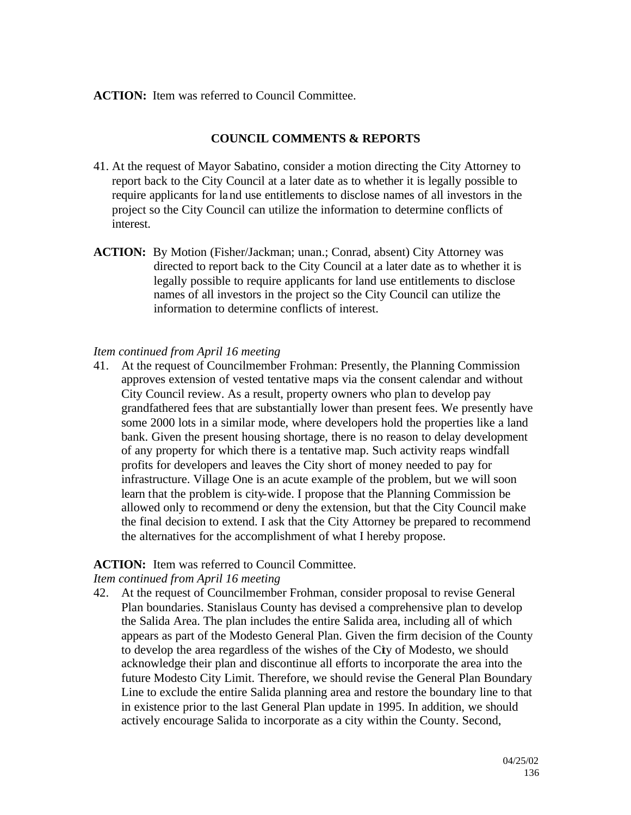#### **ACTION:** Item was referred to Council Committee.

#### **COUNCIL COMMENTS & REPORTS**

- 41. At the request of Mayor Sabatino, consider a motion directing the City Attorney to report back to the City Council at a later date as to whether it is legally possible to require applicants for land use entitlements to disclose names of all investors in the project so the City Council can utilize the information to determine conflicts of interest.
- **ACTION:** By Motion (Fisher/Jackman; unan.; Conrad, absent) City Attorney was directed to report back to the City Council at a later date as to whether it is legally possible to require applicants for land use entitlements to disclose names of all investors in the project so the City Council can utilize the information to determine conflicts of interest.

#### *Item continued from April 16 meeting*

41. At the request of Councilmember Frohman: Presently, the Planning Commission approves extension of vested tentative maps via the consent calendar and without City Council review. As a result, property owners who plan to develop pay grandfathered fees that are substantially lower than present fees. We presently have some 2000 lots in a similar mode, where developers hold the properties like a land bank. Given the present housing shortage, there is no reason to delay development of any property for which there is a tentative map. Such activity reaps windfall profits for developers and leaves the City short of money needed to pay for infrastructure. Village One is an acute example of the problem, but we will soon learn that the problem is city-wide. I propose that the Planning Commission be allowed only to recommend or deny the extension, but that the City Council make the final decision to extend. I ask that the City Attorney be prepared to recommend the alternatives for the accomplishment of what I hereby propose.

#### **ACTION:** Item was referred to Council Committee.

#### *Item continued from April 16 meeting*

42. At the request of Councilmember Frohman, consider proposal to revise General Plan boundaries. Stanislaus County has devised a comprehensive plan to develop the Salida Area. The plan includes the entire Salida area, including all of which appears as part of the Modesto General Plan. Given the firm decision of the County to develop the area regardless of the wishes of the City of Modesto, we should acknowledge their plan and discontinue all efforts to incorporate the area into the future Modesto City Limit. Therefore, we should revise the General Plan Boundary Line to exclude the entire Salida planning area and restore the boundary line to that in existence prior to the last General Plan update in 1995. In addition, we should actively encourage Salida to incorporate as a city within the County. Second,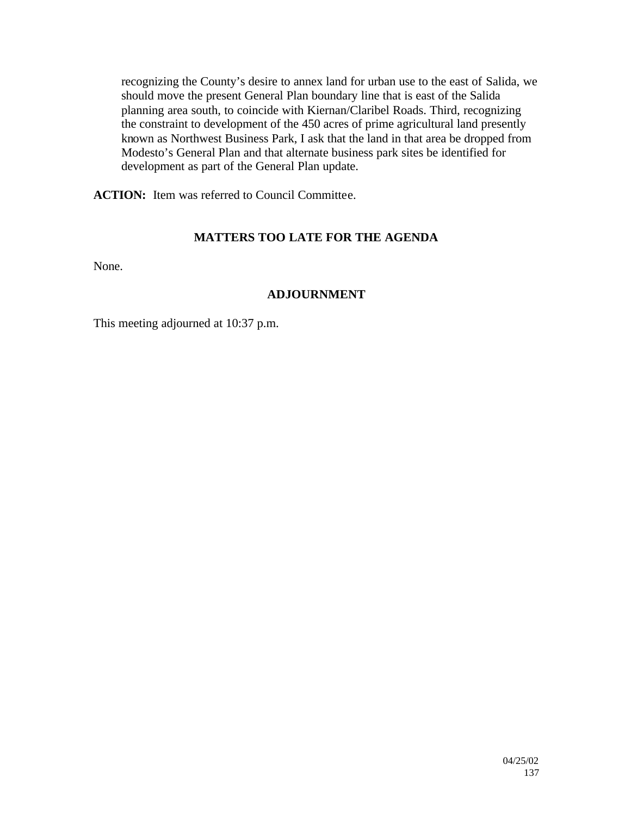recognizing the County's desire to annex land for urban use to the east of Salida, we should move the present General Plan boundary line that is east of the Salida planning area south, to coincide with Kiernan/Claribel Roads. Third, recognizing the constraint to development of the 450 acres of prime agricultural land presently known as Northwest Business Park, I ask that the land in that area be dropped from Modesto's General Plan and that alternate business park sites be identified for development as part of the General Plan update.

**ACTION:** Item was referred to Council Committee.

## **MATTERS TOO LATE FOR THE AGENDA**

None.

## **ADJOURNMENT**

This meeting adjourned at 10:37 p.m.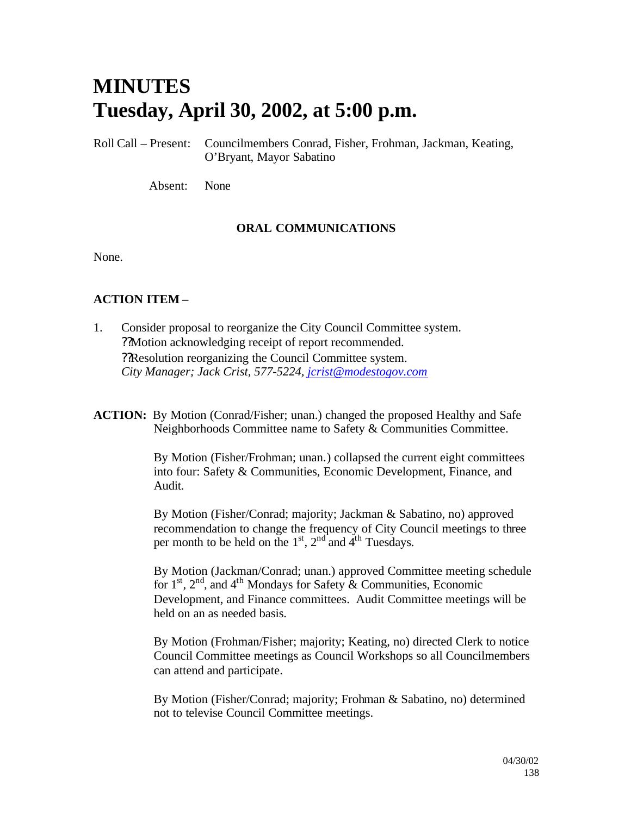# **MINUTES Tuesday, April 30, 2002, at 5:00 p.m.**

Roll Call – Present: Councilmembers Conrad, Fisher, Frohman, Jackman, Keating, O'Bryant, Mayor Sabatino

Absent: None

## **ORAL COMMUNICATIONS**

None.

## **ACTION ITEM –**

- 1. Consider proposal to reorganize the City Council Committee system. ??Motion acknowledging receipt of report recommended. ??Resolution reorganizing the Council Committee system. *City Manager; Jack Crist, 577-5224, jcrist@modestogov.com*
- **ACTION:** By Motion (Conrad/Fisher; unan.) changed the proposed Healthy and Safe Neighborhoods Committee name to Safety & Communities Committee.

By Motion (Fisher/Frohman; unan.) collapsed the current eight committees into four: Safety & Communities, Economic Development, Finance, and Audit.

By Motion (Fisher/Conrad; majority; Jackman & Sabatino, no) approved recommendation to change the frequency of City Council meetings to three per month to be held on the  $1<sup>st</sup>$ ,  $2<sup>nd</sup>$  and  $4<sup>th</sup>$  Tuesdays.

By Motion (Jackman/Conrad; unan.) approved Committee meeting schedule for  $1<sup>st</sup>$ ,  $2<sup>nd</sup>$ , and  $4<sup>th</sup>$  Mondays for Safety & Communities, Economic Development, and Finance committees. Audit Committee meetings will be held on an as needed basis.

By Motion (Frohman/Fisher; majority; Keating, no) directed Clerk to notice Council Committee meetings as Council Workshops so all Councilmembers can attend and participate.

By Motion (Fisher/Conrad; majority; Frohman & Sabatino, no) determined not to televise Council Committee meetings.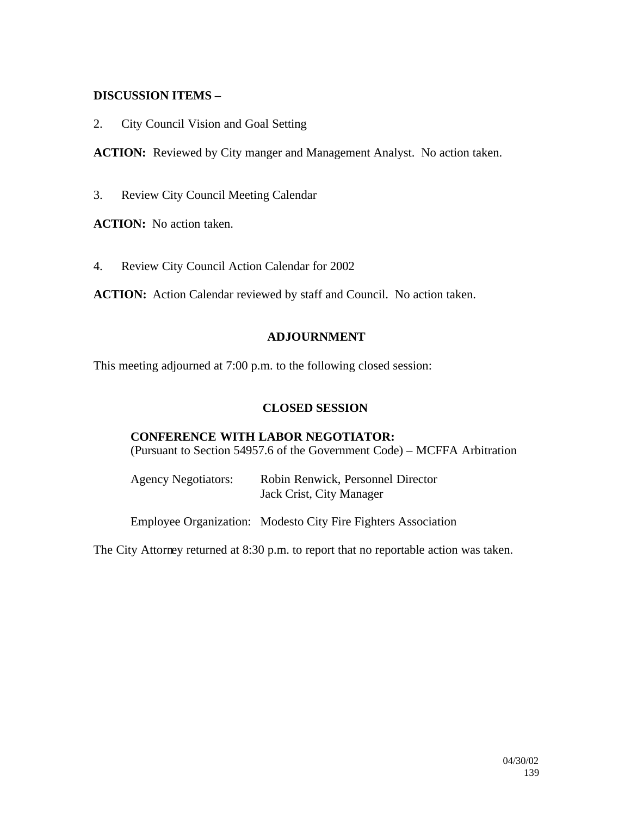#### **DISCUSSION ITEMS –**

2. City Council Vision and Goal Setting

**ACTION:** Reviewed by City manger and Management Analyst. No action taken.

3. Review City Council Meeting Calendar

**ACTION:** No action taken.

4. Review City Council Action Calendar for 2002

**ACTION:** Action Calendar reviewed by staff and Council. No action taken.

#### **ADJOURNMENT**

This meeting adjourned at 7:00 p.m. to the following closed session:

#### **CLOSED SESSION**

## **CONFERENCE WITH LABOR NEGOTIATOR:**

(Pursuant to Section 54957.6 of the Government Code) – MCFFA Arbitration

| <b>Agency Negotiators:</b> | Robin Renwick, Personnel Director |
|----------------------------|-----------------------------------|
|                            | Jack Crist, City Manager          |

Employee Organization: Modesto City Fire Fighters Association

The City Attorney returned at 8:30 p.m. to report that no reportable action was taken.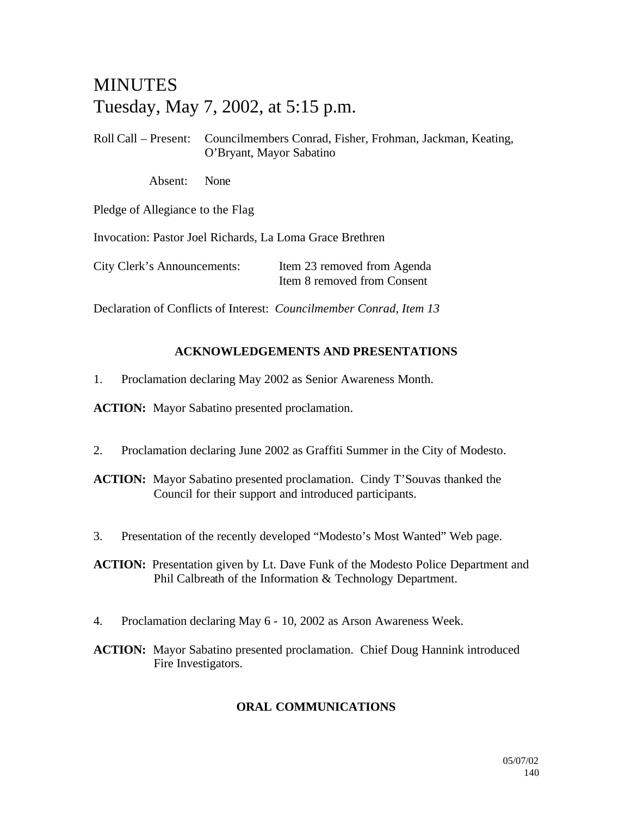## MINUTES Tuesday, May 7, 2002, at 5:15 p.m.

Roll Call – Present: Councilmembers Conrad, Fisher, Frohman, Jackman, Keating, O'Bryant, Mayor Sabatino

Absent: None

Pledge of Allegiance to the Flag

Invocation: Pastor Joel Richards, La Loma Grace Brethren

City Clerk's Announcements: Item 23 removed from Agenda Item 8 removed from Consent

Declaration of Conflicts of Interest: *Councilmember Conrad, Item 13*

## **ACKNOWLEDGEMENTS AND PRESENTATIONS**

1. Proclamation declaring May 2002 as Senior Awareness Month.

**ACTION:** Mayor Sabatino presented proclamation.

2. Proclamation declaring June 2002 as Graffiti Summer in the City of Modesto.

**ACTION:** Mayor Sabatino presented proclamation. Cindy T'Souvas thanked the Council for their support and introduced participants.

3. Presentation of the recently developed "Modesto's Most Wanted" Web page.

**ACTION:** Presentation given by Lt. Dave Funk of the Modesto Police Department and Phil Calbreath of the Information & Technology Department.

- 4. Proclamation declaring May 6 10, 2002 as Arson Awareness Week.
- **ACTION:** Mayor Sabatino presented proclamation. Chief Doug Hannink introduced Fire Investigators.

## **ORAL COMMUNICATIONS**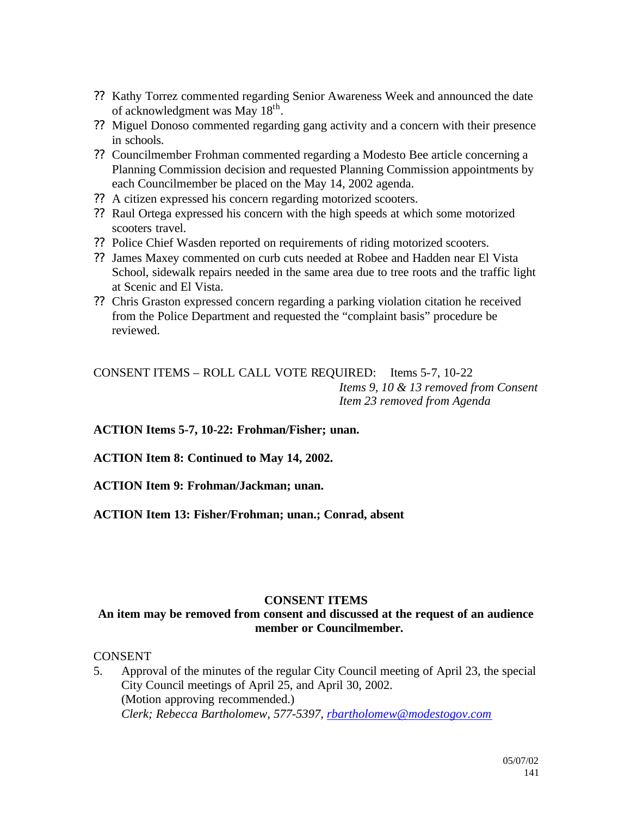- ?? Kathy Torrez commented regarding Senior Awareness Week and announced the date of acknowledgment was May 18<sup>th</sup>.
- ?? Miguel Donoso commented regarding gang activity and a concern with their presence in schools.
- ?? Councilmember Frohman commented regarding a Modesto Bee article concerning a Planning Commission decision and requested Planning Commission appointments by each Councilmember be placed on the May 14, 2002 agenda.
- ?? A citizen expressed his concern regarding motorized scooters.
- ?? Raul Ortega expressed his concern with the high speeds at which some motorized scooters travel.
- ?? Police Chief Wasden reported on requirements of riding motorized scooters.
- ?? James Maxey commented on curb cuts needed at Robee and Hadden near El Vista School, sidewalk repairs needed in the same area due to tree roots and the traffic light at Scenic and El Vista.
- ?? Chris Graston expressed concern regarding a parking violation citation he received from the Police Department and requested the "complaint basis" procedure be reviewed.

CONSENT ITEMS – ROLL CALL VOTE REQUIRED: Items 5-7, 10-22 *Items 9, 10 & 13 removed from Consent Item 23 removed from Agenda*

**ACTION Items 5-7, 10-22: Frohman/Fisher; unan.**

**ACTION Item 8: Continued to May 14, 2002.**

**ACTION Item 9: Frohman/Jackman; unan.**

**ACTION Item 13: Fisher/Frohman; unan.; Conrad, absent**

#### **CONSENT ITEMS**

#### **An item may be removed from consent and discussed at the request of an audience member or Councilmember.**

**CONSENT** 

5. Approval of the minutes of the regular City Council meeting of April 23, the special City Council meetings of April 25, and April 30, 2002. (Motion approving recommended.) *Clerk; Rebecca Bartholomew, 577-5397, rbartholomew@modestogov.com*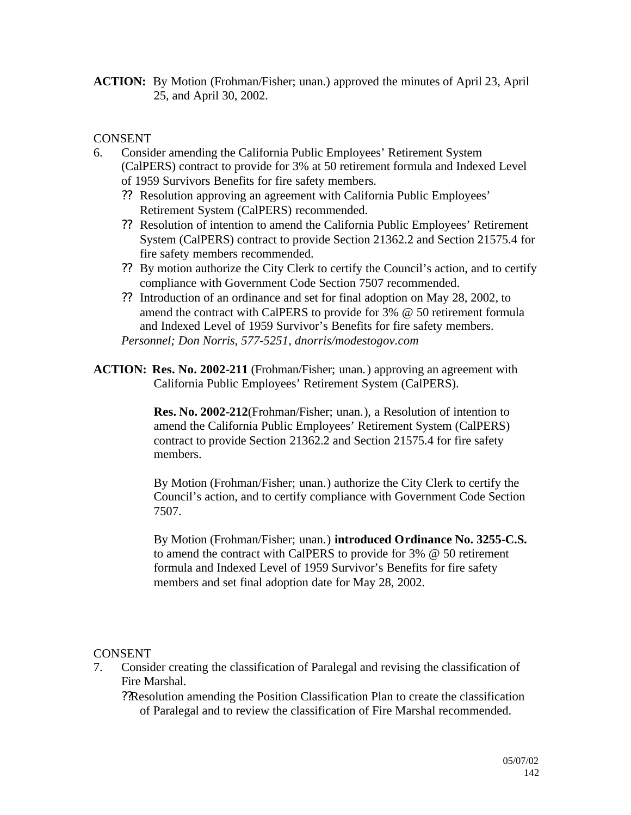**ACTION:** By Motion (Frohman/Fisher; unan.) approved the minutes of April 23, April 25, and April 30, 2002.

## **CONSENT**

- 6. Consider amending the California Public Employees' Retirement System (CalPERS) contract to provide for 3% at 50 retirement formula and Indexed Level of 1959 Survivors Benefits for fire safety members.
	- ?? Resolution approving an agreement with California Public Employees' Retirement System (CalPERS) recommended.
	- ?? Resolution of intention to amend the California Public Employees' Retirement System (CalPERS) contract to provide Section 21362.2 and Section 21575.4 for fire safety members recommended.
	- ?? By motion authorize the City Clerk to certify the Council's action, and to certify compliance with Government Code Section 7507 recommended.
	- ?? Introduction of an ordinance and set for final adoption on May 28, 2002, to amend the contract with CalPERS to provide for 3% @ 50 retirement formula and Indexed Level of 1959 Survivor's Benefits for fire safety members.

*Personnel; Don Norris, 577-5251, dnorris/modestogov.com*

**ACTION: Res. No. 2002-211** (Frohman/Fisher; unan.) approving an agreement with California Public Employees' Retirement System (CalPERS).

> **Res. No. 2002-212**(Frohman/Fisher; unan.), a Resolution of intention to amend the California Public Employees' Retirement System (CalPERS) contract to provide Section 21362.2 and Section 21575.4 for fire safety members.

By Motion (Frohman/Fisher; unan.) authorize the City Clerk to certify the Council's action, and to certify compliance with Government Code Section 7507.

By Motion (Frohman/Fisher; unan.) **introduced Ordinance No. 3255-C.S.** to amend the contract with CalPERS to provide for 3% @ 50 retirement formula and Indexed Level of 1959 Survivor's Benefits for fire safety members and set final adoption date for May 28, 2002.

## **CONSENT**

7. Consider creating the classification of Paralegal and revising the classification of Fire Marshal.

??Resolution amending the Position Classification Plan to create the classification of Paralegal and to review the classification of Fire Marshal recommended.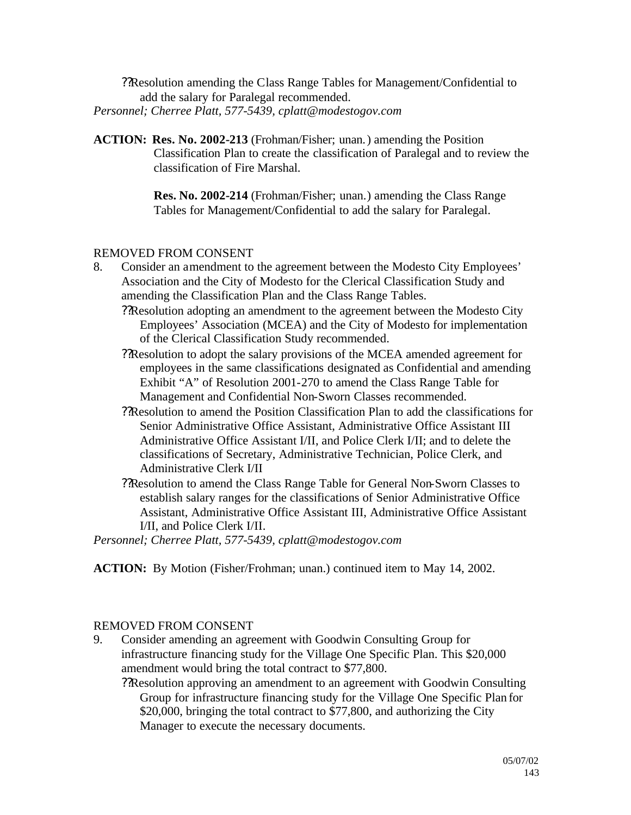??Resolution amending the Class Range Tables for Management/Confidential to add the salary for Paralegal recommended. *Personnel; Cherree Platt, 577-5439, cplatt@modestogov.com*

**ACTION: Res. No. 2002-213** (Frohman/Fisher; unan.) amending the Position Classification Plan to create the classification of Paralegal and to review the classification of Fire Marshal.

> **Res. No. 2002-214** (Frohman/Fisher; unan.) amending the Class Range Tables for Management/Confidential to add the salary for Paralegal.

## REMOVED FROM CONSENT

- 8. Consider an amendment to the agreement between the Modesto City Employees' Association and the City of Modesto for the Clerical Classification Study and amending the Classification Plan and the Class Range Tables.
	- ??Resolution adopting an amendment to the agreement between the Modesto City Employees' Association (MCEA) and the City of Modesto for implementation of the Clerical Classification Study recommended.
	- ??Resolution to adopt the salary provisions of the MCEA amended agreement for employees in the same classifications designated as Confidential and amending Exhibit "A" of Resolution 2001-270 to amend the Class Range Table for Management and Confidential Non-Sworn Classes recommended.
	- ??Resolution to amend the Position Classification Plan to add the classifications for Senior Administrative Office Assistant, Administrative Office Assistant III Administrative Office Assistant I/II, and Police Clerk I/II; and to delete the classifications of Secretary, Administrative Technician, Police Clerk, and Administrative Clerk I/II
	- ??Resolution to amend the Class Range Table for General Non-Sworn Classes to establish salary ranges for the classifications of Senior Administrative Office Assistant, Administrative Office Assistant III, Administrative Office Assistant I/II, and Police Clerk I/II.

*Personnel; Cherree Platt, 577-5439, cplatt@modestogov.com*

**ACTION:** By Motion (Fisher/Frohman; unan.) continued item to May 14, 2002.

## REMOVED FROM CONSENT

- 9. Consider amending an agreement with Goodwin Consulting Group for infrastructure financing study for the Village One Specific Plan. This \$20,000 amendment would bring the total contract to \$77,800.
	- ??Resolution approving an amendment to an agreement with Goodwin Consulting Group for infrastructure financing study for the Village One Specific Plan for \$20,000, bringing the total contract to \$77,800, and authorizing the City Manager to execute the necessary documents.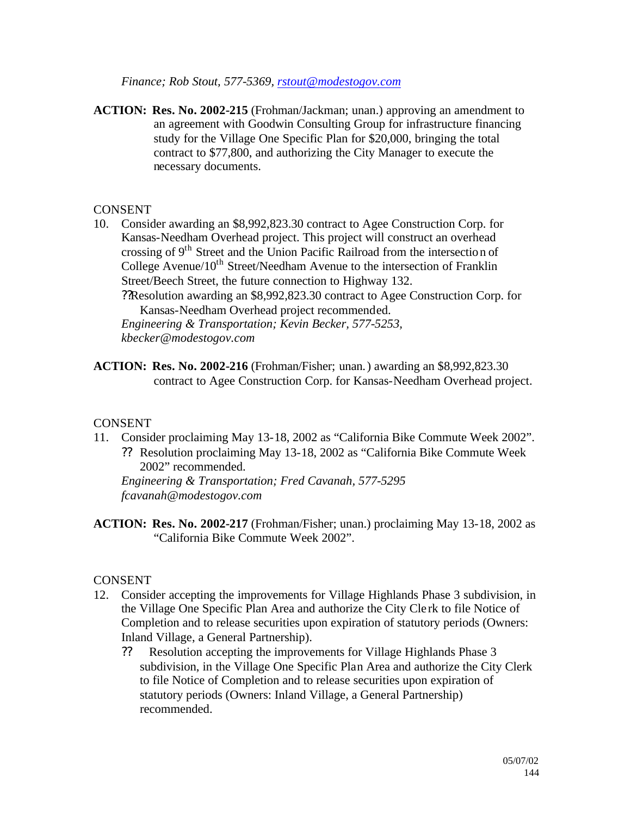*Finance; Rob Stout, 577-5369, rstout@modestogov.com*

**ACTION: Res. No. 2002-215** (Frohman/Jackman; unan.) approving an amendment to an agreement with Goodwin Consulting Group for infrastructure financing study for the Village One Specific Plan for \$20,000, bringing the total contract to \$77,800, and authorizing the City Manager to execute the necessary documents.

#### CONSENT

- 10. Consider awarding an \$8,992,823.30 contract to Agee Construction Corp. for Kansas-Needham Overhead project. This project will construct an overhead crossing of 9th Street and the Union Pacific Railroad from the intersection of College Avenue/10<sup>th</sup> Street/Needham Avenue to the intersection of Franklin Street/Beech Street, the future connection to Highway 132.
	- ??Resolution awarding an \$8,992,823.30 contract to Agee Construction Corp. for Kansas-Needham Overhead project recommended.

*Engineering & Transportation; Kevin Becker, 577-5253, kbecker@modestogov.com*

**ACTION: Res. No. 2002-216** (Frohman/Fisher; unan.) awarding an \$8,992,823.30 contract to Agee Construction Corp. for Kansas-Needham Overhead project.

## CONSENT

11. Consider proclaiming May 13-18, 2002 as "California Bike Commute Week 2002". ?? Resolution proclaiming May 13-18, 2002 as "California Bike Commute Week 2002" recommended.

*Engineering & Transportation; Fred Cavanah, 577-5295 fcavanah@modestogov.com*

**ACTION: Res. No. 2002-217** (Frohman/Fisher; unan.) proclaiming May 13-18, 2002 as "California Bike Commute Week 2002".

## CONSENT

- 12. Consider accepting the improvements for Village Highlands Phase 3 subdivision, in the Village One Specific Plan Area and authorize the City Cle rk to file Notice of Completion and to release securities upon expiration of statutory periods (Owners: Inland Village, a General Partnership).
	- ?? Resolution accepting the improvements for Village Highlands Phase 3 subdivision, in the Village One Specific Plan Area and authorize the City Clerk to file Notice of Completion and to release securities upon expiration of statutory periods (Owners: Inland Village, a General Partnership) recommended.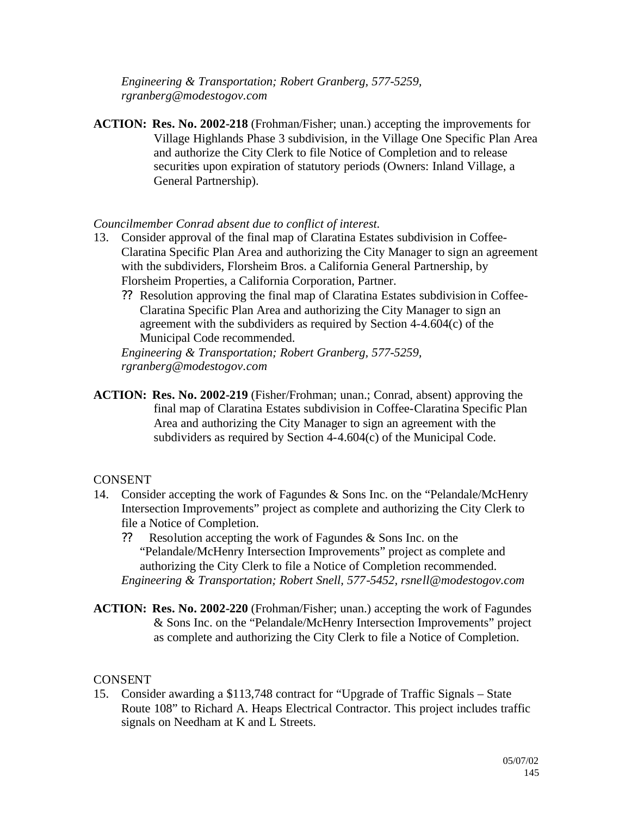*Engineering & Transportation; Robert Granberg, 577-5259, rgranberg@modestogov.com*

**ACTION: Res. No. 2002-218** (Frohman/Fisher; unan.) accepting the improvements for Village Highlands Phase 3 subdivision, in the Village One Specific Plan Area and authorize the City Clerk to file Notice of Completion and to release securities upon expiration of statutory periods (Owners: Inland Village, a General Partnership).

# *Councilmember Conrad absent due to conflict of interest.*

- 13. Consider approval of the final map of Claratina Estates subdivision in Coffee-Claratina Specific Plan Area and authorizing the City Manager to sign an agreement with the subdividers, Florsheim Bros. a California General Partnership, by Florsheim Properties, a California Corporation, Partner.
	- ?? Resolution approving the final map of Claratina Estates subdivision in Coffee-Claratina Specific Plan Area and authorizing the City Manager to sign an agreement with the subdividers as required by Section 4-4.604(c) of the Municipal Code recommended.

*Engineering & Transportation; Robert Granberg, 577-5259, rgranberg@modestogov.com*

**ACTION: Res. No. 2002-219** (Fisher/Frohman; unan.; Conrad, absent) approving the final map of Claratina Estates subdivision in Coffee-Claratina Specific Plan Area and authorizing the City Manager to sign an agreement with the subdividers as required by Section 4-4.604(c) of the Municipal Code.

#### **CONSENT**

- 14. Consider accepting the work of Fagundes & Sons Inc. on the "Pelandale/McHenry Intersection Improvements" project as complete and authorizing the City Clerk to file a Notice of Completion.
	- ?? Resolution accepting the work of Fagundes & Sons Inc. on the "Pelandale/McHenry Intersection Improvements" project as complete and authorizing the City Clerk to file a Notice of Completion recommended. *Engineering & Transportation; Robert Snell, 577-5452, rsnell@modestogov.com*
- **ACTION: Res. No. 2002-220** (Frohman/Fisher; unan.) accepting the work of Fagundes & Sons Inc. on the "Pelandale/McHenry Intersection Improvements" project as complete and authorizing the City Clerk to file a Notice of Completion.

# CONSENT

15. Consider awarding a \$113,748 contract for "Upgrade of Traffic Signals – State Route 108" to Richard A. Heaps Electrical Contractor. This project includes traffic signals on Needham at K and L Streets.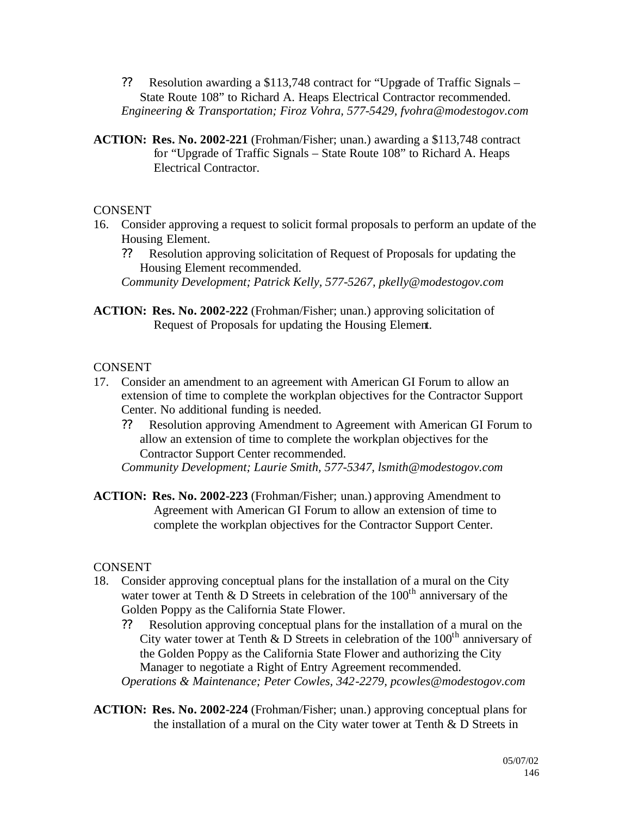- ?? Resolution awarding a \$113,748 contract for "Upgrade of Traffic Signals State Route 108" to Richard A. Heaps Electrical Contractor recommended. *Engineering & Transportation; Firoz Vohra, 577-5429, fvohra@modestogov.com*
- **ACTION: Res. No. 2002-221** (Frohman/Fisher; unan.) awarding a \$113,748 contract for "Upgrade of Traffic Signals – State Route 108" to Richard A. Heaps Electrical Contractor.

# CONSENT

- 16. Consider approving a request to solicit formal proposals to perform an update of the Housing Element.
	- ?? Resolution approving solicitation of Request of Proposals for updating the Housing Element recommended.

*Community Development; Patrick Kelly, 577-5267, pkelly@modestogov.com*

**ACTION: Res. No. 2002-222** (Frohman/Fisher; unan.) approving solicitation of Request of Proposals for updating the Housing Element.

# **CONSENT**

- 17. Consider an amendment to an agreement with American GI Forum to allow an extension of time to complete the workplan objectives for the Contractor Support Center. No additional funding is needed.
	- ?? Resolution approving Amendment to Agreement with American GI Forum to allow an extension of time to complete the workplan objectives for the Contractor Support Center recommended.

*Community Development; Laurie Smith, 577-5347, lsmith@modestogov.com*

**ACTION: Res. No. 2002-223** (Frohman/Fisher; unan.) approving Amendment to Agreement with American GI Forum to allow an extension of time to complete the workplan objectives for the Contractor Support Center.

# **CONSENT**

- 18. Consider approving conceptual plans for the installation of a mural on the City water tower at Tenth  $\&$  D Streets in celebration of the 100<sup>th</sup> anniversary of the Golden Poppy as the California State Flower.
	- ?? Resolution approving conceptual plans for the installation of a mural on the City water tower at Tenth & D Streets in celebration of the  $100<sup>th</sup>$  anniversary of the Golden Poppy as the California State Flower and authorizing the City Manager to negotiate a Right of Entry Agreement recommended. *Operations & Maintenance; Peter Cowles, 342-2279, pcowles@modestogov.com*
- **ACTION: Res. No. 2002-224** (Frohman/Fisher; unan.) approving conceptual plans for the installation of a mural on the City water tower at Tenth & D Streets in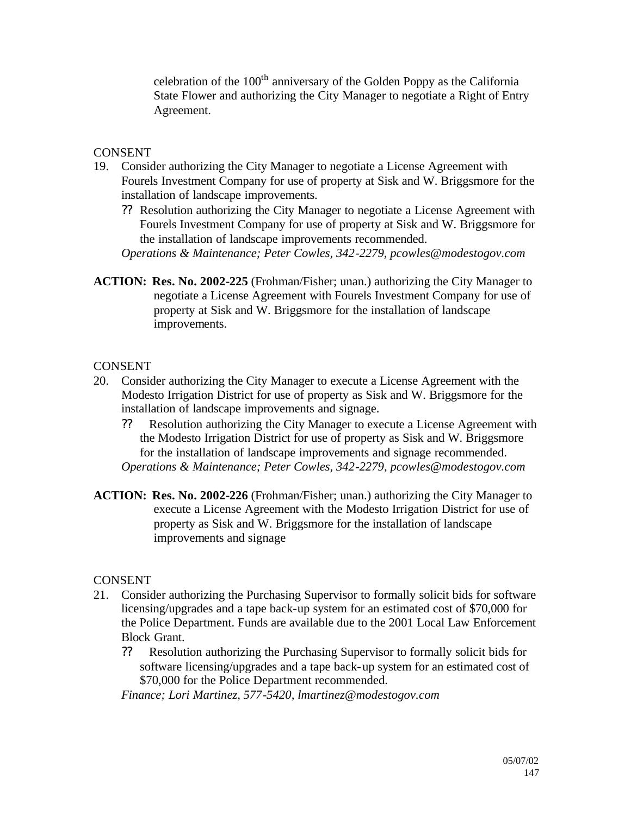celebration of the 100<sup>th</sup> anniversary of the Golden Poppy as the California State Flower and authorizing the City Manager to negotiate a Right of Entry Agreement.

# **CONSENT**

- 19. Consider authorizing the City Manager to negotiate a License Agreement with Fourels Investment Company for use of property at Sisk and W. Briggsmore for the installation of landscape improvements.
	- ?? Resolution authorizing the City Manager to negotiate a License Agreement with Fourels Investment Company for use of property at Sisk and W. Briggsmore for the installation of landscape improvements recommended.

*Operations & Maintenance; Peter Cowles, 342-2279, pcowles@modestogov.com*

**ACTION: Res. No. 2002-225** (Frohman/Fisher; unan.) authorizing the City Manager to negotiate a License Agreement with Fourels Investment Company for use of property at Sisk and W. Briggsmore for the installation of landscape improvements.

# **CONSENT**

- 20. Consider authorizing the City Manager to execute a License Agreement with the Modesto Irrigation District for use of property as Sisk and W. Briggsmore for the installation of landscape improvements and signage.
	- ?? Resolution authorizing the City Manager to execute a License Agreement with the Modesto Irrigation District for use of property as Sisk and W. Briggsmore for the installation of landscape improvements and signage recommended. *Operations & Maintenance; Peter Cowles, 342-2279, pcowles@modestogov.com*
- **ACTION: Res. No. 2002-226** (Frohman/Fisher; unan.) authorizing the City Manager to execute a License Agreement with the Modesto Irrigation District for use of property as Sisk and W. Briggsmore for the installation of landscape improvements and signage

# CONSENT

- 21. Consider authorizing the Purchasing Supervisor to formally solicit bids for software licensing/upgrades and a tape back-up system for an estimated cost of \$70,000 for the Police Department. Funds are available due to the 2001 Local Law Enforcement Block Grant.
	- ?? Resolution authorizing the Purchasing Supervisor to formally solicit bids for software licensing/upgrades and a tape back-up system for an estimated cost of \$70,000 for the Police Department recommended.

*Finance; Lori Martinez, 577-5420, lmartinez@modestogov.com*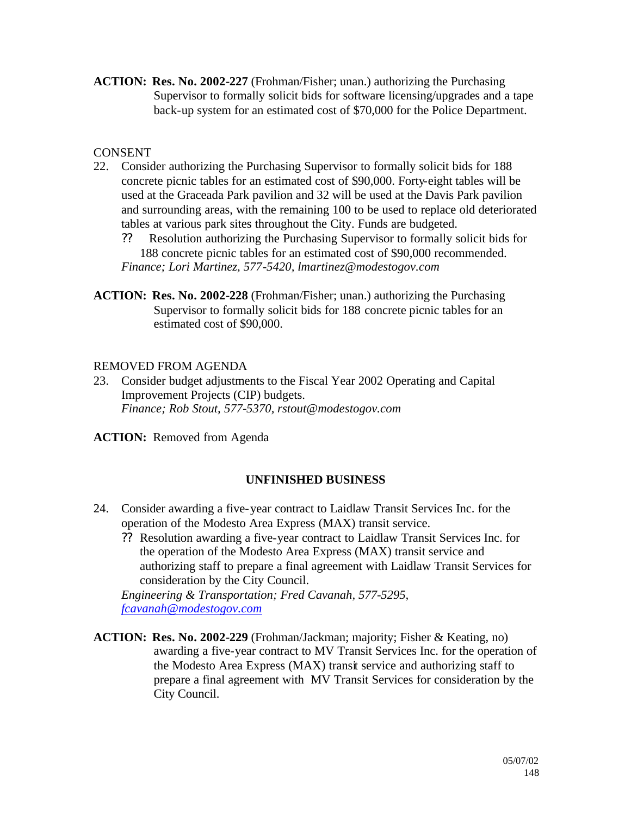**ACTION: Res. No. 2002-227** (Frohman/Fisher; unan.) authorizing the Purchasing Supervisor to formally solicit bids for software licensing/upgrades and a tape back-up system for an estimated cost of \$70,000 for the Police Department.

# **CONSENT**

- 22. Consider authorizing the Purchasing Supervisor to formally solicit bids for 188 concrete picnic tables for an estimated cost of \$90,000. Forty-eight tables will be used at the Graceada Park pavilion and 32 will be used at the Davis Park pavilion and surrounding areas, with the remaining 100 to be used to replace old deteriorated tables at various park sites throughout the City. Funds are budgeted.
	- ?? Resolution authorizing the Purchasing Supervisor to formally solicit bids for 188 concrete picnic tables for an estimated cost of \$90,000 recommended. *Finance; Lori Martinez, 577-5420, lmartinez@modestogov.com*
- **ACTION: Res. No. 2002-228** (Frohman/Fisher; unan.) authorizing the Purchasing Supervisor to formally solicit bids for 188 concrete picnic tables for an estimated cost of \$90,000.

# REMOVED FROM AGENDA

23. Consider budget adjustments to the Fiscal Year 2002 Operating and Capital Improvement Projects (CIP) budgets. *Finance; Rob Stout, 577-5370, rstout@modestogov.com*

**ACTION:** Removed from Agenda

# **UNFINISHED BUSINESS**

- 24. Consider awarding a five-year contract to Laidlaw Transit Services Inc. for the operation of the Modesto Area Express (MAX) transit service.
	- ?? Resolution awarding a five-year contract to Laidlaw Transit Services Inc. for the operation of the Modesto Area Express (MAX) transit service and authorizing staff to prepare a final agreement with Laidlaw Transit Services for consideration by the City Council.

*Engineering & Transportation; Fred Cavanah, 577-5295, fcavanah@modestogov.com*

**ACTION: Res. No. 2002-229** (Frohman/Jackman; majority; Fisher & Keating, no) awarding a five-year contract to MV Transit Services Inc. for the operation of the Modesto Area Express (MAX) transit service and authorizing staff to prepare a final agreement with MV Transit Services for consideration by the City Council.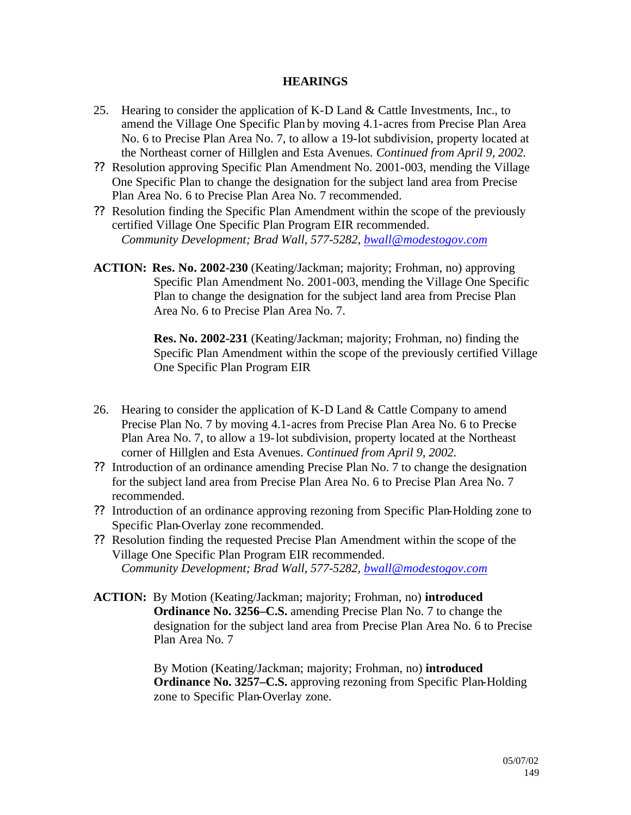#### **HEARINGS**

- 25. Hearing to consider the application of K-D Land & Cattle Investments, Inc., to amend the Village One Specific Plan by moving 4.1-acres from Precise Plan Area No. 6 to Precise Plan Area No. 7, to allow a 19-lot subdivision, property located at the Northeast corner of Hillglen and Esta Avenues. *Continued from April 9, 2002.*
- ?? Resolution approving Specific Plan Amendment No. 2001-003, mending the Village One Specific Plan to change the designation for the subject land area from Precise Plan Area No. 6 to Precise Plan Area No. 7 recommended.
- ?? Resolution finding the Specific Plan Amendment within the scope of the previously certified Village One Specific Plan Program EIR recommended. *Community Development; Brad Wall, 577-5282, bwall@modestogov.com*
- **ACTION: Res. No. 2002-230** (Keating/Jackman; majority; Frohman, no) approving Specific Plan Amendment No. 2001-003, mending the Village One Specific Plan to change the designation for the subject land area from Precise Plan Area No. 6 to Precise Plan Area No. 7.

**Res. No. 2002-231** (Keating/Jackman; majority; Frohman, no) finding the Specific Plan Amendment within the scope of the previously certified Village One Specific Plan Program EIR

- 26. Hearing to consider the application of K-D Land & Cattle Company to amend Precise Plan No. 7 by moving 4.1-acres from Precise Plan Area No. 6 to Precise Plan Area No. 7, to allow a 19-lot subdivision, property located at the Northeast corner of Hillglen and Esta Avenues. *Continued from April 9, 2002.*
- ?? Introduction of an ordinance amending Precise Plan No. 7 to change the designation for the subject land area from Precise Plan Area No. 6 to Precise Plan Area No. 7 recommended.
- ?? Introduction of an ordinance approving rezoning from Specific Plan-Holding zone to Specific Plan-Overlay zone recommended.
- ?? Resolution finding the requested Precise Plan Amendment within the scope of the Village One Specific Plan Program EIR recommended. *Community Development; Brad Wall, 577-5282, bwall@modestogov.com*
- **ACTION:** By Motion (Keating/Jackman; majority; Frohman, no) **introduced Ordinance No. 3256–C.S.** amending Precise Plan No. 7 to change the designation for the subject land area from Precise Plan Area No. 6 to Precise Plan Area No. 7

By Motion (Keating/Jackman; majority; Frohman, no) **introduced Ordinance No. 3257–C.S.** approving rezoning from Specific Plan-Holding zone to Specific Plan-Overlay zone.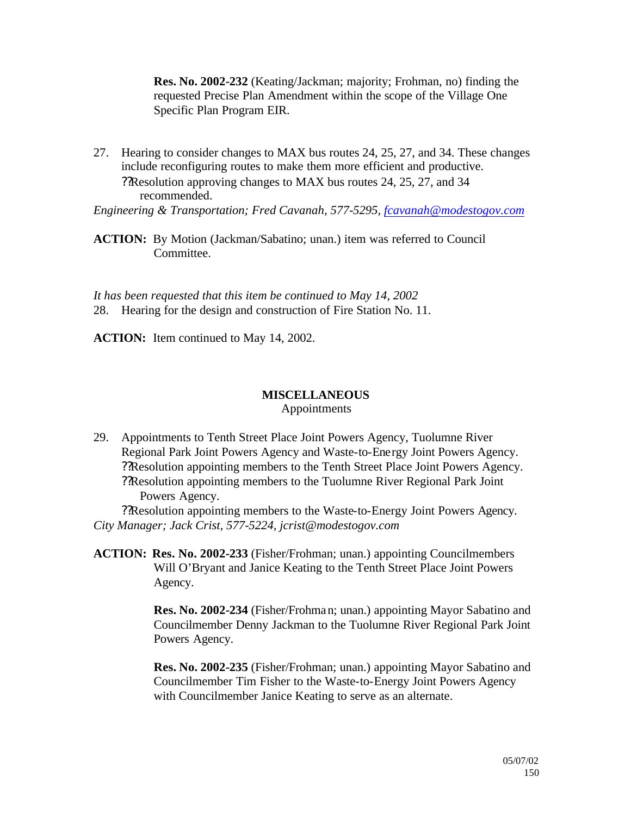**Res. No. 2002-232** (Keating/Jackman; majority; Frohman, no) finding the requested Precise Plan Amendment within the scope of the Village One Specific Plan Program EIR.

27. Hearing to consider changes to MAX bus routes 24, 25, 27, and 34. These changes include reconfiguring routes to make them more efficient and productive. ??Resolution approving changes to MAX bus routes 24, 25, 27, and 34 recommended.

*Engineering & Transportation; Fred Cavanah, 577-5295, fcavanah@modestogov.com*

**ACTION:** By Motion (Jackman/Sabatino; unan.) item was referred to Council Committee.

*It has been requested that this item be continued to May 14, 2002* 28. Hearing for the design and construction of Fire Station No. 11.

**ACTION:** Item continued to May 14, 2002.

# **MISCELLANEOUS**

Appointments

29. Appointments to Tenth Street Place Joint Powers Agency, Tuolumne River Regional Park Joint Powers Agency and Waste-to-Energy Joint Powers Agency. ??Resolution appointing members to the Tenth Street Place Joint Powers Agency. ??Resolution appointing members to the Tuolumne River Regional Park Joint Powers Agency.

??Resolution appointing members to the Waste-to-Energy Joint Powers Agency. *City Manager; Jack Crist, 577-5224, jcrist@modestogov.com*

**ACTION: Res. No. 2002-233** (Fisher/Frohman; unan.) appointing Councilmembers Will O'Bryant and Janice Keating to the Tenth Street Place Joint Powers Agency.

> **Res. No. 2002-234** (Fisher/Frohman; unan.) appointing Mayor Sabatino and Councilmember Denny Jackman to the Tuolumne River Regional Park Joint Powers Agency.

> **Res. No. 2002-235** (Fisher/Frohman; unan.) appointing Mayor Sabatino and Councilmember Tim Fisher to the Waste-to-Energy Joint Powers Agency with Councilmember Janice Keating to serve as an alternate.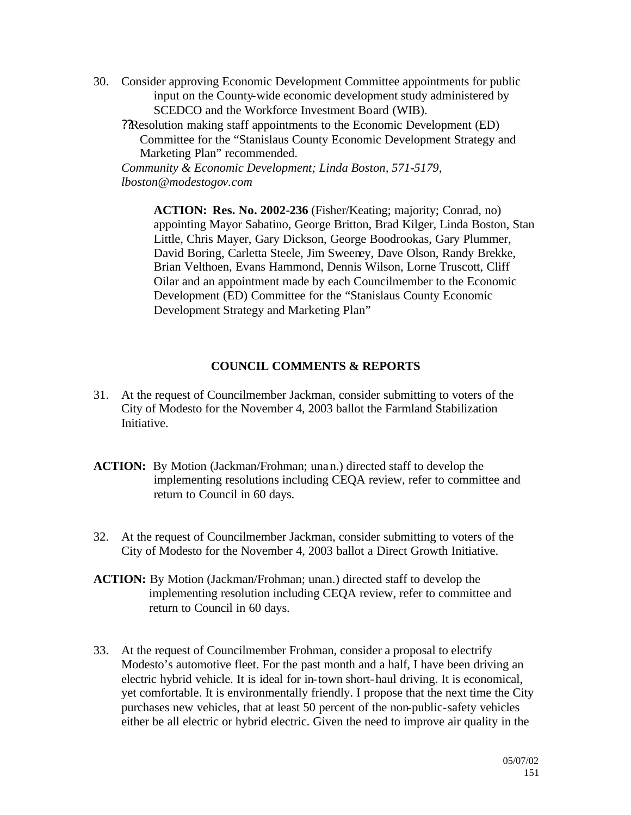- 30. Consider approving Economic Development Committee appointments for public input on the County-wide economic development study administered by SCEDCO and the Workforce Investment Board (WIB).
	- ??Resolution making staff appointments to the Economic Development (ED) Committee for the "Stanislaus County Economic Development Strategy and Marketing Plan" recommended.

*Community & Economic Development; Linda Boston, 571-5179, lboston@modestogov.com*

> **ACTION: Res. No. 2002-236** (Fisher/Keating; majority; Conrad, no) appointing Mayor Sabatino, George Britton, Brad Kilger, Linda Boston, Stan Little, Chris Mayer, Gary Dickson, George Boodrookas, Gary Plummer, David Boring, Carletta Steele, Jim Sweeney, Dave Olson, Randy Brekke, Brian Velthoen, Evans Hammond, Dennis Wilson, Lorne Truscott, Cliff Oilar and an appointment made by each Councilmember to the Economic Development (ED) Committee for the "Stanislaus County Economic Development Strategy and Marketing Plan"

# **COUNCIL COMMENTS & REPORTS**

- 31. At the request of Councilmember Jackman, consider submitting to voters of the City of Modesto for the November 4, 2003 ballot the Farmland Stabilization Initiative.
- **ACTION:** By Motion (Jackman/Frohman; unan.) directed staff to develop the implementing resolutions including CEQA review, refer to committee and return to Council in 60 days.
- 32. At the request of Councilmember Jackman, consider submitting to voters of the City of Modesto for the November 4, 2003 ballot a Direct Growth Initiative.
- **ACTION:** By Motion (Jackman/Frohman; unan.) directed staff to develop the implementing resolution including CEQA review, refer to committee and return to Council in 60 days.
- 33. At the request of Councilmember Frohman, consider a proposal to electrify Modesto's automotive fleet. For the past month and a half, I have been driving an electric hybrid vehicle. It is ideal for in-town short-haul driving. It is economical, yet comfortable. It is environmentally friendly. I propose that the next time the City purchases new vehicles, that at least 50 percent of the non-public-safety vehicles either be all electric or hybrid electric. Given the need to improve air quality in the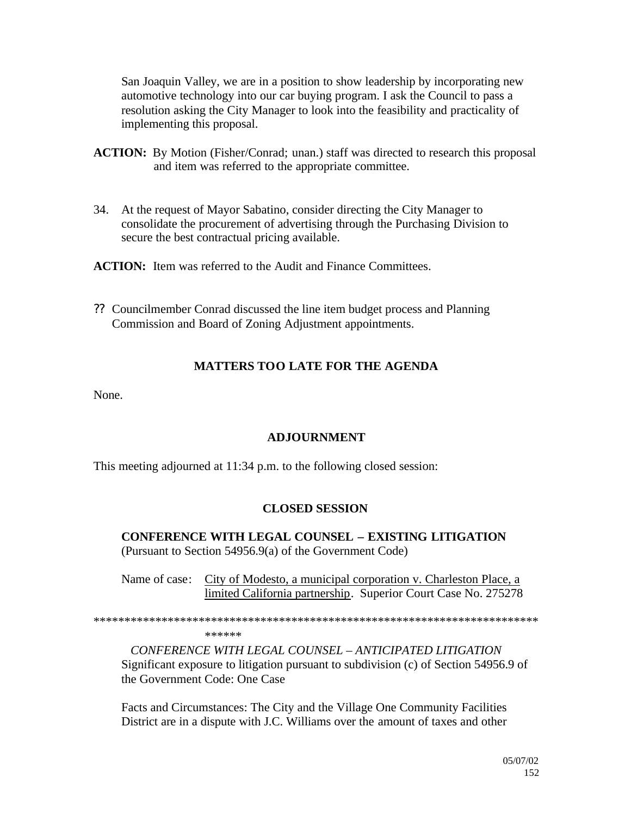San Joaquin Valley, we are in a position to show leadership by incorporating new automotive technology into our car buying program. I ask the Council to pass a resolution asking the City Manager to look into the feasibility and practicality of implementing this proposal.

- **ACTION:** By Motion (Fisher/Conrad; unan.) staff was directed to research this proposal and item was referred to the appropriate committee.
- 34. At the request of Mayor Sabatino, consider directing the City Manager to consolidate the procurement of advertising through the Purchasing Division to secure the best contractual pricing available.

**ACTION:** Item was referred to the Audit and Finance Committees.

?? Councilmember Conrad discussed the line item budget process and Planning Commission and Board of Zoning Adjustment appointments.

# **MATTERS TOO LATE FOR THE AGENDA**

None.

# **ADJOURNMENT**

This meeting adjourned at 11:34 p.m. to the following closed session:

# **CLOSED SESSION**

**CONFERENCE WITH LEGAL COUNSEL – EXISTING LITIGATION** (Pursuant to Section 54956.9(a) of the Government Code)

Name of case: City of Modesto, a municipal corporation v. Charleston Place, a limited California partnership. Superior Court Case No. 275278

\*\*\*\*\*\*\*\*\*\*\*\*\*\*\*\*\*\*\*\*\*\*\*\*\*\*\*\*\*\*\*\*\*\*\*\*\*\*\*\*\*\*\*\*\*\*\*\*\*\*\*\*\*\*\*\*\*\*\*\*\*\*\*\*\*\*\*\*\*\*\*\*

\*\*\*\*\*\*

*CONFERENCE WITH LEGAL COUNSEL – ANTICIPATED LITIGATION* Significant exposure to litigation pursuant to subdivision (c) of Section 54956.9 of the Government Code: One Case

Facts and Circumstances: The City and the Village One Community Facilities District are in a dispute with J.C. Williams over the amount of taxes and other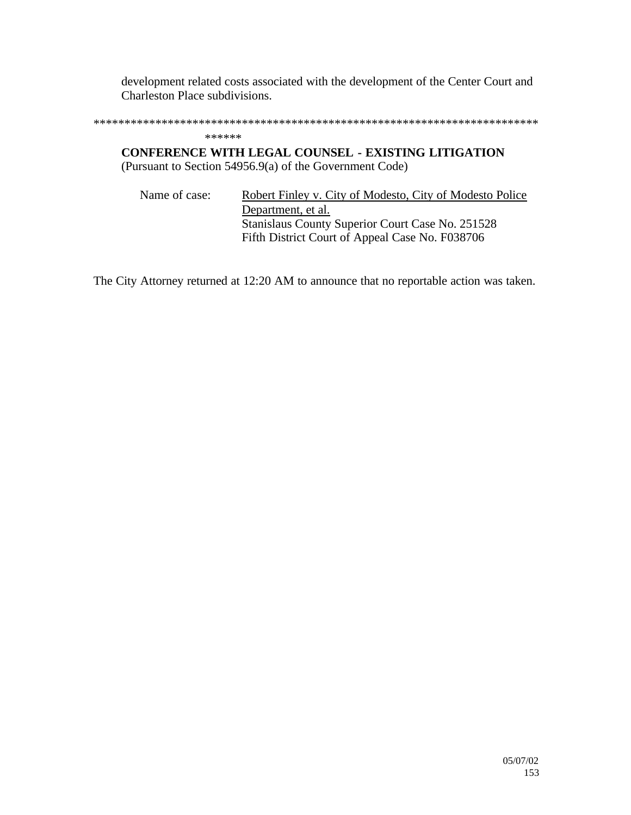development related costs associated with the development of the Center Court and Charleston Place subdivisions.

\*\*\*\*\*\*\*\*\*\*\*\*\*\*\*\*\*\*\*\*\*\*\*\*\*\*\*\*\*\*\*\*\*\*\*\*\*\*\*\*\*\*\*\*\*\*\*\*\*\*\*\*\*\*\*\*\*\*\*\*\*\*\*\*\*\*\*\*\*\*\*\*

#### \*\*\*\*\*\*

**CONFERENCE WITH LEGAL COUNSEL - EXISTING LITIGATION** (Pursuant to Section 54956.9(a) of the Government Code)

Name of case: Robert Finley v. City of Modesto, City of Modesto Police Department, et al. Stanislaus County Superior Court Case No. 251528 Fifth District Court of Appeal Case No. F038706

The City Attorney returned at 12:20 AM to announce that no reportable action was taken.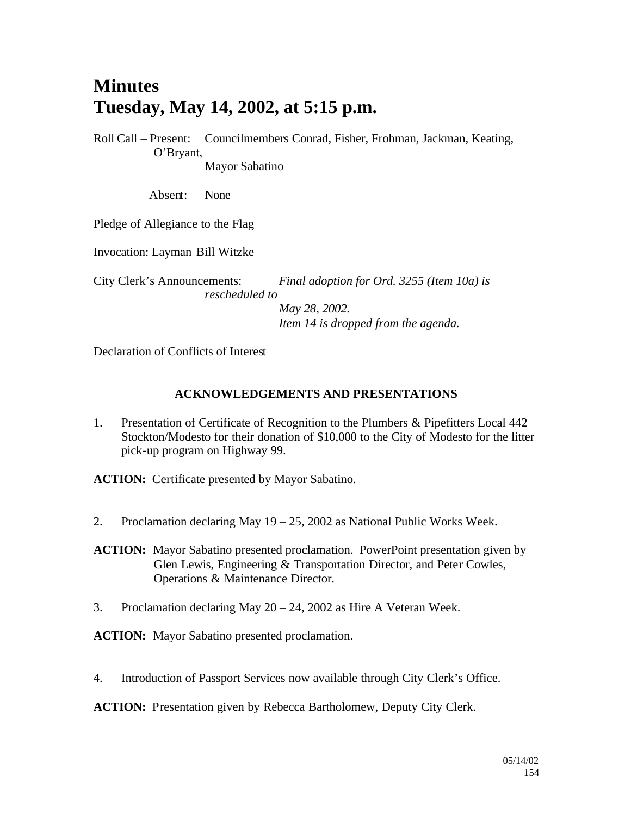# **Minutes Tuesday, May 14, 2002, at 5:15 p.m.**

Roll Call – Present: Councilmembers Conrad, Fisher, Frohman, Jackman, Keating, O'Bryant, Mayor Sabatino

Absent: None

Pledge of Allegiance to the Flag

Invocation: Layman Bill Witzke

City Clerk's Announcements: *Final adoption for Ord. 3255 (Item 10a) is rescheduled to May 28, 2002.*

*Item 14 is dropped from the agenda.*

Declaration of Conflicts of Interest

#### **ACKNOWLEDGEMENTS AND PRESENTATIONS**

1. Presentation of Certificate of Recognition to the Plumbers & Pipefitters Local 442 Stockton/Modesto for their donation of \$10,000 to the City of Modesto for the litter pick-up program on Highway 99.

**ACTION:** Certificate presented by Mayor Sabatino.

2. Proclamation declaring May 19 – 25, 2002 as National Public Works Week.

**ACTION:** Mayor Sabatino presented proclamation. PowerPoint presentation given by Glen Lewis, Engineering & Transportation Director, and Peter Cowles, Operations & Maintenance Director.

3. Proclamation declaring May 20 – 24, 2002 as Hire A Veteran Week.

**ACTION:** Mayor Sabatino presented proclamation.

4. Introduction of Passport Services now available through City Clerk's Office.

**ACTION:** Presentation given by Rebecca Bartholomew, Deputy City Clerk.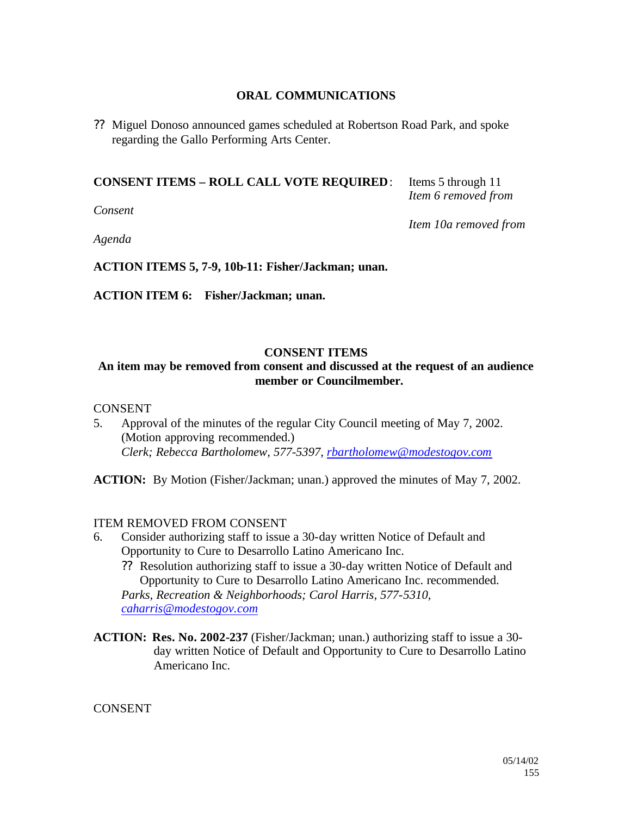# **ORAL COMMUNICATIONS**

?? Miguel Donoso announced games scheduled at Robertson Road Park, and spoke regarding the Gallo Performing Arts Center.

# **CONSENT ITEMS – ROLL CALL VOTE REQUIRED**: Items 5 through 11

*Consent*

*Item 6 removed from* 

*Item 10a removed from* 

*Agenda*

**ACTION ITEMS 5, 7-9, 10b-11: Fisher/Jackman; unan.**

**ACTION ITEM 6: Fisher/Jackman; unan.**

#### **CONSENT ITEMS**

# **An item may be removed from consent and discussed at the request of an audience member or Councilmember.**

#### **CONSENT**

5. Approval of the minutes of the regular City Council meeting of May 7, 2002. (Motion approving recommended.) *Clerk; Rebecca Bartholomew, 577-5397, rbartholomew@modestogov.com*

**ACTION:** By Motion (Fisher/Jackman; unan.) approved the minutes of May 7, 2002.

#### ITEM REMOVED FROM CONSENT

- 6. Consider authorizing staff to issue a 30-day written Notice of Default and Opportunity to Cure to Desarrollo Latino Americano Inc.
	- ?? Resolution authorizing staff to issue a 30-day written Notice of Default and Opportunity to Cure to Desarrollo Latino Americano Inc. recommended.

*Parks, Recreation & Neighborhoods; Carol Harris, 577-5310, caharris@modestogov.com*

**ACTION: Res. No. 2002-237** (Fisher/Jackman; unan.) authorizing staff to issue a 30 day written Notice of Default and Opportunity to Cure to Desarrollo Latino Americano Inc.

**CONSENT**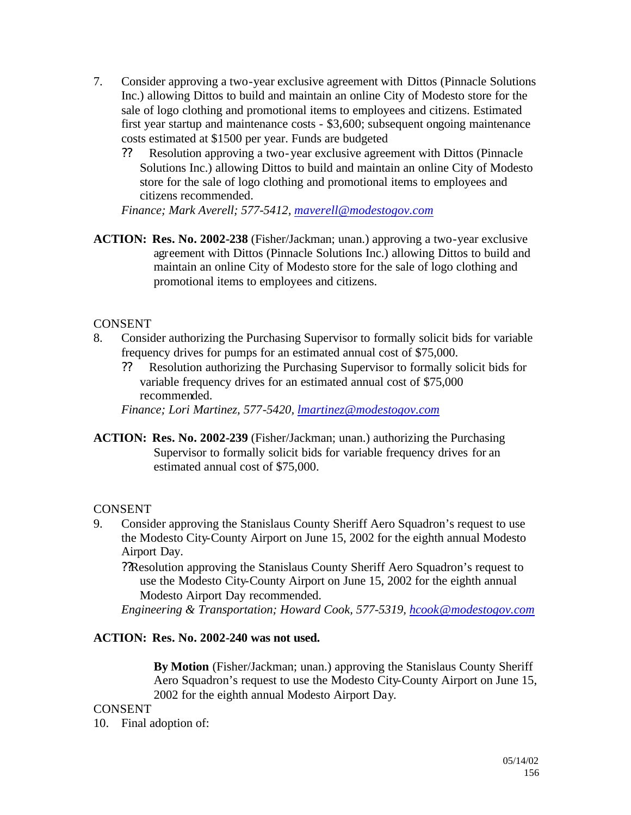- 7. Consider approving a two-year exclusive agreement with Dittos (Pinnacle Solutions Inc.) allowing Dittos to build and maintain an online City of Modesto store for the sale of logo clothing and promotional items to employees and citizens. Estimated first year startup and maintenance costs - \$3,600; subsequent ongoing maintenance costs estimated at \$1500 per year. Funds are budgeted
	- ?? Resolution approving a two-year exclusive agreement with Dittos (Pinnacle Solutions Inc.) allowing Dittos to build and maintain an online City of Modesto store for the sale of logo clothing and promotional items to employees and citizens recommended.

*Finance; Mark Averell; 577-5412, maverell@modestogov.com*

**ACTION: Res. No. 2002-238** (Fisher/Jackman; unan.) approving a two-year exclusive agreement with Dittos (Pinnacle Solutions Inc.) allowing Dittos to build and maintain an online City of Modesto store for the sale of logo clothing and promotional items to employees and citizens.

# **CONSENT**

- 8. Consider authorizing the Purchasing Supervisor to formally solicit bids for variable frequency drives for pumps for an estimated annual cost of \$75,000.
	- ?? Resolution authorizing the Purchasing Supervisor to formally solicit bids for variable frequency drives for an estimated annual cost of \$75,000 recommended.

*Finance; Lori Martinez, 577-5420, lmartinez@modestogov.com*

**ACTION: Res. No. 2002-239** (Fisher/Jackman; unan.) authorizing the Purchasing Supervisor to formally solicit bids for variable frequency drives for an estimated annual cost of \$75,000.

# **CONSENT**

- 9. Consider approving the Stanislaus County Sheriff Aero Squadron's request to use the Modesto City-County Airport on June 15, 2002 for the eighth annual Modesto Airport Day.
	- ??Resolution approving the Stanislaus County Sheriff Aero Squadron's request to use the Modesto City-County Airport on June 15, 2002 for the eighth annual Modesto Airport Day recommended.

*Engineering & Transportation; Howard Cook, 577-5319, hcook@modestogov.com*

# **ACTION: Res. No. 2002-240 was not used.**

**By Motion** (Fisher/Jackman; unan.) approving the Stanislaus County Sheriff Aero Squadron's request to use the Modesto City-County Airport on June 15, 2002 for the eighth annual Modesto Airport Day.

**CONSENT** 

10. Final adoption of: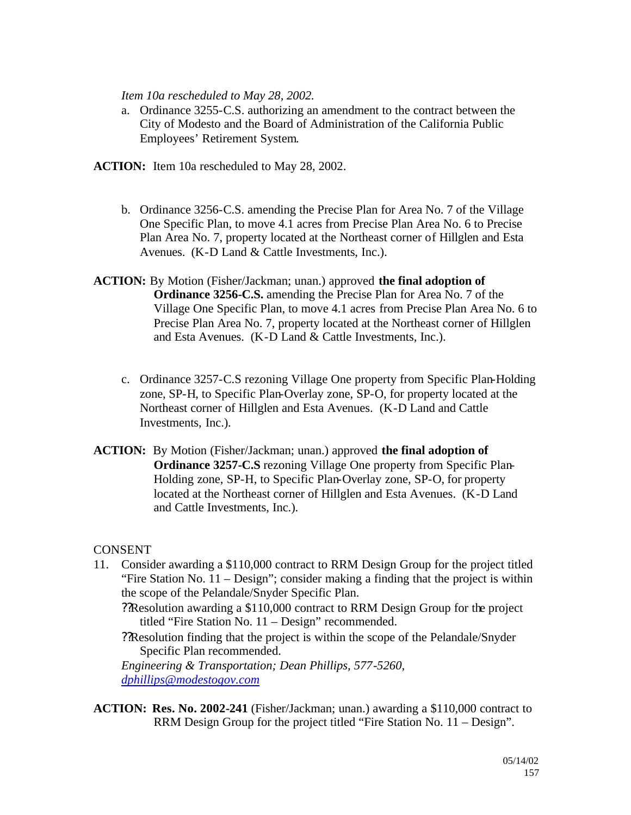*Item 10a rescheduled to May 28, 2002.*

- a. Ordinance 3255-C.S. authorizing an amendment to the contract between the City of Modesto and the Board of Administration of the California Public Employees' Retirement System.
- **ACTION:** Item 10a rescheduled to May 28, 2002.
	- b. Ordinance 3256-C.S. amending the Precise Plan for Area No. 7 of the Village One Specific Plan, to move 4.1 acres from Precise Plan Area No. 6 to Precise Plan Area No. 7, property located at the Northeast corner of Hillglen and Esta Avenues. (K-D Land & Cattle Investments, Inc.).
- **ACTION:** By Motion (Fisher/Jackman; unan.) approved **the final adoption of Ordinance 3256-C.S.** amending the Precise Plan for Area No. 7 of the Village One Specific Plan, to move 4.1 acres from Precise Plan Area No. 6 to Precise Plan Area No. 7, property located at the Northeast corner of Hillglen and Esta Avenues. (K-D Land & Cattle Investments, Inc.).
	- c. Ordinance 3257-C.S rezoning Village One property from Specific Plan-Holding zone, SP-H, to Specific Plan-Overlay zone, SP-O, for property located at the Northeast corner of Hillglen and Esta Avenues. (K-D Land and Cattle Investments, Inc.).
- **ACTION:** By Motion (Fisher/Jackman; unan.) approved **the final adoption of Ordinance 3257-C.S** rezoning Village One property from Specific Plan-Holding zone, SP-H, to Specific Plan-Overlay zone, SP-O, for property located at the Northeast corner of Hillglen and Esta Avenues. (K-D Land and Cattle Investments, Inc.).

**CONSENT** 

- 11. Consider awarding a \$110,000 contract to RRM Design Group for the project titled "Fire Station No. 11 – Design"; consider making a finding that the project is within the scope of the Pelandale/Snyder Specific Plan.
	- ??Resolution awarding a \$110,000 contract to RRM Design Group for the project titled "Fire Station No. 11 – Design" recommended.
	- ??Resolution finding that the project is within the scope of the Pelandale/Snyder Specific Plan recommended.

*Engineering & Transportation; Dean Phillips, 577-5260, dphillips@modestogov.com*

**ACTION: Res. No. 2002-241** (Fisher/Jackman; unan.) awarding a \$110,000 contract to RRM Design Group for the project titled "Fire Station No. 11 – Design".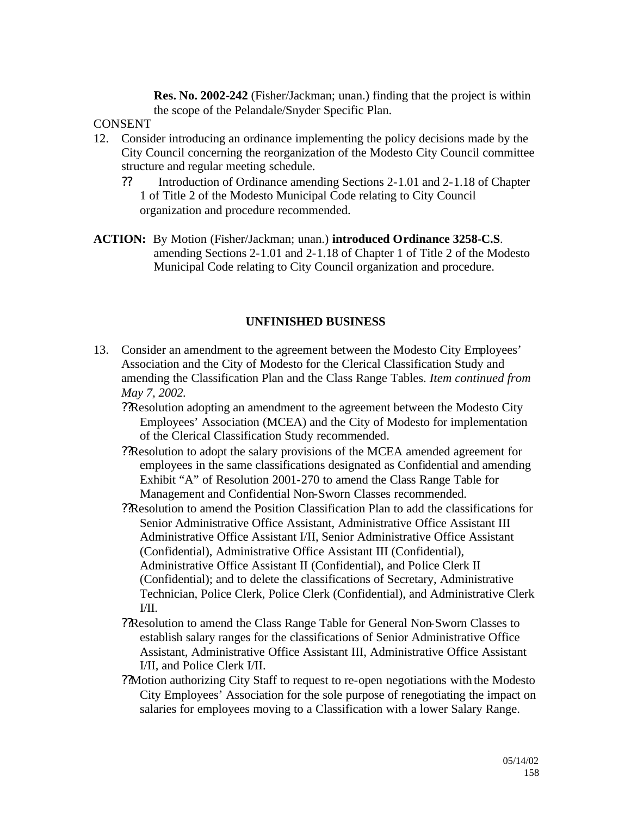**Res. No. 2002-242** (Fisher/Jackman; unan.) finding that the project is within the scope of the Pelandale/Snyder Specific Plan.

# CONSENT

- 12. Consider introducing an ordinance implementing the policy decisions made by the City Council concerning the reorganization of the Modesto City Council committee structure and regular meeting schedule.
	- ?? Introduction of Ordinance amending Sections 2-1.01 and 2-1.18 of Chapter 1 of Title 2 of the Modesto Municipal Code relating to City Council organization and procedure recommended.
- **ACTION:** By Motion (Fisher/Jackman; unan.) **introduced Ordinance 3258-C.S**. amending Sections 2-1.01 and 2-1.18 of Chapter 1 of Title 2 of the Modesto Municipal Code relating to City Council organization and procedure.

#### **UNFINISHED BUSINESS**

- 13. Consider an amendment to the agreement between the Modesto City Employees' Association and the City of Modesto for the Clerical Classification Study and amending the Classification Plan and the Class Range Tables. *Item continued from May 7, 2002.*
	- ??Resolution adopting an amendment to the agreement between the Modesto City Employees' Association (MCEA) and the City of Modesto for implementation of the Clerical Classification Study recommended.
	- ??Resolution to adopt the salary provisions of the MCEA amended agreement for employees in the same classifications designated as Confidential and amending Exhibit "A" of Resolution 2001-270 to amend the Class Range Table for Management and Confidential Non-Sworn Classes recommended.
	- ??Resolution to amend the Position Classification Plan to add the classifications for Senior Administrative Office Assistant, Administrative Office Assistant III Administrative Office Assistant I/II, Senior Administrative Office Assistant (Confidential), Administrative Office Assistant III (Confidential), Administrative Office Assistant II (Confidential), and Police Clerk II (Confidential); and to delete the classifications of Secretary, Administrative Technician, Police Clerk, Police Clerk (Confidential), and Administrative Clerk  $I/II$ .
	- ??Resolution to amend the Class Range Table for General Non-Sworn Classes to establish salary ranges for the classifications of Senior Administrative Office Assistant, Administrative Office Assistant III, Administrative Office Assistant I/II, and Police Clerk I/II.
	- ??Motion authorizing City Staff to request to re-open negotiations with the Modesto City Employees' Association for the sole purpose of renegotiating the impact on salaries for employees moving to a Classification with a lower Salary Range.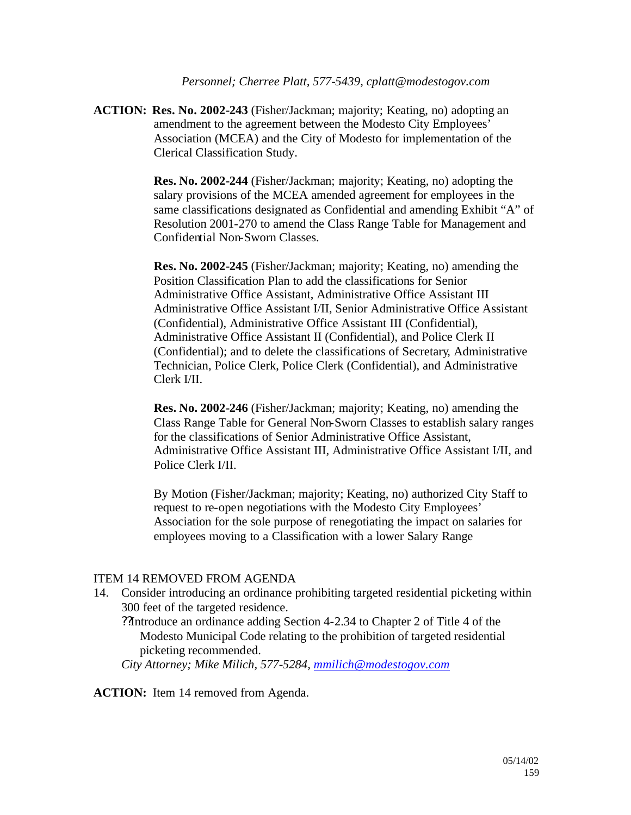*Personnel; Cherree Platt, 577-5439, cplatt@modestogov.com*

**ACTION: Res. No. 2002-243** (Fisher/Jackman; majority; Keating, no) adopting an amendment to the agreement between the Modesto City Employees' Association (MCEA) and the City of Modesto for implementation of the Clerical Classification Study.

> **Res. No. 2002-244** (Fisher/Jackman; majority; Keating, no) adopting the salary provisions of the MCEA amended agreement for employees in the same classifications designated as Confidential and amending Exhibit "A" of Resolution 2001-270 to amend the Class Range Table for Management and Confidential Non-Sworn Classes.

**Res. No. 2002-245** (Fisher/Jackman; majority; Keating, no) amending the Position Classification Plan to add the classifications for Senior Administrative Office Assistant, Administrative Office Assistant III Administrative Office Assistant I/II, Senior Administrative Office Assistant (Confidential), Administrative Office Assistant III (Confidential), Administrative Office Assistant II (Confidential), and Police Clerk II (Confidential); and to delete the classifications of Secretary, Administrative Technician, Police Clerk, Police Clerk (Confidential), and Administrative Clerk I/II.

**Res. No. 2002-246** (Fisher/Jackman; majority; Keating, no) amending the Class Range Table for General Non-Sworn Classes to establish salary ranges for the classifications of Senior Administrative Office Assistant, Administrative Office Assistant III, Administrative Office Assistant I/II, and Police Clerk I/II.

By Motion (Fisher/Jackman; majority; Keating, no) authorized City Staff to request to re-open negotiations with the Modesto City Employees' Association for the sole purpose of renegotiating the impact on salaries for employees moving to a Classification with a lower Salary Range

#### ITEM 14 REMOVED FROM AGENDA

14. Consider introducing an ordinance prohibiting targeted residential picketing within 300 feet of the targeted residence.

??Introduce an ordinance adding Section 4-2.34 to Chapter 2 of Title 4 of the Modesto Municipal Code relating to the prohibition of targeted residential picketing recommended.

*City Attorney; Mike Milich, 577-5284, mmilich@modestogov.com*

**ACTION:** Item 14 removed from Agenda.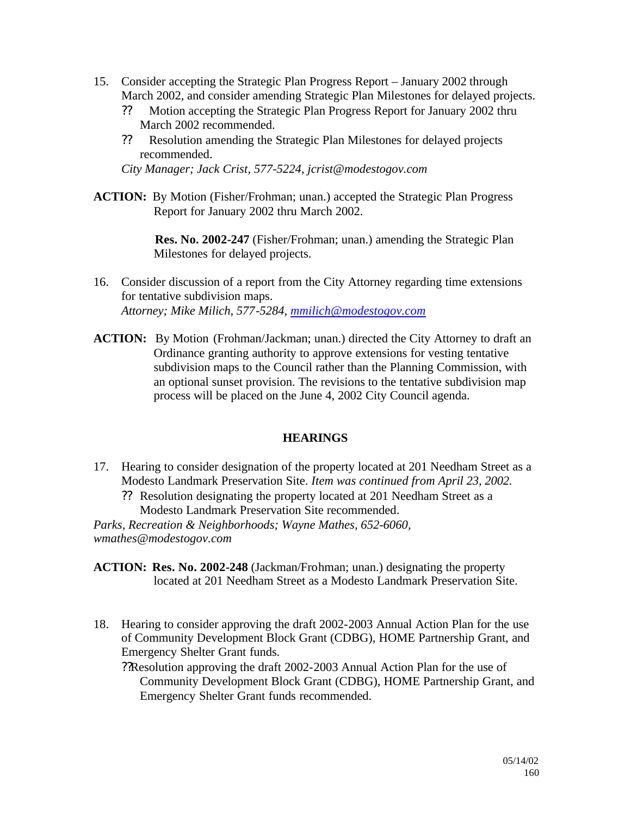- 15. Consider accepting the Strategic Plan Progress Report January 2002 through March 2002, and consider amending Strategic Plan Milestones for delayed projects.
	- ?? Motion accepting the Strategic Plan Progress Report for January 2002 thru March 2002 recommended.
	- ?? Resolution amending the Strategic Plan Milestones for delayed projects recommended.

*City Manager; Jack Crist, 577-5224, jcrist@modestogov.com*

**ACTION:** By Motion (Fisher/Frohman; unan.) accepted the Strategic Plan Progress Report for January 2002 thru March 2002.

> **Res. No. 2002-247** (Fisher/Frohman; unan.) amending the Strategic Plan Milestones for delayed projects.

- 16. Consider discussion of a report from the City Attorney regarding time extensions for tentative subdivision maps. *Attorney; Mike Milich, 577-5284, mmilich@modestogov.com*
- **ACTION:** By Motion (Frohman/Jackman; unan.) directed the City Attorney to draft an Ordinance granting authority to approve extensions for vesting tentative subdivision maps to the Council rather than the Planning Commission, with an optional sunset provision. The revisions to the tentative subdivision map process will be placed on the June 4, 2002 City Council agenda.

# **HEARINGS**

- 17. Hearing to consider designation of the property located at 201 Needham Street as a Modesto Landmark Preservation Site. *Item was continued from April 23, 2002.*
	- ?? Resolution designating the property located at 201 Needham Street as a Modesto Landmark Preservation Site recommended.

*Parks, Recreation & Neighborhoods; Wayne Mathes, 652-6060, wmathes@modestogov.com*

**ACTION: Res. No. 2002-248** (Jackman/Frohman; unan.) designating the property located at 201 Needham Street as a Modesto Landmark Preservation Site.

18. Hearing to consider approving the draft 2002-2003 Annual Action Plan for the use of Community Development Block Grant (CDBG), HOME Partnership Grant, and Emergency Shelter Grant funds.

??Resolution approving the draft 2002-2003 Annual Action Plan for the use of Community Development Block Grant (CDBG), HOME Partnership Grant, and Emergency Shelter Grant funds recommended.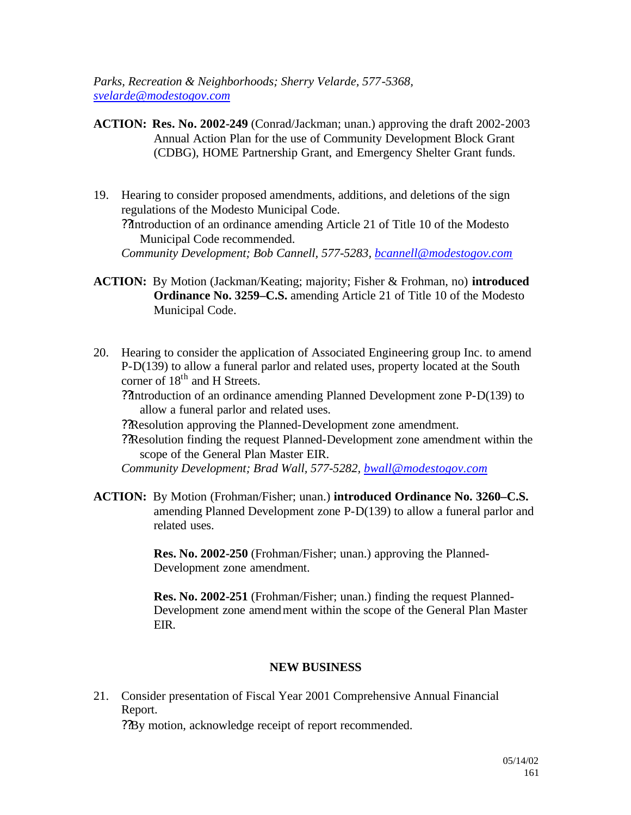*Parks, Recreation & Neighborhoods; Sherry Velarde, 577-5368, svelarde@modestogov.com*

- **ACTION: Res. No. 2002-249** (Conrad/Jackman; unan.) approving the draft 2002-2003 Annual Action Plan for the use of Community Development Block Grant (CDBG), HOME Partnership Grant, and Emergency Shelter Grant funds.
- 19. Hearing to consider proposed amendments, additions, and deletions of the sign regulations of the Modesto Municipal Code. ??Introduction of an ordinance amending Article 21 of Title 10 of the Modesto Municipal Code recommended. *Community Development; Bob Cannell, 577-5283, bcannell@modestogov.com*
- **ACTION:** By Motion (Jackman/Keating; majority; Fisher & Frohman, no) **introduced Ordinance No. 3259–C.S.** amending Article 21 of Title 10 of the Modesto Municipal Code.
- 20. Hearing to consider the application of Associated Engineering group Inc. to amend P-D(139) to allow a funeral parlor and related uses, property located at the South corner of  $18<sup>th</sup>$  and H Streets.

??Introduction of an ordinance amending Planned Development zone P-D(139) to allow a funeral parlor and related uses.

- ??Resolution approving the Planned-Development zone amendment.
- ??Resolution finding the request Planned-Development zone amendment within the scope of the General Plan Master EIR.

*Community Development; Brad Wall, 577-5282, bwall@modestogov.com*

**ACTION:** By Motion (Frohman/Fisher; unan.) **introduced Ordinance No. 3260–C.S.**  amending Planned Development zone P-D(139) to allow a funeral parlor and related uses.

> **Res. No. 2002-250** (Frohman/Fisher; unan.) approving the Planned-Development zone amendment.

**Res. No. 2002-251** (Frohman/Fisher; unan.) finding the request Planned-Development zone amendment within the scope of the General Plan Master EIR.

#### **NEW BUSINESS**

21. Consider presentation of Fiscal Year 2001 Comprehensive Annual Financial Report.

??By motion, acknowledge receipt of report recommended.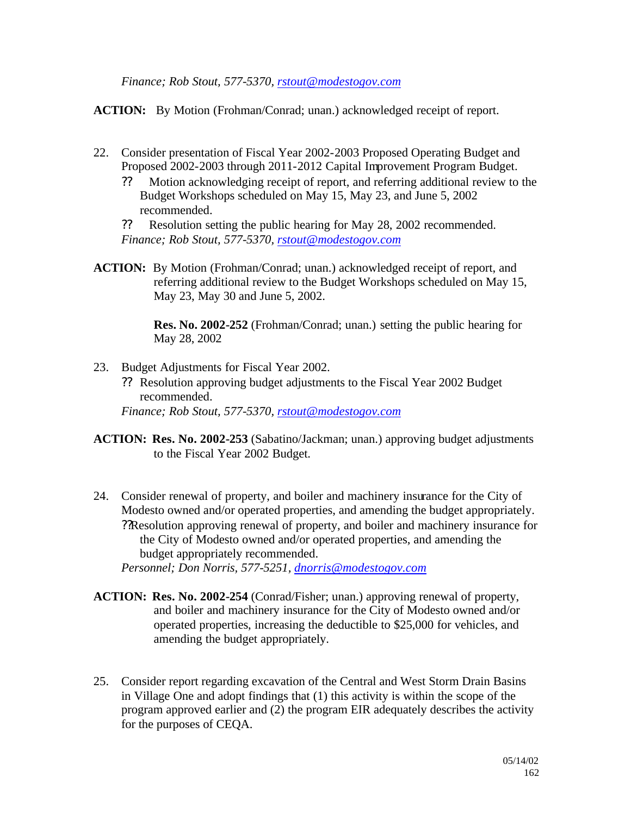*Finance; Rob Stout, 577-5370, rstout@modestogov.com*

**ACTION:** By Motion (Frohman/Conrad; unan.) acknowledged receipt of report.

- 22. Consider presentation of Fiscal Year 2002-2003 Proposed Operating Budget and Proposed 2002-2003 through 2011-2012 Capital Improvement Program Budget.
	- ?? Motion acknowledging receipt of report, and referring additional review to the Budget Workshops scheduled on May 15, May 23, and June 5, 2002 recommended.

?? Resolution setting the public hearing for May 28, 2002 recommended. *Finance; Rob Stout, 577-5370, rstout@modestogov.com*

**ACTION:** By Motion (Frohman/Conrad; unan.) acknowledged receipt of report, and referring additional review to the Budget Workshops scheduled on May 15, May 23, May 30 and June 5, 2002.

> **Res. No. 2002-252** (Frohman/Conrad; unan.) setting the public hearing for May 28, 2002

- 23. Budget Adjustments for Fiscal Year 2002.
	- ?? Resolution approving budget adjustments to the Fiscal Year 2002 Budget recommended.

*Finance; Rob Stout, 577-5370, rstout@modestogov.com*

- **ACTION: Res. No. 2002-253** (Sabatino/Jackman; unan.) approving budget adjustments to the Fiscal Year 2002 Budget.
- 24. Consider renewal of property, and boiler and machinery insurance for the City of Modesto owned and/or operated properties, and amending the budget appropriately. ??Resolution approving renewal of property, and boiler and machinery insurance for the City of Modesto owned and/or operated properties, and amending the budget appropriately recommended. *Personnel; Don Norris, 577-5251, dnorris@modestogov.com*

**ACTION: Res. No. 2002-254** (Conrad/Fisher; unan.) approving renewal of property,

- and boiler and machinery insurance for the City of Modesto owned and/or operated properties, increasing the deductible to \$25,000 for vehicles, and amending the budget appropriately.
- 25. Consider report regarding excavation of the Central and West Storm Drain Basins in Village One and adopt findings that (1) this activity is within the scope of the program approved earlier and (2) the program EIR adequately describes the activity for the purposes of CEQA.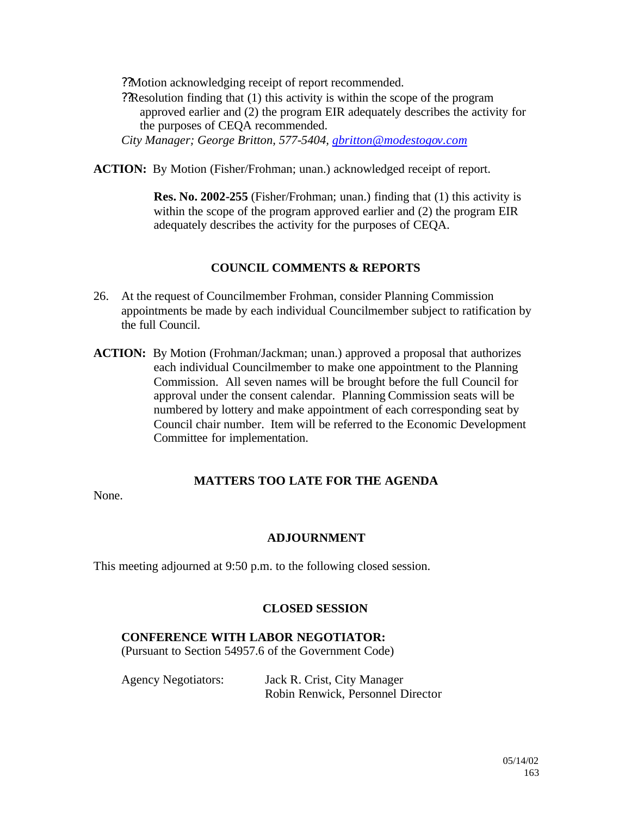??Motion acknowledging receipt of report recommended.

??Resolution finding that (1) this activity is within the scope of the program approved earlier and (2) the program EIR adequately describes the activity for the purposes of CEQA recommended.

*City Manager; George Britton, 577-5404, gbritton@modestogov.com*

**ACTION:** By Motion (Fisher/Frohman; unan.) acknowledged receipt of report.

**Res. No. 2002-255** (Fisher/Frohman; unan.) finding that (1) this activity is within the scope of the program approved earlier and (2) the program EIR adequately describes the activity for the purposes of CEQA.

# **COUNCIL COMMENTS & REPORTS**

- 26. At the request of Councilmember Frohman, consider Planning Commission appointments be made by each individual Councilmember subject to ratification by the full Council.
- **ACTION:** By Motion (Frohman/Jackman; unan.) approved a proposal that authorizes each individual Councilmember to make one appointment to the Planning Commission. All seven names will be brought before the full Council for approval under the consent calendar. Planning Commission seats will be numbered by lottery and make appointment of each corresponding seat by Council chair number. Item will be referred to the Economic Development Committee for implementation.

#### **MATTERS TOO LATE FOR THE AGENDA**

None.

# **ADJOURNMENT**

This meeting adjourned at 9:50 p.m. to the following closed session.

#### **CLOSED SESSION**

#### **CONFERENCE WITH LABOR NEGOTIATOR:**

(Pursuant to Section 54957.6 of the Government Code)

| <b>Agency Negotiators:</b> | Jack R. Crist, City Manager       |
|----------------------------|-----------------------------------|
|                            | Robin Renwick, Personnel Director |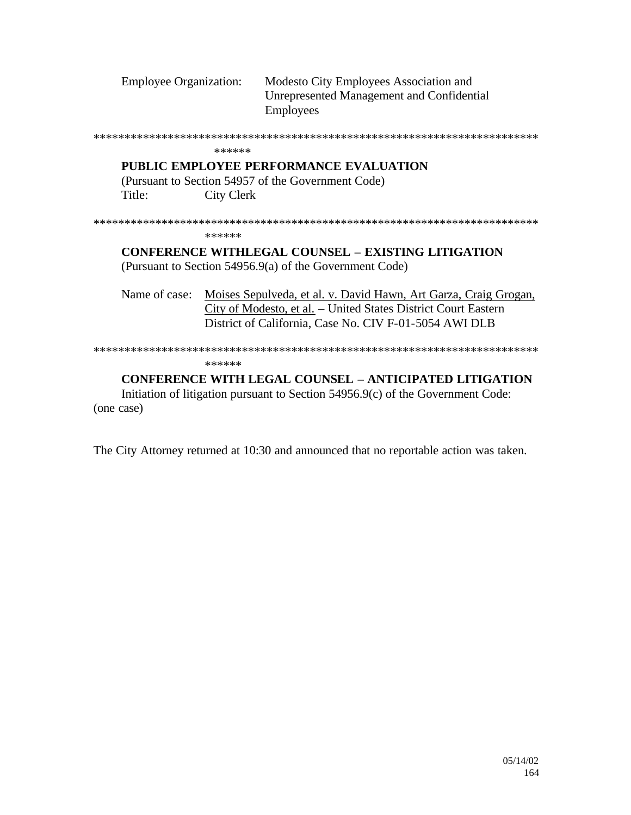| <b>Employee Organization:</b> | Modesto City Employees Association and    |
|-------------------------------|-------------------------------------------|
|                               | Unrepresented Management and Confidential |
|                               | <b>Employees</b>                          |

\*\*\*\*\*\*\*\*\*\*\*\*\*\*\*\*\*\*\*\*\*\*\*\*\*\*\*\*\*\*\*\*\*\*\*\*\*\*\*\*\*\*\*\*\*\*\*\*\*\*\*\*\*\*\*\*\*\*\*\*\*\*\*\*\*\*\*\*\*\*\*\*

#### \*\*\*\*\*\*

# **PUBLIC EMPLOYEE PERFORMANCE EVALUATION**

(Pursuant to Section 54957 of the Government Code) Title: City Clerk

\*\*\*\*\*\*\*\*\*\*\*\*\*\*\*\*\*\*\*\*\*\*\*\*\*\*\*\*\*\*\*\*\*\*\*\*\*\*\*\*\*\*\*\*\*\*\*\*\*\*\*\*\*\*\*\*\*\*\*\*\*\*\*\*\*\*\*\*\*\*\*\*

\*\*\*\*\*\*

# **CONFERENCE WITHLEGAL COUNSEL – EXISTING LITIGATION** (Pursuant to Section 54956.9(a) of the Government Code)

Name of case: Moises Sepulveda, et al. v. David Hawn, Art Garza, Craig Grogan, City of Modesto, et al. – United States District Court Eastern District of California, Case No. CIV F-01-5054 AWI DLB

#### \*\*\*\*\*\*\*\*\*\*\*\*\*\*\*\*\*\*\*\*\*\*\*\*\*\*\*\*\*\*\*\*\*\*\*\*\*\*\*\*\*\*\*\*\*\*\*\*\*\*\*\*\*\*\*\*\*\*\*\*\*\*\*\*\*\*\*\*\*\*\*\*

\*\*\*\*\*\*

# **CONFERENCE WITH LEGAL COUNSEL – ANTICIPATED LITIGATION**

Initiation of litigation pursuant to Section 54956.9(c) of the Government Code: (one case)

The City Attorney returned at 10:30 and announced that no reportable action was taken.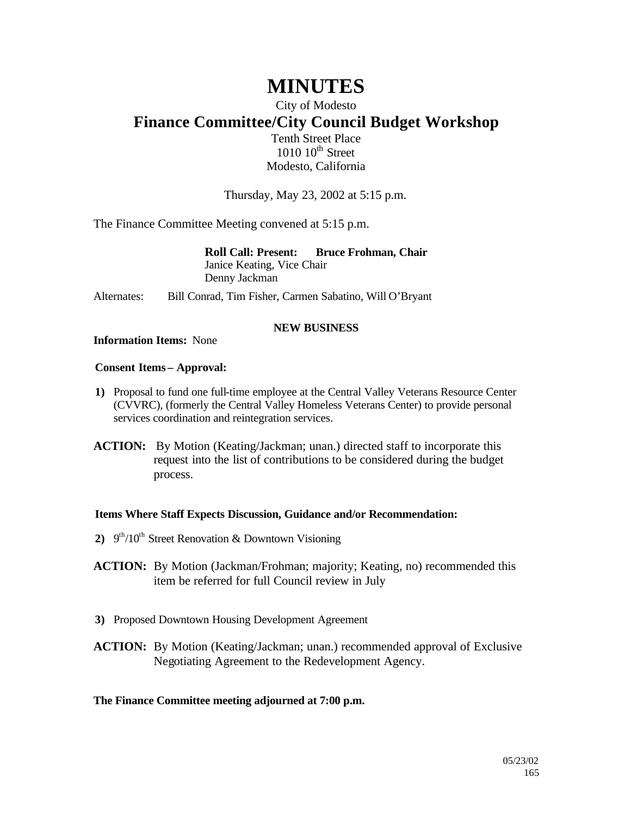# **MINUTES**

# City of Modesto

# **Finance Committee/City Council Budget Workshop**

Tenth Street Place  $1010~10$ <sup>th</sup> Street Modesto, California

Thursday, May 23, 2002 at 5:15 p.m.

The Finance Committee Meeting convened at 5:15 p.m.

**Roll Call: Present: Bruce Frohman, Chair** Janice Keating, Vice Chair Denny Jackman

Alternates: Bill Conrad, Tim Fisher, Carmen Sabatino, Will O'Bryant

#### **NEW BUSINESS**

#### **Information Items:** None

#### **Consent Items – Approval:**

- **1)** Proposal to fund one full-time employee at the Central Valley Veterans Resource Center (CVVRC), (formerly the Central Valley Homeless Veterans Center) to provide personal services coordination and reintegration services.
- **ACTION:** By Motion (Keating/Jackman; unan.) directed staff to incorporate this request into the list of contributions to be considered during the budget process.

#### **Items Where Staff Expects Discussion, Guidance and/or Recommendation:**

- 2)  $9<sup>th</sup>/10<sup>th</sup>$  Street Renovation & Downtown Visioning
- **ACTION:** By Motion (Jackman/Frohman; majority; Keating, no) recommended this item be referred for full Council review in July
- **3)** Proposed Downtown Housing Development Agreement
- **ACTION:** By Motion (Keating/Jackman; unan.) recommended approval of Exclusive Negotiating Agreement to the Redevelopment Agency.

#### **The Finance Committee meeting adjourned at 7:00 p.m.**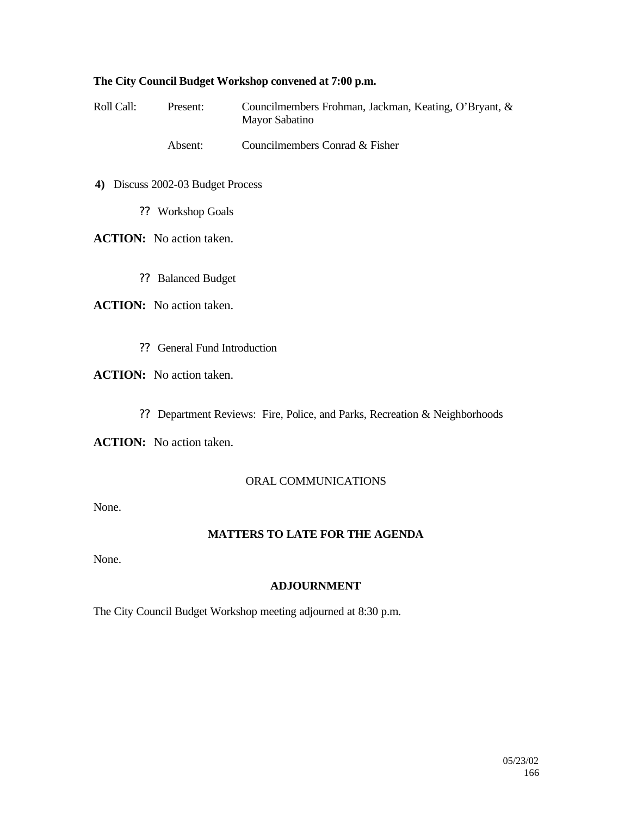#### **The City Council Budget Workshop convened at 7:00 p.m.**

Roll Call: Present: Councilmembers Frohman, Jackman, Keating, O'Bryant, & Mayor Sabatino

Absent: Councilmembers Conrad & Fisher

- **4)** Discuss 2002-03 Budget Process
	- ?? Workshop Goals

**ACTION:** No action taken.

?? Balanced Budget

**ACTION:** No action taken.

?? General Fund Introduction

# **ACTION:** No action taken.

?? Department Reviews: Fire, Police, and Parks, Recreation & Neighborhoods

**ACTION:** No action taken.

#### ORAL COMMUNICATIONS

None.

# **MATTERS TO LATE FOR THE AGENDA**

None.

#### **ADJOURNMENT**

The City Council Budget Workshop meeting adjourned at 8:30 p.m.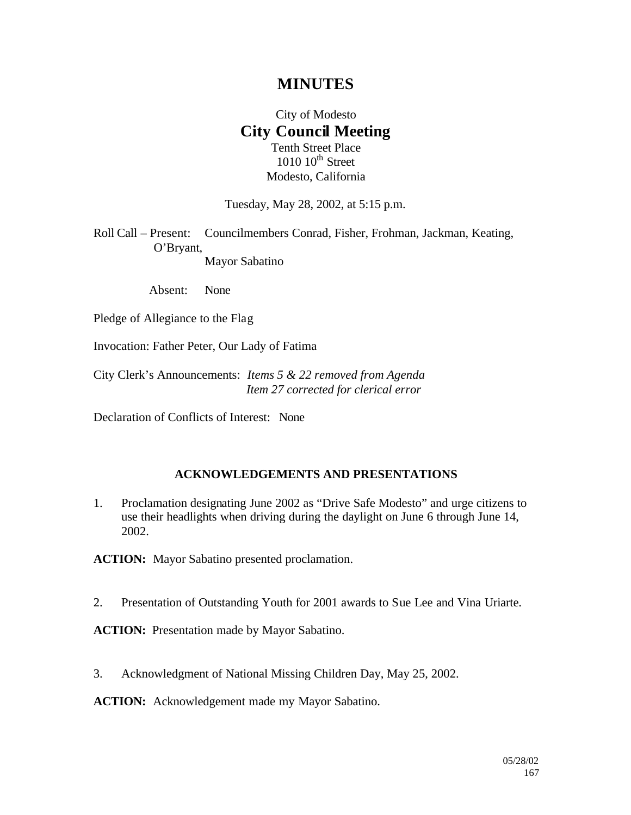# **MINUTES**

# City of Modesto **City Council Meeting** Tenth Street Place

 $1010$   $10^{th}$  Street Modesto, California

Tuesday, May 28, 2002, at 5:15 p.m.

Roll Call – Present: Councilmembers Conrad, Fisher, Frohman, Jackman, Keating, O'Bryant, Mayor Sabatino

Absent: None

Pledge of Allegiance to the Flag

Invocation: Father Peter, Our Lady of Fatima

City Clerk's Announcements: *Items 5 & 22 removed from Agenda Item 27 corrected for clerical error*

Declaration of Conflicts of Interest: None

#### **ACKNOWLEDGEMENTS AND PRESENTATIONS**

1. Proclamation designating June 2002 as "Drive Safe Modesto" and urge citizens to use their headlights when driving during the daylight on June 6 through June 14, 2002.

**ACTION:** Mayor Sabatino presented proclamation.

2. Presentation of Outstanding Youth for 2001 awards to Sue Lee and Vina Uriarte.

**ACTION:** Presentation made by Mayor Sabatino.

3. Acknowledgment of National Missing Children Day, May 25, 2002.

**ACTION:** Acknowledgement made my Mayor Sabatino.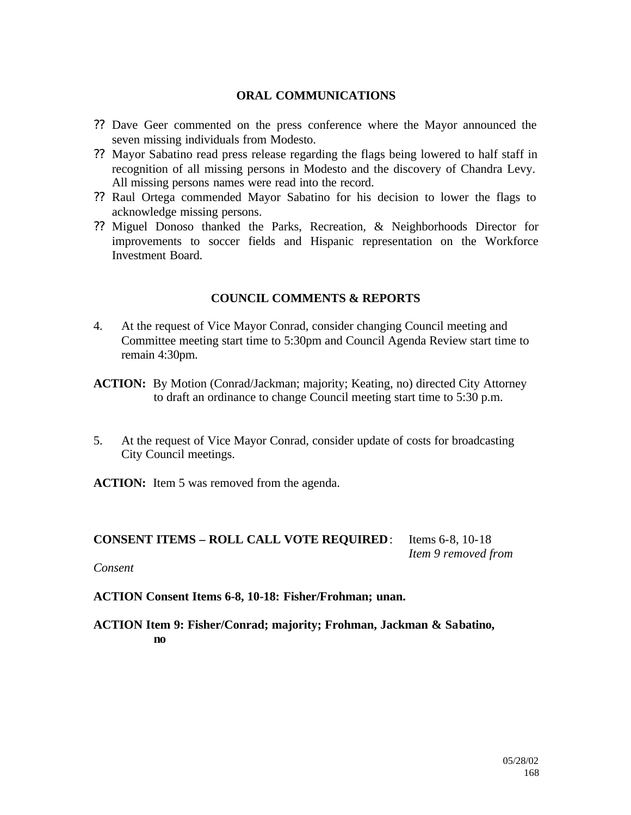### **ORAL COMMUNICATIONS**

- ?? Dave Geer commented on the press conference where the Mayor announced the seven missing individuals from Modesto.
- ?? Mayor Sabatino read press release regarding the flags being lowered to half staff in recognition of all missing persons in Modesto and the discovery of Chandra Levy. All missing persons names were read into the record.
- ?? Raul Ortega commended Mayor Sabatino for his decision to lower the flags to acknowledge missing persons.
- ?? Miguel Donoso thanked the Parks, Recreation, & Neighborhoods Director for improvements to soccer fields and Hispanic representation on the Workforce Investment Board.

# **COUNCIL COMMENTS & REPORTS**

- 4. At the request of Vice Mayor Conrad, consider changing Council meeting and Committee meeting start time to 5:30pm and Council Agenda Review start time to remain 4:30pm.
- **ACTION:** By Motion (Conrad/Jackman; majority; Keating, no) directed City Attorney to draft an ordinance to change Council meeting start time to 5:30 p.m.
- 5. At the request of Vice Mayor Conrad, consider update of costs for broadcasting City Council meetings.

**ACTION:** Item 5 was removed from the agenda.

# **CONSENT ITEMS – ROLL CALL VOTE REQUIRED**: Items 6-8, 10-18

*Item 9 removed from* 

#### *Consent*

**ACTION Consent Items 6-8, 10-18: Fisher/Frohman; unan.**

**ACTION Item 9: Fisher/Conrad; majority; Frohman, Jackman & Sabatino, no**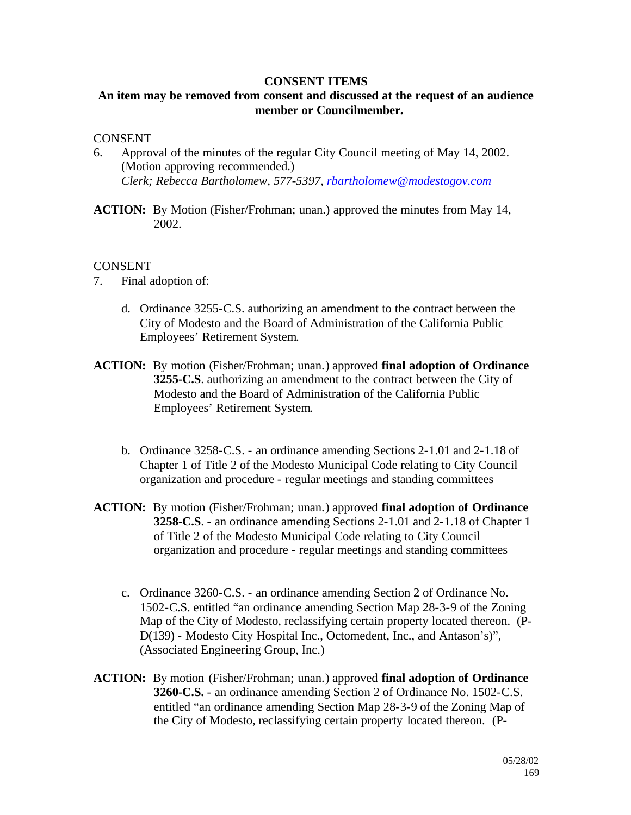#### **CONSENT ITEMS**

# **An item may be removed from consent and discussed at the request of an audience member or Councilmember.**

#### **CONSENT**

- 6. Approval of the minutes of the regular City Council meeting of May 14, 2002. (Motion approving recommended.) *Clerk; Rebecca Bartholomew, 577-5397, rbartholomew@modestogov.com*
- **ACTION:** By Motion (Fisher/Frohman; unan.) approved the minutes from May 14, 2002.

#### CONSENT

- 7. Final adoption of:
	- d. Ordinance 3255-C.S. authorizing an amendment to the contract between the City of Modesto and the Board of Administration of the California Public Employees' Retirement System.
- **ACTION:** By motion (Fisher/Frohman; unan.) approved **final adoption of Ordinance 3255-C.S**. authorizing an amendment to the contract between the City of Modesto and the Board of Administration of the California Public Employees' Retirement System.
	- b. Ordinance 3258-C.S. an ordinance amending Sections 2-1.01 and 2-1.18 of Chapter 1 of Title 2 of the Modesto Municipal Code relating to City Council organization and procedure - regular meetings and standing committees
- **ACTION:** By motion (Fisher/Frohman; unan.) approved **final adoption of Ordinance 3258-C.S**. - an ordinance amending Sections 2-1.01 and 2-1.18 of Chapter 1 of Title 2 of the Modesto Municipal Code relating to City Council organization and procedure - regular meetings and standing committees
	- c. Ordinance 3260-C.S. an ordinance amending Section 2 of Ordinance No. 1502-C.S. entitled "an ordinance amending Section Map 28-3-9 of the Zoning Map of the City of Modesto, reclassifying certain property located thereon. (P-D(139) - Modesto City Hospital Inc., Octomedent, Inc., and Antason's)", (Associated Engineering Group, Inc.)
- **ACTION:** By motion (Fisher/Frohman; unan.) approved **final adoption of Ordinance 3260-C.S.** - an ordinance amending Section 2 of Ordinance No. 1502-C.S. entitled "an ordinance amending Section Map 28-3-9 of the Zoning Map of the City of Modesto, reclassifying certain property located thereon. (P-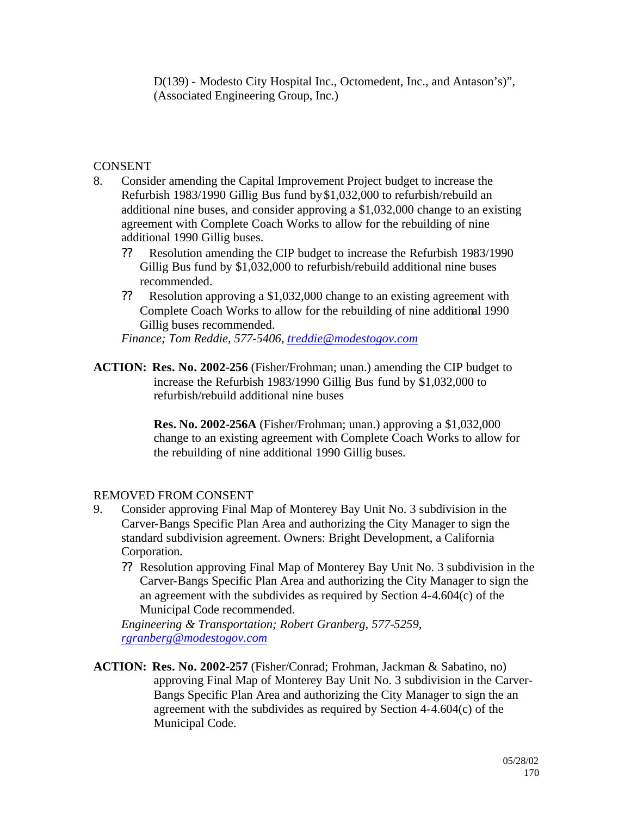D(139) - Modesto City Hospital Inc., Octomedent, Inc., and Antason's)", (Associated Engineering Group, Inc.)

# **CONSENT**

- 8. Consider amending the Capital Improvement Project budget to increase the Refurbish 1983/1990 Gillig Bus fund by \$1,032,000 to refurbish/rebuild an additional nine buses, and consider approving a \$1,032,000 change to an existing agreement with Complete Coach Works to allow for the rebuilding of nine additional 1990 Gillig buses.
	- ?? Resolution amending the CIP budget to increase the Refurbish 1983/1990 Gillig Bus fund by \$1,032,000 to refurbish/rebuild additional nine buses recommended.
	- ?? Resolution approving a \$1,032,000 change to an existing agreement with Complete Coach Works to allow for the rebuilding of nine additional 1990 Gillig buses recommended.

*Finance; Tom Reddie, 577-5406, treddie@modestogov.com*

**ACTION: Res. No. 2002-256** (Fisher/Frohman; unan.) amending the CIP budget to increase the Refurbish 1983/1990 Gillig Bus fund by \$1,032,000 to refurbish/rebuild additional nine buses

> **Res. No. 2002-256A** (Fisher/Frohman; unan.) approving a \$1,032,000 change to an existing agreement with Complete Coach Works to allow for the rebuilding of nine additional 1990 Gillig buses.

# REMOVED FROM CONSENT

- 9. Consider approving Final Map of Monterey Bay Unit No. 3 subdivision in the Carver-Bangs Specific Plan Area and authorizing the City Manager to sign the standard subdivision agreement. Owners: Bright Development, a California Corporation.
	- ?? Resolution approving Final Map of Monterey Bay Unit No. 3 subdivision in the Carver-Bangs Specific Plan Area and authorizing the City Manager to sign the an agreement with the subdivides as required by Section 4-4.604(c) of the Municipal Code recommended.

*Engineering & Transportation; Robert Granberg, 577-5259, rgranberg@modestogov.com*

**ACTION: Res. No. 2002-257** (Fisher/Conrad; Frohman, Jackman & Sabatino, no) approving Final Map of Monterey Bay Unit No. 3 subdivision in the Carver-Bangs Specific Plan Area and authorizing the City Manager to sign the an agreement with the subdivides as required by Section 4-4.604(c) of the Municipal Code.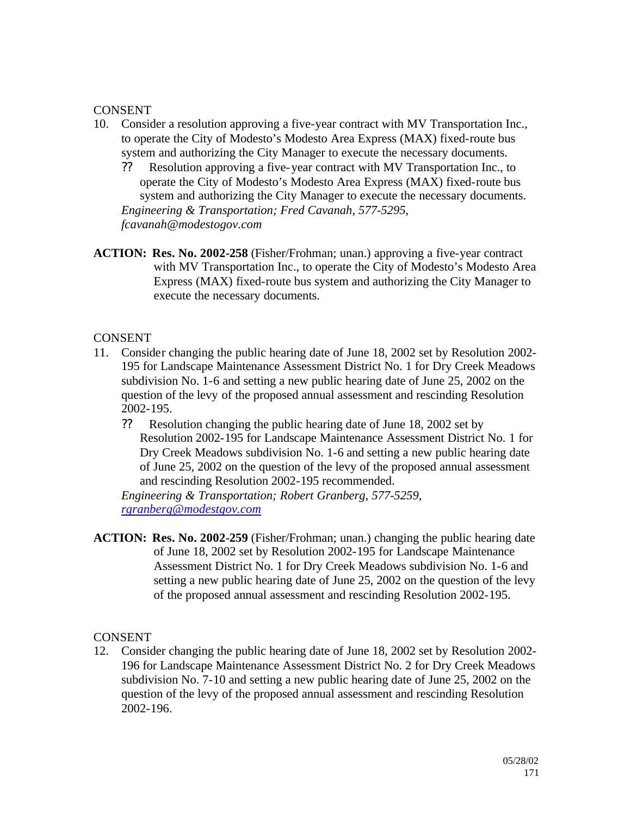# **CONSENT**

- 10. Consider a resolution approving a five-year contract with MV Transportation Inc., to operate the City of Modesto's Modesto Area Express (MAX) fixed-route bus system and authorizing the City Manager to execute the necessary documents.
	- ?? Resolution approving a five-year contract with MV Transportation Inc., to operate the City of Modesto's Modesto Area Express (MAX) fixed-route bus system and authorizing the City Manager to execute the necessary documents. *Engineering & Transportation; Fred Cavanah, 577-5295, fcavanah@modestogov.com*
- **ACTION: Res. No. 2002-258** (Fisher/Frohman; unan.) approving a five-year contract with MV Transportation Inc., to operate the City of Modesto's Modesto Area Express (MAX) fixed-route bus system and authorizing the City Manager to execute the necessary documents.

# CONSENT

- 11. Consider changing the public hearing date of June 18, 2002 set by Resolution 2002- 195 for Landscape Maintenance Assessment District No. 1 for Dry Creek Meadows subdivision No. 1-6 and setting a new public hearing date of June 25, 2002 on the question of the levy of the proposed annual assessment and rescinding Resolution 2002-195.
	- ?? Resolution changing the public hearing date of June 18, 2002 set by Resolution 2002-195 for Landscape Maintenance Assessment District No. 1 for Dry Creek Meadows subdivision No. 1-6 and setting a new public hearing date of June 25, 2002 on the question of the levy of the proposed annual assessment and rescinding Resolution 2002-195 recommended.

*Engineering & Transportation; Robert Granberg, 577-5259, rgranberg@modestgov.com*

**ACTION: Res. No. 2002-259** (Fisher/Frohman; unan.) changing the public hearing date of June 18, 2002 set by Resolution 2002-195 for Landscape Maintenance Assessment District No. 1 for Dry Creek Meadows subdivision No. 1-6 and setting a new public hearing date of June 25, 2002 on the question of the levy of the proposed annual assessment and rescinding Resolution 2002-195.

#### CONSENT

12. Consider changing the public hearing date of June 18, 2002 set by Resolution 2002- 196 for Landscape Maintenance Assessment District No. 2 for Dry Creek Meadows subdivision No. 7-10 and setting a new public hearing date of June 25, 2002 on the question of the levy of the proposed annual assessment and rescinding Resolution 2002-196.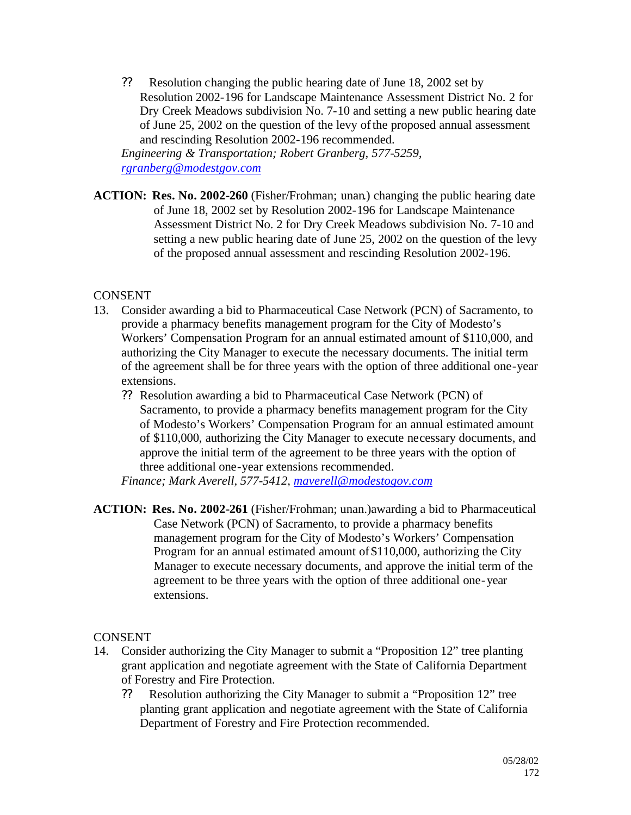?? Resolution changing the public hearing date of June 18, 2002 set by Resolution 2002-196 for Landscape Maintenance Assessment District No. 2 for Dry Creek Meadows subdivision No. 7-10 and setting a new public hearing date of June 25, 2002 on the question of the levy of the proposed annual assessment and rescinding Resolution 2002-196 recommended.

*Engineering & Transportation; Robert Granberg, 577-5259, rgranberg@modestgov.com*

**ACTION: Res. No. 2002-260** (Fisher/Frohman; unan.) changing the public hearing date of June 18, 2002 set by Resolution 2002-196 for Landscape Maintenance Assessment District No. 2 for Dry Creek Meadows subdivision No. 7-10 and setting a new public hearing date of June 25, 2002 on the question of the levy of the proposed annual assessment and rescinding Resolution 2002-196.

# **CONSENT**

- 13. Consider awarding a bid to Pharmaceutical Case Network (PCN) of Sacramento, to provide a pharmacy benefits management program for the City of Modesto's Workers' Compensation Program for an annual estimated amount of \$110,000, and authorizing the City Manager to execute the necessary documents. The initial term of the agreement shall be for three years with the option of three additional one-year extensions.
	- ?? Resolution awarding a bid to Pharmaceutical Case Network (PCN) of Sacramento, to provide a pharmacy benefits management program for the City of Modesto's Workers' Compensation Program for an annual estimated amount of \$110,000, authorizing the City Manager to execute necessary documents, and approve the initial term of the agreement to be three years with the option of three additional one-year extensions recommended.

*Finance; Mark Averell, 577-5412, maverell@modestogov.com*

**ACTION: Res. No. 2002-261** (Fisher/Frohman; unan.)awarding a bid to Pharmaceutical Case Network (PCN) of Sacramento, to provide a pharmacy benefits management program for the City of Modesto's Workers' Compensation Program for an annual estimated amount of \$110,000, authorizing the City Manager to execute necessary documents, and approve the initial term of the agreement to be three years with the option of three additional one-year extensions.

# **CONSENT**

- 14. Consider authorizing the City Manager to submit a "Proposition 12" tree planting grant application and negotiate agreement with the State of California Department of Forestry and Fire Protection.
	- ?? Resolution authorizing the City Manager to submit a "Proposition 12" tree planting grant application and negotiate agreement with the State of California Department of Forestry and Fire Protection recommended.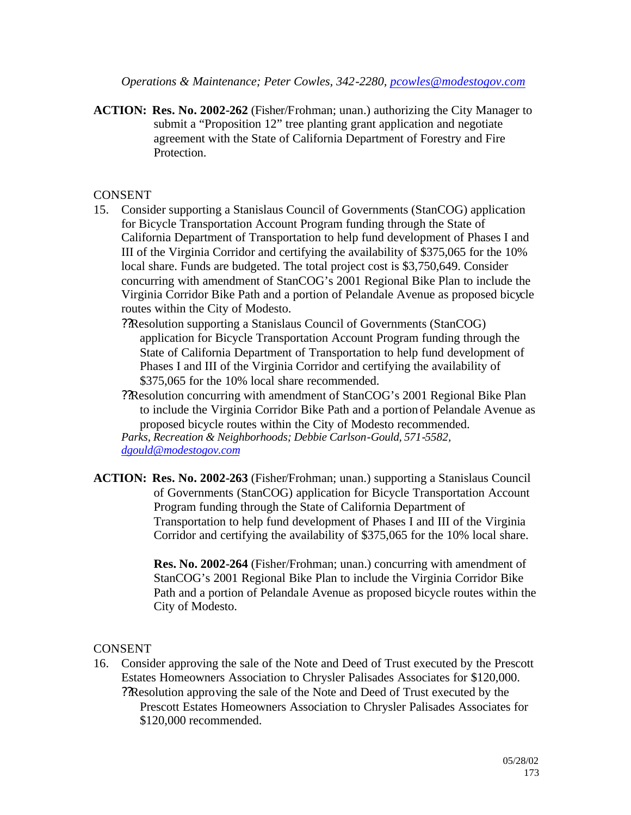*Operations & Maintenance; Peter Cowles, 342-2280, pcowles@modestogov.com*

**ACTION: Res. No. 2002-262** (Fisher/Frohman; unan.) authorizing the City Manager to submit a "Proposition 12" tree planting grant application and negotiate agreement with the State of California Department of Forestry and Fire Protection.

# CONSENT

- 15. Consider supporting a Stanislaus Council of Governments (StanCOG) application for Bicycle Transportation Account Program funding through the State of California Department of Transportation to help fund development of Phases I and III of the Virginia Corridor and certifying the availability of \$375,065 for the 10% local share. Funds are budgeted. The total project cost is \$3,750,649. Consider concurring with amendment of StanCOG's 2001 Regional Bike Plan to include the Virginia Corridor Bike Path and a portion of Pelandale Avenue as proposed bicycle routes within the City of Modesto.
	- ??Resolution supporting a Stanislaus Council of Governments (StanCOG) application for Bicycle Transportation Account Program funding through the State of California Department of Transportation to help fund development of Phases I and III of the Virginia Corridor and certifying the availability of \$375,065 for the 10% local share recommended.
	- ??Resolution concurring with amendment of StanCOG's 2001 Regional Bike Plan to include the Virginia Corridor Bike Path and a portion of Pelandale Avenue as proposed bicycle routes within the City of Modesto recommended. *Parks, Recreation & Neighborhoods; Debbie Carlson-Gould, 571-5582,*

*dgould@modestogov.com*

**ACTION: Res. No. 2002-263** (Fisher/Frohman; unan.) supporting a Stanislaus Council of Governments (StanCOG) application for Bicycle Transportation Account Program funding through the State of California Department of Transportation to help fund development of Phases I and III of the Virginia Corridor and certifying the availability of \$375,065 for the 10% local share.

> **Res. No. 2002-264** (Fisher/Frohman; unan.) concurring with amendment of StanCOG's 2001 Regional Bike Plan to include the Virginia Corridor Bike Path and a portion of Pelandale Avenue as proposed bicycle routes within the City of Modesto.

# **CONSENT**

16. Consider approving the sale of the Note and Deed of Trust executed by the Prescott Estates Homeowners Association to Chrysler Palisades Associates for \$120,000. ??Resolution approving the sale of the Note and Deed of Trust executed by the Prescott Estates Homeowners Association to Chrysler Palisades Associates for \$120,000 recommended.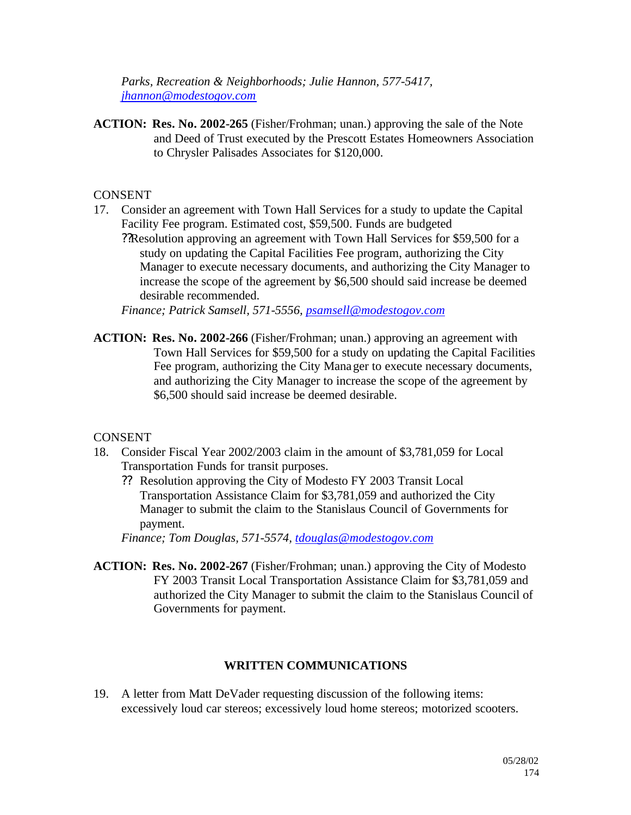*Parks, Recreation & Neighborhoods; Julie Hannon, 577-5417, jhannon@modestogov.com*

**ACTION: Res. No. 2002-265** (Fisher/Frohman; unan.) approving the sale of the Note and Deed of Trust executed by the Prescott Estates Homeowners Association to Chrysler Palisades Associates for \$120,000.

# **CONSENT**

- 17. Consider an agreement with Town Hall Services for a study to update the Capital Facility Fee program. Estimated cost, \$59,500. Funds are budgeted
	- ??Resolution approving an agreement with Town Hall Services for \$59,500 for a study on updating the Capital Facilities Fee program, authorizing the City Manager to execute necessary documents, and authorizing the City Manager to increase the scope of the agreement by \$6,500 should said increase be deemed desirable recommended.

*Finance; Patrick Samsell, 571-5556, psamsell@modestogov.com*

**ACTION: Res. No. 2002-266** (Fisher/Frohman; unan.) approving an agreement with Town Hall Services for \$59,500 for a study on updating the Capital Facilities Fee program, authorizing the City Manager to execute necessary documents, and authorizing the City Manager to increase the scope of the agreement by \$6,500 should said increase be deemed desirable.

**CONSENT** 

- 18. Consider Fiscal Year 2002/2003 claim in the amount of \$3,781,059 for Local Transportation Funds for transit purposes.
	- ?? Resolution approving the City of Modesto FY 2003 Transit Local Transportation Assistance Claim for \$3,781,059 and authorized the City Manager to submit the claim to the Stanislaus Council of Governments for payment.

*Finance; Tom Douglas, 571-5574, tdouglas@modestogov.com*

**ACTION: Res. No. 2002-267** (Fisher/Frohman; unan.) approving the City of Modesto FY 2003 Transit Local Transportation Assistance Claim for \$3,781,059 and authorized the City Manager to submit the claim to the Stanislaus Council of Governments for payment.

#### **WRITTEN COMMUNICATIONS**

19. A letter from Matt DeVader requesting discussion of the following items: excessively loud car stereos; excessively loud home stereos; motorized scooters.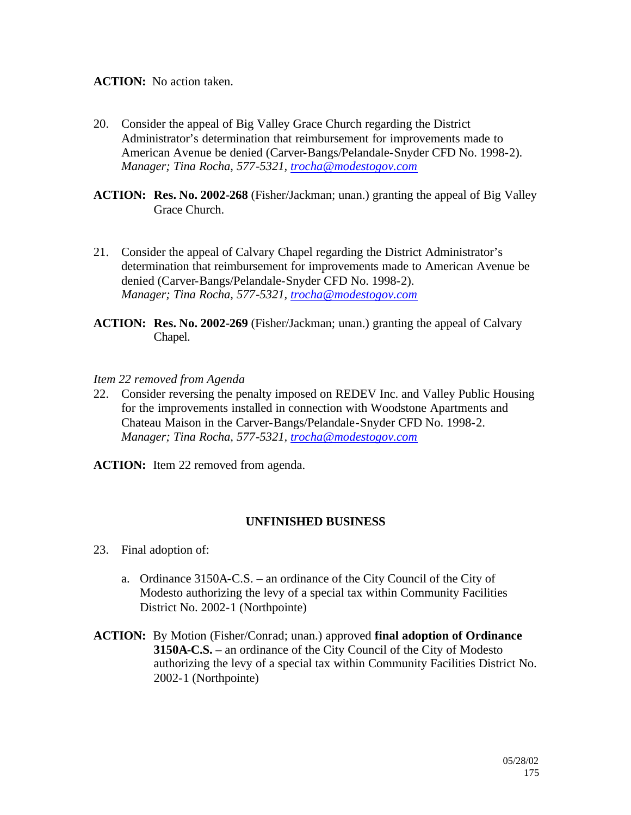# **ACTION:** No action taken.

- 20. Consider the appeal of Big Valley Grace Church regarding the District Administrator's determination that reimbursement for improvements made to American Avenue be denied (Carver-Bangs/Pelandale-Snyder CFD No. 1998-2). *Manager; Tina Rocha, 577-5321, trocha@modestogov.com*
- **ACTION: Res. No. 2002-268** (Fisher/Jackman; unan.) granting the appeal of Big Valley Grace Church.
- 21. Consider the appeal of Calvary Chapel regarding the District Administrator's determination that reimbursement for improvements made to American Avenue be denied (Carver-Bangs/Pelandale-Snyder CFD No. 1998-2). *Manager; Tina Rocha, 577-5321, trocha@modestogov.com*
- **ACTION: Res. No. 2002-269** (Fisher/Jackman; unan.) granting the appeal of Calvary Chapel.

#### *Item 22 removed from Agenda*

22. Consider reversing the penalty imposed on REDEV Inc. and Valley Public Housing for the improvements installed in connection with Woodstone Apartments and Chateau Maison in the Carver-Bangs/Pelandale-Snyder CFD No. 1998-2. *Manager; Tina Rocha, 577-5321, trocha@modestogov.com*

**ACTION:** Item 22 removed from agenda.

#### **UNFINISHED BUSINESS**

- 23. Final adoption of:
	- a. Ordinance 3150A-C.S. an ordinance of the City Council of the City of Modesto authorizing the levy of a special tax within Community Facilities District No. 2002-1 (Northpointe)
- **ACTION:** By Motion (Fisher/Conrad; unan.) approved **final adoption of Ordinance 3150A-C.S.** – an ordinance of the City Council of the City of Modesto authorizing the levy of a special tax within Community Facilities District No. 2002-1 (Northpointe)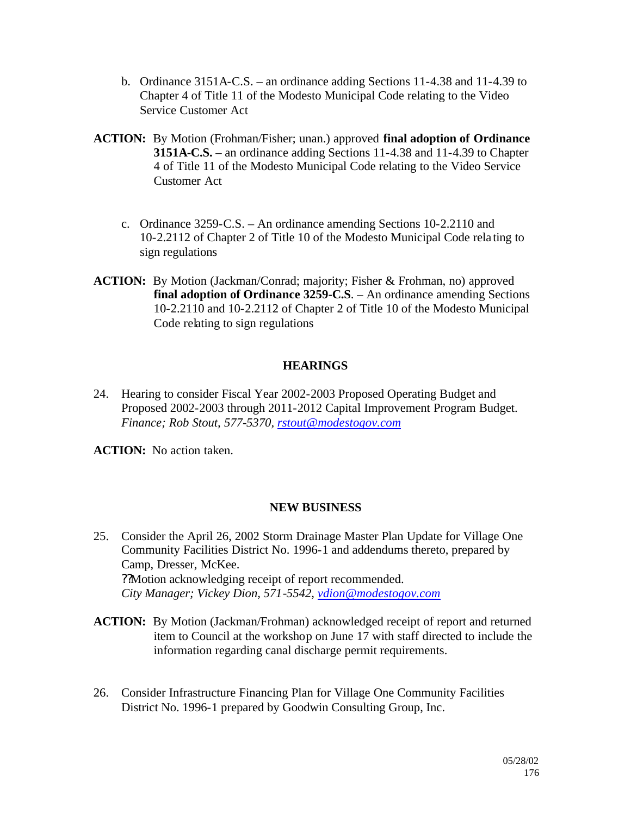- b. Ordinance 3151A-C.S. an ordinance adding Sections 11-4.38 and 11-4.39 to Chapter 4 of Title 11 of the Modesto Municipal Code relating to the Video Service Customer Act
- **ACTION:** By Motion (Frohman/Fisher; unan.) approved **final adoption of Ordinance 3151A-C.S.** – an ordinance adding Sections 11-4.38 and 11-4.39 to Chapter 4 of Title 11 of the Modesto Municipal Code relating to the Video Service Customer Act
	- c. Ordinance 3259-C.S. An ordinance amending Sections 10-2.2110 and 10-2.2112 of Chapter 2 of Title 10 of the Modesto Municipal Code rela ting to sign regulations
- **ACTION:** By Motion (Jackman/Conrad; majority; Fisher & Frohman, no) approved **final adoption of Ordinance 3259-C.S**. – An ordinance amending Sections 10-2.2110 and 10-2.2112 of Chapter 2 of Title 10 of the Modesto Municipal Code relating to sign regulations

# **HEARINGS**

24. Hearing to consider Fiscal Year 2002-2003 Proposed Operating Budget and Proposed 2002-2003 through 2011-2012 Capital Improvement Program Budget. *Finance; Rob Stout, 577-5370, rstout@modestogov.com*

**ACTION:** No action taken.

#### **NEW BUSINESS**

- 25. Consider the April 26, 2002 Storm Drainage Master Plan Update for Village One Community Facilities District No. 1996-1 and addendums thereto, prepared by Camp, Dresser, McKee. ??Motion acknowledging receipt of report recommended. *City Manager; Vickey Dion, 571-5542, vdion@modestogov.com*
- **ACTION:** By Motion (Jackman/Frohman) acknowledged receipt of report and returned item to Council at the workshop on June 17 with staff directed to include the information regarding canal discharge permit requirements.
- 26. Consider Infrastructure Financing Plan for Village One Community Facilities District No. 1996-1 prepared by Goodwin Consulting Group, Inc.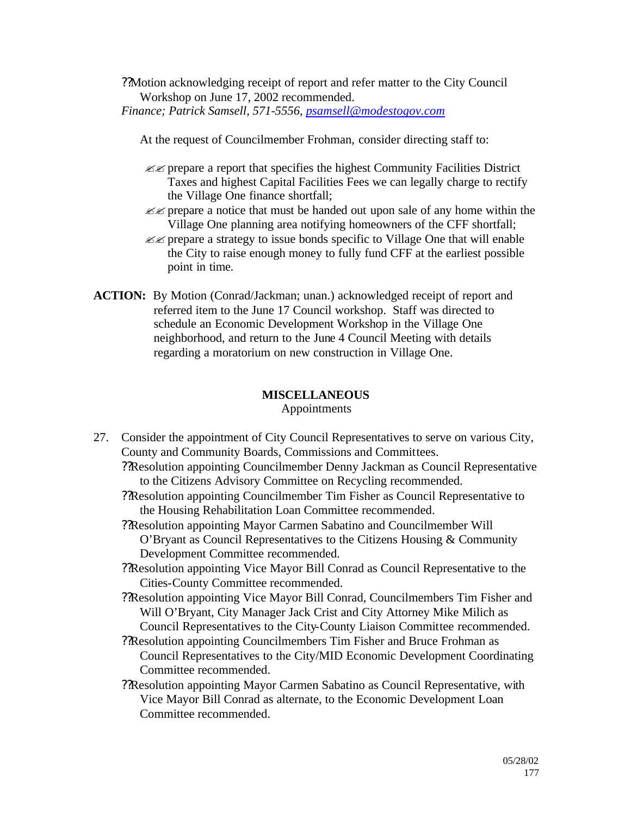??Motion acknowledging receipt of report and refer matter to the City Council Workshop on June 17, 2002 recommended. *Finance; Patrick Samsell, 571-5556, psamsell@modestogov.com*

At the request of Councilmember Frohman, consider directing staff to:

- $\mathscr{L}$  prepare a report that specifies the highest Community Facilities District Taxes and highest Capital Facilities Fees we can legally charge to rectify the Village One finance shortfall;
- $\ll$  prepare a notice that must be handed out upon sale of any home within the Village One planning area notifying homeowners of the CFF shortfall;
- $\mathcal{L}$  prepare a strategy to issue bonds specific to Village One that will enable the City to raise enough money to fully fund CFF at the earliest possible point in time.
- **ACTION:** By Motion (Conrad/Jackman; unan.) acknowledged receipt of report and referred item to the June 17 Council workshop. Staff was directed to schedule an Economic Development Workshop in the Village One neighborhood, and return to the June 4 Council Meeting with details regarding a moratorium on new construction in Village One.

# **MISCELLANEOUS**

Appointments

- 27. Consider the appointment of City Council Representatives to serve on various City, County and Community Boards, Commissions and Committees.
	- ??Resolution appointing Councilmember Denny Jackman as Council Representative to the Citizens Advisory Committee on Recycling recommended.
	- ??Resolution appointing Councilmember Tim Fisher as Council Representative to the Housing Rehabilitation Loan Committee recommended.
	- ??Resolution appointing Mayor Carmen Sabatino and Councilmember Will O'Bryant as Council Representatives to the Citizens Housing & Community Development Committee recommended.
	- ??Resolution appointing Vice Mayor Bill Conrad as Council Representative to the Cities-County Committee recommended.
	- ??Resolution appointing Vice Mayor Bill Conrad, Councilmembers Tim Fisher and Will O'Bryant, City Manager Jack Crist and City Attorney Mike Milich as Council Representatives to the City-County Liaison Committee recommended.
	- ??Resolution appointing Councilmembers Tim Fisher and Bruce Frohman as Council Representatives to the City/MID Economic Development Coordinating Committee recommended.
	- ??Resolution appointing Mayor Carmen Sabatino as Council Representative, with Vice Mayor Bill Conrad as alternate, to the Economic Development Loan Committee recommended.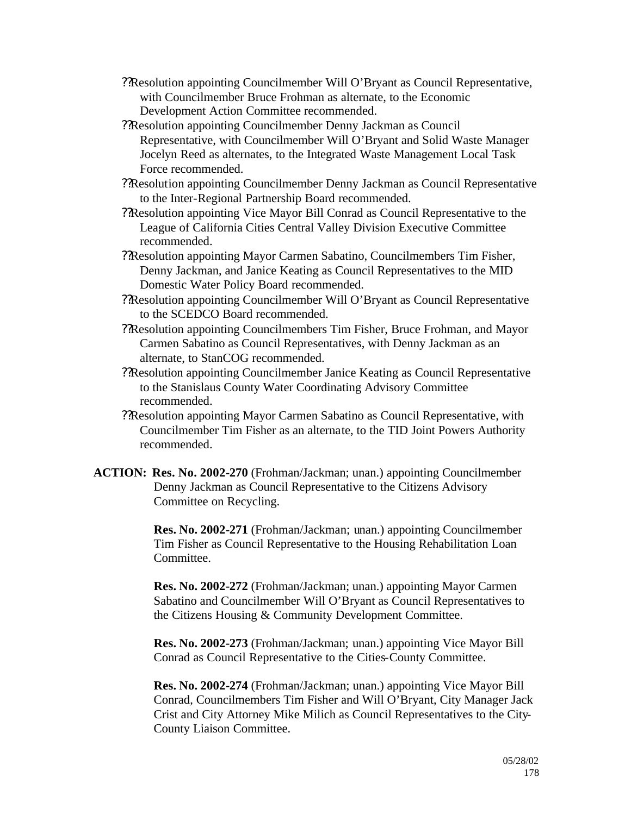- ??Resolution appointing Councilmember Will O'Bryant as Council Representative, with Councilmember Bruce Frohman as alternate, to the Economic Development Action Committee recommended.
- ??Resolution appointing Councilmember Denny Jackman as Council Representative, with Councilmember Will O'Bryant and Solid Waste Manager Jocelyn Reed as alternates, to the Integrated Waste Management Local Task Force recommended.
- ??Resolution appointing Councilmember Denny Jackman as Council Representative to the Inter-Regional Partnership Board recommended.
- ??Resolution appointing Vice Mayor Bill Conrad as Council Representative to the League of California Cities Central Valley Division Executive Committee recommended.
- ??Resolution appointing Mayor Carmen Sabatino, Councilmembers Tim Fisher, Denny Jackman, and Janice Keating as Council Representatives to the MID Domestic Water Policy Board recommended.
- ??Resolution appointing Councilmember Will O'Bryant as Council Representative to the SCEDCO Board recommended.
- ??Resolution appointing Councilmembers Tim Fisher, Bruce Frohman, and Mayor Carmen Sabatino as Council Representatives, with Denny Jackman as an alternate, to StanCOG recommended.
- ??Resolution appointing Councilmember Janice Keating as Council Representative to the Stanislaus County Water Coordinating Advisory Committee recommended.
- ??Resolution appointing Mayor Carmen Sabatino as Council Representative, with Councilmember Tim Fisher as an alternate, to the TID Joint Powers Authority recommended.
- **ACTION: Res. No. 2002-270** (Frohman/Jackman; unan.) appointing Councilmember Denny Jackman as Council Representative to the Citizens Advisory Committee on Recycling.

**Res. No. 2002-271** (Frohman/Jackman; unan.) appointing Councilmember Tim Fisher as Council Representative to the Housing Rehabilitation Loan Committee.

**Res. No. 2002-272** (Frohman/Jackman; unan.) appointing Mayor Carmen Sabatino and Councilmember Will O'Bryant as Council Representatives to the Citizens Housing & Community Development Committee.

**Res. No. 2002-273** (Frohman/Jackman; unan.) appointing Vice Mayor Bill Conrad as Council Representative to the Cities-County Committee.

**Res. No. 2002-274** (Frohman/Jackman; unan.) appointing Vice Mayor Bill Conrad, Councilmembers Tim Fisher and Will O'Bryant, City Manager Jack Crist and City Attorney Mike Milich as Council Representatives to the City-County Liaison Committee.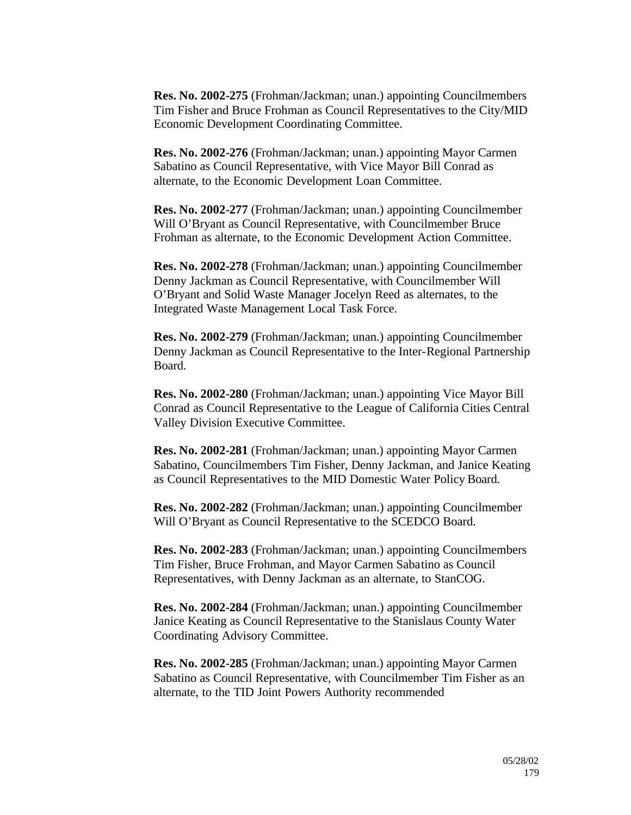**Res. No. 2002-275** (Frohman/Jackman; unan.) appointing Councilmembers Tim Fisher and Bruce Frohman as Council Representatives to the City/MID Economic Development Coordinating Committee.

**Res. No. 2002-276** (Frohman/Jackman; unan.) appointing Mayor Carmen Sabatino as Council Representative, with Vice Mayor Bill Conrad as alternate, to the Economic Development Loan Committee.

**Res. No. 2002-277** (Frohman/Jackman; unan.) appointing Councilmember Will O'Bryant as Council Representative, with Councilmember Bruce Frohman as alternate, to the Economic Development Action Committee.

**Res. No. 2002-278** (Frohman/Jackman; unan.) appointing Councilmember Denny Jackman as Council Representative, with Councilmember Will O'Bryant and Solid Waste Manager Jocelyn Reed as alternates, to the Integrated Waste Management Local Task Force.

**Res. No. 2002-279** (Frohman/Jackman; unan.) appointing Councilmember Denny Jackman as Council Representative to the Inter-Regional Partnership Board.

**Res. No. 2002-280** (Frohman/Jackman; unan.) appointing Vice Mayor Bill Conrad as Council Representative to the League of California Cities Central Valley Division Executive Committee.

**Res. No. 2002-281** (Frohman/Jackman; unan.) appointing Mayor Carmen Sabatino, Councilmembers Tim Fisher, Denny Jackman, and Janice Keating as Council Representatives to the MID Domestic Water Policy Board.

**Res. No. 2002-282** (Frohman/Jackman; unan.) appointing Councilmember Will O'Bryant as Council Representative to the SCEDCO Board.

**Res. No. 2002-283** (Frohman/Jackman; unan.) appointing Councilmembers Tim Fisher, Bruce Frohman, and Mayor Carmen Sabatino as Council Representatives, with Denny Jackman as an alternate, to StanCOG.

**Res. No. 2002-284** (Frohman/Jackman; unan.) appointing Councilmember Janice Keating as Council Representative to the Stanislaus County Water Coordinating Advisory Committee.

**Res. No. 2002-285** (Frohman/Jackman; unan.) appointing Mayor Carmen Sabatino as Council Representative, with Councilmember Tim Fisher as an alternate, to the TID Joint Powers Authority recommended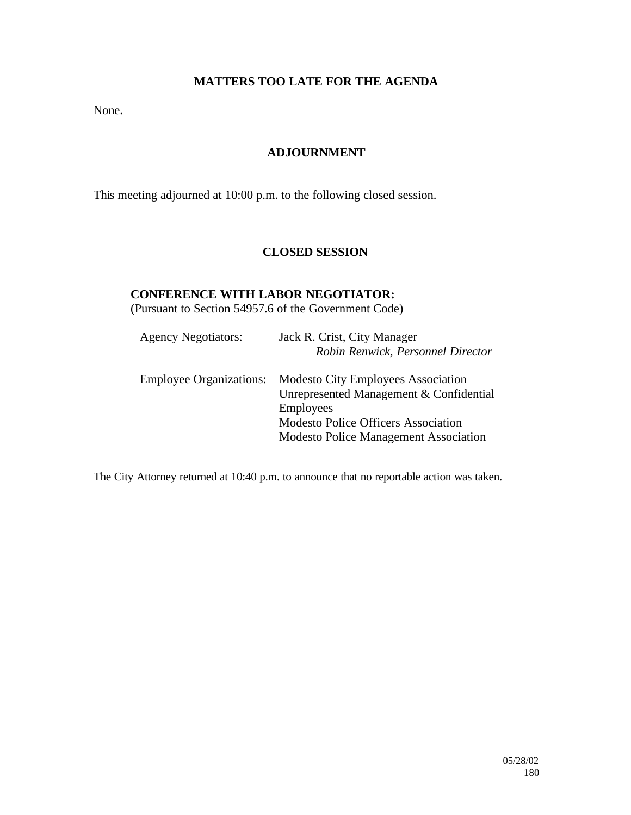# **MATTERS TOO LATE FOR THE AGENDA**

None.

# **ADJOURNMENT**

This meeting adjourned at 10:00 p.m. to the following closed session.

# **CLOSED SESSION**

# **CONFERENCE WITH LABOR NEGOTIATOR:**

(Pursuant to Section 54957.6 of the Government Code)

| <b>Agency Negotiators:</b>     | Jack R. Crist, City Manager<br>Robin Renwick, Personnel Director                                                                                                                                       |
|--------------------------------|--------------------------------------------------------------------------------------------------------------------------------------------------------------------------------------------------------|
| <b>Employee Organizations:</b> | <b>Modesto City Employees Association</b><br>Unrepresented Management & Confidential<br><b>Employees</b><br><b>Modesto Police Officers Association</b><br><b>Modesto Police Management Association</b> |

The City Attorney returned at 10:40 p.m. to announce that no reportable action was taken.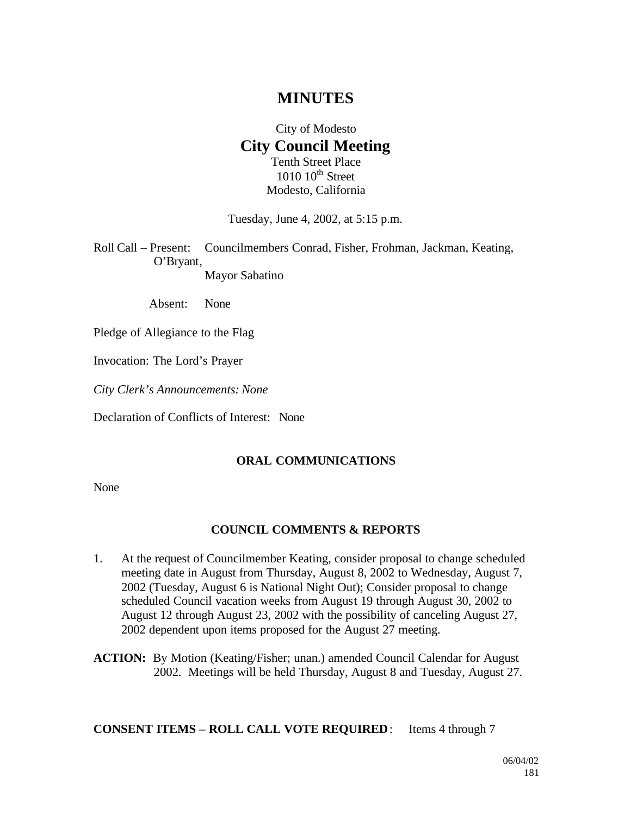# **MINUTES**

## City of Modesto **City Council Meeting** Tenth Street Place  $1010$   $10^{th}$  Street Modesto, California

Tuesday, June 4, 2002, at 5:15 p.m.

Roll Call – Present: Councilmembers Conrad, Fisher, Frohman, Jackman, Keating, O'Bryant, Mayor Sabatino

Absent: None

Pledge of Allegiance to the Flag

Invocation: The Lord's Prayer

*City Clerk's Announcements: None*

Declaration of Conflicts of Interest: None

#### **ORAL COMMUNICATIONS**

None

#### **COUNCIL COMMENTS & REPORTS**

- 1. At the request of Councilmember Keating, consider proposal to change scheduled meeting date in August from Thursday, August 8, 2002 to Wednesday, August 7, 2002 (Tuesday, August 6 is National Night Out); Consider proposal to change scheduled Council vacation weeks from August 19 through August 30, 2002 to August 12 through August 23, 2002 with the possibility of canceling August 27, 2002 dependent upon items proposed for the August 27 meeting.
- **ACTION:** By Motion (Keating/Fisher; unan.) amended Council Calendar for August 2002. Meetings will be held Thursday, August 8 and Tuesday, August 27.

**CONSENT ITEMS – ROLL CALL VOTE REQUIRED**: Items 4 through 7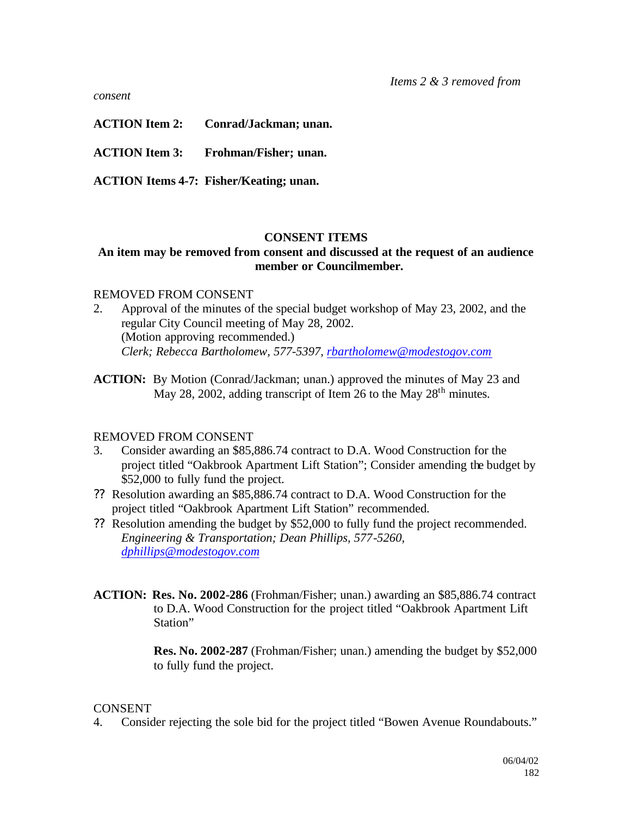*consent*

**ACTION Item 2: Conrad/Jackman; unan.**

**ACTION Item 3: Frohman/Fisher; unan.**

**ACTION Items 4-7: Fisher/Keating; unan.**

#### **CONSENT ITEMS**

#### **An item may be removed from consent and discussed at the request of an audience member or Councilmember.**

#### REMOVED FROM CONSENT

- 2. Approval of the minutes of the special budget workshop of May 23, 2002, and the regular City Council meeting of May 28, 2002. (Motion approving recommended.) *Clerk; Rebecca Bartholomew, 577-5397, rbartholomew@modestogov.com*
- **ACTION:** By Motion (Conrad/Jackman; unan.) approved the minutes of May 23 and May 28, 2002, adding transcript of Item 26 to the May  $28<sup>th</sup>$  minutes.

#### REMOVED FROM CONSENT

- 3. Consider awarding an \$85,886.74 contract to D.A. Wood Construction for the project titled "Oakbrook Apartment Lift Station"; Consider amending the budget by \$52,000 to fully fund the project.
- ?? Resolution awarding an \$85,886.74 contract to D.A. Wood Construction for the project titled "Oakbrook Apartment Lift Station" recommended.
- ?? Resolution amending the budget by \$52,000 to fully fund the project recommended. *Engineering & Transportation; Dean Phillips, 577-5260, dphillips@modestogov.com*
- **ACTION: Res. No. 2002-286** (Frohman/Fisher; unan.) awarding an \$85,886.74 contract to D.A. Wood Construction for the project titled "Oakbrook Apartment Lift Station"

**Res. No. 2002-287** (Frohman/Fisher; unan.) amending the budget by \$52,000 to fully fund the project.

#### **CONSENT**

4. Consider rejecting the sole bid for the project titled "Bowen Avenue Roundabouts."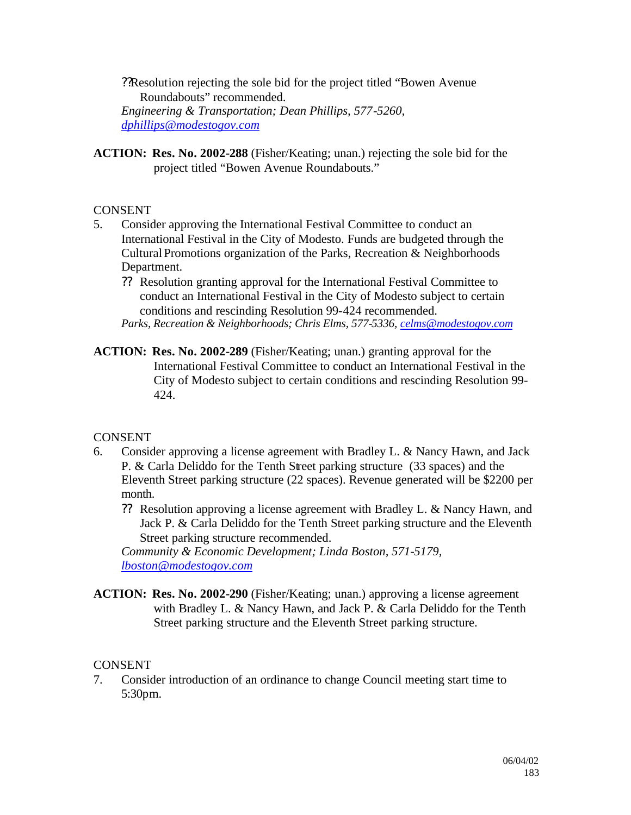??Resolution rejecting the sole bid for the project titled "Bowen Avenue Roundabouts" recommended. *Engineering & Transportation; Dean Phillips, 577-5260, dphillips@modestogov.com*

**ACTION: Res. No. 2002-288** (Fisher/Keating; unan.) rejecting the sole bid for the project titled "Bowen Avenue Roundabouts."

## CONSENT

- 5. Consider approving the International Festival Committee to conduct an International Festival in the City of Modesto. Funds are budgeted through the Cultural Promotions organization of the Parks, Recreation & Neighborhoods Department.
	- ?? Resolution granting approval for the International Festival Committee to conduct an International Festival in the City of Modesto subject to certain conditions and rescinding Resolution 99-424 recommended.

*Parks, Recreation & Neighborhoods; Chris Elms, 577-5336, celms@modestogov.com*

**ACTION: Res. No. 2002-289** (Fisher/Keating; unan.) granting approval for the International Festival Committee to conduct an International Festival in the City of Modesto subject to certain conditions and rescinding Resolution 99- 424.

## **CONSENT**

- 6. Consider approving a license agreement with Bradley L. & Nancy Hawn, and Jack P. & Carla Deliddo for the Tenth Street parking structure (33 spaces) and the Eleventh Street parking structure (22 spaces). Revenue generated will be \$2200 per month.
	- ?? Resolution approving a license agreement with Bradley L. & Nancy Hawn, and Jack P. & Carla Deliddo for the Tenth Street parking structure and the Eleventh Street parking structure recommended.

*Community & Economic Development; Linda Boston, 571-5179, lboston@modestogov.com*

**ACTION: Res. No. 2002-290** (Fisher/Keating; unan.) approving a license agreement with Bradley L. & Nancy Hawn, and Jack P. & Carla Deliddo for the Tenth Street parking structure and the Eleventh Street parking structure.

## CONSENT

7. Consider introduction of an ordinance to change Council meeting start time to 5:30pm.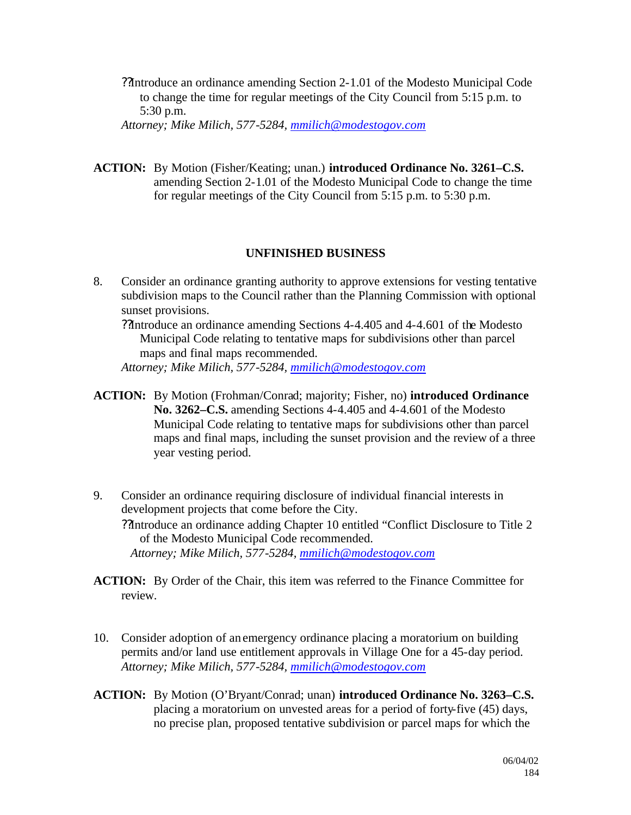??Introduce an ordinance amending Section 2-1.01 of the Modesto Municipal Code to change the time for regular meetings of the City Council from 5:15 p.m. to 5:30 p.m.

*Attorney; Mike Milich, 577-5284, mmilich@modestogov.com*

**ACTION:** By Motion (Fisher/Keating; unan.) **introduced Ordinance No. 3261–C.S.** amending Section 2-1.01 of the Modesto Municipal Code to change the time for regular meetings of the City Council from 5:15 p.m. to 5:30 p.m.

## **UNFINISHED BUSINESS**

8. Consider an ordinance granting authority to approve extensions for vesting tentative subdivision maps to the Council rather than the Planning Commission with optional sunset provisions.

??Introduce an ordinance amending Sections 4-4.405 and 4-4.601 of the Modesto Municipal Code relating to tentative maps for subdivisions other than parcel maps and final maps recommended.

*Attorney; Mike Milich, 577-5284, mmilich@modestogov.com*

- **ACTION:** By Motion (Frohman/Conrad; majority; Fisher, no) **introduced Ordinance No. 3262–C.S.** amending Sections 4-4.405 and 4-4.601 of the Modesto Municipal Code relating to tentative maps for subdivisions other than parcel maps and final maps, including the sunset provision and the review of a three year vesting period.
- 9. Consider an ordinance requiring disclosure of individual financial interests in development projects that come before the City. ??Introduce an ordinance adding Chapter 10 entitled "Conflict Disclosure to Title 2 of the Modesto Municipal Code recommended. *Attorney; Mike Milich, 577-5284, mmilich@modestogov.com*
- **ACTION:** By Order of the Chair, this item was referred to the Finance Committee for review.
- 10. Consider adoption of an emergency ordinance placing a moratorium on building permits and/or land use entitlement approvals in Village One for a 45-day period. *Attorney; Mike Milich, 577-5284, mmilich@modestogov.com*
- **ACTION:** By Motion (O'Bryant/Conrad; unan) **introduced Ordinance No. 3263–C.S.**  placing a moratorium on unvested areas for a period of forty-five (45) days, no precise plan, proposed tentative subdivision or parcel maps for which the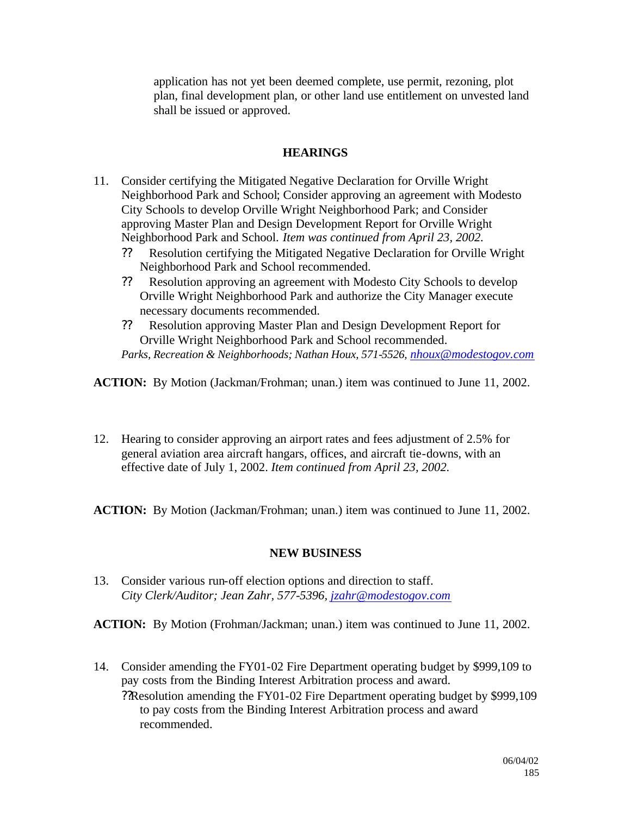application has not yet been deemed complete, use permit, rezoning, plot plan, final development plan, or other land use entitlement on unvested land shall be issued or approved.

## **HEARINGS**

- 11. Consider certifying the Mitigated Negative Declaration for Orville Wright Neighborhood Park and School; Consider approving an agreement with Modesto City Schools to develop Orville Wright Neighborhood Park; and Consider approving Master Plan and Design Development Report for Orville Wright Neighborhood Park and School. *Item was continued from April 23, 2002.*
	- ?? Resolution certifying the Mitigated Negative Declaration for Orville Wright Neighborhood Park and School recommended.
	- ?? Resolution approving an agreement with Modesto City Schools to develop Orville Wright Neighborhood Park and authorize the City Manager execute necessary documents recommended.
	- ?? Resolution approving Master Plan and Design Development Report for Orville Wright Neighborhood Park and School recommended.

*Parks, Recreation & Neighborhoods; Nathan Houx, 571-5526, nhoux@modestogov.com*

**ACTION:** By Motion (Jackman/Frohman; unan.) item was continued to June 11, 2002.

12. Hearing to consider approving an airport rates and fees adjustment of 2.5% for general aviation area aircraft hangars, offices, and aircraft tie-downs, with an effective date of July 1, 2002. *Item continued from April 23, 2002.*

**ACTION:** By Motion (Jackman/Frohman; unan.) item was continued to June 11, 2002.

## **NEW BUSINESS**

13. Consider various run-off election options and direction to staff. *City Clerk/Auditor; Jean Zahr, 577-5396, jzahr@modestogov.com*

**ACTION:** By Motion (Frohman/Jackman; unan.) item was continued to June 11, 2002.

14. Consider amending the FY01-02 Fire Department operating budget by \$999,109 to pay costs from the Binding Interest Arbitration process and award. ??Resolution amending the FY01-02 Fire Department operating budget by \$999,109 to pay costs from the Binding Interest Arbitration process and award recommended.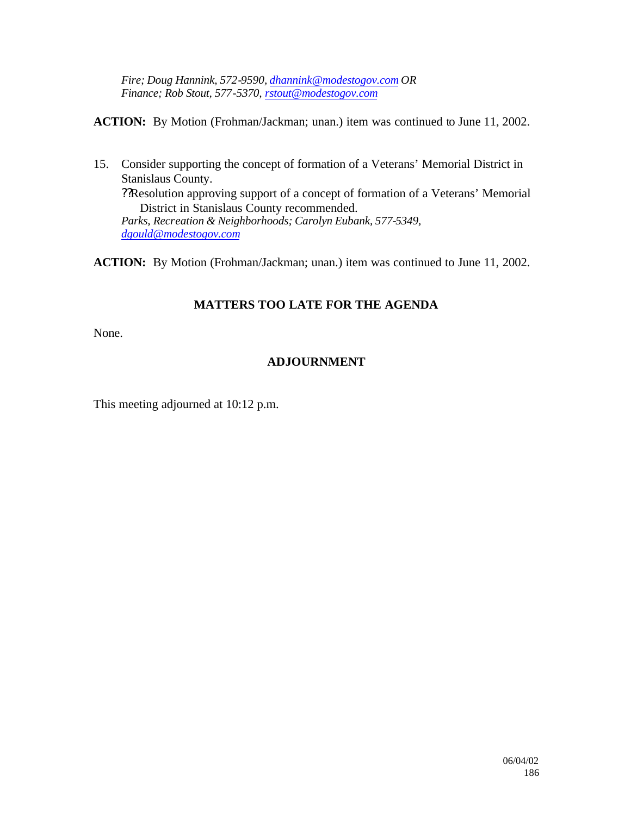*Fire; Doug Hannink, 572-9590, dhannink@modestogov.com OR Finance; Rob Stout, 577-5370, rstout@modestogov.com*

**ACTION:** By Motion (Frohman/Jackman; unan.) item was continued to June 11, 2002.

15. Consider supporting the concept of formation of a Veterans' Memorial District in Stanislaus County. ??Resolution approving support of a concept of formation of a Veterans' Memorial District in Stanislaus County recommended. *Parks, Recreation & Neighborhoods; Carolyn Eubank, 577-5349, dgould@modestogov.com*

**ACTION:** By Motion (Frohman/Jackman; unan.) item was continued to June 11, 2002.

# **MATTERS TOO LATE FOR THE AGENDA**

None.

## **ADJOURNMENT**

This meeting adjourned at 10:12 p.m.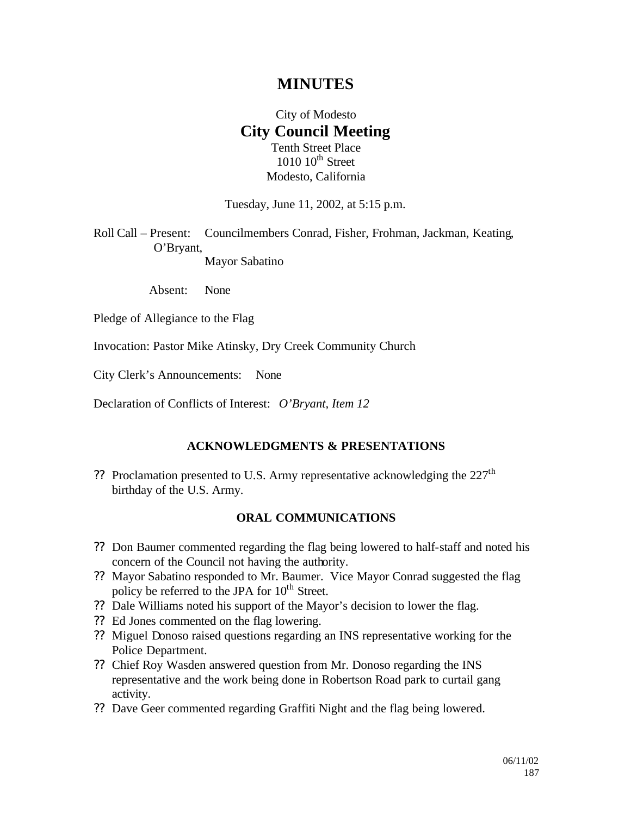# **MINUTES**

## City of Modesto **City Council Meeting** Tenth Street Place

 $1010$   $10^{th}$  Street Modesto, California

Tuesday, June 11, 2002, at 5:15 p.m.

Roll Call – Present: Councilmembers Conrad, Fisher, Frohman, Jackman, Keating, O'Bryant, Mayor Sabatino

Absent: None

Pledge of Allegiance to the Flag

Invocation: Pastor Mike Atinsky, Dry Creek Community Church

City Clerk's Announcements: None

Declaration of Conflicts of Interest: *O'Bryant, Item 12*

#### **ACKNOWLEDGMENTS & PRESENTATIONS**

?? Proclamation presented to U.S. Army representative acknowledging the  $227<sup>th</sup>$ birthday of the U.S. Army.

#### **ORAL COMMUNICATIONS**

- ?? Don Baumer commented regarding the flag being lowered to half-staff and noted his concern of the Council not having the authority.
- ?? Mayor Sabatino responded to Mr. Baumer. Vice Mayor Conrad suggested the flag policy be referred to the JPA for  $10^{th}$  Street.
- ?? Dale Williams noted his support of the Mayor's decision to lower the flag.
- ?? Ed Jones commented on the flag lowering.
- ?? Miguel Donoso raised questions regarding an INS representative working for the Police Department.
- ?? Chief Roy Wasden answered question from Mr. Donoso regarding the INS representative and the work being done in Robertson Road park to curtail gang activity.
- ?? Dave Geer commented regarding Graffiti Night and the flag being lowered.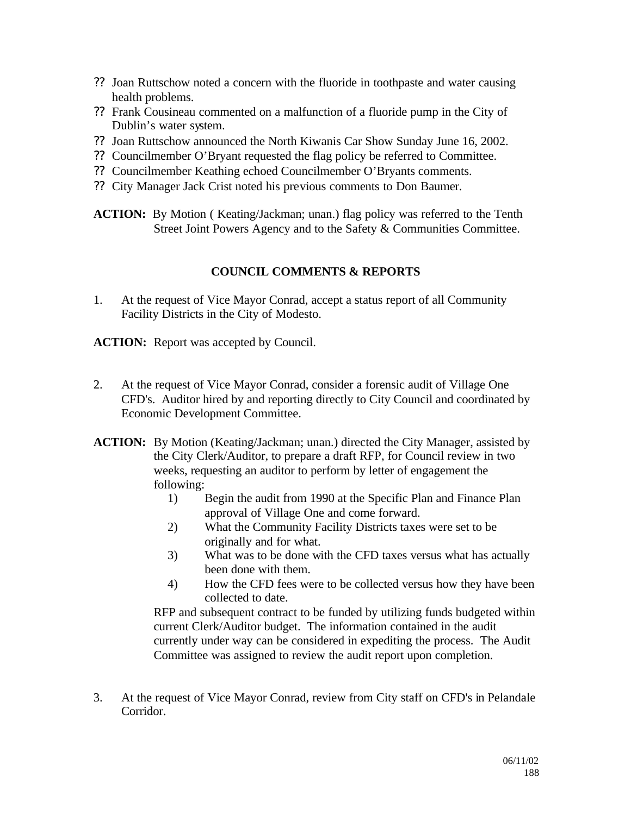- ?? Joan Ruttschow noted a concern with the fluoride in toothpaste and water causing health problems.
- ?? Frank Cousineau commented on a malfunction of a fluoride pump in the City of Dublin's water system.
- ?? Joan Ruttschow announced the North Kiwanis Car Show Sunday June 16, 2002.
- ?? Councilmember O'Bryant requested the flag policy be referred to Committee.
- ?? Councilmember Keathing echoed Councilmember O'Bryants comments.
- ?? City Manager Jack Crist noted his previous comments to Don Baumer.

**ACTION:** By Motion ( Keating/Jackman; unan.) flag policy was referred to the Tenth Street Joint Powers Agency and to the Safety & Communities Committee.

## **COUNCIL COMMENTS & REPORTS**

1. At the request of Vice Mayor Conrad, accept a status report of all Community Facility Districts in the City of Modesto.

**ACTION:** Report was accepted by Council.

- 2. At the request of Vice Mayor Conrad, consider a forensic audit of Village One CFD's. Auditor hired by and reporting directly to City Council and coordinated by Economic Development Committee.
- **ACTION:** By Motion (Keating/Jackman; unan.) directed the City Manager, assisted by the City Clerk/Auditor, to prepare a draft RFP, for Council review in two weeks, requesting an auditor to perform by letter of engagement the following:
	- 1) Begin the audit from 1990 at the Specific Plan and Finance Plan approval of Village One and come forward.
	- 2) What the Community Facility Districts taxes were set to be originally and for what.
	- 3) What was to be done with the CFD taxes versus what has actually been done with them.
	- 4) How the CFD fees were to be collected versus how they have been collected to date.

RFP and subsequent contract to be funded by utilizing funds budgeted within current Clerk/Auditor budget. The information contained in the audit currently under way can be considered in expediting the process. The Audit Committee was assigned to review the audit report upon completion.

3. At the request of Vice Mayor Conrad, review from City staff on CFD's in Pelandale Corridor.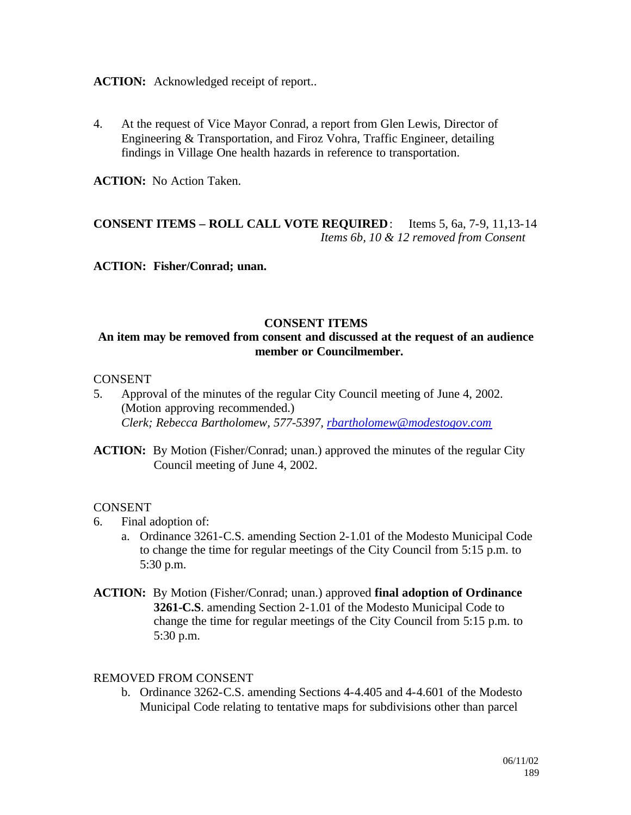**ACTION:** Acknowledged receipt of report..

4. At the request of Vice Mayor Conrad, a report from Glen Lewis, Director of Engineering & Transportation, and Firoz Vohra, Traffic Engineer, detailing findings in Village One health hazards in reference to transportation.

**ACTION:** No Action Taken.

## **CONSENT ITEMS – ROLL CALL VOTE REQUIRED**: Items 5, 6a, 7-9, 11,13-14 *Items 6b, 10 & 12 removed from Consent*

**ACTION: Fisher/Conrad; unan.**

## **CONSENT ITEMS**

## **An item may be removed from consent and discussed at the request of an audience member or Councilmember.**

#### **CONSENT**

- 5. Approval of the minutes of the regular City Council meeting of June 4, 2002. (Motion approving recommended.) *Clerk; Rebecca Bartholomew, 577-5397, rbartholomew@modestogov.com*
- **ACTION:** By Motion (Fisher/Conrad; unan.) approved the minutes of the regular City Council meeting of June 4, 2002.

#### CONSENT

- 6. Final adoption of:
	- a. Ordinance 3261-C.S. amending Section 2-1.01 of the Modesto Municipal Code to change the time for regular meetings of the City Council from 5:15 p.m. to 5:30 p.m.
- **ACTION:** By Motion (Fisher/Conrad; unan.) approved **final adoption of Ordinance 3261-C.S**. amending Section 2-1.01 of the Modesto Municipal Code to change the time for regular meetings of the City Council from 5:15 p.m. to 5:30 p.m.

#### REMOVED FROM CONSENT

b. Ordinance 3262-C.S. amending Sections 4-4.405 and 4-4.601 of the Modesto Municipal Code relating to tentative maps for subdivisions other than parcel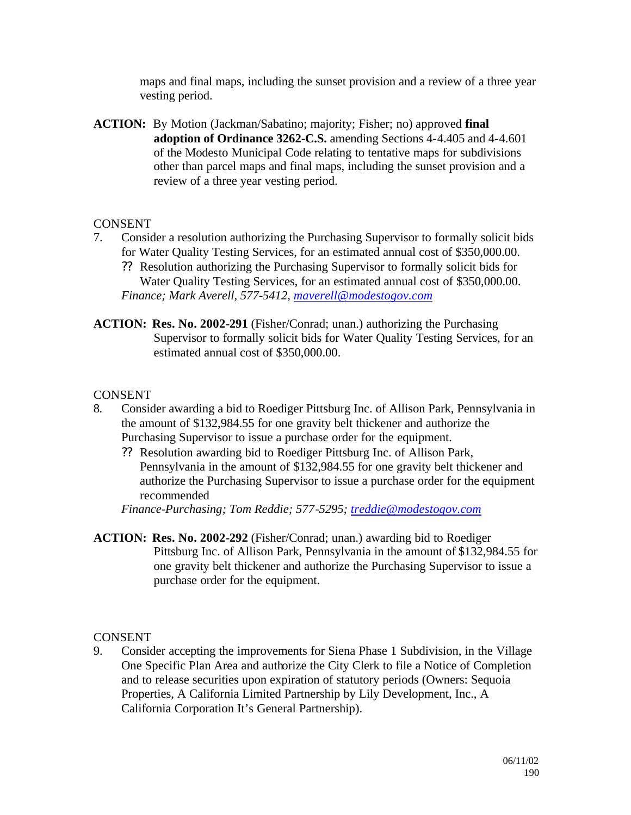maps and final maps, including the sunset provision and a review of a three year vesting period.

**ACTION:** By Motion (Jackman/Sabatino; majority; Fisher; no) approved **final adoption of Ordinance 3262-C.S.** amending Sections 4-4.405 and 4-4.601 of the Modesto Municipal Code relating to tentative maps for subdivisions other than parcel maps and final maps, including the sunset provision and a review of a three year vesting period.

## **CONSENT**

- 7. Consider a resolution authorizing the Purchasing Supervisor to formally solicit bids for Water Quality Testing Services, for an estimated annual cost of \$350,000.00.
	- ?? Resolution authorizing the Purchasing Supervisor to formally solicit bids for Water Quality Testing Services, for an estimated annual cost of \$350,000.00. *Finance; Mark Averell, 577-5412, maverell@modestogov.com*
- **ACTION: Res. No. 2002-291** (Fisher/Conrad; unan.) authorizing the Purchasing Supervisor to formally solicit bids for Water Quality Testing Services, for an estimated annual cost of \$350,000.00.

#### **CONSENT**

- 8*.* Consider awarding a bid to Roediger Pittsburg Inc. of Allison Park, Pennsylvania in the amount of \$132,984.55 for one gravity belt thickener and authorize the Purchasing Supervisor to issue a purchase order for the equipment.
	- ?? Resolution awarding bid to Roediger Pittsburg Inc. of Allison Park, Pennsylvania in the amount of \$132,984.55 for one gravity belt thickener and authorize the Purchasing Supervisor to issue a purchase order for the equipment recommended

*Finance-Purchasing; Tom Reddie; 577-5295; treddie@modestogov.com*

**ACTION: Res. No. 2002-292** (Fisher/Conrad; unan.) awarding bid to Roediger Pittsburg Inc. of Allison Park, Pennsylvania in the amount of \$132,984.55 for one gravity belt thickener and authorize the Purchasing Supervisor to issue a purchase order for the equipment.

**CONSENT** 

9. Consider accepting the improvements for Siena Phase 1 Subdivision, in the Village One Specific Plan Area and authorize the City Clerk to file a Notice of Completion and to release securities upon expiration of statutory periods (Owners: Sequoia Properties, A California Limited Partnership by Lily Development, Inc., A California Corporation It's General Partnership).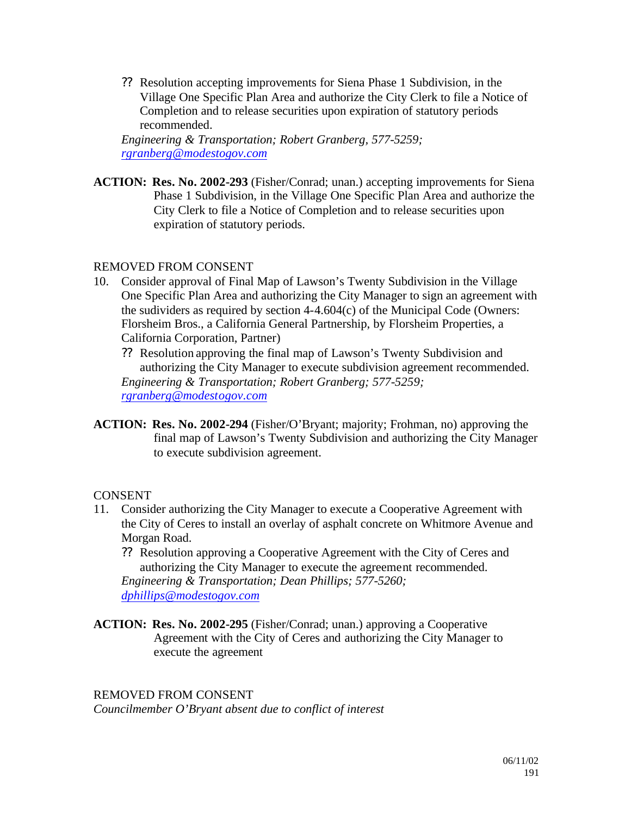?? Resolution accepting improvements for Siena Phase 1 Subdivision, in the Village One Specific Plan Area and authorize the City Clerk to file a Notice of Completion and to release securities upon expiration of statutory periods recommended.

*Engineering & Transportation; Robert Granberg, 577-5259; rgranberg@modestogov.com*

**ACTION: Res. No. 2002-293** (Fisher/Conrad; unan.) accepting improvements for Siena Phase 1 Subdivision, in the Village One Specific Plan Area and authorize the City Clerk to file a Notice of Completion and to release securities upon expiration of statutory periods.

## REMOVED FROM CONSENT

- 10. Consider approval of Final Map of Lawson's Twenty Subdivision in the Village One Specific Plan Area and authorizing the City Manager to sign an agreement with the sudividers as required by section 4-4.604(c) of the Municipal Code (Owners: Florsheim Bros., a California General Partnership, by Florsheim Properties, a California Corporation, Partner)
	- ?? Resolution approving the final map of Lawson's Twenty Subdivision and authorizing the City Manager to execute subdivision agreement recommended. *Engineering & Transportation; Robert Granberg; 577-5259; rgranberg@modestogov.com*
- **ACTION: Res. No. 2002-294** (Fisher/O'Bryant; majority; Frohman, no) approving the final map of Lawson's Twenty Subdivision and authorizing the City Manager to execute subdivision agreement.

## CONSENT

- 11. Consider authorizing the City Manager to execute a Cooperative Agreement with the City of Ceres to install an overlay of asphalt concrete on Whitmore Avenue and Morgan Road.
	- ?? Resolution approving a Cooperative Agreement with the City of Ceres and authorizing the City Manager to execute the agreement recommended. *Engineering & Transportation; Dean Phillips; 577-5260; dphillips@modestogov.com*
- **ACTION: Res. No. 2002-295** (Fisher/Conrad; unan.) approving a Cooperative Agreement with the City of Ceres and authorizing the City Manager to execute the agreement

#### REMOVED FROM CONSENT

*Councilmember O'Bryant absent due to conflict of interest*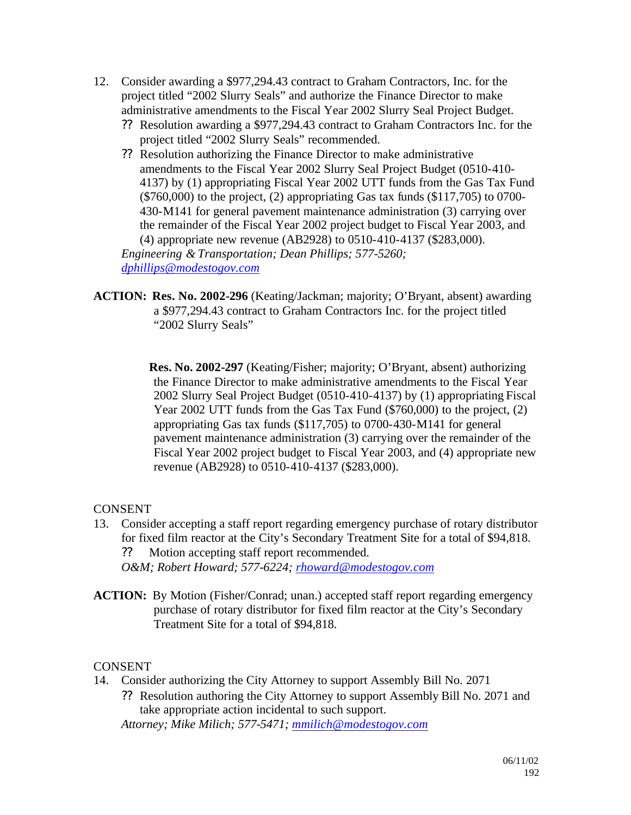- 12. Consider awarding a \$977,294.43 contract to Graham Contractors, Inc. for the project titled "2002 Slurry Seals" and authorize the Finance Director to make administrative amendments to the Fiscal Year 2002 Slurry Seal Project Budget.
	- ?? Resolution awarding a \$977,294.43 contract to Graham Contractors Inc. for the project titled "2002 Slurry Seals" recommended.
	- ?? Resolution authorizing the Finance Director to make administrative amendments to the Fiscal Year 2002 Slurry Seal Project Budget (0510-410- 4137) by (1) appropriating Fiscal Year 2002 UTT funds from the Gas Tax Fund (\$760,000) to the project, (2) appropriating Gas tax funds (\$117,705) to 0700- 430-M141 for general pavement maintenance administration (3) carrying over the remainder of the Fiscal Year 2002 project budget to Fiscal Year 2003, and (4) appropriate new revenue (AB2928) to 0510-410-4137 (\$283,000). *Engineering & Transportation; Dean Phillips; 577-5260;*

*dphillips@modestogov.com*

**ACTION: Res. No. 2002-296** (Keating/Jackman; majority; O'Bryant, absent) awarding a \$977,294.43 contract to Graham Contractors Inc. for the project titled "2002 Slurry Seals"

> **Res. No. 2002-297** (Keating/Fisher; majority; O'Bryant, absent) authorizing the Finance Director to make administrative amendments to the Fiscal Year 2002 Slurry Seal Project Budget (0510-410-4137) by (1) appropriating Fiscal Year 2002 UTT funds from the Gas Tax Fund (\$760,000) to the project, (2) appropriating Gas tax funds (\$117,705) to 0700-430-M141 for general pavement maintenance administration (3) carrying over the remainder of the Fiscal Year 2002 project budget to Fiscal Year 2003, and (4) appropriate new revenue (AB2928) to 0510-410-4137 (\$283,000).

## **CONSENT**

- 13. Consider accepting a staff report regarding emergency purchase of rotary distributor for fixed film reactor at the City's Secondary Treatment Site for a total of \$94,818.
	- ?? Motion accepting staff report recommended.

*O&M; Robert Howard; 577-6224; rhoward@modestogov.com*

**ACTION:** By Motion (Fisher/Conrad; unan.) accepted staff report regarding emergency purchase of rotary distributor for fixed film reactor at the City's Secondary Treatment Site for a total of \$94,818.

## CONSENT

- 14. Consider authorizing the City Attorney to support Assembly Bill No. 2071
	- ?? Resolution authoring the City Attorney to support Assembly Bill No. 2071 and take appropriate action incidental to such support.

*Attorney; Mike Milich; 577-5471; mmilich@modestogov.com*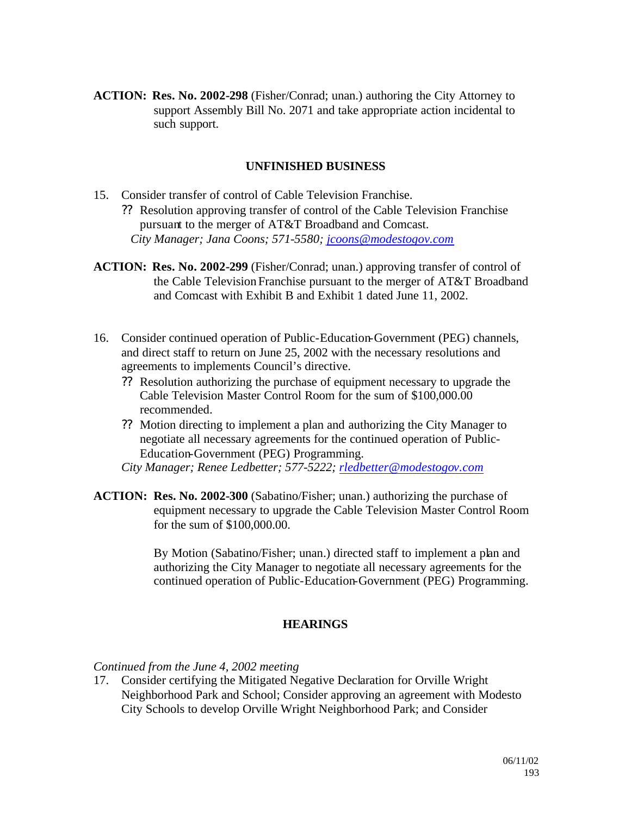**ACTION: Res. No. 2002-298** (Fisher/Conrad; unan.) authoring the City Attorney to support Assembly Bill No. 2071 and take appropriate action incidental to such support.

#### **UNFINISHED BUSINESS**

- 15. Consider transfer of control of Cable Television Franchise.
	- ?? Resolution approving transfer of control of the Cable Television Franchise pursuant to the merger of AT&T Broadband and Comcast. *City Manager; Jana Coons; 571-5580; jcoons@modestogov.com*
- **ACTION: Res. No. 2002-299** (Fisher/Conrad; unan.) approving transfer of control of the Cable Television Franchise pursuant to the merger of AT&T Broadband and Comcast with Exhibit B and Exhibit 1 dated June 11, 2002.
- 16. Consider continued operation of Public-Education-Government (PEG) channels, and direct staff to return on June 25, 2002 with the necessary resolutions and agreements to implements Council's directive.
	- ?? Resolution authorizing the purchase of equipment necessary to upgrade the Cable Television Master Control Room for the sum of \$100,000.00 recommended.
	- ?? Motion directing to implement a plan and authorizing the City Manager to negotiate all necessary agreements for the continued operation of Public-Education-Government (PEG) Programming.
	- *City Manager; Renee Ledbetter; 577-5222; rledbetter@modestogov.com*
- **ACTION: Res. No. 2002-300** (Sabatino/Fisher; unan.) authorizing the purchase of equipment necessary to upgrade the Cable Television Master Control Room for the sum of \$100,000.00.

By Motion (Sabatino/Fisher; unan.) directed staff to implement a plan and authorizing the City Manager to negotiate all necessary agreements for the continued operation of Public-Education-Government (PEG) Programming.

#### **HEARINGS**

*Continued from the June 4, 2002 meeting*

17. Consider certifying the Mitigated Negative Declaration for Orville Wright Neighborhood Park and School; Consider approving an agreement with Modesto City Schools to develop Orville Wright Neighborhood Park; and Consider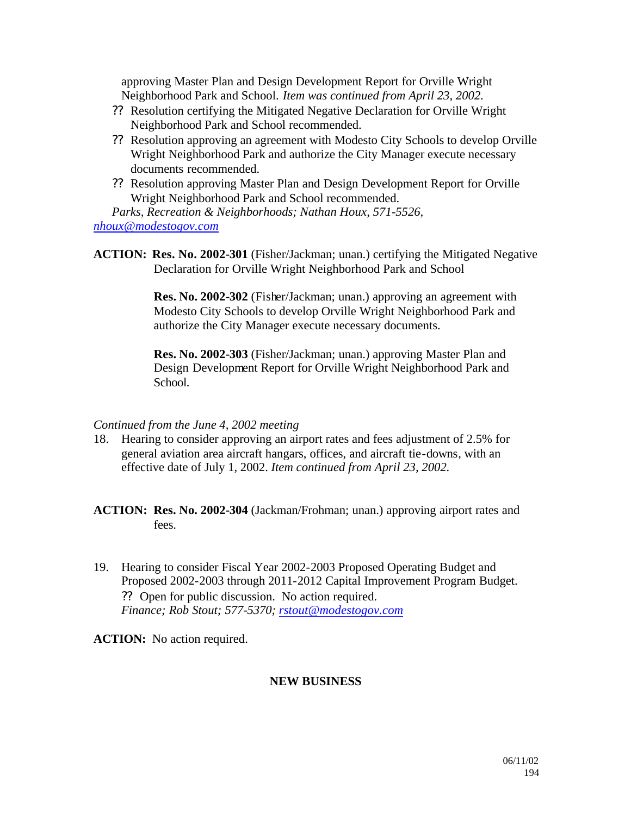approving Master Plan and Design Development Report for Orville Wright Neighborhood Park and School. *Item was continued from April 23, 2002.*

- ?? Resolution certifying the Mitigated Negative Declaration for Orville Wright Neighborhood Park and School recommended.
- ?? Resolution approving an agreement with Modesto City Schools to develop Orville Wright Neighborhood Park and authorize the City Manager execute necessary documents recommended.
- ?? Resolution approving Master Plan and Design Development Report for Orville Wright Neighborhood Park and School recommended.

*Parks, Recreation & Neighborhoods; Nathan Houx, 571-5526, nhoux@modestogov.com*

**ACTION: Res. No. 2002-301** (Fisher/Jackman; unan.) certifying the Mitigated Negative Declaration for Orville Wright Neighborhood Park and School

> **Res. No. 2002-302** (Fisher/Jackman; unan.) approving an agreement with Modesto City Schools to develop Orville Wright Neighborhood Park and authorize the City Manager execute necessary documents.

**Res. No. 2002-303** (Fisher/Jackman; unan.) approving Master Plan and Design Development Report for Orville Wright Neighborhood Park and School.

#### *Continued from the June 4, 2002 meeting*

- 18. Hearing to consider approving an airport rates and fees adjustment of 2.5% for general aviation area aircraft hangars, offices, and aircraft tie-downs, with an effective date of July 1, 2002. *Item continued from April 23, 2002.*
- **ACTION: Res. No. 2002-304** (Jackman/Frohman; unan.) approving airport rates and fees.
- 19. Hearing to consider Fiscal Year 2002-2003 Proposed Operating Budget and Proposed 2002-2003 through 2011-2012 Capital Improvement Program Budget. ?? Open for public discussion. No action required. *Finance; Rob Stout; 577-5370; rstout@modestogov.com*

**ACTION:** No action required.

## **NEW BUSINESS**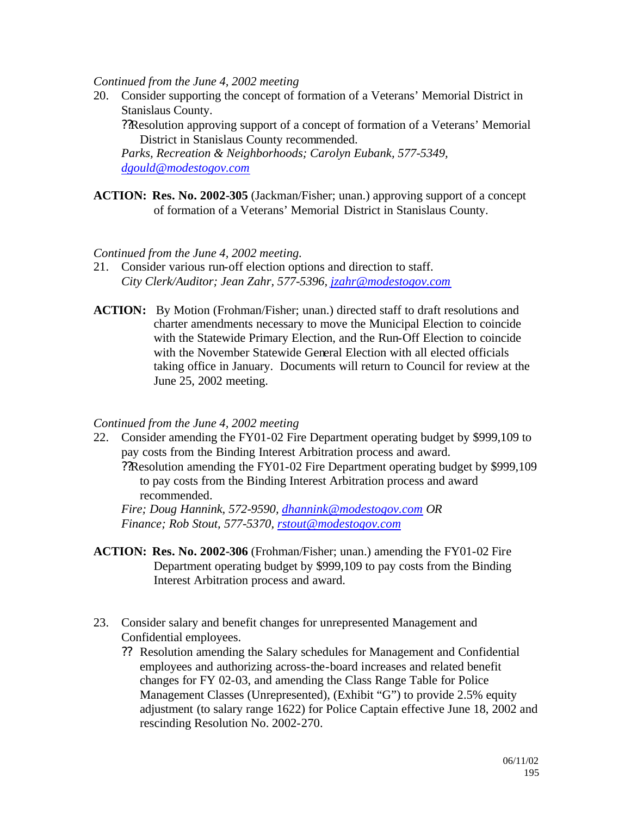*Continued from the June 4, 2002 meeting*

20. Consider supporting the concept of formation of a Veterans' Memorial District in Stanislaus County.

??Resolution approving support of a concept of formation of a Veterans' Memorial District in Stanislaus County recommended.

*Parks, Recreation & Neighborhoods; Carolyn Eubank, 577-5349, dgould@modestogov.com*

**ACTION: Res. No. 2002-305** (Jackman/Fisher; unan.) approving support of a concept of formation of a Veterans' Memorial District in Stanislaus County.

*Continued from the June 4, 2002 meeting.*

- 21. Consider various run-off election options and direction to staff. *City Clerk/Auditor; Jean Zahr, 577-5396, jzahr@modestogov.com*
- **ACTION:** By Motion (Frohman/Fisher; unan.) directed staff to draft resolutions and charter amendments necessary to move the Municipal Election to coincide with the Statewide Primary Election, and the Run-Off Election to coincide with the November Statewide General Election with all elected officials taking office in January. Documents will return to Council for review at the June 25, 2002 meeting.

#### *Continued from the June 4, 2002 meeting*

22. Consider amending the FY01-02 Fire Department operating budget by \$999,109 to pay costs from the Binding Interest Arbitration process and award. ??Resolution amending the FY01-02 Fire Department operating budget by \$999,109 to pay costs from the Binding Interest Arbitration process and award recommended. *Fire; Doug Hannink, 572-9590, dhannink@modestogov.com OR* 

*Finance; Rob Stout, 577-5370, rstout@modestogov.com*

- **ACTION: Res. No. 2002-306** (Frohman/Fisher; unan.) amending the FY01-02 Fire Department operating budget by \$999,109 to pay costs from the Binding Interest Arbitration process and award.
- 23. Consider salary and benefit changes for unrepresented Management and Confidential employees.
	- ?? Resolution amending the Salary schedules for Management and Confidential employees and authorizing across-the-board increases and related benefit changes for FY 02-03, and amending the Class Range Table for Police Management Classes (Unrepresented), (Exhibit "G") to provide 2.5% equity adjustment (to salary range 1622) for Police Captain effective June 18, 2002 and rescinding Resolution No. 2002-270.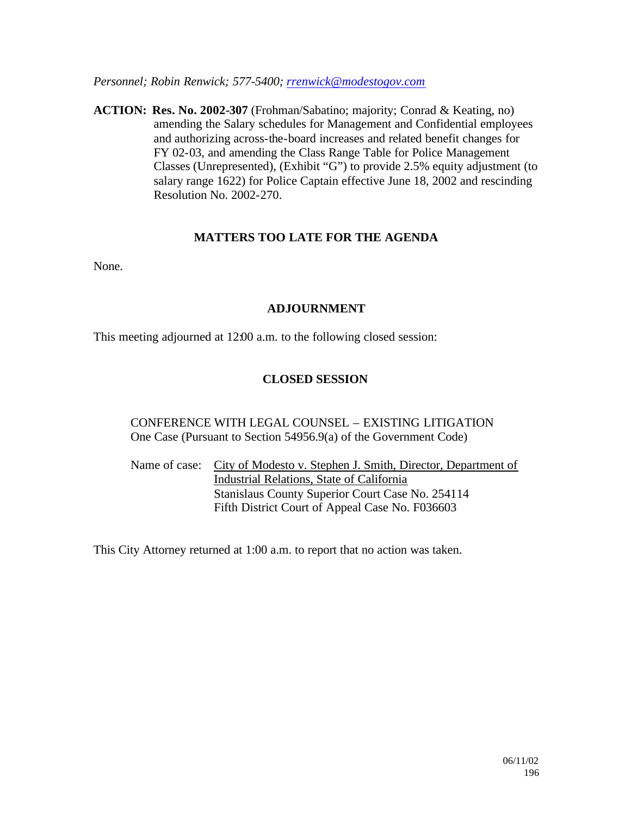*Personnel; Robin Renwick; 577-5400; rrenwick@modestogov.com*

**ACTION: Res. No. 2002-307** (Frohman/Sabatino; majority; Conrad & Keating, no) amending the Salary schedules for Management and Confidential employees and authorizing across-the-board increases and related benefit changes for FY 02-03, and amending the Class Range Table for Police Management Classes (Unrepresented), (Exhibit "G") to provide 2.5% equity adjustment (to salary range 1622) for Police Captain effective June 18, 2002 and rescinding Resolution No. 2002-270.

## **MATTERS TOO LATE FOR THE AGENDA**

None.

## **ADJOURNMENT**

This meeting adjourned at 12:00 a.m. to the following closed session:

## **CLOSED SESSION**

## CONFERENCE WITH LEGAL COUNSEL – EXISTING LITIGATION One Case (Pursuant to Section 54956.9(a) of the Government Code)

Name of case: City of Modesto v. Stephen J. Smith, Director, Department of Industrial Relations, State of California Stanislaus County Superior Court Case No. 254114 Fifth District Court of Appeal Case No. F036603

This City Attorney returned at 1:00 a.m. to report that no action was taken.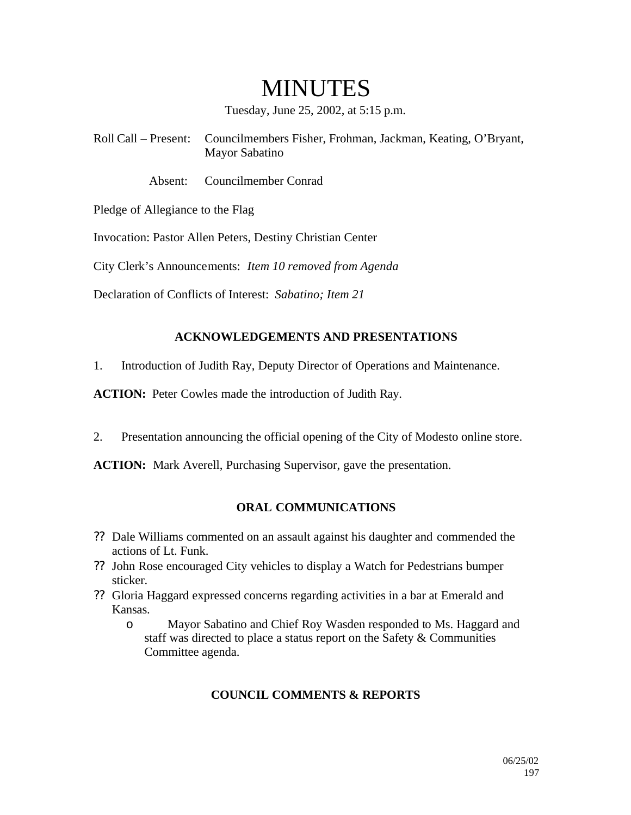# MINUTES

Tuesday, June 25, 2002, at 5:15 p.m.

Roll Call – Present: Councilmembers Fisher, Frohman, Jackman, Keating, O'Bryant, Mayor Sabatino

Absent: Councilmember Conrad

Pledge of Allegiance to the Flag

Invocation: Pastor Allen Peters, Destiny Christian Center

City Clerk's Announcements: *Item 10 removed from Agenda*

Declaration of Conflicts of Interest: *Sabatino; Item 21*

## **ACKNOWLEDGEMENTS AND PRESENTATIONS**

1. Introduction of Judith Ray, Deputy Director of Operations and Maintenance.

**ACTION:** Peter Cowles made the introduction of Judith Ray.

2. Presentation announcing the official opening of the City of Modesto online store.

**ACTION:** Mark Averell, Purchasing Supervisor, gave the presentation.

## **ORAL COMMUNICATIONS**

- ?? Dale Williams commented on an assault against his daughter and commended the actions of Lt. Funk.
- ?? John Rose encouraged City vehicles to display a Watch for Pedestrians bumper sticker.
- ?? Gloria Haggard expressed concerns regarding activities in a bar at Emerald and Kansas.
	- o Mayor Sabatino and Chief Roy Wasden responded to Ms. Haggard and staff was directed to place a status report on the Safety & Communities Committee agenda.

## **COUNCIL COMMENTS & REPORTS**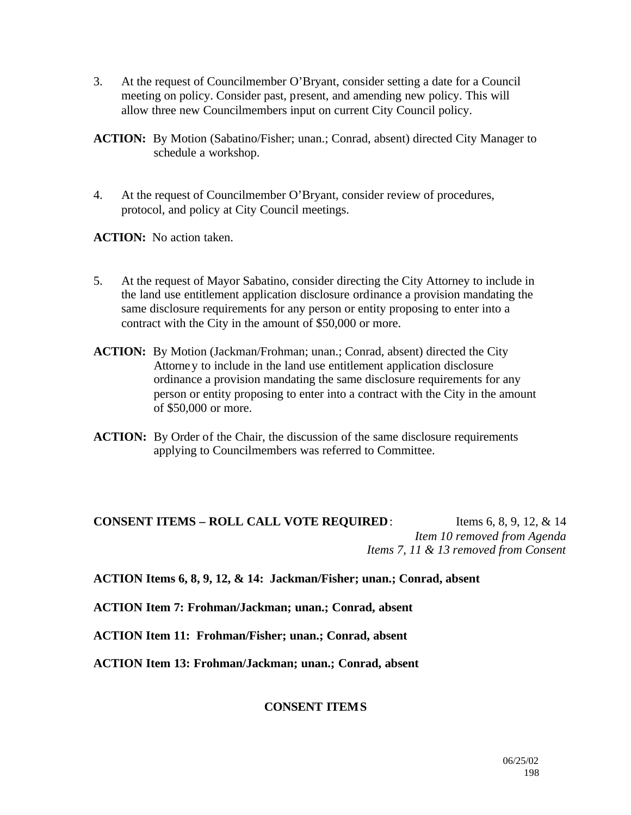- 3. At the request of Councilmember O'Bryant, consider setting a date for a Council meeting on policy. Consider past, present, and amending new policy. This will allow three new Councilmembers input on current City Council policy.
- **ACTION:** By Motion (Sabatino/Fisher; unan.; Conrad, absent) directed City Manager to schedule a workshop.
- 4. At the request of Councilmember O'Bryant, consider review of procedures, protocol, and policy at City Council meetings.

**ACTION:** No action taken.

- 5. At the request of Mayor Sabatino, consider directing the City Attorney to include in the land use entitlement application disclosure ordinance a provision mandating the same disclosure requirements for any person or entity proposing to enter into a contract with the City in the amount of \$50,000 or more.
- **ACTION:** By Motion (Jackman/Frohman; unan.; Conrad, absent) directed the City Attorney to include in the land use entitlement application disclosure ordinance a provision mandating the same disclosure requirements for any person or entity proposing to enter into a contract with the City in the amount of \$50,000 or more.
- **ACTION:** By Order of the Chair, the discussion of the same disclosure requirements applying to Councilmembers was referred to Committee.

## **CONSENT ITEMS – ROLL CALL VOTE REQUIRED**: Items 6, 8, 9, 12, & 14 *Item 10 removed from Agenda Items 7, 11 & 13 removed from Consent*

**ACTION Items 6, 8, 9, 12, & 14: Jackman/Fisher; unan.; Conrad, absent**

**ACTION Item 7: Frohman/Jackman; unan.; Conrad, absent**

**ACTION Item 11: Frohman/Fisher; unan.; Conrad, absent**

**ACTION Item 13: Frohman/Jackman; unan.; Conrad, absent**

#### **CONSENT ITEMS**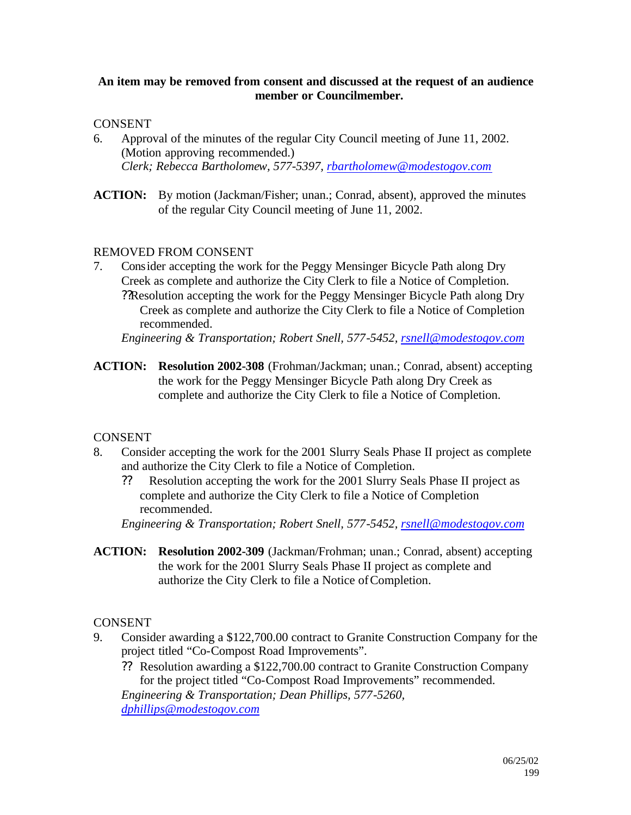#### **An item may be removed from consent and discussed at the request of an audience member or Councilmember.**

## CONSENT

- 6. Approval of the minutes of the regular City Council meeting of June 11, 2002. (Motion approving recommended.) *Clerk; Rebecca Bartholomew, 577-5397, rbartholomew@modestogov.com*
- **ACTION:** By motion (Jackman/Fisher; unan.; Conrad, absent), approved the minutes of the regular City Council meeting of June 11, 2002.

## REMOVED FROM CONSENT

7. Consider accepting the work for the Peggy Mensinger Bicycle Path along Dry Creek as complete and authorize the City Clerk to file a Notice of Completion. ??Resolution accepting the work for the Peggy Mensinger Bicycle Path along Dry Creek as complete and authorize the City Clerk to file a Notice of Completion recommended.

*Engineering & Transportation; Robert Snell, 577-5452, rsnell@modestogov.com*

**ACTION: Resolution 2002-308** (Frohman/Jackman; unan.; Conrad, absent) accepting the work for the Peggy Mensinger Bicycle Path along Dry Creek as complete and authorize the City Clerk to file a Notice of Completion.

#### **CONSENT**

- 8. Consider accepting the work for the 2001 Slurry Seals Phase II project as complete and authorize the City Clerk to file a Notice of Completion.
	- ?? Resolution accepting the work for the 2001 Slurry Seals Phase II project as complete and authorize the City Clerk to file a Notice of Completion recommended.

*Engineering & Transportation; Robert Snell, 577-5452, rsnell@modestogov.com*

**ACTION: Resolution 2002-309** (Jackman/Frohman; unan.; Conrad, absent) accepting the work for the 2001 Slurry Seals Phase II project as complete and authorize the City Clerk to file a Notice of Completion.

#### CONSENT

- 9. Consider awarding a \$122,700.00 contract to Granite Construction Company for the project titled "Co-Compost Road Improvements".
	- ?? Resolution awarding a \$122,700.00 contract to Granite Construction Company for the project titled "Co-Compost Road Improvements" recommended.

*Engineering & Transportation; Dean Phillips, 577-5260, dphillips@modestogov.com*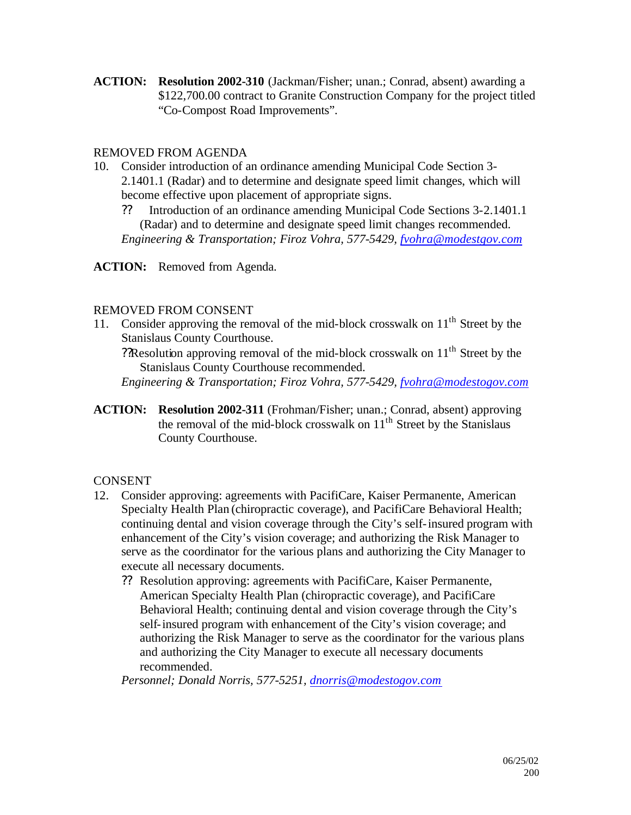**ACTION: Resolution 2002-310** (Jackman/Fisher; unan.; Conrad, absent) awarding a \$122,700.00 contract to Granite Construction Company for the project titled "Co-Compost Road Improvements".

## REMOVED FROM AGENDA

- 10. Consider introduction of an ordinance amending Municipal Code Section 3- 2.1401.1 (Radar) and to determine and designate speed limit changes, which will become effective upon placement of appropriate signs.
	- ?? Introduction of an ordinance amending Municipal Code Sections 3-2.1401.1 (Radar) and to determine and designate speed limit changes recommended.

*Engineering & Transportation; Firoz Vohra, 577-5429, fvohra@modestgov.com*

## **ACTION:** Removed from Agenda.

#### REMOVED FROM CONSENT

11. Consider approving the removal of the mid-block crosswalk on  $11<sup>th</sup>$  Street by the Stanislaus County Courthouse.

?Resolution approving removal of the mid-block crosswalk on  $11<sup>th</sup>$  Street by the Stanislaus County Courthouse recommended.

*Engineering & Transportation; Firoz Vohra, 577-5429, fvohra@modestogov.com*

**ACTION: Resolution 2002-311** (Frohman/Fisher; unan.; Conrad, absent) approving the removal of the mid-block crosswalk on  $11<sup>th</sup>$  Street by the Stanislaus County Courthouse.

## **CONSENT**

- 12. Consider approving: agreements with PacifiCare, Kaiser Permanente, American Specialty Health Plan (chiropractic coverage), and PacifiCare Behavioral Health; continuing dental and vision coverage through the City's self-insured program with enhancement of the City's vision coverage; and authorizing the Risk Manager to serve as the coordinator for the various plans and authorizing the City Manager to execute all necessary documents.
	- ?? Resolution approving: agreements with PacifiCare, Kaiser Permanente, American Specialty Health Plan (chiropractic coverage), and PacifiCare Behavioral Health; continuing dental and vision coverage through the City's self-insured program with enhancement of the City's vision coverage; and authorizing the Risk Manager to serve as the coordinator for the various plans and authorizing the City Manager to execute all necessary documents recommended.

*Personnel; Donald Norris, 577-5251, dnorris@modestogov.com*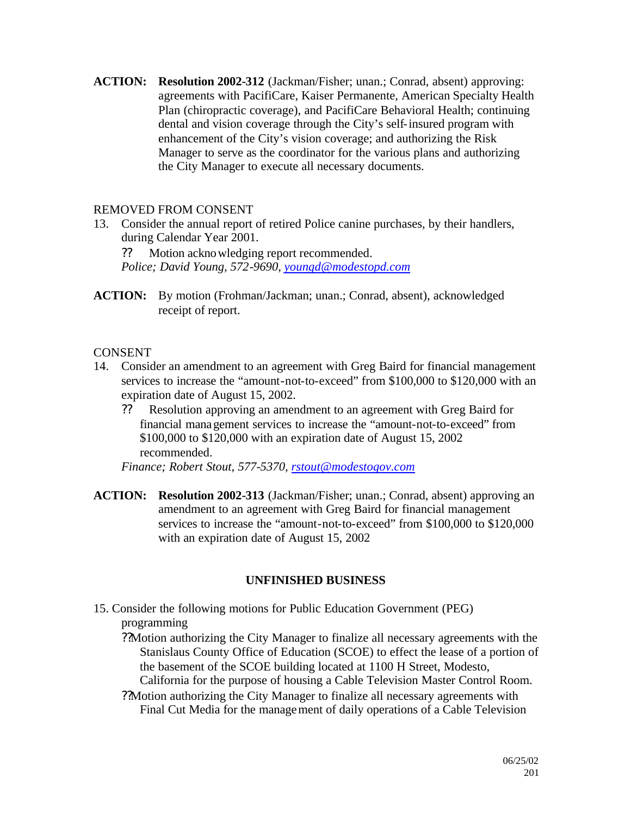**ACTION: Resolution 2002-312** (Jackman/Fisher; unan.; Conrad, absent) approving: agreements with PacifiCare, Kaiser Permanente, American Specialty Health Plan (chiropractic coverage), and PacifiCare Behavioral Health; continuing dental and vision coverage through the City's self-insured program with enhancement of the City's vision coverage; and authorizing the Risk Manager to serve as the coordinator for the various plans and authorizing the City Manager to execute all necessary documents.

## REMOVED FROM CONSENT

13. Consider the annual report of retired Police canine purchases, by their handlers, during Calendar Year 2001.

?? Motion acknowledging report recommended. *Police; David Young, 572-9690, youngd@modestopd.com*

**ACTION:** By motion (Frohman/Jackman; unan.; Conrad, absent), acknowledged receipt of report.

## **CONSENT**

- 14. Consider an amendment to an agreement with Greg Baird for financial management services to increase the "amount-not-to-exceed" from \$100,000 to \$120,000 with an expiration date of August 15, 2002.
	- ?? Resolution approving an amendment to an agreement with Greg Baird for financial management services to increase the "amount-not-to-exceed" from \$100,000 to \$120,000 with an expiration date of August 15, 2002 recommended.

*Finance; Robert Stout, 577-5370, rstout@modestogov.com*

**ACTION: Resolution 2002-313** (Jackman/Fisher; unan.; Conrad, absent) approving an amendment to an agreement with Greg Baird for financial management services to increase the "amount-not-to-exceed" from \$100,000 to \$120,000 with an expiration date of August 15, 2002

## **UNFINISHED BUSINESS**

15. Consider the following motions for Public Education Government (PEG) programming

??Motion authorizing the City Manager to finalize all necessary agreements with the Stanislaus County Office of Education (SCOE) to effect the lease of a portion of the basement of the SCOE building located at 1100 H Street, Modesto,

California for the purpose of housing a Cable Television Master Control Room.

??Motion authorizing the City Manager to finalize all necessary agreements with Final Cut Media for the management of daily operations of a Cable Television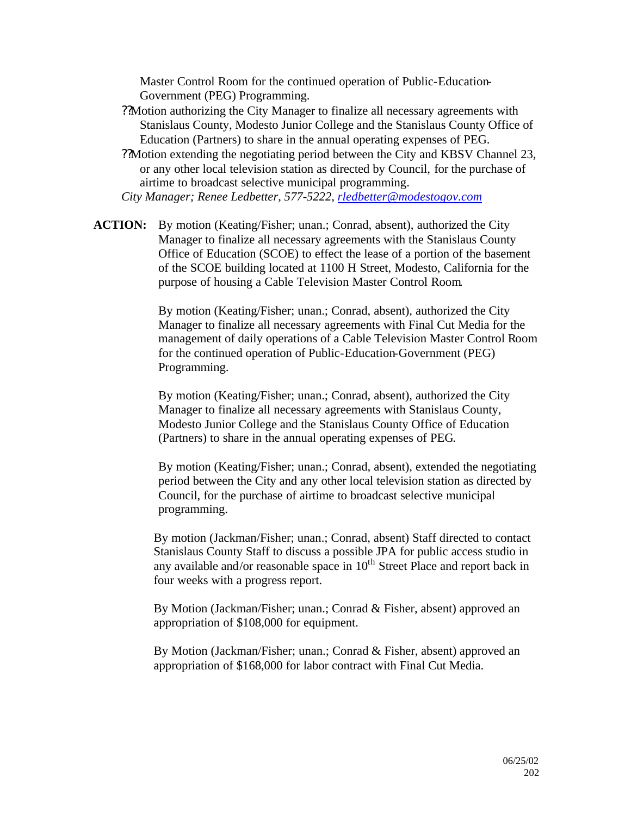Master Control Room for the continued operation of Public-Education-Government (PEG) Programming.

- ??Motion authorizing the City Manager to finalize all necessary agreements with Stanislaus County, Modesto Junior College and the Stanislaus County Office of Education (Partners) to share in the annual operating expenses of PEG.
- ??Motion extending the negotiating period between the City and KBSV Channel 23, or any other local television station as directed by Council, for the purchase of airtime to broadcast selective municipal programming.

*City Manager; Renee Ledbetter, 577-5222, rledbetter@modestogov.com*

**ACTION:** By motion (Keating/Fisher; unan.; Conrad, absent), authorized the City Manager to finalize all necessary agreements with the Stanislaus County Office of Education (SCOE) to effect the lease of a portion of the basement of the SCOE building located at 1100 H Street, Modesto, California for the purpose of housing a Cable Television Master Control Room.

> By motion (Keating/Fisher; unan.; Conrad, absent), authorized the City Manager to finalize all necessary agreements with Final Cut Media for the management of daily operations of a Cable Television Master Control Room for the continued operation of Public-Education-Government (PEG) Programming.

By motion (Keating/Fisher; unan.; Conrad, absent), authorized the City Manager to finalize all necessary agreements with Stanislaus County, Modesto Junior College and the Stanislaus County Office of Education (Partners) to share in the annual operating expenses of PEG.

By motion (Keating/Fisher; unan.; Conrad, absent), extended the negotiating period between the City and any other local television station as directed by Council, for the purchase of airtime to broadcast selective municipal programming.

By motion (Jackman/Fisher; unan.; Conrad, absent) Staff directed to contact Stanislaus County Staff to discuss a possible JPA for public access studio in any available and/or reasonable space in  $10<sup>th</sup>$  Street Place and report back in four weeks with a progress report.

By Motion (Jackman/Fisher; unan.; Conrad & Fisher, absent) approved an appropriation of \$108,000 for equipment.

By Motion (Jackman/Fisher; unan.; Conrad & Fisher, absent) approved an appropriation of \$168,000 for labor contract with Final Cut Media.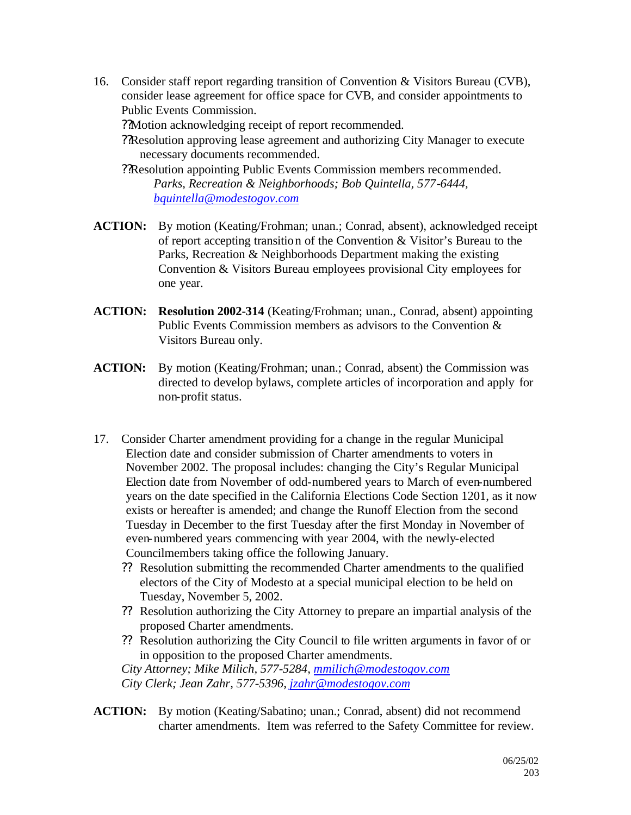16. Consider staff report regarding transition of Convention & Visitors Bureau (CVB), consider lease agreement for office space for CVB, and consider appointments to Public Events Commission.

??Motion acknowledging receipt of report recommended.

??Resolution approving lease agreement and authorizing City Manager to execute necessary documents recommended.

- ??Resolution appointing Public Events Commission members recommended. *Parks, Recreation & Neighborhoods; Bob Quintella, 577-6444, bquintella@modestogov.com*
- **ACTION:** By motion (Keating/Frohman; unan.; Conrad, absent), acknowledged receipt of report accepting transition of the Convention & Visitor's Bureau to the Parks, Recreation & Neighborhoods Department making the existing Convention & Visitors Bureau employees provisional City employees for one year.
- **ACTION: Resolution 2002-314** (Keating/Frohman; unan., Conrad, absent) appointing Public Events Commission members as advisors to the Convention & Visitors Bureau only.
- **ACTION:** By motion (Keating/Frohman; unan.; Conrad, absent) the Commission was directed to develop bylaws, complete articles of incorporation and apply for non-profit status.
- 17. Consider Charter amendment providing for a change in the regular Municipal Election date and consider submission of Charter amendments to voters in November 2002. The proposal includes: changing the City's Regular Municipal Election date from November of odd-numbered years to March of even-numbered years on the date specified in the California Elections Code Section 1201, as it now exists or hereafter is amended; and change the Runoff Election from the second Tuesday in December to the first Tuesday after the first Monday in November of even-numbered years commencing with year 2004, with the newly-elected Councilmembers taking office the following January.
	- ?? Resolution submitting the recommended Charter amendments to the qualified electors of the City of Modesto at a special municipal election to be held on Tuesday, November 5, 2002.
	- ?? Resolution authorizing the City Attorney to prepare an impartial analysis of the proposed Charter amendments.
	- ?? Resolution authorizing the City Council to file written arguments in favor of or in opposition to the proposed Charter amendments.

*City Attorney; Mike Milich, 577-5284, mmilich@modestogov.com City Clerk; Jean Zahr, 577-5396, jzahr@modestogov.com*

**ACTION:** By motion (Keating/Sabatino; unan.; Conrad, absent) did not recommend charter amendments. Item was referred to the Safety Committee for review.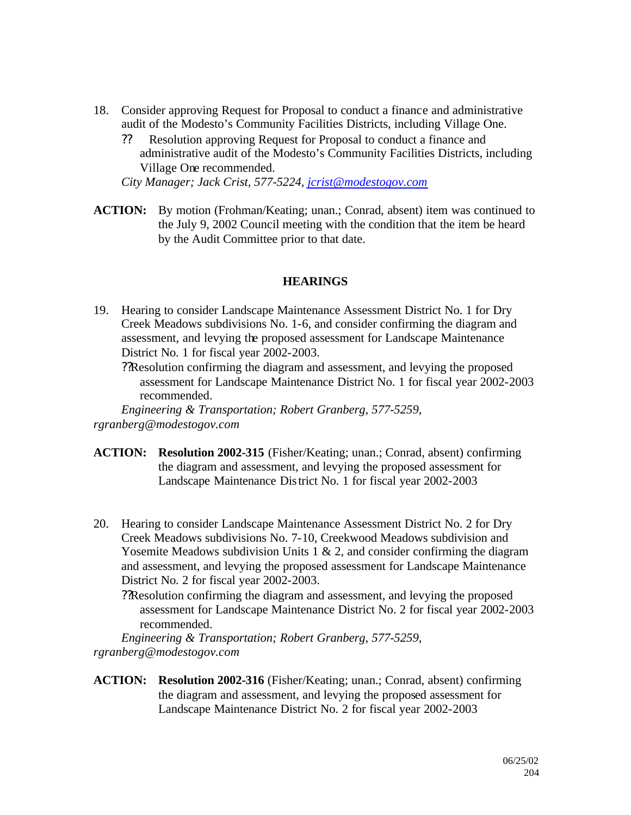- 18. Consider approving Request for Proposal to conduct a finance and administrative audit of the Modesto's Community Facilities Districts, including Village One.
	- ?? Resolution approving Request for Proposal to conduct a finance and administrative audit of the Modesto's Community Facilities Districts, including Village One recommended.

*City Manager; Jack Crist, 577-5224, jcrist@modestogov.com*

**ACTION:** By motion (Frohman/Keating; unan.; Conrad, absent) item was continued to the July 9, 2002 Council meeting with the condition that the item be heard by the Audit Committee prior to that date.

#### **HEARINGS**

19. Hearing to consider Landscape Maintenance Assessment District No. 1 for Dry Creek Meadows subdivisions No. 1-6, and consider confirming the diagram and assessment, and levying the proposed assessment for Landscape Maintenance District No. 1 for fiscal year 2002-2003.

??Resolution confirming the diagram and assessment, and levying the proposed assessment for Landscape Maintenance District No. 1 for fiscal year 2002-2003 recommended.

*Engineering & Transportation; Robert Granberg, 577-5259, rgranberg@modestogov.com*

- **ACTION: Resolution 2002-315** (Fisher/Keating; unan.; Conrad, absent) confirming the diagram and assessment, and levying the proposed assessment for Landscape Maintenance District No. 1 for fiscal year 2002-2003
- 20. Hearing to consider Landscape Maintenance Assessment District No. 2 for Dry Creek Meadows subdivisions No. 7-10, Creekwood Meadows subdivision and Yosemite Meadows subdivision Units  $1 \& 2$ , and consider confirming the diagram and assessment, and levying the proposed assessment for Landscape Maintenance District No. 2 for fiscal year 2002-2003.

??Resolution confirming the diagram and assessment, and levying the proposed assessment for Landscape Maintenance District No. 2 for fiscal year 2002-2003 recommended.

*Engineering & Transportation; Robert Granberg, 577-5259, rgranberg@modestogov.com*

**ACTION: Resolution 2002-316** (Fisher/Keating; unan.; Conrad, absent) confirming the diagram and assessment, and levying the proposed assessment for Landscape Maintenance District No. 2 for fiscal year 2002-2003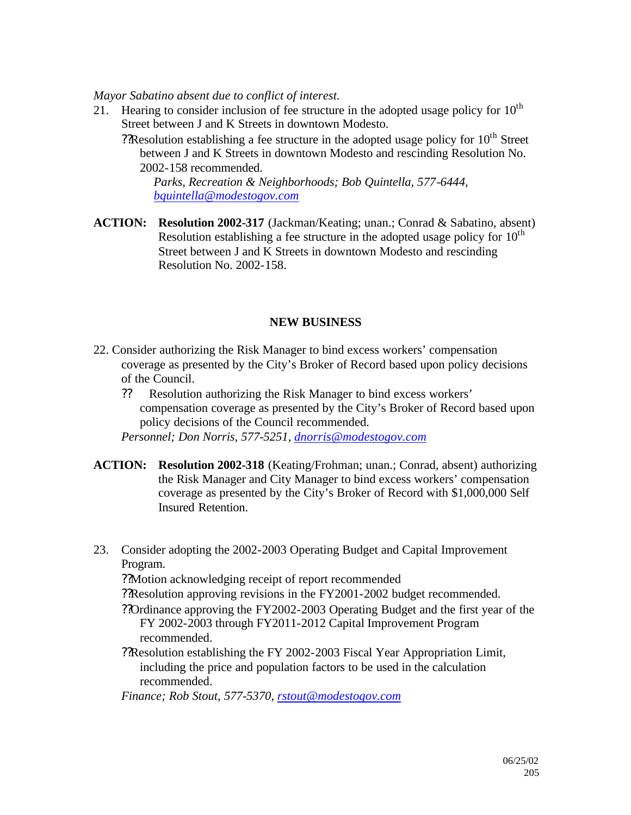*Mayor Sabatino absent due to conflict of interest.*

- 21. Hearing to consider inclusion of fee structure in the adopted usage policy for  $10^{th}$ Street between J and K Streets in downtown Modesto.
	- ? Resolution establishing a fee structure in the adopted usage policy for  $10<sup>th</sup>$  Street between J and K Streets in downtown Modesto and rescinding Resolution No. 2002-158 recommended.

*Parks, Recreation & Neighborhoods; Bob Quintella, 577-6444, bquintella@modestogov.com*

**ACTION: Resolution 2002-317** (Jackman/Keating; unan.; Conrad & Sabatino, absent) Resolution establishing a fee structure in the adopted usage policy for  $10<sup>th</sup>$ Street between J and K Streets in downtown Modesto and rescinding Resolution No. 2002-158.

## **NEW BUSINESS**

- 22. Consider authorizing the Risk Manager to bind excess workers' compensation coverage as presented by the City's Broker of Record based upon policy decisions of the Council.
	- ?? Resolution authorizing the Risk Manager to bind excess workers' compensation coverage as presented by the City's Broker of Record based upon policy decisions of the Council recommended.

*Personnel; Don Norris, 577-5251, dnorris@modestogov.com*

- **ACTION: Resolution 2002-318** (Keating/Frohman; unan.; Conrad, absent) authorizing the Risk Manager and City Manager to bind excess workers' compensation coverage as presented by the City's Broker of Record with \$1,000,000 Self Insured Retention.
- 23. Consider adopting the 2002-2003 Operating Budget and Capital Improvement Program.

??Motion acknowledging receipt of report recommended

- ??Resolution approving revisions in the FY2001-2002 budget recommended.
- ??Ordinance approving the FY2002-2003 Operating Budget and the first year of the FY 2002-2003 through FY2011-2012 Capital Improvement Program recommended.
- ??Resolution establishing the FY 2002-2003 Fiscal Year Appropriation Limit, including the price and population factors to be used in the calculation recommended.

*Finance; Rob Stout, 577-5370, rstout@modestogov.com*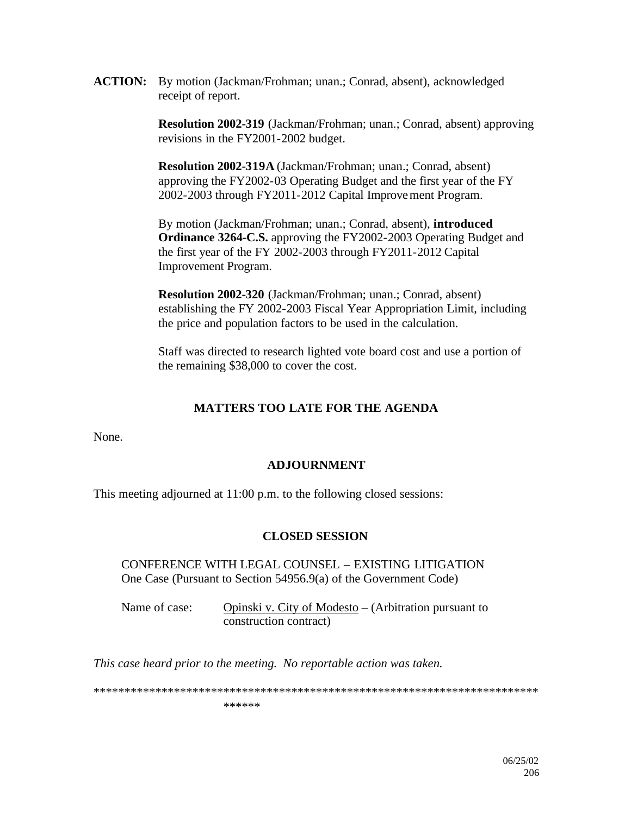**ACTION:** By motion (Jackman/Frohman; unan.; Conrad, absent), acknowledged receipt of report.

> **Resolution 2002-319** (Jackman/Frohman; unan.; Conrad, absent) approving revisions in the FY2001-2002 budget.

**Resolution 2002-319A** (Jackman/Frohman; unan.; Conrad, absent) approving the FY2002-03 Operating Budget and the first year of the FY 2002-2003 through FY2011-2012 Capital Improvement Program.

By motion (Jackman/Frohman; unan.; Conrad, absent), **introduced Ordinance 3264-C.S.** approving the FY2002-2003 Operating Budget and the first year of the FY 2002-2003 through FY2011-2012 Capital Improvement Program.

**Resolution 2002-320** (Jackman/Frohman; unan.; Conrad, absent) establishing the FY 2002-2003 Fiscal Year Appropriation Limit, including the price and population factors to be used in the calculation.

Staff was directed to research lighted vote board cost and use a portion of the remaining \$38,000 to cover the cost.

## **MATTERS TOO LATE FOR THE AGENDA**

None.

## **ADJOURNMENT**

This meeting adjourned at 11:00 p.m. to the following closed sessions:

#### **CLOSED SESSION**

CONFERENCE WITH LEGAL COUNSEL – EXISTING LITIGATION One Case (Pursuant to Section 54956.9(a) of the Government Code)

Name of case: Opinski v. City of Modesto – (Arbitration pursuant to construction contract)

*This case heard prior to the meeting. No reportable action was taken.*

\*\*\*\*\*\*\*\*\*\*\*\*\*\*\*\*\*\*\*\*\*\*\*\*\*\*\*\*\*\*\*\*\*\*\*\*\*\*\*\*\*\*\*\*\*\*\*\*\*\*\*\*\*\*\*\*\*\*\*\*\*\*\*\*\*\*\*\*\*\*\*\*

\*\*\*\*\*\*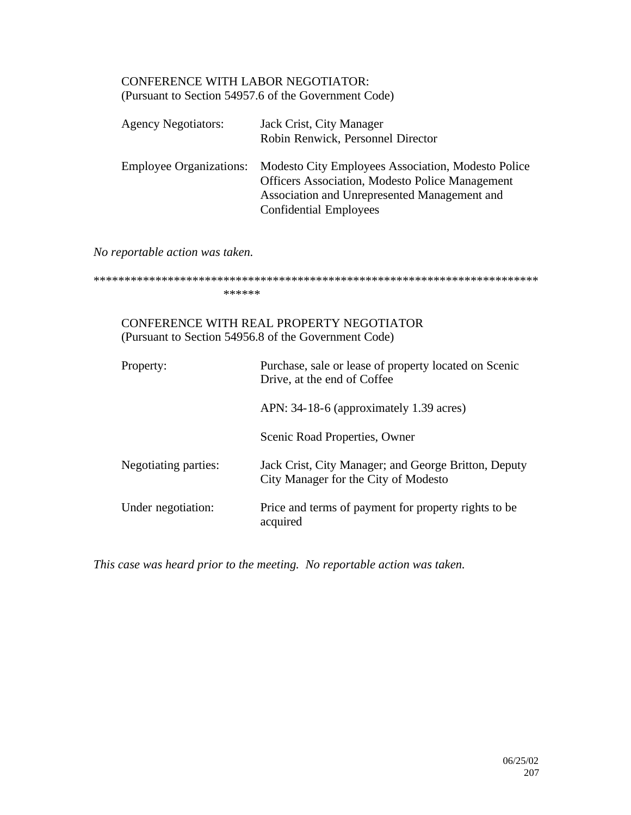## CONFERENCE WITH LABOR NEGOTIATOR: (Pursuant to Section 54957.6 of the Government Code)

| <b>Agency Negotiators:</b> | Jack Crist, City Manager<br>Robin Renwick, Personnel Director                                                                                                                                                         |
|----------------------------|-----------------------------------------------------------------------------------------------------------------------------------------------------------------------------------------------------------------------|
|                            | Employee Organizations: Modesto City Employees Association, Modesto Police<br><b>Officers Association, Modesto Police Management</b><br>Association and Unrepresented Management and<br><b>Confidential Employees</b> |

*No reportable action was taken.*

\*\*\*\*\*\*\*\*\*\*\*\*\*\*\*\*\*\*\*\*\*\*\*\*\*\*\*\*\*\*\*\*\*\*\*\*\*\*\*\*\*\*\*\*\*\*\*\*\*\*\*\*\*\*\*\*\*\*\*\*\*\*\*\*\*\*\*\*\*\*\*\* \*\*\*\*\*\*

## CONFERENCE WITH REAL PROPERTY NEGOTIATOR (Pursuant to Section 54956.8 of the Government Code)

| Property:            | Purchase, sale or lease of property located on Scenic<br>Drive, at the end of Coffee         |
|----------------------|----------------------------------------------------------------------------------------------|
|                      | APN: 34-18-6 (approximately 1.39 acres)                                                      |
|                      | Scenic Road Properties, Owner                                                                |
| Negotiating parties: | Jack Crist, City Manager; and George Britton, Deputy<br>City Manager for the City of Modesto |
| Under negotiation:   | Price and terms of payment for property rights to be<br>acquired                             |

*This case was heard prior to the meeting. No reportable action was taken.*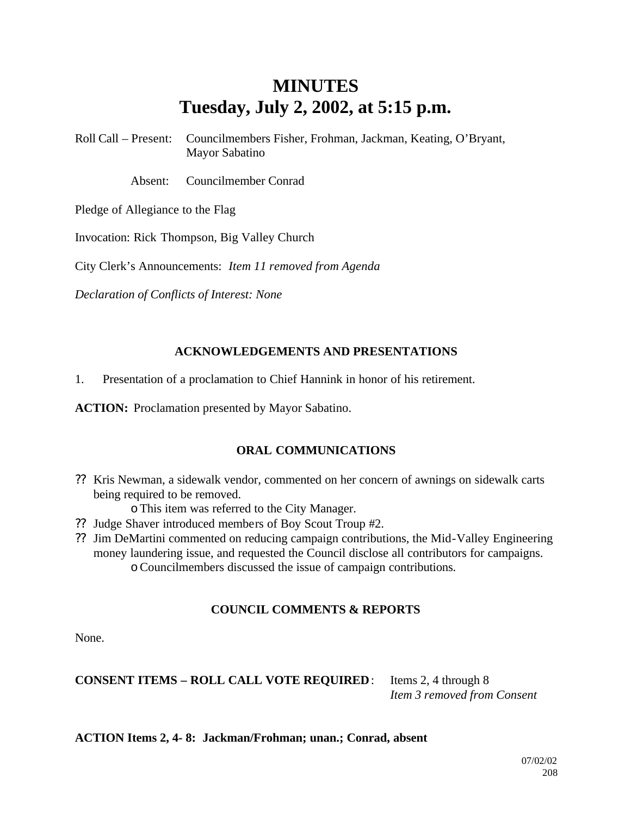# **MINUTES Tuesday, July 2, 2002, at 5:15 p.m.**

Roll Call – Present: Councilmembers Fisher, Frohman, Jackman, Keating, O'Bryant, Mayor Sabatino

Absent: Councilmember Conrad

Pledge of Allegiance to the Flag

Invocation: Rick Thompson, Big Valley Church

City Clerk's Announcements: *Item 11 removed from Agenda*

*Declaration of Conflicts of Interest: None*

## **ACKNOWLEDGEMENTS AND PRESENTATIONS**

1. Presentation of a proclamation to Chief Hannink in honor of his retirement.

**ACTION:** Proclamation presented by Mayor Sabatino.

## **ORAL COMMUNICATIONS**

- ?? Kris Newman, a sidewalk vendor, commented on her concern of awnings on sidewalk carts being required to be removed.
	- oThis item was referred to the City Manager.
- ?? Judge Shaver introduced members of Boy Scout Troup #2.
- ?? Jim DeMartini commented on reducing campaign contributions, the Mid-Valley Engineering money laundering issue, and requested the Council disclose all contributors for campaigns. oCouncilmembers discussed the issue of campaign contributions.

## **COUNCIL COMMENTS & REPORTS**

None.

**CONSENT ITEMS – ROLL CALL VOTE REQUIRED**: Items 2, 4 through 8

*Item 3 removed from Consent*

**ACTION Items 2, 4- 8: Jackman/Frohman; unan.; Conrad, absent**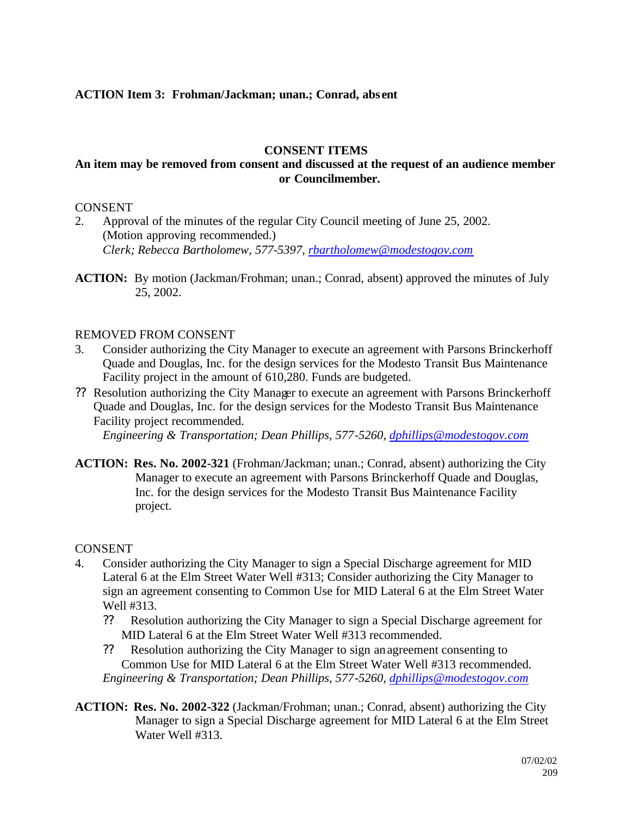## **ACTION Item 3: Frohman/Jackman; unan.; Conrad, abs ent**

## **CONSENT ITEMS**

## **An item may be removed from consent and discussed at the request of an audience member or Councilmember.**

#### CONSENT

- 2. Approval of the minutes of the regular City Council meeting of June 25, 2002. (Motion approving recommended.) *Clerk; Rebecca Bartholomew, 577-5397, rbartholomew@modestogov.com*
- **ACTION:** By motion (Jackman/Frohman; unan.; Conrad, absent) approved the minutes of July 25, 2002.

## REMOVED FROM CONSENT

- 3. Consider authorizing the City Manager to execute an agreement with Parsons Brinckerhoff Quade and Douglas, Inc. for the design services for the Modesto Transit Bus Maintenance Facility project in the amount of 610,280. Funds are budgeted.
- ?? Resolution authorizing the City Manager to execute an agreement with Parsons Brinckerhoff Quade and Douglas, Inc. for the design services for the Modesto Transit Bus Maintenance Facility project recommended.

*Engineering & Transportation; Dean Phillips, 577-5260, dphillips@modestogov.com*

**ACTION: Res. No. 2002-321** (Frohman/Jackman; unan.; Conrad, absent) authorizing the City Manager to execute an agreement with Parsons Brinckerhoff Quade and Douglas, Inc. for the design services for the Modesto Transit Bus Maintenance Facility project.

#### CONSENT

- 4. Consider authorizing the City Manager to sign a Special Discharge agreement for MID Lateral 6 at the Elm Street Water Well #313; Consider authorizing the City Manager to sign an agreement consenting to Common Use for MID Lateral 6 at the Elm Street Water Well #313.
	- ?? Resolution authorizing the City Manager to sign a Special Discharge agreement for MID Lateral 6 at the Elm Street Water Well #313 recommended.
	- ?? Resolution authorizing the City Manager to sign an agreement consenting to Common Use for MID Lateral 6 at the Elm Street Water Well #313 recommended. *Engineering & Transportation; Dean Phillips, 577-5260, dphillips@modestogov.com*
- **ACTION: Res. No. 2002-322** (Jackman/Frohman; unan.; Conrad, absent) authorizing the City Manager to sign a Special Discharge agreement for MID Lateral 6 at the Elm Street Water Well #313.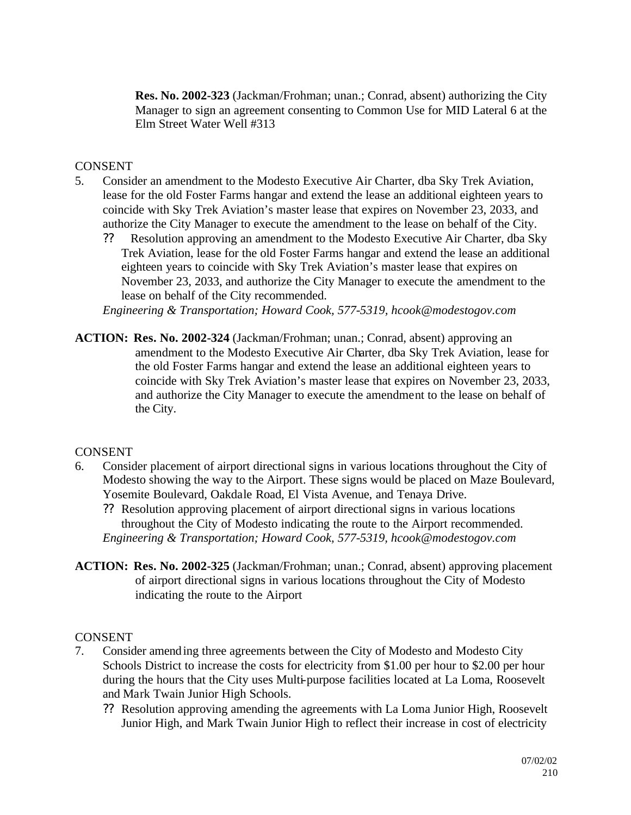**Res. No. 2002-323** (Jackman/Frohman; unan.; Conrad, absent) authorizing the City Manager to sign an agreement consenting to Common Use for MID Lateral 6 at the Elm Street Water Well #313

## CONSENT

- 5. Consider an amendment to the Modesto Executive Air Charter, dba Sky Trek Aviation, lease for the old Foster Farms hangar and extend the lease an additional eighteen years to coincide with Sky Trek Aviation's master lease that expires on November 23, 2033, and authorize the City Manager to execute the amendment to the lease on behalf of the City.
	- ?? Resolution approving an amendment to the Modesto Executive Air Charter, dba Sky Trek Aviation, lease for the old Foster Farms hangar and extend the lease an additional eighteen years to coincide with Sky Trek Aviation's master lease that expires on November 23, 2033, and authorize the City Manager to execute the amendment to the lease on behalf of the City recommended.

*Engineering & Transportation; Howard Cook, 577-5319, hcook@modestogov.com*

**ACTION: Res. No. 2002-324** (Jackman/Frohman; unan.; Conrad, absent) approving an amendment to the Modesto Executive Air Charter, dba Sky Trek Aviation, lease for the old Foster Farms hangar and extend the lease an additional eighteen years to coincide with Sky Trek Aviation's master lease that expires on November 23, 2033, and authorize the City Manager to execute the amendment to the lease on behalf of the City.

## CONSENT

6. Consider placement of airport directional signs in various locations throughout the City of Modesto showing the way to the Airport. These signs would be placed on Maze Boulevard, Yosemite Boulevard, Oakdale Road, El Vista Avenue, and Tenaya Drive.

?? Resolution approving placement of airport directional signs in various locations throughout the City of Modesto indicating the route to the Airport recommended. *Engineering & Transportation; Howard Cook, 577-5319, hcook@modestogov.com*

**ACTION: Res. No. 2002-325** (Jackman/Frohman; unan.; Conrad, absent) approving placement of airport directional signs in various locations throughout the City of Modesto indicating the route to the Airport

## CONSENT

- 7. Consider amending three agreements between the City of Modesto and Modesto City Schools District to increase the costs for electricity from \$1.00 per hour to \$2.00 per hour during the hours that the City uses Multi-purpose facilities located at La Loma, Roosevelt and Mark Twain Junior High Schools.
	- ?? Resolution approving amending the agreements with La Loma Junior High, Roosevelt Junior High, and Mark Twain Junior High to reflect their increase in cost of electricity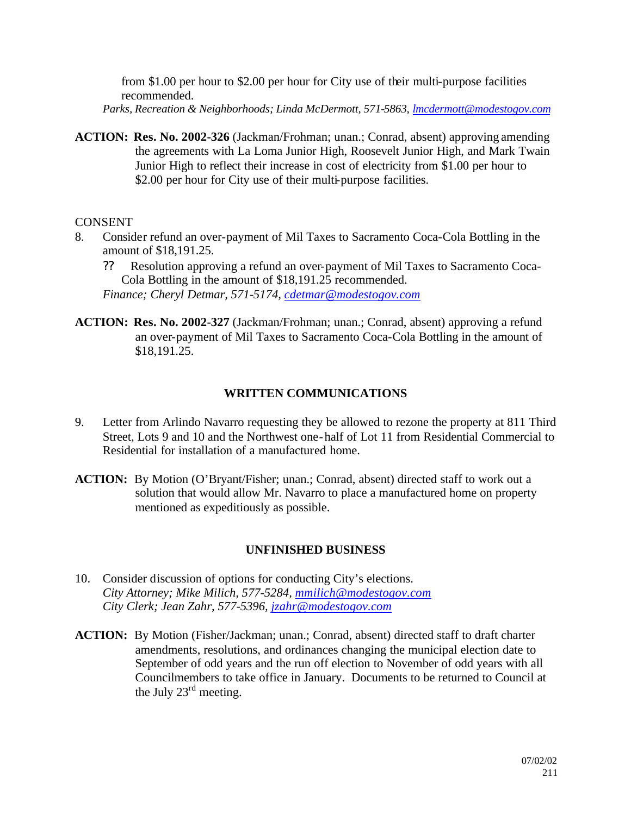from \$1.00 per hour to \$2.00 per hour for City use of their multi-purpose facilities recommended.

- *Parks, Recreation & Neighborhoods; Linda McDermott, 571-5863, lmcdermott@modestogov.com*
- **ACTION: Res. No. 2002-326** (Jackman/Frohman; unan.; Conrad, absent) approving amending the agreements with La Loma Junior High, Roosevelt Junior High, and Mark Twain Junior High to reflect their increase in cost of electricity from \$1.00 per hour to \$2.00 per hour for City use of their multi-purpose facilities.

## **CONSENT**

- 8. Consider refund an over-payment of Mil Taxes to Sacramento Coca-Cola Bottling in the amount of \$18,191.25.
	- ?? Resolution approving a refund an over-payment of Mil Taxes to Sacramento Coca-Cola Bottling in the amount of \$18,191.25 recommended. *Finance; Cheryl Detmar, 571-5174, cdetmar@modestogov.com*
- **ACTION: Res. No. 2002-327** (Jackman/Frohman; unan.; Conrad, absent) approving a refund an over-payment of Mil Taxes to Sacramento Coca-Cola Bottling in the amount of \$18,191.25.

## **WRITTEN COMMUNICATIONS**

- 9. Letter from Arlindo Navarro requesting they be allowed to rezone the property at 811 Third Street, Lots 9 and 10 and the Northwest one-half of Lot 11 from Residential Commercial to Residential for installation of a manufactured home.
- **ACTION:** By Motion (O'Bryant/Fisher; unan.; Conrad, absent) directed staff to work out a solution that would allow Mr. Navarro to place a manufactured home on property mentioned as expeditiously as possible.

## **UNFINISHED BUSINESS**

- 10. Consider discussion of options for conducting City's elections. *City Attorney; Mike Milich, 577-5284, mmilich@modestogov.com City Clerk; Jean Zahr, 577-5396, jzahr@modestogov.com*
- **ACTION:** By Motion (Fisher/Jackman; unan.; Conrad, absent) directed staff to draft charter amendments, resolutions, and ordinances changing the municipal election date to September of odd years and the run off election to November of odd years with all Councilmembers to take office in January. Documents to be returned to Council at the July 23rd meeting.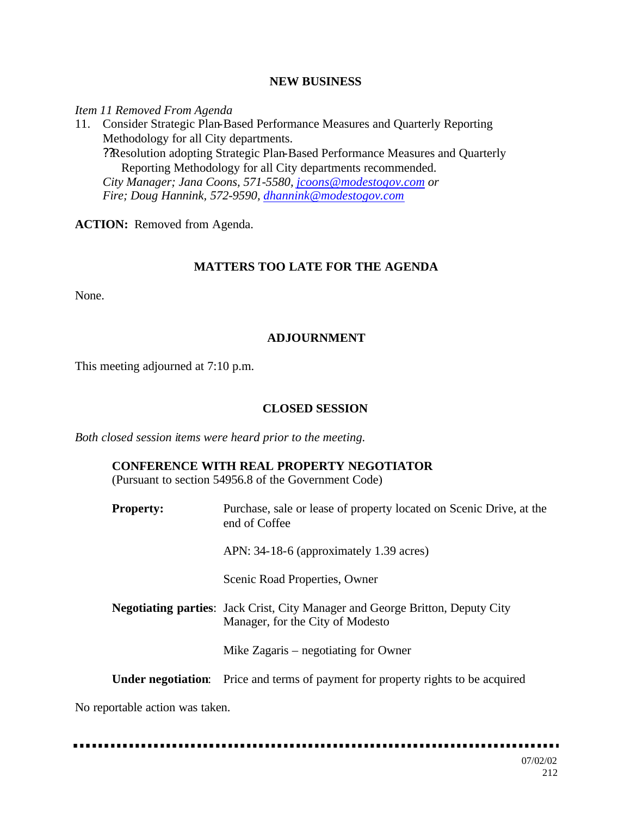#### **NEW BUSINESS**

*Item 11 Removed From Agenda*

11. Consider Strategic Plan-Based Performance Measures and Quarterly Reporting Methodology for all City departments. ??Resolution adopting Strategic Plan-Based Performance Measures and Quarterly Reporting Methodology for all City departments recommended. *City Manager; Jana Coons, 571-5580, jcoons@modestogov.com or Fire; Doug Hannink, 572-9590, dhannink@modestogov.com*

**ACTION:** Removed from Agenda.

## **MATTERS TOO LATE FOR THE AGENDA**

None.

## **ADJOURNMENT**

This meeting adjourned at 7:10 p.m.

#### **CLOSED SESSION**

*Both closed session items were heard prior to the meeting.*

## **CONFERENCE WITH REAL PROPERTY NEGOTIATOR**

(Pursuant to section 54956.8 of the Government Code)

**Property:** Purchase, sale or lease of property located on Scenic Drive, at the end of Coffee APN: 34-18-6 (approximately 1.39 acres) Scenic Road Properties, Owner **Negotiating parties**: Jack Crist, City Manager and George Britton, Deputy City Manager, for the City of Modesto Mike Zagaris – negotiating for Owner **Under negotiation**: Price and terms of payment for property rights to be acquired

No reportable action was taken.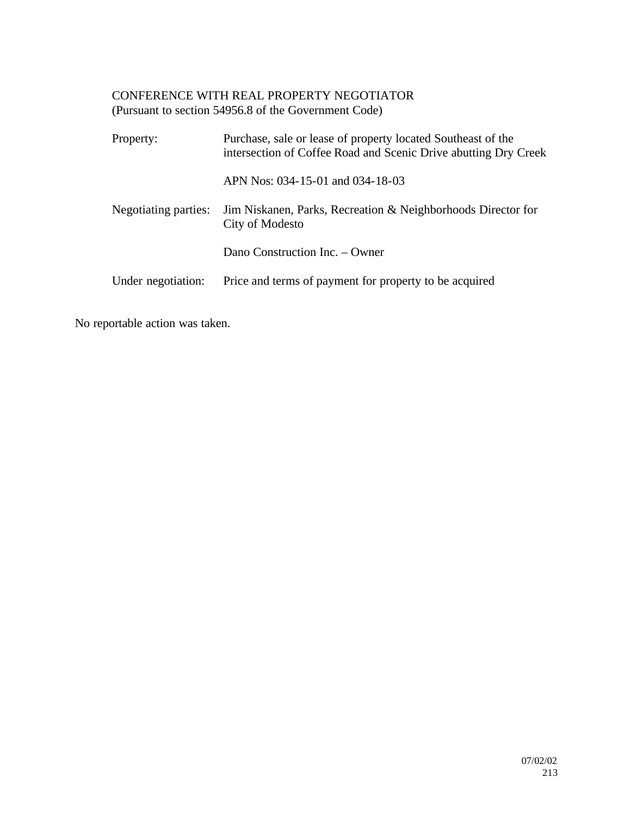## CONFERENCE WITH REAL PROPERTY NEGOTIATOR (Pursuant to section 54956.8 of the Government Code)

| Property:            | Purchase, sale or lease of property located Southeast of the<br>intersection of Coffee Road and Scenic Drive abutting Dry Creek |
|----------------------|---------------------------------------------------------------------------------------------------------------------------------|
|                      | APN Nos: 034-15-01 and 034-18-03                                                                                                |
| Negotiating parties: | Jim Niskanen, Parks, Recreation & Neighborhoods Director for<br>City of Modesto                                                 |
|                      | Dano Construction Inc. – Owner                                                                                                  |
| Under negotiation:   | Price and terms of payment for property to be acquired                                                                          |

No reportable action was taken.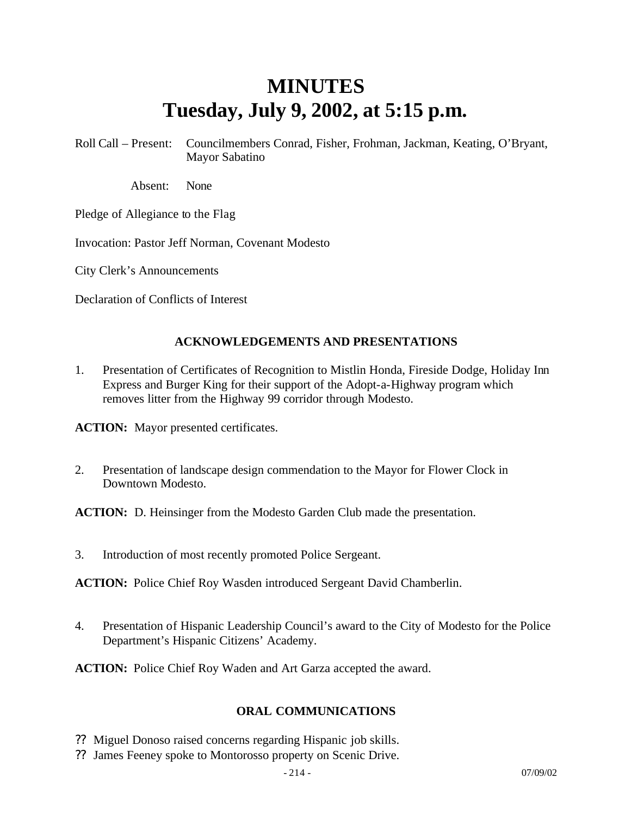# **MINUTES Tuesday, July 9, 2002, at 5:15 p.m.**

Roll Call – Present: Councilmembers Conrad, Fisher, Frohman, Jackman, Keating, O'Bryant, Mayor Sabatino

Absent: None

Pledge of Allegiance to the Flag

Invocation: Pastor Jeff Norman, Covenant Modesto

City Clerk's Announcements

Declaration of Conflicts of Interest

#### **ACKNOWLEDGEMENTS AND PRESENTATIONS**

1. Presentation of Certificates of Recognition to Mistlin Honda, Fireside Dodge, Holiday Inn Express and Burger King for their support of the Adopt-a-Highway program which removes litter from the Highway 99 corridor through Modesto.

**ACTION:** Mayor presented certificates.

2. Presentation of landscape design commendation to the Mayor for Flower Clock in Downtown Modesto.

**ACTION:** D. Heinsinger from the Modesto Garden Club made the presentation.

3. Introduction of most recently promoted Police Sergeant.

**ACTION:** Police Chief Roy Wasden introduced Sergeant David Chamberlin.

4. Presentation of Hispanic Leadership Council's award to the City of Modesto for the Police Department's Hispanic Citizens' Academy.

**ACTION:** Police Chief Roy Waden and Art Garza accepted the award.

#### **ORAL COMMUNICATIONS**

- ?? Miguel Donoso raised concerns regarding Hispanic job skills.
- ?? James Feeney spoke to Montorosso property on Scenic Drive.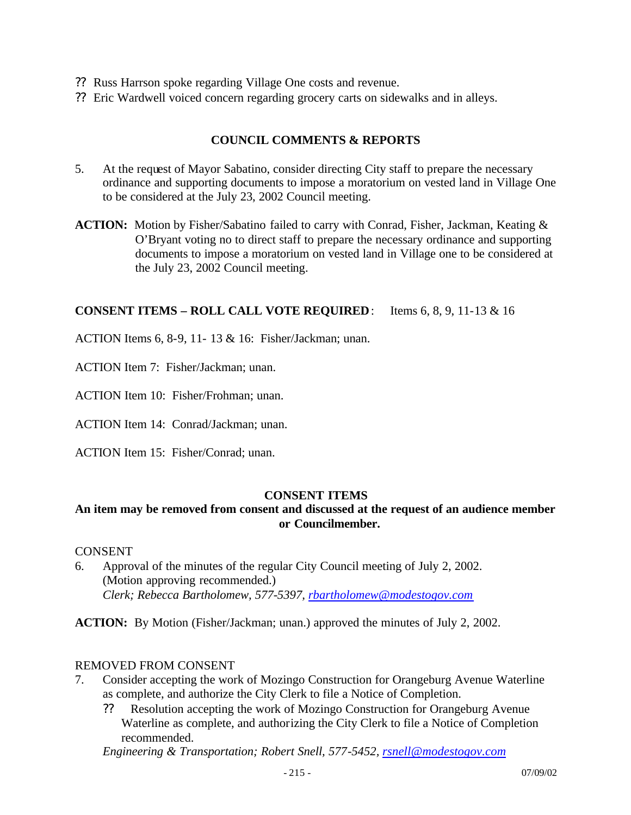- ?? Russ Harrson spoke regarding Village One costs and revenue.
- ?? Eric Wardwell voiced concern regarding grocery carts on sidewalks and in alleys.

## **COUNCIL COMMENTS & REPORTS**

- 5. At the request of Mayor Sabatino, consider directing City staff to prepare the necessary ordinance and supporting documents to impose a moratorium on vested land in Village One to be considered at the July 23, 2002 Council meeting.
- **ACTION:** Motion by Fisher/Sabatino failed to carry with Conrad, Fisher, Jackman, Keating & O'Bryant voting no to direct staff to prepare the necessary ordinance and supporting documents to impose a moratorium on vested land in Village one to be considered at the July 23, 2002 Council meeting.

#### **CONSENT ITEMS – ROLL CALL VOTE REQUIRED**: Items 6, 8, 9, 11-13 & 16

ACTION Items 6, 8-9, 11- 13 & 16: Fisher/Jackman; unan.

ACTION Item 7: Fisher/Jackman; unan.

ACTION Item 10: Fisher/Frohman; unan.

ACTION Item 14: Conrad/Jackman; unan.

ACTION Item 15: Fisher/Conrad; unan.

#### **CONSENT ITEMS**

## **An item may be removed from consent and discussed at the request of an audience member or Councilmember.**

#### **CONSENT**

6. Approval of the minutes of the regular City Council meeting of July 2, 2002. (Motion approving recommended.) *Clerk; Rebecca Bartholomew, 577-5397, rbartholomew@modestogov.com*

**ACTION:** By Motion (Fisher/Jackman; unan.) approved the minutes of July 2, 2002.

#### REMOVED FROM CONSENT

- 7. Consider accepting the work of Mozingo Construction for Orangeburg Avenue Waterline as complete, and authorize the City Clerk to file a Notice of Completion.
	- ?? Resolution accepting the work of Mozingo Construction for Orangeburg Avenue Waterline as complete, and authorizing the City Clerk to file a Notice of Completion recommended.

*Engineering & Transportation; Robert Snell, 577-5452, rsnell@modestogov.com*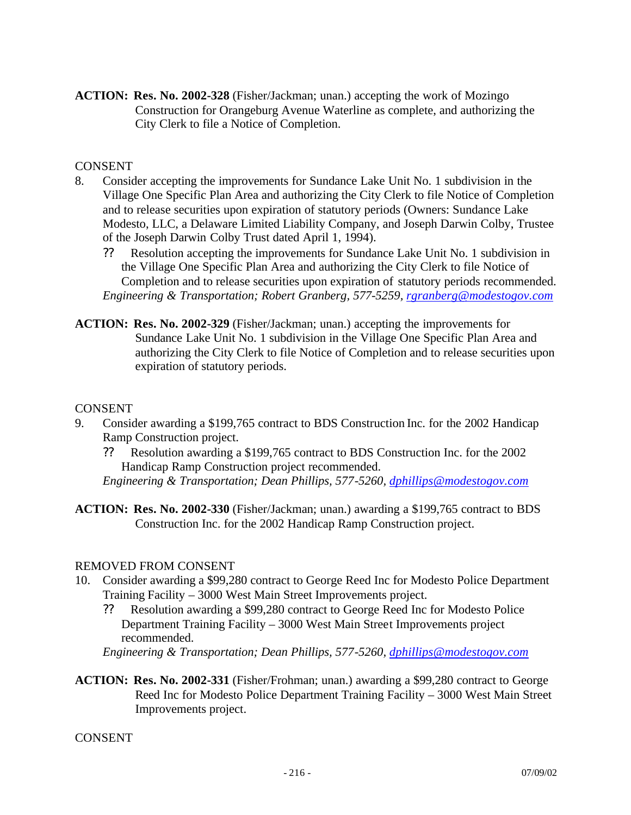**ACTION: Res. No. 2002-328** (Fisher/Jackman; unan.) accepting the work of Mozingo Construction for Orangeburg Avenue Waterline as complete, and authorizing the City Clerk to file a Notice of Completion.

## CONSENT

- 8. Consider accepting the improvements for Sundance Lake Unit No. 1 subdivision in the Village One Specific Plan Area and authorizing the City Clerk to file Notice of Completion and to release securities upon expiration of statutory periods (Owners: Sundance Lake Modesto, LLC, a Delaware Limited Liability Company, and Joseph Darwin Colby, Trustee of the Joseph Darwin Colby Trust dated April 1, 1994).
	- ?? Resolution accepting the improvements for Sundance Lake Unit No. 1 subdivision in the Village One Specific Plan Area and authorizing the City Clerk to file Notice of Completion and to release securities upon expiration of statutory periods recommended. *Engineering & Transportation; Robert Granberg, 577-5259, rgranberg@modestogov.com*
- **ACTION: Res. No. 2002-329** (Fisher/Jackman; unan.) accepting the improvements for Sundance Lake Unit No. 1 subdivision in the Village One Specific Plan Area and authorizing the City Clerk to file Notice of Completion and to release securities upon expiration of statutory periods.

#### CONSENT

- 9. Consider awarding a \$199,765 contract to BDS Construction Inc. for the 2002 Handicap Ramp Construction project.
	- ?? Resolution awarding a \$199,765 contract to BDS Construction Inc. for the 2002 Handicap Ramp Construction project recommended.
	- *Engineering & Transportation; Dean Phillips, 577-5260, dphillips@modestogov.com*
- **ACTION: Res. No. 2002-330** (Fisher/Jackman; unan.) awarding a \$199,765 contract to BDS Construction Inc. for the 2002 Handicap Ramp Construction project.

#### REMOVED FROM CONSENT

- 10. Consider awarding a \$99,280 contract to George Reed Inc for Modesto Police Department Training Facility – 3000 West Main Street Improvements project.
	- ?? Resolution awarding a \$99,280 contract to George Reed Inc for Modesto Police Department Training Facility – 3000 West Main Street Improvements project recommended.

*Engineering & Transportation; Dean Phillips, 577-5260, dphillips@modestogov.com*

**ACTION: Res. No. 2002-331** (Fisher/Frohman; unan.) awarding a \$99,280 contract to George Reed Inc for Modesto Police Department Training Facility – 3000 West Main Street Improvements project.

**CONSENT**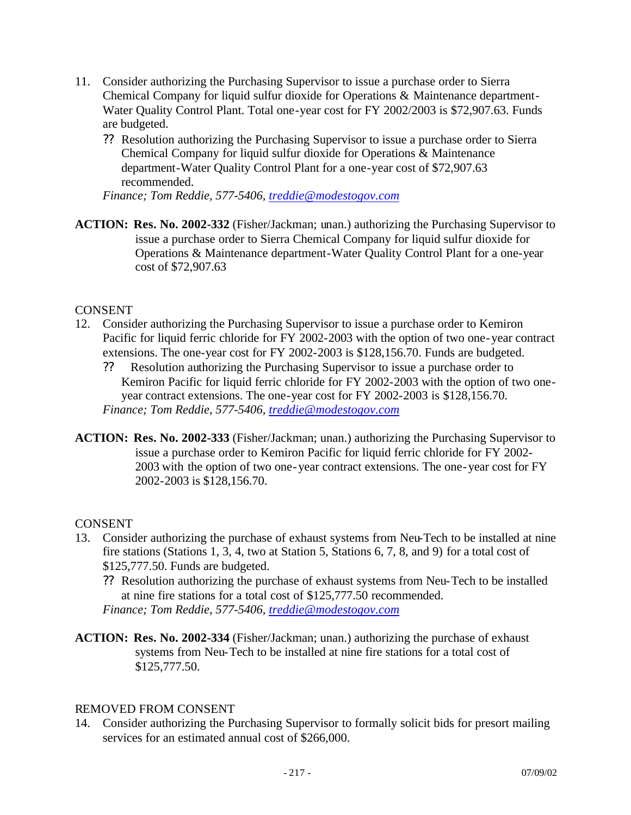- 11. Consider authorizing the Purchasing Supervisor to issue a purchase order to Sierra Chemical Company for liquid sulfur dioxide for Operations & Maintenance department-Water Quality Control Plant. Total one-year cost for FY 2002/2003 is \$72,907.63. Funds are budgeted.
	- ?? Resolution authorizing the Purchasing Supervisor to issue a purchase order to Sierra Chemical Company for liquid sulfur dioxide for Operations & Maintenance department-Water Quality Control Plant for a one-year cost of \$72,907.63 recommended.

*Finance; Tom Reddie, 577-5406, treddie@modestogov.com*

**ACTION: Res. No. 2002-332** (Fisher/Jackman; unan.) authorizing the Purchasing Supervisor to issue a purchase order to Sierra Chemical Company for liquid sulfur dioxide for Operations & Maintenance department-Water Quality Control Plant for a one-year cost of \$72,907.63

#### CONSENT

- 12. Consider authorizing the Purchasing Supervisor to issue a purchase order to Kemiron Pacific for liquid ferric chloride for FY 2002-2003 with the option of two one-year contract extensions. The one-year cost for FY 2002-2003 is \$128,156.70. Funds are budgeted.
	- ?? Resolution authorizing the Purchasing Supervisor to issue a purchase order to Kemiron Pacific for liquid ferric chloride for FY 2002-2003 with the option of two oneyear contract extensions. The one-year cost for FY 2002-2003 is \$128,156.70. *Finance; Tom Reddie, 577-5406, treddie@modestogov.com*
- **ACTION: Res. No. 2002-333** (Fisher/Jackman; unan.) authorizing the Purchasing Supervisor to issue a purchase order to Kemiron Pacific for liquid ferric chloride for FY 2002- 2003 with the option of two one-year contract extensions. The one-year cost for FY 2002-2003 is \$128,156.70.

#### **CONSENT**

- 13. Consider authorizing the purchase of exhaust systems from Neu-Tech to be installed at nine fire stations (Stations 1, 3, 4, two at Station 5, Stations 6, 7, 8, and 9) for a total cost of \$125,777.50. Funds are budgeted.
	- ?? Resolution authorizing the purchase of exhaust systems from Neu-Tech to be installed at nine fire stations for a total cost of \$125,777.50 recommended. *Finance; Tom Reddie, 577-5406, treddie@modestogov.com*
- **ACTION: Res. No. 2002-334** (Fisher/Jackman; unan.) authorizing the purchase of exhaust systems from Neu-Tech to be installed at nine fire stations for a total cost of \$125,777.50.

#### REMOVED FROM CONSENT

14. Consider authorizing the Purchasing Supervisor to formally solicit bids for presort mailing services for an estimated annual cost of \$266,000.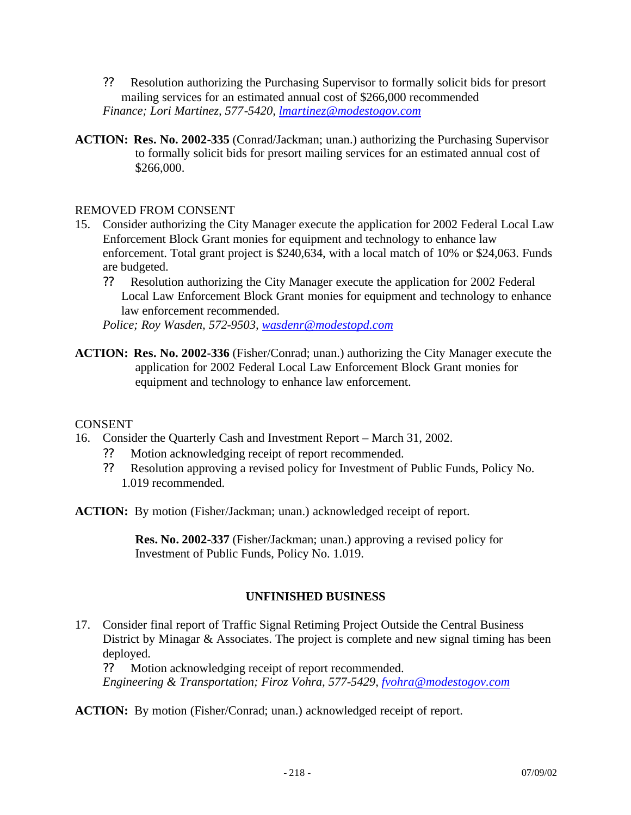- ?? Resolution authorizing the Purchasing Supervisor to formally solicit bids for presort mailing services for an estimated annual cost of \$266,000 recommended *Finance; Lori Martinez, 577-5420, lmartinez@modestogov.com*
- **ACTION: Res. No. 2002-335** (Conrad/Jackman; unan.) authorizing the Purchasing Supervisor to formally solicit bids for presort mailing services for an estimated annual cost of \$266,000.

#### REMOVED FROM CONSENT

- 15. Consider authorizing the City Manager execute the application for 2002 Federal Local Law Enforcement Block Grant monies for equipment and technology to enhance law enforcement. Total grant project is \$240,634, with a local match of 10% or \$24,063. Funds are budgeted.
	- ?? Resolution authorizing the City Manager execute the application for 2002 Federal Local Law Enforcement Block Grant monies for equipment and technology to enhance law enforcement recommended.

*Police; Roy Wasden, 572-9503, wasdenr@modestopd.com*

**ACTION: Res. No. 2002-336** (Fisher/Conrad; unan.) authorizing the City Manager execute the application for 2002 Federal Local Law Enforcement Block Grant monies for equipment and technology to enhance law enforcement.

#### **CONSENT**

- 16. Consider the Quarterly Cash and Investment Report March 31, 2002.
	- ?? Motion acknowledging receipt of report recommended.
	- ?? Resolution approving a revised policy for Investment of Public Funds, Policy No. 1.019 recommended.
- **ACTION:** By motion (Fisher/Jackman; unan.) acknowledged receipt of report.

**Res. No. 2002-337** (Fisher/Jackman; unan.) approving a revised policy for Investment of Public Funds, Policy No. 1.019.

#### **UNFINISHED BUSINESS**

17. Consider final report of Traffic Signal Retiming Project Outside the Central Business District by Minagar & Associates. The project is complete and new signal timing has been deployed.

?? Motion acknowledging receipt of report recommended. *Engineering & Transportation; Firoz Vohra, 577-5429, fvohra@modestogov.com*

**ACTION:** By motion (Fisher/Conrad; unan.) acknowledged receipt of report.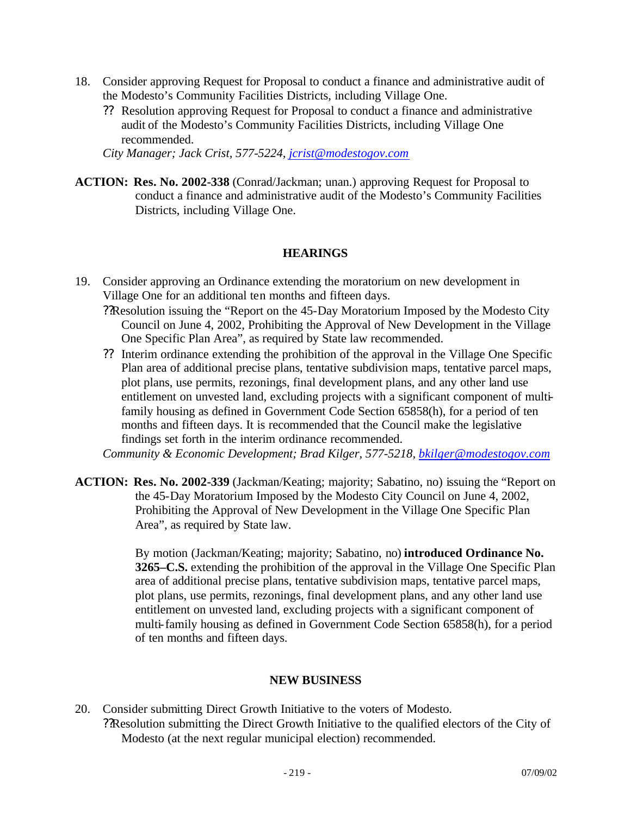- 18. Consider approving Request for Proposal to conduct a finance and administrative audit of the Modesto's Community Facilities Districts, including Village One.
	- ?? Resolution approving Request for Proposal to conduct a finance and administrative audit of the Modesto's Community Facilities Districts, including Village One recommended.

*City Manager; Jack Crist, 577-5224, jcrist@modestogov.com*

**ACTION: Res. No. 2002-338** (Conrad/Jackman; unan.) approving Request for Proposal to conduct a finance and administrative audit of the Modesto's Community Facilities Districts, including Village One.

#### **HEARINGS**

- 19. Consider approving an Ordinance extending the moratorium on new development in Village One for an additional ten months and fifteen days.
	- ??Resolution issuing the "Report on the 45-Day Moratorium Imposed by the Modesto City Council on June 4, 2002, Prohibiting the Approval of New Development in the Village One Specific Plan Area", as required by State law recommended.
	- ?? Interim ordinance extending the prohibition of the approval in the Village One Specific Plan area of additional precise plans, tentative subdivision maps, tentative parcel maps, plot plans, use permits, rezonings, final development plans, and any other land use entitlement on unvested land, excluding projects with a significant component of multifamily housing as defined in Government Code Section 65858(h), for a period of ten months and fifteen days. It is recommended that the Council make the legislative findings set forth in the interim ordinance recommended.

*Community & Economic Development; Brad Kilger, 577-5218, bkilger@modestogov.com*

**ACTION: Res. No. 2002-339** (Jackman/Keating; majority; Sabatino, no) issuing the "Report on the 45-Day Moratorium Imposed by the Modesto City Council on June 4, 2002, Prohibiting the Approval of New Development in the Village One Specific Plan Area", as required by State law.

> By motion (Jackman/Keating; majority; Sabatino, no) **introduced Ordinance No. 3265–C.S.** extending the prohibition of the approval in the Village One Specific Plan area of additional precise plans, tentative subdivision maps, tentative parcel maps, plot plans, use permits, rezonings, final development plans, and any other land use entitlement on unvested land, excluding projects with a significant component of multi-family housing as defined in Government Code Section 65858(h), for a period of ten months and fifteen days.

#### **NEW BUSINESS**

20. Consider submitting Direct Growth Initiative to the voters of Modesto. ??Resolution submitting the Direct Growth Initiative to the qualified electors of the City of Modesto (at the next regular municipal election) recommended.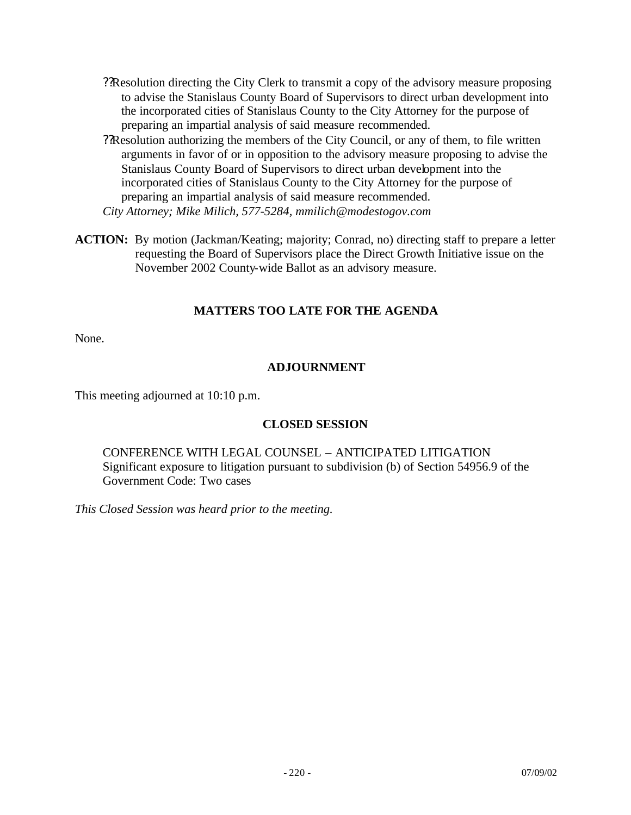- ??Resolution directing the City Clerk to transmit a copy of the advisory measure proposing to advise the Stanislaus County Board of Supervisors to direct urban development into the incorporated cities of Stanislaus County to the City Attorney for the purpose of preparing an impartial analysis of said measure recommended.
- ??Resolution authorizing the members of the City Council, or any of them, to file written arguments in favor of or in opposition to the advisory measure proposing to advise the Stanislaus County Board of Supervisors to direct urban development into the incorporated cities of Stanislaus County to the City Attorney for the purpose of preparing an impartial analysis of said measure recommended. *City Attorney; Mike Milich, 577-5284, mmilich@modestogov.com*
- **ACTION:** By motion (Jackman/Keating; majority; Conrad, no) directing staff to prepare a letter requesting the Board of Supervisors place the Direct Growth Initiative issue on the November 2002 County-wide Ballot as an advisory measure.

## **MATTERS TOO LATE FOR THE AGENDA**

None.

#### **ADJOURNMENT**

This meeting adjourned at 10:10 p.m.

#### **CLOSED SESSION**

CONFERENCE WITH LEGAL COUNSEL – ANTICIPATED LITIGATION Significant exposure to litigation pursuant to subdivision (b) of Section 54956.9 of the Government Code: Two cases

*This Closed Session was heard prior to the meeting.*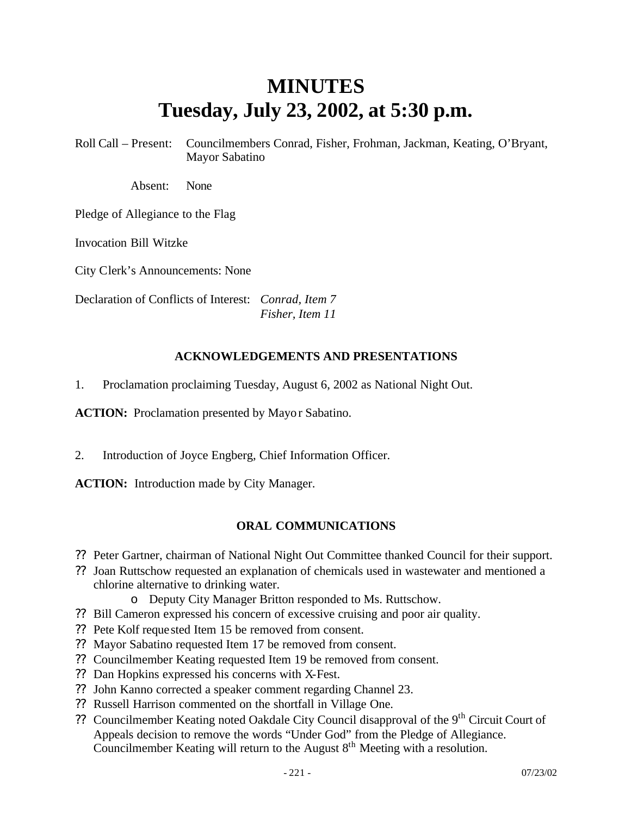# **MINUTES Tuesday, July 23, 2002, at 5:30 p.m.**

Roll Call – Present: Councilmembers Conrad, Fisher, Frohman, Jackman, Keating, O'Bryant, Mayor Sabatino

Absent: None

Pledge of Allegiance to the Flag

Invocation Bill Witzke

City Clerk's Announcements: None

Declaration of Conflicts of Interest: *Conrad, Item 7 Fisher, Item 11*

#### **ACKNOWLEDGEMENTS AND PRESENTATIONS**

1. Proclamation proclaiming Tuesday, August 6, 2002 as National Night Out.

**ACTION:** Proclamation presented by Mayor Sabatino.

2. Introduction of Joyce Engberg, Chief Information Officer.

**ACTION:** Introduction made by City Manager.

## **ORAL COMMUNICATIONS**

- ?? Peter Gartner, chairman of National Night Out Committee thanked Council for their support.
- ?? Joan Ruttschow requested an explanation of chemicals used in wastewater and mentioned a chlorine alternative to drinking water.
	- o Deputy City Manager Britton responded to Ms. Ruttschow.
- ?? Bill Cameron expressed his concern of excessive cruising and poor air quality.
- ?? Pete Kolf reque sted Item 15 be removed from consent.
- ?? Mayor Sabatino requested Item 17 be removed from consent.
- ?? Councilmember Keating requested Item 19 be removed from consent.
- ?? Dan Hopkins expressed his concerns with X-Fest.
- ?? John Kanno corrected a speaker comment regarding Channel 23.
- ?? Russell Harrison commented on the shortfall in Village One.
- ?? Councilmember Keating noted Oakdale City Council disapproval of the 9<sup>th</sup> Circuit Court of Appeals decision to remove the words "Under God" from the Pledge of Allegiance. Councilmember Keating will return to the August  $8<sup>th</sup>$  Meeting with a resolution.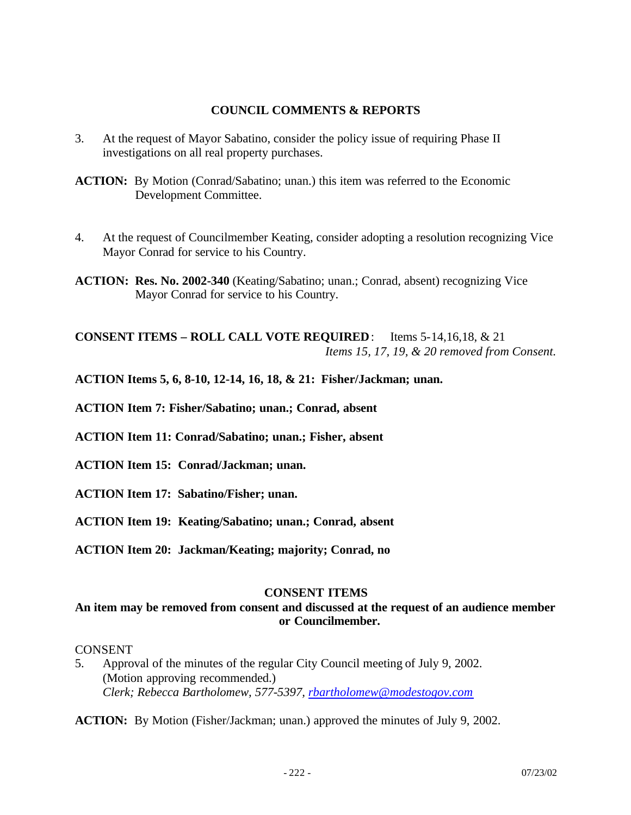#### **COUNCIL COMMENTS & REPORTS**

- 3. At the request of Mayor Sabatino, consider the policy issue of requiring Phase II investigations on all real property purchases.
- **ACTION:** By Motion (Conrad/Sabatino; unan.) this item was referred to the Economic Development Committee.
- 4. At the request of Councilmember Keating, consider adopting a resolution recognizing Vice Mayor Conrad for service to his Country.
- **ACTION: Res. No. 2002-340** (Keating/Sabatino; unan.; Conrad, absent) recognizing Vice Mayor Conrad for service to his Country.

**CONSENT ITEMS – ROLL CALL VOTE REQUIRED**: Items 5-14,16,18, & 21 *Items 15, 17, 19, & 20 removed from Consent.*

**ACTION Items 5, 6, 8-10, 12-14, 16, 18, & 21: Fisher/Jackman; unan.**

**ACTION Item 7: Fisher/Sabatino; unan.; Conrad, absent**

**ACTION Item 11: Conrad/Sabatino; unan.; Fisher, absent**

**ACTION Item 15: Conrad/Jackman; unan.**

- **ACTION Item 17: Sabatino/Fisher; unan.**
- **ACTION Item 19: Keating/Sabatino; unan.; Conrad, absent**
- **ACTION Item 20: Jackman/Keating; majority; Conrad, no**

#### **CONSENT ITEMS**

#### **An item may be removed from consent and discussed at the request of an audience member or Councilmember.**

#### CONSENT

5. Approval of the minutes of the regular City Council meeting of July 9, 2002. (Motion approving recommended.) *Clerk; Rebecca Bartholomew, 577-5397, rbartholomew@modestogov.com*

**ACTION:** By Motion (Fisher/Jackman; unan.) approved the minutes of July 9, 2002.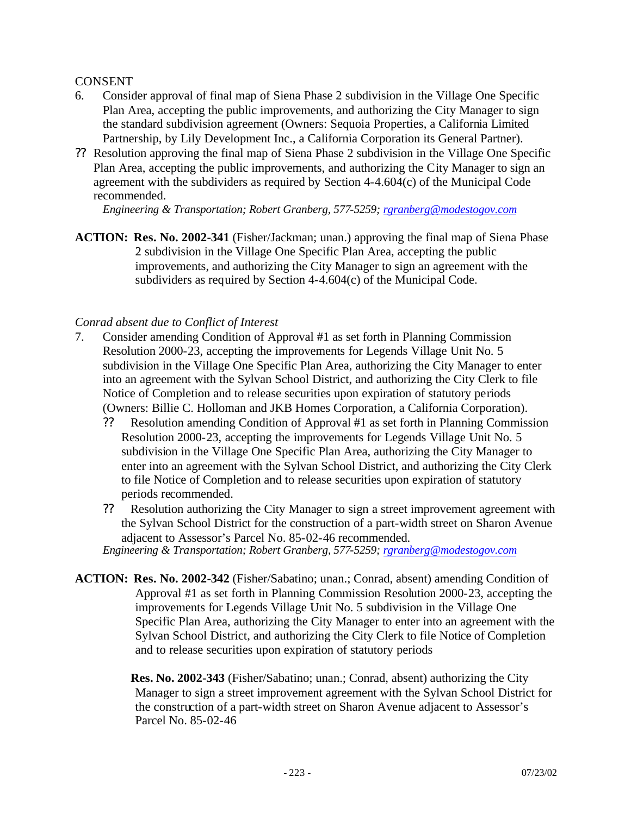#### CONSENT

- 6. Consider approval of final map of Siena Phase 2 subdivision in the Village One Specific Plan Area, accepting the public improvements, and authorizing the City Manager to sign the standard subdivision agreement (Owners: Sequoia Properties, a California Limited Partnership, by Lily Development Inc., a California Corporation its General Partner).
- ?? Resolution approving the final map of Siena Phase 2 subdivision in the Village One Specific Plan Area, accepting the public improvements, and authorizing the City Manager to sign an agreement with the subdividers as required by Section 4-4.604(c) of the Municipal Code recommended.

*Engineering & Transportation; Robert Granberg, 577-5259; rgranberg@modestogov.com*

**ACTION: Res. No. 2002-341** (Fisher/Jackman; unan.) approving the final map of Siena Phase 2 subdivision in the Village One Specific Plan Area, accepting the public improvements, and authorizing the City Manager to sign an agreement with the subdividers as required by Section 4-4.604(c) of the Municipal Code.

#### *Conrad absent due to Conflict of Interest*

- 7. Consider amending Condition of Approval #1 as set forth in Planning Commission Resolution 2000-23, accepting the improvements for Legends Village Unit No. 5 subdivision in the Village One Specific Plan Area, authorizing the City Manager to enter into an agreement with the Sylvan School District, and authorizing the City Clerk to file Notice of Completion and to release securities upon expiration of statutory periods (Owners: Billie C. Holloman and JKB Homes Corporation, a California Corporation).
	- ?? Resolution amending Condition of Approval #1 as set forth in Planning Commission Resolution 2000-23, accepting the improvements for Legends Village Unit No. 5 subdivision in the Village One Specific Plan Area, authorizing the City Manager to enter into an agreement with the Sylvan School District, and authorizing the City Clerk to file Notice of Completion and to release securities upon expiration of statutory periods recommended.
	- ?? Resolution authorizing the City Manager to sign a street improvement agreement with the Sylvan School District for the construction of a part-width street on Sharon Avenue adjacent to Assessor's Parcel No. 85-02-46 recommended. *Engineering & Transportation; Robert Granberg, 577-5259; rgranberg@modestogov.com*
- **ACTION: Res. No. 2002-342** (Fisher/Sabatino; unan.; Conrad, absent) amending Condition of Approval #1 as set forth in Planning Commission Resolution 2000-23, accepting the improvements for Legends Village Unit No. 5 subdivision in the Village One Specific Plan Area, authorizing the City Manager to enter into an agreement with the Sylvan School District, and authorizing the City Clerk to file Notice of Completion and to release securities upon expiration of statutory periods

**Res. No. 2002-343** (Fisher/Sabatino; unan.; Conrad, absent) authorizing the City Manager to sign a street improvement agreement with the Sylvan School District for the construction of a part-width street on Sharon Avenue adjacent to Assessor's Parcel No. 85-02-46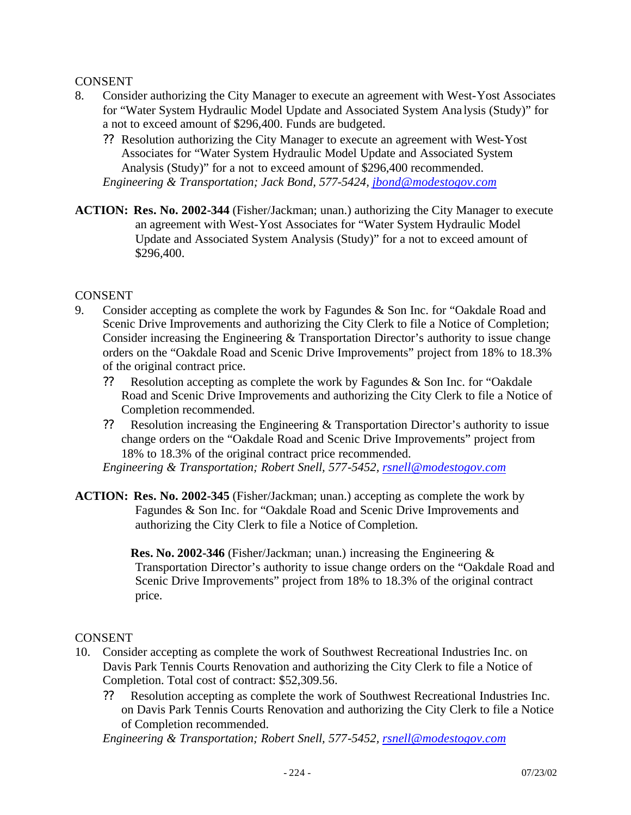#### CONSENT

- 8. Consider authorizing the City Manager to execute an agreement with West-Yost Associates for "Water System Hydraulic Model Update and Associated System Ana lysis (Study)" for a not to exceed amount of \$296,400. Funds are budgeted.
	- ?? Resolution authorizing the City Manager to execute an agreement with West-Yost Associates for "Water System Hydraulic Model Update and Associated System Analysis (Study)" for a not to exceed amount of \$296,400 recommended. *Engineering & Transportation; Jack Bond, 577-5424, jbond@modestogov.com*
- **ACTION: Res. No. 2002-344** (Fisher/Jackman; unan.) authorizing the City Manager to execute an agreement with West-Yost Associates for "Water System Hydraulic Model Update and Associated System Analysis (Study)" for a not to exceed amount of \$296,400.

#### CONSENT

- 9. Consider accepting as complete the work by Fagundes & Son Inc. for "Oakdale Road and Scenic Drive Improvements and authorizing the City Clerk to file a Notice of Completion; Consider increasing the Engineering & Transportation Director's authority to issue change orders on the "Oakdale Road and Scenic Drive Improvements" project from 18% to 18.3% of the original contract price.
	- ?? Resolution accepting as complete the work by Fagundes & Son Inc. for "Oakdale Road and Scenic Drive Improvements and authorizing the City Clerk to file a Notice of Completion recommended.
	- ?? Resolution increasing the Engineering & Transportation Director's authority to issue change orders on the "Oakdale Road and Scenic Drive Improvements" project from 18% to 18.3% of the original contract price recommended.

*Engineering & Transportation; Robert Snell, 577-5452, rsnell@modestogov.com*

**ACTION: Res. No. 2002-345** (Fisher/Jackman; unan.) accepting as complete the work by Fagundes & Son Inc. for "Oakdale Road and Scenic Drive Improvements and authorizing the City Clerk to file a Notice of Completion.

> **Res. No. 2002-346** (Fisher/Jackman; unan.) increasing the Engineering & Transportation Director's authority to issue change orders on the "Oakdale Road and Scenic Drive Improvements" project from 18% to 18.3% of the original contract price.

#### CONSENT

- 10. Consider accepting as complete the work of Southwest Recreational Industries Inc. on Davis Park Tennis Courts Renovation and authorizing the City Clerk to file a Notice of Completion. Total cost of contract: \$52,309.56.
	- ?? Resolution accepting as complete the work of Southwest Recreational Industries Inc. on Davis Park Tennis Courts Renovation and authorizing the City Clerk to file a Notice of Completion recommended.

*Engineering & Transportation; Robert Snell, 577-5452, rsnell@modestogov.com*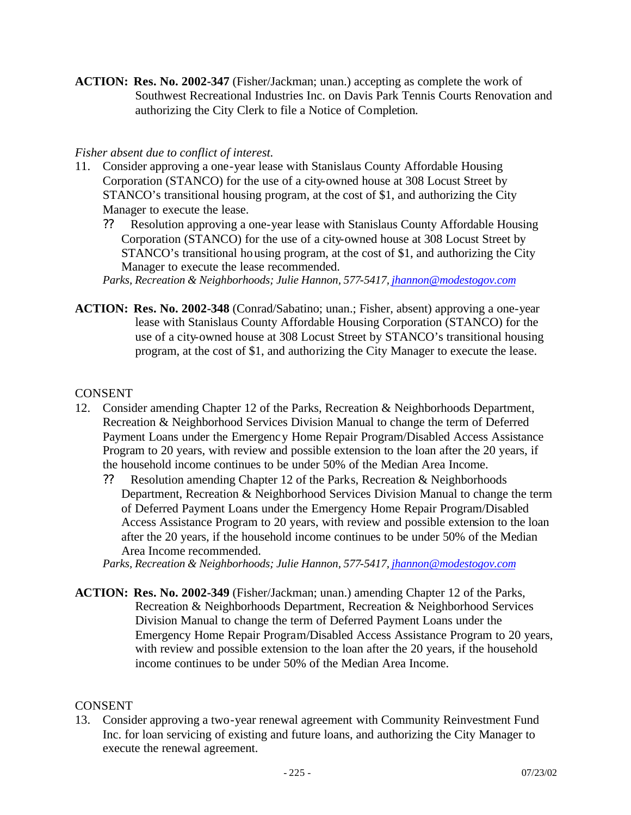**ACTION: Res. No. 2002-347** (Fisher/Jackman; unan.) accepting as complete the work of Southwest Recreational Industries Inc. on Davis Park Tennis Courts Renovation and authorizing the City Clerk to file a Notice of Completion.

#### *Fisher absent due to conflict of interest.*

- 11. Consider approving a one-year lease with Stanislaus County Affordable Housing Corporation (STANCO) for the use of a city-owned house at 308 Locust Street by STANCO's transitional housing program, at the cost of \$1, and authorizing the City Manager to execute the lease.
	- ?? Resolution approving a one-year lease with Stanislaus County Affordable Housing Corporation (STANCO) for the use of a city-owned house at 308 Locust Street by STANCO's transitional housing program, at the cost of \$1, and authorizing the City Manager to execute the lease recommended.

*Parks, Recreation & Neighborhoods; Julie Hannon, 577-5417, jhannon@modestogov.com*

**ACTION: Res. No. 2002-348** (Conrad/Sabatino; unan.; Fisher, absent) approving a one-year lease with Stanislaus County Affordable Housing Corporation (STANCO) for the use of a city-owned house at 308 Locust Street by STANCO's transitional housing program, at the cost of \$1, and authorizing the City Manager to execute the lease.

#### CONSENT

- 12. Consider amending Chapter 12 of the Parks, Recreation & Neighborhoods Department, Recreation & Neighborhood Services Division Manual to change the term of Deferred Payment Loans under the Emergency Home Repair Program/Disabled Access Assistance Program to 20 years, with review and possible extension to the loan after the 20 years, if the household income continues to be under 50% of the Median Area Income.
	- ?? Resolution amending Chapter 12 of the Parks, Recreation & Neighborhoods Department, Recreation & Neighborhood Services Division Manual to change the term of Deferred Payment Loans under the Emergency Home Repair Program/Disabled Access Assistance Program to 20 years, with review and possible extension to the loan after the 20 years, if the household income continues to be under 50% of the Median Area Income recommended.

*Parks, Recreation & Neighborhoods; Julie Hannon, 577-5417, jhannon@modestogov.com*

**ACTION: Res. No. 2002-349** (Fisher/Jackman; unan.) amending Chapter 12 of the Parks, Recreation & Neighborhoods Department, Recreation & Neighborhood Services Division Manual to change the term of Deferred Payment Loans under the Emergency Home Repair Program/Disabled Access Assistance Program to 20 years, with review and possible extension to the loan after the 20 years, if the household income continues to be under 50% of the Median Area Income.

#### CONSENT

13. Consider approving a two-year renewal agreement with Community Reinvestment Fund Inc. for loan servicing of existing and future loans, and authorizing the City Manager to execute the renewal agreement.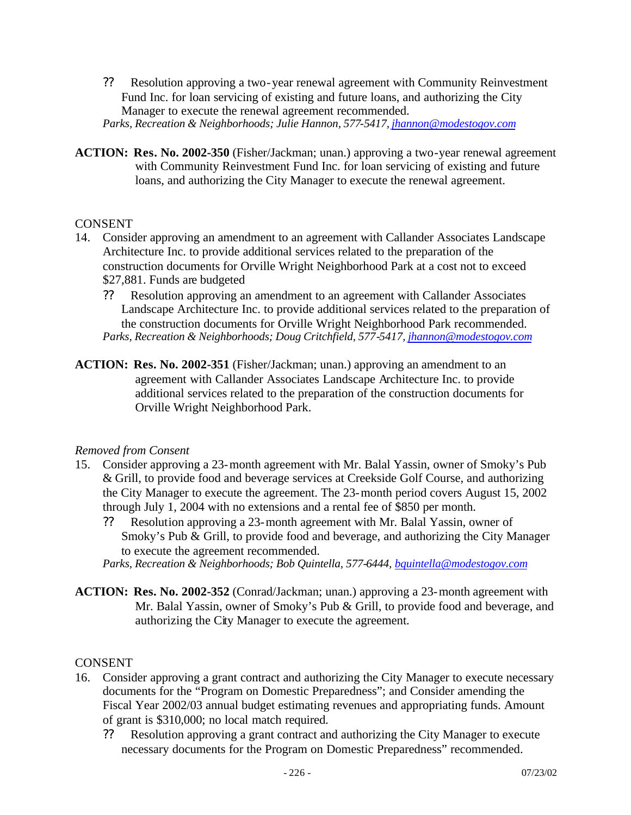?? Resolution approving a two-year renewal agreement with Community Reinvestment Fund Inc. for loan servicing of existing and future loans, and authorizing the City Manager to execute the renewal agreement recommended. *Parks, Recreation & Neighborhoods; Julie Hannon, 577-5417, jhannon@modestogov.com*

**ACTION: Res. No. 2002-350** (Fisher/Jackman; unan.) approving a two-year renewal agreement with Community Reinvestment Fund Inc. for loan servicing of existing and future loans, and authorizing the City Manager to execute the renewal agreement.

#### CONSENT

- 14. Consider approving an amendment to an agreement with Callander Associates Landscape Architecture Inc. to provide additional services related to the preparation of the construction documents for Orville Wright Neighborhood Park at a cost not to exceed \$27,881. Funds are budgeted
	- ?? Resolution approving an amendment to an agreement with Callander Associates Landscape Architecture Inc. to provide additional services related to the preparation of the construction documents for Orville Wright Neighborhood Park recommended. *Parks, Recreation & Neighborhoods; Doug Critchfield, 577-5417, jhannon@modestogov.com*
- **ACTION: Res. No. 2002-351** (Fisher/Jackman; unan.) approving an amendment to an agreement with Callander Associates Landscape Architecture Inc. to provide additional services related to the preparation of the construction documents for Orville Wright Neighborhood Park.

#### *Removed from Consent*

- 15. Consider approving a 23-month agreement with Mr. Balal Yassin, owner of Smoky's Pub & Grill, to provide food and beverage services at Creekside Golf Course, and authorizing the City Manager to execute the agreement. The 23-month period covers August 15, 2002 through July 1, 2004 with no extensions and a rental fee of \$850 per month.
	- ?? Resolution approving a 23-month agreement with Mr. Balal Yassin, owner of Smoky's Pub & Grill, to provide food and beverage, and authorizing the City Manager to execute the agreement recommended.
	- *Parks, Recreation & Neighborhoods; Bob Quintella, 577-6444, bquintella@modestogov.com*
- **ACTION: Res. No. 2002-352** (Conrad/Jackman; unan.) approving a 23-month agreement with Mr. Balal Yassin, owner of Smoky's Pub & Grill, to provide food and beverage, and authorizing the City Manager to execute the agreement.

#### CONSENT

- 16. Consider approving a grant contract and authorizing the City Manager to execute necessary documents for the "Program on Domestic Preparedness"; and Consider amending the Fiscal Year 2002/03 annual budget estimating revenues and appropriating funds. Amount of grant is \$310,000; no local match required.
	- ?? Resolution approving a grant contract and authorizing the City Manager to execute necessary documents for the Program on Domestic Preparedness" recommended.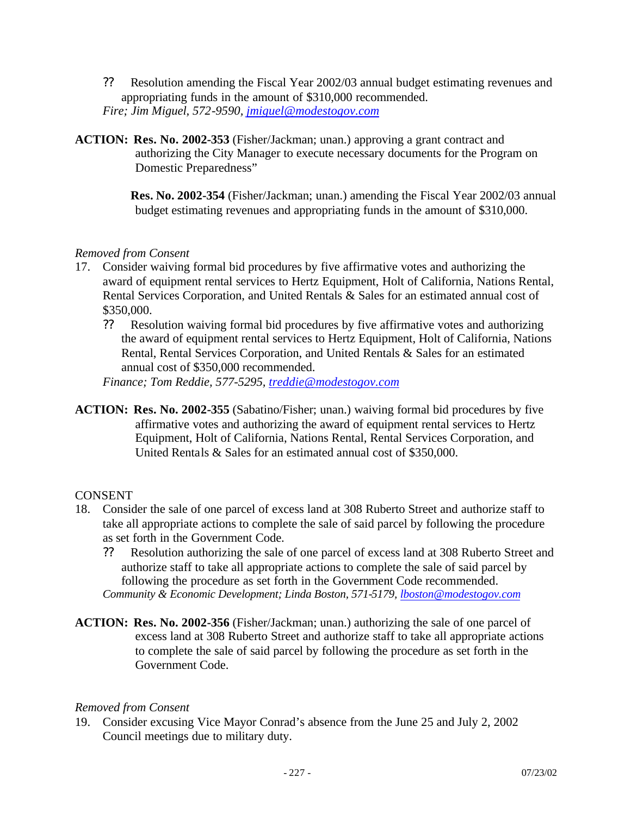- ?? Resolution amending the Fiscal Year 2002/03 annual budget estimating revenues and appropriating funds in the amount of \$310,000 recommended. *Fire; Jim Miguel, 572-9590, jmiguel@modestogov.com*
- **ACTION: Res. No. 2002-353** (Fisher/Jackman; unan.) approving a grant contract and authorizing the City Manager to execute necessary documents for the Program on Domestic Preparedness"

**Res. No. 2002-354** (Fisher/Jackman; unan.) amending the Fiscal Year 2002/03 annual budget estimating revenues and appropriating funds in the amount of \$310,000.

## *Removed from Consent*

- 17. Consider waiving formal bid procedures by five affirmative votes and authorizing the award of equipment rental services to Hertz Equipment, Holt of California, Nations Rental, Rental Services Corporation, and United Rentals & Sales for an estimated annual cost of \$350,000.
	- ?? Resolution waiving formal bid procedures by five affirmative votes and authorizing the award of equipment rental services to Hertz Equipment, Holt of California, Nations Rental, Rental Services Corporation, and United Rentals & Sales for an estimated annual cost of \$350,000 recommended.

*Finance; Tom Reddie, 577-5295, treddie@modestogov.com*

**ACTION: Res. No. 2002-355** (Sabatino/Fisher; unan.) waiving formal bid procedures by five affirmative votes and authorizing the award of equipment rental services to Hertz Equipment, Holt of California, Nations Rental, Rental Services Corporation, and United Rentals & Sales for an estimated annual cost of \$350,000.

#### CONSENT

- 18. Consider the sale of one parcel of excess land at 308 Ruberto Street and authorize staff to take all appropriate actions to complete the sale of said parcel by following the procedure as set forth in the Government Code.
	- ?? Resolution authorizing the sale of one parcel of excess land at 308 Ruberto Street and authorize staff to take all appropriate actions to complete the sale of said parcel by following the procedure as set forth in the Government Code recommended.

*Community & Economic Development; Linda Boston, 571-5179, lboston@modestogov.com*

**ACTION: Res. No. 2002-356** (Fisher/Jackman; unan.) authorizing the sale of one parcel of excess land at 308 Ruberto Street and authorize staff to take all appropriate actions to complete the sale of said parcel by following the procedure as set forth in the Government Code.

#### *Removed from Consent*

19. Consider excusing Vice Mayor Conrad's absence from the June 25 and July 2, 2002 Council meetings due to military duty.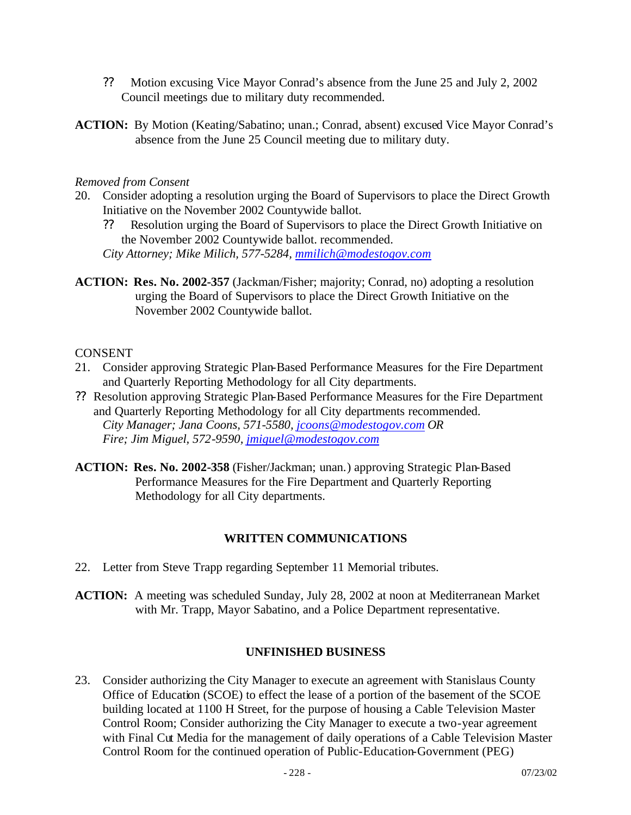- ?? Motion excusing Vice Mayor Conrad's absence from the June 25 and July 2, 2002 Council meetings due to military duty recommended.
- **ACTION:** By Motion (Keating/Sabatino; unan.; Conrad, absent) excused Vice Mayor Conrad's absence from the June 25 Council meeting due to military duty.

#### *Removed from Consent*

- 20. Consider adopting a resolution urging the Board of Supervisors to place the Direct Growth Initiative on the November 2002 Countywide ballot.
	- ?? Resolution urging the Board of Supervisors to place the Direct Growth Initiative on the November 2002 Countywide ballot. recommended.

*City Attorney; Mike Milich, 577-5284, mmilich@modestogov.com*

**ACTION: Res. No. 2002-357** (Jackman/Fisher; majority; Conrad, no) adopting a resolution urging the Board of Supervisors to place the Direct Growth Initiative on the November 2002 Countywide ballot.

#### CONSENT

- 21. Consider approving Strategic Plan-Based Performance Measures for the Fire Department and Quarterly Reporting Methodology for all City departments.
- ?? Resolution approving Strategic Plan-Based Performance Measures for the Fire Department and Quarterly Reporting Methodology for all City departments recommended. *City Manager; Jana Coons, 571-5580, jcoons@modestogov.com OR Fire; Jim Miguel, 572-9590, jmiguel@modestogov.com*
- **ACTION: Res. No. 2002-358** (Fisher/Jackman; unan.) approving Strategic Plan-Based Performance Measures for the Fire Department and Quarterly Reporting Methodology for all City departments.

#### **WRITTEN COMMUNICATIONS**

- 22. Letter from Steve Trapp regarding September 11 Memorial tributes.
- **ACTION:** A meeting was scheduled Sunday, July 28, 2002 at noon at Mediterranean Market with Mr. Trapp, Mayor Sabatino, and a Police Department representative.

#### **UNFINISHED BUSINESS**

23. Consider authorizing the City Manager to execute an agreement with Stanislaus County Office of Education (SCOE) to effect the lease of a portion of the basement of the SCOE building located at 1100 H Street, for the purpose of housing a Cable Television Master Control Room; Consider authorizing the City Manager to execute a two-year agreement with Final Cut Media for the management of daily operations of a Cable Television Master Control Room for the continued operation of Public-Education-Government (PEG)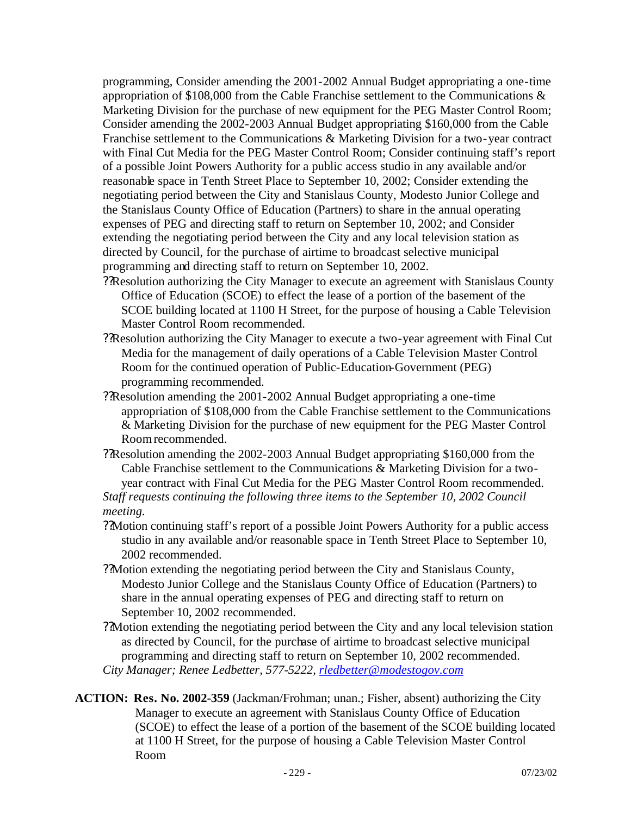programming, Consider amending the 2001-2002 Annual Budget appropriating a one-time appropriation of \$108,000 from the Cable Franchise settlement to the Communications & Marketing Division for the purchase of new equipment for the PEG Master Control Room; Consider amending the 2002-2003 Annual Budget appropriating \$160,000 from the Cable Franchise settlement to the Communications & Marketing Division for a two-year contract with Final Cut Media for the PEG Master Control Room; Consider continuing staff's report of a possible Joint Powers Authority for a public access studio in any available and/or reasonable space in Tenth Street Place to September 10, 2002; Consider extending the negotiating period between the City and Stanislaus County, Modesto Junior College and the Stanislaus County Office of Education (Partners) to share in the annual operating expenses of PEG and directing staff to return on September 10, 2002; and Consider extending the negotiating period between the City and any local television station as directed by Council, for the purchase of airtime to broadcast selective municipal programming and directing staff to return on September 10, 2002.

- ??Resolution authorizing the City Manager to execute an agreement with Stanislaus County Office of Education (SCOE) to effect the lease of a portion of the basement of the SCOE building located at 1100 H Street, for the purpose of housing a Cable Television Master Control Room recommended.
- ??Resolution authorizing the City Manager to execute a two-year agreement with Final Cut Media for the management of daily operations of a Cable Television Master Control Room for the continued operation of Public-Education-Government (PEG) programming recommended.
- ??Resolution amending the 2001-2002 Annual Budget appropriating a one-time appropriation of \$108,000 from the Cable Franchise settlement to the Communications & Marketing Division for the purchase of new equipment for the PEG Master Control Room recommended.
- ??Resolution amending the 2002-2003 Annual Budget appropriating \$160,000 from the Cable Franchise settlement to the Communications & Marketing Division for a two-

year contract with Final Cut Media for the PEG Master Control Room recommended. *Staff requests continuing the following three items to the September 10, 2002 Council meeting.*

- ??Motion continuing staff's report of a possible Joint Powers Authority for a public access studio in any available and/or reasonable space in Tenth Street Place to September 10, 2002 recommended.
- ??Motion extending the negotiating period between the City and Stanislaus County, Modesto Junior College and the Stanislaus County Office of Education (Partners) to share in the annual operating expenses of PEG and directing staff to return on September 10, 2002 recommended.
- ??Motion extending the negotiating period between the City and any local television station as directed by Council, for the purchase of airtime to broadcast selective municipal programming and directing staff to return on September 10, 2002 recommended. *City Manager; Renee Ledbetter, 577-5222, rledbetter@modestogov.com*
- **ACTION: Res. No. 2002-359** (Jackman/Frohman; unan.; Fisher, absent) authorizing the City Manager to execute an agreement with Stanislaus County Office of Education (SCOE) to effect the lease of a portion of the basement of the SCOE building located at 1100 H Street, for the purpose of housing a Cable Television Master Control Room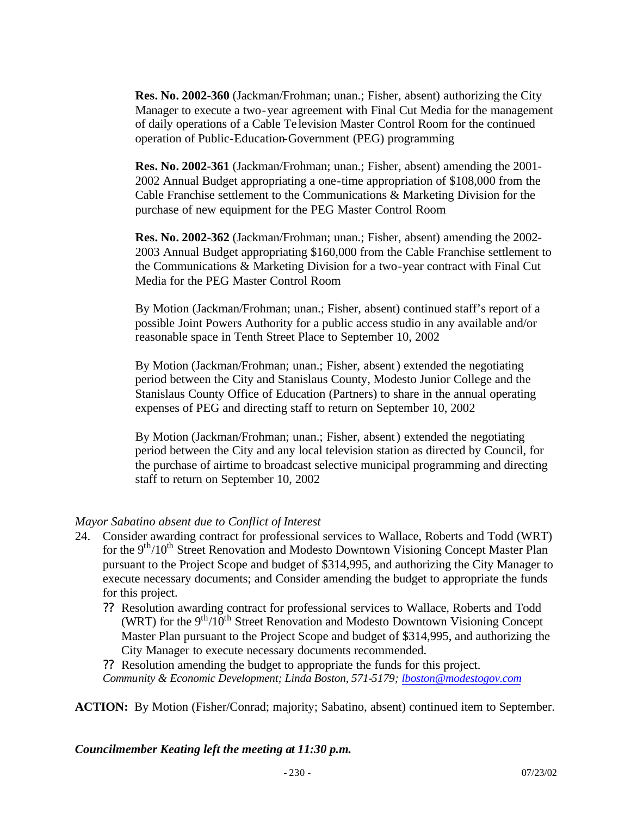**Res. No. 2002-360** (Jackman/Frohman; unan.; Fisher, absent) authorizing the City Manager to execute a two-year agreement with Final Cut Media for the management of daily operations of a Cable Te levision Master Control Room for the continued operation of Public-Education-Government (PEG) programming

**Res. No. 2002-361** (Jackman/Frohman; unan.; Fisher, absent) amending the 2001- 2002 Annual Budget appropriating a one-time appropriation of \$108,000 from the Cable Franchise settlement to the Communications & Marketing Division for the purchase of new equipment for the PEG Master Control Room

**Res. No. 2002-362** (Jackman/Frohman; unan.; Fisher, absent) amending the 2002- 2003 Annual Budget appropriating \$160,000 from the Cable Franchise settlement to the Communications & Marketing Division for a two-year contract with Final Cut Media for the PEG Master Control Room

By Motion (Jackman/Frohman; unan.; Fisher, absent) continued staff's report of a possible Joint Powers Authority for a public access studio in any available and/or reasonable space in Tenth Street Place to September 10, 2002

By Motion (Jackman/Frohman; unan.; Fisher, absent) extended the negotiating period between the City and Stanislaus County, Modesto Junior College and the Stanislaus County Office of Education (Partners) to share in the annual operating expenses of PEG and directing staff to return on September 10, 2002

By Motion (Jackman/Frohman; unan.; Fisher, absent) extended the negotiating period between the City and any local television station as directed by Council, for the purchase of airtime to broadcast selective municipal programming and directing staff to return on September 10, 2002

#### *Mayor Sabatino absent due to Conflict of Interest*

- 24. Consider awarding contract for professional services to Wallace, Roberts and Todd (WRT) for the 9<sup>th</sup>/10<sup>th</sup> Street Renovation and Modesto Downtown Visioning Concept Master Plan pursuant to the Project Scope and budget of \$314,995, and authorizing the City Manager to execute necessary documents; and Consider amending the budget to appropriate the funds for this project.
	- ?? Resolution awarding contract for professional services to Wallace, Roberts and Todd (WRT) for the  $9<sup>th</sup>/10<sup>th</sup>$  Street Renovation and Modesto Downtown Visioning Concept Master Plan pursuant to the Project Scope and budget of \$314,995, and authorizing the City Manager to execute necessary documents recommended.
	- ?? Resolution amending the budget to appropriate the funds for this project. *Community & Economic Development; Linda Boston, 571-5179; lboston@modestogov.com*

**ACTION:** By Motion (Fisher/Conrad; majority; Sabatino, absent) continued item to September.

*Councilmember Keating left the meeting at 11:30 p.m.*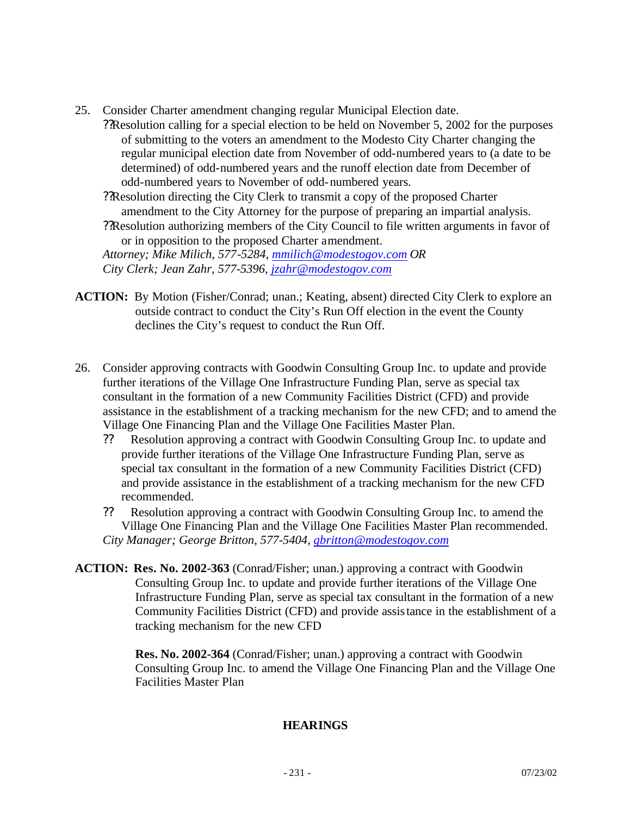- 25. Consider Charter amendment changing regular Municipal Election date.
	- ??Resolution calling for a special election to be held on November 5, 2002 for the purposes of submitting to the voters an amendment to the Modesto City Charter changing the regular municipal election date from November of odd-numbered years to (a date to be determined) of odd-numbered years and the runoff election date from December of odd-numbered years to November of odd-numbered years.
	- ??Resolution directing the City Clerk to transmit a copy of the proposed Charter amendment to the City Attorney for the purpose of preparing an impartial analysis. ??Resolution authorizing members of the City Council to file written arguments in favor of or in opposition to the proposed Charter amendment. *Attorney; Mike Milich, 577-5284, mmilich@modestogov.com OR City Clerk; Jean Zahr, 577-5396, jzahr@modestogov.com*
- **ACTION:** By Motion (Fisher/Conrad; unan.; Keating, absent) directed City Clerk to explore an outside contract to conduct the City's Run Off election in the event the County declines the City's request to conduct the Run Off.
- 26. Consider approving contracts with Goodwin Consulting Group Inc. to update and provide further iterations of the Village One Infrastructure Funding Plan, serve as special tax consultant in the formation of a new Community Facilities District (CFD) and provide assistance in the establishment of a tracking mechanism for the new CFD; and to amend the Village One Financing Plan and the Village One Facilities Master Plan.
	- ?? Resolution approving a contract with Goodwin Consulting Group Inc. to update and provide further iterations of the Village One Infrastructure Funding Plan, serve as special tax consultant in the formation of a new Community Facilities District (CFD) and provide assistance in the establishment of a tracking mechanism for the new CFD recommended.

?? Resolution approving a contract with Goodwin Consulting Group Inc. to amend the Village One Financing Plan and the Village One Facilities Master Plan recommended. *City Manager; George Britton, 577-5404, gbritton@modestogov.com*

**ACTION: Res. No. 2002-363** (Conrad/Fisher; unan.) approving a contract with Goodwin Consulting Group Inc. to update and provide further iterations of the Village One Infrastructure Funding Plan, serve as special tax consultant in the formation of a new Community Facilities District (CFD) and provide assistance in the establishment of a tracking mechanism for the new CFD

> **Res. No. 2002-364** (Conrad/Fisher; unan.) approving a contract with Goodwin Consulting Group Inc. to amend the Village One Financing Plan and the Village One Facilities Master Plan

#### **HEARINGS**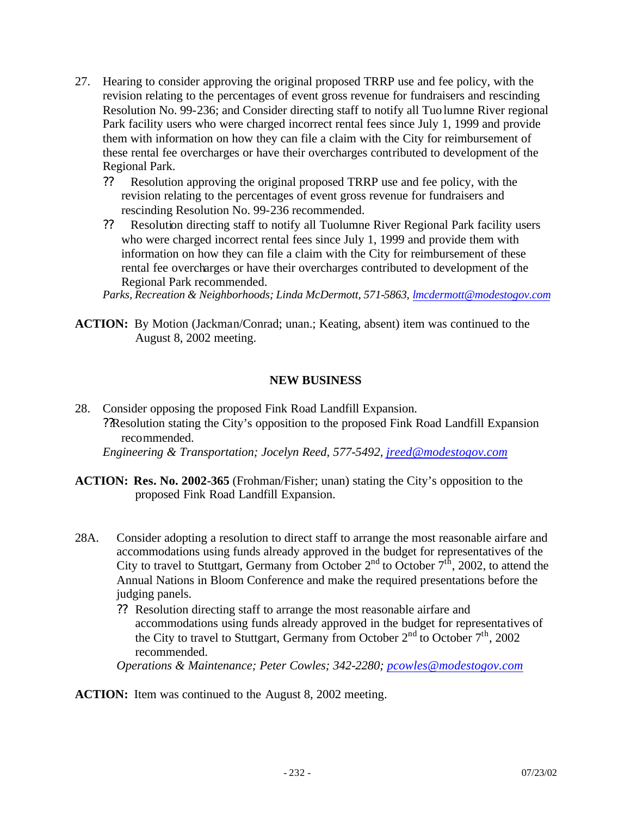- 27. Hearing to consider approving the original proposed TRRP use and fee policy, with the revision relating to the percentages of event gross revenue for fundraisers and rescinding Resolution No. 99-236; and Consider directing staff to notify all Tuolumne River regional Park facility users who were charged incorrect rental fees since July 1, 1999 and provide them with information on how they can file a claim with the City for reimbursement of these rental fee overcharges or have their overcharges contributed to development of the Regional Park.
	- ?? Resolution approving the original proposed TRRP use and fee policy, with the revision relating to the percentages of event gross revenue for fundraisers and rescinding Resolution No. 99-236 recommended.
	- ?? Resolution directing staff to notify all Tuolumne River Regional Park facility users who were charged incorrect rental fees since July 1, 1999 and provide them with information on how they can file a claim with the City for reimbursement of these rental fee overcharges or have their overcharges contributed to development of the Regional Park recommended.

*Parks, Recreation & Neighborhoods; Linda McDermott, 571-5863, lmcdermott@modestogov.com*

**ACTION:** By Motion (Jackman/Conrad; unan.; Keating, absent) item was continued to the August 8, 2002 meeting.

#### **NEW BUSINESS**

- 28. Consider opposing the proposed Fink Road Landfill Expansion. ??Resolution stating the City's opposition to the proposed Fink Road Landfill Expansion recommended. *Engineering & Transportation; Jocelyn Reed, 577-5492, jreed@modestogov.com*
- **ACTION: Res. No. 2002-365** (Frohman/Fisher; unan) stating the City's opposition to the proposed Fink Road Landfill Expansion.
- 28A. Consider adopting a resolution to direct staff to arrange the most reasonable airfare and accommodations using funds already approved in the budget for representatives of the City to travel to Stuttgart, Germany from October  $2<sup>nd</sup>$  to October  $7<sup>th</sup>$ , 2002, to attend the Annual Nations in Bloom Conference and make the required presentations before the judging panels.
	- ?? Resolution directing staff to arrange the most reasonable airfare and accommodations using funds already approved in the budget for representatives of the City to travel to Stuttgart, Germany from October  $2<sup>nd</sup>$  to October  $7<sup>th</sup>$ , 2002 recommended.

*Operations & Maintenance; Peter Cowles; 342-2280; pcowles@modestogov.com*

**ACTION:** Item was continued to the August 8, 2002 meeting.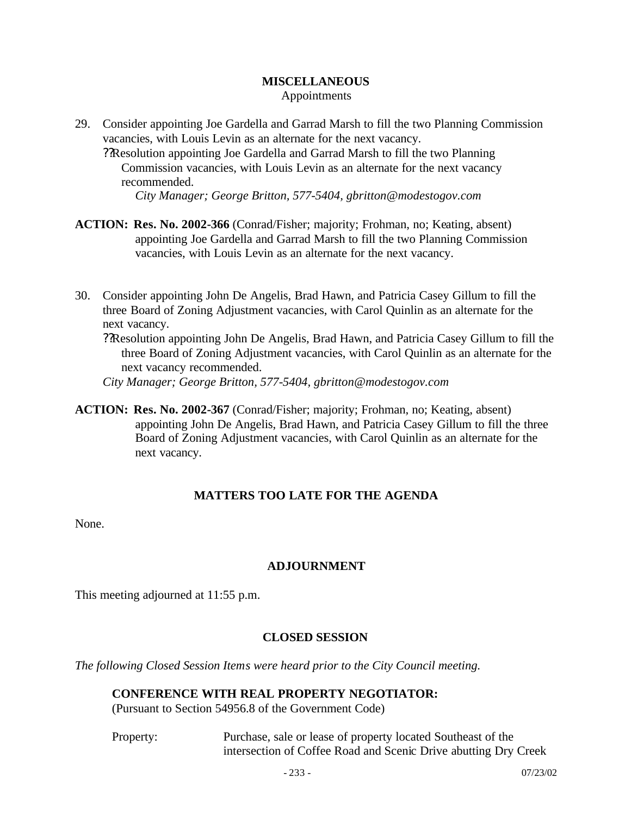#### **MISCELLANEOUS** Appointments

- 29. Consider appointing Joe Gardella and Garrad Marsh to fill the two Planning Commission vacancies, with Louis Levin as an alternate for the next vacancy.
	- ??Resolution appointing Joe Gardella and Garrad Marsh to fill the two Planning Commission vacancies, with Louis Levin as an alternate for the next vacancy recommended.

*City Manager; George Britton, 577-5404, gbritton@modestogov.com*

- **ACTION: Res. No. 2002-366** (Conrad/Fisher; majority; Frohman, no; Keating, absent) appointing Joe Gardella and Garrad Marsh to fill the two Planning Commission vacancies, with Louis Levin as an alternate for the next vacancy.
- 30. Consider appointing John De Angelis, Brad Hawn, and Patricia Casey Gillum to fill the three Board of Zoning Adjustment vacancies, with Carol Quinlin as an alternate for the next vacancy.
	- ??Resolution appointing John De Angelis, Brad Hawn, and Patricia Casey Gillum to fill the three Board of Zoning Adjustment vacancies, with Carol Quinlin as an alternate for the next vacancy recommended.

*City Manager; George Britton, 577-5404, gbritton@modestogov.com*

**ACTION: Res. No. 2002-367** (Conrad/Fisher; majority; Frohman, no; Keating, absent) appointing John De Angelis, Brad Hawn, and Patricia Casey Gillum to fill the three Board of Zoning Adjustment vacancies, with Carol Quinlin as an alternate for the next vacancy.

## **MATTERS TOO LATE FOR THE AGENDA**

None.

## **ADJOURNMENT**

This meeting adjourned at 11:55 p.m.

## **CLOSED SESSION**

*The following Closed Session Items were heard prior to the City Council meeting.*

#### **CONFERENCE WITH REAL PROPERTY NEGOTIATOR:**

(Pursuant to Section 54956.8 of the Government Code)

Property: Purchase, sale or lease of property located Southeast of the intersection of Coffee Road and Scenic Drive abutting Dry Creek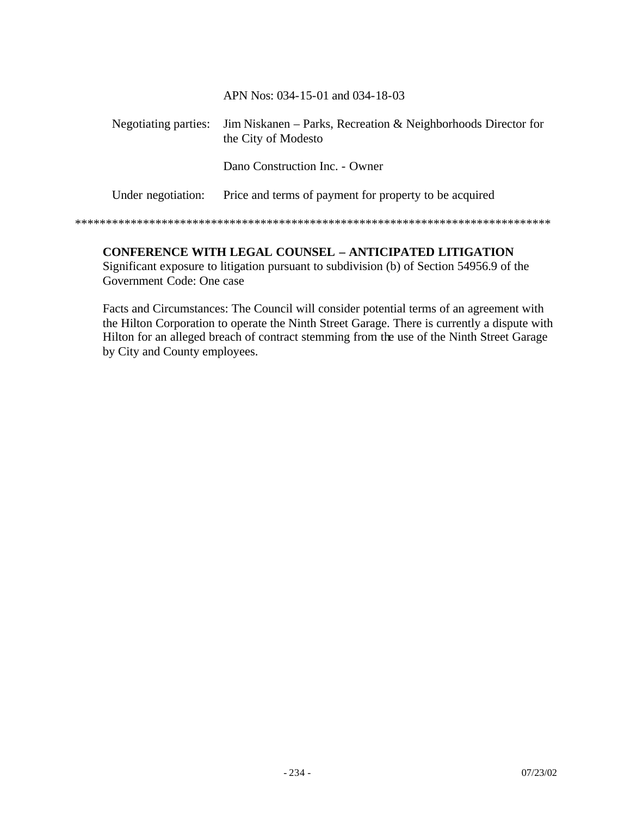APN Nos: 034-15-01 and 034-18-03

| Negotiating parties: | Jim Niskanen – Parks, Recreation & Neighborhoods Director for<br>the City of Modesto |
|----------------------|--------------------------------------------------------------------------------------|
|                      | Dano Construction Inc. - Owner                                                       |
| Under negotiation:   | Price and terms of payment for property to be acquired                               |
|                      |                                                                                      |

## **CONFERENCE WITH LEGAL COUNSEL – ANTICIPATED LITIGATION**

Significant exposure to litigation pursuant to subdivision (b) of Section 54956.9 of the Government Code: One case

Facts and Circumstances: The Council will consider potential terms of an agreement with the Hilton Corporation to operate the Ninth Street Garage. There is currently a dispute with Hilton for an alleged breach of contract stemming from the use of the Ninth Street Garage by City and County employees.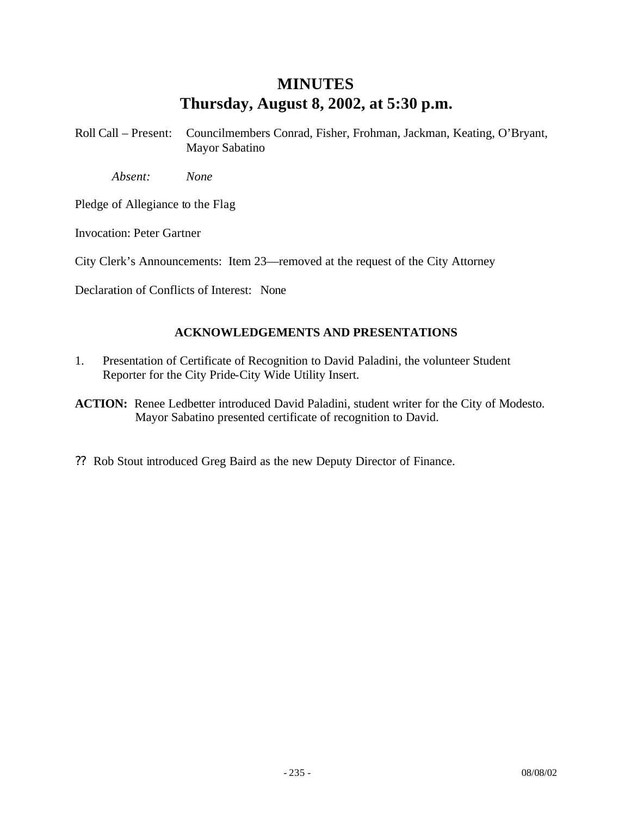## **MINUTES Thursday, August 8, 2002, at 5:30 p.m.**

Roll Call – Present: Councilmembers Conrad, Fisher, Frohman, Jackman, Keating, O'Bryant, Mayor Sabatino

*Absent: None*

Pledge of Allegiance to the Flag

Invocation: Peter Gartner

City Clerk's Announcements: Item 23—removed at the request of the City Attorney

Declaration of Conflicts of Interest: None

#### **ACKNOWLEDGEMENTS AND PRESENTATIONS**

1. Presentation of Certificate of Recognition to David Paladini, the volunteer Student Reporter for the City Pride-City Wide Utility Insert.

**ACTION:** Renee Ledbetter introduced David Paladini, student writer for the City of Modesto. Mayor Sabatino presented certificate of recognition to David.

?? Rob Stout introduced Greg Baird as the new Deputy Director of Finance.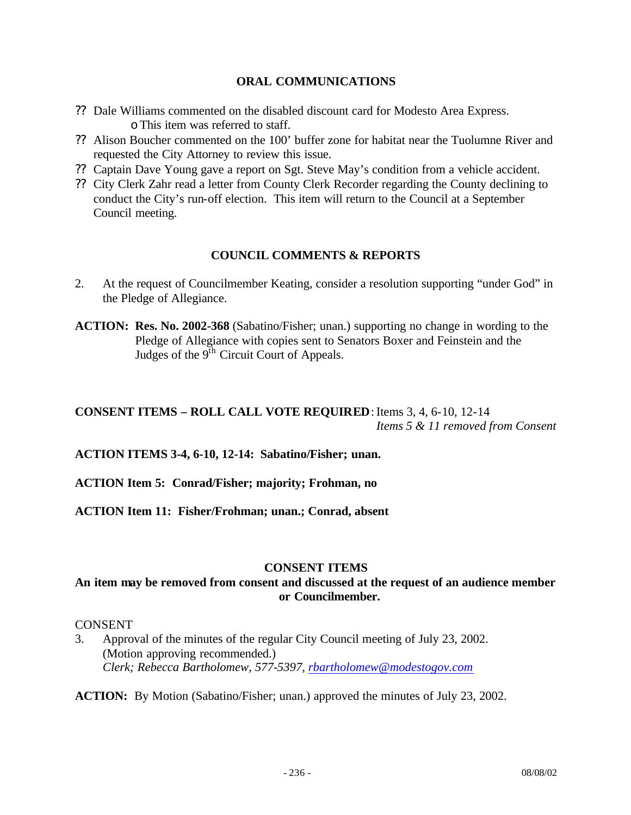#### **ORAL COMMUNICATIONS**

- ?? Dale Williams commented on the disabled discount card for Modesto Area Express. oThis item was referred to staff.
- ?? Alison Boucher commented on the 100' buffer zone for habitat near the Tuolumne River and requested the City Attorney to review this issue.
- ?? Captain Dave Young gave a report on Sgt. Steve May's condition from a vehicle accident.
- ?? City Clerk Zahr read a letter from County Clerk Recorder regarding the County declining to conduct the City's run-off election. This item will return to the Council at a September Council meeting.

#### **COUNCIL COMMENTS & REPORTS**

- 2. At the request of Councilmember Keating, consider a resolution supporting "under God" in the Pledge of Allegiance.
- **ACTION: Res. No. 2002-368** (Sabatino/Fisher; unan.) supporting no change in wording to the Pledge of Allegiance with copies sent to Senators Boxer and Feinstein and the Judges of the  $9<sup>th</sup>$  Circuit Court of Appeals.

#### **CONSENT ITEMS – ROLL CALL VOTE REQUIRED**:Items 3, 4, 6-10, 12-14 *Items 5 & 11 removed from Consent*

**ACTION ITEMS 3-4, 6-10, 12-14: Sabatino/Fisher; unan.**

**ACTION Item 5: Conrad/Fisher; majority; Frohman, no**

**ACTION Item 11: Fisher/Frohman; unan.; Conrad, absent**

#### **CONSENT ITEMS**

#### **An item may be removed from consent and discussed at the request of an audience member or Councilmember.**

#### CONSENT

3. Approval of the minutes of the regular City Council meeting of July 23, 2002. (Motion approving recommended.) *Clerk; Rebecca Bartholomew, 577-5397, rbartholomew@modestogov.com*

**ACTION:** By Motion (Sabatino/Fisher; unan.) approved the minutes of July 23, 2002.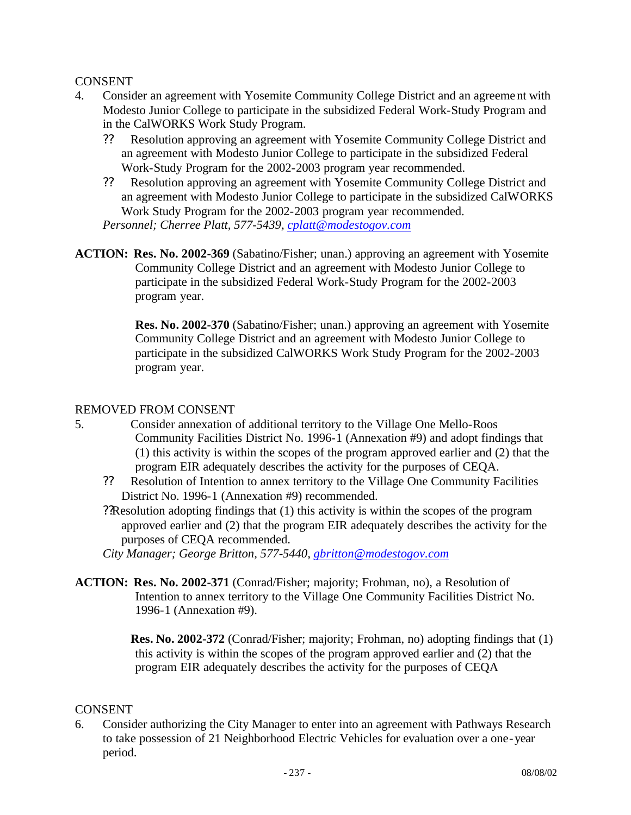#### CONSENT

- 4. Consider an agreement with Yosemite Community College District and an agreement with Modesto Junior College to participate in the subsidized Federal Work-Study Program and in the CalWORKS Work Study Program.
	- ?? Resolution approving an agreement with Yosemite Community College District and an agreement with Modesto Junior College to participate in the subsidized Federal Work-Study Program for the 2002-2003 program year recommended.
	- ?? Resolution approving an agreement with Yosemite Community College District and an agreement with Modesto Junior College to participate in the subsidized CalWORKS Work Study Program for the 2002-2003 program year recommended. *Personnel; Cherree Platt, 577-5439, cplatt@modestogov.com*
- **ACTION: Res. No. 2002-369** (Sabatino/Fisher; unan.) approving an agreement with Yosemite Community College District and an agreement with Modesto Junior College to participate in the subsidized Federal Work-Study Program for the 2002-2003 program year.

**Res. No. 2002-370** (Sabatino/Fisher; unan.) approving an agreement with Yosemite Community College District and an agreement with Modesto Junior College to participate in the subsidized CalWORKS Work Study Program for the 2002-2003 program year.

#### REMOVED FROM CONSENT

- 5. Consider annexation of additional territory to the Village One Mello-Roos Community Facilities District No. 1996-1 (Annexation #9) and adopt findings that (1) this activity is within the scopes of the program approved earlier and (2) that the program EIR adequately describes the activity for the purposes of CEQA.
	- ?? Resolution of Intention to annex territory to the Village One Community Facilities District No. 1996-1 (Annexation #9) recommended.
	- ??Resolution adopting findings that (1) this activity is within the scopes of the program approved earlier and (2) that the program EIR adequately describes the activity for the purposes of CEQA recommended.
	- *City Manager; George Britton, 577-5440, gbritton@modestogov.com*
- **ACTION: Res. No. 2002-371** (Conrad/Fisher; majority; Frohman, no), a Resolution of Intention to annex territory to the Village One Community Facilities District No. 1996-1 (Annexation #9).

**Res. No. 2002-372** (Conrad/Fisher; majority; Frohman, no) adopting findings that (1) this activity is within the scopes of the program approved earlier and (2) that the program EIR adequately describes the activity for the purposes of CEQA

#### CONSENT

6. Consider authorizing the City Manager to enter into an agreement with Pathways Research to take possession of 21 Neighborhood Electric Vehicles for evaluation over a one-year period.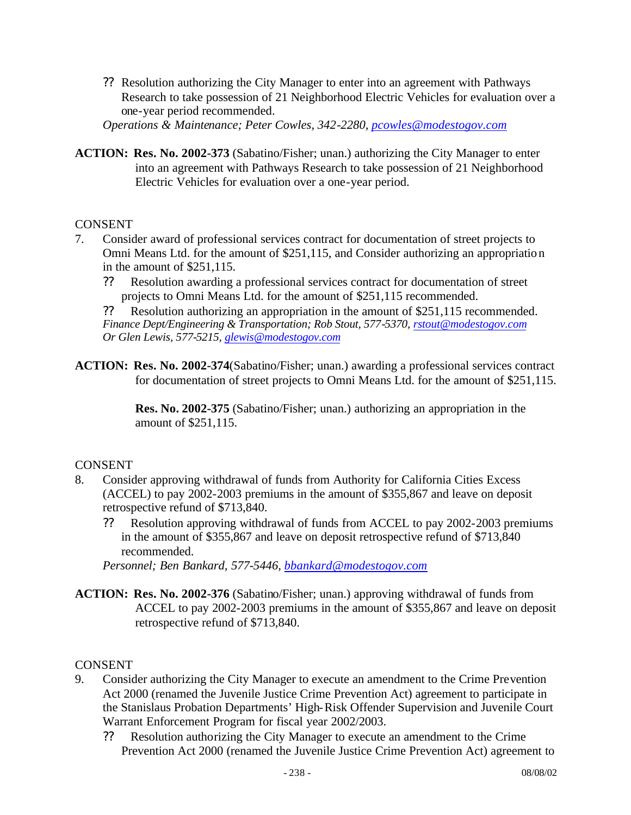?? Resolution authorizing the City Manager to enter into an agreement with Pathways Research to take possession of 21 Neighborhood Electric Vehicles for evaluation over a one-year period recommended.

*Operations & Maintenance; Peter Cowles, 342-2280, pcowles@modestogov.com*

**ACTION: Res. No. 2002-373** (Sabatino/Fisher; unan.) authorizing the City Manager to enter into an agreement with Pathways Research to take possession of 21 Neighborhood Electric Vehicles for evaluation over a one-year period.

#### CONSENT

- 7. Consider award of professional services contract for documentation of street projects to Omni Means Ltd. for the amount of \$251,115, and Consider authorizing an appropriation in the amount of \$251,115.
	- ?? Resolution awarding a professional services contract for documentation of street projects to Omni Means Ltd. for the amount of \$251,115 recommended.

?? Resolution authorizing an appropriation in the amount of \$251,115 recommended. *Finance Dept/Engineering & Transportation; Rob Stout, 577-5370, rstout@modestogov.com Or Glen Lewis, 577-5215, glewis@modestogov.com*

**ACTION: Res. No. 2002-374**(Sabatino/Fisher; unan.) awarding a professional services contract for documentation of street projects to Omni Means Ltd. for the amount of \$251,115.

> **Res. No. 2002-375** (Sabatino/Fisher; unan.) authorizing an appropriation in the amount of \$251,115.

#### CONSENT

- 8. Consider approving withdrawal of funds from Authority for California Cities Excess (ACCEL) to pay 2002-2003 premiums in the amount of \$355,867 and leave on deposit retrospective refund of \$713,840.
	- ?? Resolution approving withdrawal of funds from ACCEL to pay 2002-2003 premiums in the amount of \$355,867 and leave on deposit retrospective refund of \$713,840 recommended.

*Personnel; Ben Bankard, 577-5446, bbankard@modestogov.com*

**ACTION: Res. No. 2002-376** (Sabatino/Fisher; unan.) approving withdrawal of funds from ACCEL to pay 2002-2003 premiums in the amount of \$355,867 and leave on deposit retrospective refund of \$713,840.

#### CONSENT

- 9. Consider authorizing the City Manager to execute an amendment to the Crime Prevention Act 2000 (renamed the Juvenile Justice Crime Prevention Act) agreement to participate in the Stanislaus Probation Departments' High-Risk Offender Supervision and Juvenile Court Warrant Enforcement Program for fiscal year 2002/2003.
	- ?? Resolution authorizing the City Manager to execute an amendment to the Crime Prevention Act 2000 (renamed the Juvenile Justice Crime Prevention Act) agreement to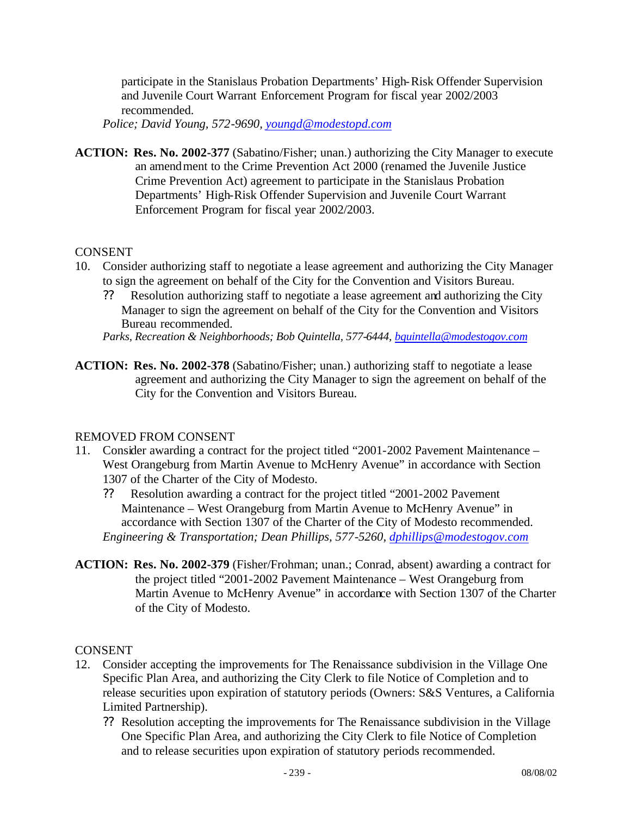participate in the Stanislaus Probation Departments' High-Risk Offender Supervision and Juvenile Court Warrant Enforcement Program for fiscal year 2002/2003 recommended.

*Police; David Young, 572-9690, youngd@modestopd.com*

**ACTION: Res. No. 2002-377** (Sabatino/Fisher; unan.) authorizing the City Manager to execute an amendment to the Crime Prevention Act 2000 (renamed the Juvenile Justice Crime Prevention Act) agreement to participate in the Stanislaus Probation Departments' High-Risk Offender Supervision and Juvenile Court Warrant Enforcement Program for fiscal year 2002/2003.

#### CONSENT

- 10. Consider authorizing staff to negotiate a lease agreement and authorizing the City Manager to sign the agreement on behalf of the City for the Convention and Visitors Bureau.
	- ?? Resolution authorizing staff to negotiate a lease agreement and authorizing the City Manager to sign the agreement on behalf of the City for the Convention and Visitors Bureau recommended.

*Parks, Recreation & Neighborhoods; Bob Quintella, 577-6444, bquintella@modestogov.com*

**ACTION: Res. No. 2002-378** (Sabatino/Fisher; unan.) authorizing staff to negotiate a lease agreement and authorizing the City Manager to sign the agreement on behalf of the City for the Convention and Visitors Bureau.

#### REMOVED FROM CONSENT

- 11. Consider awarding a contract for the project titled "2001-2002 Pavement Maintenance West Orangeburg from Martin Avenue to McHenry Avenue" in accordance with Section 1307 of the Charter of the City of Modesto.
	- ?? Resolution awarding a contract for the project titled "2001-2002 Pavement Maintenance – West Orangeburg from Martin Avenue to McHenry Avenue" in accordance with Section 1307 of the Charter of the City of Modesto recommended. *Engineering & Transportation; Dean Phillips, 577-5260, dphillips@modestogov.com*
- **ACTION: Res. No. 2002-379** (Fisher/Frohman; unan.; Conrad, absent) awarding a contract for the project titled "2001-2002 Pavement Maintenance – West Orangeburg from Martin Avenue to McHenry Avenue" in accordance with Section 1307 of the Charter of the City of Modesto.

#### CONSENT

- 12. Consider accepting the improvements for The Renaissance subdivision in the Village One Specific Plan Area, and authorizing the City Clerk to file Notice of Completion and to release securities upon expiration of statutory periods (Owners: S&S Ventures, a California Limited Partnership).
	- ?? Resolution accepting the improvements for The Renaissance subdivision in the Village One Specific Plan Area, and authorizing the City Clerk to file Notice of Completion and to release securities upon expiration of statutory periods recommended.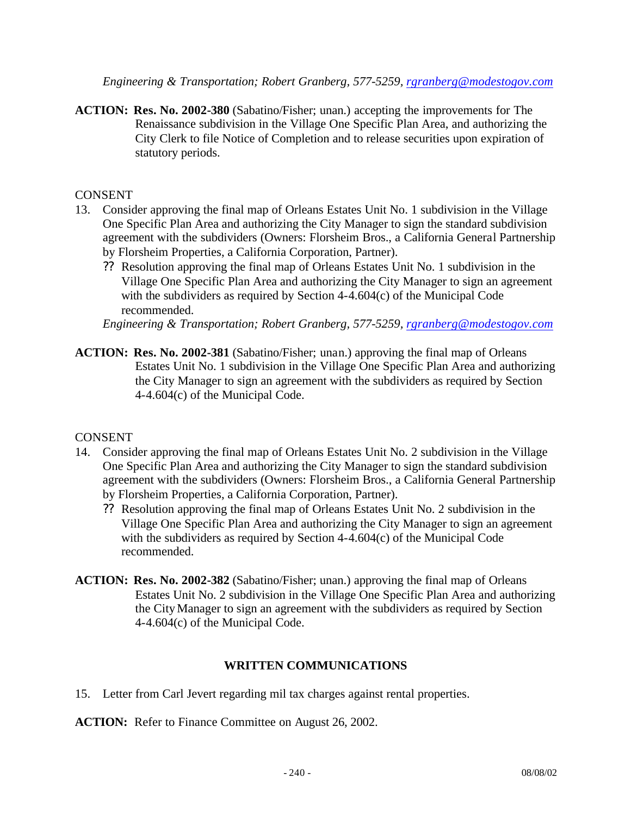*Engineering & Transportation; Robert Granberg, 577-5259, rgranberg@modestogov.com*

**ACTION: Res. No. 2002-380** (Sabatino/Fisher; unan.) accepting the improvements for The Renaissance subdivision in the Village One Specific Plan Area, and authorizing the City Clerk to file Notice of Completion and to release securities upon expiration of statutory periods.

#### **CONSENT**

- 13. Consider approving the final map of Orleans Estates Unit No. 1 subdivision in the Village One Specific Plan Area and authorizing the City Manager to sign the standard subdivision agreement with the subdividers (Owners: Florsheim Bros., a California General Partnership by Florsheim Properties, a California Corporation, Partner).
	- ?? Resolution approving the final map of Orleans Estates Unit No. 1 subdivision in the Village One Specific Plan Area and authorizing the City Manager to sign an agreement with the subdividers as required by Section 4-4.604(c) of the Municipal Code recommended.

*Engineering & Transportation; Robert Granberg, 577-5259, rgranberg@modestogov.com*

**ACTION: Res. No. 2002-381** (Sabatino/Fisher; unan.) approving the final map of Orleans Estates Unit No. 1 subdivision in the Village One Specific Plan Area and authorizing the City Manager to sign an agreement with the subdividers as required by Section 4-4.604(c) of the Municipal Code.

#### **CONSENT**

- 14. Consider approving the final map of Orleans Estates Unit No. 2 subdivision in the Village One Specific Plan Area and authorizing the City Manager to sign the standard subdivision agreement with the subdividers (Owners: Florsheim Bros., a California General Partnership by Florsheim Properties, a California Corporation, Partner).
	- ?? Resolution approving the final map of Orleans Estates Unit No. 2 subdivision in the Village One Specific Plan Area and authorizing the City Manager to sign an agreement with the subdividers as required by Section 4-4.604(c) of the Municipal Code recommended.
- **ACTION: Res. No. 2002-382** (Sabatino/Fisher; unan.) approving the final map of Orleans Estates Unit No. 2 subdivision in the Village One Specific Plan Area and authorizing the City Manager to sign an agreement with the subdividers as required by Section 4-4.604(c) of the Municipal Code.

#### **WRITTEN COMMUNICATIONS**

15. Letter from Carl Jevert regarding mil tax charges against rental properties.

**ACTION:** Refer to Finance Committee on August 26, 2002.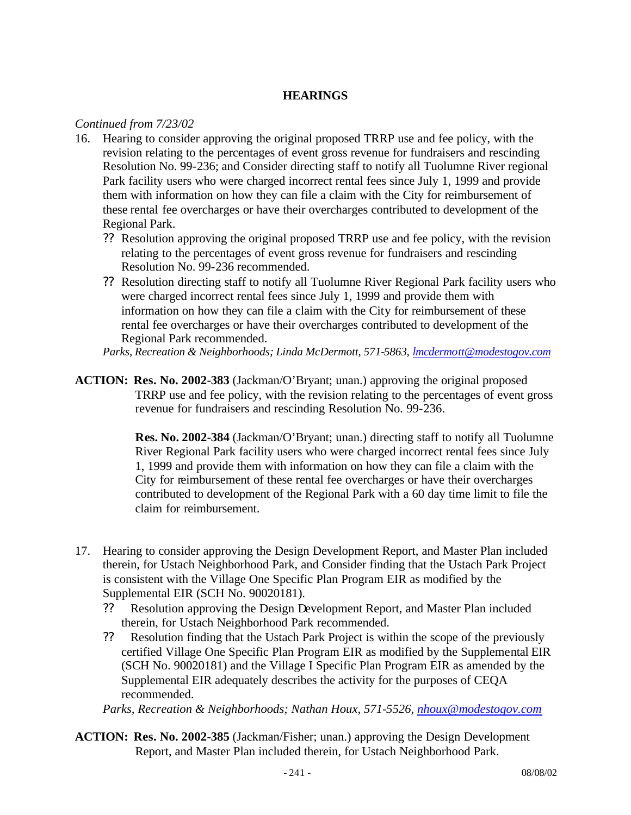#### **HEARINGS**

#### *Continued from 7/23/02*

- 16. Hearing to consider approving the original proposed TRRP use and fee policy, with the revision relating to the percentages of event gross revenue for fundraisers and rescinding Resolution No. 99-236; and Consider directing staff to notify all Tuolumne River regional Park facility users who were charged incorrect rental fees since July 1, 1999 and provide them with information on how they can file a claim with the City for reimbursement of these rental fee overcharges or have their overcharges contributed to development of the Regional Park.
	- ?? Resolution approving the original proposed TRRP use and fee policy, with the revision relating to the percentages of event gross revenue for fundraisers and rescinding Resolution No. 99-236 recommended.
	- ?? Resolution directing staff to notify all Tuolumne River Regional Park facility users who were charged incorrect rental fees since July 1, 1999 and provide them with information on how they can file a claim with the City for reimbursement of these rental fee overcharges or have their overcharges contributed to development of the Regional Park recommended.

*Parks, Recreation & Neighborhoods; Linda McDermott, 571-5863, lmcdermott@modestogov.com*

**ACTION: Res. No. 2002-383** (Jackman/O'Bryant; unan.) approving the original proposed TRRP use and fee policy, with the revision relating to the percentages of event gross revenue for fundraisers and rescinding Resolution No. 99-236.

> **Res. No. 2002-384** (Jackman/O'Bryant; unan.) directing staff to notify all Tuolumne River Regional Park facility users who were charged incorrect rental fees since July 1, 1999 and provide them with information on how they can file a claim with the City for reimbursement of these rental fee overcharges or have their overcharges contributed to development of the Regional Park with a 60 day time limit to file the claim for reimbursement.

- 17. Hearing to consider approving the Design Development Report, and Master Plan included therein, for Ustach Neighborhood Park, and Consider finding that the Ustach Park Project is consistent with the Village One Specific Plan Program EIR as modified by the Supplemental EIR (SCH No. 90020181).
	- ?? Resolution approving the Design Development Report, and Master Plan included therein, for Ustach Neighborhood Park recommended.
	- ?? Resolution finding that the Ustach Park Project is within the scope of the previously certified Village One Specific Plan Program EIR as modified by the Supplemental EIR (SCH No. 90020181) and the Village I Specific Plan Program EIR as amended by the Supplemental EIR adequately describes the activity for the purposes of CEQA recommended.

*Parks, Recreation & Neighborhoods; Nathan Houx, 571-5526, nhoux@modestogov.com*

**ACTION: Res. No. 2002-385** (Jackman/Fisher; unan.) approving the Design Development Report, and Master Plan included therein, for Ustach Neighborhood Park.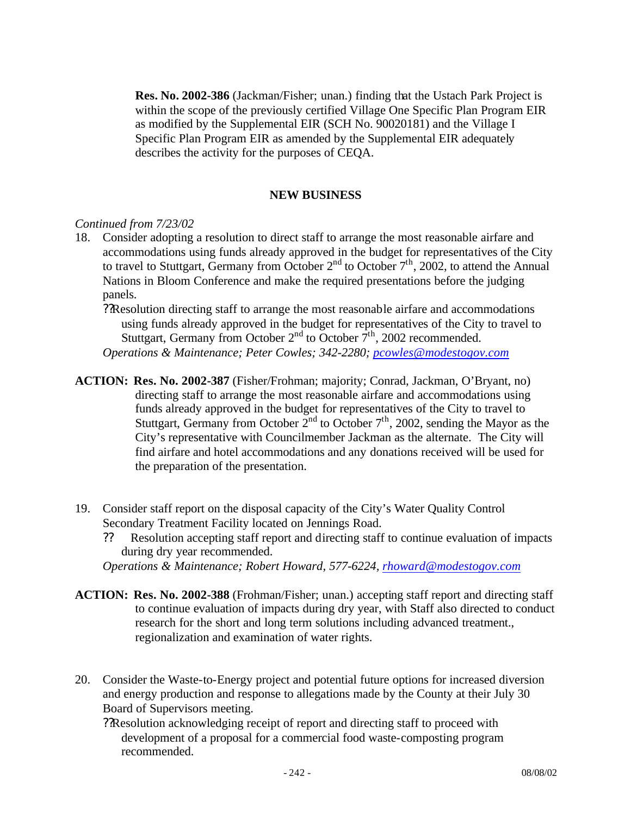**Res. No. 2002-386** (Jackman/Fisher; unan.) finding that the Ustach Park Project is within the scope of the previously certified Village One Specific Plan Program EIR as modified by the Supplemental EIR (SCH No. 90020181) and the Village I Specific Plan Program EIR as amended by the Supplemental EIR adequately describes the activity for the purposes of CEQA.

#### **NEW BUSINESS**

#### *Continued from 7/23/02*

- 18. Consider adopting a resolution to direct staff to arrange the most reasonable airfare and accommodations using funds already approved in the budget for representatives of the City to travel to Stuttgart, Germany from October  $2<sup>nd</sup>$  to October  $7<sup>th</sup>$ , 2002, to attend the Annual Nations in Bloom Conference and make the required presentations before the judging panels.
	- ??Resolution directing staff to arrange the most reasonable airfare and accommodations using funds already approved in the budget for representatives of the City to travel to Stuttgart, Germany from October  $2<sup>nd</sup>$  to October  $7<sup>th</sup>$ , 2002 recommended. *Operations & Maintenance; Peter Cowles; 342-2280; pcowles@modestogov.com*
- **ACTION: Res. No. 2002-387** (Fisher/Frohman; majority; Conrad, Jackman, O'Bryant, no) directing staff to arrange the most reasonable airfare and accommodations using funds already approved in the budget for representatives of the City to travel to Stuttgart, Germany from October  $2<sup>nd</sup>$  to October  $7<sup>th</sup>$ , 2002, sending the Mayor as the City's representative with Councilmember Jackman as the alternate. The City will find airfare and hotel accommodations and any donations received will be used for the preparation of the presentation.
- 19. Consider staff report on the disposal capacity of the City's Water Quality Control Secondary Treatment Facility located on Jennings Road.
	- ?? Resolution accepting staff report and directing staff to continue evaluation of impacts during dry year recommended.
	- *Operations & Maintenance; Robert Howard, 577-6224, rhoward@modestogov.com*
- **ACTION: Res. No. 2002-388** (Frohman/Fisher; unan.) accepting staff report and directing staff to continue evaluation of impacts during dry year, with Staff also directed to conduct research for the short and long term solutions including advanced treatment., regionalization and examination of water rights.
- 20. Consider the Waste-to-Energy project and potential future options for increased diversion and energy production and response to allegations made by the County at their July 30 Board of Supervisors meeting.
	- ??Resolution acknowledging receipt of report and directing staff to proceed with development of a proposal for a commercial food waste-composting program recommended.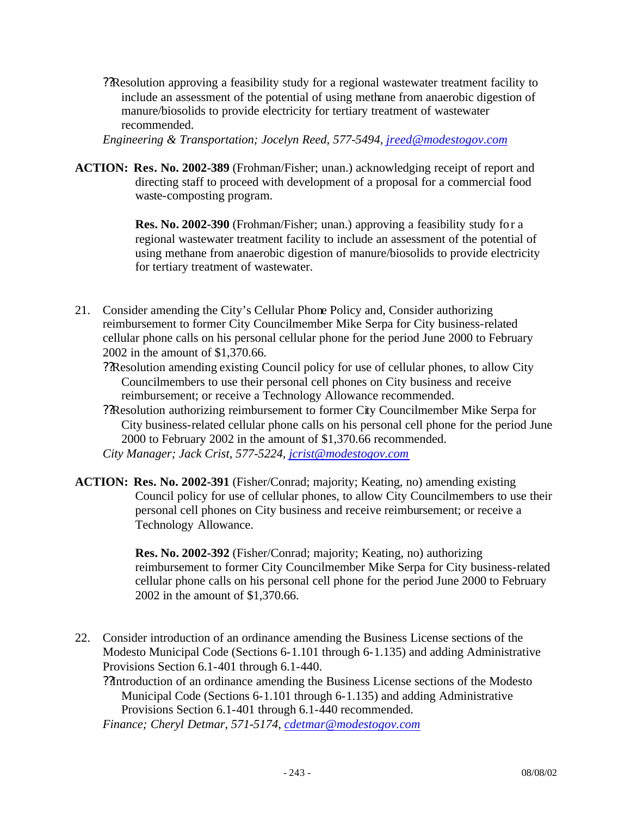??Resolution approving a feasibility study for a regional wastewater treatment facility to include an assessment of the potential of using methane from anaerobic digestion of manure/biosolids to provide electricity for tertiary treatment of wastewater recommended.

*Engineering & Transportation; Jocelyn Reed, 577-5494, jreed@modestogov.com*

**ACTION: Res. No. 2002-389** (Frohman/Fisher; unan.) acknowledging receipt of report and directing staff to proceed with development of a proposal for a commercial food waste-composting program.

> **Res. No. 2002-390** (Frohman/Fisher; unan.) approving a feasibility study for a regional wastewater treatment facility to include an assessment of the potential of using methane from anaerobic digestion of manure/biosolids to provide electricity for tertiary treatment of wastewater.

- 21. Consider amending the City's Cellular Phone Policy and, Consider authorizing reimbursement to former City Councilmember Mike Serpa for City business-related cellular phone calls on his personal cellular phone for the period June 2000 to February 2002 in the amount of \$1,370.66.
	- ??Resolution amending existing Council policy for use of cellular phones, to allow City Councilmembers to use their personal cell phones on City business and receive reimbursement; or receive a Technology Allowance recommended.
	- ??Resolution authorizing reimbursement to former City Councilmember Mike Serpa for City business-related cellular phone calls on his personal cell phone for the period June 2000 to February 2002 in the amount of \$1,370.66 recommended. *City Manager; Jack Crist, 577-5224, jcrist@modestogov.com*
- **ACTION: Res. No. 2002-391** (Fisher/Conrad; majority; Keating, no) amending existing Council policy for use of cellular phones, to allow City Councilmembers to use their personal cell phones on City business and receive reimbursement; or receive a

**Res. No. 2002-392** (Fisher/Conrad; majority; Keating, no) authorizing reimbursement to former City Councilmember Mike Serpa for City business-related cellular phone calls on his personal cell phone for the period June 2000 to February 2002 in the amount of \$1,370.66.

22. Consider introduction of an ordinance amending the Business License sections of the Modesto Municipal Code (Sections 6-1.101 through 6-1.135) and adding Administrative Provisions Section 6.1-401 through 6.1-440.

??Introduction of an ordinance amending the Business License sections of the Modesto Municipal Code (Sections 6-1.101 through 6-1.135) and adding Administrative Provisions Section 6.1-401 through 6.1-440 recommended.

*Finance; Cheryl Detmar, 571-5174, cdetmar@modestogov.com*

Technology Allowance.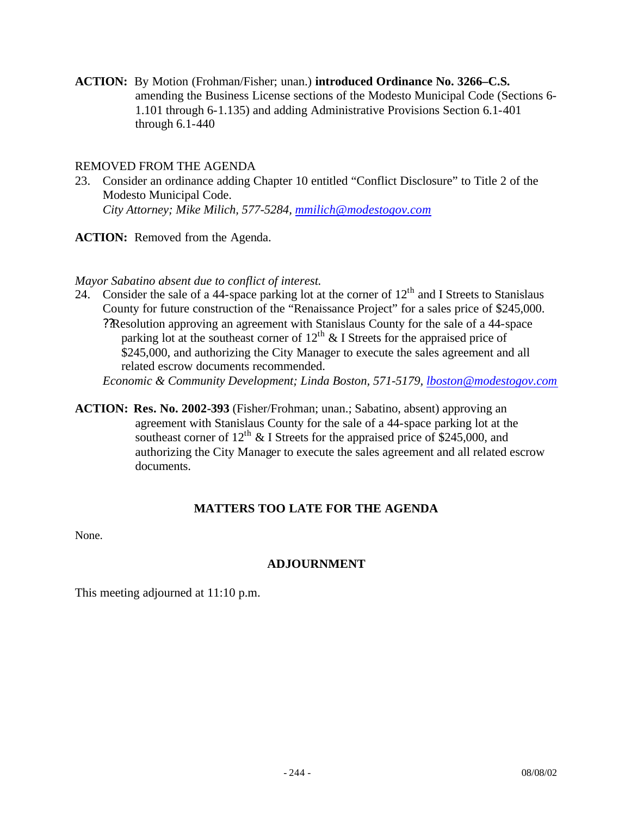**ACTION:** By Motion (Frohman/Fisher; unan.) **introduced Ordinance No. 3266–C.S.**  amending the Business License sections of the Modesto Municipal Code (Sections 6- 1.101 through 6-1.135) and adding Administrative Provisions Section 6.1-401 through 6.1-440

#### REMOVED FROM THE AGENDA

23. Consider an ordinance adding Chapter 10 entitled "Conflict Disclosure" to Title 2 of the Modesto Municipal Code. *City Attorney; Mike Milich, 577-5284, mmilich@modestogov.com*

ACTION: Removed from the Agenda.

#### *Mayor Sabatino absent due to conflict of interest.*

24. Consider the sale of a 44-space parking lot at the corner of  $12<sup>th</sup>$  and I Streets to Stanislaus County for future construction of the "Renaissance Project" for a sales price of \$245,000. ??Resolution approving an agreement with Stanislaus County for the sale of a 44-space parking lot at the southeast corner of  $12<sup>th</sup>$  & I Streets for the appraised price of \$245,000, and authorizing the City Manager to execute the sales agreement and all related escrow documents recommended.

*Economic & Community Development; Linda Boston, 571-5179, lboston@modestogov.com*

**ACTION: Res. No. 2002-393** (Fisher/Frohman; unan.; Sabatino, absent) approving an agreement with Stanislaus County for the sale of a 44-space parking lot at the southeast corner of  $12^{th}$  & I Streets for the appraised price of \$245,000, and authorizing the City Manager to execute the sales agreement and all related escrow documents.

#### **MATTERS TOO LATE FOR THE AGENDA**

None.

#### **ADJOURNMENT**

This meeting adjourned at 11:10 p.m.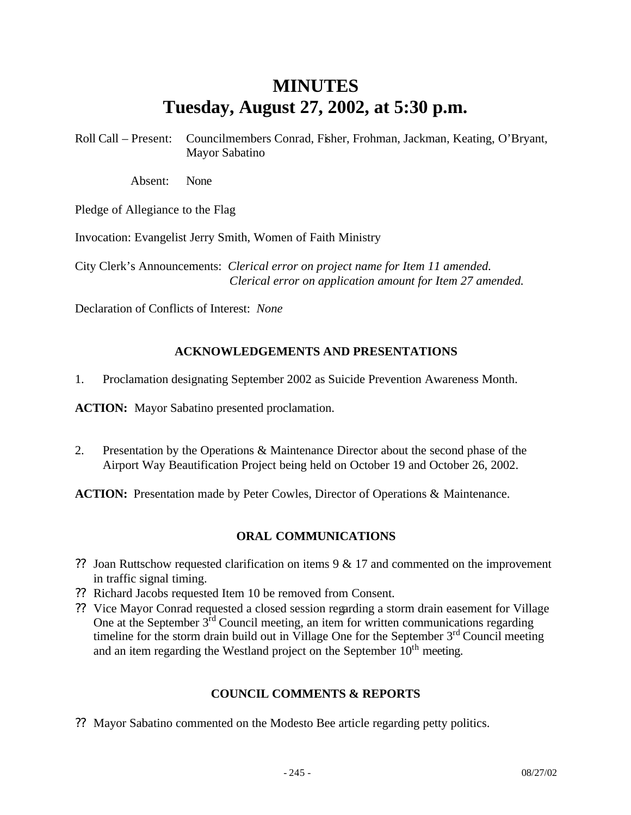## **MINUTES Tuesday, August 27, 2002, at 5:30 p.m.**

Roll Call – Present: Councilmembers Conrad, Fisher, Frohman, Jackman, Keating, O'Bryant, Mayor Sabatino

Absent: None

Pledge of Allegiance to the Flag

Invocation: Evangelist Jerry Smith, Women of Faith Ministry

City Clerk's Announcements: *Clerical error on project name for Item 11 amended. Clerical error on application amount for Item 27 amended.*

Declaration of Conflicts of Interest: *None*

#### **ACKNOWLEDGEMENTS AND PRESENTATIONS**

1. Proclamation designating September 2002 as Suicide Prevention Awareness Month.

**ACTION:** Mayor Sabatino presented proclamation.

2. Presentation by the Operations & Maintenance Director about the second phase of the Airport Way Beautification Project being held on October 19 and October 26, 2002.

**ACTION:** Presentation made by Peter Cowles, Director of Operations & Maintenance.

#### **ORAL COMMUNICATIONS**

- ?? Joan Ruttschow requested clarification on items 9 & 17 and commented on the improvement in traffic signal timing.
- ?? Richard Jacobs requested Item 10 be removed from Consent.
- ?? Vice Mayor Conrad requested a closed session regarding a storm drain easement for Village One at the September  $3<sup>rd</sup>$  Council meeting, an item for written communications regarding timeline for the storm drain build out in Village One for the September 3<sup>rd</sup> Council meeting and an item regarding the Westland project on the September  $10<sup>th</sup>$  meeting.

#### **COUNCIL COMMENTS & REPORTS**

?? Mayor Sabatino commented on the Modesto Bee article regarding petty politics.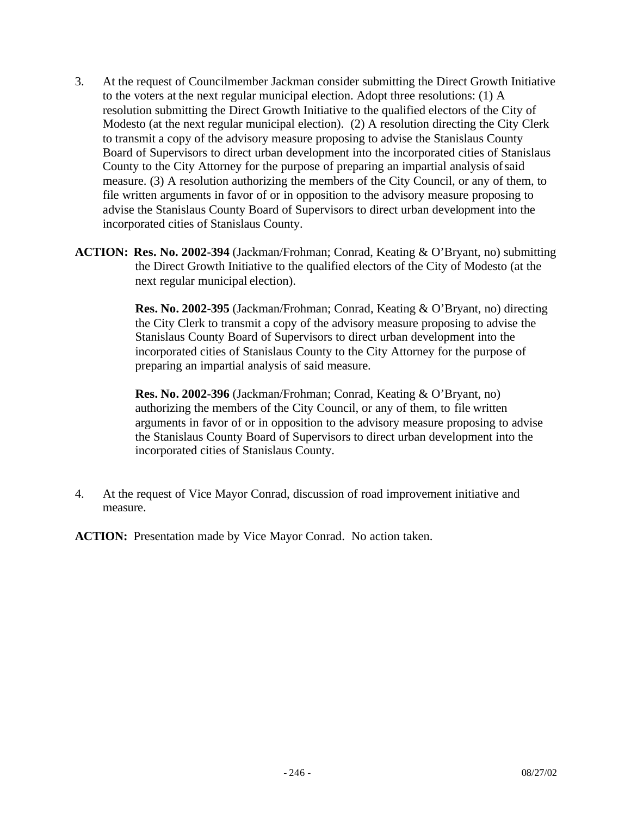- 3. At the request of Councilmember Jackman consider submitting the Direct Growth Initiative to the voters at the next regular municipal election. Adopt three resolutions: (1) A resolution submitting the Direct Growth Initiative to the qualified electors of the City of Modesto (at the next regular municipal election). (2) A resolution directing the City Clerk to transmit a copy of the advisory measure proposing to advise the Stanislaus County Board of Supervisors to direct urban development into the incorporated cities of Stanislaus County to the City Attorney for the purpose of preparing an impartial analysis of said measure. (3) A resolution authorizing the members of the City Council, or any of them, to file written arguments in favor of or in opposition to the advisory measure proposing to advise the Stanislaus County Board of Supervisors to direct urban development into the incorporated cities of Stanislaus County.
- **ACTION: Res. No. 2002-394** (Jackman/Frohman; Conrad, Keating & O'Bryant, no) submitting the Direct Growth Initiative to the qualified electors of the City of Modesto (at the next regular municipal election).

**Res. No. 2002-395** (Jackman/Frohman; Conrad, Keating & O'Bryant, no) directing the City Clerk to transmit a copy of the advisory measure proposing to advise the Stanislaus County Board of Supervisors to direct urban development into the incorporated cities of Stanislaus County to the City Attorney for the purpose of preparing an impartial analysis of said measure.

**Res. No. 2002-396** (Jackman/Frohman; Conrad, Keating & O'Bryant, no) authorizing the members of the City Council, or any of them, to file written arguments in favor of or in opposition to the advisory measure proposing to advise the Stanislaus County Board of Supervisors to direct urban development into the incorporated cities of Stanislaus County.

4. At the request of Vice Mayor Conrad, discussion of road improvement initiative and measure.

**ACTION:** Presentation made by Vice Mayor Conrad. No action taken.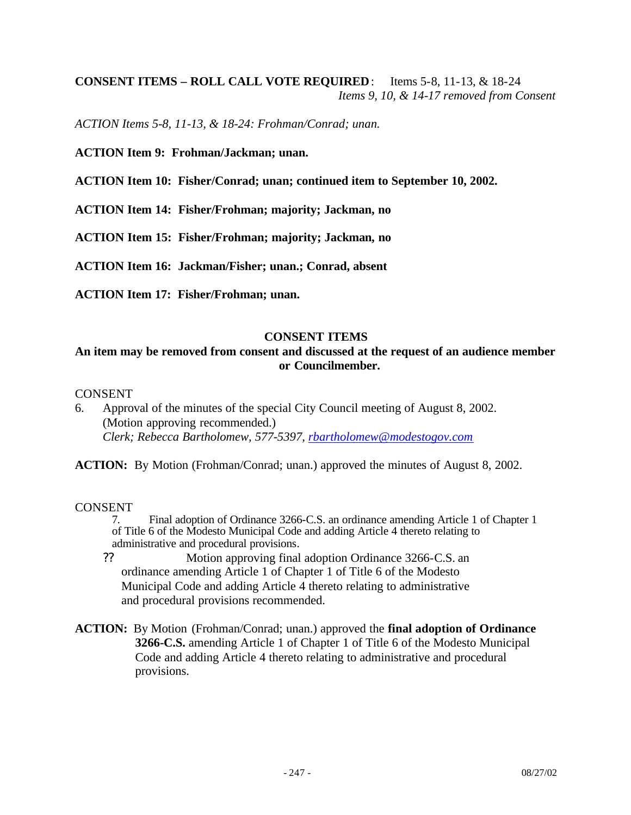#### **CONSENT ITEMS – ROLL CALL VOTE REQUIRED**: Items 5-8, 11-13, & 18-24 *Items 9, 10, & 14-17 removed from Consent*

*ACTION Items 5-8, 11-13, & 18-24: Frohman/Conrad; unan.*

**ACTION Item 9: Frohman/Jackman; unan.**

**ACTION Item 10: Fisher/Conrad; unan; continued item to September 10, 2002.**

**ACTION Item 14: Fisher/Frohman; majority; Jackman, no**

**ACTION Item 15: Fisher/Frohman; majority; Jackman, no**

**ACTION Item 16: Jackman/Fisher; unan.; Conrad, absent**

**ACTION Item 17: Fisher/Frohman; unan.**

#### **CONSENT ITEMS**

#### **An item may be removed from consent and discussed at the request of an audience member or Councilmember.**

#### CONSENT

6. Approval of the minutes of the special City Council meeting of August 8, 2002. (Motion approving recommended.) *Clerk; Rebecca Bartholomew, 577-5397, rbartholomew@modestogov.com*

**ACTION:** By Motion (Frohman/Conrad; unan.) approved the minutes of August 8, 2002.

# CONSENT<sub>7</sub>

- Final adoption of Ordinance 3266-C.S. an ordinance amending Article 1 of Chapter 1 of Title 6 of the Modesto Municipal Code and adding Article 4 thereto relating to administrative and procedural provisions.
- ?? Motion approving final adoption Ordinance 3266-C.S. an ordinance amending Article 1 of Chapter 1 of Title 6 of the Modesto Municipal Code and adding Article 4 thereto relating to administrative and procedural provisions recommended.
- **ACTION:** By Motion (Frohman/Conrad; unan.) approved the **final adoption of Ordinance 3266-C.S.** amending Article 1 of Chapter 1 of Title 6 of the Modesto Municipal Code and adding Article 4 thereto relating to administrative and procedural provisions.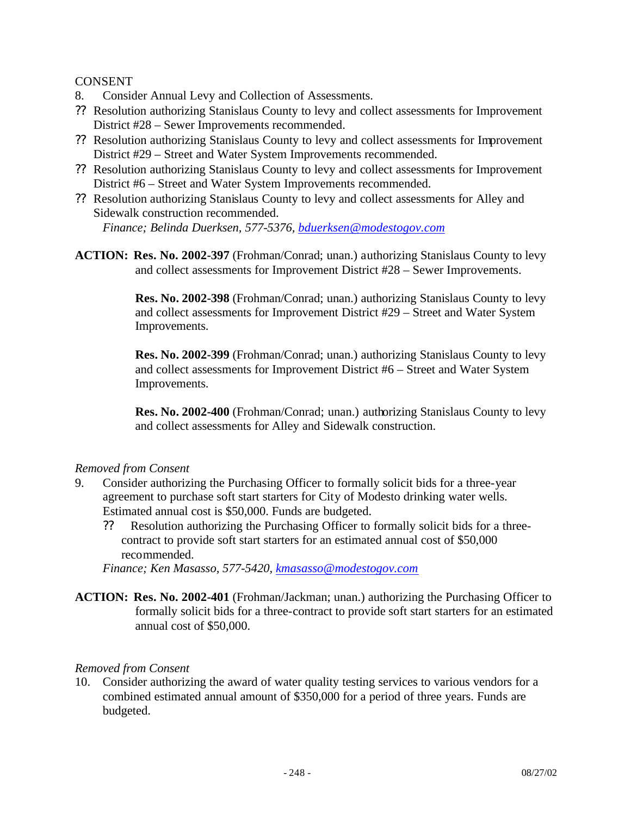CONSENT

- 8. Consider Annual Levy and Collection of Assessments.
- ?? Resolution authorizing Stanislaus County to levy and collect assessments for Improvement District #28 – Sewer Improvements recommended.
- ?? Resolution authorizing Stanislaus County to levy and collect assessments for Improvement District #29 – Street and Water System Improvements recommended.
- ?? Resolution authorizing Stanislaus County to levy and collect assessments for Improvement District #6 – Street and Water System Improvements recommended.
- ?? Resolution authorizing Stanislaus County to levy and collect assessments for Alley and Sidewalk construction recommended.

*Finance; Belinda Duerksen, 577-5376, bduerksen@modestogov.com*

**ACTION: Res. No. 2002-397** (Frohman/Conrad; unan.) authorizing Stanislaus County to levy and collect assessments for Improvement District #28 – Sewer Improvements.

> **Res. No. 2002-398** (Frohman/Conrad; unan.) authorizing Stanislaus County to levy and collect assessments for Improvement District #29 – Street and Water System Improvements.

> **Res. No. 2002-399** (Frohman/Conrad; unan.) authorizing Stanislaus County to levy and collect assessments for Improvement District #6 – Street and Water System Improvements.

> **Res. No. 2002-400** (Frohman/Conrad; unan.) authorizing Stanislaus County to levy and collect assessments for Alley and Sidewalk construction.

#### *Removed from Consent*

- 9. Consider authorizing the Purchasing Officer to formally solicit bids for a three-year agreement to purchase soft start starters for City of Modesto drinking water wells. Estimated annual cost is \$50,000. Funds are budgeted.
	- ?? Resolution authorizing the Purchasing Officer to formally solicit bids for a threecontract to provide soft start starters for an estimated annual cost of \$50,000 recommended.

*Finance; Ken Masasso, 577-5420, kmasasso@modestogov.com*

**ACTION: Res. No. 2002-401** (Frohman/Jackman; unan.) authorizing the Purchasing Officer to formally solicit bids for a three-contract to provide soft start starters for an estimated annual cost of \$50,000.

#### *Removed from Consent*

10. Consider authorizing the award of water quality testing services to various vendors for a combined estimated annual amount of \$350,000 for a period of three years. Funds are budgeted.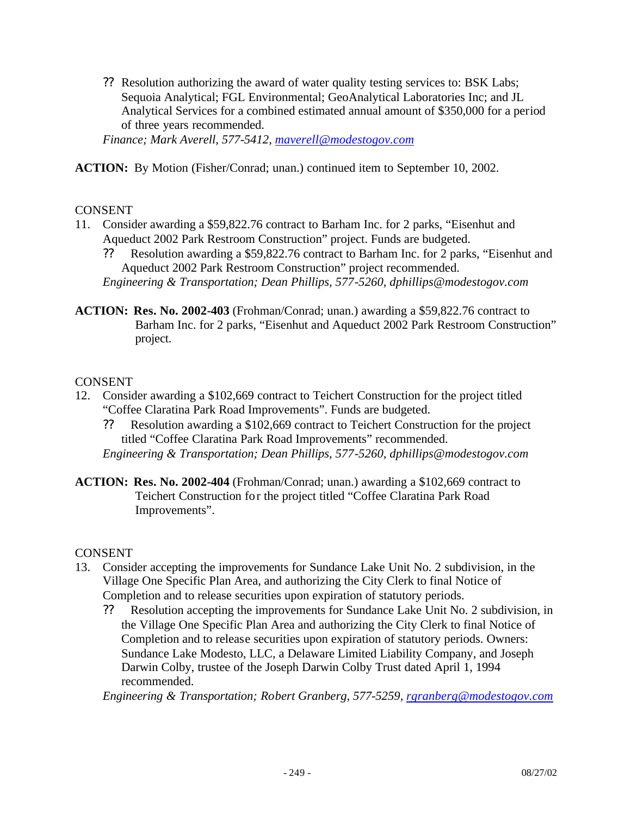?? Resolution authorizing the award of water quality testing services to: BSK Labs; Sequoia Analytical; FGL Environmental; GeoAnalytical Laboratories Inc; and JL Analytical Services for a combined estimated annual amount of \$350,000 for a period of three years recommended.

*Finance; Mark Averell, 577-5412, maverell@modestogov.com*

**ACTION:** By Motion (Fisher/Conrad; unan.) continued item to September 10, 2002.

#### CONSENT

- 11. Consider awarding a \$59,822.76 contract to Barham Inc. for 2 parks, "Eisenhut and Aqueduct 2002 Park Restroom Construction" project. Funds are budgeted.
	- ?? Resolution awarding a \$59,822.76 contract to Barham Inc. for 2 parks, "Eisenhut and Aqueduct 2002 Park Restroom Construction" project recommended. *Engineering & Transportation; Dean Phillips, 577-5260, dphillips@modestogov.com*
- **ACTION: Res. No. 2002-403** (Frohman/Conrad; unan.) awarding a \$59,822.76 contract to Barham Inc. for 2 parks, "Eisenhut and Aqueduct 2002 Park Restroom Construction" project.

#### CONSENT

- 12. Consider awarding a \$102,669 contract to Teichert Construction for the project titled "Coffee Claratina Park Road Improvements". Funds are budgeted.
	- ?? Resolution awarding a \$102,669 contract to Teichert Construction for the project titled "Coffee Claratina Park Road Improvements" recommended. *Engineering & Transportation; Dean Phillips, 577-5260, dphillips@modestogov.com*
- **ACTION: Res. No. 2002-404** (Frohman/Conrad; unan.) awarding a \$102,669 contract to Teichert Construction for the project titled "Coffee Claratina Park Road Improvements".

#### CONSENT

- 13. Consider accepting the improvements for Sundance Lake Unit No. 2 subdivision, in the Village One Specific Plan Area, and authorizing the City Clerk to final Notice of Completion and to release securities upon expiration of statutory periods.
	- ?? Resolution accepting the improvements for Sundance Lake Unit No. 2 subdivision, in the Village One Specific Plan Area and authorizing the City Clerk to final Notice of Completion and to release securities upon expiration of statutory periods. Owners: Sundance Lake Modesto, LLC, a Delaware Limited Liability Company, and Joseph Darwin Colby, trustee of the Joseph Darwin Colby Trust dated April 1, 1994 recommended.

*Engineering & Transportation; Robert Granberg, 577-5259, rgranberg@modestogov.com*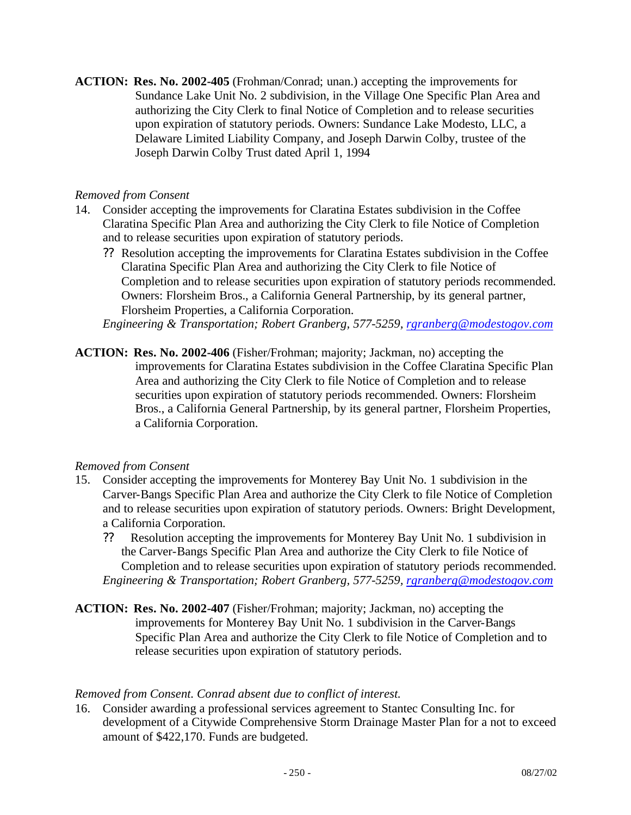**ACTION: Res. No. 2002-405** (Frohman/Conrad; unan.) accepting the improvements for Sundance Lake Unit No. 2 subdivision, in the Village One Specific Plan Area and authorizing the City Clerk to final Notice of Completion and to release securities upon expiration of statutory periods. Owners: Sundance Lake Modesto, LLC, a Delaware Limited Liability Company, and Joseph Darwin Colby, trustee of the Joseph Darwin Colby Trust dated April 1, 1994

#### *Removed from Consent*

- 14. Consider accepting the improvements for Claratina Estates subdivision in the Coffee Claratina Specific Plan Area and authorizing the City Clerk to file Notice of Completion and to release securities upon expiration of statutory periods.
	- ?? Resolution accepting the improvements for Claratina Estates subdivision in the Coffee Claratina Specific Plan Area and authorizing the City Clerk to file Notice of Completion and to release securities upon expiration of statutory periods recommended. Owners: Florsheim Bros., a California General Partnership, by its general partner, Florsheim Properties, a California Corporation.

*Engineering & Transportation; Robert Granberg, 577-5259, rgranberg@modestogov.com*

**ACTION: Res. No. 2002-406** (Fisher/Frohman; majority; Jackman, no) accepting the improvements for Claratina Estates subdivision in the Coffee Claratina Specific Plan Area and authorizing the City Clerk to file Notice of Completion and to release securities upon expiration of statutory periods recommended. Owners: Florsheim Bros., a California General Partnership, by its general partner, Florsheim Properties, a California Corporation.

#### *Removed from Consent*

- 15. Consider accepting the improvements for Monterey Bay Unit No. 1 subdivision in the Carver-Bangs Specific Plan Area and authorize the City Clerk to file Notice of Completion and to release securities upon expiration of statutory periods. Owners: Bright Development, a California Corporation.
	- ?? Resolution accepting the improvements for Monterey Bay Unit No. 1 subdivision in the Carver-Bangs Specific Plan Area and authorize the City Clerk to file Notice of Completion and to release securities upon expiration of statutory periods recommended. *Engineering & Transportation; Robert Granberg, 577-5259, rgranberg@modestogov.com*
- **ACTION: Res. No. 2002-407** (Fisher/Frohman; majority; Jackman, no) accepting the improvements for Monterey Bay Unit No. 1 subdivision in the Carver-Bangs Specific Plan Area and authorize the City Clerk to file Notice of Completion and to release securities upon expiration of statutory periods.

#### *Removed from Consent. Conrad absent due to conflict of interest.*

16. Consider awarding a professional services agreement to Stantec Consulting Inc. for development of a Citywide Comprehensive Storm Drainage Master Plan for a not to exceed amount of \$422,170. Funds are budgeted.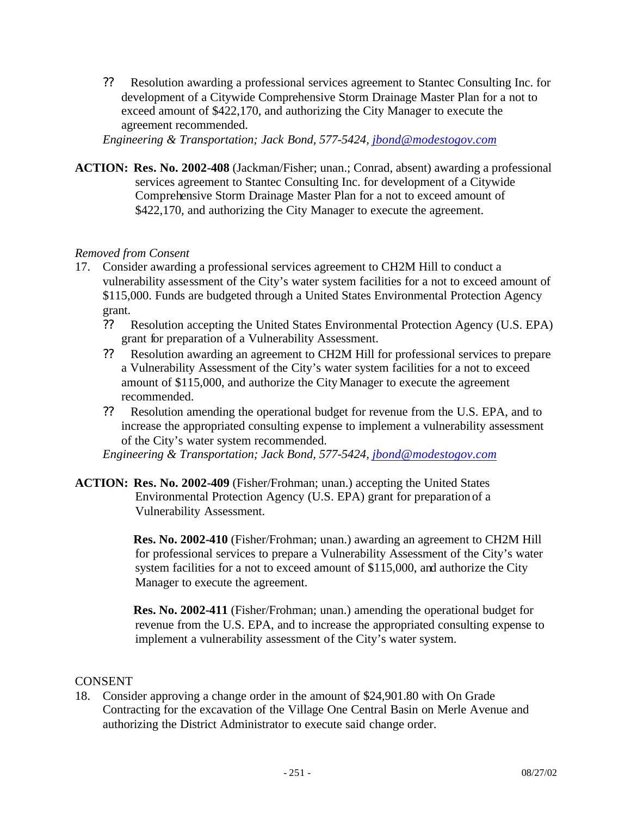?? Resolution awarding a professional services agreement to Stantec Consulting Inc. for development of a Citywide Comprehensive Storm Drainage Master Plan for a not to exceed amount of \$422,170, and authorizing the City Manager to execute the agreement recommended.

*Engineering & Transportation; Jack Bond, 577-5424, jbond@modestogov.com*

**ACTION: Res. No. 2002-408** (Jackman/Fisher; unan.; Conrad, absent) awarding a professional services agreement to Stantec Consulting Inc. for development of a Citywide Comprehensive Storm Drainage Master Plan for a not to exceed amount of \$422,170, and authorizing the City Manager to execute the agreement.

#### *Removed from Consent*

- 17. Consider awarding a professional services agreement to CH2M Hill to conduct a vulnerability assessment of the City's water system facilities for a not to exceed amount of \$115,000. Funds are budgeted through a United States Environmental Protection Agency grant.
	- ?? Resolution accepting the United States Environmental Protection Agency (U.S. EPA) grant for preparation of a Vulnerability Assessment.
	- ?? Resolution awarding an agreement to CH2M Hill for professional services to prepare a Vulnerability Assessment of the City's water system facilities for a not to exceed amount of \$115,000, and authorize the City Manager to execute the agreement recommended.
	- ?? Resolution amending the operational budget for revenue from the U.S. EPA, and to increase the appropriated consulting expense to implement a vulnerability assessment of the City's water system recommended.

*Engineering & Transportation; Jack Bond, 577-5424, jbond@modestogov.com*

**ACTION: Res. No. 2002-409** (Fisher/Frohman; unan.) accepting the United States Environmental Protection Agency (U.S. EPA) grant for preparation of a Vulnerability Assessment.

> **Res. No. 2002-410** (Fisher/Frohman; unan.) awarding an agreement to CH2M Hill for professional services to prepare a Vulnerability Assessment of the City's water system facilities for a not to exceed amount of \$115,000, and authorize the City Manager to execute the agreement.

> **Res. No. 2002-411** (Fisher/Frohman; unan.) amending the operational budget for revenue from the U.S. EPA, and to increase the appropriated consulting expense to implement a vulnerability assessment of the City's water system.

#### **CONSENT**

18. Consider approving a change order in the amount of \$24,901.80 with On Grade Contracting for the excavation of the Village One Central Basin on Merle Avenue and authorizing the District Administrator to execute said change order.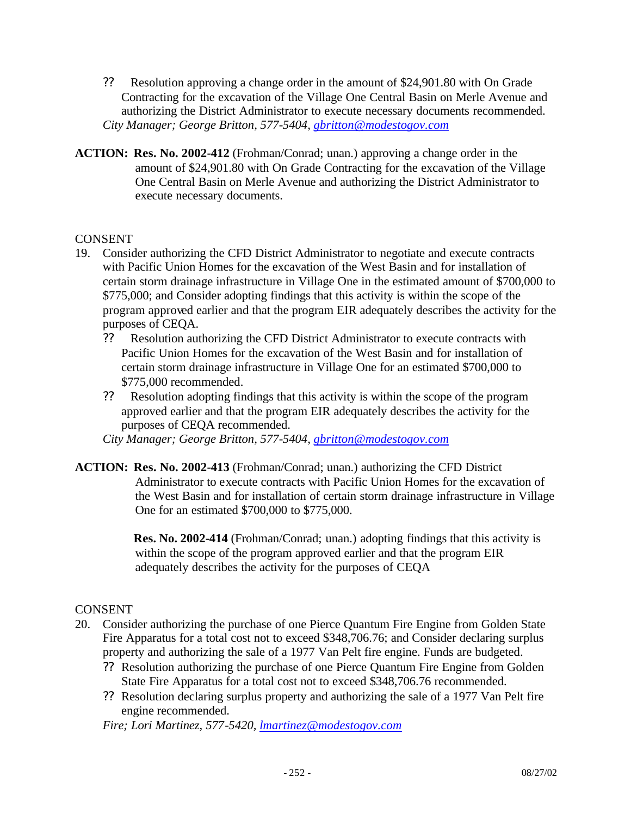- ?? Resolution approving a change order in the amount of \$24,901.80 with On Grade Contracting for the excavation of the Village One Central Basin on Merle Avenue and authorizing the District Administrator to execute necessary documents recommended. *City Manager; George Britton, 577-5404, gbritton@modestogov.com*
- **ACTION: Res. No. 2002-412** (Frohman/Conrad; unan.) approving a change order in the amount of \$24,901.80 with On Grade Contracting for the excavation of the Village One Central Basin on Merle Avenue and authorizing the District Administrator to execute necessary documents.

#### **CONSENT**

- 19. Consider authorizing the CFD District Administrator to negotiate and execute contracts with Pacific Union Homes for the excavation of the West Basin and for installation of certain storm drainage infrastructure in Village One in the estimated amount of \$700,000 to \$775,000; and Consider adopting findings that this activity is within the scope of the program approved earlier and that the program EIR adequately describes the activity for the purposes of CEQA.
	- ?? Resolution authorizing the CFD District Administrator to execute contracts with Pacific Union Homes for the excavation of the West Basin and for installation of certain storm drainage infrastructure in Village One for an estimated \$700,000 to \$775,000 recommended.
	- ?? Resolution adopting findings that this activity is within the scope of the program approved earlier and that the program EIR adequately describes the activity for the purposes of CEQA recommended.

*City Manager; George Britton, 577-5404, gbritton@modestogov.com*

**ACTION: Res. No. 2002-413** (Frohman/Conrad; unan.) authorizing the CFD District Administrator to execute contracts with Pacific Union Homes for the excavation of the West Basin and for installation of certain storm drainage infrastructure in Village One for an estimated \$700,000 to \$775,000.

> **Res. No. 2002-414** (Frohman/Conrad; unan.) adopting findings that this activity is within the scope of the program approved earlier and that the program EIR adequately describes the activity for the purposes of CEQA

#### **CONSENT**

- 20. Consider authorizing the purchase of one Pierce Quantum Fire Engine from Golden State Fire Apparatus for a total cost not to exceed \$348,706.76; and Consider declaring surplus property and authorizing the sale of a 1977 Van Pelt fire engine. Funds are budgeted.
	- ?? Resolution authorizing the purchase of one Pierce Quantum Fire Engine from Golden State Fire Apparatus for a total cost not to exceed \$348,706.76 recommended.
	- ?? Resolution declaring surplus property and authorizing the sale of a 1977 Van Pelt fire engine recommended.

*Fire; Lori Martinez, 577-5420, lmartinez@modestogov.com*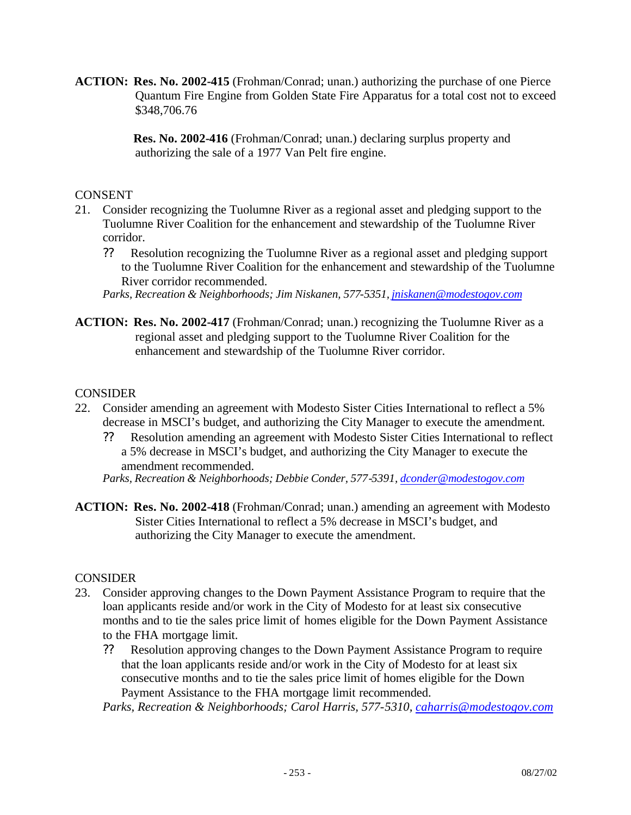**ACTION: Res. No. 2002-415** (Frohman/Conrad; unan.) authorizing the purchase of one Pierce Quantum Fire Engine from Golden State Fire Apparatus for a total cost not to exceed \$348,706.76

> **Res. No. 2002-416** (Frohman/Conrad; unan.) declaring surplus property and authorizing the sale of a 1977 Van Pelt fire engine.

### **CONSENT**

- 21. Consider recognizing the Tuolumne River as a regional asset and pledging support to the Tuolumne River Coalition for the enhancement and stewardship of the Tuolumne River corridor.
	- ?? Resolution recognizing the Tuolumne River as a regional asset and pledging support to the Tuolumne River Coalition for the enhancement and stewardship of the Tuolumne River corridor recommended.
	- *Parks, Recreation & Neighborhoods; Jim Niskanen, 577-5351, jniskanen@modestogov.com*
- **ACTION: Res. No. 2002-417** (Frohman/Conrad; unan.) recognizing the Tuolumne River as a regional asset and pledging support to the Tuolumne River Coalition for the enhancement and stewardship of the Tuolumne River corridor.

#### **CONSIDER**

- 22. Consider amending an agreement with Modesto Sister Cities International to reflect a 5% decrease in MSCI's budget, and authorizing the City Manager to execute the amendment.
	- ?? Resolution amending an agreement with Modesto Sister Cities International to reflect a 5% decrease in MSCI's budget, and authorizing the City Manager to execute the amendment recommended.

*Parks, Recreation & Neighborhoods; Debbie Conder, 577-5391, dconder@modestogov.com*

**ACTION: Res. No. 2002-418** (Frohman/Conrad; unan.) amending an agreement with Modesto Sister Cities International to reflect a 5% decrease in MSCI's budget, and authorizing the City Manager to execute the amendment.

#### CONSIDER

- 23. Consider approving changes to the Down Payment Assistance Program to require that the loan applicants reside and/or work in the City of Modesto for at least six consecutive months and to tie the sales price limit of homes eligible for the Down Payment Assistance to the FHA mortgage limit.
	- ?? Resolution approving changes to the Down Payment Assistance Program to require that the loan applicants reside and/or work in the City of Modesto for at least six consecutive months and to tie the sales price limit of homes eligible for the Down Payment Assistance to the FHA mortgage limit recommended.

*Parks, Recreation & Neighborhoods; Carol Harris, 577-5310, caharris@modestogov.com*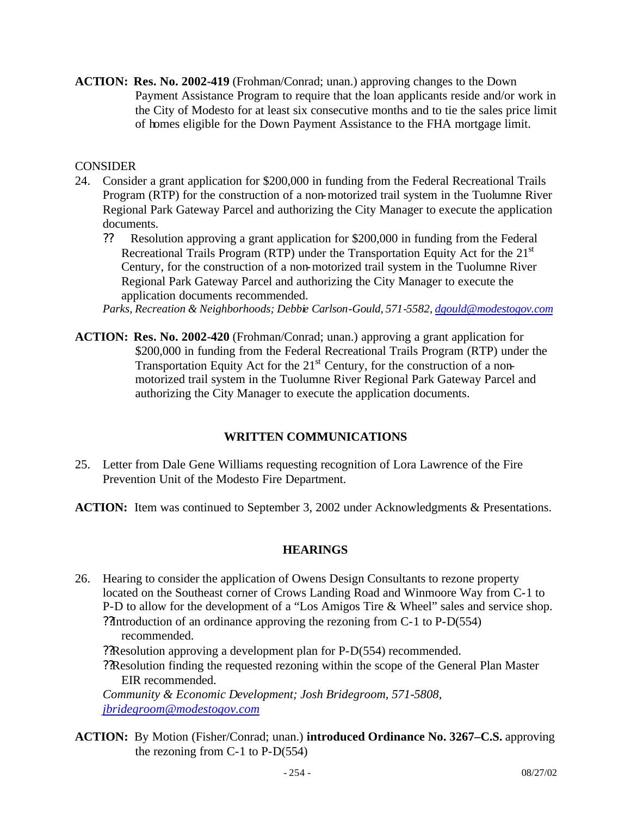**ACTION: Res. No. 2002-419** (Frohman/Conrad; unan.) approving changes to the Down Payment Assistance Program to require that the loan applicants reside and/or work in the City of Modesto for at least six consecutive months and to tie the sales price limit of homes eligible for the Down Payment Assistance to the FHA mortgage limit.

# **CONSIDER**

- 24. Consider a grant application for \$200,000 in funding from the Federal Recreational Trails Program (RTP) for the construction of a non-motorized trail system in the Tuolumne River Regional Park Gateway Parcel and authorizing the City Manager to execute the application documents.
	- ?? Resolution approving a grant application for \$200,000 in funding from the Federal Recreational Trails Program (RTP) under the Transportation Equity Act for the 21<sup>st</sup> Century, for the construction of a non-motorized trail system in the Tuolumne River Regional Park Gateway Parcel and authorizing the City Manager to execute the application documents recommended.

*Parks, Recreation & Neighborhoods; Debbie Carlson-Gould, 571-5582, dgould@modestogov.com*

**ACTION: Res. No. 2002-420** (Frohman/Conrad; unan.) approving a grant application for \$200,000 in funding from the Federal Recreational Trails Program (RTP) under the Transportation Equity Act for the  $21<sup>st</sup>$  Century, for the construction of a nonmotorized trail system in the Tuolumne River Regional Park Gateway Parcel and authorizing the City Manager to execute the application documents.

# **WRITTEN COMMUNICATIONS**

- 25. Letter from Dale Gene Williams requesting recognition of Lora Lawrence of the Fire Prevention Unit of the Modesto Fire Department.
- **ACTION:** Item was continued to September 3, 2002 under Acknowledgments & Presentations.

#### **HEARINGS**

- 26. Hearing to consider the application of Owens Design Consultants to rezone property located on the Southeast corner of Crows Landing Road and Winmoore Way from C-1 to P-D to allow for the development of a "Los Amigos Tire & Wheel" sales and service shop. ??Introduction of an ordinance approving the rezoning from C-1 to P-D(554) recommended. ??Resolution approving a development plan for P-D(554) recommended. ??Resolution finding the requested rezoning within the scope of the General Plan Master EIR recommended. *Community & Economic Development; Josh Bridegroom, 571-5808, jbridegroom@modestogov.com*
- **ACTION:** By Motion (Fisher/Conrad; unan.) **introduced Ordinance No. 3267–C.S.** approving the rezoning from C-1 to P-D(554)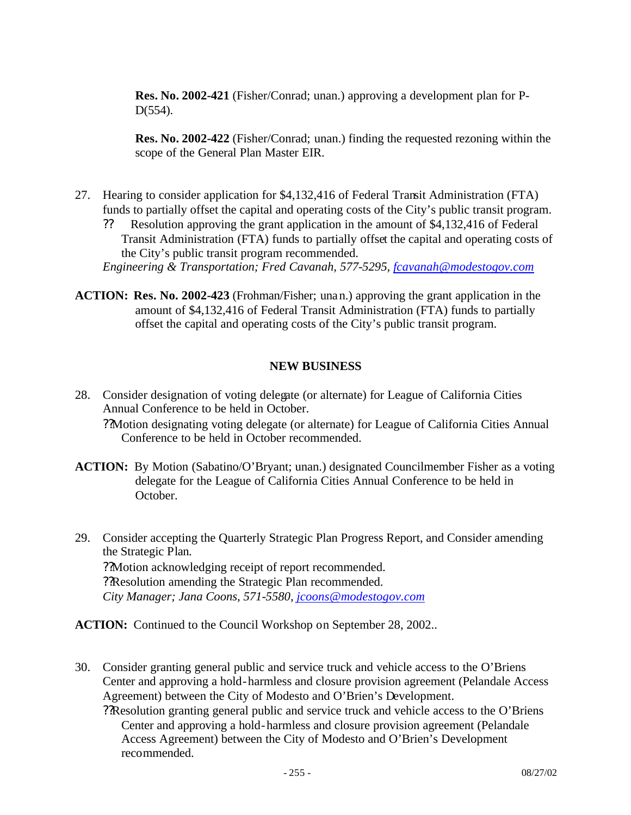**Res. No. 2002-421** (Fisher/Conrad; unan.) approving a development plan for P-D(554).

**Res. No. 2002-422** (Fisher/Conrad; unan.) finding the requested rezoning within the scope of the General Plan Master EIR.

- 27. Hearing to consider application for \$4,132,416 of Federal Transit Administration (FTA) funds to partially offset the capital and operating costs of the City's public transit program.
	- ?? Resolution approving the grant application in the amount of \$4,132,416 of Federal Transit Administration (FTA) funds to partially offset the capital and operating costs of the City's public transit program recommended. *Engineering & Transportation; Fred Cavanah, 577-5295, fcavanah@modestogov.com*
- **ACTION: Res. No. 2002-423** (Frohman/Fisher; unan.) approving the grant application in the amount of \$4,132,416 of Federal Transit Administration (FTA) funds to partially offset the capital and operating costs of the City's public transit program.

### **NEW BUSINESS**

- 28. Consider designation of voting delegate (or alternate) for League of California Cities Annual Conference to be held in October.
	- ??Motion designating voting delegate (or alternate) for League of California Cities Annual Conference to be held in October recommended.
- **ACTION:** By Motion (Sabatino/O'Bryant; unan.) designated Councilmember Fisher as a voting delegate for the League of California Cities Annual Conference to be held in October.
- 29. Consider accepting the Quarterly Strategic Plan Progress Report, and Consider amending the Strategic Plan. ??Motion acknowledging receipt of report recommended. ??Resolution amending the Strategic Plan recommended. *City Manager; Jana Coons, 571-5580, jcoons@modestogov.com*

**ACTION:** Continued to the Council Workshop on September 28, 2002..

- 30. Consider granting general public and service truck and vehicle access to the O'Briens Center and approving a hold-harmless and closure provision agreement (Pelandale Access Agreement) between the City of Modesto and O'Brien's Development.
	- ??Resolution granting general public and service truck and vehicle access to the O'Briens Center and approving a hold-harmless and closure provision agreement (Pelandale Access Agreement) between the City of Modesto and O'Brien's Development recommended.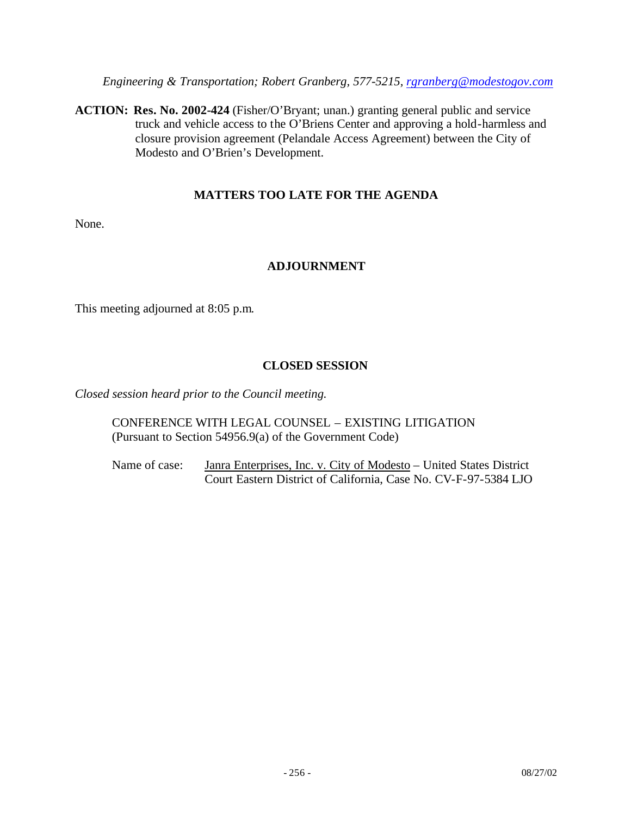*Engineering & Transportation; Robert Granberg, 577-5215, rgranberg@modestogov.com*

**ACTION: Res. No. 2002-424** (Fisher/O'Bryant; unan.) granting general public and service truck and vehicle access to the O'Briens Center and approving a hold-harmless and closure provision agreement (Pelandale Access Agreement) between the City of Modesto and O'Brien's Development.

# **MATTERS TOO LATE FOR THE AGENDA**

None.

# **ADJOURNMENT**

This meeting adjourned at 8:05 p.m.

# **CLOSED SESSION**

*Closed session heard prior to the Council meeting.*

CONFERENCE WITH LEGAL COUNSEL – EXISTING LITIGATION (Pursuant to Section 54956.9(a) of the Government Code)

Name of case: Janra Enterprises, Inc. v. City of Modesto – United States District Court Eastern District of California, Case No. CV-F-97-5384 LJO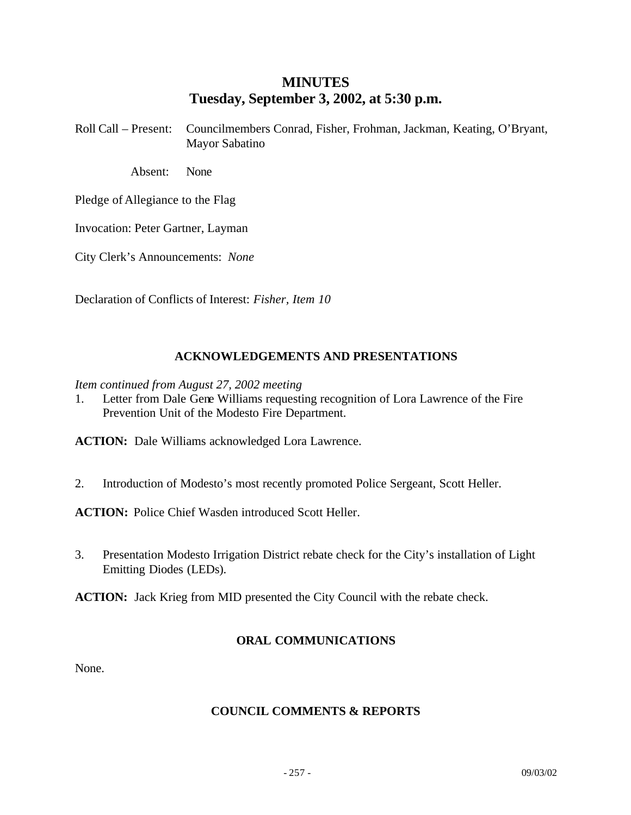# **MINUTES Tuesday, September 3, 2002, at 5:30 p.m.**

Roll Call – Present: Councilmembers Conrad, Fisher, Frohman, Jackman, Keating, O'Bryant, Mayor Sabatino

Absent: None

Pledge of Allegiance to the Flag

Invocation: Peter Gartner, Layman

City Clerk's Announcements: *None*

Declaration of Conflicts of Interest: *Fisher, Item 10*

# **ACKNOWLEDGEMENTS AND PRESENTATIONS**

*Item continued from August 27, 2002 meeting*

1. Letter from Dale Gene Williams requesting recognition of Lora Lawrence of the Fire Prevention Unit of the Modesto Fire Department.

**ACTION:** Dale Williams acknowledged Lora Lawrence.

2. Introduction of Modesto's most recently promoted Police Sergeant, Scott Heller.

**ACTION:** Police Chief Wasden introduced Scott Heller.

3. Presentation Modesto Irrigation District rebate check for the City's installation of Light Emitting Diodes (LEDs).

**ACTION:** Jack Krieg from MID presented the City Council with the rebate check.

# **ORAL COMMUNICATIONS**

None.

# **COUNCIL COMMENTS & REPORTS**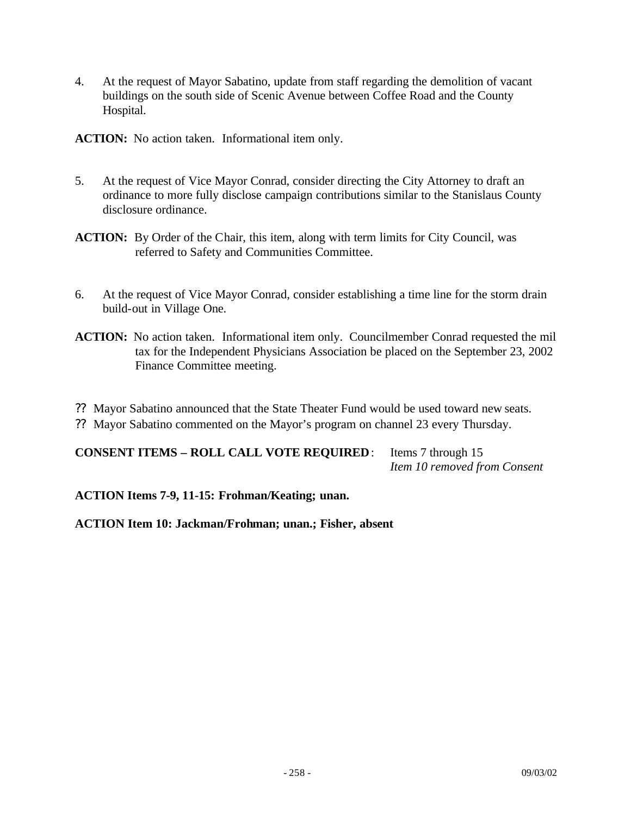4. At the request of Mayor Sabatino, update from staff regarding the demolition of vacant buildings on the south side of Scenic Avenue between Coffee Road and the County Hospital.

**ACTION:** No action taken. Informational item only.

- 5. At the request of Vice Mayor Conrad, consider directing the City Attorney to draft an ordinance to more fully disclose campaign contributions similar to the Stanislaus County disclosure ordinance.
- **ACTION:** By Order of the Chair, this item, along with term limits for City Council, was referred to Safety and Communities Committee.
- 6. At the request of Vice Mayor Conrad, consider establishing a time line for the storm drain build-out in Village One.
- **ACTION:** No action taken. Informational item only. Councilmember Conrad requested the mil tax for the Independent Physicians Association be placed on the September 23, 2002 Finance Committee meeting.
- ?? Mayor Sabatino announced that the State Theater Fund would be used toward new seats.
- ?? Mayor Sabatino commented on the Mayor's program on channel 23 every Thursday.

**CONSENT ITEMS – ROLL CALL VOTE REQUIRED**: Items 7 through 15 *Item 10 removed from Consent*

**ACTION Items 7-9, 11-15: Frohman/Keating; unan.**

**ACTION Item 10: Jackman/Frohman; unan.; Fisher, absent**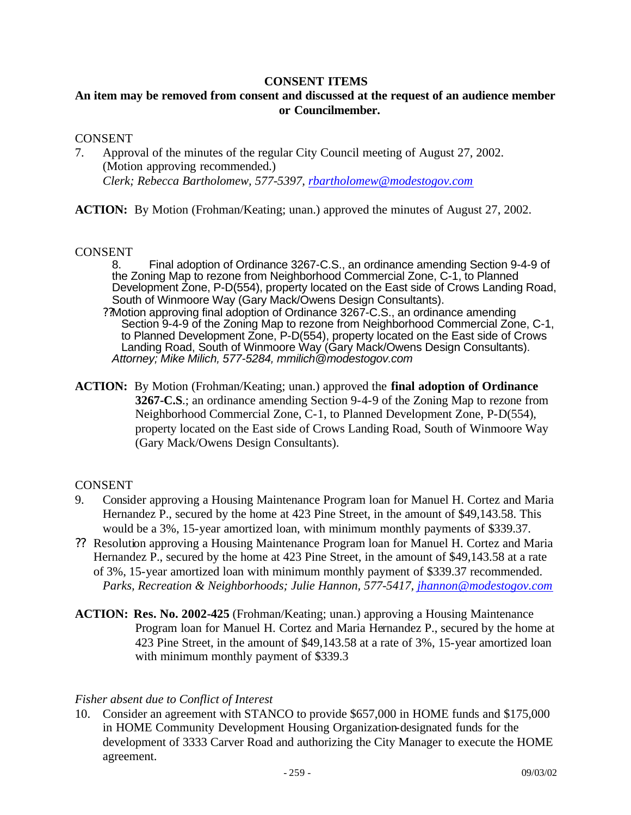#### **CONSENT ITEMS**

# **An item may be removed from consent and discussed at the request of an audience member or Councilmember.**

#### CONSENT

7. Approval of the minutes of the regular City Council meeting of August 27, 2002. (Motion approving recommended.) *Clerk; Rebecca Bartholomew, 577-5397, rbartholomew@modestogov.com*

**ACTION:** By Motion (Frohman/Keating; unan.) approved the minutes of August 27, 2002.

#### CONSENT

8. Final adoption of Ordinance 3267-C.S., an ordinance amending Section 9-4-9 of the Zoning Map to rezone from Neighborhood Commercial Zone, C-1, to Planned Development Zone, P-D(554), property located on the East side of Crows Landing Road, South of Winmoore Way (Gary Mack/Owens Design Consultants).

- ??Motion approving final adoption of Ordinance 3267-C.S., an ordinance amending Section 9-4-9 of the Zoning Map to rezone from Neighborhood Commercial Zone, C-1, to Planned Development Zone, P-D(554), property located on the East side of Crows Landing Road, South of Winmoore Way (Gary Mack/Owens Design Consultants). *Attorney; Mike Milich, 577-5284, mmilich@modestogov.com*
- **ACTION:** By Motion (Frohman/Keating; unan.) approved the **final adoption of Ordinance 3267-C.S**.; an ordinance amending Section 9-4-9 of the Zoning Map to rezone from Neighborhood Commercial Zone, C-1, to Planned Development Zone, P-D(554), property located on the East side of Crows Landing Road, South of Winmoore Way (Gary Mack/Owens Design Consultants).

#### CONSENT

- 9. Consider approving a Housing Maintenance Program loan for Manuel H. Cortez and Maria Hernandez P., secured by the home at 423 Pine Street, in the amount of \$49,143.58. This would be a 3%, 15-year amortized loan, with minimum monthly payments of \$339.37.
- ?? Resolution approving a Housing Maintenance Program loan for Manuel H. Cortez and Maria Hernandez P., secured by the home at 423 Pine Street, in the amount of \$49,143.58 at a rate of 3%, 15-year amortized loan with minimum monthly payment of \$339.37 recommended. *Parks, Recreation & Neighborhoods; Julie Hannon, 577-5417, jhannon@modestogov.com*
- **ACTION: Res. No. 2002-425** (Frohman/Keating; unan.) approving a Housing Maintenance Program loan for Manuel H. Cortez and Maria Hernandez P., secured by the home at 423 Pine Street, in the amount of \$49,143.58 at a rate of 3%, 15-year amortized loan with minimum monthly payment of \$339.3

#### *Fisher absent due to Conflict of Interest*

10. Consider an agreement with STANCO to provide \$657,000 in HOME funds and \$175,000 in HOME Community Development Housing Organization-designated funds for the development of 3333 Carver Road and authorizing the City Manager to execute the HOME agreement.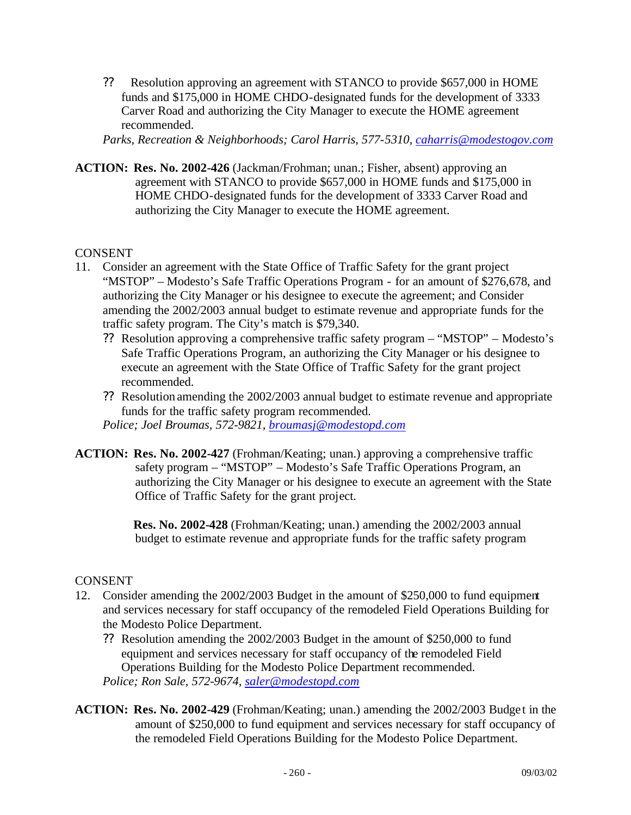?? Resolution approving an agreement with STANCO to provide \$657,000 in HOME funds and \$175,000 in HOME CHDO-designated funds for the development of 3333 Carver Road and authorizing the City Manager to execute the HOME agreement recommended.

*Parks, Recreation & Neighborhoods; Carol Harris, 577-5310, caharris@modestogov.com*

**ACTION: Res. No. 2002-426** (Jackman/Frohman; unan.; Fisher, absent) approving an agreement with STANCO to provide \$657,000 in HOME funds and \$175,000 in HOME CHDO-designated funds for the development of 3333 Carver Road and authorizing the City Manager to execute the HOME agreement.

# CONSENT

- 11. Consider an agreement with the State Office of Traffic Safety for the grant project "MSTOP" – Modesto's Safe Traffic Operations Program - for an amount of \$276,678, and authorizing the City Manager or his designee to execute the agreement; and Consider amending the 2002/2003 annual budget to estimate revenue and appropriate funds for the traffic safety program. The City's match is \$79,340.
	- ?? Resolution approving a comprehensive traffic safety program "MSTOP" Modesto's Safe Traffic Operations Program, an authorizing the City Manager or his designee to execute an agreement with the State Office of Traffic Safety for the grant project recommended.
	- ?? Resolution amending the 2002/2003 annual budget to estimate revenue and appropriate funds for the traffic safety program recommended.

*Police; Joel Broumas, 572-9821, broumasj@modestopd.com*

**ACTION: Res. No. 2002-427** (Frohman/Keating; unan.) approving a comprehensive traffic safety program – "MSTOP" – Modesto's Safe Traffic Operations Program, an authorizing the City Manager or his designee to execute an agreement with the State Office of Traffic Safety for the grant project.

> **Res. No. 2002-428** (Frohman/Keating; unan.) amending the 2002/2003 annual budget to estimate revenue and appropriate funds for the traffic safety program

# CONSENT

- 12. Consider amending the 2002/2003 Budget in the amount of \$250,000 to fund equipment and services necessary for staff occupancy of the remodeled Field Operations Building for the Modesto Police Department.
	- ?? Resolution amending the 2002/2003 Budget in the amount of \$250,000 to fund equipment and services necessary for staff occupancy of the remodeled Field Operations Building for the Modesto Police Department recommended. *Police; Ron Sale, 572-9674, saler@modestopd.com*
- **ACTION: Res. No. 2002-429** (Frohman/Keating; unan.) amending the 2002/2003 Budge t in the amount of \$250,000 to fund equipment and services necessary for staff occupancy of the remodeled Field Operations Building for the Modesto Police Department.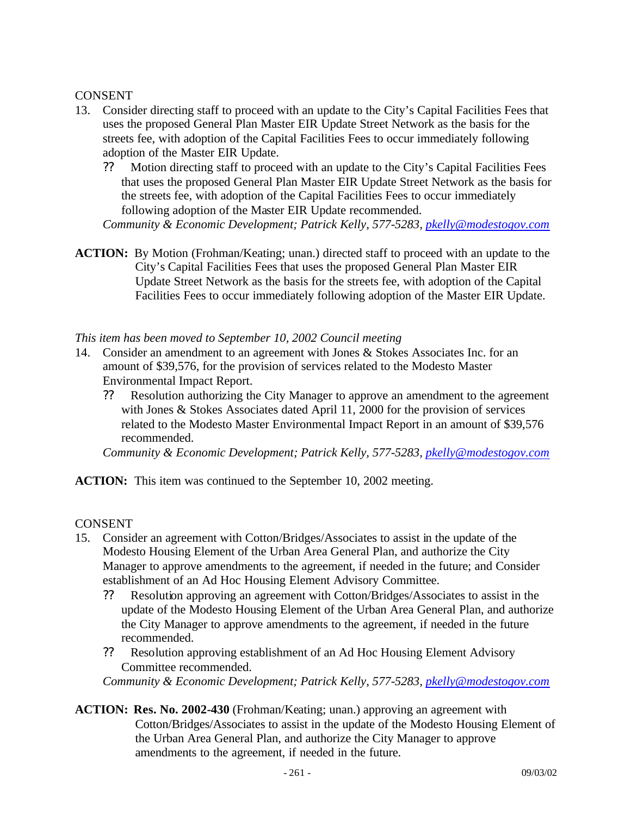# CONSENT

- 13. Consider directing staff to proceed with an update to the City's Capital Facilities Fees that uses the proposed General Plan Master EIR Update Street Network as the basis for the streets fee, with adoption of the Capital Facilities Fees to occur immediately following adoption of the Master EIR Update.
	- ?? Motion directing staff to proceed with an update to the City's Capital Facilities Fees that uses the proposed General Plan Master EIR Update Street Network as the basis for the streets fee, with adoption of the Capital Facilities Fees to occur immediately following adoption of the Master EIR Update recommended.

*Community & Economic Development; Patrick Kelly, 577-5283, pkelly@modestogov.com*

**ACTION:** By Motion (Frohman/Keating; unan.) directed staff to proceed with an update to the City's Capital Facilities Fees that uses the proposed General Plan Master EIR Update Street Network as the basis for the streets fee, with adoption of the Capital Facilities Fees to occur immediately following adoption of the Master EIR Update.

*This item has been moved to September 10, 2002 Council meeting*

- 14. Consider an amendment to an agreement with Jones & Stokes Associates Inc. for an amount of \$39,576, for the provision of services related to the Modesto Master Environmental Impact Report.
	- ?? Resolution authorizing the City Manager to approve an amendment to the agreement with Jones & Stokes Associates dated April 11, 2000 for the provision of services related to the Modesto Master Environmental Impact Report in an amount of \$39,576 recommended.

*Community & Economic Development; Patrick Kelly, 577-5283, pkelly@modestogov.com*

**ACTION:** This item was continued to the September 10, 2002 meeting.

CONSENT

- 15. Consider an agreement with Cotton/Bridges/Associates to assist in the update of the Modesto Housing Element of the Urban Area General Plan, and authorize the City Manager to approve amendments to the agreement, if needed in the future; and Consider establishment of an Ad Hoc Housing Element Advisory Committee.
	- ?? Resolution approving an agreement with Cotton/Bridges/Associates to assist in the update of the Modesto Housing Element of the Urban Area General Plan, and authorize the City Manager to approve amendments to the agreement, if needed in the future recommended.
	- ?? Resolution approving establishment of an Ad Hoc Housing Element Advisory Committee recommended.

*Community & Economic Development; Patrick Kelly, 577-5283, pkelly@modestogov.com*

**ACTION: Res. No. 2002-430** (Frohman/Keating; unan.) approving an agreement with Cotton/Bridges/Associates to assist in the update of the Modesto Housing Element of the Urban Area General Plan, and authorize the City Manager to approve amendments to the agreement, if needed in the future.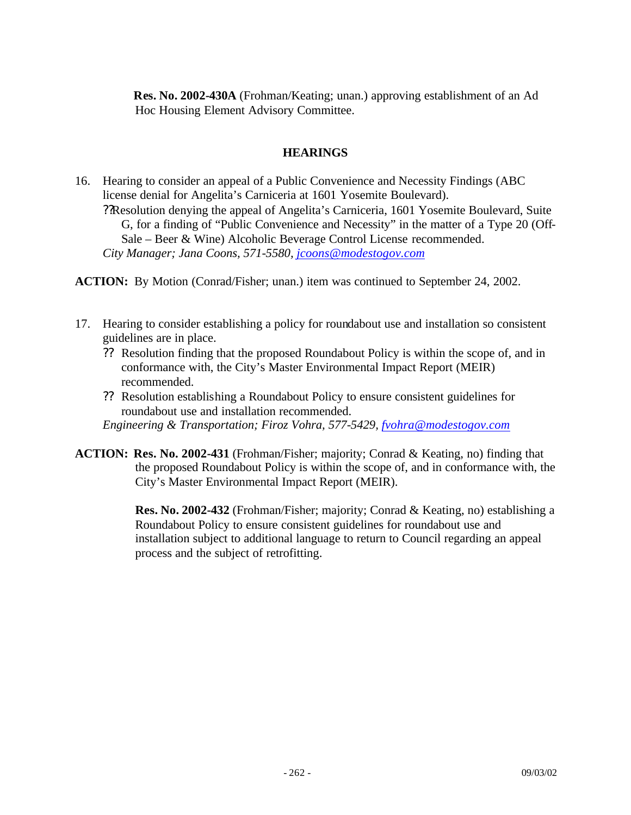**Res. No. 2002-430A** (Frohman/Keating; unan.) approving establishment of an Ad Hoc Housing Element Advisory Committee.

# **HEARINGS**

16. Hearing to consider an appeal of a Public Convenience and Necessity Findings (ABC license denial for Angelita's Carniceria at 1601 Yosemite Boulevard). ??Resolution denying the appeal of Angelita's Carniceria, 1601 Yosemite Boulevard, Suite G, for a finding of "Public Convenience and Necessity" in the matter of a Type 20 (Off-Sale – Beer & Wine) Alcoholic Beverage Control License recommended. *City Manager; Jana Coons, 571-5580, jcoons@modestogov.com*

**ACTION:** By Motion (Conrad/Fisher; unan.) item was continued to September 24, 2002.

- 17. Hearing to consider establishing a policy for roundabout use and installation so consistent guidelines are in place.
	- ?? Resolution finding that the proposed Roundabout Policy is within the scope of, and in conformance with, the City's Master Environmental Impact Report (MEIR) recommended.
	- ?? Resolution establishing a Roundabout Policy to ensure consistent guidelines for roundabout use and installation recommended.

*Engineering & Transportation; Firoz Vohra, 577-5429, fvohra@modestogov.com*

**ACTION: Res. No. 2002-431** (Frohman/Fisher; majority; Conrad & Keating, no) finding that the proposed Roundabout Policy is within the scope of, and in conformance with, the City's Master Environmental Impact Report (MEIR).

> **Res. No. 2002-432** (Frohman/Fisher; majority; Conrad & Keating, no) establishing a Roundabout Policy to ensure consistent guidelines for roundabout use and installation subject to additional language to return to Council regarding an appeal process and the subject of retrofitting.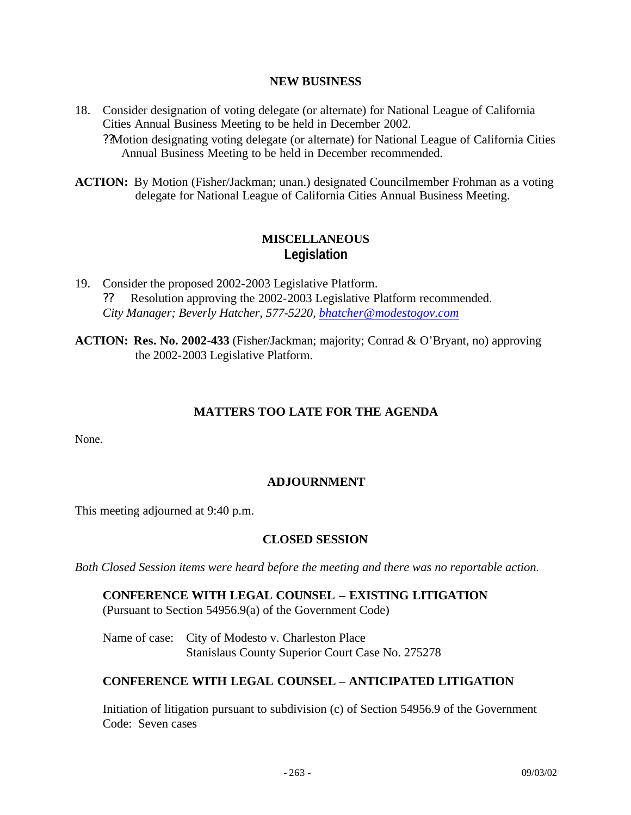#### **NEW BUSINESS**

- 18. Consider designation of voting delegate (or alternate) for National League of California Cities Annual Business Meeting to be held in December 2002. ??Motion designating voting delegate (or alternate) for National League of California Cities Annual Business Meeting to be held in December recommended.
- **ACTION:** By Motion (Fisher/Jackman; unan.) designated Councilmember Frohman as a voting delegate for National League of California Cities Annual Business Meeting.

# **MISCELLANEOUS Legislation**

19. Consider the proposed 2002-2003 Legislative Platform. ?? Resolution approving the 2002-2003 Legislative Platform recommended. *City Manager; Beverly Hatcher, 577-5220, bhatcher@modestogov.com*

**ACTION: Res. No. 2002-433** (Fisher/Jackman; majority; Conrad & O'Bryant, no) approving the 2002-2003 Legislative Platform.

# **MATTERS TOO LATE FOR THE AGENDA**

None.

# **ADJOURNMENT**

This meeting adjourned at 9:40 p.m.

# **CLOSED SESSION**

*Both Closed Session items were heard before the meeting and there was no reportable action.*

**CONFERENCE WITH LEGAL COUNSEL – EXISTING LITIGATION** (Pursuant to Section 54956.9(a) of the Government Code)

Name of case: City of Modesto v. Charleston Place Stanislaus County Superior Court Case No. 275278

# **CONFERENCE WITH LEGAL COUNSEL – ANTICIPATED LITIGATION**

Initiation of litigation pursuant to subdivision (c) of Section 54956.9 of the Government Code: Seven cases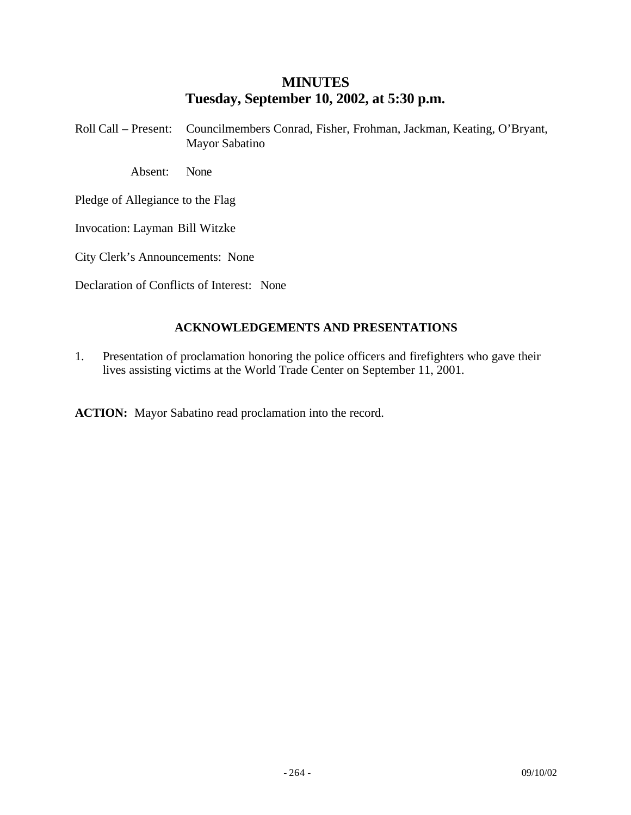# **MINUTES Tuesday, September 10, 2002, at 5:30 p.m.**

Roll Call – Present: Councilmembers Conrad, Fisher, Frohman, Jackman, Keating, O'Bryant, Mayor Sabatino

Absent: None

Pledge of Allegiance to the Flag

Invocation: Layman Bill Witzke

City Clerk's Announcements: None

Declaration of Conflicts of Interest: None

### **ACKNOWLEDGEMENTS AND PRESENTATIONS**

1. Presentation of proclamation honoring the police officers and firefighters who gave their lives assisting victims at the World Trade Center on September 11, 2001.

**ACTION:** Mayor Sabatino read proclamation into the record.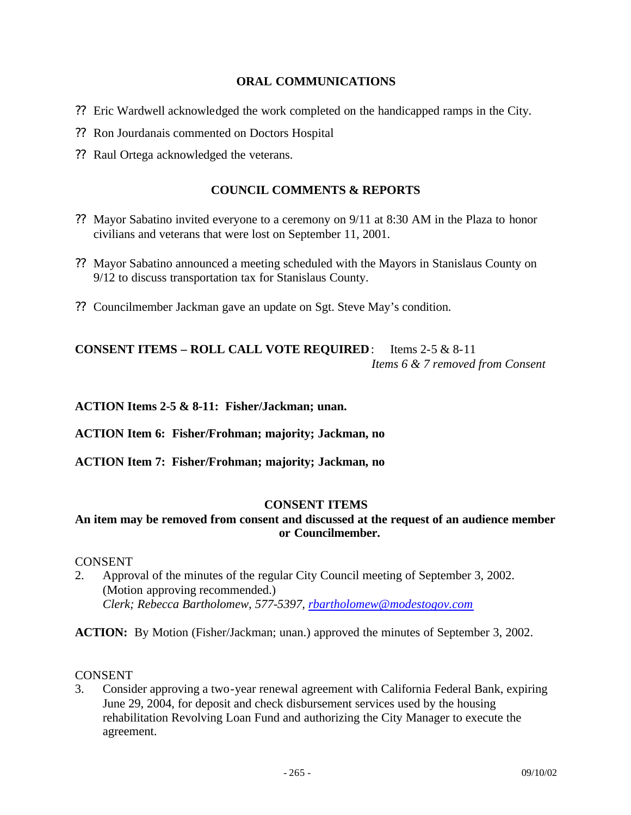#### **ORAL COMMUNICATIONS**

- ?? Eric Wardwell acknowledged the work completed on the handicapped ramps in the City.
- ?? Ron Jourdanais commented on Doctors Hospital
- ?? Raul Ortega acknowledged the veterans.

### **COUNCIL COMMENTS & REPORTS**

- ?? Mayor Sabatino invited everyone to a ceremony on 9/11 at 8:30 AM in the Plaza to honor civilians and veterans that were lost on September 11, 2001.
- ?? Mayor Sabatino announced a meeting scheduled with the Mayors in Stanislaus County on 9/12 to discuss transportation tax for Stanislaus County.
- ?? Councilmember Jackman gave an update on Sgt. Steve May's condition.

# **CONSENT ITEMS – ROLL CALL VOTE REQUIRED**: Items 2-5 & 8-11 *Items 6 & 7 removed from Consent*

**ACTION Items 2-5 & 8-11: Fisher/Jackman; unan.**

**ACTION Item 6: Fisher/Frohman; majority; Jackman, no**

**ACTION Item 7: Fisher/Frohman; majority; Jackman, no**

#### **CONSENT ITEMS**

### **An item may be removed from consent and discussed at the request of an audience member or Councilmember.**

#### **CONSENT**

2. Approval of the minutes of the regular City Council meeting of September 3, 2002. (Motion approving recommended.) *Clerk; Rebecca Bartholomew, 577-5397, rbartholomew@modestogov.com*

**ACTION:** By Motion (Fisher/Jackman; unan.) approved the minutes of September 3, 2002.

#### **CONSENT**

3. Consider approving a two-year renewal agreement with California Federal Bank, expiring June 29, 2004, for deposit and check disbursement services used by the housing rehabilitation Revolving Loan Fund and authorizing the City Manager to execute the agreement.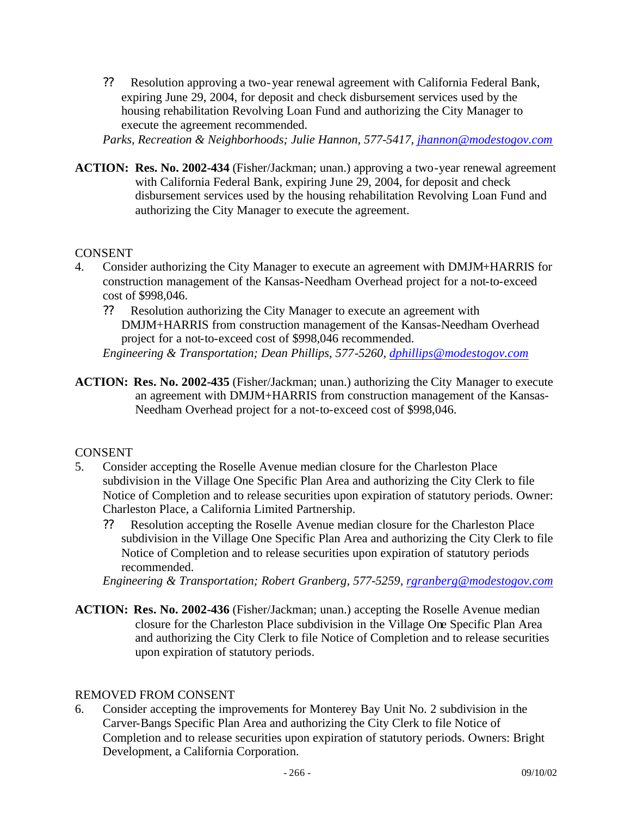?? Resolution approving a two-year renewal agreement with California Federal Bank, expiring June 29, 2004, for deposit and check disbursement services used by the housing rehabilitation Revolving Loan Fund and authorizing the City Manager to execute the agreement recommended.

*Parks, Recreation & Neighborhoods; Julie Hannon, 577-5417, jhannon@modestogov.com*

**ACTION: Res. No. 2002-434** (Fisher/Jackman; unan.) approving a two-year renewal agreement with California Federal Bank, expiring June 29, 2004, for deposit and check disbursement services used by the housing rehabilitation Revolving Loan Fund and authorizing the City Manager to execute the agreement.

### CONSENT

- 4. Consider authorizing the City Manager to execute an agreement with DMJM+HARRIS for construction management of the Kansas-Needham Overhead project for a not-to-exceed cost of \$998,046.
	- ?? Resolution authorizing the City Manager to execute an agreement with DMJM+HARRIS from construction management of the Kansas-Needham Overhead project for a not-to-exceed cost of \$998,046 recommended. *Engineering & Transportation; Dean Phillips, 577-5260, dphillips@modestogov.com*
- **ACTION: Res. No. 2002-435** (Fisher/Jackman; unan.) authorizing the City Manager to execute an agreement with DMJM+HARRIS from construction management of the Kansas-Needham Overhead project for a not-to-exceed cost of \$998,046.

# **CONSENT**

- 5. Consider accepting the Roselle Avenue median closure for the Charleston Place subdivision in the Village One Specific Plan Area and authorizing the City Clerk to file Notice of Completion and to release securities upon expiration of statutory periods. Owner: Charleston Place, a California Limited Partnership.
	- ?? Resolution accepting the Roselle Avenue median closure for the Charleston Place subdivision in the Village One Specific Plan Area and authorizing the City Clerk to file Notice of Completion and to release securities upon expiration of statutory periods recommended.

*Engineering & Transportation; Robert Granberg, 577-5259, rgranberg@modestogov.com*

**ACTION: Res. No. 2002-436** (Fisher/Jackman; unan.) accepting the Roselle Avenue median closure for the Charleston Place subdivision in the Village One Specific Plan Area and authorizing the City Clerk to file Notice of Completion and to release securities upon expiration of statutory periods.

#### REMOVED FROM CONSENT

6. Consider accepting the improvements for Monterey Bay Unit No. 2 subdivision in the Carver-Bangs Specific Plan Area and authorizing the City Clerk to file Notice of Completion and to release securities upon expiration of statutory periods. Owners: Bright Development, a California Corporation.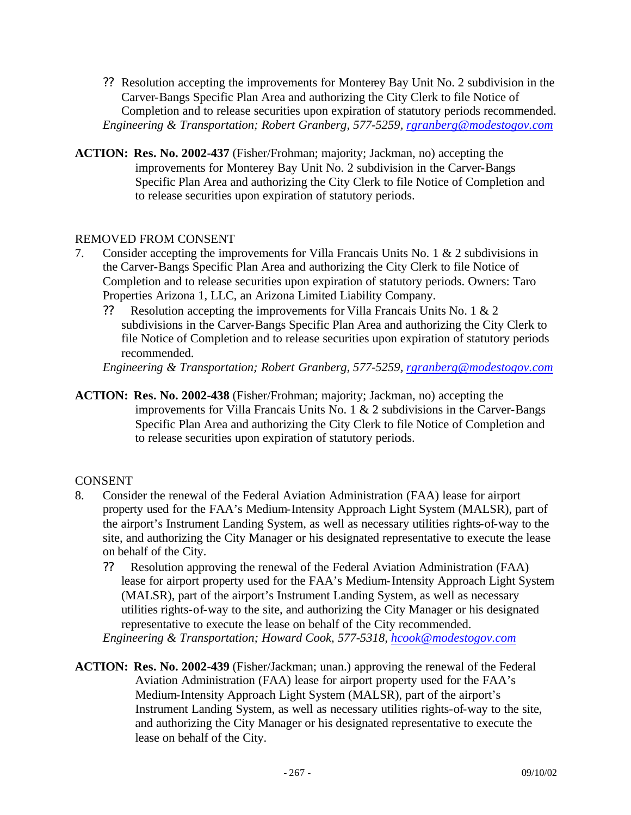- ?? Resolution accepting the improvements for Monterey Bay Unit No. 2 subdivision in the Carver-Bangs Specific Plan Area and authorizing the City Clerk to file Notice of Completion and to release securities upon expiration of statutory periods recommended. *Engineering & Transportation; Robert Granberg, 577-5259, rgranberg@modestogov.com*
- **ACTION: Res. No. 2002-437** (Fisher/Frohman; majority; Jackman, no) accepting the improvements for Monterey Bay Unit No. 2 subdivision in the Carver-Bangs Specific Plan Area and authorizing the City Clerk to file Notice of Completion and to release securities upon expiration of statutory periods.

### REMOVED FROM CONSENT

- 7. Consider accepting the improvements for Villa Francais Units No. 1 & 2 subdivisions in the Carver-Bangs Specific Plan Area and authorizing the City Clerk to file Notice of Completion and to release securities upon expiration of statutory periods. Owners: Taro Properties Arizona 1, LLC, an Arizona Limited Liability Company.
	- ?? Resolution accepting the improvements for Villa Francais Units No. 1 & 2 subdivisions in the Carver-Bangs Specific Plan Area and authorizing the City Clerk to file Notice of Completion and to release securities upon expiration of statutory periods recommended.

*Engineering & Transportation; Robert Granberg, 577-5259, rgranberg@modestogov.com*

**ACTION: Res. No. 2002-438** (Fisher/Frohman; majority; Jackman, no) accepting the improvements for Villa Francais Units No. 1 & 2 subdivisions in the Carver-Bangs Specific Plan Area and authorizing the City Clerk to file Notice of Completion and to release securities upon expiration of statutory periods.

#### CONSENT

- 8. Consider the renewal of the Federal Aviation Administration (FAA) lease for airport property used for the FAA's Medium-Intensity Approach Light System (MALSR), part of the airport's Instrument Landing System, as well as necessary utilities rights-of-way to the site, and authorizing the City Manager or his designated representative to execute the lease on behalf of the City.
	- ?? Resolution approving the renewal of the Federal Aviation Administration (FAA) lease for airport property used for the FAA's Medium-Intensity Approach Light System (MALSR), part of the airport's Instrument Landing System, as well as necessary utilities rights-of-way to the site, and authorizing the City Manager or his designated representative to execute the lease on behalf of the City recommended. *Engineering & Transportation; Howard Cook, 577-5318, hcook@modestogov.com*
- **ACTION: Res. No. 2002-439** (Fisher/Jackman; unan.) approving the renewal of the Federal Aviation Administration (FAA) lease for airport property used for the FAA's Medium-Intensity Approach Light System (MALSR), part of the airport's Instrument Landing System, as well as necessary utilities rights-of-way to the site, and authorizing the City Manager or his designated representative to execute the lease on behalf of the City.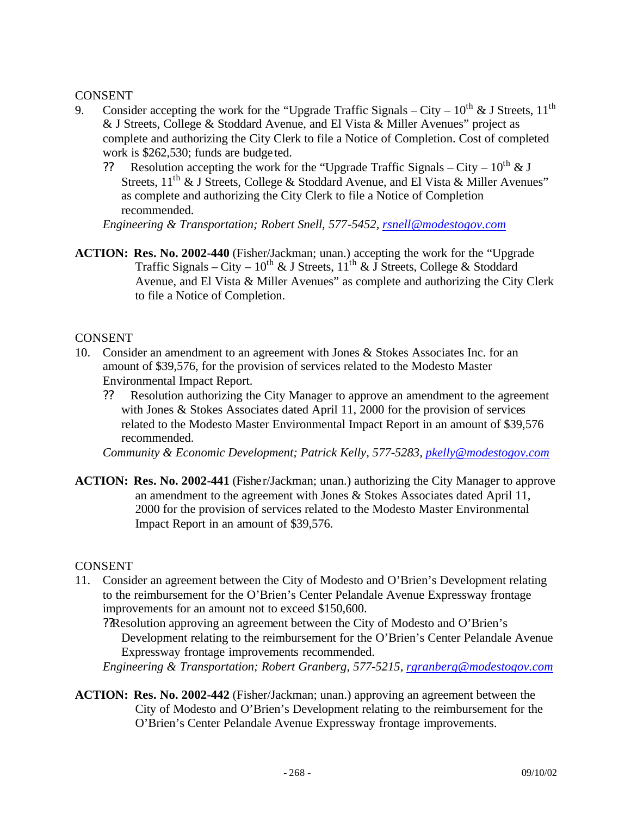### CONSENT

- 9. Consider accepting the work for the "Upgrade Traffic Signals City  $10^{th}$  & J Streets,  $11^{th}$ & J Streets, College & Stoddard Avenue, and El Vista & Miller Avenues" project as complete and authorizing the City Clerk to file a Notice of Completion. Cost of completed work is \$262,530; funds are budge ted.
	- ?? Resolution accepting the work for the "Upgrade Traffic Signals City  $10^{th} \& J$ Streets,  $11<sup>th</sup>$  & J Streets, College & Stoddard Avenue, and El Vista & Miller Avenues" as complete and authorizing the City Clerk to file a Notice of Completion recommended.

*Engineering & Transportation; Robert Snell, 577-5452, rsnell@modestogov.com*

**ACTION: Res. No. 2002-440** (Fisher/Jackman; unan.) accepting the work for the "Upgrade Traffic Signals – City –  $10^{th}$  & J Streets,  $11^{th}$  & J Streets, College & Stoddard Avenue, and El Vista & Miller Avenues" as complete and authorizing the City Clerk to file a Notice of Completion.

### CONSENT

- 10. Consider an amendment to an agreement with Jones & Stokes Associates Inc. for an amount of \$39,576, for the provision of services related to the Modesto Master Environmental Impact Report.
	- ?? Resolution authorizing the City Manager to approve an amendment to the agreement with Jones & Stokes Associates dated April 11, 2000 for the provision of services related to the Modesto Master Environmental Impact Report in an amount of \$39,576 recommended.

*Community & Economic Development; Patrick Kelly, 577-5283, pkelly@modestogov.com*

**ACTION: Res. No. 2002-441** (Fisher/Jackman; unan.) authorizing the City Manager to approve an amendment to the agreement with Jones & Stokes Associates dated April 11, 2000 for the provision of services related to the Modesto Master Environmental Impact Report in an amount of \$39,576.

#### CONSENT

11. Consider an agreement between the City of Modesto and O'Brien's Development relating to the reimbursement for the O'Brien's Center Pelandale Avenue Expressway frontage improvements for an amount not to exceed \$150,600.

??Resolution approving an agreement between the City of Modesto and O'Brien's Development relating to the reimbursement for the O'Brien's Center Pelandale Avenue Expressway frontage improvements recommended.

*Engineering & Transportation; Robert Granberg, 577-5215, rgranberg@modestogov.com*

**ACTION: Res. No. 2002-442** (Fisher/Jackman; unan.) approving an agreement between the City of Modesto and O'Brien's Development relating to the reimbursement for the O'Brien's Center Pelandale Avenue Expressway frontage improvements.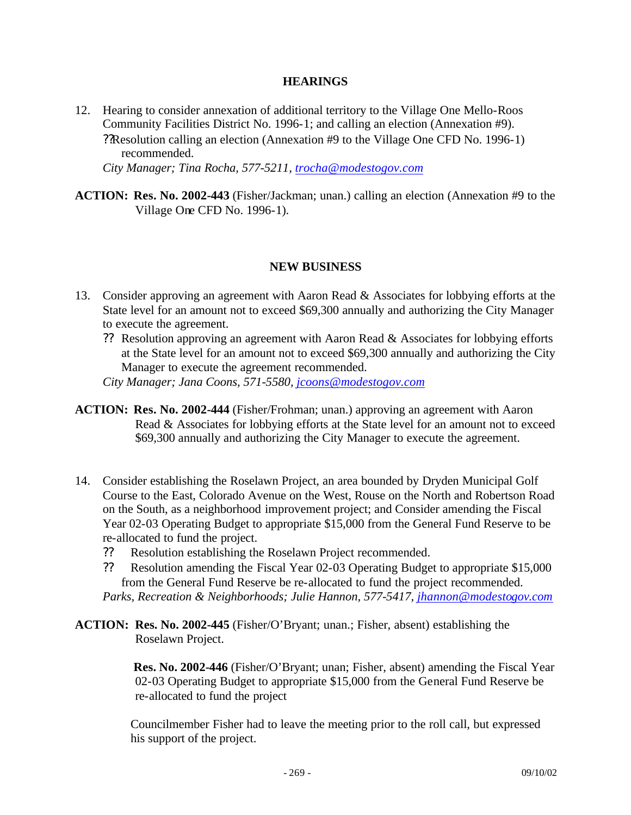#### **HEARINGS**

12. Hearing to consider annexation of additional territory to the Village One Mello-Roos Community Facilities District No. 1996-1; and calling an election (Annexation #9). ??Resolution calling an election (Annexation #9 to the Village One CFD No. 1996-1) recommended.

*City Manager; Tina Rocha, 577-5211, trocha@modestogov.com*

**ACTION: Res. No. 2002-443** (Fisher/Jackman; unan.) calling an election (Annexation #9 to the Village One CFD No. 1996-1).

### **NEW BUSINESS**

- 13. Consider approving an agreement with Aaron Read & Associates for lobbying efforts at the State level for an amount not to exceed \$69,300 annually and authorizing the City Manager to execute the agreement.
	- ?? Resolution approving an agreement with Aaron Read & Associates for lobbying efforts at the State level for an amount not to exceed \$69,300 annually and authorizing the City Manager to execute the agreement recommended.
	- *City Manager; Jana Coons, 571-5580, jcoons@modestogov.com*
- **ACTION: Res. No. 2002-444** (Fisher/Frohman; unan.) approving an agreement with Aaron Read & Associates for lobbying efforts at the State level for an amount not to exceed \$69,300 annually and authorizing the City Manager to execute the agreement.
- 14. Consider establishing the Roselawn Project, an area bounded by Dryden Municipal Golf Course to the East, Colorado Avenue on the West, Rouse on the North and Robertson Road on the South, as a neighborhood improvement project; and Consider amending the Fiscal Year 02-03 Operating Budget to appropriate \$15,000 from the General Fund Reserve to be re-allocated to fund the project.
	- ?? Resolution establishing the Roselawn Project recommended.
	- ?? Resolution amending the Fiscal Year 02-03 Operating Budget to appropriate \$15,000 from the General Fund Reserve be re-allocated to fund the project recommended.

*Parks, Recreation & Neighborhoods; Julie Hannon, 577-5417, jhannon@modestogov.com*

**ACTION: Res. No. 2002-445** (Fisher/O'Bryant; unan.; Fisher, absent) establishing the Roselawn Project.

> **Res. No. 2002-446** (Fisher/O'Bryant; unan; Fisher, absent) amending the Fiscal Year 02-03 Operating Budget to appropriate \$15,000 from the General Fund Reserve be re-allocated to fund the project

Councilmember Fisher had to leave the meeting prior to the roll call, but expressed his support of the project.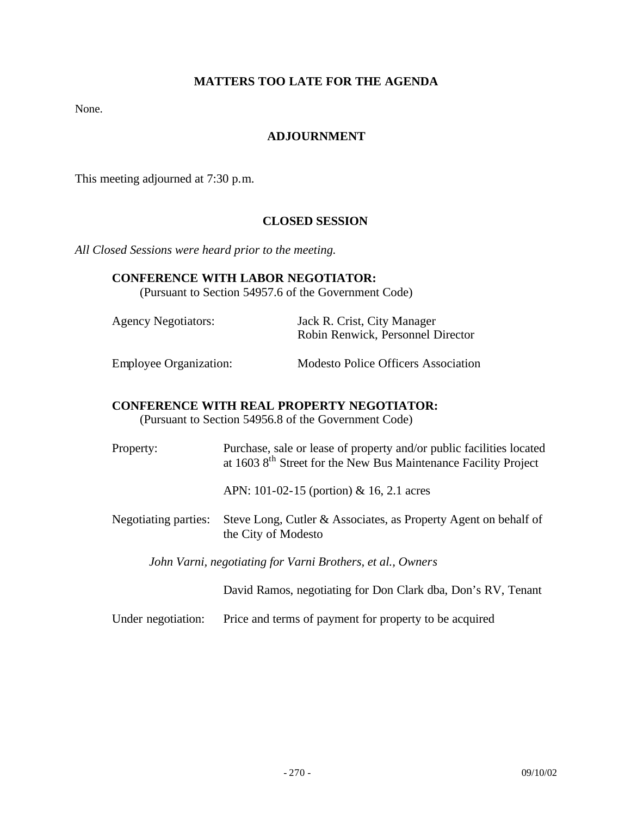# **MATTERS TOO LATE FOR THE AGENDA**

None.

#### **ADJOURNMENT**

This meeting adjourned at 7:30 p.m.

#### **CLOSED SESSION**

*All Closed Sessions were heard prior to the meeting.*

#### **CONFERENCE WITH LABOR NEGOTIATOR:**

(Pursuant to Section 54957.6 of the Government Code)

| <b>Agency Negotiators:</b>    | Jack R. Crist, City Manager<br>Robin Renwick, Personnel Director |
|-------------------------------|------------------------------------------------------------------|
| <b>Employee Organization:</b> | <b>Modesto Police Officers Association</b>                       |

#### **CONFERENCE WITH REAL PROPERTY NEGOTIATOR:**

(Pursuant to Section 54956.8 of the Government Code)

Property: Purchase, sale or lease of property and/or public facilities located at 1603 8th Street for the New Bus Maintenance Facility Project

APN: 101-02-15 (portion) & 16, 2.1 acres

Negotiating parties: Steve Long, Cutler & Associates, as Property Agent on behalf of the City of Modesto

*John Varni, negotiating for Varni Brothers, et al., Owners*

David Ramos, negotiating for Don Clark dba, Don's RV, Tenant

Under negotiation: Price and terms of payment for property to be acquired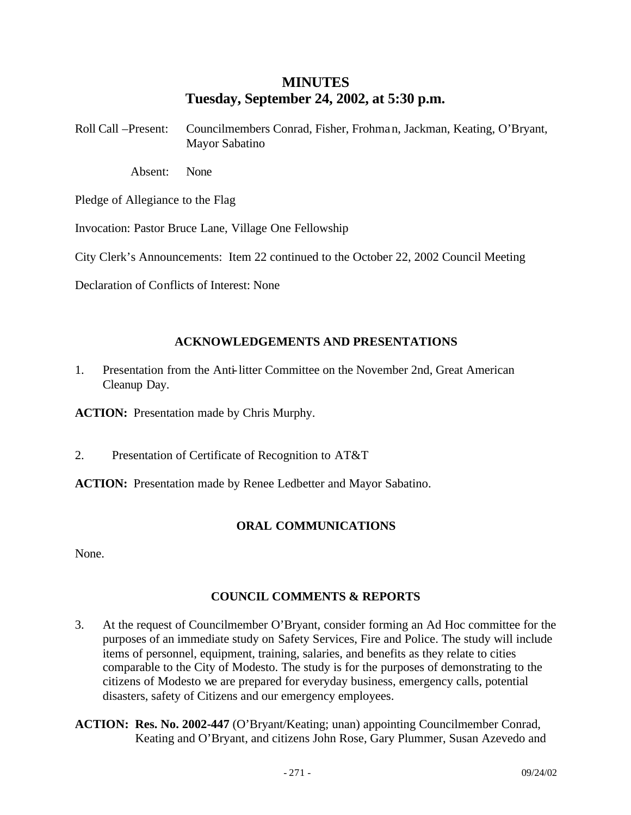# **MINUTES Tuesday, September 24, 2002, at 5:30 p.m.**

- Roll Call –Present: Councilmembers Conrad, Fisher, Frohman, Jackman, Keating, O'Bryant, Mayor Sabatino
	- Absent: None

Pledge of Allegiance to the Flag

Invocation: Pastor Bruce Lane, Village One Fellowship

City Clerk's Announcements: Item 22 continued to the October 22, 2002 Council Meeting

Declaration of Conflicts of Interest: None

# **ACKNOWLEDGEMENTS AND PRESENTATIONS**

1. Presentation from the Anti-litter Committee on the November 2nd, Great American Cleanup Day.

**ACTION:** Presentation made by Chris Murphy.

2. Presentation of Certificate of Recognition to AT&T

**ACTION:** Presentation made by Renee Ledbetter and Mayor Sabatino.

# **ORAL COMMUNICATIONS**

None.

# **COUNCIL COMMENTS & REPORTS**

- 3. At the request of Councilmember O'Bryant, consider forming an Ad Hoc committee for the purposes of an immediate study on Safety Services, Fire and Police. The study will include items of personnel, equipment, training, salaries, and benefits as they relate to cities comparable to the City of Modesto. The study is for the purposes of demonstrating to the citizens of Modesto we are prepared for everyday business, emergency calls, potential disasters, safety of Citizens and our emergency employees.
- **ACTION: Res. No. 2002-447** (O'Bryant/Keating; unan) appointing Councilmember Conrad, Keating and O'Bryant, and citizens John Rose, Gary Plummer, Susan Azevedo and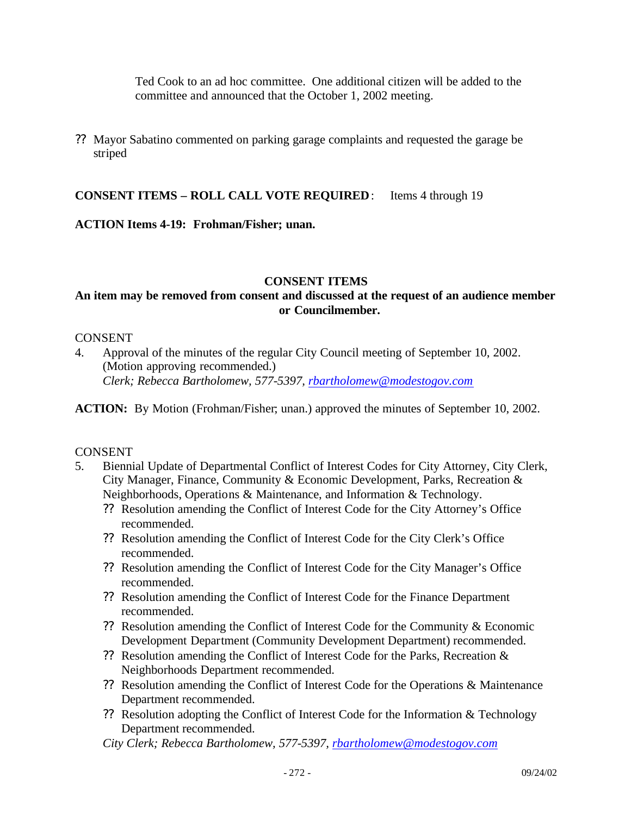Ted Cook to an ad hoc committee. One additional citizen will be added to the committee and announced that the October 1, 2002 meeting.

?? Mayor Sabatino commented on parking garage complaints and requested the garage be striped

**CONSENT ITEMS – ROLL CALL VOTE REQUIRED**: Items 4 through 19

### **ACTION Items 4-19: Frohman/Fisher; unan.**

#### **CONSENT ITEMS**

# **An item may be removed from consent and discussed at the request of an audience member or Councilmember.**

#### CONSENT

4. Approval of the minutes of the regular City Council meeting of September 10, 2002. (Motion approving recommended.) *Clerk; Rebecca Bartholomew, 577-5397, rbartholomew@modestogov.com*

**ACTION:** By Motion (Frohman/Fisher; unan.) approved the minutes of September 10, 2002.

#### CONSENT

- 5. Biennial Update of Departmental Conflict of Interest Codes for City Attorney, City Clerk, City Manager, Finance, Community & Economic Development, Parks, Recreation & Neighborhoods, Operations & Maintenance, and Information & Technology.
	- ?? Resolution amending the Conflict of Interest Code for the City Attorney's Office recommended.
	- ?? Resolution amending the Conflict of Interest Code for the City Clerk's Office recommended.
	- ?? Resolution amending the Conflict of Interest Code for the City Manager's Office recommended.
	- ?? Resolution amending the Conflict of Interest Code for the Finance Department recommended.
	- ?? Resolution amending the Conflict of Interest Code for the Community & Economic Development Department (Community Development Department) recommended.
	- ?? Resolution amending the Conflict of Interest Code for the Parks, Recreation & Neighborhoods Department recommended.
	- ?? Resolution amending the Conflict of Interest Code for the Operations & Maintenance Department recommended.
	- ?? Resolution adopting the Conflict of Interest Code for the Information & Technology Department recommended.

*City Clerk; Rebecca Bartholomew, 577-5397, rbartholomew@modestogov.com*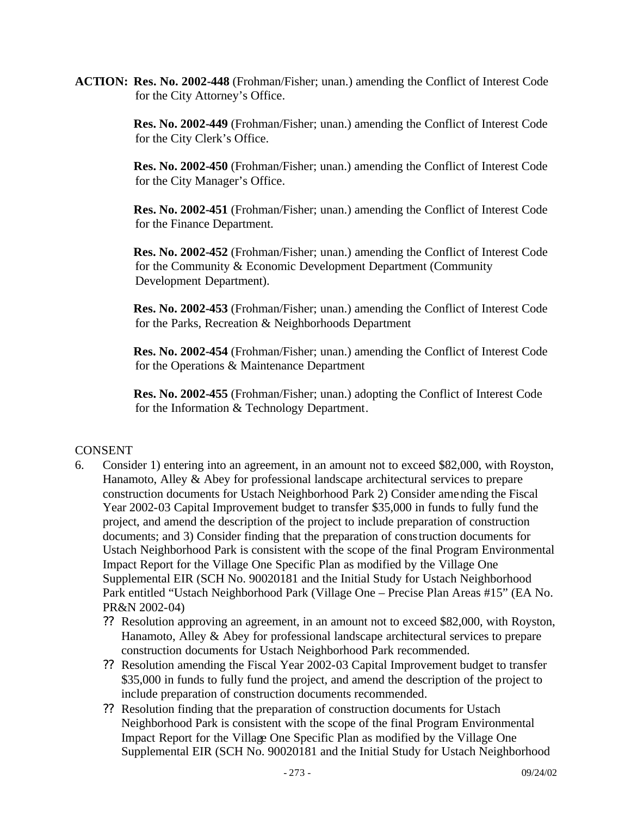**ACTION: Res. No. 2002-448** (Frohman/Fisher; unan.) amending the Conflict of Interest Code for the City Attorney's Office.

> **Res. No. 2002-449** (Frohman/Fisher; unan.) amending the Conflict of Interest Code for the City Clerk's Office.

> **Res. No. 2002-450** (Frohman/Fisher; unan.) amending the Conflict of Interest Code for the City Manager's Office.

> **Res. No. 2002-451** (Frohman/Fisher; unan.) amending the Conflict of Interest Code for the Finance Department.

> **Res. No. 2002-452** (Frohman/Fisher; unan.) amending the Conflict of Interest Code for the Community & Economic Development Department (Community Development Department).

> **Res. No. 2002-453** (Frohman/Fisher; unan.) amending the Conflict of Interest Code for the Parks, Recreation & Neighborhoods Department

> **Res. No. 2002-454** (Frohman/Fisher; unan.) amending the Conflict of Interest Code for the Operations & Maintenance Department

**Res. No. 2002-455** (Frohman/Fisher; unan.) adopting the Conflict of Interest Code for the Information & Technology Department.

# CONSENT

- 6. Consider 1) entering into an agreement, in an amount not to exceed \$82,000, with Royston, Hanamoto, Alley & Abey for professional landscape architectural services to prepare construction documents for Ustach Neighborhood Park 2) Consider amending the Fiscal Year 2002-03 Capital Improvement budget to transfer \$35,000 in funds to fully fund the project, and amend the description of the project to include preparation of construction documents; and 3) Consider finding that the preparation of construction documents for Ustach Neighborhood Park is consistent with the scope of the final Program Environmental Impact Report for the Village One Specific Plan as modified by the Village One Supplemental EIR (SCH No. 90020181 and the Initial Study for Ustach Neighborhood Park entitled "Ustach Neighborhood Park (Village One – Precise Plan Areas #15" (EA No. PR&N 2002-04)
	- ?? Resolution approving an agreement, in an amount not to exceed \$82,000, with Royston, Hanamoto, Alley & Abey for professional landscape architectural services to prepare construction documents for Ustach Neighborhood Park recommended.
	- ?? Resolution amending the Fiscal Year 2002-03 Capital Improvement budget to transfer \$35,000 in funds to fully fund the project, and amend the description of the project to include preparation of construction documents recommended.
	- ?? Resolution finding that the preparation of construction documents for Ustach Neighborhood Park is consistent with the scope of the final Program Environmental Impact Report for the Village One Specific Plan as modified by the Village One Supplemental EIR (SCH No. 90020181 and the Initial Study for Ustach Neighborhood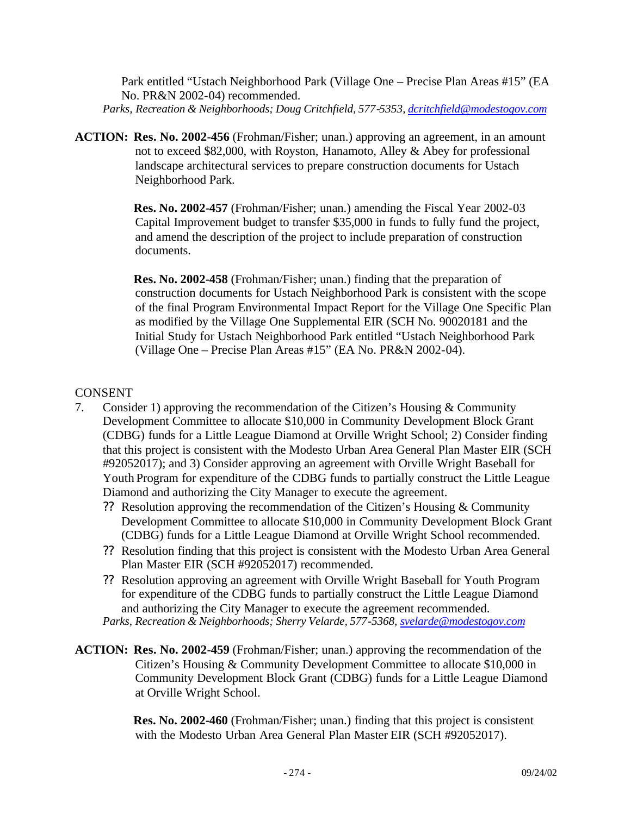Park entitled "Ustach Neighborhood Park (Village One – Precise Plan Areas #15" (EA No. PR&N 2002-04) recommended. *Parks, Recreation & Neighborhoods; Doug Critchfield, 577-5353, dcritchfield@modestogov.com*

**ACTION: Res. No. 2002-456** (Frohman/Fisher; unan.) approving an agreement, in an amount not to exceed \$82,000, with Royston, Hanamoto, Alley & Abey for professional landscape architectural services to prepare construction documents for Ustach Neighborhood Park.

> **Res. No. 2002-457** (Frohman/Fisher; unan.) amending the Fiscal Year 2002-03 Capital Improvement budget to transfer \$35,000 in funds to fully fund the project, and amend the description of the project to include preparation of construction documents.

**Res. No. 2002-458** (Frohman/Fisher; unan.) finding that the preparation of construction documents for Ustach Neighborhood Park is consistent with the scope of the final Program Environmental Impact Report for the Village One Specific Plan as modified by the Village One Supplemental EIR (SCH No. 90020181 and the Initial Study for Ustach Neighborhood Park entitled "Ustach Neighborhood Park (Village One – Precise Plan Areas #15" (EA No. PR&N 2002-04).

# **CONSENT**

- 7. Consider 1) approving the recommendation of the Citizen's Housing & Community Development Committee to allocate \$10,000 in Community Development Block Grant (CDBG) funds for a Little League Diamond at Orville Wright School; 2) Consider finding that this project is consistent with the Modesto Urban Area General Plan Master EIR (SCH #92052017); and 3) Consider approving an agreement with Orville Wright Baseball for Youth Program for expenditure of the CDBG funds to partially construct the Little League Diamond and authorizing the City Manager to execute the agreement.
	- ?? Resolution approving the recommendation of the Citizen's Housing & Community Development Committee to allocate \$10,000 in Community Development Block Grant (CDBG) funds for a Little League Diamond at Orville Wright School recommended.
	- ?? Resolution finding that this project is consistent with the Modesto Urban Area General Plan Master EIR (SCH #92052017) recommended.
	- ?? Resolution approving an agreement with Orville Wright Baseball for Youth Program for expenditure of the CDBG funds to partially construct the Little League Diamond and authorizing the City Manager to execute the agreement recommended. *Parks, Recreation & Neighborhoods; Sherry Velarde, 577-5368, svelarde@modestogov.com*
- **ACTION: Res. No. 2002-459** (Frohman/Fisher; unan.) approving the recommendation of the Citizen's Housing & Community Development Committee to allocate \$10,000 in Community Development Block Grant (CDBG) funds for a Little League Diamond at Orville Wright School.

 **Res. No. 2002-460** (Frohman/Fisher; unan.) finding that this project is consistent with the Modesto Urban Area General Plan Master EIR (SCH #92052017).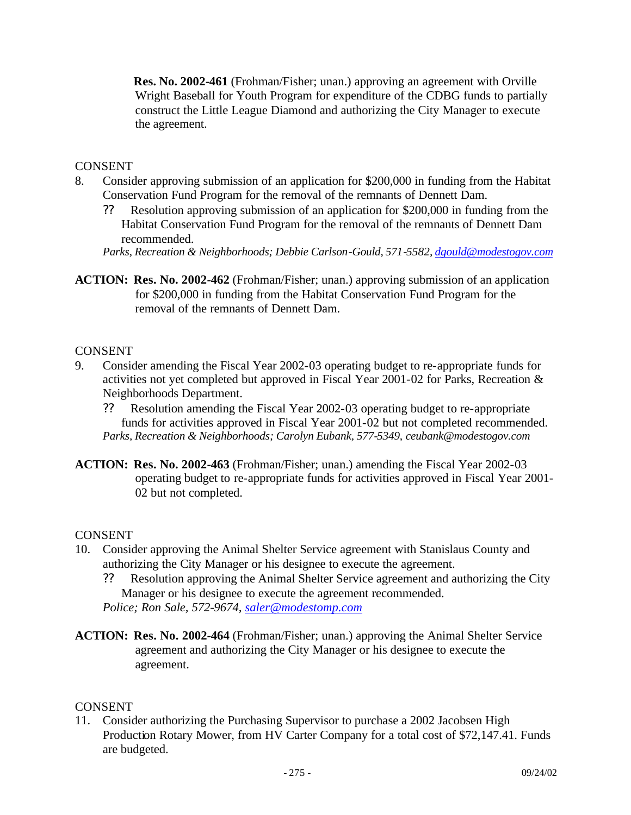**Res. No. 2002-461** (Frohman/Fisher; unan.) approving an agreement with Orville Wright Baseball for Youth Program for expenditure of the CDBG funds to partially construct the Little League Diamond and authorizing the City Manager to execute the agreement.

# CONSENT

- 8. Consider approving submission of an application for \$200,000 in funding from the Habitat Conservation Fund Program for the removal of the remnants of Dennett Dam.
	- ?? Resolution approving submission of an application for \$200,000 in funding from the Habitat Conservation Fund Program for the removal of the remnants of Dennett Dam recommended.
	- *Parks, Recreation & Neighborhoods; Debbie Carlson-Gould, 571-5582, dgould@modestogov.com*
- **ACTION: Res. No. 2002-462** (Frohman/Fisher; unan.) approving submission of an application for \$200,000 in funding from the Habitat Conservation Fund Program for the removal of the remnants of Dennett Dam.

# CONSENT

- 9. Consider amending the Fiscal Year 2002-03 operating budget to re-appropriate funds for activities not yet completed but approved in Fiscal Year 2001-02 for Parks, Recreation & Neighborhoods Department.
	- ?? Resolution amending the Fiscal Year 2002-03 operating budget to re-appropriate funds for activities approved in Fiscal Year 2001-02 but not completed recommended. *Parks, Recreation & Neighborhoods; Carolyn Eubank, 577-5349, ceubank@modestogov.com*
- **ACTION: Res. No. 2002-463** (Frohman/Fisher; unan.) amending the Fiscal Year 2002-03 operating budget to re-appropriate funds for activities approved in Fiscal Year 2001- 02 but not completed.

# CONSENT

- 10. Consider approving the Animal Shelter Service agreement with Stanislaus County and authorizing the City Manager or his designee to execute the agreement.
	- ?? Resolution approving the Animal Shelter Service agreement and authorizing the City Manager or his designee to execute the agreement recommended. *Police; Ron Sale, 572-9674, saler@modestomp.com*
- **ACTION: Res. No. 2002-464** (Frohman/Fisher; unan.) approving the Animal Shelter Service agreement and authorizing the City Manager or his designee to execute the agreement.

# CONSENT

11. Consider authorizing the Purchasing Supervisor to purchase a 2002 Jacobsen High Production Rotary Mower, from HV Carter Company for a total cost of \$72,147.41. Funds are budgeted.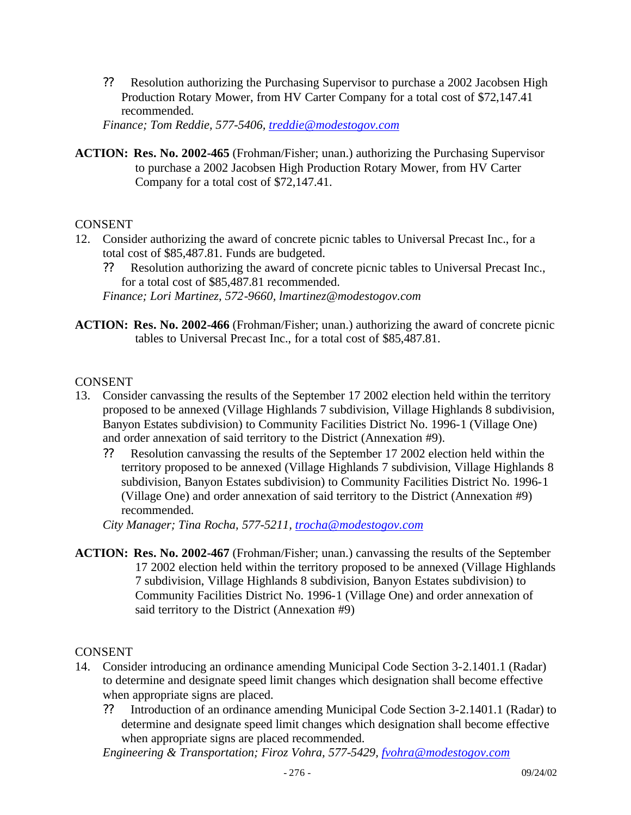?? Resolution authorizing the Purchasing Supervisor to purchase a 2002 Jacobsen High Production Rotary Mower, from HV Carter Company for a total cost of \$72,147.41 recommended.

*Finance; Tom Reddie, 577-5406, treddie@modestogov.com*

**ACTION: Res. No. 2002-465** (Frohman/Fisher; unan.) authorizing the Purchasing Supervisor to purchase a 2002 Jacobsen High Production Rotary Mower, from HV Carter Company for a total cost of \$72,147.41.

### CONSENT

- 12. Consider authorizing the award of concrete picnic tables to Universal Precast Inc., for a total cost of \$85,487.81. Funds are budgeted.
	- ?? Resolution authorizing the award of concrete picnic tables to Universal Precast Inc., for a total cost of \$85,487.81 recommended.

*Finance; Lori Martinez, 572-9660, lmartinez@modestogov.com*

**ACTION: Res. No. 2002-466** (Frohman/Fisher; unan.) authorizing the award of concrete picnic tables to Universal Precast Inc., for a total cost of \$85,487.81.

### CONSENT

- 13. Consider canvassing the results of the September 17 2002 election held within the territory proposed to be annexed (Village Highlands 7 subdivision, Village Highlands 8 subdivision, Banyon Estates subdivision) to Community Facilities District No. 1996-1 (Village One) and order annexation of said territory to the District (Annexation #9).
	- ?? Resolution canvassing the results of the September 17 2002 election held within the territory proposed to be annexed (Village Highlands 7 subdivision, Village Highlands 8 subdivision, Banyon Estates subdivision) to Community Facilities District No. 1996-1 (Village One) and order annexation of said territory to the District (Annexation #9) recommended.

*City Manager; Tina Rocha, 577-5211, trocha@modestogov.com*

**ACTION: Res. No. 2002-467** (Frohman/Fisher; unan.) canvassing the results of the September 17 2002 election held within the territory proposed to be annexed (Village Highlands 7 subdivision, Village Highlands 8 subdivision, Banyon Estates subdivision) to Community Facilities District No. 1996-1 (Village One) and order annexation of said territory to the District (Annexation #9)

#### **CONSENT**

- 14. Consider introducing an ordinance amending Municipal Code Section 3-2.1401.1 (Radar) to determine and designate speed limit changes which designation shall become effective when appropriate signs are placed.
	- ?? Introduction of an ordinance amending Municipal Code Section 3-2.1401.1 (Radar) to determine and designate speed limit changes which designation shall become effective when appropriate signs are placed recommended.

*Engineering & Transportation; Firoz Vohra, 577-5429, fvohra@modestogov.com*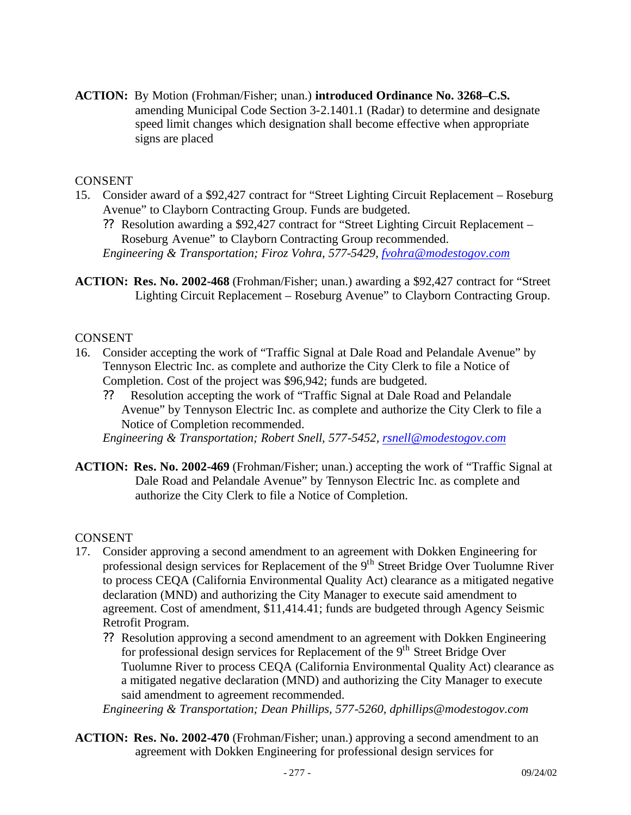**ACTION:** By Motion (Frohman/Fisher; unan.) **introduced Ordinance No. 3268–C.S.** amending Municipal Code Section 3-2.1401.1 (Radar) to determine and designate speed limit changes which designation shall become effective when appropriate signs are placed

### **CONSENT**

- 15. Consider award of a \$92,427 contract for "Street Lighting Circuit Replacement Roseburg Avenue" to Clayborn Contracting Group. Funds are budgeted.
	- ?? Resolution awarding a \$92,427 contract for "Street Lighting Circuit Replacement Roseburg Avenue" to Clayborn Contracting Group recommended. *Engineering & Transportation; Firoz Vohra, 577-5429, fvohra@modestogov.com*
- **ACTION: Res. No. 2002-468** (Frohman/Fisher; unan.) awarding a \$92,427 contract for "Street Lighting Circuit Replacement – Roseburg Avenue" to Clayborn Contracting Group.

#### CONSENT

- 16. Consider accepting the work of "Traffic Signal at Dale Road and Pelandale Avenue" by Tennyson Electric Inc. as complete and authorize the City Clerk to file a Notice of Completion. Cost of the project was \$96,942; funds are budgeted.
	- ?? Resolution accepting the work of "Traffic Signal at Dale Road and Pelandale Avenue" by Tennyson Electric Inc. as complete and authorize the City Clerk to file a Notice of Completion recommended.

*Engineering & Transportation; Robert Snell, 577-5452, rsnell@modestogov.com*

**ACTION: Res. No. 2002-469** (Frohman/Fisher; unan.) accepting the work of "Traffic Signal at Dale Road and Pelandale Avenue" by Tennyson Electric Inc. as complete and authorize the City Clerk to file a Notice of Completion.

#### CONSENT

- 17. Consider approving a second amendment to an agreement with Dokken Engineering for professional design services for Replacement of the 9<sup>th</sup> Street Bridge Over Tuolumne River to process CEQA (California Environmental Quality Act) clearance as a mitigated negative declaration (MND) and authorizing the City Manager to execute said amendment to agreement. Cost of amendment, \$11,414.41; funds are budgeted through Agency Seismic Retrofit Program.
	- ?? Resolution approving a second amendment to an agreement with Dokken Engineering for professional design services for Replacement of the 9<sup>th</sup> Street Bridge Over Tuolumne River to process CEQA (California Environmental Quality Act) clearance as a mitigated negative declaration (MND) and authorizing the City Manager to execute said amendment to agreement recommended.

*Engineering & Transportation; Dean Phillips, 577-5260, dphillips@modestogov.com*

**ACTION: Res. No. 2002-470** (Frohman/Fisher; unan.) approving a second amendment to an agreement with Dokken Engineering for professional design services for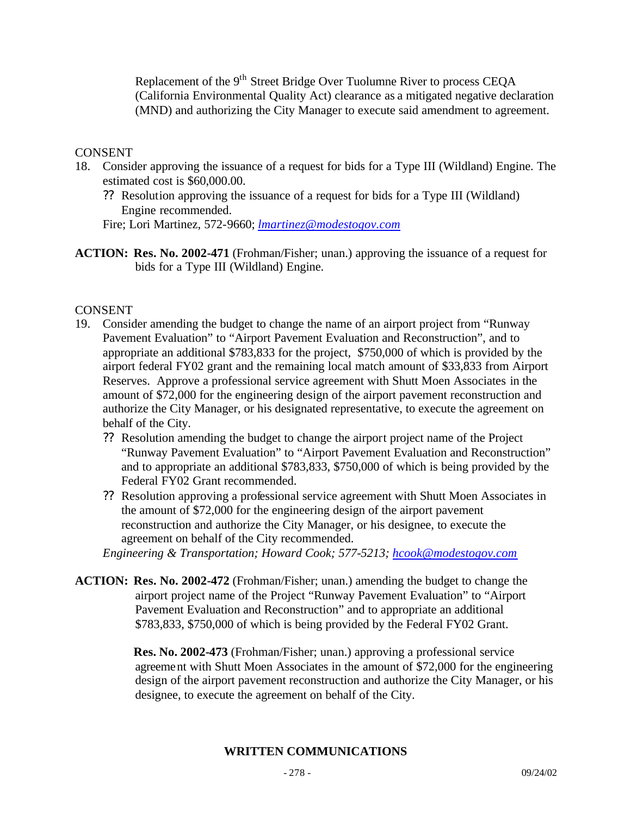Replacement of the 9<sup>th</sup> Street Bridge Over Tuolumne River to process CEQA (California Environmental Quality Act) clearance as a mitigated negative declaration (MND) and authorizing the City Manager to execute said amendment to agreement.

### **CONSENT**

- 18. Consider approving the issuance of a request for bids for a Type III (Wildland) Engine. The estimated cost is \$60,000.00.
	- ?? Resolution approving the issuance of a request for bids for a Type III (Wildland) Engine recommended.

Fire; Lori Martinez, 572-9660; *lmartinez@modestogov.com*

**ACTION: Res. No. 2002-471** (Frohman/Fisher; unan.) approving the issuance of a request for bids for a Type III (Wildland) Engine.

### CONSENT

- 19. Consider amending the budget to change the name of an airport project from "Runway Pavement Evaluation" to "Airport Pavement Evaluation and Reconstruction", and to appropriate an additional \$783,833 for the project, \$750,000 of which is provided by the airport federal FY02 grant and the remaining local match amount of \$33,833 from Airport Reserves. Approve a professional service agreement with Shutt Moen Associates in the amount of \$72,000 for the engineering design of the airport pavement reconstruction and authorize the City Manager, or his designated representative, to execute the agreement on behalf of the City.
	- ?? Resolution amending the budget to change the airport project name of the Project "Runway Pavement Evaluation" to "Airport Pavement Evaluation and Reconstruction" and to appropriate an additional \$783,833, \$750,000 of which is being provided by the Federal FY02 Grant recommended.
	- ?? Resolution approving a professional service agreement with Shutt Moen Associates in the amount of \$72,000 for the engineering design of the airport pavement reconstruction and authorize the City Manager, or his designee, to execute the agreement on behalf of the City recommended.

*Engineering & Transportation; Howard Cook; 577-5213; hcook@modestogov.com*

**ACTION: Res. No. 2002-472** (Frohman/Fisher; unan.) amending the budget to change the airport project name of the Project "Runway Pavement Evaluation" to "Airport Pavement Evaluation and Reconstruction" and to appropriate an additional \$783,833, \$750,000 of which is being provided by the Federal FY02 Grant.

> **Res. No. 2002-473** (Frohman/Fisher; unan.) approving a professional service agreement with Shutt Moen Associates in the amount of \$72,000 for the engineering design of the airport pavement reconstruction and authorize the City Manager, or his designee, to execute the agreement on behalf of the City.

# **WRITTEN COMMUNICATIONS**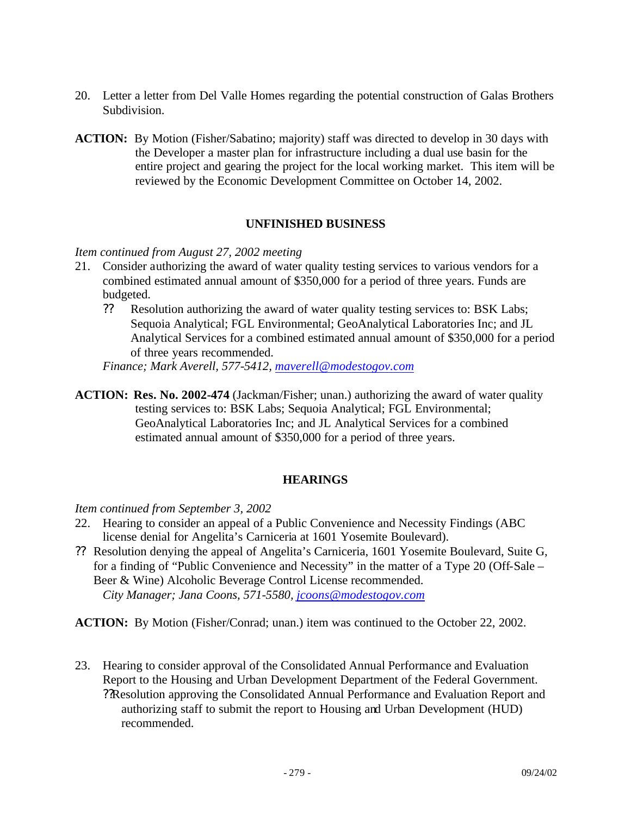- 20. Letter a letter from Del Valle Homes regarding the potential construction of Galas Brothers Subdivision.
- **ACTION:** By Motion (Fisher/Sabatino; majority) staff was directed to develop in 30 days with the Developer a master plan for infrastructure including a dual use basin for the entire project and gearing the project for the local working market. This item will be reviewed by the Economic Development Committee on October 14, 2002.

### **UNFINISHED BUSINESS**

#### *Item continued from August 27, 2002 meeting*

- 21. Consider authorizing the award of water quality testing services to various vendors for a combined estimated annual amount of \$350,000 for a period of three years. Funds are budgeted.
	- ?? Resolution authorizing the award of water quality testing services to: BSK Labs; Sequoia Analytical; FGL Environmental; GeoAnalytical Laboratories Inc; and JL Analytical Services for a combined estimated annual amount of \$350,000 for a period of three years recommended.

*Finance; Mark Averell, 577-5412, maverell@modestogov.com*

**ACTION: Res. No. 2002-474** (Jackman/Fisher; unan.) authorizing the award of water quality testing services to: BSK Labs; Sequoia Analytical; FGL Environmental; GeoAnalytical Laboratories Inc; and JL Analytical Services for a combined estimated annual amount of \$350,000 for a period of three years.

#### **HEARINGS**

*Item continued from September 3, 2002*

- 22. Hearing to consider an appeal of a Public Convenience and Necessity Findings (ABC license denial for Angelita's Carniceria at 1601 Yosemite Boulevard).
- ?? Resolution denying the appeal of Angelita's Carniceria, 1601 Yosemite Boulevard, Suite G, for a finding of "Public Convenience and Necessity" in the matter of a Type 20 (Off-Sale – Beer & Wine) Alcoholic Beverage Control License recommended. *City Manager; Jana Coons, 571-5580, jcoons@modestogov.com*

**ACTION:** By Motion (Fisher/Conrad; unan.) item was continued to the October 22, 2002.

23. Hearing to consider approval of the Consolidated Annual Performance and Evaluation Report to the Housing and Urban Development Department of the Federal Government. ??Resolution approving the Consolidated Annual Performance and Evaluation Report and authorizing staff to submit the report to Housing and Urban Development (HUD) recommended.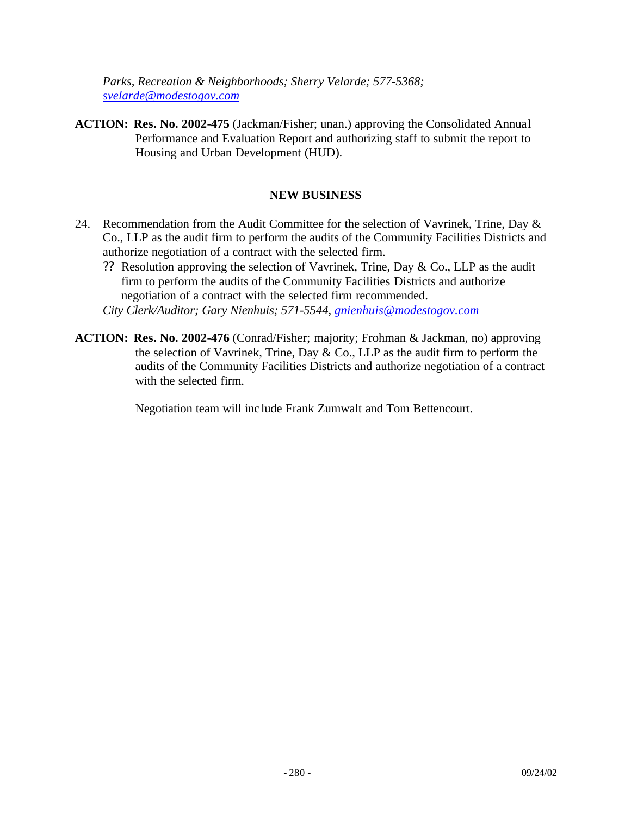*Parks, Recreation & Neighborhoods; Sherry Velarde; 577-5368; svelarde@modestogov.com*

**ACTION: Res. No. 2002-475** (Jackman/Fisher; unan.) approving the Consolidated Annual Performance and Evaluation Report and authorizing staff to submit the report to Housing and Urban Development (HUD).

### **NEW BUSINESS**

- 24. Recommendation from the Audit Committee for the selection of Vavrinek, Trine, Day  $\&$ Co., LLP as the audit firm to perform the audits of the Community Facilities Districts and authorize negotiation of a contract with the selected firm.
	- ?? Resolution approving the selection of Vavrinek, Trine, Day & Co., LLP as the audit firm to perform the audits of the Community Facilities Districts and authorize negotiation of a contract with the selected firm recommended.
	- *City Clerk/Auditor; Gary Nienhuis; 571-5544, gnienhuis@modestogov.com*
- **ACTION: Res. No. 2002-476** (Conrad/Fisher; majority; Frohman & Jackman, no) approving the selection of Vavrinek, Trine, Day & Co., LLP as the audit firm to perform the audits of the Community Facilities Districts and authorize negotiation of a contract with the selected firm.

Negotiation team will inc lude Frank Zumwalt and Tom Bettencourt.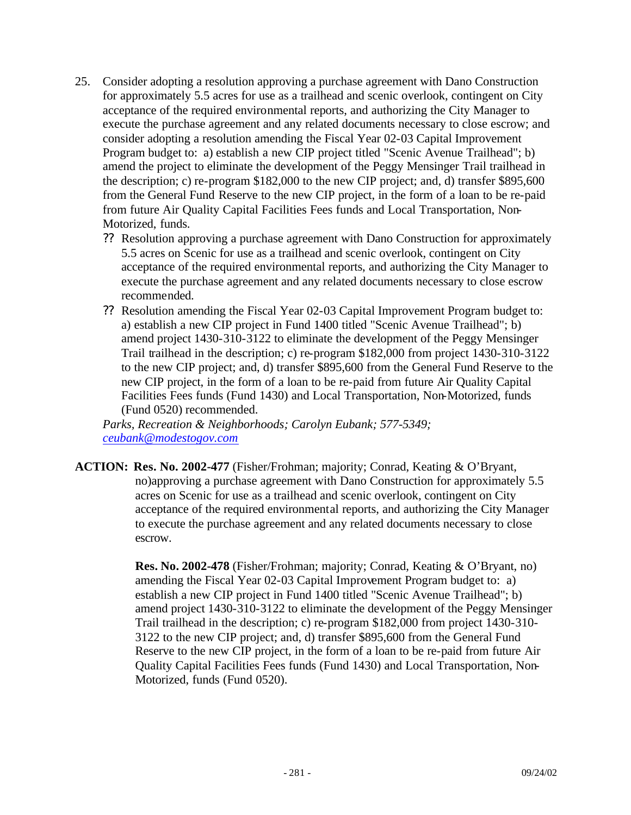- 25. Consider adopting a resolution approving a purchase agreement with Dano Construction for approximately 5.5 acres for use as a trailhead and scenic overlook, contingent on City acceptance of the required environmental reports, and authorizing the City Manager to execute the purchase agreement and any related documents necessary to close escrow; and consider adopting a resolution amending the Fiscal Year 02-03 Capital Improvement Program budget to: a) establish a new CIP project titled "Scenic Avenue Trailhead"; b) amend the project to eliminate the development of the Peggy Mensinger Trail trailhead in the description; c) re-program \$182,000 to the new CIP project; and, d) transfer \$895,600 from the General Fund Reserve to the new CIP project, in the form of a loan to be re-paid from future Air Quality Capital Facilities Fees funds and Local Transportation, Non-Motorized, funds.
	- ?? Resolution approving a purchase agreement with Dano Construction for approximately 5.5 acres on Scenic for use as a trailhead and scenic overlook, contingent on City acceptance of the required environmental reports, and authorizing the City Manager to execute the purchase agreement and any related documents necessary to close escrow recommended.
	- ?? Resolution amending the Fiscal Year 02-03 Capital Improvement Program budget to: a) establish a new CIP project in Fund 1400 titled "Scenic Avenue Trailhead"; b) amend project 1430-310-3122 to eliminate the development of the Peggy Mensinger Trail trailhead in the description; c) re-program \$182,000 from project 1430-310-3122 to the new CIP project; and, d) transfer \$895,600 from the General Fund Reserve to the new CIP project, in the form of a loan to be re-paid from future Air Quality Capital Facilities Fees funds (Fund 1430) and Local Transportation, Non-Motorized, funds (Fund 0520) recommended.

*Parks, Recreation & Neighborhoods; Carolyn Eubank; 577-5349; ceubank@modestogov.com*

**ACTION: Res. No. 2002-477** (Fisher/Frohman; majority; Conrad, Keating & O'Bryant, no)approving a purchase agreement with Dano Construction for approximately 5.5 acres on Scenic for use as a trailhead and scenic overlook, contingent on City acceptance of the required environmental reports, and authorizing the City Manager to execute the purchase agreement and any related documents necessary to close escrow.

> **Res. No. 2002-478** (Fisher/Frohman; majority; Conrad, Keating & O'Bryant, no) amending the Fiscal Year 02-03 Capital Improvement Program budget to: a) establish a new CIP project in Fund 1400 titled "Scenic Avenue Trailhead"; b) amend project 1430-310-3122 to eliminate the development of the Peggy Mensinger Trail trailhead in the description; c) re-program \$182,000 from project 1430-310- 3122 to the new CIP project; and, d) transfer \$895,600 from the General Fund Reserve to the new CIP project, in the form of a loan to be re-paid from future Air Quality Capital Facilities Fees funds (Fund 1430) and Local Transportation, Non-Motorized, funds (Fund 0520).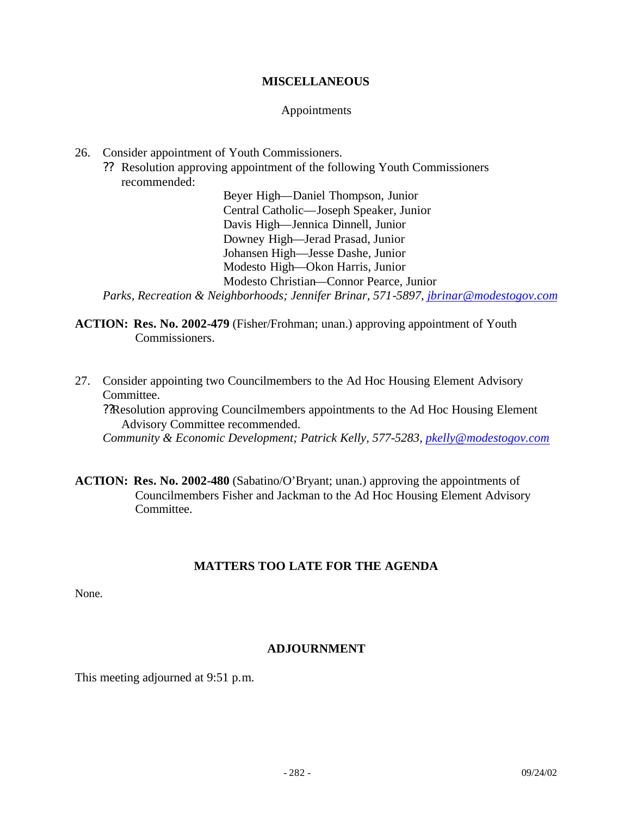### **MISCELLANEOUS**

#### Appointments

- 26. Consider appointment of Youth Commissioners.
	- ?? Resolution approving appointment of the following Youth Commissioners recommended:

Beyer High—Daniel Thompson, Junior Central Catholic—Joseph Speaker, Junior Davis High—Jennica Dinnell, Junior Downey High—Jerad Prasad, Junior Johansen High—Jesse Dashe, Junior Modesto High—Okon Harris, Junior Modesto Christian—Connor Pearce, Junior *Parks, Recreation & Neighborhoods; Jennifer Brinar, 571-5897, jbrinar@modestogov.com*

**ACTION: Res. No. 2002-479** (Fisher/Frohman; unan.) approving appointment of Youth Commissioners.

27. Consider appointing two Councilmembers to the Ad Hoc Housing Element Advisory Committee. ??Resolution approving Councilmembers appointments to the Ad Hoc Housing Element Advisory Committee recommended. *Community & Economic Development; Patrick Kelly, 577-5283, pkelly@modestogov.com*

**ACTION: Res. No. 2002-480** (Sabatino/O'Bryant; unan.) approving the appointments of Councilmembers Fisher and Jackman to the Ad Hoc Housing Element Advisory Committee.

# **MATTERS TOO LATE FOR THE AGENDA**

None.

# **ADJOURNMENT**

This meeting adjourned at 9:51 p.m.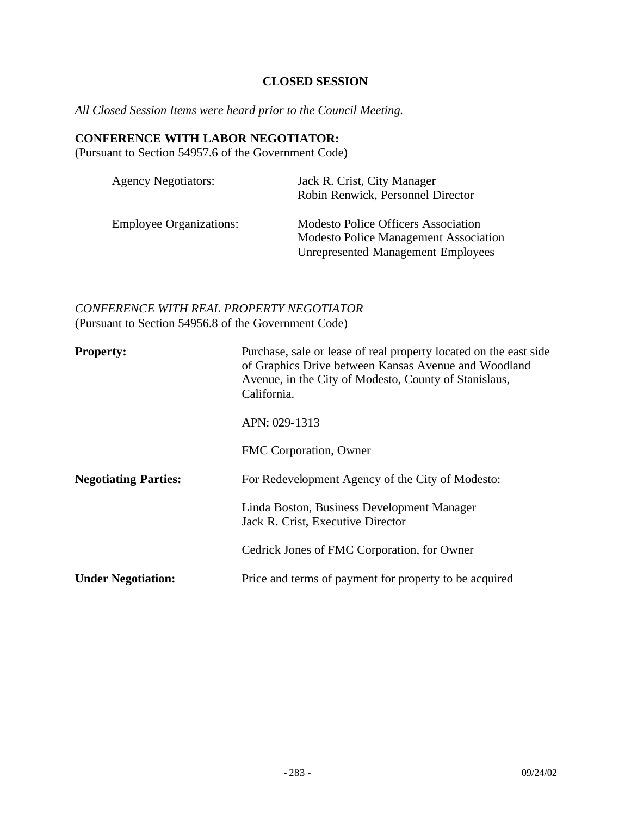# **CLOSED SESSION**

*All Closed Session Items were heard prior to the Council Meeting.*

#### **CONFERENCE WITH LABOR NEGOTIATOR:**

(Pursuant to Section 54957.6 of the Government Code)

| <b>Agency Negotiators:</b>     | Jack R. Crist, City Manager<br>Robin Renwick, Personnel Director                                                                        |
|--------------------------------|-----------------------------------------------------------------------------------------------------------------------------------------|
| <b>Employee Organizations:</b> | <b>Modesto Police Officers Association</b><br><b>Modesto Police Management Association</b><br><b>Unrepresented Management Employees</b> |

# *CONFERENCE WITH REAL PROPERTY NEGOTIATOR* (Pursuant to Section 54956.8 of the Government Code)

| <b>Property:</b>            | Purchase, sale or lease of real property located on the east side<br>of Graphics Drive between Kansas Avenue and Woodland<br>Avenue, in the City of Modesto, County of Stanislaus,<br>California. |
|-----------------------------|---------------------------------------------------------------------------------------------------------------------------------------------------------------------------------------------------|
|                             | APN: 029-1313                                                                                                                                                                                     |
|                             | FMC Corporation, Owner                                                                                                                                                                            |
| <b>Negotiating Parties:</b> | For Redevelopment Agency of the City of Modesto:                                                                                                                                                  |
|                             | Linda Boston, Business Development Manager<br>Jack R. Crist, Executive Director                                                                                                                   |
|                             | Cedrick Jones of FMC Corporation, for Owner                                                                                                                                                       |
| <b>Under Negotiation:</b>   | Price and terms of payment for property to be acquired                                                                                                                                            |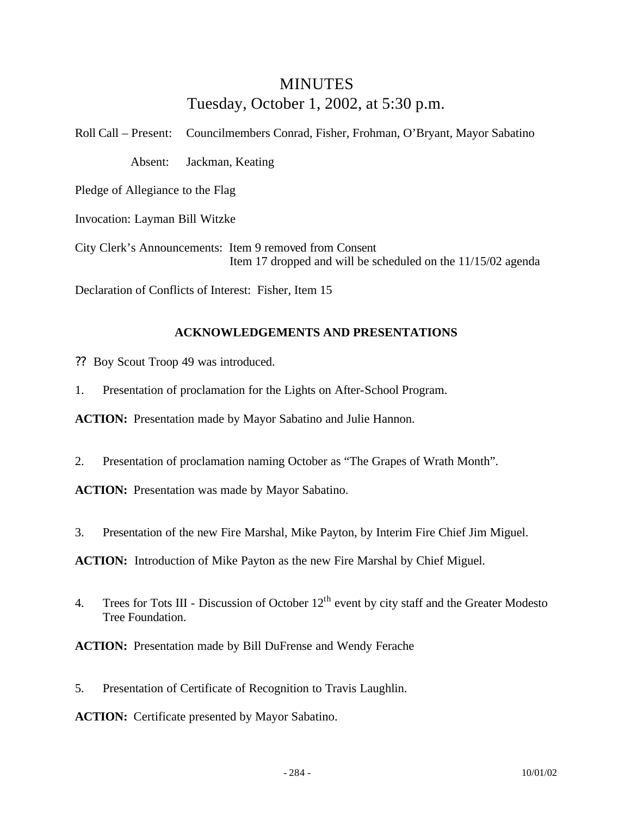# MINUTES Tuesday, October 1, 2002, at 5:30 p.m.

Roll Call – Present: Councilmembers Conrad, Fisher, Frohman, O'Bryant, Mayor Sabatino Absent: Jackman, Keating Pledge of Allegiance to the Flag Invocation: Layman Bill Witzke

City Clerk's Announcements: Item 9 removed from Consent Item 17 dropped and will be scheduled on the 11/15/02 agenda

Declaration of Conflicts of Interest: Fisher, Item 15

# **ACKNOWLEDGEMENTS AND PRESENTATIONS**

- ?? Boy Scout Troop 49 was introduced.
- 1. Presentation of proclamation for the Lights on After-School Program.

**ACTION:** Presentation made by Mayor Sabatino and Julie Hannon.

2. Presentation of proclamation naming October as "The Grapes of Wrath Month".

**ACTION:** Presentation was made by Mayor Sabatino.

3. Presentation of the new Fire Marshal, Mike Payton, by Interim Fire Chief Jim Miguel.

**ACTION:** Introduction of Mike Payton as the new Fire Marshal by Chief Miguel.

4. Trees for Tots III - Discussion of October  $12<sup>th</sup>$  event by city staff and the Greater Modesto Tree Foundation.

**ACTION:** Presentation made by Bill DuFrense and Wendy Ferache

5. Presentation of Certificate of Recognition to Travis Laughlin.

**ACTION:** Certificate presented by Mayor Sabatino.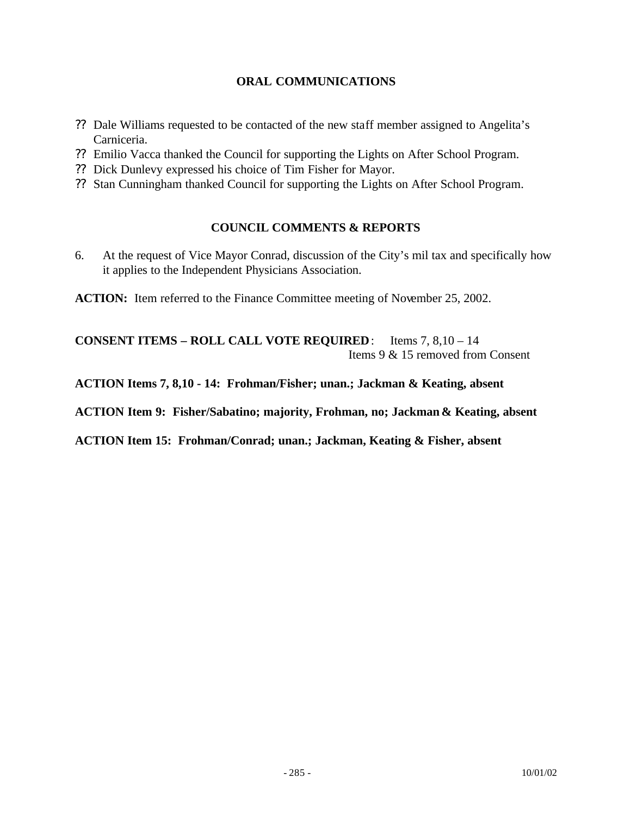# **ORAL COMMUNICATIONS**

- ?? Dale Williams requested to be contacted of the new staff member assigned to Angelita's Carniceria.
- ?? Emilio Vacca thanked the Council for supporting the Lights on After School Program.
- ?? Dick Dunlevy expressed his choice of Tim Fisher for Mayor.
- ?? Stan Cunningham thanked Council for supporting the Lights on After School Program.

# **COUNCIL COMMENTS & REPORTS**

6. At the request of Vice Mayor Conrad, discussion of the City's mil tax and specifically how it applies to the Independent Physicians Association.

**ACTION:** Item referred to the Finance Committee meeting of November 25, 2002.

**CONSENT ITEMS – ROLL CALL VOTE REQUIRED**: Items 7, 8,10 – 14 Items 9 & 15 removed from Consent

**ACTION Items 7, 8,10 - 14: Frohman/Fisher; unan.; Jackman & Keating, absent**

**ACTION Item 9: Fisher/Sabatino; majority, Frohman, no; Jackman & Keating, absent**

**ACTION Item 15: Frohman/Conrad; unan.; Jackman, Keating & Fisher, absent**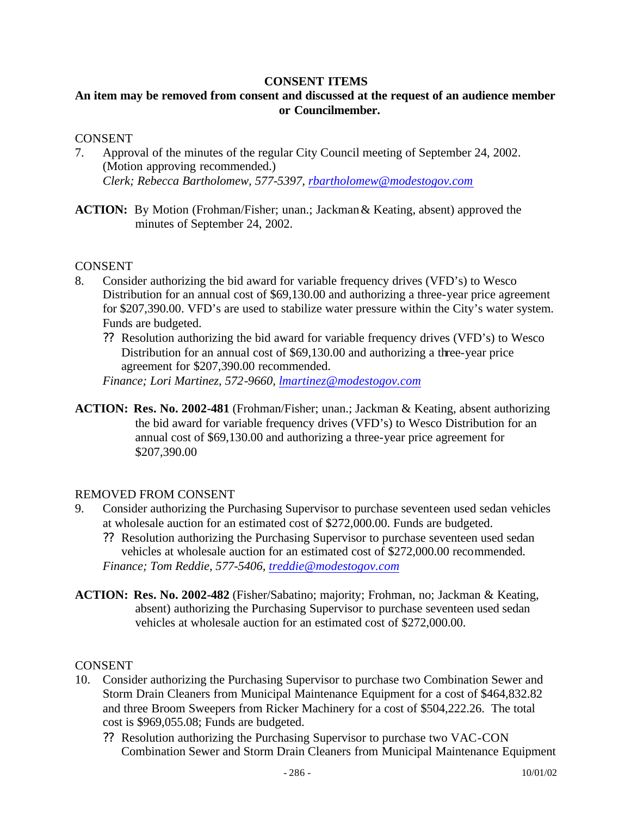#### **CONSENT ITEMS**

# **An item may be removed from consent and discussed at the request of an audience member or Councilmember.**

#### CONSENT

- 7. Approval of the minutes of the regular City Council meeting of September 24, 2002. (Motion approving recommended.) *Clerk; Rebecca Bartholomew, 577-5397, rbartholomew@modestogov.com*
- **ACTION:** By Motion (Frohman/Fisher; unan.; Jackman & Keating, absent) approved the minutes of September 24, 2002.

#### **CONSENT**

- 8. Consider authorizing the bid award for variable frequency drives (VFD's) to Wesco Distribution for an annual cost of \$69,130.00 and authorizing a three-year price agreement for \$207,390.00. VFD's are used to stabilize water pressure within the City's water system. Funds are budgeted.
	- ?? Resolution authorizing the bid award for variable frequency drives (VFD's) to Wesco Distribution for an annual cost of \$69,130.00 and authorizing a three-year price agreement for \$207,390.00 recommended.

*Finance; Lori Martinez, 572-9660, lmartinez@modestogov.com*

**ACTION: Res. No. 2002-481** (Frohman/Fisher; unan.; Jackman & Keating, absent authorizing the bid award for variable frequency drives (VFD's) to Wesco Distribution for an annual cost of \$69,130.00 and authorizing a three-year price agreement for \$207,390.00

#### REMOVED FROM CONSENT

- 9. Consider authorizing the Purchasing Supervisor to purchase seventeen used sedan vehicles at wholesale auction for an estimated cost of \$272,000.00. Funds are budgeted.
	- ?? Resolution authorizing the Purchasing Supervisor to purchase seventeen used sedan vehicles at wholesale auction for an estimated cost of \$272,000.00 recommended. *Finance; Tom Reddie, 577-5406, treddie@modestogov.com*
- **ACTION: Res. No. 2002-482** (Fisher/Sabatino; majority; Frohman, no; Jackman & Keating, absent) authorizing the Purchasing Supervisor to purchase seventeen used sedan vehicles at wholesale auction for an estimated cost of \$272,000.00.

#### CONSENT

- 10. Consider authorizing the Purchasing Supervisor to purchase two Combination Sewer and Storm Drain Cleaners from Municipal Maintenance Equipment for a cost of \$464,832.82 and three Broom Sweepers from Ricker Machinery for a cost of \$504,222.26. The total cost is \$969,055.08; Funds are budgeted.
	- ?? Resolution authorizing the Purchasing Supervisor to purchase two VAC-CON Combination Sewer and Storm Drain Cleaners from Municipal Maintenance Equipment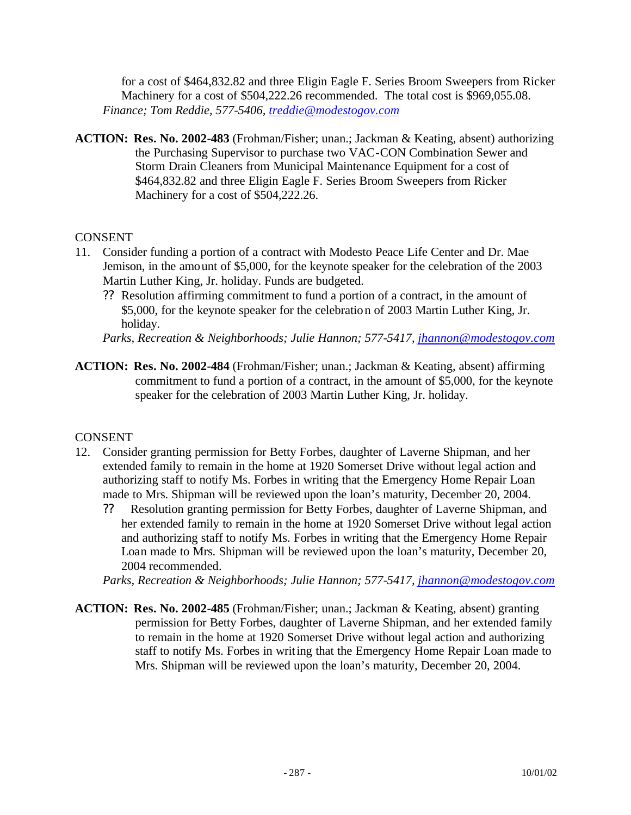for a cost of \$464,832.82 and three Eligin Eagle F. Series Broom Sweepers from Ricker Machinery for a cost of \$504,222.26 recommended. The total cost is \$969,055.08. *Finance; Tom Reddie, 577-5406, treddie@modestogov.com*

**ACTION: Res. No. 2002-483** (Frohman/Fisher; unan.; Jackman & Keating, absent) authorizing the Purchasing Supervisor to purchase two VAC-CON Combination Sewer and Storm Drain Cleaners from Municipal Maintenance Equipment for a cost of \$464,832.82 and three Eligin Eagle F. Series Broom Sweepers from Ricker Machinery for a cost of \$504,222.26.

# **CONSENT**

- 11. Consider funding a portion of a contract with Modesto Peace Life Center and Dr. Mae Jemison, in the amount of \$5,000, for the keynote speaker for the celebration of the 2003 Martin Luther King, Jr. holiday. Funds are budgeted.
	- ?? Resolution affirming commitment to fund a portion of a contract, in the amount of \$5,000, for the keynote speaker for the celebration of 2003 Martin Luther King, Jr. holiday.

*Parks, Recreation & Neighborhoods; Julie Hannon; 577-5417, jhannon@modestogov.com*

**ACTION: Res. No. 2002-484** (Frohman/Fisher; unan.; Jackman & Keating, absent) affirming commitment to fund a portion of a contract, in the amount of \$5,000, for the keynote speaker for the celebration of 2003 Martin Luther King, Jr. holiday.

# **CONSENT**

- 12. Consider granting permission for Betty Forbes, daughter of Laverne Shipman, and her extended family to remain in the home at 1920 Somerset Drive without legal action and authorizing staff to notify Ms. Forbes in writing that the Emergency Home Repair Loan made to Mrs. Shipman will be reviewed upon the loan's maturity, December 20, 2004.
	- ?? Resolution granting permission for Betty Forbes, daughter of Laverne Shipman, and her extended family to remain in the home at 1920 Somerset Drive without legal action and authorizing staff to notify Ms. Forbes in writing that the Emergency Home Repair Loan made to Mrs. Shipman will be reviewed upon the loan's maturity, December 20, 2004 recommended.

*Parks, Recreation & Neighborhoods; Julie Hannon; 577-5417, jhannon@modestogov.com*

**ACTION: Res. No. 2002-485** (Frohman/Fisher; unan.; Jackman & Keating, absent) granting permission for Betty Forbes, daughter of Laverne Shipman, and her extended family to remain in the home at 1920 Somerset Drive without legal action and authorizing staff to notify Ms. Forbes in writing that the Emergency Home Repair Loan made to Mrs. Shipman will be reviewed upon the loan's maturity, December 20, 2004.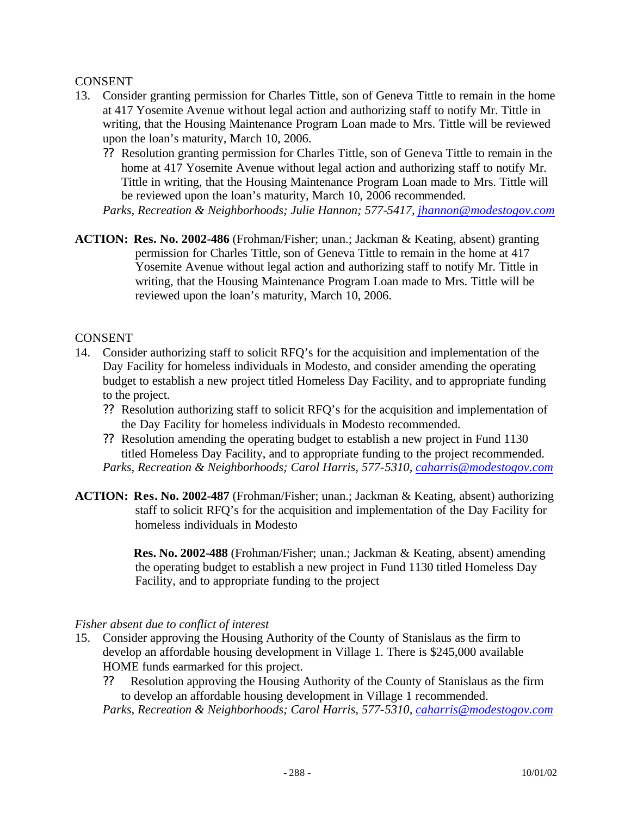#### CONSENT

- 13. Consider granting permission for Charles Tittle, son of Geneva Tittle to remain in the home at 417 Yosemite Avenue without legal action and authorizing staff to notify Mr. Tittle in writing, that the Housing Maintenance Program Loan made to Mrs. Tittle will be reviewed upon the loan's maturity, March 10, 2006.
	- ?? Resolution granting permission for Charles Tittle, son of Geneva Tittle to remain in the home at 417 Yosemite Avenue without legal action and authorizing staff to notify Mr. Tittle in writing, that the Housing Maintenance Program Loan made to Mrs. Tittle will be reviewed upon the loan's maturity, March 10, 2006 recommended.
	- *Parks, Recreation & Neighborhoods; Julie Hannon; 577-5417, jhannon@modestogov.com*
- **ACTION: Res. No. 2002-486** (Frohman/Fisher; unan.; Jackman & Keating, absent) granting permission for Charles Tittle, son of Geneva Tittle to remain in the home at 417 Yosemite Avenue without legal action and authorizing staff to notify Mr. Tittle in writing, that the Housing Maintenance Program Loan made to Mrs. Tittle will be reviewed upon the loan's maturity, March 10, 2006.

### CONSENT

- 14. Consider authorizing staff to solicit RFQ's for the acquisition and implementation of the Day Facility for homeless individuals in Modesto, and consider amending the operating budget to establish a new project titled Homeless Day Facility, and to appropriate funding to the project.
	- ?? Resolution authorizing staff to solicit RFQ's for the acquisition and implementation of the Day Facility for homeless individuals in Modesto recommended.
	- ?? Resolution amending the operating budget to establish a new project in Fund 1130 titled Homeless Day Facility, and to appropriate funding to the project recommended. *Parks, Recreation & Neighborhoods; Carol Harris, 577-5310, caharris@modestogov.com*
- **ACTION: Res. No. 2002-487** (Frohman/Fisher; unan.; Jackman & Keating, absent) authorizing staff to solicit RFQ's for the acquisition and implementation of the Day Facility for homeless individuals in Modesto

**Res. No. 2002-488** (Frohman/Fisher; unan.; Jackman & Keating, absent) amending the operating budget to establish a new project in Fund 1130 titled Homeless Day Facility, and to appropriate funding to the project

#### *Fisher absent due to conflict of interest*

- 15. Consider approving the Housing Authority of the County of Stanislaus as the firm to develop an affordable housing development in Village 1. There is \$245,000 available HOME funds earmarked for this project.
	- ?? Resolution approving the Housing Authority of the County of Stanislaus as the firm to develop an affordable housing development in Village 1 recommended.

*Parks, Recreation & Neighborhoods; Carol Harris, 577-5310, caharris@modestogov.com*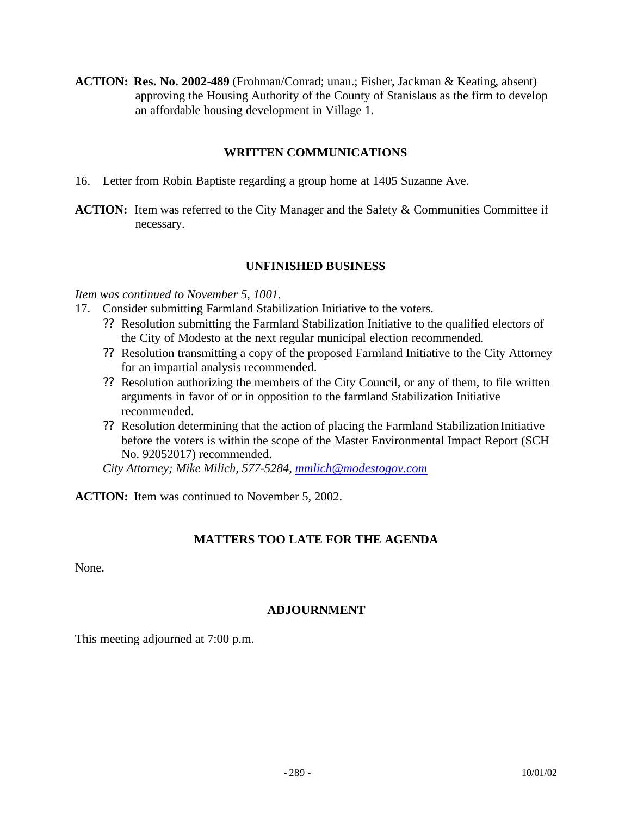**ACTION: Res. No. 2002-489** (Frohman/Conrad; unan.; Fisher, Jackman & Keating, absent) approving the Housing Authority of the County of Stanislaus as the firm to develop an affordable housing development in Village 1.

#### **WRITTEN COMMUNICATIONS**

- 16. Letter from Robin Baptiste regarding a group home at 1405 Suzanne Ave.
- **ACTION:** Item was referred to the City Manager and the Safety & Communities Committee if necessary.

#### **UNFINISHED BUSINESS**

*Item was continued to November 5, 1001.*

- 17. Consider submitting Farmland Stabilization Initiative to the voters.
	- ?? Resolution submitting the Farmland Stabilization Initiative to the qualified electors of the City of Modesto at the next regular municipal election recommended.
	- ?? Resolution transmitting a copy of the proposed Farmland Initiative to the City Attorney for an impartial analysis recommended.
	- ?? Resolution authorizing the members of the City Council, or any of them, to file written arguments in favor of or in opposition to the farmland Stabilization Initiative recommended.
	- ?? Resolution determining that the action of placing the Farmland Stabilization Initiative before the voters is within the scope of the Master Environmental Impact Report (SCH No. 92052017) recommended.

*City Attorney; Mike Milich, 577-5284, mmlich@modestogov.com*

**ACTION:** Item was continued to November 5, 2002.

#### **MATTERS TOO LATE FOR THE AGENDA**

None.

#### **ADJOURNMENT**

This meeting adjourned at 7:00 p.m.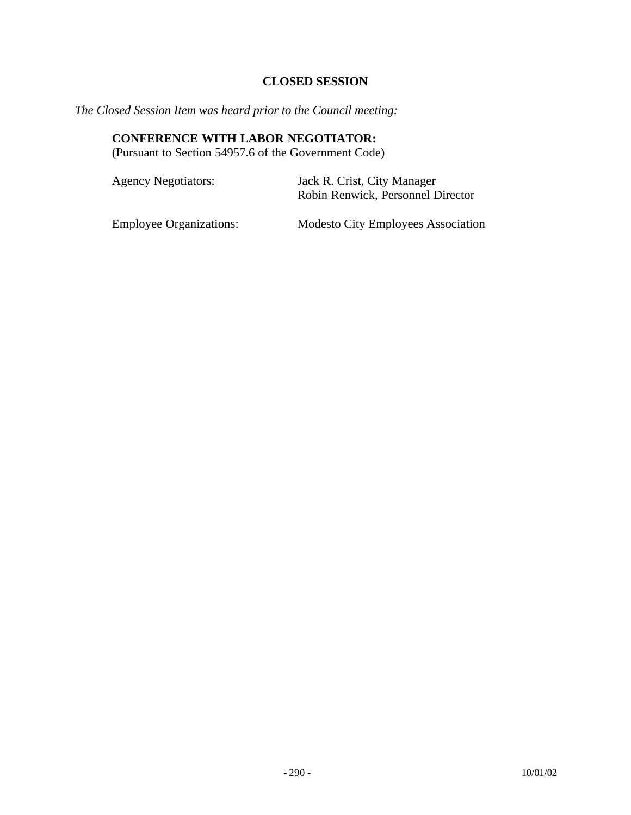## **CLOSED SESSION**

*The Closed Session Item was heard prior to the Council meeting:*

## **CONFERENCE WITH LABOR NEGOTIATOR:**

(Pursuant to Section 54957.6 of the Government Code)

| <b>Agency Negotiators:</b> | Jack R. Crist, City Manager<br>Robin Renwick, Personnel Director |
|----------------------------|------------------------------------------------------------------|
|                            |                                                                  |

Employee Organizations: Modesto City Employees Association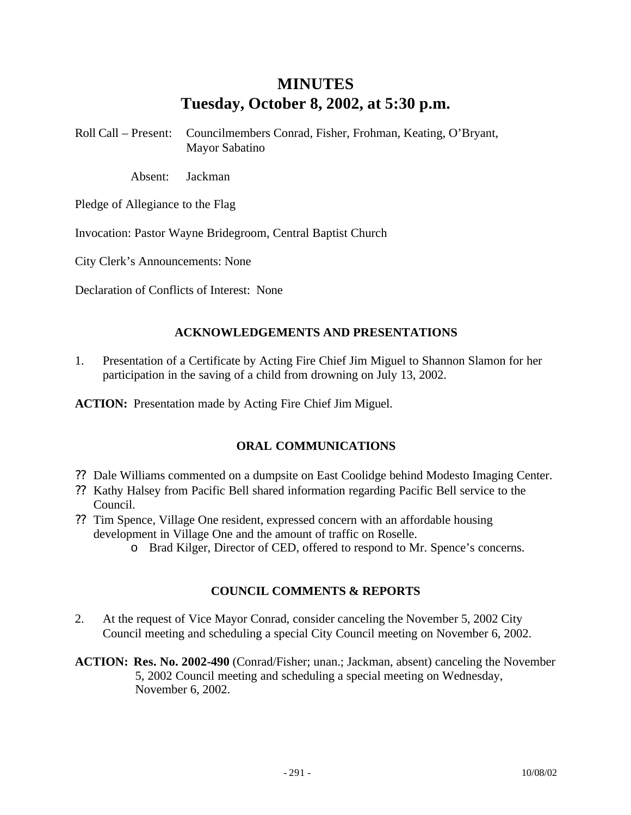# **MINUTES Tuesday, October 8, 2002, at 5:30 p.m.**

Roll Call – Present: Councilmembers Conrad, Fisher, Frohman, Keating, O'Bryant, Mayor Sabatino

Absent: Jackman

Pledge of Allegiance to the Flag

Invocation: Pastor Wayne Bridegroom, Central Baptist Church

City Clerk's Announcements: None

Declaration of Conflicts of Interest: None

#### **ACKNOWLEDGEMENTS AND PRESENTATIONS**

1. Presentation of a Certificate by Acting Fire Chief Jim Miguel to Shannon Slamon for her participation in the saving of a child from drowning on July 13, 2002.

**ACTION:** Presentation made by Acting Fire Chief Jim Miguel.

#### **ORAL COMMUNICATIONS**

- ?? Dale Williams commented on a dumpsite on East Coolidge behind Modesto Imaging Center.
- ?? Kathy Halsey from Pacific Bell shared information regarding Pacific Bell service to the Council.
- ?? Tim Spence, Village One resident, expressed concern with an affordable housing development in Village One and the amount of traffic on Roselle.
	- o Brad Kilger, Director of CED, offered to respond to Mr. Spence's concerns.

#### **COUNCIL COMMENTS & REPORTS**

- 2. At the request of Vice Mayor Conrad, consider canceling the November 5, 2002 City Council meeting and scheduling a special City Council meeting on November 6, 2002.
- **ACTION: Res. No. 2002-490** (Conrad/Fisher; unan.; Jackman, absent) canceling the November 5, 2002 Council meeting and scheduling a special meeting on Wednesday, November 6, 2002.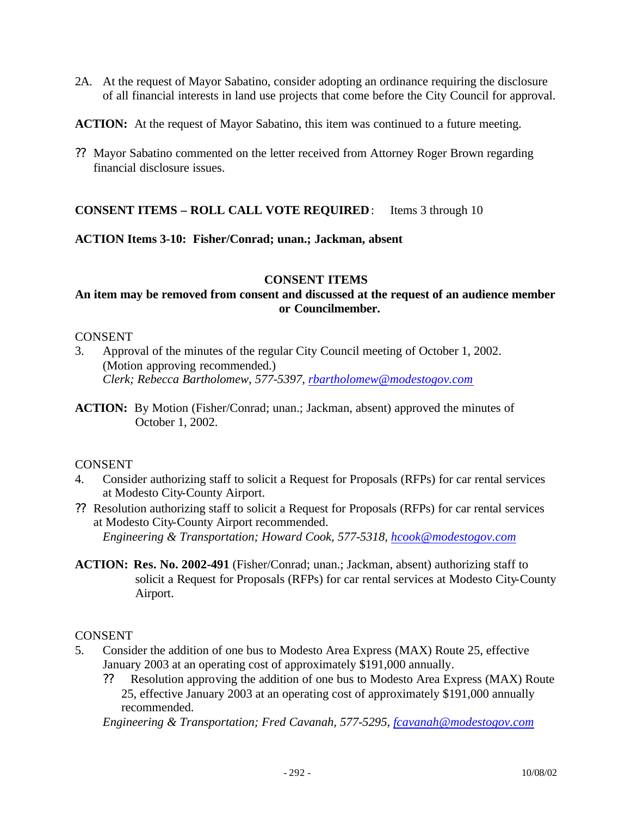- 2A. At the request of Mayor Sabatino, consider adopting an ordinance requiring the disclosure of all financial interests in land use projects that come before the City Council for approval.
- **ACTION:** At the request of Mayor Sabatino, this item was continued to a future meeting.
- ?? Mayor Sabatino commented on the letter received from Attorney Roger Brown regarding financial disclosure issues.

#### **CONSENT ITEMS – ROLL CALL VOTE REQUIRED**: Items 3 through 10

#### **ACTION Items 3-10: Fisher/Conrad; unan.; Jackman, absent**

#### **CONSENT ITEMS**

### **An item may be removed from consent and discussed at the request of an audience member or Councilmember.**

#### CONSENT

- 3. Approval of the minutes of the regular City Council meeting of October 1, 2002. (Motion approving recommended.) *Clerk; Rebecca Bartholomew, 577-5397, rbartholomew@modestogov.com*
- **ACTION:** By Motion (Fisher/Conrad; unan.; Jackman, absent) approved the minutes of October 1, 2002.

#### **CONSENT**

- 4. Consider authorizing staff to solicit a Request for Proposals (RFPs) for car rental services at Modesto City-County Airport.
- ?? Resolution authorizing staff to solicit a Request for Proposals (RFPs) for car rental services at Modesto City-County Airport recommended. *Engineering & Transportation; Howard Cook, 577-5318, hcook@modestogov.com*
- **ACTION: Res. No. 2002-491** (Fisher/Conrad; unan.; Jackman, absent) authorizing staff to solicit a Request for Proposals (RFPs) for car rental services at Modesto City-County Airport.

#### **CONSENT**

- 5. Consider the addition of one bus to Modesto Area Express (MAX) Route 25, effective January 2003 at an operating cost of approximately \$191,000 annually.
	- ?? Resolution approving the addition of one bus to Modesto Area Express (MAX) Route 25, effective January 2003 at an operating cost of approximately \$191,000 annually recommended.

*Engineering & Transportation; Fred Cavanah, 577-5295, fcavanah@modestogov.com*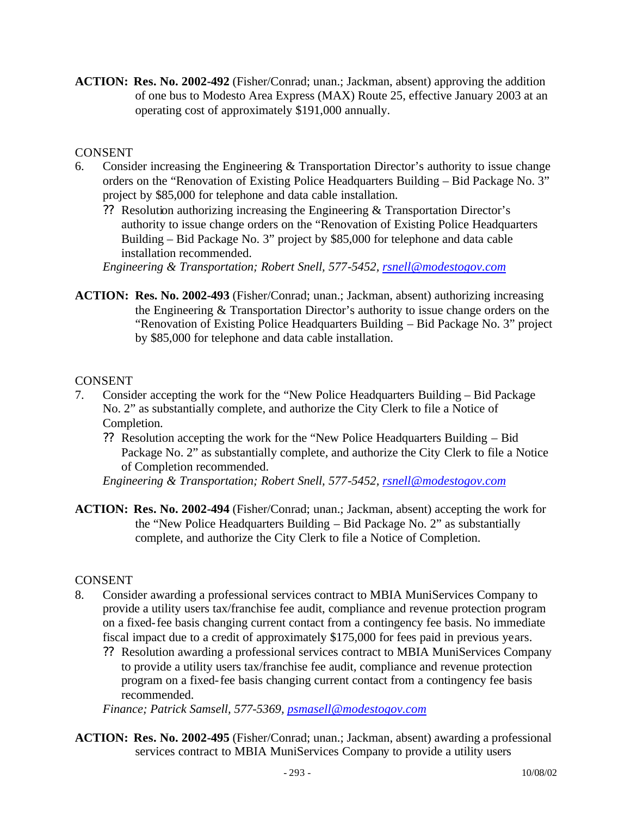**ACTION: Res. No. 2002-492** (Fisher/Conrad; unan.; Jackman, absent) approving the addition of one bus to Modesto Area Express (MAX) Route 25, effective January 2003 at an operating cost of approximately \$191,000 annually.

## CONSENT

- 6. Consider increasing the Engineering & Transportation Director's authority to issue change orders on the "Renovation of Existing Police Headquarters Building – Bid Package No. 3" project by \$85,000 for telephone and data cable installation.
	- ?? Resolution authorizing increasing the Engineering & Transportation Director's authority to issue change orders on the "Renovation of Existing Police Headquarters Building – Bid Package No. 3" project by \$85,000 for telephone and data cable installation recommended.

*Engineering & Transportation; Robert Snell, 577-5452, rsnell@modestogov.com*

**ACTION: Res. No. 2002-493** (Fisher/Conrad; unan.; Jackman, absent) authorizing increasing the Engineering & Transportation Director's authority to issue change orders on the "Renovation of Existing Police Headquarters Building – Bid Package No. 3" project by \$85,000 for telephone and data cable installation.

## CONSENT

- 7. Consider accepting the work for the "New Police Headquarters Building Bid Package No. 2" as substantially complete, and authorize the City Clerk to file a Notice of Completion.
	- ?? Resolution accepting the work for the "New Police Headquarters Building Bid Package No. 2" as substantially complete, and authorize the City Clerk to file a Notice of Completion recommended.

*Engineering & Transportation; Robert Snell, 577-5452, rsnell@modestogov.com*

**ACTION: Res. No. 2002-494** (Fisher/Conrad; unan.; Jackman, absent) accepting the work for the "New Police Headquarters Building – Bid Package No. 2" as substantially complete, and authorize the City Clerk to file a Notice of Completion.

## CONSENT

- 8. Consider awarding a professional services contract to MBIA MuniServices Company to provide a utility users tax/franchise fee audit, compliance and revenue protection program on a fixed-fee basis changing current contact from a contingency fee basis. No immediate fiscal impact due to a credit of approximately \$175,000 for fees paid in previous years.
	- ?? Resolution awarding a professional services contract to MBIA MuniServices Company to provide a utility users tax/franchise fee audit, compliance and revenue protection program on a fixed-fee basis changing current contact from a contingency fee basis recommended.

*Finance; Patrick Samsell, 577-5369, psmasell@modestogov.com*

**ACTION: Res. No. 2002-495** (Fisher/Conrad; unan.; Jackman, absent) awarding a professional services contract to MBIA MuniServices Company to provide a utility users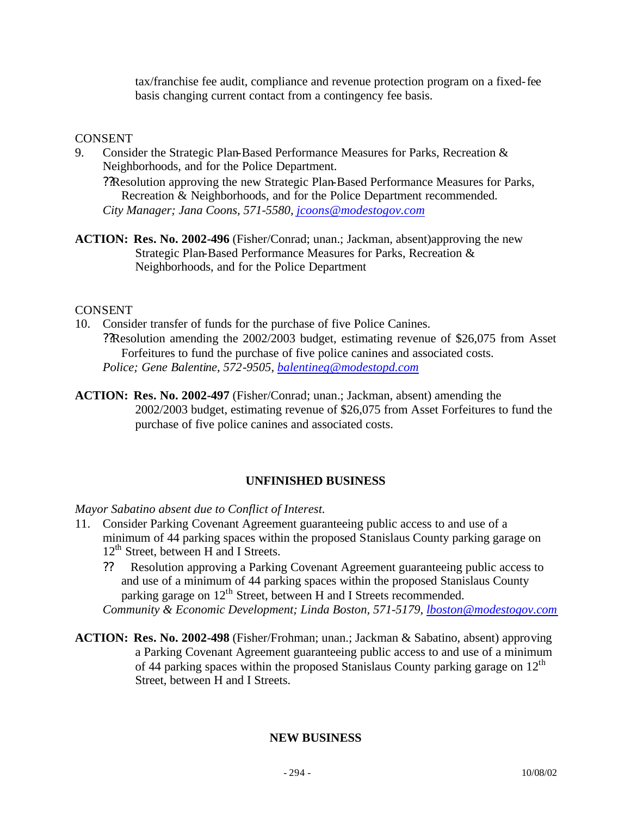tax/franchise fee audit, compliance and revenue protection program on a fixed-fee basis changing current contact from a contingency fee basis.

#### **CONSENT**

9. Consider the Strategic Plan-Based Performance Measures for Parks, Recreation & Neighborhoods, and for the Police Department.

??Resolution approving the new Strategic Plan-Based Performance Measures for Parks, Recreation & Neighborhoods, and for the Police Department recommended. *City Manager; Jana Coons, 571-5580, jcoons@modestogov.com*

**ACTION: Res. No. 2002-496** (Fisher/Conrad; unan.; Jackman, absent)approving the new Strategic Plan-Based Performance Measures for Parks, Recreation & Neighborhoods, and for the Police Department

#### CONSENT

- 10. Consider transfer of funds for the purchase of five Police Canines. ??Resolution amending the 2002/2003 budget, estimating revenue of \$26,075 from Asset Forfeitures to fund the purchase of five police canines and associated costs. *Police; Gene Balentine, 572-9505, balentineg@modestopd.com*
- **ACTION: Res. No. 2002-497** (Fisher/Conrad; unan.; Jackman, absent) amending the 2002/2003 budget, estimating revenue of \$26,075 from Asset Forfeitures to fund the purchase of five police canines and associated costs.

## **UNFINISHED BUSINESS**

*Mayor Sabatino absent due to Conflict of Interest.*

- 11. Consider Parking Covenant Agreement guaranteeing public access to and use of a minimum of 44 parking spaces within the proposed Stanislaus County parking garage on  $12<sup>th</sup>$  Street, between H and I Streets.
	- ?? Resolution approving a Parking Covenant Agreement guaranteeing public access to and use of a minimum of 44 parking spaces within the proposed Stanislaus County parking garage on 12<sup>th</sup> Street, between H and I Streets recommended.

*Community & Economic Development; Linda Boston, 571-5179, lboston@modestogov.com*

**ACTION: Res. No. 2002-498** (Fisher/Frohman; unan.; Jackman & Sabatino, absent) approving a Parking Covenant Agreement guaranteeing public access to and use of a minimum of 44 parking spaces within the proposed Stanislaus County parking garage on  $12<sup>th</sup>$ Street, between H and I Streets.

#### **NEW BUSINESS**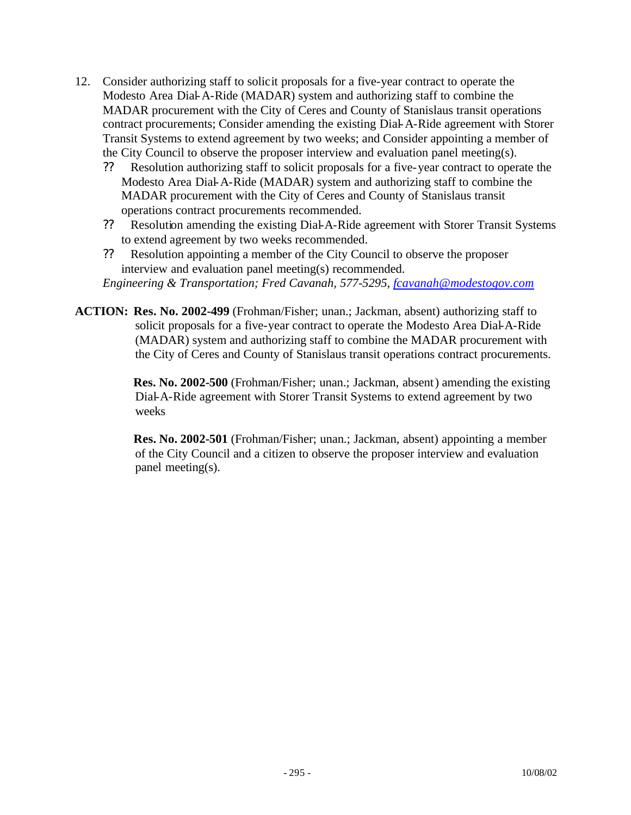- 12. Consider authorizing staff to solicit proposals for a five-year contract to operate the Modesto Area Dial-A-Ride (MADAR) system and authorizing staff to combine the MADAR procurement with the City of Ceres and County of Stanislaus transit operations contract procurements; Consider amending the existing Dial-A-Ride agreement with Storer Transit Systems to extend agreement by two weeks; and Consider appointing a member of the City Council to observe the proposer interview and evaluation panel meeting(s).
	- ?? Resolution authorizing staff to solicit proposals for a five-year contract to operate the Modesto Area Dial-A-Ride (MADAR) system and authorizing staff to combine the MADAR procurement with the City of Ceres and County of Stanislaus transit operations contract procurements recommended.
	- ?? Resolution amending the existing Dial-A-Ride agreement with Storer Transit Systems to extend agreement by two weeks recommended.
	- ?? Resolution appointing a member of the City Council to observe the proposer interview and evaluation panel meeting(s) recommended.

*Engineering & Transportation; Fred Cavanah, 577-5295, fcavanah@modestogov.com*

**ACTION: Res. No. 2002-499** (Frohman/Fisher; unan.; Jackman, absent) authorizing staff to solicit proposals for a five-year contract to operate the Modesto Area Dial-A-Ride (MADAR) system and authorizing staff to combine the MADAR procurement with the City of Ceres and County of Stanislaus transit operations contract procurements.

> **Res. No. 2002-500** (Frohman/Fisher; unan.; Jackman, absent) amending the existing Dial-A-Ride agreement with Storer Transit Systems to extend agreement by two weeks

> **Res. No. 2002-501** (Frohman/Fisher; unan.; Jackman, absent) appointing a member of the City Council and a citizen to observe the proposer interview and evaluation panel meeting(s).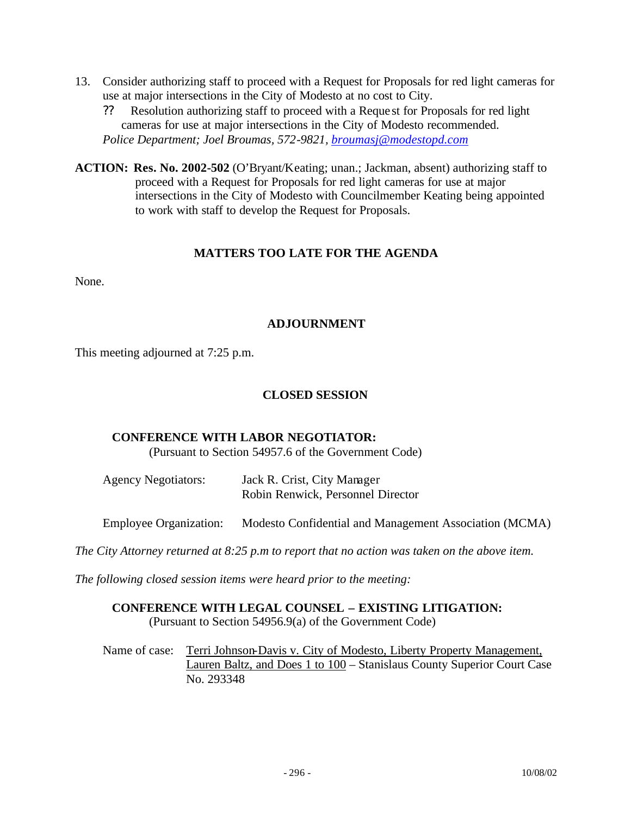- 13. Consider authorizing staff to proceed with a Request for Proposals for red light cameras for use at major intersections in the City of Modesto at no cost to City.
	- ?? Resolution authorizing staff to proceed with a Reque st for Proposals for red light cameras for use at major intersections in the City of Modesto recommended. *Police Department; Joel Broumas, 572-9821, broumasj@modestopd.com*
- **ACTION: Res. No. 2002-502** (O'Bryant/Keating; unan.; Jackman, absent) authorizing staff to proceed with a Request for Proposals for red light cameras for use at major intersections in the City of Modesto with Councilmember Keating being appointed to work with staff to develop the Request for Proposals.

## **MATTERS TOO LATE FOR THE AGENDA**

None.

#### **ADJOURNMENT**

This meeting adjourned at 7:25 p.m.

#### **CLOSED SESSION**

#### **CONFERENCE WITH LABOR NEGOTIATOR:**

(Pursuant to Section 54957.6 of the Government Code)

| <b>Agency Negotiators:</b> | Jack R. Crist, City Manager       |
|----------------------------|-----------------------------------|
|                            | Robin Renwick, Personnel Director |

Employee Organization: Modesto Confidential and Management Association (MCMA)

*The City Attorney returned at 8:25 p.m to report that no action was taken on the above item.*

*The following closed session items were heard prior to the meeting:*

#### **CONFERENCE WITH LEGAL COUNSEL – EXISTING LITIGATION:** (Pursuant to Section 54956.9(a) of the Government Code)

Name of case: Terri Johnson-Davis v. City of Modesto, Liberty Property Management, Lauren Baltz, and Does 1 to 100 – Stanislaus County Superior Court Case No. 293348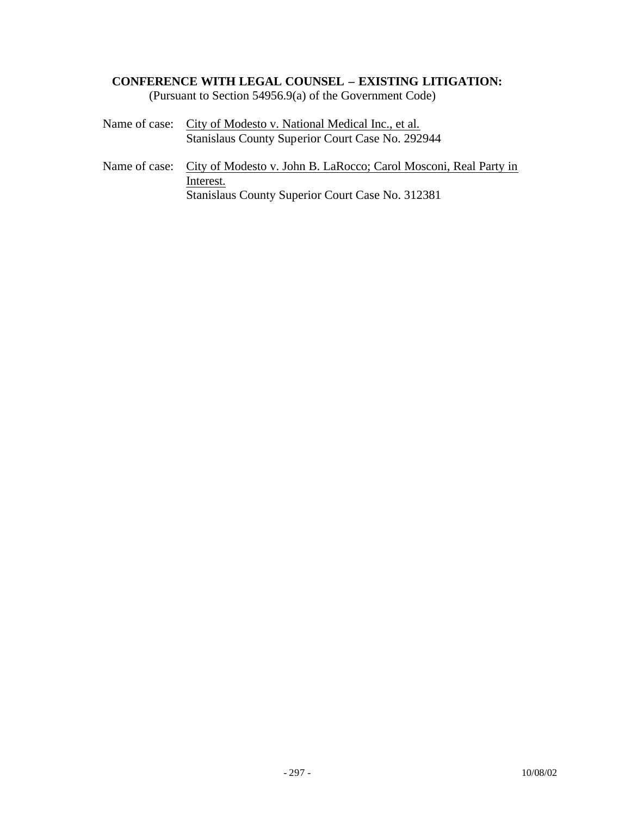#### **CONFERENCE WITH LEGAL COUNSEL – EXISTING LITIGATION:**

(Pursuant to Section 54956.9(a) of the Government Code)

- Name of case: City of Modesto v. National Medical Inc., et al. Stanislaus County Superior Court Case No. 292944
- Name of case: City of Modesto v. John B. LaRocco; Carol Mosconi, Real Party in Interest. Stanislaus County Superior Court Case No. 312381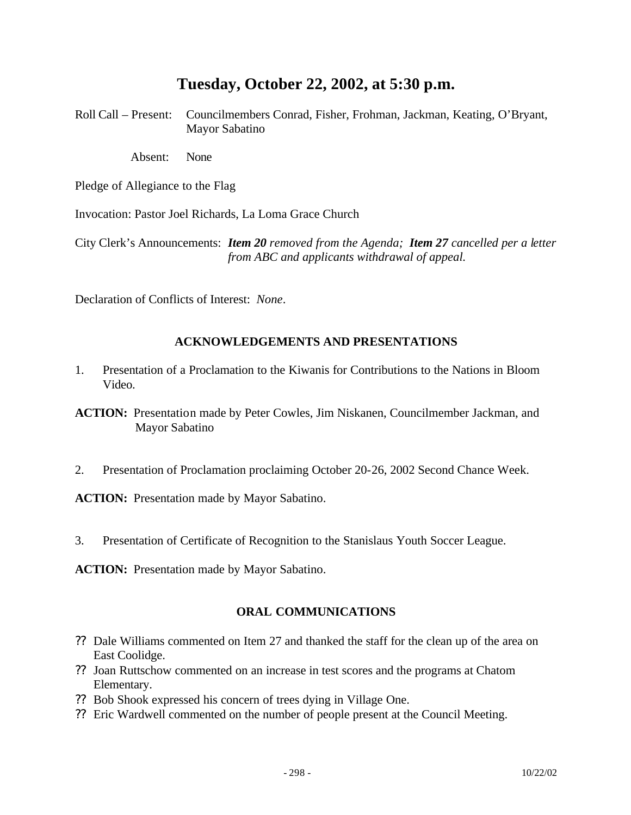## **Tuesday, October 22, 2002, at 5:30 p.m.**

Roll Call – Present: Councilmembers Conrad, Fisher, Frohman, Jackman, Keating, O'Bryant, Mayor Sabatino

Absent: None

Pledge of Allegiance to the Flag

Invocation: Pastor Joel Richards, La Loma Grace Church

City Clerk's Announcements: *Item 20 removed from the Agenda; Item 27 cancelled per a letter from ABC and applicants withdrawal of appeal.*

Declaration of Conflicts of Interest: *None*.

#### **ACKNOWLEDGEMENTS AND PRESENTATIONS**

1. Presentation of a Proclamation to the Kiwanis for Contributions to the Nations in Bloom Video.

**ACTION:** Presentation made by Peter Cowles, Jim Niskanen, Councilmember Jackman, and Mayor Sabatino

2. Presentation of Proclamation proclaiming October 20-26, 2002 Second Chance Week.

**ACTION:** Presentation made by Mayor Sabatino.

3. Presentation of Certificate of Recognition to the Stanislaus Youth Soccer League.

**ACTION:** Presentation made by Mayor Sabatino.

## **ORAL COMMUNICATIONS**

- ?? Dale Williams commented on Item 27 and thanked the staff for the clean up of the area on East Coolidge.
- ?? Joan Ruttschow commented on an increase in test scores and the programs at Chatom Elementary.
- ?? Bob Shook expressed his concern of trees dying in Village One.
- ?? Eric Wardwell commented on the number of people present at the Council Meeting.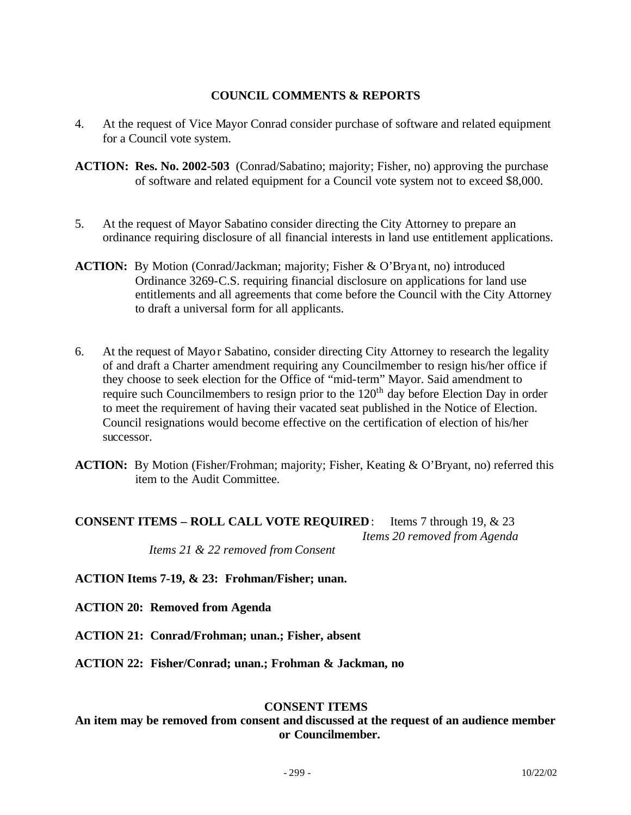### **COUNCIL COMMENTS & REPORTS**

- 4. At the request of Vice Mayor Conrad consider purchase of software and related equipment for a Council vote system.
- **ACTION: Res. No. 2002-503** (Conrad/Sabatino; majority; Fisher, no) approving the purchase of software and related equipment for a Council vote system not to exceed \$8,000.
- 5. At the request of Mayor Sabatino consider directing the City Attorney to prepare an ordinance requiring disclosure of all financial interests in land use entitlement applications.
- **ACTION:** By Motion (Conrad/Jackman; majority; Fisher & O'Bryant, no) introduced Ordinance 3269-C.S. requiring financial disclosure on applications for land use entitlements and all agreements that come before the Council with the City Attorney to draft a universal form for all applicants.
- 6. At the request of Mayor Sabatino, consider directing City Attorney to research the legality of and draft a Charter amendment requiring any Councilmember to resign his/her office if they choose to seek election for the Office of "mid-term" Mayor. Said amendment to require such Councilmembers to resign prior to the  $120<sup>th</sup>$  day before Election Day in order to meet the requirement of having their vacated seat published in the Notice of Election. Council resignations would become effective on the certification of election of his/her successor.
- **ACTION:** By Motion (Fisher/Frohman; majority; Fisher, Keating & O'Bryant, no) referred this item to the Audit Committee.

#### **CONSENT ITEMS – ROLL CALL VOTE REQUIRED**: Items 7 through 19, & 23 *Items 20 removed from Agenda Items 21 & 22 removed from Consent*

**ACTION Items 7-19, & 23: Frohman/Fisher; unan.**

- **ACTION 20: Removed from Agenda**
- **ACTION 21: Conrad/Frohman; unan.; Fisher, absent**
- **ACTION 22: Fisher/Conrad; unan.; Frohman & Jackman, no**

#### **CONSENT ITEMS**

**An item may be removed from consent and discussed at the request of an audience member or Councilmember.**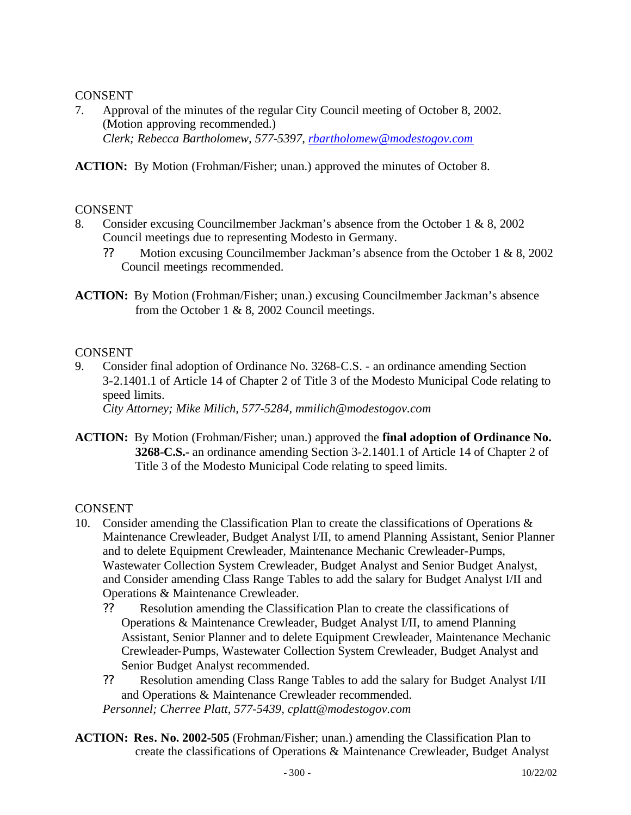## CONSENT

7. Approval of the minutes of the regular City Council meeting of October 8, 2002. (Motion approving recommended.) *Clerk; Rebecca Bartholomew, 577-5397, rbartholomew@modestogov.com*

**ACTION:** By Motion (Frohman/Fisher; unan.) approved the minutes of October 8.

## CONSENT

- 8. Consider excusing Councilmember Jackman's absence from the October 1 & 8, 2002 Council meetings due to representing Modesto in Germany.
	- ?? Motion excusing Councilmember Jackman's absence from the October 1 & 8, 2002 Council meetings recommended.
- **ACTION:** By Motion (Frohman/Fisher; unan.) excusing Councilmember Jackman's absence from the October 1  $\&$  8, 2002 Council meetings.

## **CONSENT**

9. Consider final adoption of Ordinance No. 3268-C.S. - an ordinance amending Section 3-2.1401.1 of Article 14 of Chapter 2 of Title 3 of the Modesto Municipal Code relating to speed limits.

*City Attorney; Mike Milich, 577-5284, mmilich@modestogov.com*

**ACTION:** By Motion (Frohman/Fisher; unan.) approved the **final adoption of Ordinance No. 3268-C.S.-** an ordinance amending Section 3-2.1401.1 of Article 14 of Chapter 2 of Title 3 of the Modesto Municipal Code relating to speed limits.

- 10. Consider amending the Classification Plan to create the classifications of Operations & Maintenance Crewleader, Budget Analyst I/II, to amend Planning Assistant, Senior Planner and to delete Equipment Crewleader, Maintenance Mechanic Crewleader-Pumps, Wastewater Collection System Crewleader, Budget Analyst and Senior Budget Analyst, and Consider amending Class Range Tables to add the salary for Budget Analyst I/II and Operations & Maintenance Crewleader.
	- ?? Resolution amending the Classification Plan to create the classifications of Operations & Maintenance Crewleader, Budget Analyst I/II, to amend Planning Assistant, Senior Planner and to delete Equipment Crewleader, Maintenance Mechanic Crewleader-Pumps, Wastewater Collection System Crewleader, Budget Analyst and Senior Budget Analyst recommended.
	- ?? Resolution amending Class Range Tables to add the salary for Budget Analyst I/II and Operations & Maintenance Crewleader recommended. *Personnel; Cherree Platt, 577-5439, cplatt@modestogov.com*
- **ACTION: Res. No. 2002-505** (Frohman/Fisher; unan.) amending the Classification Plan to create the classifications of Operations & Maintenance Crewleader, Budget Analyst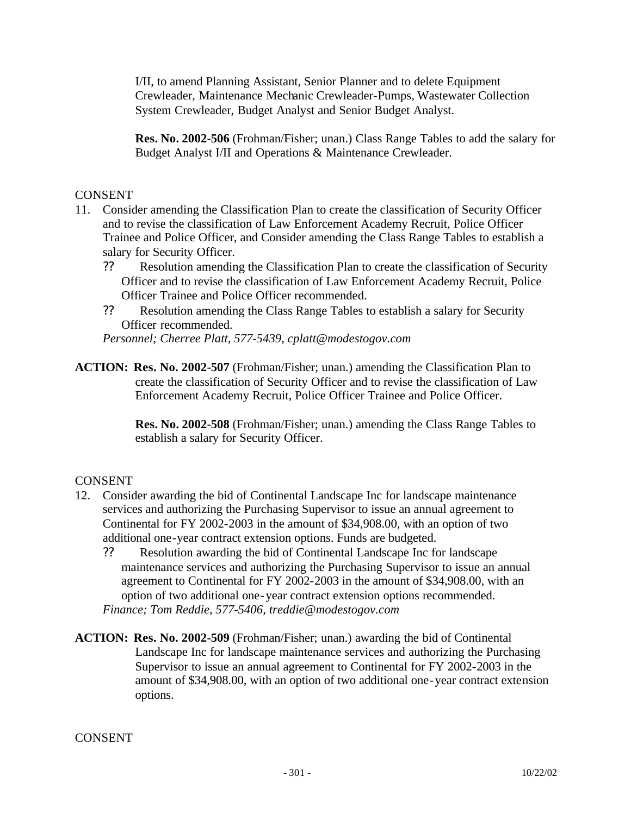I/II, to amend Planning Assistant, Senior Planner and to delete Equipment Crewleader, Maintenance Mechanic Crewleader-Pumps, Wastewater Collection System Crewleader, Budget Analyst and Senior Budget Analyst.

**Res. No. 2002-506** (Frohman/Fisher; unan.) Class Range Tables to add the salary for Budget Analyst I/II and Operations & Maintenance Crewleader.

#### **CONSENT**

- 11. Consider amending the Classification Plan to create the classification of Security Officer and to revise the classification of Law Enforcement Academy Recruit, Police Officer Trainee and Police Officer, and Consider amending the Class Range Tables to establish a salary for Security Officer.
	- ?? Resolution amending the Classification Plan to create the classification of Security Officer and to revise the classification of Law Enforcement Academy Recruit, Police Officer Trainee and Police Officer recommended.
	- ?? Resolution amending the Class Range Tables to establish a salary for Security Officer recommended.

*Personnel; Cherree Platt, 577-5439, cplatt@modestogov.com*

**ACTION: Res. No. 2002-507** (Frohman/Fisher; unan.) amending the Classification Plan to create the classification of Security Officer and to revise the classification of Law Enforcement Academy Recruit, Police Officer Trainee and Police Officer.

> **Res. No. 2002-508** (Frohman/Fisher; unan.) amending the Class Range Tables to establish a salary for Security Officer.

## **CONSENT**

- 12. Consider awarding the bid of Continental Landscape Inc for landscape maintenance services and authorizing the Purchasing Supervisor to issue an annual agreement to Continental for FY 2002-2003 in the amount of \$34,908.00, with an option of two additional one-year contract extension options. Funds are budgeted.
	- ?? Resolution awarding the bid of Continental Landscape Inc for landscape maintenance services and authorizing the Purchasing Supervisor to issue an annual agreement to Continental for FY 2002-2003 in the amount of \$34,908.00, with an option of two additional one-year contract extension options recommended. *Finance; Tom Reddie, 577-5406, treddie@modestogov.com*
- **ACTION: Res. No. 2002-509** (Frohman/Fisher; unan.) awarding the bid of Continental Landscape Inc for landscape maintenance services and authorizing the Purchasing Supervisor to issue an annual agreement to Continental for FY 2002-2003 in the amount of \$34,908.00, with an option of two additional one-year contract extension options.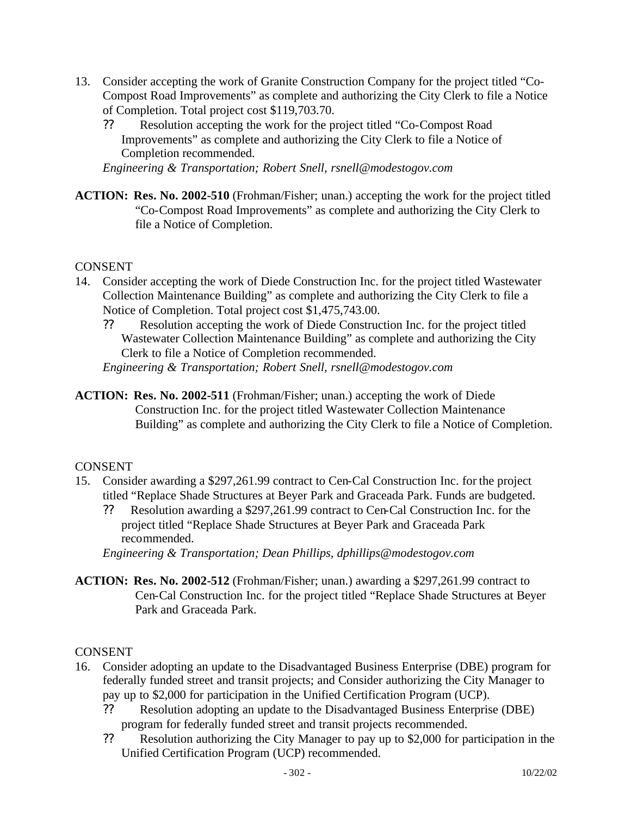- 13. Consider accepting the work of Granite Construction Company for the project titled "Co-Compost Road Improvements" as complete and authorizing the City Clerk to file a Notice of Completion. Total project cost \$119,703.70.
	- ?? Resolution accepting the work for the project titled "Co-Compost Road Improvements" as complete and authorizing the City Clerk to file a Notice of Completion recommended.

*Engineering & Transportation; Robert Snell, rsnell@modestogov.com*

**ACTION: Res. No. 2002-510** (Frohman/Fisher; unan.) accepting the work for the project titled "Co-Compost Road Improvements" as complete and authorizing the City Clerk to file a Notice of Completion.

## CONSENT

- 14. Consider accepting the work of Diede Construction Inc. for the project titled Wastewater Collection Maintenance Building" as complete and authorizing the City Clerk to file a Notice of Completion. Total project cost \$1,475,743.00.
	- ?? Resolution accepting the work of Diede Construction Inc. for the project titled Wastewater Collection Maintenance Building" as complete and authorizing the City Clerk to file a Notice of Completion recommended. *Engineering & Transportation; Robert Snell, rsnell@modestogov.com*
- **ACTION: Res. No. 2002-511** (Frohman/Fisher; unan.) accepting the work of Diede Construction Inc. for the project titled Wastewater Collection Maintenance Building" as complete and authorizing the City Clerk to file a Notice of Completion.

## CONSENT

- 15. Consider awarding a \$297,261.99 contract to Cen-Cal Construction Inc. for the project titled "Replace Shade Structures at Beyer Park and Graceada Park. Funds are budgeted.
	- ?? Resolution awarding a \$297,261.99 contract to Cen-Cal Construction Inc. for the project titled "Replace Shade Structures at Beyer Park and Graceada Park recommended.

*Engineering & Transportation; Dean Phillips, dphillips@modestogov.com*

**ACTION: Res. No. 2002-512** (Frohman/Fisher; unan.) awarding a \$297,261.99 contract to Cen-Cal Construction Inc. for the project titled "Replace Shade Structures at Beyer Park and Graceada Park.

- 16. Consider adopting an update to the Disadvantaged Business Enterprise (DBE) program for federally funded street and transit projects; and Consider authorizing the City Manager to pay up to \$2,000 for participation in the Unified Certification Program (UCP).
	- ?? Resolution adopting an update to the Disadvantaged Business Enterprise (DBE) program for federally funded street and transit projects recommended.
	- ?? Resolution authorizing the City Manager to pay up to \$2,000 for participation in the Unified Certification Program (UCP) recommended.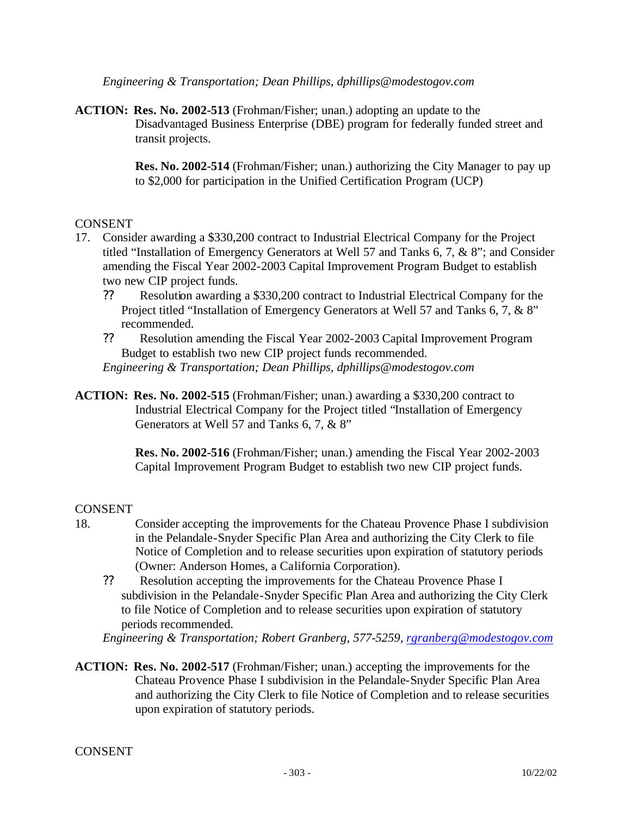*Engineering & Transportation; Dean Phillips, dphillips@modestogov.com*

**ACTION: Res. No. 2002-513** (Frohman/Fisher; unan.) adopting an update to the Disadvantaged Business Enterprise (DBE) program for federally funded street and transit projects.

> **Res. No. 2002-514** (Frohman/Fisher; unan.) authorizing the City Manager to pay up to \$2,000 for participation in the Unified Certification Program (UCP)

#### CONSENT

- 17. Consider awarding a \$330,200 contract to Industrial Electrical Company for the Project titled "Installation of Emergency Generators at Well 57 and Tanks 6, 7, & 8"; and Consider amending the Fiscal Year 2002-2003 Capital Improvement Program Budget to establish two new CIP project funds.
	- ?? Resolution awarding a \$330,200 contract to Industrial Electrical Company for the Project titled "Installation of Emergency Generators at Well 57 and Tanks 6, 7, & 8" recommended.
	- ?? Resolution amending the Fiscal Year 2002-2003 Capital Improvement Program Budget to establish two new CIP project funds recommended. *Engineering & Transportation; Dean Phillips, dphillips@modestogov.com*
- **ACTION: Res. No. 2002-515** (Frohman/Fisher; unan.) awarding a \$330,200 contract to Industrial Electrical Company for the Project titled "Installation of Emergency Generators at Well 57 and Tanks 6, 7, & 8"

**Res. No. 2002-516** (Frohman/Fisher; unan.) amending the Fiscal Year 2002-2003 Capital Improvement Program Budget to establish two new CIP project funds.

#### **CONSENT**

- 18. Consider accepting the improvements for the Chateau Provence Phase I subdivision in the Pelandale-Snyder Specific Plan Area and authorizing the City Clerk to file Notice of Completion and to release securities upon expiration of statutory periods (Owner: Anderson Homes, a California Corporation).
	- ?? Resolution accepting the improvements for the Chateau Provence Phase I subdivision in the Pelandale-Snyder Specific Plan Area and authorizing the City Clerk to file Notice of Completion and to release securities upon expiration of statutory periods recommended.

*Engineering & Transportation; Robert Granberg, 577-5259, rgranberg@modestogov.com*

**ACTION: Res. No. 2002-517** (Frohman/Fisher; unan.) accepting the improvements for the Chateau Provence Phase I subdivision in the Pelandale-Snyder Specific Plan Area and authorizing the City Clerk to file Notice of Completion and to release securities upon expiration of statutory periods.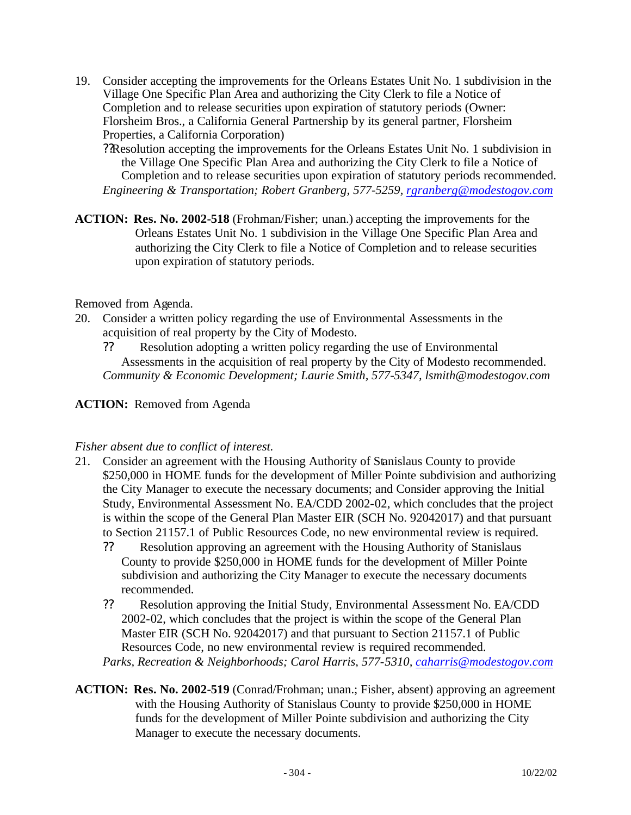- 19. Consider accepting the improvements for the Orleans Estates Unit No. 1 subdivision in the Village One Specific Plan Area and authorizing the City Clerk to file a Notice of Completion and to release securities upon expiration of statutory periods (Owner: Florsheim Bros., a California General Partnership by its general partner, Florsheim Properties, a California Corporation)
	- ??Resolution accepting the improvements for the Orleans Estates Unit No. 1 subdivision in the Village One Specific Plan Area and authorizing the City Clerk to file a Notice of Completion and to release securities upon expiration of statutory periods recommended. *Engineering & Transportation; Robert Granberg, 577-5259, rgranberg@modestogov.com*
- **ACTION: Res. No. 2002-518** (Frohman/Fisher; unan.) accepting the improvements for the Orleans Estates Unit No. 1 subdivision in the Village One Specific Plan Area and authorizing the City Clerk to file a Notice of Completion and to release securities upon expiration of statutory periods.

Removed from Agenda.

- 20. Consider a written policy regarding the use of Environmental Assessments in the acquisition of real property by the City of Modesto.
	- ?? Resolution adopting a written policy regarding the use of Environmental Assessments in the acquisition of real property by the City of Modesto recommended. *Community & Economic Development; Laurie Smith, 577-5347, lsmith@modestogov.com*

## **ACTION:** Removed from Agenda

## *Fisher absent due to conflict of interest.*

- 21. Consider an agreement with the Housing Authority of Stanislaus County to provide \$250,000 in HOME funds for the development of Miller Pointe subdivision and authorizing the City Manager to execute the necessary documents; and Consider approving the Initial Study, Environmental Assessment No. EA/CDD 2002-02, which concludes that the project is within the scope of the General Plan Master EIR (SCH No. 92042017) and that pursuant to Section 21157.1 of Public Resources Code, no new environmental review is required.
	- ?? Resolution approving an agreement with the Housing Authority of Stanislaus County to provide \$250,000 in HOME funds for the development of Miller Pointe subdivision and authorizing the City Manager to execute the necessary documents recommended.
	- ?? Resolution approving the Initial Study, Environmental Assessment No. EA/CDD 2002-02, which concludes that the project is within the scope of the General Plan Master EIR (SCH No. 92042017) and that pursuant to Section 21157.1 of Public Resources Code, no new environmental review is required recommended.

*Parks, Recreation & Neighborhoods; Carol Harris, 577-5310, caharris@modestogov.com*

**ACTION: Res. No. 2002-519** (Conrad/Frohman; unan.; Fisher, absent) approving an agreement with the Housing Authority of Stanislaus County to provide \$250,000 in HOME funds for the development of Miller Pointe subdivision and authorizing the City Manager to execute the necessary documents.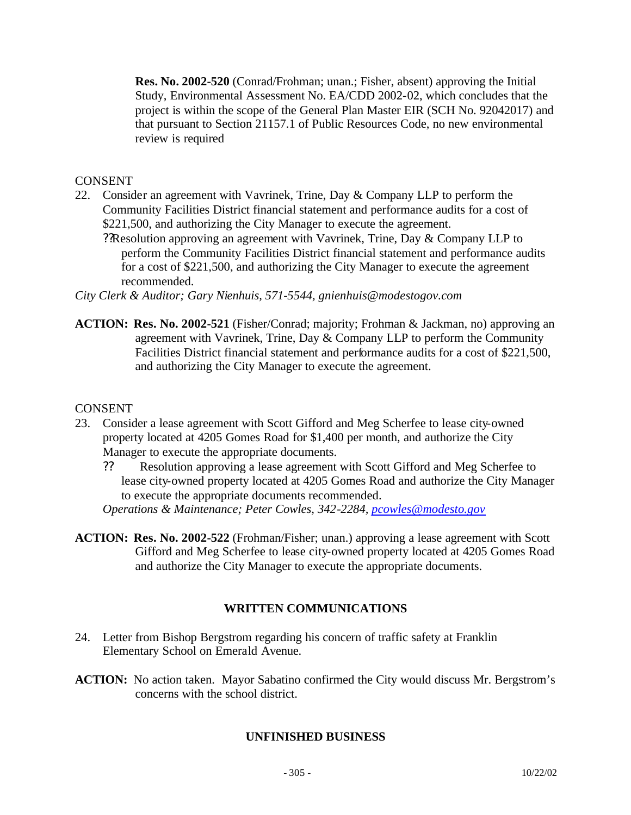**Res. No. 2002-520** (Conrad/Frohman; unan.; Fisher, absent) approving the Initial Study, Environmental Assessment No. EA/CDD 2002-02, which concludes that the project is within the scope of the General Plan Master EIR (SCH No. 92042017) and that pursuant to Section 21157.1 of Public Resources Code, no new environmental review is required

### **CONSENT**

- 22. Consider an agreement with Vavrinek, Trine, Day & Company LLP to perform the Community Facilities District financial statement and performance audits for a cost of \$221,500, and authorizing the City Manager to execute the agreement.
	- ??Resolution approving an agreement with Vavrinek, Trine, Day & Company LLP to perform the Community Facilities District financial statement and performance audits for a cost of \$221,500, and authorizing the City Manager to execute the agreement recommended.

*City Clerk & Auditor; Gary Nienhuis, 571-5544, gnienhuis@modestogov.com*

**ACTION: Res. No. 2002-521** (Fisher/Conrad; majority; Frohman & Jackman, no) approving an agreement with Vavrinek, Trine, Day & Company LLP to perform the Community Facilities District financial statement and performance audits for a cost of \$221,500, and authorizing the City Manager to execute the agreement.

#### CONSENT

- 23. Consider a lease agreement with Scott Gifford and Meg Scherfee to lease city-owned property located at 4205 Gomes Road for \$1,400 per month, and authorize the City Manager to execute the appropriate documents.
	- ?? Resolution approving a lease agreement with Scott Gifford and Meg Scherfee to lease city-owned property located at 4205 Gomes Road and authorize the City Manager to execute the appropriate documents recommended.

*Operations & Maintenance; Peter Cowles, 342-2284, pcowles@modesto.gov*

**ACTION: Res. No. 2002-522** (Frohman/Fisher; unan.) approving a lease agreement with Scott Gifford and Meg Scherfee to lease city-owned property located at 4205 Gomes Road and authorize the City Manager to execute the appropriate documents.

## **WRITTEN COMMUNICATIONS**

- 24. Letter from Bishop Bergstrom regarding his concern of traffic safety at Franklin Elementary School on Emerald Avenue.
- **ACTION:** No action taken. Mayor Sabatino confirmed the City would discuss Mr. Bergstrom's concerns with the school district.

## **UNFINISHED BUSINESS**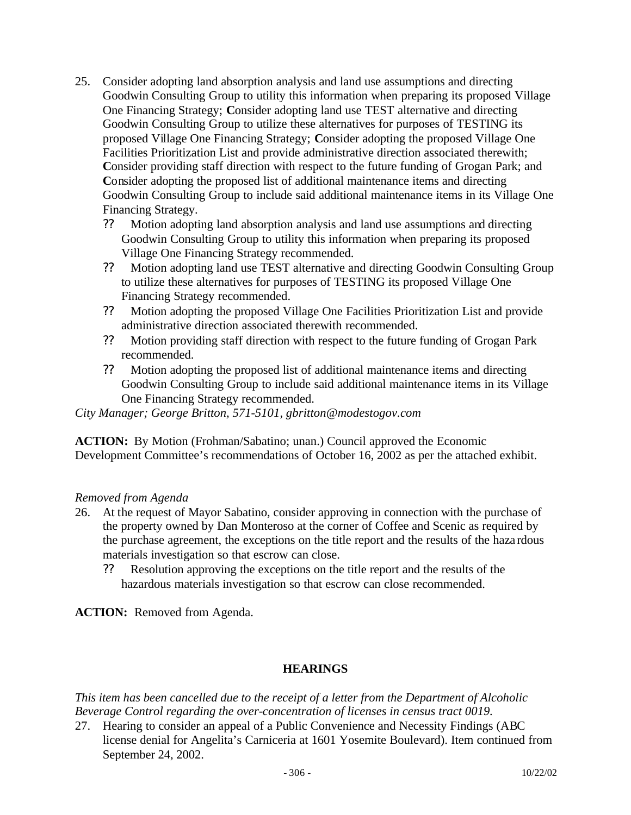- 25. Consider adopting land absorption analysis and land use assumptions and directing Goodwin Consulting Group to utility this information when preparing its proposed Village One Financing Strategy; **C**onsider adopting land use TEST alternative and directing Goodwin Consulting Group to utilize these alternatives for purposes of TESTING its proposed Village One Financing Strategy; **C**onsider adopting the proposed Village One Facilities Prioritization List and provide administrative direction associated therewith; **C**onsider providing staff direction with respect to the future funding of Grogan Park; and **C**onsider adopting the proposed list of additional maintenance items and directing Goodwin Consulting Group to include said additional maintenance items in its Village One Financing Strategy.
	- ?? Motion adopting land absorption analysis and land use assumptions and directing Goodwin Consulting Group to utility this information when preparing its proposed Village One Financing Strategy recommended.
	- ?? Motion adopting land use TEST alternative and directing Goodwin Consulting Group to utilize these alternatives for purposes of TESTING its proposed Village One Financing Strategy recommended.
	- ?? Motion adopting the proposed Village One Facilities Prioritization List and provide administrative direction associated therewith recommended.
	- ?? Motion providing staff direction with respect to the future funding of Grogan Park recommended.
	- ?? Motion adopting the proposed list of additional maintenance items and directing Goodwin Consulting Group to include said additional maintenance items in its Village One Financing Strategy recommended.

*City Manager; George Britton, 571-5101, gbritton@modestogov.com*

**ACTION:** By Motion (Frohman/Sabatino; unan.) Council approved the Economic Development Committee's recommendations of October 16, 2002 as per the attached exhibit.

## *Removed from Agenda*

- 26. At the request of Mayor Sabatino, consider approving in connection with the purchase of the property owned by Dan Monteroso at the corner of Coffee and Scenic as required by the purchase agreement, the exceptions on the title report and the results of the haza rdous materials investigation so that escrow can close.
	- ?? Resolution approving the exceptions on the title report and the results of the hazardous materials investigation so that escrow can close recommended.

**ACTION:** Removed from Agenda.

## **HEARINGS**

*This item has been cancelled due to the receipt of a letter from the Department of Alcoholic Beverage Control regarding the over-concentration of licenses in census tract 0019.*

27. Hearing to consider an appeal of a Public Convenience and Necessity Findings (ABC license denial for Angelita's Carniceria at 1601 Yosemite Boulevard). Item continued from September 24, 2002.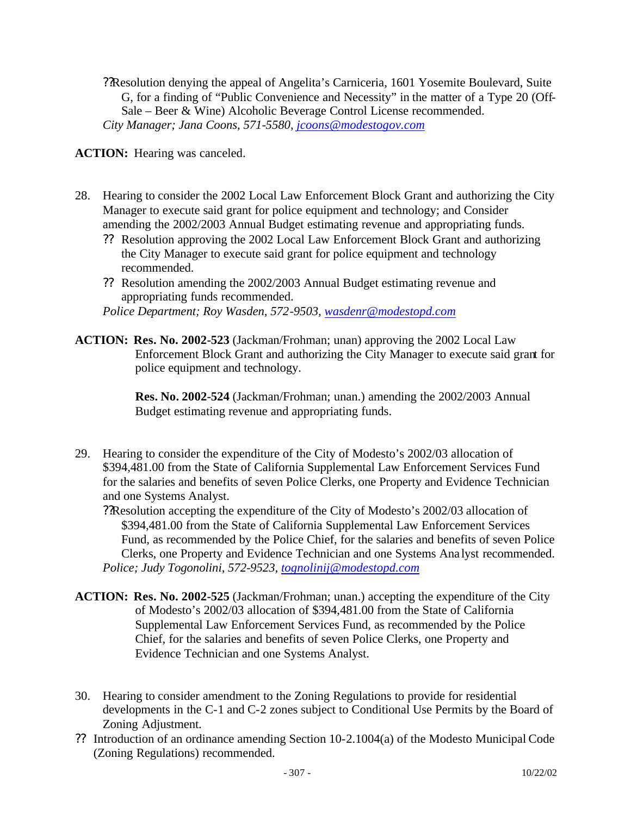??Resolution denying the appeal of Angelita's Carniceria, 1601 Yosemite Boulevard, Suite G, for a finding of "Public Convenience and Necessity" in the matter of a Type 20 (Off-Sale – Beer & Wine) Alcoholic Beverage Control License recommended. *City Manager; Jana Coons, 571-5580, jcoons@modestogov.com*

**ACTION:** Hearing was canceled.

- 28. Hearing to consider the 2002 Local Law Enforcement Block Grant and authorizing the City Manager to execute said grant for police equipment and technology; and Consider amending the 2002/2003 Annual Budget estimating revenue and appropriating funds.
	- ?? Resolution approving the 2002 Local Law Enforcement Block Grant and authorizing the City Manager to execute said grant for police equipment and technology recommended.
	- ?? Resolution amending the 2002/2003 Annual Budget estimating revenue and appropriating funds recommended. *Police Department; Roy Wasden, 572-9503, wasdenr@modestopd.com*
- **ACTION: Res. No. 2002-523** (Jackman/Frohman; unan) approving the 2002 Local Law Enforcement Block Grant and authorizing the City Manager to execute said grant for police equipment and technology.

**Res. No. 2002-524** (Jackman/Frohman; unan.) amending the 2002/2003 Annual Budget estimating revenue and appropriating funds.

29. Hearing to consider the expenditure of the City of Modesto's 2002/03 allocation of \$394,481.00 from the State of California Supplemental Law Enforcement Services Fund for the salaries and benefits of seven Police Clerks, one Property and Evidence Technician and one Systems Analyst.

??Resolution accepting the expenditure of the City of Modesto's 2002/03 allocation of \$394,481.00 from the State of California Supplemental Law Enforcement Services Fund, as recommended by the Police Chief, for the salaries and benefits of seven Police Clerks, one Property and Evidence Technician and one Systems Ana lyst recommended. *Police; Judy Togonolini, 572-9523, tognolinij@modestopd.com*

- **ACTION: Res. No. 2002-525** (Jackman/Frohman; unan.) accepting the expenditure of the City of Modesto's 2002/03 allocation of \$394,481.00 from the State of California Supplemental Law Enforcement Services Fund, as recommended by the Police Chief, for the salaries and benefits of seven Police Clerks, one Property and Evidence Technician and one Systems Analyst.
- 30. Hearing to consider amendment to the Zoning Regulations to provide for residential developments in the C-1 and C-2 zones subject to Conditional Use Permits by the Board of Zoning Adjustment.
- ?? Introduction of an ordinance amending Section 10-2.1004(a) of the Modesto Municipal Code (Zoning Regulations) recommended.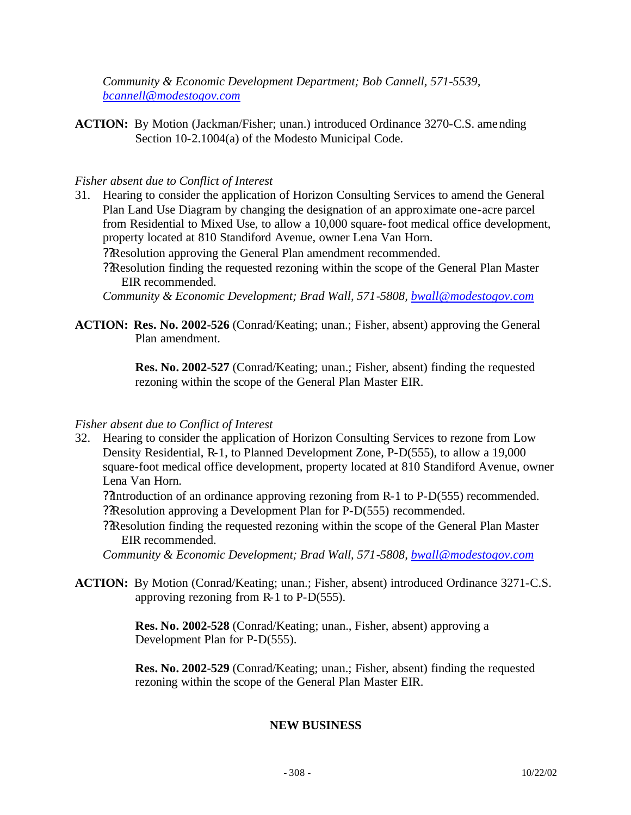*Community & Economic Development Department; Bob Cannell, 571-5539, bcannell@modestogov.com*

**ACTION:** By Motion (Jackman/Fisher; unan.) introduced Ordinance 3270-C.S. amending Section 10-2.1004(a) of the Modesto Municipal Code.

### *Fisher absent due to Conflict of Interest*

31. Hearing to consider the application of Horizon Consulting Services to amend the General Plan Land Use Diagram by changing the designation of an approximate one-acre parcel from Residential to Mixed Use, to allow a 10,000 square-foot medical office development, property located at 810 Standiford Avenue, owner Lena Van Horn.

??Resolution approving the General Plan amendment recommended.

??Resolution finding the requested rezoning within the scope of the General Plan Master EIR recommended.

*Community & Economic Development; Brad Wall, 571-5808, bwall@modestogov.com*

**ACTION: Res. No. 2002-526** (Conrad/Keating; unan.; Fisher, absent) approving the General Plan amendment.

> **Res. No. 2002-527** (Conrad/Keating; unan.; Fisher, absent) finding the requested rezoning within the scope of the General Plan Master EIR.

#### *Fisher absent due to Conflict of Interest*

32. Hearing to consider the application of Horizon Consulting Services to rezone from Low Density Residential, R-1, to Planned Development Zone, P-D(555), to allow a 19,000 square-foot medical office development, property located at 810 Standiford Avenue, owner Lena Van Horn.

??Introduction of an ordinance approving rezoning from R-1 to P-D(555) recommended. ??Resolution approving a Development Plan for P-D(555) recommended.

??Resolution finding the requested rezoning within the scope of the General Plan Master EIR recommended.

*Community & Economic Development; Brad Wall, 571-5808, bwall@modestogov.com*

**ACTION:** By Motion (Conrad/Keating; unan.; Fisher, absent) introduced Ordinance 3271-C.S. approving rezoning from R-1 to P-D(555).

> **Res. No. 2002-528** (Conrad/Keating; unan., Fisher, absent) approving a Development Plan for P-D(555).

**Res. No. 2002-529** (Conrad/Keating; unan.; Fisher, absent) finding the requested rezoning within the scope of the General Plan Master EIR.

## **NEW BUSINESS**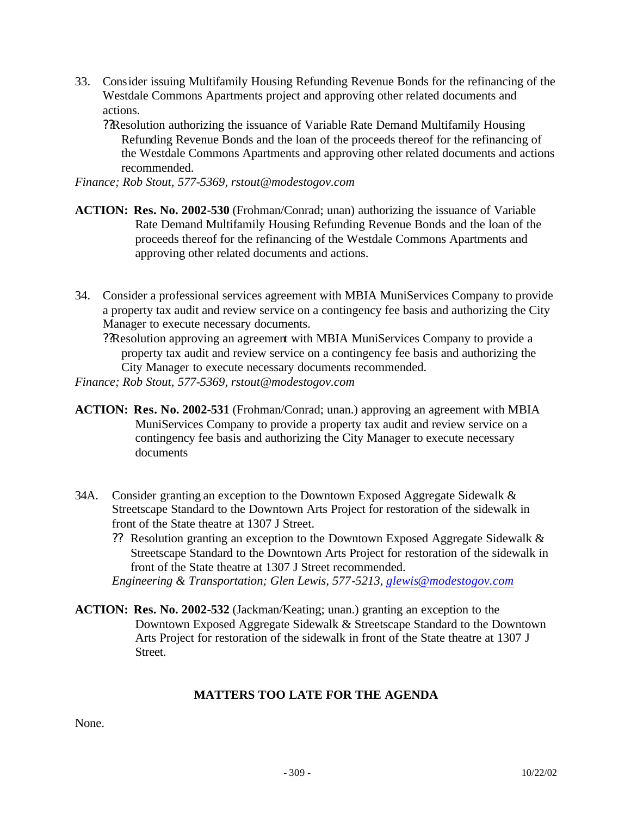33. Consider issuing Multifamily Housing Refunding Revenue Bonds for the refinancing of the Westdale Commons Apartments project and approving other related documents and actions.

??Resolution authorizing the issuance of Variable Rate Demand Multifamily Housing Refunding Revenue Bonds and the loan of the proceeds thereof for the refinancing of the Westdale Commons Apartments and approving other related documents and actions recommended.

*Finance; Rob Stout, 577-5369, rstout@modestogov.com*

- **ACTION: Res. No. 2002-530** (Frohman/Conrad; unan) authorizing the issuance of Variable Rate Demand Multifamily Housing Refunding Revenue Bonds and the loan of the proceeds thereof for the refinancing of the Westdale Commons Apartments and approving other related documents and actions.
- 34. Consider a professional services agreement with MBIA MuniServices Company to provide a property tax audit and review service on a contingency fee basis and authorizing the City Manager to execute necessary documents.
	- ??Resolution approving an agreement with MBIA MuniServices Company to provide a property tax audit and review service on a contingency fee basis and authorizing the City Manager to execute necessary documents recommended.

*Finance; Rob Stout, 577-5369, rstout@modestogov.com*

- **ACTION: Res. No. 2002-531** (Frohman/Conrad; unan.) approving an agreement with MBIA MuniServices Company to provide a property tax audit and review service on a contingency fee basis and authorizing the City Manager to execute necessary documents
- 34A. Consider granting an exception to the Downtown Exposed Aggregate Sidewalk & Streetscape Standard to the Downtown Arts Project for restoration of the sidewalk in front of the State theatre at 1307 J Street.
	- ?? Resolution granting an exception to the Downtown Exposed Aggregate Sidewalk & Streetscape Standard to the Downtown Arts Project for restoration of the sidewalk in front of the State theatre at 1307 J Street recommended.

**ACTION: Res. No. 2002-532** (Jackman/Keating; unan.) granting an exception to the Downtown Exposed Aggregate Sidewalk & Streetscape Standard to the Downtown Arts Project for restoration of the sidewalk in front of the State theatre at 1307 J Street.

#### **MATTERS TOO LATE FOR THE AGENDA**

None.

*Engineering & Transportation; Glen Lewis, 577-5213, glewis@modestogov.com*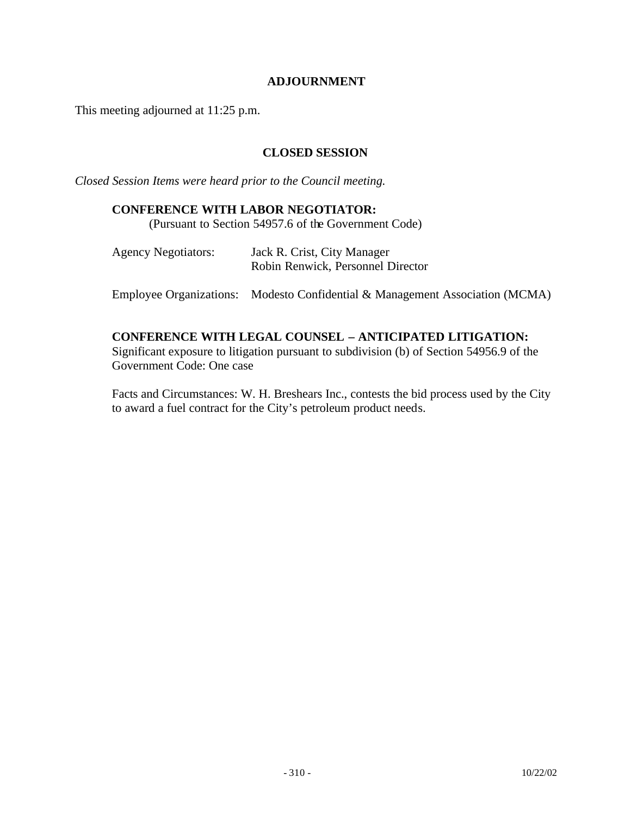#### **ADJOURNMENT**

This meeting adjourned at 11:25 p.m.

### **CLOSED SESSION**

*Closed Session Items were heard prior to the Council meeting.*

#### **CONFERENCE WITH LABOR NEGOTIATOR:**

(Pursuant to Section 54957.6 of the Government Code)

| <b>Agency Negotiators:</b> | Jack R. Crist, City Manager       |
|----------------------------|-----------------------------------|
|                            | Robin Renwick, Personnel Director |

Employee Organizations: Modesto Confidential & Management Association (MCMA)

## **CONFERENCE WITH LEGAL COUNSEL – ANTICIPATED LITIGATION:**

Significant exposure to litigation pursuant to subdivision (b) of Section 54956.9 of the Government Code: One case

Facts and Circumstances: W. H. Breshears Inc., contests the bid process used by the City to award a fuel contract for the City's petroleum product needs.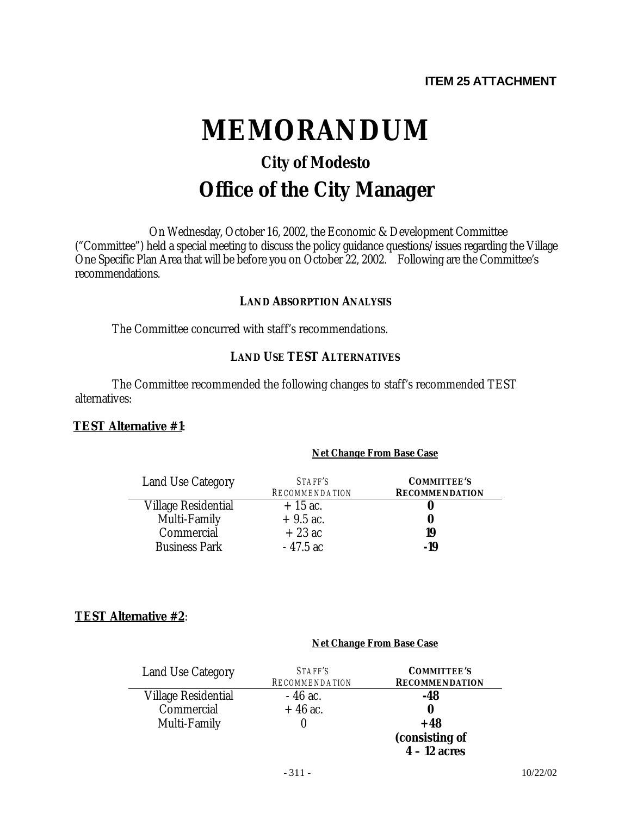# **MEMORANDUM**

# **City of Modesto Office of the City Manager**

On Wednesday, October 16, 2002, the Economic & Development Committee ("Committee") held a special meeting to discuss the policy guidance questions/issues regarding the Village One Specific Plan Area that will be before you on October 22, 2002. Following are the Committee's recommendations.

#### **LAND ABSORPTION ANALYSIS**

The Committee concurred with staff's recommendations.

#### **LAND USE TEST ALTERNATIVES**

The Committee recommended the following changes to staff's recommended TEST alternatives:

#### **TEST Alternative #1**:

#### *Net Change From Base Case*

| Land Use Category          | STAFF'S<br><b>RECOMMENDATION</b> | <b>COMMITTEE'S</b><br><b>RECOMMENDATION</b> |
|----------------------------|----------------------------------|---------------------------------------------|
| <b>Village Residential</b> | $+15$ ac.                        |                                             |
| Multi-Family               | $+9.5$ ac.                       |                                             |
| Commercial                 | $+23$ ac                         | 19                                          |
| <b>Business Park</b>       | - 47.5 ac                        | -19                                         |

## **TEST Alternative #2**:

#### *Net Change From Base Case*

| <b>Land Use Category</b>   | STAFF'S<br><b>RECOMMENDATION</b> | <b>COMMITTEE'S</b><br><b>RECOMMENDATION</b> |
|----------------------------|----------------------------------|---------------------------------------------|
| <b>Village Residential</b> | $-46$ ac.                        | -48                                         |
| Commercial                 | $+46$ ac.                        | O                                           |
| Multi-Family               |                                  | $+48$                                       |
|                            |                                  | (consisting of                              |
|                            |                                  | $4 - 12$ acres                              |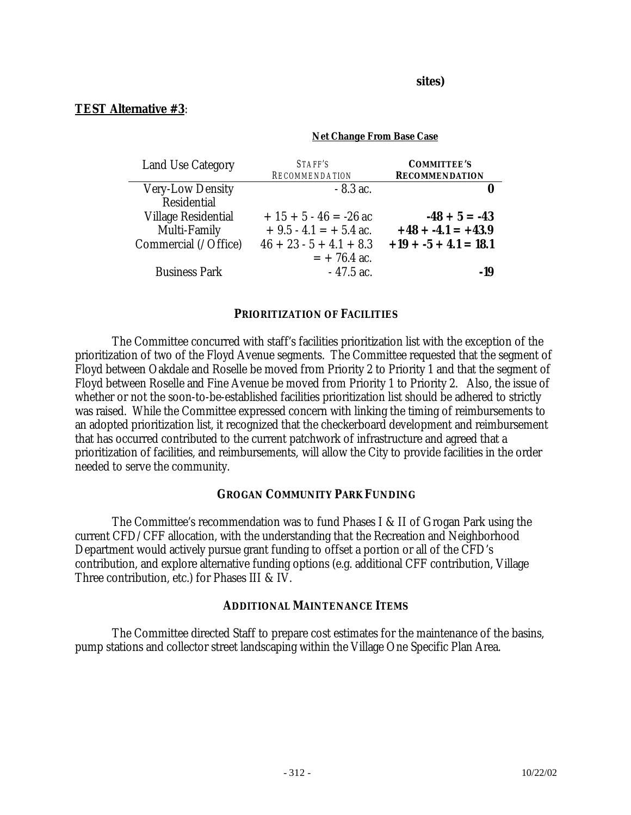**sites)**

*Net Change From Base Case*

#### **TEST Alternative #3**:

| <b>Land Use Category</b> | STAFF'S<br><b>RECOMMENDATION</b> | <b>COMMITTEE'S</b><br><b>RECOMMENDATION</b> |
|--------------------------|----------------------------------|---------------------------------------------|
| <b>Very-Low Density</b>  | $-8.3$ ac.                       | 0                                           |
| Residential              |                                  |                                             |
| Village Residential      | $+15 + 5 - 46 = -26$ ac          | $-48 + 5 = -43$                             |
| Multi-Family             | $+9.5 - 4.1 = +5.4$ ac.          | $+48 + -4.1 = +43.9$                        |
| Commercial (/Office)     | $46 + 23 - 5 + 4.1 + 8.3$        | $+19 + -5 + 4.1 = 18.1$                     |
|                          | $= +76.4$ ac.                    |                                             |
| <b>Business Park</b>     | $-47.5$ ac.                      | -19                                         |

#### **PRIORITIZATION OF FACILITIES**

The Committee concurred with staff's facilities prioritization list with the exception of the prioritization of two of the Floyd Avenue segments. The Committee requested that the segment of Floyd between Oakdale and Roselle be moved from Priority 2 to Priority 1 and that the segment of Floyd between Roselle and Fine Avenue be moved from Priority 1 to Priority 2. Also, the issue of whether or not the soon-to-be-established facilities prioritization list should be adhered to strictly was raised. While the Committee expressed concern with linking the timing of reimbursements to an adopted prioritization list, it recognized that the checkerboard development and reimbursement that has occurred contributed to the current patchwork of infrastructure and agreed that a prioritization of facilities, and reimbursements, will allow the City to provide facilities in the order needed to serve the community.

#### **GROGAN COMMUNITY PARK FUNDING**

The Committee's recommendation was to fund Phases I & II of Grogan Park using the current CFD/CFF allocation, with the understanding that the Recreation and Neighborhood Department would actively pursue grant funding to offset a portion or all of the CFD's contribution, and explore alternative funding options (e.g. additional CFF contribution, Village Three contribution, etc.) for Phases III & IV.

#### **ADDITIONAL MAINTENANCE ITEMS**

The Committee directed Staff to prepare cost estimates for the maintenance of the basins, pump stations and collector street landscaping within the Village One Specific Plan Area.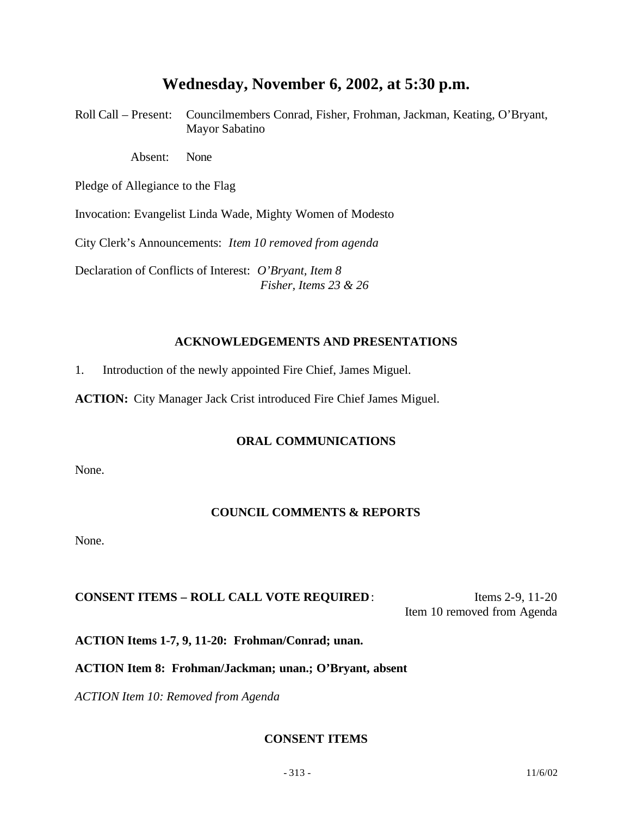## **Wednesday, November 6, 2002, at 5:30 p.m.**

Roll Call – Present: Councilmembers Conrad, Fisher, Frohman, Jackman, Keating, O'Bryant, Mayor Sabatino

Absent: None

Pledge of Allegiance to the Flag

Invocation: Evangelist Linda Wade, Mighty Women of Modesto

City Clerk's Announcements: *Item 10 removed from agenda*

Declaration of Conflicts of Interest: *O'Bryant, Item 8 Fisher, Items 23 & 26*

#### **ACKNOWLEDGEMENTS AND PRESENTATIONS**

1. Introduction of the newly appointed Fire Chief, James Miguel.

**ACTION:** City Manager Jack Crist introduced Fire Chief James Miguel.

#### **ORAL COMMUNICATIONS**

None.

## **COUNCIL COMMENTS & REPORTS**

None.

## **CONSENT ITEMS – ROLL CALL VOTE REQUIRED:** Items 2-9, 11-20

Item 10 removed from Agenda

**ACTION Items 1-7, 9, 11-20: Frohman/Conrad; unan.**

#### **ACTION Item 8: Frohman/Jackman; unan.; O'Bryant, absent**

*ACTION Item 10: Removed from Agenda*

## **CONSENT ITEMS**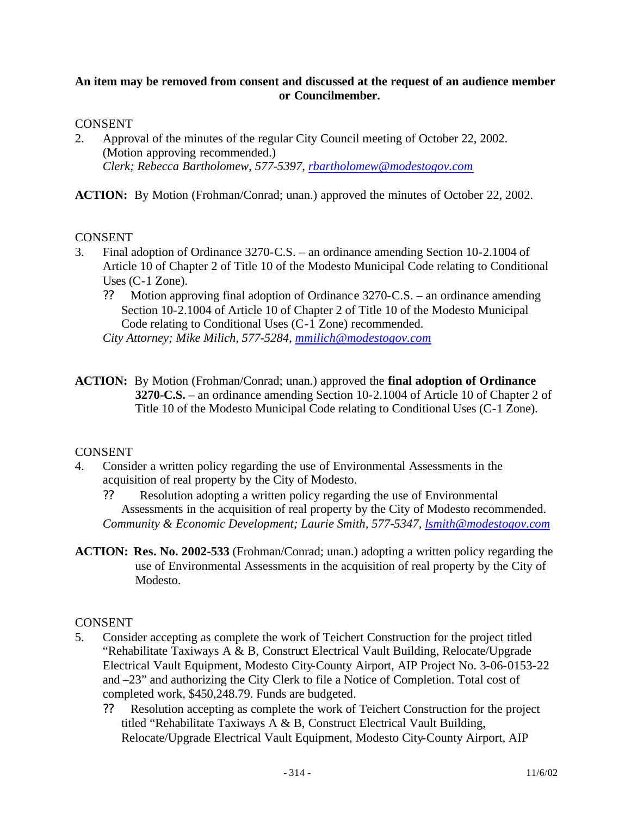#### **An item may be removed from consent and discussed at the request of an audience member or Councilmember.**

#### CONSENT

2. Approval of the minutes of the regular City Council meeting of October 22, 2002. (Motion approving recommended.) *Clerk; Rebecca Bartholomew, 577-5397, rbartholomew@modestogov.com*

**ACTION:** By Motion (Frohman/Conrad; unan.) approved the minutes of October 22, 2002.

#### **CONSENT**

- 3. Final adoption of Ordinance 3270-C.S. an ordinance amending Section 10-2.1004 of Article 10 of Chapter 2 of Title 10 of the Modesto Municipal Code relating to Conditional Uses (C-1 Zone).
	- ?? Motion approving final adoption of Ordinance 3270-C.S. an ordinance amending Section 10-2.1004 of Article 10 of Chapter 2 of Title 10 of the Modesto Municipal Code relating to Conditional Uses (C-1 Zone) recommended.

*City Attorney; Mike Milich, 577-5284, mmilich@modestogov.com*

**ACTION:** By Motion (Frohman/Conrad; unan.) approved the **final adoption of Ordinance 3270-C.S.** – an ordinance amending Section 10-2.1004 of Article 10 of Chapter 2 of Title 10 of the Modesto Municipal Code relating to Conditional Uses (C-1 Zone).

## CONSENT

- 4. Consider a written policy regarding the use of Environmental Assessments in the acquisition of real property by the City of Modesto.
	- ?? Resolution adopting a written policy regarding the use of Environmental Assessments in the acquisition of real property by the City of Modesto recommended. *Community & Economic Development; Laurie Smith, 577-5347, lsmith@modestogov.com*
- **ACTION: Res. No. 2002-533** (Frohman/Conrad; unan.) adopting a written policy regarding the use of Environmental Assessments in the acquisition of real property by the City of Modesto.

- 5. Consider accepting as complete the work of Teichert Construction for the project titled "Rehabilitate Taxiways A & B, Construct Electrical Vault Building, Relocate/Upgrade Electrical Vault Equipment, Modesto City-County Airport, AIP Project No. 3-06-0153-22 and –23" and authorizing the City Clerk to file a Notice of Completion. Total cost of completed work, \$450,248.79. Funds are budgeted.
	- ?? Resolution accepting as complete the work of Teichert Construction for the project titled "Rehabilitate Taxiways A & B, Construct Electrical Vault Building, Relocate/Upgrade Electrical Vault Equipment, Modesto City-County Airport, AIP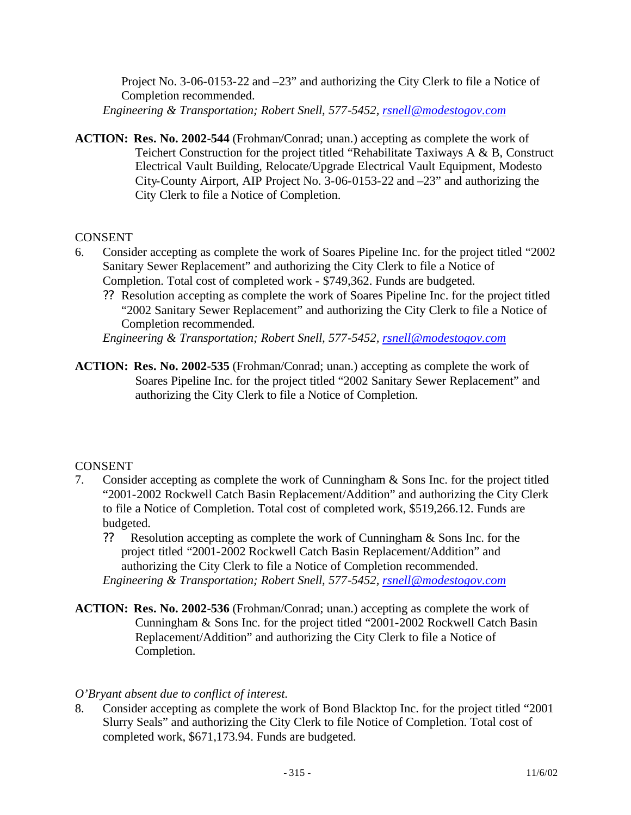Project No. 3-06-0153-22 and –23" and authorizing the City Clerk to file a Notice of Completion recommended.

*Engineering & Transportation; Robert Snell, 577-5452, rsnell@modestogov.com*

**ACTION: Res. No. 2002-544** (Frohman/Conrad; unan.) accepting as complete the work of Teichert Construction for the project titled "Rehabilitate Taxiways A & B, Construct Electrical Vault Building, Relocate/Upgrade Electrical Vault Equipment, Modesto City-County Airport, AIP Project No. 3-06-0153-22 and –23" and authorizing the City Clerk to file a Notice of Completion.

## **CONSENT**

- 6. Consider accepting as complete the work of Soares Pipeline Inc. for the project titled "2002 Sanitary Sewer Replacement" and authorizing the City Clerk to file a Notice of Completion. Total cost of completed work - \$749,362. Funds are budgeted.
	- ?? Resolution accepting as complete the work of Soares Pipeline Inc. for the project titled "2002 Sanitary Sewer Replacement" and authorizing the City Clerk to file a Notice of Completion recommended.

*Engineering & Transportation; Robert Snell, 577-5452, rsnell@modestogov.com*

**ACTION: Res. No. 2002-535** (Frohman/Conrad; unan.) accepting as complete the work of Soares Pipeline Inc. for the project titled "2002 Sanitary Sewer Replacement" and authorizing the City Clerk to file a Notice of Completion.

## **CONSENT**

- 7. Consider accepting as complete the work of Cunningham & Sons Inc. for the project titled "2001-2002 Rockwell Catch Basin Replacement/Addition" and authorizing the City Clerk to file a Notice of Completion. Total cost of completed work, \$519,266.12. Funds are budgeted.
	- ?? Resolution accepting as complete the work of Cunningham & Sons Inc. for the project titled "2001-2002 Rockwell Catch Basin Replacement/Addition" and authorizing the City Clerk to file a Notice of Completion recommended. *Engineering & Transportation; Robert Snell, 577-5452, rsnell@modestogov.com*
- **ACTION: Res. No. 2002-536** (Frohman/Conrad; unan.) accepting as complete the work of Cunningham & Sons Inc. for the project titled "2001-2002 Rockwell Catch Basin Replacement/Addition" and authorizing the City Clerk to file a Notice of Completion.

## *O'Bryant absent due to conflict of interest.*

8. Consider accepting as complete the work of Bond Blacktop Inc. for the project titled "2001 Slurry Seals" and authorizing the City Clerk to file Notice of Completion. Total cost of completed work, \$671,173.94. Funds are budgeted.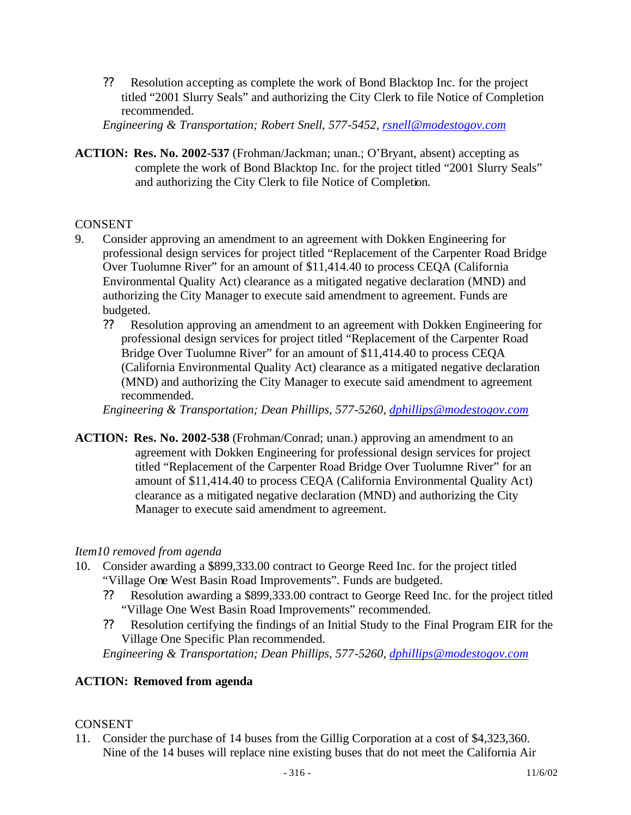?? Resolution accepting as complete the work of Bond Blacktop Inc. for the project titled "2001 Slurry Seals" and authorizing the City Clerk to file Notice of Completion recommended.

*Engineering & Transportation; Robert Snell, 577-5452, rsnell@modestogov.com*

**ACTION: Res. No. 2002-537** (Frohman/Jackman; unan.; O'Bryant, absent) accepting as complete the work of Bond Blacktop Inc. for the project titled "2001 Slurry Seals" and authorizing the City Clerk to file Notice of Completion.

#### CONSENT

- 9. Consider approving an amendment to an agreement with Dokken Engineering for professional design services for project titled "Replacement of the Carpenter Road Bridge Over Tuolumne River" for an amount of \$11,414.40 to process CEQA (California Environmental Quality Act) clearance as a mitigated negative declaration (MND) and authorizing the City Manager to execute said amendment to agreement. Funds are budgeted.
	- ?? Resolution approving an amendment to an agreement with Dokken Engineering for professional design services for project titled "Replacement of the Carpenter Road Bridge Over Tuolumne River" for an amount of \$11,414.40 to process CEQA (California Environmental Quality Act) clearance as a mitigated negative declaration (MND) and authorizing the City Manager to execute said amendment to agreement recommended.

*Engineering & Transportation; Dean Phillips, 577-5260, dphillips@modestogov.com*

**ACTION: Res. No. 2002-538** (Frohman/Conrad; unan.) approving an amendment to an agreement with Dokken Engineering for professional design services for project titled "Replacement of the Carpenter Road Bridge Over Tuolumne River" for an amount of \$11,414.40 to process CEQA (California Environmental Quality Act) clearance as a mitigated negative declaration (MND) and authorizing the City Manager to execute said amendment to agreement.

## *Item10 removed from agenda*

- 10. Consider awarding a \$899,333.00 contract to George Reed Inc. for the project titled "Village One West Basin Road Improvements". Funds are budgeted.
	- ?? Resolution awarding a \$899,333.00 contract to George Reed Inc. for the project titled "Village One West Basin Road Improvements" recommended.
	- ?? Resolution certifying the findings of an Initial Study to the Final Program EIR for the Village One Specific Plan recommended.

*Engineering & Transportation; Dean Phillips, 577-5260, dphillips@modestogov.com*

## **ACTION: Removed from agenda**

#### **CONSENT**

11. Consider the purchase of 14 buses from the Gillig Corporation at a cost of \$4,323,360. Nine of the 14 buses will replace nine existing buses that do not meet the California Air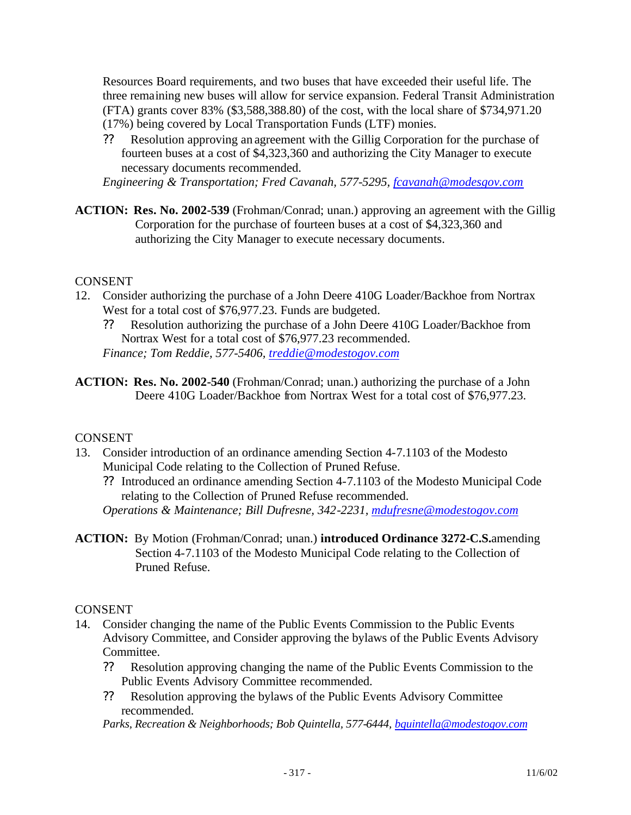Resources Board requirements, and two buses that have exceeded their useful life. The three remaining new buses will allow for service expansion. Federal Transit Administration (FTA) grants cover 83% (\$3,588,388.80) of the cost, with the local share of \$734,971.20 (17%) being covered by Local Transportation Funds (LTF) monies.

?? Resolution approving an agreement with the Gillig Corporation for the purchase of fourteen buses at a cost of \$4,323,360 and authorizing the City Manager to execute necessary documents recommended.

*Engineering & Transportation; Fred Cavanah, 577-5295, fcavanah@modesgov.com*

**ACTION: Res. No. 2002-539** (Frohman/Conrad; unan.) approving an agreement with the Gillig Corporation for the purchase of fourteen buses at a cost of \$4,323,360 and authorizing the City Manager to execute necessary documents.

#### **CONSENT**

- 12. Consider authorizing the purchase of a John Deere 410G Loader/Backhoe from Nortrax West for a total cost of \$76,977.23. Funds are budgeted.
	- ?? Resolution authorizing the purchase of a John Deere 410G Loader/Backhoe from Nortrax West for a total cost of \$76,977.23 recommended. *Finance; Tom Reddie, 577-5406, treddie@modestogov.com*
- **ACTION: Res. No. 2002-540** (Frohman/Conrad; unan.) authorizing the purchase of a John Deere 410G Loader/Backhoe from Nortrax West for a total cost of \$76,977.23.

## CONSENT

- 13. Consider introduction of an ordinance amending Section 4-7.1103 of the Modesto Municipal Code relating to the Collection of Pruned Refuse.
	- ?? Introduced an ordinance amending Section 4-7.1103 of the Modesto Municipal Code relating to the Collection of Pruned Refuse recommended.

*Operations & Maintenance; Bill Dufresne, 342-2231, mdufresne@modestogov.com*

**ACTION:** By Motion (Frohman/Conrad; unan.) **introduced Ordinance 3272-C.S.**amending Section 4-7.1103 of the Modesto Municipal Code relating to the Collection of Pruned Refuse.

## CONSENT

- 14. Consider changing the name of the Public Events Commission to the Public Events Advisory Committee, and Consider approving the bylaws of the Public Events Advisory Committee.
	- ?? Resolution approving changing the name of the Public Events Commission to the Public Events Advisory Committee recommended.
	- ?? Resolution approving the bylaws of the Public Events Advisory Committee recommended.

*Parks, Recreation & Neighborhoods; Bob Quintella, 577-6444, bquintella@modestogov.com*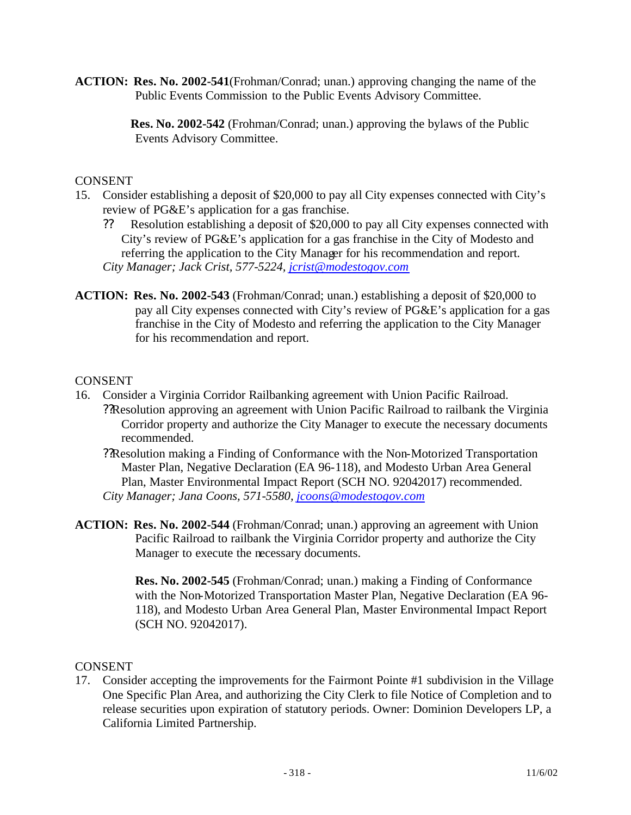**ACTION: Res. No. 2002-541**(Frohman/Conrad; unan.) approving changing the name of the Public Events Commission to the Public Events Advisory Committee.

> **Res. No. 2002-542** (Frohman/Conrad; unan.) approving the bylaws of the Public Events Advisory Committee.

### **CONSENT**

- 15. Consider establishing a deposit of \$20,000 to pay all City expenses connected with City's review of PG&E's application for a gas franchise.
	- ?? Resolution establishing a deposit of \$20,000 to pay all City expenses connected with City's review of PG&E's application for a gas franchise in the City of Modesto and referring the application to the City Manager for his recommendation and report. *City Manager; Jack Crist, 577-5224, jcrist@modestogov.com*
- **ACTION: Res. No. 2002-543** (Frohman/Conrad; unan.) establishing a deposit of \$20,000 to pay all City expenses connected with City's review of PG&E's application for a gas franchise in the City of Modesto and referring the application to the City Manager for his recommendation and report.

#### CONSENT

- 16. Consider a Virginia Corridor Railbanking agreement with Union Pacific Railroad. ??Resolution approving an agreement with Union Pacific Railroad to railbank the Virginia Corridor property and authorize the City Manager to execute the necessary documents recommended.
	- ??Resolution making a Finding of Conformance with the Non-Motorized Transportation Master Plan, Negative Declaration (EA 96-118), and Modesto Urban Area General Plan, Master Environmental Impact Report (SCH NO. 92042017) recommended. *City Manager; Jana Coons, 571-5580, jcoons@modestogov.com*
- **ACTION: Res. No. 2002-544** (Frohman/Conrad; unan.) approving an agreement with Union Pacific Railroad to railbank the Virginia Corridor property and authorize the City Manager to execute the necessary documents.

**Res. No. 2002-545** (Frohman/Conrad; unan.) making a Finding of Conformance with the Non-Motorized Transportation Master Plan, Negative Declaration (EA 96- 118), and Modesto Urban Area General Plan, Master Environmental Impact Report (SCH NO. 92042017).

#### CONSENT

17. Consider accepting the improvements for the Fairmont Pointe #1 subdivision in the Village One Specific Plan Area, and authorizing the City Clerk to file Notice of Completion and to release securities upon expiration of statutory periods. Owner: Dominion Developers LP, a California Limited Partnership.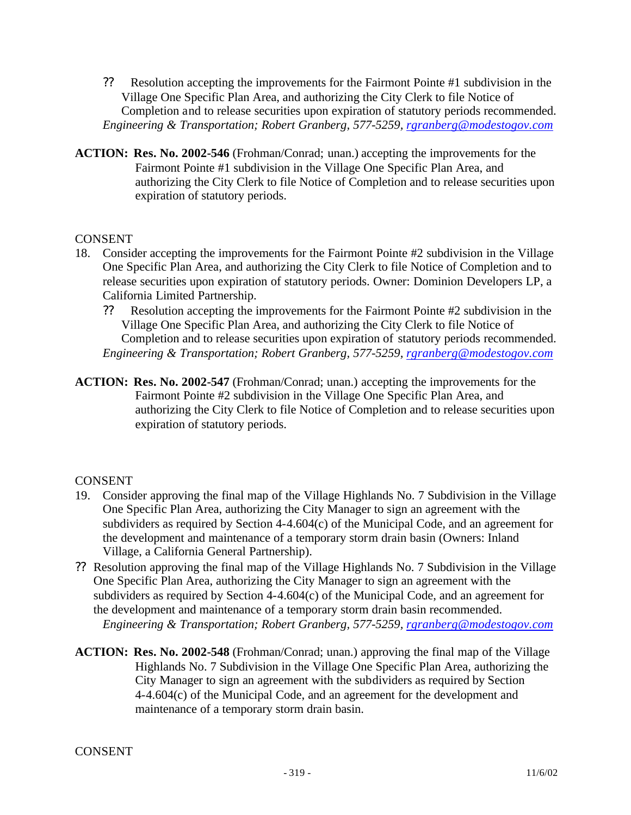- ?? Resolution accepting the improvements for the Fairmont Pointe #1 subdivision in the Village One Specific Plan Area, and authorizing the City Clerk to file Notice of Completion and to release securities upon expiration of statutory periods recommended. *Engineering & Transportation; Robert Granberg, 577-5259, rgranberg@modestogov.com*
- **ACTION: Res. No. 2002-546** (Frohman/Conrad; unan.) accepting the improvements for the Fairmont Pointe #1 subdivision in the Village One Specific Plan Area, and authorizing the City Clerk to file Notice of Completion and to release securities upon expiration of statutory periods.

#### **CONSENT**

- 18. Consider accepting the improvements for the Fairmont Pointe #2 subdivision in the Village One Specific Plan Area, and authorizing the City Clerk to file Notice of Completion and to release securities upon expiration of statutory periods. Owner: Dominion Developers LP, a California Limited Partnership.
	- ?? Resolution accepting the improvements for the Fairmont Pointe #2 subdivision in the Village One Specific Plan Area, and authorizing the City Clerk to file Notice of Completion and to release securities upon expiration of statutory periods recommended. *Engineering & Transportation; Robert Granberg, 577-5259, rgranberg@modestogov.com*
- **ACTION: Res. No. 2002-547** (Frohman/Conrad; unan.) accepting the improvements for the Fairmont Pointe #2 subdivision in the Village One Specific Plan Area, and authorizing the City Clerk to file Notice of Completion and to release securities upon expiration of statutory periods.

- 19. Consider approving the final map of the Village Highlands No. 7 Subdivision in the Village One Specific Plan Area, authorizing the City Manager to sign an agreement with the subdividers as required by Section 4-4.604(c) of the Municipal Code, and an agreement for the development and maintenance of a temporary storm drain basin (Owners: Inland Village, a California General Partnership).
- ?? Resolution approving the final map of the Village Highlands No. 7 Subdivision in the Village One Specific Plan Area, authorizing the City Manager to sign an agreement with the subdividers as required by Section 4-4.604(c) of the Municipal Code, and an agreement for the development and maintenance of a temporary storm drain basin recommended. *Engineering & Transportation; Robert Granberg, 577-5259, rgranberg@modestogov.com*
- **ACTION: Res. No. 2002-548** (Frohman/Conrad; unan.) approving the final map of the Village Highlands No. 7 Subdivision in the Village One Specific Plan Area, authorizing the City Manager to sign an agreement with the subdividers as required by Section 4-4.604(c) of the Municipal Code, and an agreement for the development and maintenance of a temporary storm drain basin.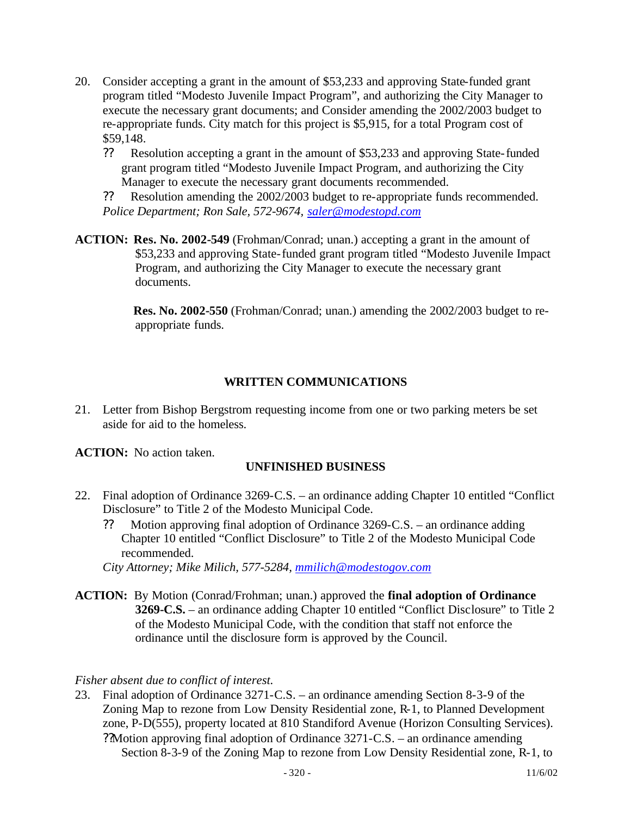- 20. Consider accepting a grant in the amount of \$53,233 and approving State-funded grant program titled "Modesto Juvenile Impact Program", and authorizing the City Manager to execute the necessary grant documents; and Consider amending the 2002/2003 budget to re-appropriate funds. City match for this project is \$5,915, for a total Program cost of \$59,148.
	- ?? Resolution accepting a grant in the amount of \$53,233 and approving State-funded grant program titled "Modesto Juvenile Impact Program, and authorizing the City Manager to execute the necessary grant documents recommended.
	- ?? Resolution amending the 2002/2003 budget to re-appropriate funds recommended. *Police Department; Ron Sale, 572-9674, saler@modestopd.com*
- **ACTION: Res. No. 2002-549** (Frohman/Conrad; unan.) accepting a grant in the amount of \$53,233 and approving State-funded grant program titled "Modesto Juvenile Impact Program, and authorizing the City Manager to execute the necessary grant documents.

 **Res. No. 2002-550** (Frohman/Conrad; unan.) amending the 2002/2003 budget to reappropriate funds.

## **WRITTEN COMMUNICATIONS**

- 21. Letter from Bishop Bergstrom requesting income from one or two parking meters be set aside for aid to the homeless.
- **ACTION:** No action taken.

## **UNFINISHED BUSINESS**

- 22. Final adoption of Ordinance 3269-C.S. an ordinance adding Chapter 10 entitled "Conflict Disclosure" to Title 2 of the Modesto Municipal Code.
	- ?? Motion approving final adoption of Ordinance 3269-C.S. an ordinance adding Chapter 10 entitled "Conflict Disclosure" to Title 2 of the Modesto Municipal Code recommended.

*City Attorney; Mike Milich, 577-5284, mmilich@modestogov.com*

**ACTION:** By Motion (Conrad/Frohman; unan.) approved the **final adoption of Ordinance 3269-C.S.** – an ordinance adding Chapter 10 entitled "Conflict Disclosure" to Title 2 of the Modesto Municipal Code, with the condition that staff not enforce the ordinance until the disclosure form is approved by the Council.

## *Fisher absent due to conflict of interest.*

23. Final adoption of Ordinance 3271-C.S. – an ordinance amending Section 8-3-9 of the Zoning Map to rezone from Low Density Residential zone, R-1, to Planned Development zone, P-D(555), property located at 810 Standiford Avenue (Horizon Consulting Services). ??Motion approving final adoption of Ordinance 3271-C.S. – an ordinance amending Section 8-3-9 of the Zoning Map to rezone from Low Density Residential zone, R-1, to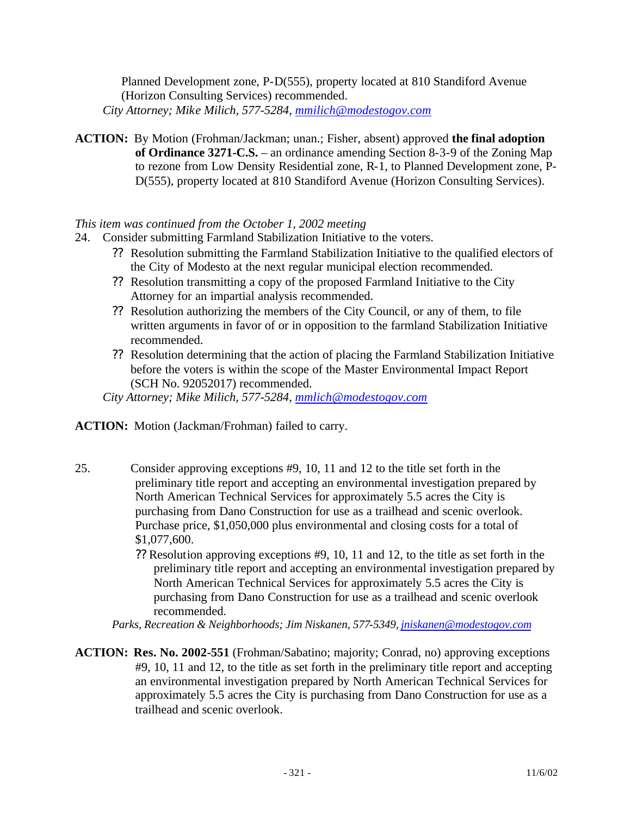Planned Development zone, P-D(555), property located at 810 Standiford Avenue (Horizon Consulting Services) recommended. *City Attorney; Mike Milich, 577-5284, mmilich@modestogov.com*

**ACTION:** By Motion (Frohman/Jackman; unan.; Fisher, absent) approved **the final adoption of Ordinance 3271-C.S.** – an ordinance amending Section 8-3-9 of the Zoning Map to rezone from Low Density Residential zone, R-1, to Planned Development zone, P-D(555), property located at 810 Standiford Avenue (Horizon Consulting Services).

#### *This item was continued from the October 1, 2002 meeting*

- 24. Consider submitting Farmland Stabilization Initiative to the voters.
	- ?? Resolution submitting the Farmland Stabilization Initiative to the qualified electors of the City of Modesto at the next regular municipal election recommended.
	- ?? Resolution transmitting a copy of the proposed Farmland Initiative to the City Attorney for an impartial analysis recommended.
	- ?? Resolution authorizing the members of the City Council, or any of them, to file written arguments in favor of or in opposition to the farmland Stabilization Initiative recommended.
	- ?? Resolution determining that the action of placing the Farmland Stabilization Initiative before the voters is within the scope of the Master Environmental Impact Report (SCH No. 92052017) recommended.

*City Attorney; Mike Milich, 577-5284, mmlich@modestogov.com*

**ACTION:** Motion (Jackman/Frohman) failed to carry.

- 25. Consider approving exceptions #9, 10, 11 and 12 to the title set forth in the preliminary title report and accepting an environmental investigation prepared by North American Technical Services for approximately 5.5 acres the City is purchasing from Dano Construction for use as a trailhead and scenic overlook. Purchase price, \$1,050,000 plus environmental and closing costs for a total of \$1,077,600.
	- ?? Resolution approving exceptions #9, 10, 11 and 12, to the title as set forth in the preliminary title report and accepting an environmental investigation prepared by North American Technical Services for approximately 5.5 acres the City is purchasing from Dano Construction for use as a trailhead and scenic overlook recommended.

*Parks, Recreation & Neighborhoods; Jim Niskanen, 577-5349, jniskanen@modestogov.com*

**ACTION: Res. No. 2002-551** (Frohman/Sabatino; majority; Conrad, no) approving exceptions #9, 10, 11 and 12, to the title as set forth in the preliminary title report and accepting an environmental investigation prepared by North American Technical Services for approximately 5.5 acres the City is purchasing from Dano Construction for use as a trailhead and scenic overlook.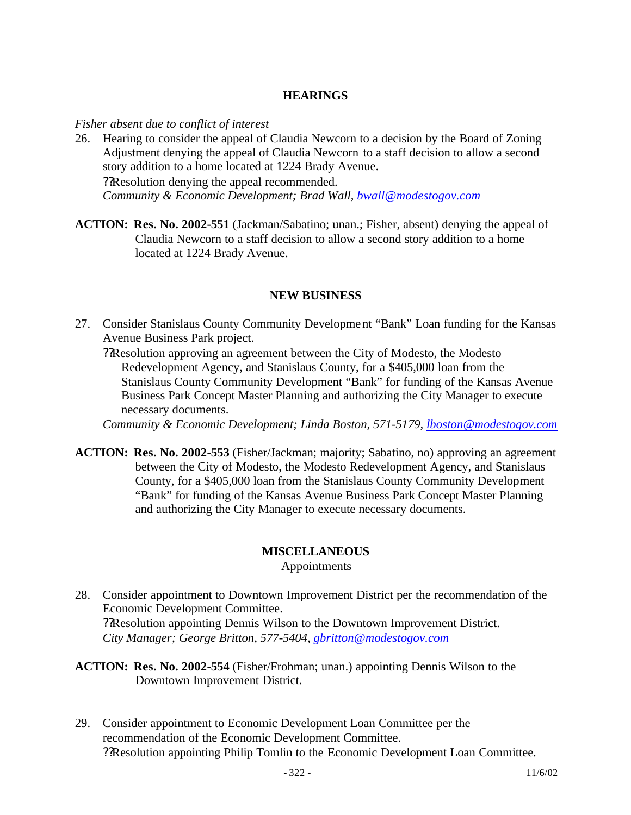### **HEARINGS**

*Fisher absent due to conflict of interest*

- 26. Hearing to consider the appeal of Claudia Newcorn to a decision by the Board of Zoning Adjustment denying the appeal of Claudia Newcorn to a staff decision to allow a second story addition to a home located at 1224 Brady Avenue. ??Resolution denying the appeal recommended. *Community & Economic Development; Brad Wall, bwall@modestogov.com*
- **ACTION: Res. No. 2002-551** (Jackman/Sabatino; unan.; Fisher, absent) denying the appeal of Claudia Newcorn to a staff decision to allow a second story addition to a home located at 1224 Brady Avenue.

#### **NEW BUSINESS**

27. Consider Stanislaus County Community Development "Bank" Loan funding for the Kansas Avenue Business Park project.

??Resolution approving an agreement between the City of Modesto, the Modesto Redevelopment Agency, and Stanislaus County, for a \$405,000 loan from the Stanislaus County Community Development "Bank" for funding of the Kansas Avenue Business Park Concept Master Planning and authorizing the City Manager to execute necessary documents.

*Community & Economic Development; Linda Boston, 571-5179, lboston@modestogov.com*

**ACTION: Res. No. 2002-553** (Fisher/Jackman; majority; Sabatino, no) approving an agreement between the City of Modesto, the Modesto Redevelopment Agency, and Stanislaus County, for a \$405,000 loan from the Stanislaus County Community Development "Bank" for funding of the Kansas Avenue Business Park Concept Master Planning and authorizing the City Manager to execute necessary documents.

#### **MISCELLANEOUS**

Appointments

- 28. Consider appointment to Downtown Improvement District per the recommendation of the Economic Development Committee. ??Resolution appointing Dennis Wilson to the Downtown Improvement District. *City Manager; George Britton, 577-5404, gbritton@modestogov.com*
- **ACTION: Res. No. 2002-554** (Fisher/Frohman; unan.) appointing Dennis Wilson to the Downtown Improvement District.
- 29. Consider appointment to Economic Development Loan Committee per the recommendation of the Economic Development Committee. ??Resolution appointing Philip Tomlin to the Economic Development Loan Committee.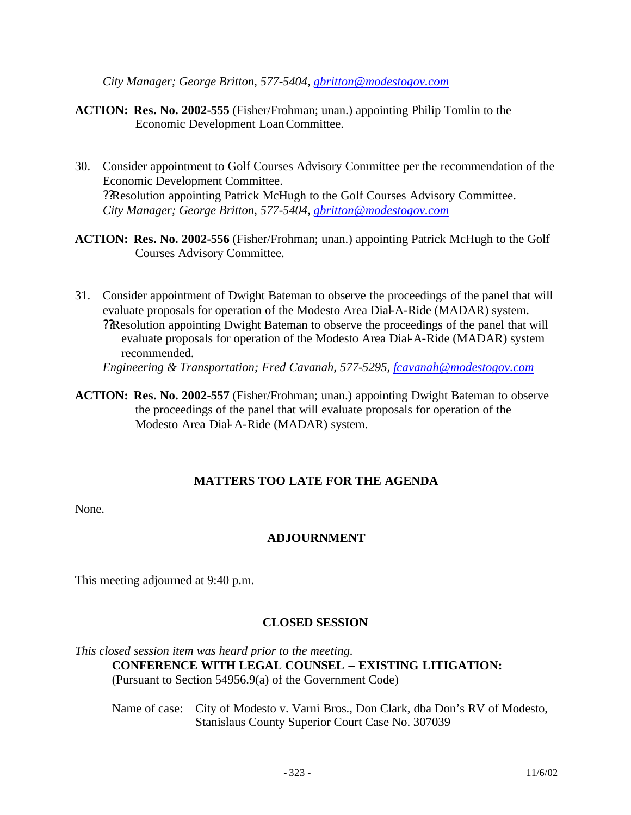*City Manager; George Britton, 577-5404, gbritton@modestogov.com*

- **ACTION: Res. No. 2002-555** (Fisher/Frohman; unan.) appointing Philip Tomlin to the Economic Development Loan Committee.
- 30. Consider appointment to Golf Courses Advisory Committee per the recommendation of the Economic Development Committee. ??Resolution appointing Patrick McHugh to the Golf Courses Advisory Committee. *City Manager; George Britton, 577-5404, gbritton@modestogov.com*
- **ACTION: Res. No. 2002-556** (Fisher/Frohman; unan.) appointing Patrick McHugh to the Golf Courses Advisory Committee.
- 31. Consider appointment of Dwight Bateman to observe the proceedings of the panel that will evaluate proposals for operation of the Modesto Area Dial-A-Ride (MADAR) system. ??Resolution appointing Dwight Bateman to observe the proceedings of the panel that will evaluate proposals for operation of the Modesto Area Dial-A-Ride (MADAR) system recommended. *Engineering & Transportation; Fred Cavanah, 577-5295, fcavanah@modestogov.com*
- **ACTION: Res. No. 2002-557** (Fisher/Frohman; unan.) appointing Dwight Bateman to observe the proceedings of the panel that will evaluate proposals for operation of the Modesto Area Dial-A-Ride (MADAR) system.

## **MATTERS TOO LATE FOR THE AGENDA**

None.

## **ADJOURNMENT**

This meeting adjourned at 9:40 p.m.

## **CLOSED SESSION**

*This closed session item was heard prior to the meeting.* **CONFERENCE WITH LEGAL COUNSEL – EXISTING LITIGATION:** (Pursuant to Section 54956.9(a) of the Government Code)

Name of case: City of Modesto v. Varni Bros., Don Clark, dba Don's RV of Modesto, Stanislaus County Superior Court Case No. 307039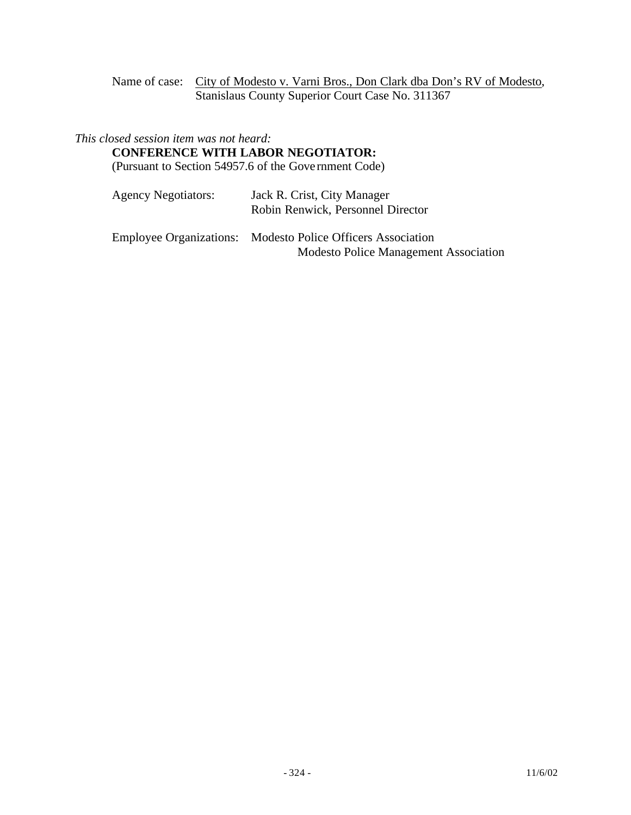Name of case: City of Modesto v. Varni Bros., Don Clark dba Don's RV of Modesto, Stanislaus County Superior Court Case No. 311367

#### *This closed session item was not heard:*

#### **CONFERENCE WITH LABOR NEGOTIATOR:**

(Pursuant to Section 54957.6 of the Gove rnment Code)

| <b>Agency Negotiators:</b> | Jack R. Crist, City Manager       |
|----------------------------|-----------------------------------|
|                            | Robin Renwick, Personnel Director |

Employee Organizations: Modesto Police Officers Association Modesto Police Management Association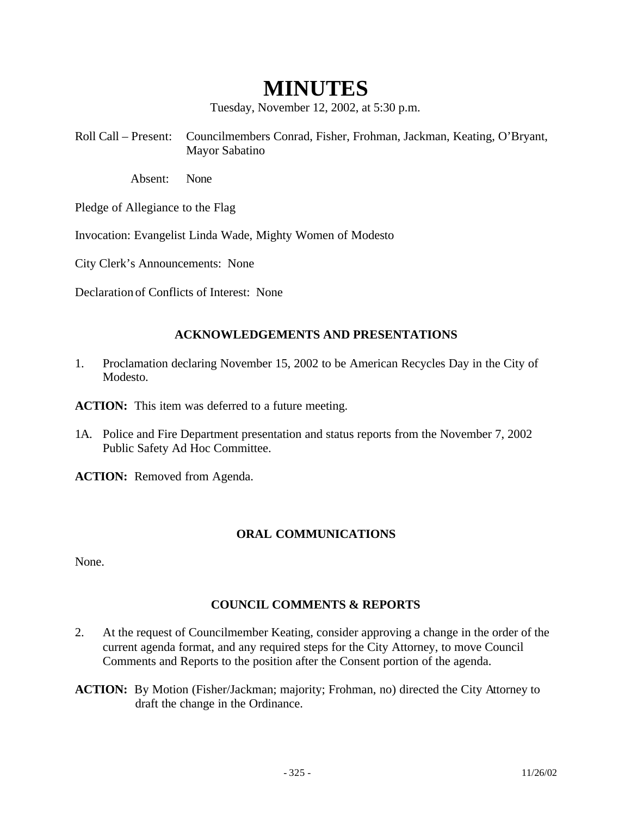# **MINUTES**

Tuesday, November 12, 2002, at 5:30 p.m.

Roll Call – Present: Councilmembers Conrad, Fisher, Frohman, Jackman, Keating, O'Bryant, Mayor Sabatino

Absent: None

Pledge of Allegiance to the Flag

Invocation: Evangelist Linda Wade, Mighty Women of Modesto

City Clerk's Announcements: None

Declaration of Conflicts of Interest: None

#### **ACKNOWLEDGEMENTS AND PRESENTATIONS**

1. Proclamation declaring November 15, 2002 to be American Recycles Day in the City of Modesto.

**ACTION:** This item was deferred to a future meeting.

1A. Police and Fire Department presentation and status reports from the November 7, 2002 Public Safety Ad Hoc Committee.

**ACTION:** Removed from Agenda.

#### **ORAL COMMUNICATIONS**

None.

#### **COUNCIL COMMENTS & REPORTS**

- 2. At the request of Councilmember Keating, consider approving a change in the order of the current agenda format, and any required steps for the City Attorney, to move Council Comments and Reports to the position after the Consent portion of the agenda.
- **ACTION:** By Motion (Fisher/Jackman; majority; Frohman, no) directed the City Attorney to draft the change in the Ordinance.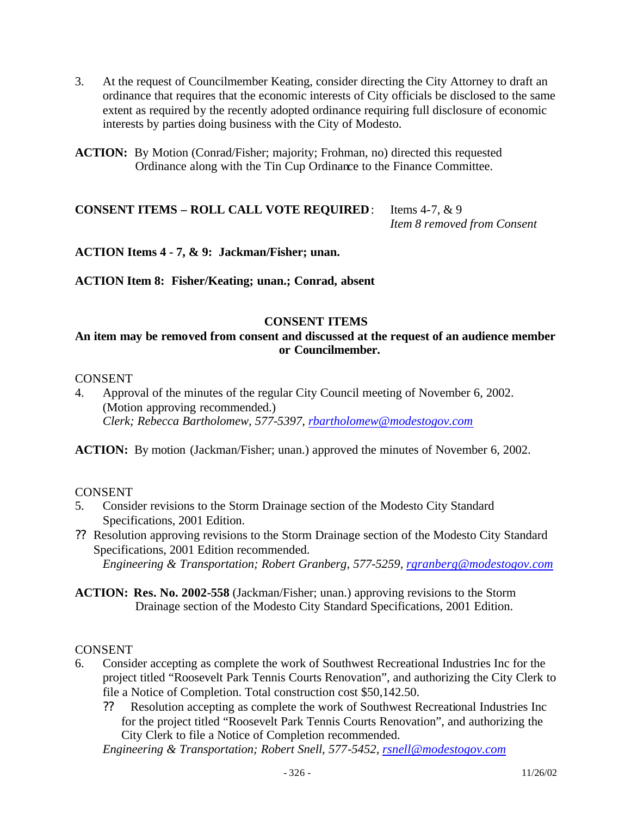- 3. At the request of Councilmember Keating, consider directing the City Attorney to draft an ordinance that requires that the economic interests of City officials be disclosed to the same extent as required by the recently adopted ordinance requiring full disclosure of economic interests by parties doing business with the City of Modesto.
- **ACTION:** By Motion (Conrad/Fisher; majority; Frohman, no) directed this requested Ordinance along with the Tin Cup Ordinance to the Finance Committee.

## **CONSENT ITEMS – ROLL CALL VOTE REQUIRED**: Items 4-7, & 9 *Item 8 removed from Consent*

**ACTION Items 4 - 7, & 9: Jackman/Fisher; unan.**

**ACTION Item 8: Fisher/Keating; unan.; Conrad, absent**

#### **CONSENT ITEMS**

## **An item may be removed from consent and discussed at the request of an audience member or Councilmember.**

#### CONSENT

4. Approval of the minutes of the regular City Council meeting of November 6, 2002. (Motion approving recommended.) *Clerk; Rebecca Bartholomew, 577-5397, rbartholomew@modestogov.com*

**ACTION:** By motion (Jackman/Fisher; unan.) approved the minutes of November 6, 2002.

#### CONSENT

- 5. Consider revisions to the Storm Drainage section of the Modesto City Standard Specifications, 2001 Edition.
- ?? Resolution approving revisions to the Storm Drainage section of the Modesto City Standard Specifications, 2001 Edition recommended. *Engineering & Transportation; Robert Granberg, 577-5259, rgranberg@modestogov.com*
- **ACTION: Res. No. 2002-558** (Jackman/Fisher; unan.) approving revisions to the Storm Drainage section of the Modesto City Standard Specifications, 2001 Edition.

#### CONSENT

- 6. Consider accepting as complete the work of Southwest Recreational Industries Inc for the project titled "Roosevelt Park Tennis Courts Renovation", and authorizing the City Clerk to file a Notice of Completion. Total construction cost \$50,142.50.
	- ?? Resolution accepting as complete the work of Southwest Recreational Industries Inc for the project titled "Roosevelt Park Tennis Courts Renovation", and authorizing the City Clerk to file a Notice of Completion recommended.

*Engineering & Transportation; Robert Snell, 577-5452, rsnell@modestogov.com*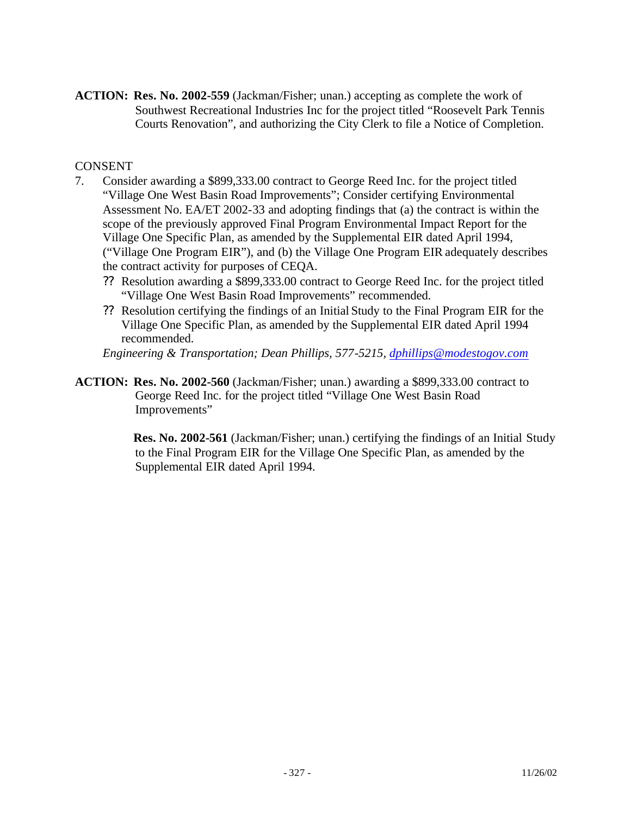**ACTION: Res. No. 2002-559** (Jackman/Fisher; unan.) accepting as complete the work of Southwest Recreational Industries Inc for the project titled "Roosevelt Park Tennis Courts Renovation", and authorizing the City Clerk to file a Notice of Completion.

## CONSENT

- 7. Consider awarding a \$899,333.00 contract to George Reed Inc. for the project titled "Village One West Basin Road Improvements"; Consider certifying Environmental Assessment No. EA/ET 2002-33 and adopting findings that (a) the contract is within the scope of the previously approved Final Program Environmental Impact Report for the Village One Specific Plan, as amended by the Supplemental EIR dated April 1994, ("Village One Program EIR"), and (b) the Village One Program EIR adequately describes the contract activity for purposes of CEQA.
	- ?? Resolution awarding a \$899,333.00 contract to George Reed Inc. for the project titled "Village One West Basin Road Improvements" recommended.
	- ?? Resolution certifying the findings of an Initial Study to the Final Program EIR for the Village One Specific Plan, as amended by the Supplemental EIR dated April 1994 recommended.

*Engineering & Transportation; Dean Phillips, 577-5215, dphillips@modestogov.com*

**ACTION: Res. No. 2002-560** (Jackman/Fisher; unan.) awarding a \$899,333.00 contract to George Reed Inc. for the project titled "Village One West Basin Road Improvements"

> **Res. No. 2002-561** (Jackman/Fisher; unan.) certifying the findings of an Initial Study to the Final Program EIR for the Village One Specific Plan, as amended by the Supplemental EIR dated April 1994.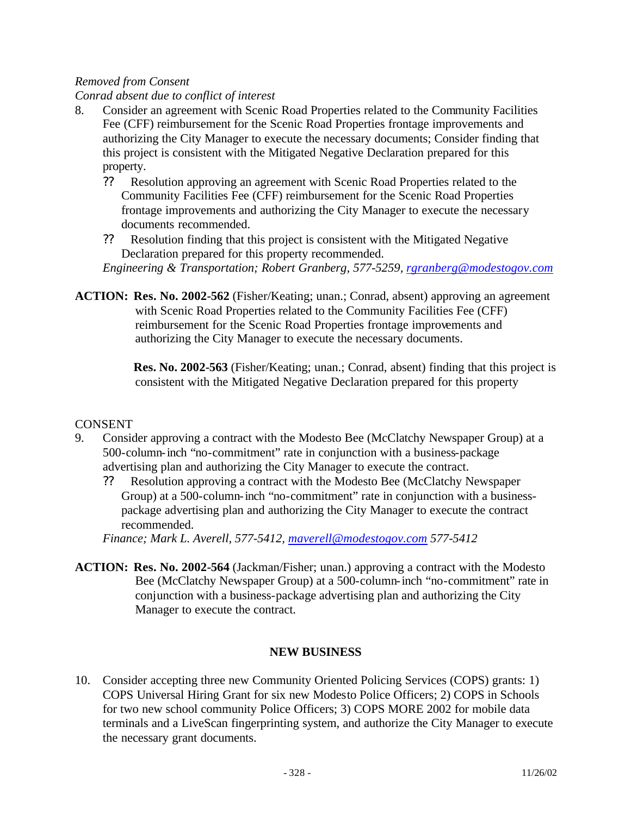#### *Removed from Consent*

#### *Conrad absent due to conflict of interest*

- 8. Consider an agreement with Scenic Road Properties related to the Community Facilities Fee (CFF) reimbursement for the Scenic Road Properties frontage improvements and authorizing the City Manager to execute the necessary documents; Consider finding that this project is consistent with the Mitigated Negative Declaration prepared for this property.
	- ?? Resolution approving an agreement with Scenic Road Properties related to the Community Facilities Fee (CFF) reimbursement for the Scenic Road Properties frontage improvements and authorizing the City Manager to execute the necessary documents recommended.
	- ?? Resolution finding that this project is consistent with the Mitigated Negative Declaration prepared for this property recommended.

*Engineering & Transportation; Robert Granberg, 577-5259, rgranberg@modestogov.com*

**ACTION: Res. No. 2002-562** (Fisher/Keating; unan.; Conrad, absent) approving an agreement with Scenic Road Properties related to the Community Facilities Fee (CFF) reimbursement for the Scenic Road Properties frontage improvements and authorizing the City Manager to execute the necessary documents.

> **Res. No. 2002-563** (Fisher/Keating; unan.; Conrad, absent) finding that this project is consistent with the Mitigated Negative Declaration prepared for this property

## CONSENT

- 9. Consider approving a contract with the Modesto Bee (McClatchy Newspaper Group) at a 500-column-inch "no-commitment" rate in conjunction with a business-package advertising plan and authorizing the City Manager to execute the contract.
	- ?? Resolution approving a contract with the Modesto Bee (McClatchy Newspaper Group) at a 500-column-inch "no-commitment" rate in conjunction with a businesspackage advertising plan and authorizing the City Manager to execute the contract recommended.

*Finance; Mark L. Averell, 577-5412, maverell@modestogov.com 577-5412*

**ACTION: Res. No. 2002-564** (Jackman/Fisher; unan.) approving a contract with the Modesto Bee (McClatchy Newspaper Group) at a 500-column-inch "no-commitment" rate in conjunction with a business-package advertising plan and authorizing the City Manager to execute the contract.

## **NEW BUSINESS**

10. Consider accepting three new Community Oriented Policing Services (COPS) grants: 1) COPS Universal Hiring Grant for six new Modesto Police Officers; 2) COPS in Schools for two new school community Police Officers; 3) COPS MORE 2002 for mobile data terminals and a LiveScan fingerprinting system, and authorize the City Manager to execute the necessary grant documents.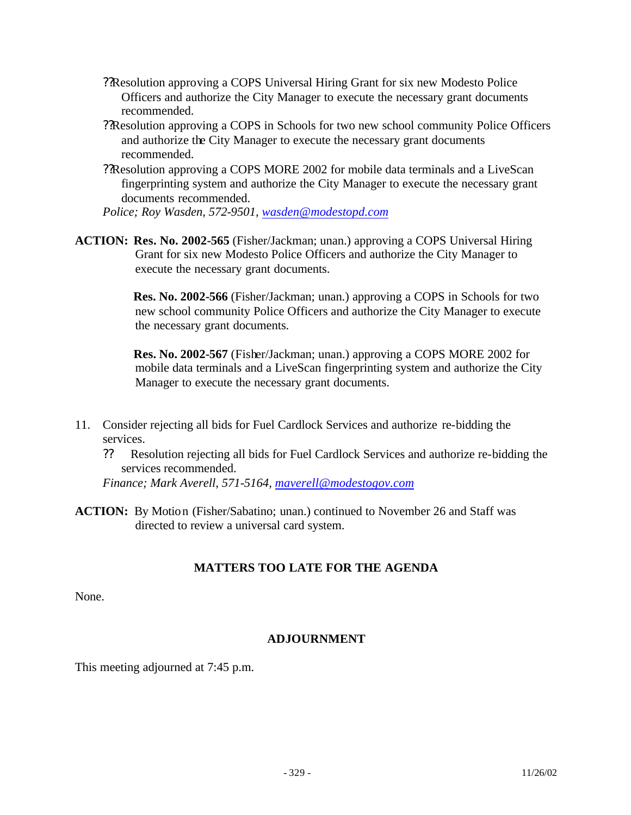- ??Resolution approving a COPS Universal Hiring Grant for six new Modesto Police Officers and authorize the City Manager to execute the necessary grant documents recommended.
- ??Resolution approving a COPS in Schools for two new school community Police Officers and authorize the City Manager to execute the necessary grant documents recommended.
- ??Resolution approving a COPS MORE 2002 for mobile data terminals and a LiveScan fingerprinting system and authorize the City Manager to execute the necessary grant documents recommended.

*Police; Roy Wasden, 572-9501, wasden@modestopd.com*

**ACTION: Res. No. 2002-565** (Fisher/Jackman; unan.) approving a COPS Universal Hiring Grant for six new Modesto Police Officers and authorize the City Manager to execute the necessary grant documents.

> **Res. No. 2002-566** (Fisher/Jackman; unan.) approving a COPS in Schools for two new school community Police Officers and authorize the City Manager to execute the necessary grant documents.

> **Res. No. 2002-567** (Fisher/Jackman; unan.) approving a COPS MORE 2002 for mobile data terminals and a LiveScan fingerprinting system and authorize the City Manager to execute the necessary grant documents.

- 11. Consider rejecting all bids for Fuel Cardlock Services and authorize re-bidding the services.
	- ?? Resolution rejecting all bids for Fuel Cardlock Services and authorize re-bidding the services recommended.

*Finance; Mark Averell, 571-5164, maverell@modestogov.com*

**ACTION:** By Motion (Fisher/Sabatino; unan.) continued to November 26 and Staff was directed to review a universal card system.

## **MATTERS TOO LATE FOR THE AGENDA**

None.

## **ADJOURNMENT**

This meeting adjourned at 7:45 p.m.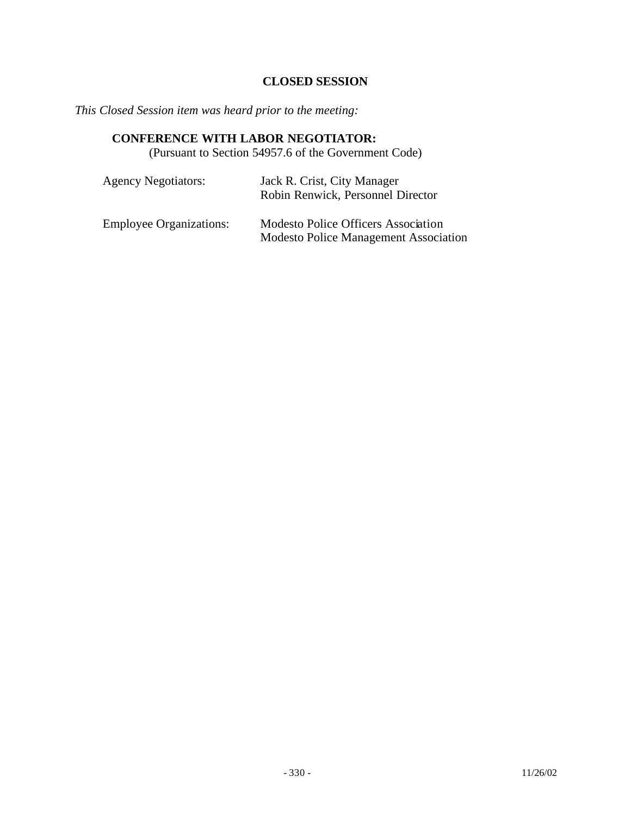## **CLOSED SESSION**

*This Closed Session item was heard prior to the meeting:*

## **CONFERENCE WITH LABOR NEGOTIATOR:**

(Pursuant to Section 54957.6 of the Government Code)

| <b>Agency Negotiators:</b>     | Jack R. Crist, City Manager<br>Robin Renwick, Personnel Director                           |
|--------------------------------|--------------------------------------------------------------------------------------------|
| <b>Employee Organizations:</b> | <b>Modesto Police Officers Association</b><br><b>Modesto Police Management Association</b> |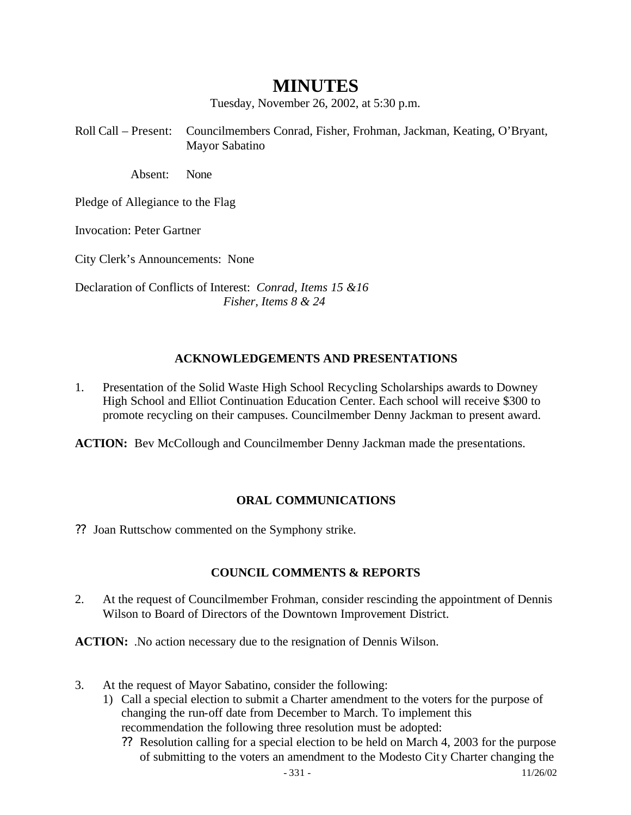## **MINUTES**

Tuesday, November 26, 2002, at 5:30 p.m.

Roll Call – Present: Councilmembers Conrad, Fisher, Frohman, Jackman, Keating, O'Bryant, Mayor Sabatino

Absent: None

Pledge of Allegiance to the Flag

Invocation: Peter Gartner

City Clerk's Announcements: None

Declaration of Conflicts of Interest: *Conrad, Items 15 &16 Fisher, Items 8 & 24*

#### **ACKNOWLEDGEMENTS AND PRESENTATIONS**

1. Presentation of the Solid Waste High School Recycling Scholarships awards to Downey High School and Elliot Continuation Education Center. Each school will receive \$300 to promote recycling on their campuses. Councilmember Denny Jackman to present award.

**ACTION:** Bev McCollough and Councilmember Denny Jackman made the presentations.

## **ORAL COMMUNICATIONS**

?? Joan Ruttschow commented on the Symphony strike.

#### **COUNCIL COMMENTS & REPORTS**

2. At the request of Councilmember Frohman, consider rescinding the appointment of Dennis Wilson to Board of Directors of the Downtown Improvement District.

**ACTION:** .No action necessary due to the resignation of Dennis Wilson.

- 3. At the request of Mayor Sabatino, consider the following:
	- 1) Call a special election to submit a Charter amendment to the voters for the purpose of changing the run-off date from December to March. To implement this recommendation the following three resolution must be adopted:
		- ?? Resolution calling for a special election to be held on March 4, 2003 for the purpose of submitting to the voters an amendment to the Modesto City Charter changing the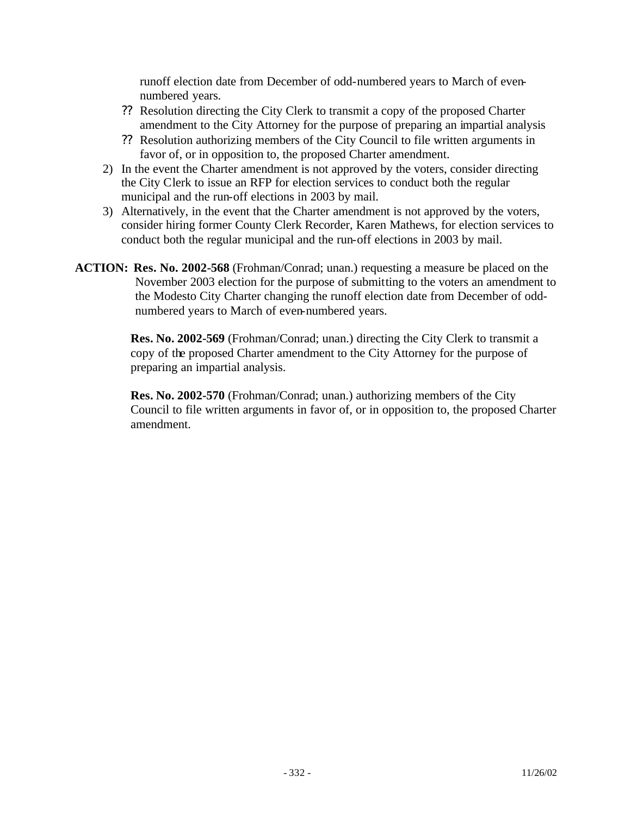runoff election date from December of odd-numbered years to March of evennumbered years.

- ?? Resolution directing the City Clerk to transmit a copy of the proposed Charter amendment to the City Attorney for the purpose of preparing an impartial analysis
- ?? Resolution authorizing members of the City Council to file written arguments in favor of, or in opposition to, the proposed Charter amendment.
- 2) In the event the Charter amendment is not approved by the voters, consider directing the City Clerk to issue an RFP for election services to conduct both the regular municipal and the run-off elections in 2003 by mail.
- 3) Alternatively, in the event that the Charter amendment is not approved by the voters, consider hiring former County Clerk Recorder, Karen Mathews, for election services to conduct both the regular municipal and the run-off elections in 2003 by mail.
- **ACTION: Res. No. 2002-568** (Frohman/Conrad; unan.) requesting a measure be placed on the November 2003 election for the purpose of submitting to the voters an amendment to the Modesto City Charter changing the runoff election date from December of oddnumbered years to March of even-numbered years.

**Res. No. 2002-569** (Frohman/Conrad; unan.) directing the City Clerk to transmit a copy of the proposed Charter amendment to the City Attorney for the purpose of preparing an impartial analysis.

**Res. No. 2002-570** (Frohman/Conrad; unan.) authorizing members of the City Council to file written arguments in favor of, or in opposition to, the proposed Charter amendment.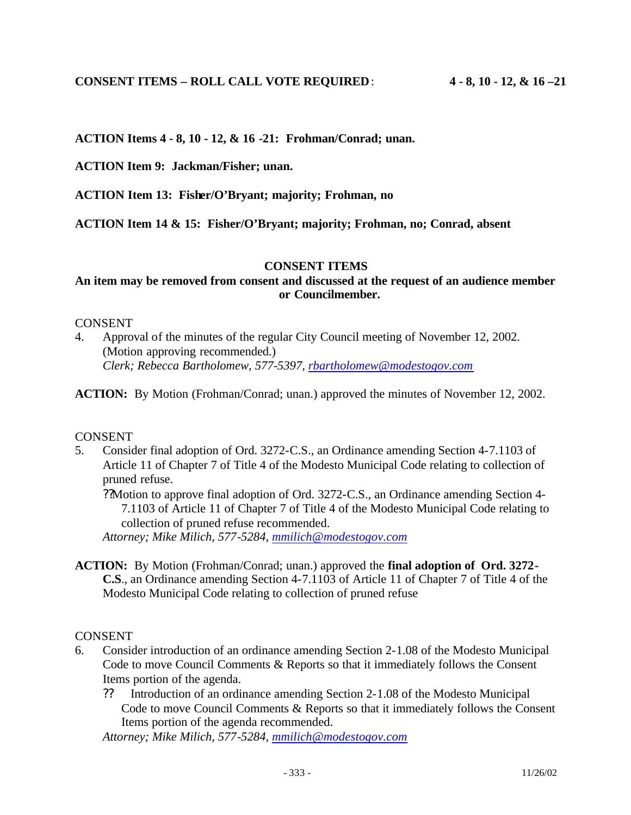**ACTION Items 4 - 8, 10 - 12, & 16 -21: Frohman/Conrad; unan.**

**ACTION Item 9: Jackman/Fisher; unan.**

**ACTION Item 13: Fisher/O'Bryant; majority; Frohman, no**

**ACTION Item 14 & 15: Fisher/O'Bryant; majority; Frohman, no; Conrad, absent**

#### **CONSENT ITEMS**

## **An item may be removed from consent and discussed at the request of an audience member or Councilmember.**

#### CONSENT

4. Approval of the minutes of the regular City Council meeting of November 12, 2002. (Motion approving recommended.) *Clerk; Rebecca Bartholomew, 577-5397, rbartholomew@modestogov.com*

**ACTION:** By Motion (Frohman/Conrad; unan.) approved the minutes of November 12, 2002.

#### **CONSENT**

5. Consider final adoption of Ord. 3272-C.S., an Ordinance amending Section 4-7.1103 of Article 11 of Chapter 7 of Title 4 of the Modesto Municipal Code relating to collection of pruned refuse.

??Motion to approve final adoption of Ord. 3272-C.S., an Ordinance amending Section 4- 7.1103 of Article 11 of Chapter 7 of Title 4 of the Modesto Municipal Code relating to collection of pruned refuse recommended.

*Attorney; Mike Milich, 577-5284, mmilich@modestogov.com*

**ACTION:** By Motion (Frohman/Conrad; unan.) approved the **final adoption of Ord. 3272- C.S**., an Ordinance amending Section 4-7.1103 of Article 11 of Chapter 7 of Title 4 of the Modesto Municipal Code relating to collection of pruned refuse

#### CONSENT

- 6. Consider introduction of an ordinance amending Section 2-1.08 of the Modesto Municipal Code to move Council Comments & Reports so that it immediately follows the Consent Items portion of the agenda.
	- ?? Introduction of an ordinance amending Section 2-1.08 of the Modesto Municipal Code to move Council Comments & Reports so that it immediately follows the Consent Items portion of the agenda recommended.

*Attorney; Mike Milich, 577-5284, mmilich@modestogov.com*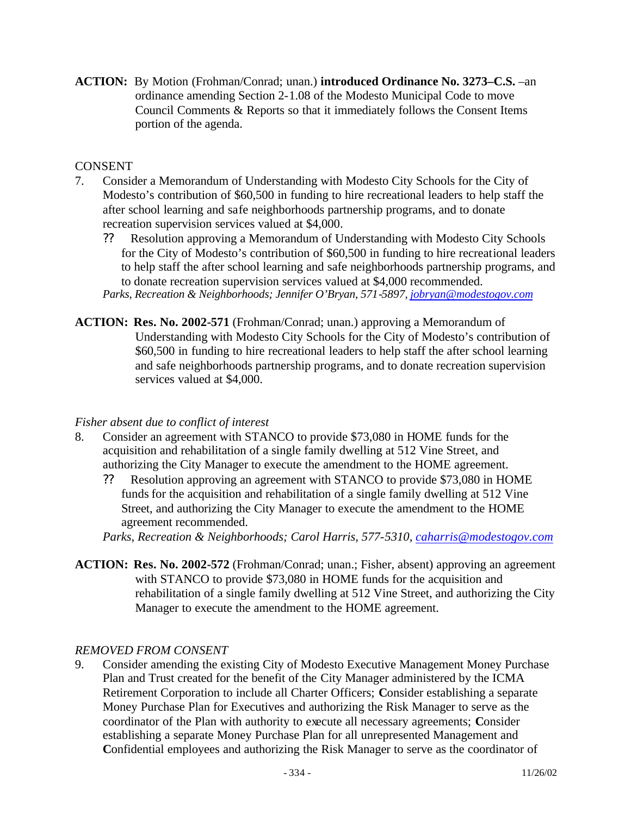**ACTION:** By Motion (Frohman/Conrad; unan.) **introduced Ordinance No. 3273–C.S.** –an ordinance amending Section 2-1.08 of the Modesto Municipal Code to move Council Comments & Reports so that it immediately follows the Consent Items portion of the agenda.

## CONSENT

- 7. Consider a Memorandum of Understanding with Modesto City Schools for the City of Modesto's contribution of \$60,500 in funding to hire recreational leaders to help staff the after school learning and safe neighborhoods partnership programs, and to donate recreation supervision services valued at \$4,000.
	- ?? Resolution approving a Memorandum of Understanding with Modesto City Schools for the City of Modesto's contribution of \$60,500 in funding to hire recreational leaders to help staff the after school learning and safe neighborhoods partnership programs, and to donate recreation supervision services valued at \$4,000 recommended. *Parks, Recreation & Neighborhoods; Jennifer O'Bryan, 571-5897, jobryan@modestogov.com*
- **ACTION: Res. No. 2002-571** (Frohman/Conrad; unan.) approving a Memorandum of Understanding with Modesto City Schools for the City of Modesto's contribution of \$60,500 in funding to hire recreational leaders to help staff the after school learning and safe neighborhoods partnership programs, and to donate recreation supervision services valued at \$4,000.

#### *Fisher absent due to conflict of interest*

- 8. Consider an agreement with STANCO to provide \$73,080 in HOME funds for the acquisition and rehabilitation of a single family dwelling at 512 Vine Street, and authorizing the City Manager to execute the amendment to the HOME agreement.
	- ?? Resolution approving an agreement with STANCO to provide \$73,080 in HOME funds for the acquisition and rehabilitation of a single family dwelling at 512 Vine Street, and authorizing the City Manager to execute the amendment to the HOME agreement recommended.

*Parks, Recreation & Neighborhoods; Carol Harris, 577-5310, caharris@modestogov.com*

**ACTION: Res. No. 2002-572** (Frohman/Conrad; unan.; Fisher, absent) approving an agreement with STANCO to provide \$73,080 in HOME funds for the acquisition and rehabilitation of a single family dwelling at 512 Vine Street, and authorizing the City Manager to execute the amendment to the HOME agreement.

#### *REMOVED FROM CONSENT*

9. Consider amending the existing City of Modesto Executive Management Money Purchase Plan and Trust created for the benefit of the City Manager administered by the ICMA Retirement Corporation to include all Charter Officers; **C**onsider establishing a separate Money Purchase Plan for Executives and authorizing the Risk Manager to serve as the coordinator of the Plan with authority to execute all necessary agreements; **C**onsider establishing a separate Money Purchase Plan for all unrepresented Management and Confidential employees and authorizing the Risk Manager to serve as the coordinator of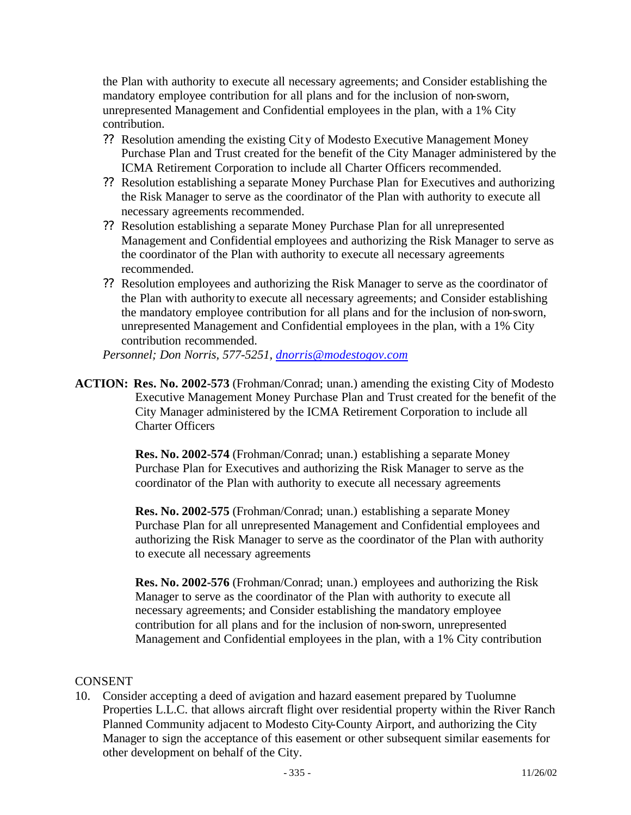the Plan with authority to execute all necessary agreements; and Consider establishing the mandatory employee contribution for all plans and for the inclusion of non-sworn, unrepresented Management and Confidential employees in the plan, with a 1% City contribution.

- ?? Resolution amending the existing City of Modesto Executive Management Money Purchase Plan and Trust created for the benefit of the City Manager administered by the ICMA Retirement Corporation to include all Charter Officers recommended.
- ?? Resolution establishing a separate Money Purchase Plan for Executives and authorizing the Risk Manager to serve as the coordinator of the Plan with authority to execute all necessary agreements recommended.
- ?? Resolution establishing a separate Money Purchase Plan for all unrepresented Management and Confidential employees and authorizing the Risk Manager to serve as the coordinator of the Plan with authority to execute all necessary agreements recommended.
- ?? Resolution employees and authorizing the Risk Manager to serve as the coordinator of the Plan with authority to execute all necessary agreements; and Consider establishing the mandatory employee contribution for all plans and for the inclusion of non-sworn, unrepresented Management and Confidential employees in the plan, with a 1% City contribution recommended.

*Personnel; Don Norris, 577-5251, dnorris@modestogov.com*

**ACTION: Res. No. 2002-573** (Frohman/Conrad; unan.) amending the existing City of Modesto Executive Management Money Purchase Plan and Trust created for the benefit of the City Manager administered by the ICMA Retirement Corporation to include all Charter Officers

> **Res. No. 2002-574** (Frohman/Conrad; unan.) establishing a separate Money Purchase Plan for Executives and authorizing the Risk Manager to serve as the coordinator of the Plan with authority to execute all necessary agreements

**Res. No. 2002-575** (Frohman/Conrad; unan.) establishing a separate Money Purchase Plan for all unrepresented Management and Confidential employees and authorizing the Risk Manager to serve as the coordinator of the Plan with authority to execute all necessary agreements

**Res. No. 2002-576** (Frohman/Conrad; unan.) employees and authorizing the Risk Manager to serve as the coordinator of the Plan with authority to execute all necessary agreements; and Consider establishing the mandatory employee contribution for all plans and for the inclusion of non-sworn, unrepresented Management and Confidential employees in the plan, with a 1% City contribution

#### CONSENT

10. Consider accepting a deed of avigation and hazard easement prepared by Tuolumne Properties L.L.C. that allows aircraft flight over residential property within the River Ranch Planned Community adjacent to Modesto City-County Airport, and authorizing the City Manager to sign the acceptance of this easement or other subsequent similar easements for other development on behalf of the City.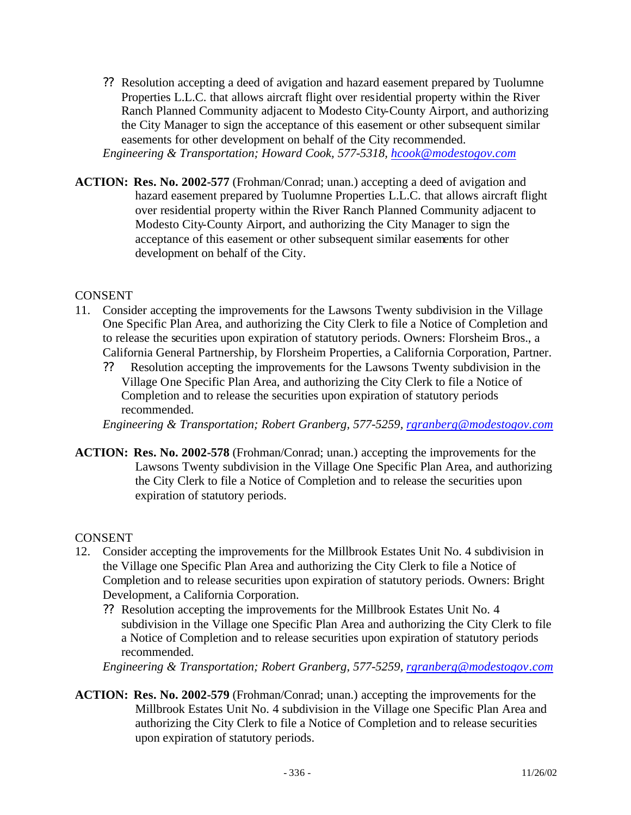?? Resolution accepting a deed of avigation and hazard easement prepared by Tuolumne Properties L.L.C. that allows aircraft flight over residential property within the River Ranch Planned Community adjacent to Modesto City-County Airport, and authorizing the City Manager to sign the acceptance of this easement or other subsequent similar easements for other development on behalf of the City recommended.

*Engineering & Transportation; Howard Cook, 577-5318, hcook@modestogov.com*

**ACTION: Res. No. 2002-577** (Frohman/Conrad; unan.) accepting a deed of avigation and hazard easement prepared by Tuolumne Properties L.L.C. that allows aircraft flight over residential property within the River Ranch Planned Community adjacent to Modesto City-County Airport, and authorizing the City Manager to sign the acceptance of this easement or other subsequent similar easements for other development on behalf of the City.

## CONSENT

- 11. Consider accepting the improvements for the Lawsons Twenty subdivision in the Village One Specific Plan Area, and authorizing the City Clerk to file a Notice of Completion and to release the securities upon expiration of statutory periods. Owners: Florsheim Bros., a California General Partnership, by Florsheim Properties, a California Corporation, Partner.
	- ?? Resolution accepting the improvements for the Lawsons Twenty subdivision in the Village One Specific Plan Area, and authorizing the City Clerk to file a Notice of Completion and to release the securities upon expiration of statutory periods recommended.

*Engineering & Transportation; Robert Granberg, 577-5259, rgranberg@modestogov.com*

**ACTION: Res. No. 2002-578** (Frohman/Conrad; unan.) accepting the improvements for the Lawsons Twenty subdivision in the Village One Specific Plan Area, and authorizing the City Clerk to file a Notice of Completion and to release the securities upon expiration of statutory periods.

## CONSENT

- 12. Consider accepting the improvements for the Millbrook Estates Unit No. 4 subdivision in the Village one Specific Plan Area and authorizing the City Clerk to file a Notice of Completion and to release securities upon expiration of statutory periods. Owners: Bright Development, a California Corporation.
	- ?? Resolution accepting the improvements for the Millbrook Estates Unit No. 4 subdivision in the Village one Specific Plan Area and authorizing the City Clerk to file a Notice of Completion and to release securities upon expiration of statutory periods recommended.

*Engineering & Transportation; Robert Granberg, 577-5259, rgranberg@modestogov.com*

**ACTION: Res. No. 2002-579** (Frohman/Conrad; unan.) accepting the improvements for the Millbrook Estates Unit No. 4 subdivision in the Village one Specific Plan Area and authorizing the City Clerk to file a Notice of Completion and to release securities upon expiration of statutory periods.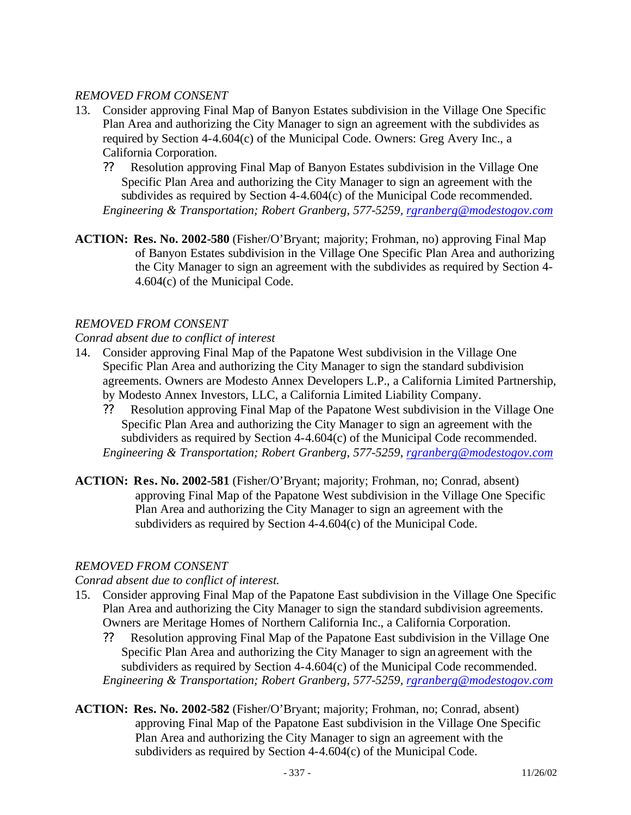## *REMOVED FROM CONSENT*

- 13. Consider approving Final Map of Banyon Estates subdivision in the Village One Specific Plan Area and authorizing the City Manager to sign an agreement with the subdivides as required by Section 4-4.604(c) of the Municipal Code. Owners: Greg Avery Inc., a California Corporation.
	- ?? Resolution approving Final Map of Banyon Estates subdivision in the Village One Specific Plan Area and authorizing the City Manager to sign an agreement with the subdivides as required by Section 4-4.604(c) of the Municipal Code recommended. *Engineering & Transportation; Robert Granberg, 577-5259, rgranberg@modestogov.com*
- **ACTION: Res. No. 2002-580** (Fisher/O'Bryant; majority; Frohman, no) approving Final Map of Banyon Estates subdivision in the Village One Specific Plan Area and authorizing the City Manager to sign an agreement with the subdivides as required by Section 4- 4.604(c) of the Municipal Code.

## *REMOVED FROM CONSENT*

*Conrad absent due to conflict of interest*

- 14. Consider approving Final Map of the Papatone West subdivision in the Village One Specific Plan Area and authorizing the City Manager to sign the standard subdivision agreements. Owners are Modesto Annex Developers L.P., a California Limited Partnership, by Modesto Annex Investors, LLC, a California Limited Liability Company.
	- ?? Resolution approving Final Map of the Papatone West subdivision in the Village One Specific Plan Area and authorizing the City Manager to sign an agreement with the subdividers as required by Section 4-4.604(c) of the Municipal Code recommended. *Engineering & Transportation; Robert Granberg, 577-5259, rgranberg@modestogov.com*
- **ACTION: Res. No. 2002-581** (Fisher/O'Bryant; majority; Frohman, no; Conrad, absent) approving Final Map of the Papatone West subdivision in the Village One Specific Plan Area and authorizing the City Manager to sign an agreement with the subdividers as required by Section 4-4.604(c) of the Municipal Code.

## *REMOVED FROM CONSENT*

## *Conrad absent due to conflict of interest.*

- 15. Consider approving Final Map of the Papatone East subdivision in the Village One Specific Plan Area and authorizing the City Manager to sign the standard subdivision agreements. Owners are Meritage Homes of Northern California Inc., a California Corporation.
	- ?? Resolution approving Final Map of the Papatone East subdivision in the Village One Specific Plan Area and authorizing the City Manager to sign an agreement with the subdividers as required by Section 4-4.604(c) of the Municipal Code recommended. *Engineering & Transportation; Robert Granberg, 577-5259, rgranberg@modestogov.com*
- **ACTION: Res. No. 2002-582** (Fisher/O'Bryant; majority; Frohman, no; Conrad, absent) approving Final Map of the Papatone East subdivision in the Village One Specific Plan Area and authorizing the City Manager to sign an agreement with the subdividers as required by Section 4-4.604(c) of the Municipal Code.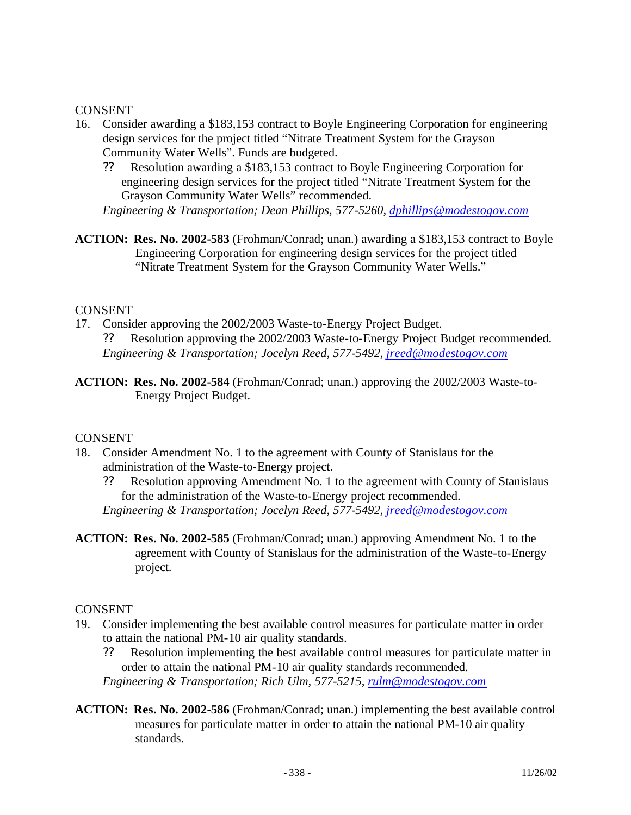#### CONSENT

- 16. Consider awarding a \$183,153 contract to Boyle Engineering Corporation for engineering design services for the project titled "Nitrate Treatment System for the Grayson Community Water Wells". Funds are budgeted.
	- ?? Resolution awarding a \$183,153 contract to Boyle Engineering Corporation for engineering design services for the project titled "Nitrate Treatment System for the Grayson Community Water Wells" recommended.

```
Engineering & Transportation; Dean Phillips, 577-5260, dphillips@modestogov.com
```
**ACTION: Res. No. 2002-583** (Frohman/Conrad; unan.) awarding a \$183,153 contract to Boyle Engineering Corporation for engineering design services for the project titled "Nitrate Treatment System for the Grayson Community Water Wells."

#### CONSENT

- 17. Consider approving the 2002/2003 Waste-to-Energy Project Budget. ?? Resolution approving the 2002/2003 Waste-to-Energy Project Budget recommended. *Engineering & Transportation; Jocelyn Reed, 577-5492, jreed@modestogov.com*
- **ACTION: Res. No. 2002-584** (Frohman/Conrad; unan.) approving the 2002/2003 Waste-to-Energy Project Budget.

## CONSENT

- 18. Consider Amendment No. 1 to the agreement with County of Stanislaus for the administration of the Waste-to-Energy project.
	- ?? Resolution approving Amendment No. 1 to the agreement with County of Stanislaus for the administration of the Waste-to-Energy project recommended. *Engineering & Transportation; Jocelyn Reed, 577-5492, jreed@modestogov.com*
- **ACTION: Res. No. 2002-585** (Frohman/Conrad; unan.) approving Amendment No. 1 to the agreement with County of Stanislaus for the administration of the Waste-to-Energy project.

## CONSENT

- 19. Consider implementing the best available control measures for particulate matter in order to attain the national PM-10 air quality standards.
	- ?? Resolution implementing the best available control measures for particulate matter in order to attain the national PM-10 air quality standards recommended. *Engineering & Transportation; Rich Ulm, 577-5215, rulm@modestogov.com*
- **ACTION: Res. No. 2002-586** (Frohman/Conrad; unan.) implementing the best available control measures for particulate matter in order to attain the national PM-10 air quality standards.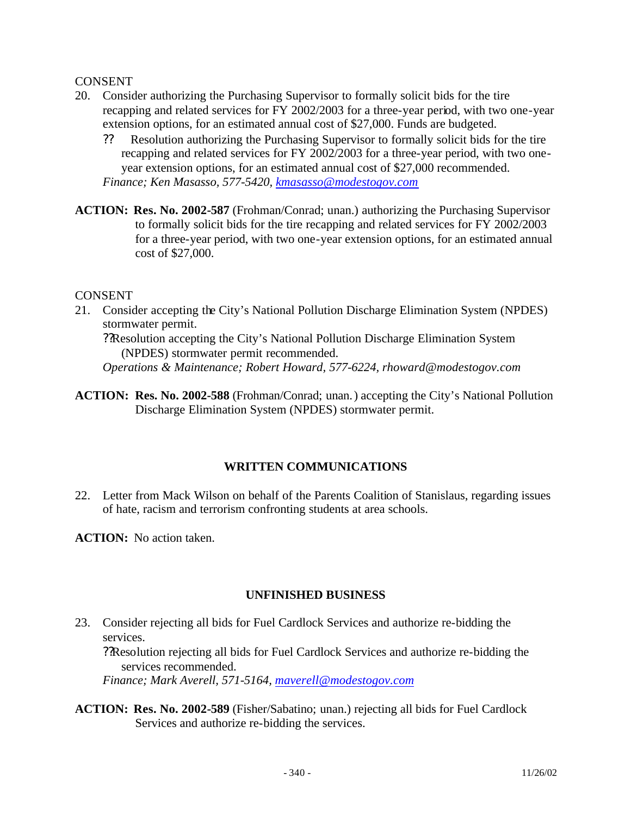#### CONSENT

- 20. Consider authorizing the Purchasing Supervisor to formally solicit bids for the tire recapping and related services for FY 2002/2003 for a three-year period, with two one-year extension options, for an estimated annual cost of \$27,000. Funds are budgeted.
	- ?? Resolution authorizing the Purchasing Supervisor to formally solicit bids for the tire recapping and related services for FY 2002/2003 for a three-year period, with two oneyear extension options, for an estimated annual cost of \$27,000 recommended. *Finance; Ken Masasso, 577-5420, kmasasso@modestogov.com*
- **ACTION: Res. No. 2002-587** (Frohman/Conrad; unan.) authorizing the Purchasing Supervisor to formally solicit bids for the tire recapping and related services for FY 2002/2003 for a three-year period, with two one-year extension options, for an estimated annual cost of \$27,000.

#### CONSENT

21. Consider accepting the City's National Pollution Discharge Elimination System (NPDES) stormwater permit.

??Resolution accepting the City's National Pollution Discharge Elimination System (NPDES) stormwater permit recommended. *Operations & Maintenance; Robert Howard, 577-6224, rhoward@modestogov.com*

**ACTION: Res. No. 2002-588** (Frohman/Conrad; unan.) accepting the City's National Pollution Discharge Elimination System (NPDES) stormwater permit.

## **WRITTEN COMMUNICATIONS**

22. Letter from Mack Wilson on behalf of the Parents Coalition of Stanislaus, regarding issues of hate, racism and terrorism confronting students at area schools.

**ACTION:** No action taken.

## **UNFINISHED BUSINESS**

23. Consider rejecting all bids for Fuel Cardlock Services and authorize re-bidding the services.

??Resolution rejecting all bids for Fuel Cardlock Services and authorize re-bidding the services recommended.

*Finance; Mark Averell, 571-5164, maverell@modestogov.com*

**ACTION: Res. No. 2002-589** (Fisher/Sabatino; unan.) rejecting all bids for Fuel Cardlock Services and authorize re-bidding the services.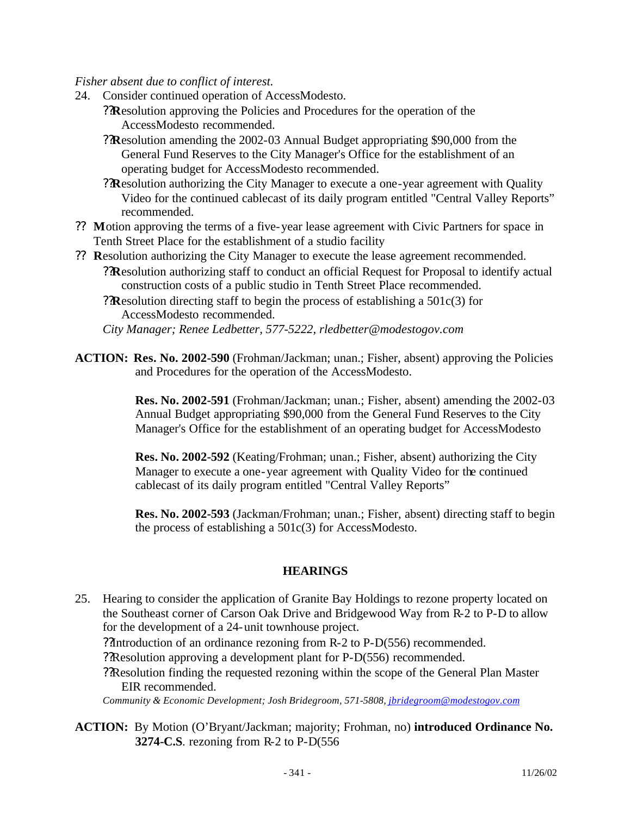#### *Fisher absent due to conflict of interest.*

- 24. Consider continued operation of AccessModesto.
	- ??**R**esolution approving the Policies and Procedures for the operation of the AccessModesto recommended.
	- ??**R**esolution amending the 2002-03 Annual Budget appropriating \$90,000 from the General Fund Reserves to the City Manager's Office for the establishment of an operating budget for AccessModesto recommended.
	- ??**R**esolution authorizing the City Manager to execute a one-year agreement with Quality Video for the continued cablecast of its daily program entitled "Central Valley Reports" recommended.
- ?? **M**otion approving the terms of a five-year lease agreement with Civic Partners for space in Tenth Street Place for the establishment of a studio facility
- ?? **R**esolution authorizing the City Manager to execute the lease agreement recommended. ??**R**esolution authorizing staff to conduct an official Request for Proposal to identify actual construction costs of a public studio in Tenth Street Place recommended.
	- ??**R**esolution directing staff to begin the process of establishing a 501c(3) for AccessModesto recommended.

*City Manager; Renee Ledbetter, 577-5222, rledbetter@modestogov.com*

**ACTION: Res. No. 2002-590** (Frohman/Jackman; unan.; Fisher, absent) approving the Policies and Procedures for the operation of the AccessModesto.

> **Res. No. 2002-591** (Frohman/Jackman; unan.; Fisher, absent) amending the 2002-03 Annual Budget appropriating \$90,000 from the General Fund Reserves to the City Manager's Office for the establishment of an operating budget for AccessModesto

**Res. No. 2002-592** (Keating/Frohman; unan.; Fisher, absent) authorizing the City Manager to execute a one-year agreement with Quality Video for the continued cablecast of its daily program entitled "Central Valley Reports"

**Res. No. 2002-593** (Jackman/Frohman; unan.; Fisher, absent) directing staff to begin the process of establishing a 501c(3) for AccessModesto.

#### **HEARINGS**

25. Hearing to consider the application of Granite Bay Holdings to rezone property located on the Southeast corner of Carson Oak Drive and Bridgewood Way from R-2 to P-D to allow for the development of a 24-unit townhouse project.

??Introduction of an ordinance rezoning from R-2 to P-D(556) recommended.

??Resolution approving a development plant for P-D(556) recommended.

??Resolution finding the requested rezoning within the scope of the General Plan Master EIR recommended.

*Community & Economic Development; Josh Bridegroom, 571-5808, jbridegroom@modestogov.com*

**ACTION:** By Motion (O'Bryant/Jackman; majority; Frohman, no) **introduced Ordinance No. 3274-C.S**. rezoning from R-2 to P-D(556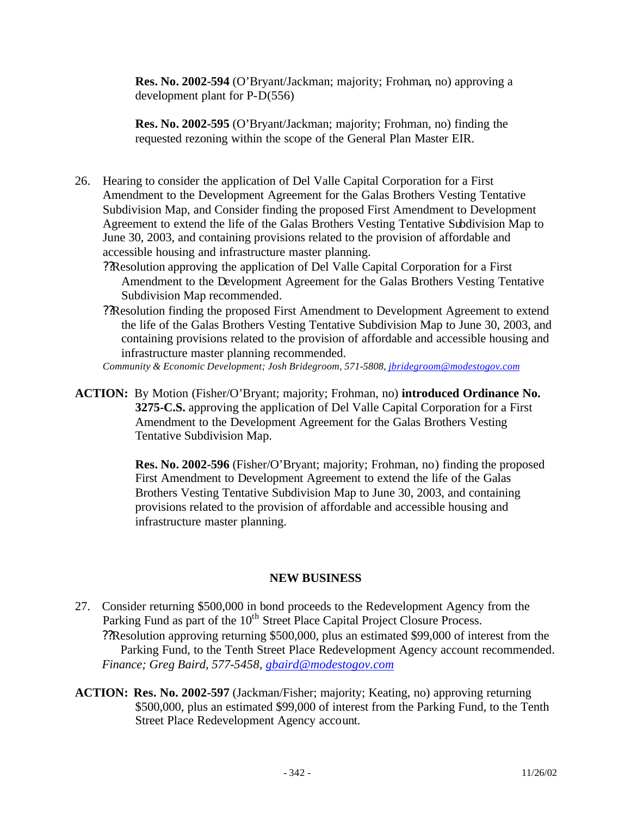**Res. No. 2002-594** (O'Bryant/Jackman; majority; Frohman, no) approving a development plant for P-D(556)

**Res. No. 2002-595** (O'Bryant/Jackman; majority; Frohman, no) finding the requested rezoning within the scope of the General Plan Master EIR.

26. Hearing to consider the application of Del Valle Capital Corporation for a First Amendment to the Development Agreement for the Galas Brothers Vesting Tentative Subdivision Map, and Consider finding the proposed First Amendment to Development Agreement to extend the life of the Galas Brothers Vesting Tentative Subdivision Map to June 30, 2003, and containing provisions related to the provision of affordable and accessible housing and infrastructure master planning.

??Resolution approving the application of Del Valle Capital Corporation for a First Amendment to the Development Agreement for the Galas Brothers Vesting Tentative Subdivision Map recommended.

??Resolution finding the proposed First Amendment to Development Agreement to extend the life of the Galas Brothers Vesting Tentative Subdivision Map to June 30, 2003, and containing provisions related to the provision of affordable and accessible housing and infrastructure master planning recommended.

*Community & Economic Development; Josh Bridegroom, 571-5808, jbridegroom@modestogov.com*

**ACTION:** By Motion (Fisher/O'Bryant; majority; Frohman, no) **introduced Ordinance No. 3275-C.S.** approving the application of Del Valle Capital Corporation for a First Amendment to the Development Agreement for the Galas Brothers Vesting Tentative Subdivision Map.

> **Res. No. 2002-596** (Fisher/O'Bryant; majority; Frohman, no) finding the proposed First Amendment to Development Agreement to extend the life of the Galas Brothers Vesting Tentative Subdivision Map to June 30, 2003, and containing provisions related to the provision of affordable and accessible housing and infrastructure master planning.

## **NEW BUSINESS**

- 27. Consider returning \$500,000 in bond proceeds to the Redevelopment Agency from the Parking Fund as part of the 10<sup>th</sup> Street Place Capital Project Closure Process. ??Resolution approving returning \$500,000, plus an estimated \$99,000 of interest from the Parking Fund, to the Tenth Street Place Redevelopment Agency account recommended. *Finance; Greg Baird, 577-5458, gbaird@modestogov.com*
- **ACTION: Res. No. 2002-597** (Jackman/Fisher; majority; Keating, no) approving returning \$500,000, plus an estimated \$99,000 of interest from the Parking Fund, to the Tenth Street Place Redevelopment Agency account.